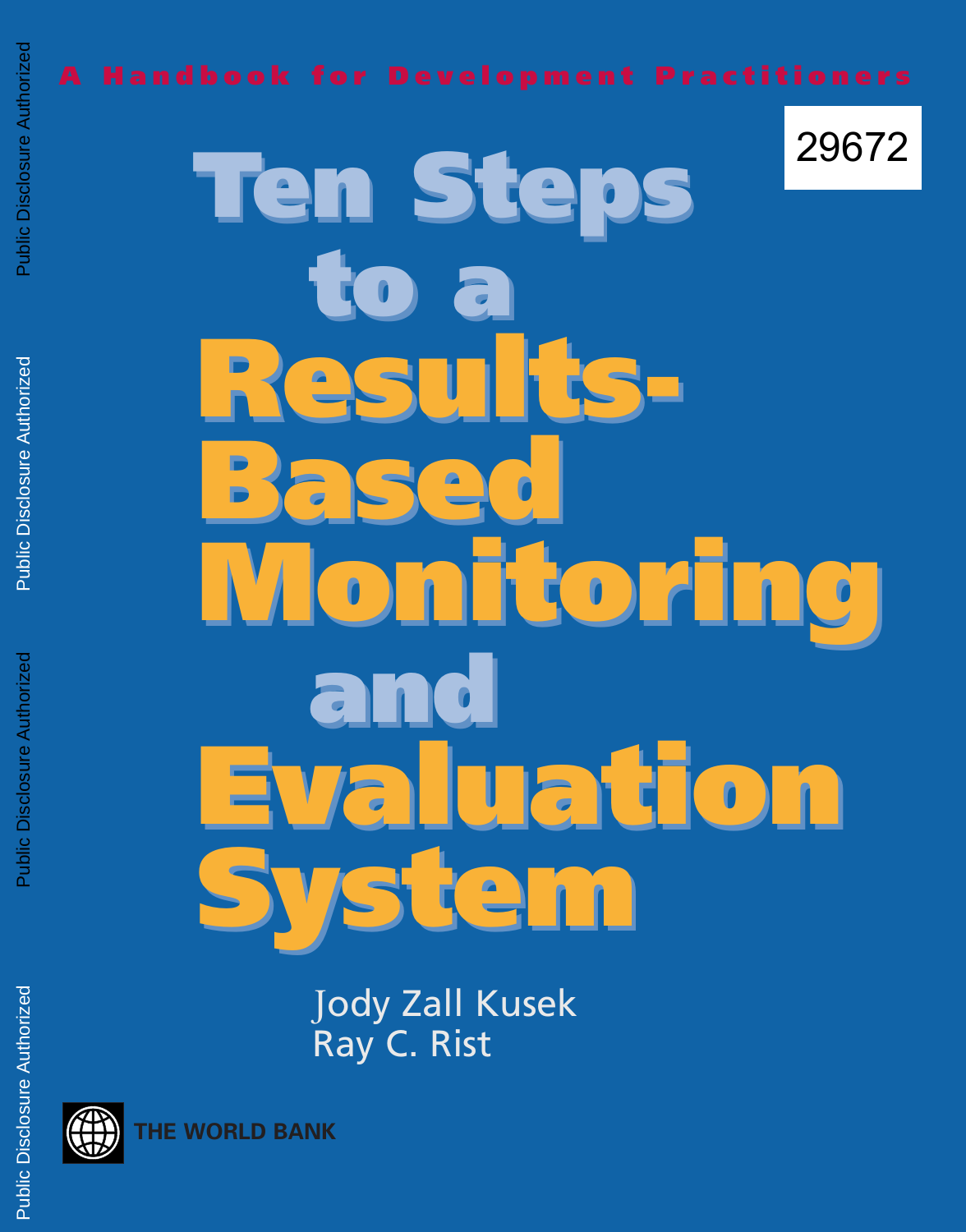**Ten Steps Ten Steps to a to a Results-Results-Based Based Monitoring Monitoring and and Evaluation Evaluation System System** 29672

> Jody Zall Kusek Ray C. Rist



**THE WORLD BANK**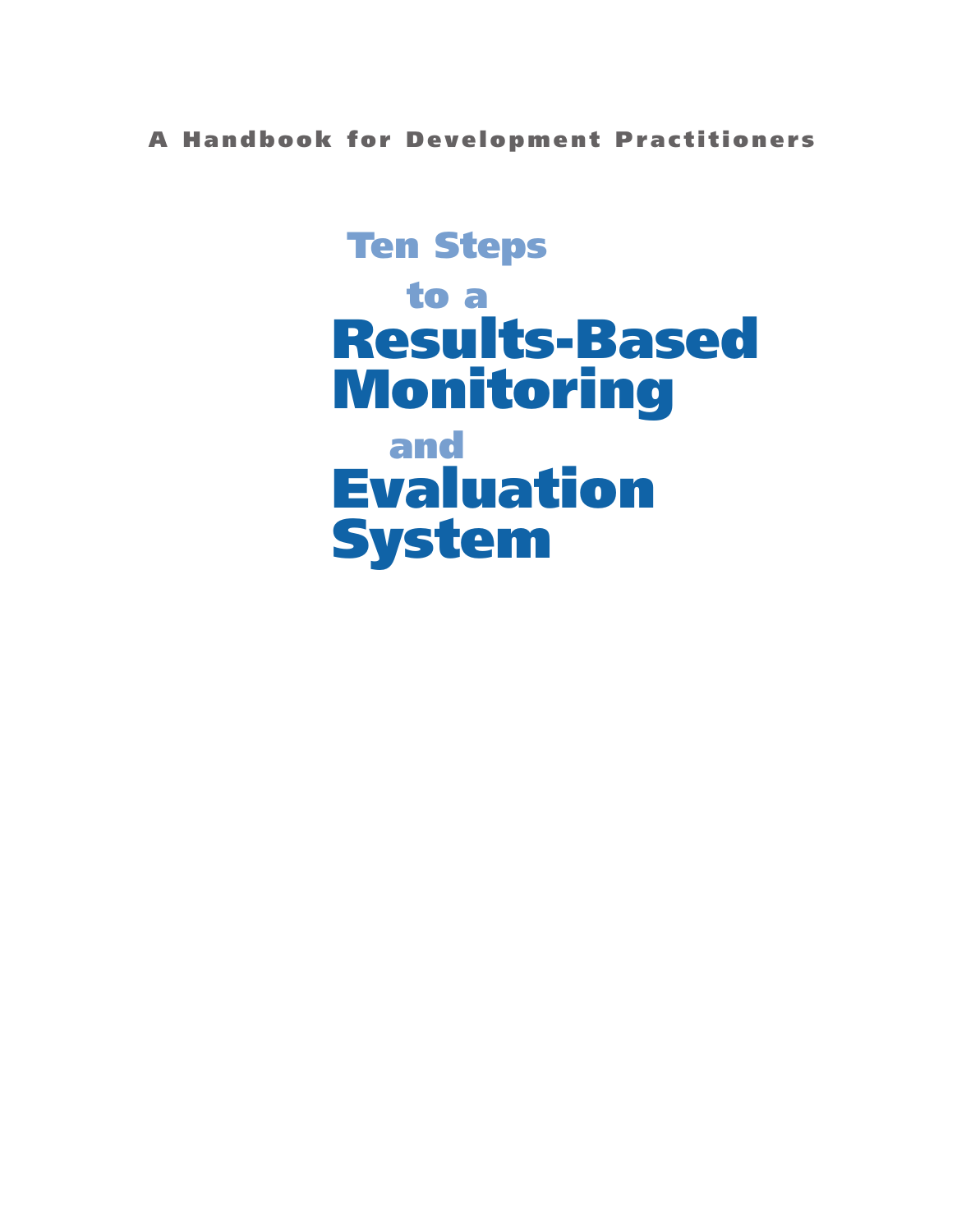**A Handbook for Development Practitioners**

# **Ten Steps to a Results-Based Monitoring and Evaluation System**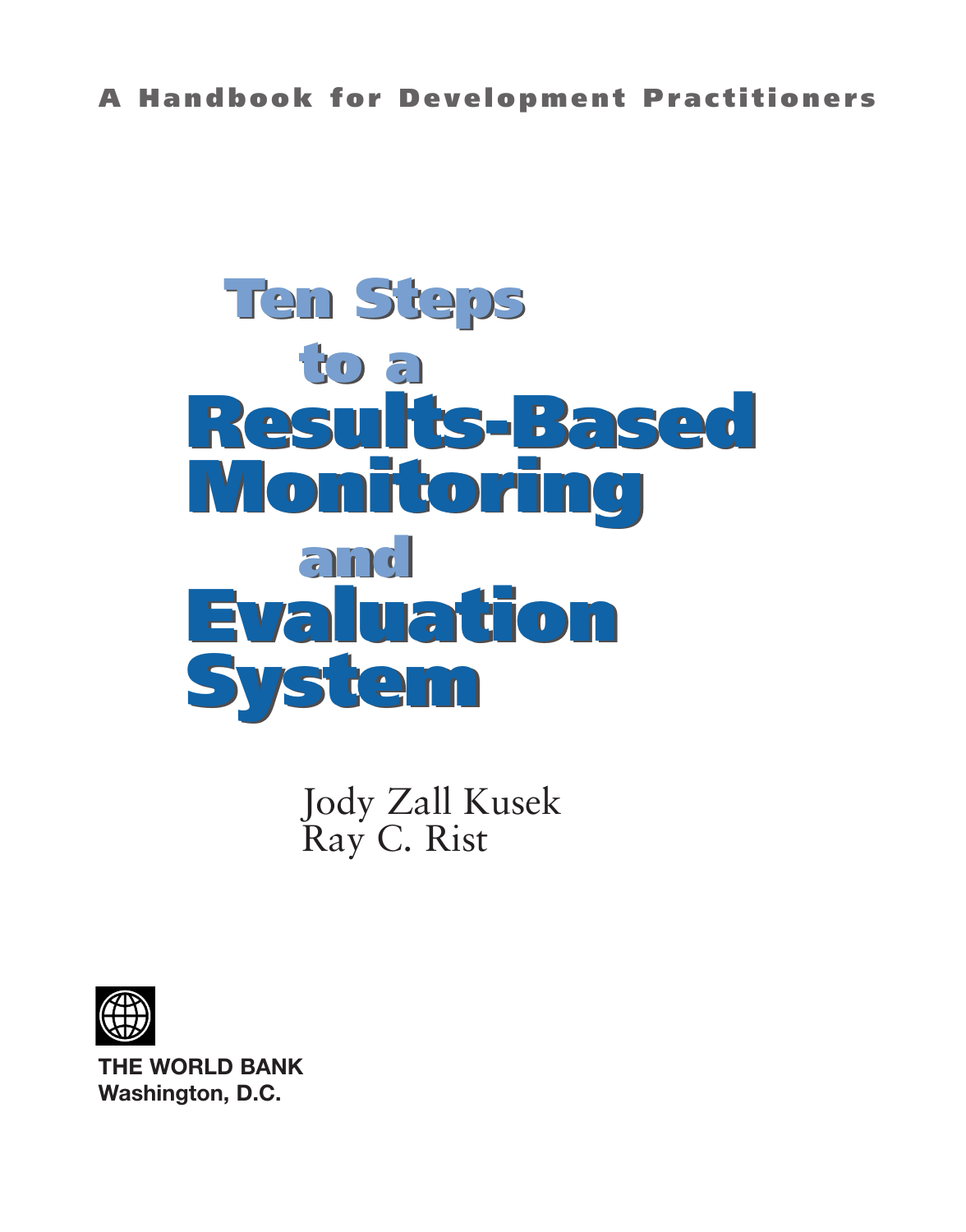

Jody Zall Kusek Ray C. Rist



**THE WORLD BANK Washington, D.C.**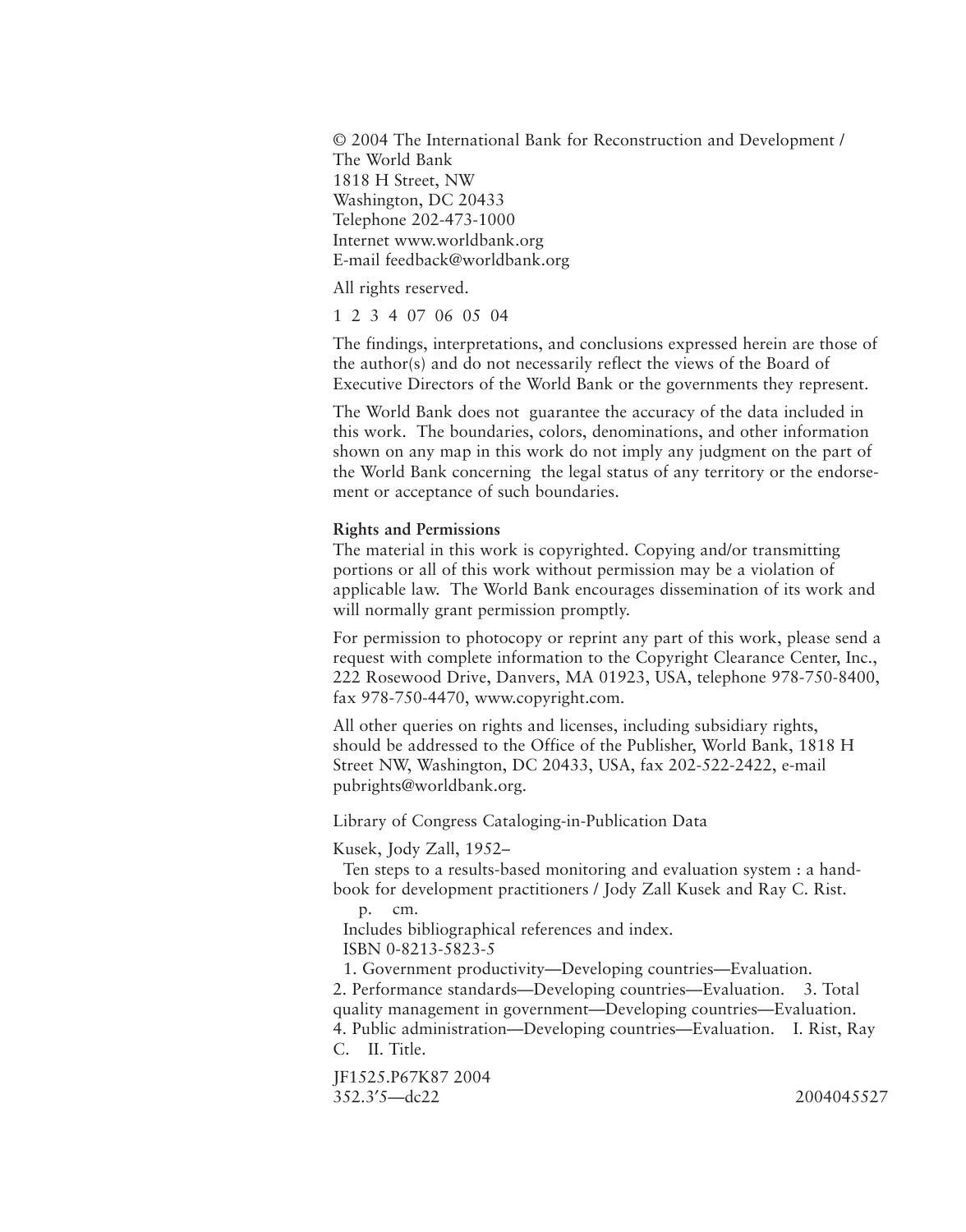© 2004 The International Bank for Reconstruction and Development / The World Bank 1818 H Street, NW Washington, DC 20433 Telephone 202-473-1000 Internet www.worldbank.org E-mail feedback@worldbank.org

All rights reserved.

1 2 3 4 07 06 05 04

The findings, interpretations, and conclusions expressed herein are those of the author(s) and do not necessarily reflect the views of the Board of Executive Directors of the World Bank or the governments they represent.

The World Bank does not guarantee the accuracy of the data included in this work. The boundaries, colors, denominations, and other information shown on any map in this work do not imply any judgment on the part of the World Bank concerning the legal status of any territory or the endorsement or acceptance of such boundaries.

### **Rights and Permissions**

The material in this work is copyrighted. Copying and/or transmitting portions or all of this work without permission may be a violation of applicable law. The World Bank encourages dissemination of its work and will normally grant permission promptly.

For permission to photocopy or reprint any part of this work, please send a request with complete information to the Copyright Clearance Center, Inc., 222 Rosewood Drive, Danvers, MA 01923, USA, telephone 978-750-8400, fax 978-750-4470, www.copyright.com.

All other queries on rights and licenses, including subsidiary rights, should be addressed to the Office of the Publisher, World Bank, 1818 H Street NW, Washington, DC 20433, USA, fax 202-522-2422, e-mail pubrights@worldbank.org.

Library of Congress Cataloging-in-Publication Data

Kusek, Jody Zall, 1952–

Ten steps to a results-based monitoring and evaluation system : a handbook for development practitioners / Jody Zall Kusek and Ray C. Rist.

p. cm.

Includes bibliographical references and index.

ISBN 0-8213-5823-5

1. Government productivity—Developing countries—Evaluation.

2. Performance standards—Developing countries—Evaluation. 3. Total quality management in government—Developing countries—Evaluation. 4. Public administration—Developing countries—Evaluation. I. Rist, Ray C. II. Title.

JF1525.P67K87 2004 352.3′5—dc22 2004045527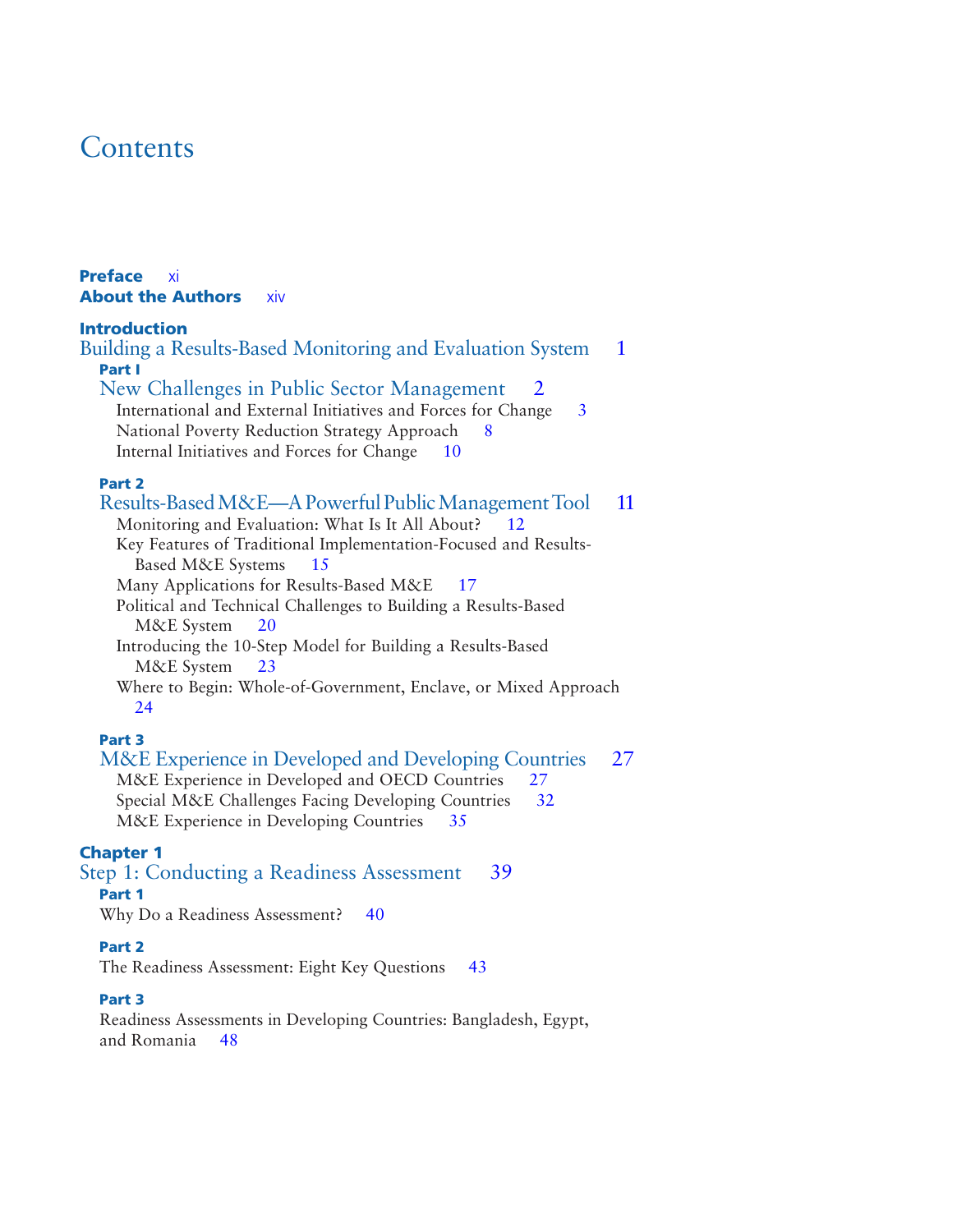### **Contents**

### **[Preface](#page-12-0)** xi **About the Authors xiv**

### **[Introduction](#page-16-0)**

[Building a Results-Based Monitoring and Evaluation System 1](#page-16-0) **[Part I](#page-17-0)** 

[New Challenges in Public Sector Management 2](#page-17-0) [International and External Initiatives and Forces for Change 3](#page-18-0) [National Poverty Reduction Strategy Approach 8](#page-23-0) [Internal Initiatives and Forces for Change 10](#page-25-0)

### **[Part 2](#page-26-0)**

### Results-Based M&E—A Powerful Public Management Tool 11

[Monitoring and Evaluation: What Is It All About? 12](#page-27-0)

[Key Features of Traditional Implementation-Focused and Results-](#page-30-0)Based M&E Systems 15

[Many Applications for Results-Based M&E 17](#page-32-0)

[Political and Technical Challenges to Building a Results-Based](#page-35-0) M&E System 20

[Introducing the 10-Step Model for Building a Results-Based](#page-38-0)  M&E System 23

[Where to Begin: Whole-of-Government, Enclave, or Mixed Approach](#page-39-0) 24

### **[Part 3](#page-42-0)**

[M&E Experience in Developed and Developing Countries 27](#page-42-0) [M&E Experience in Developed and OECD Countries 27](#page-42-0) [Special M&E Challenges Facing Developing Countries 32](#page-47-0) [M&E Experience in Developing Countries 35](#page-50-0)

### **[Chapter 1](#page-54-0)**

### [Step 1: Conducting a Readiness Assessment 39](#page-54-0)

### **[Part 1](#page-55-0)**

[Why Do a Readiness Assessment? 40](#page-55-0)

#### **[Part 2](#page-58-0)**

[The Readiness Assessment: Eight Key Questions 43](#page-58-0)

### **[Part 3](#page-63-0)**

[Readiness Assessments in Developing Countries: Bangladesh, Egypt,](#page-63-0) and Romania 48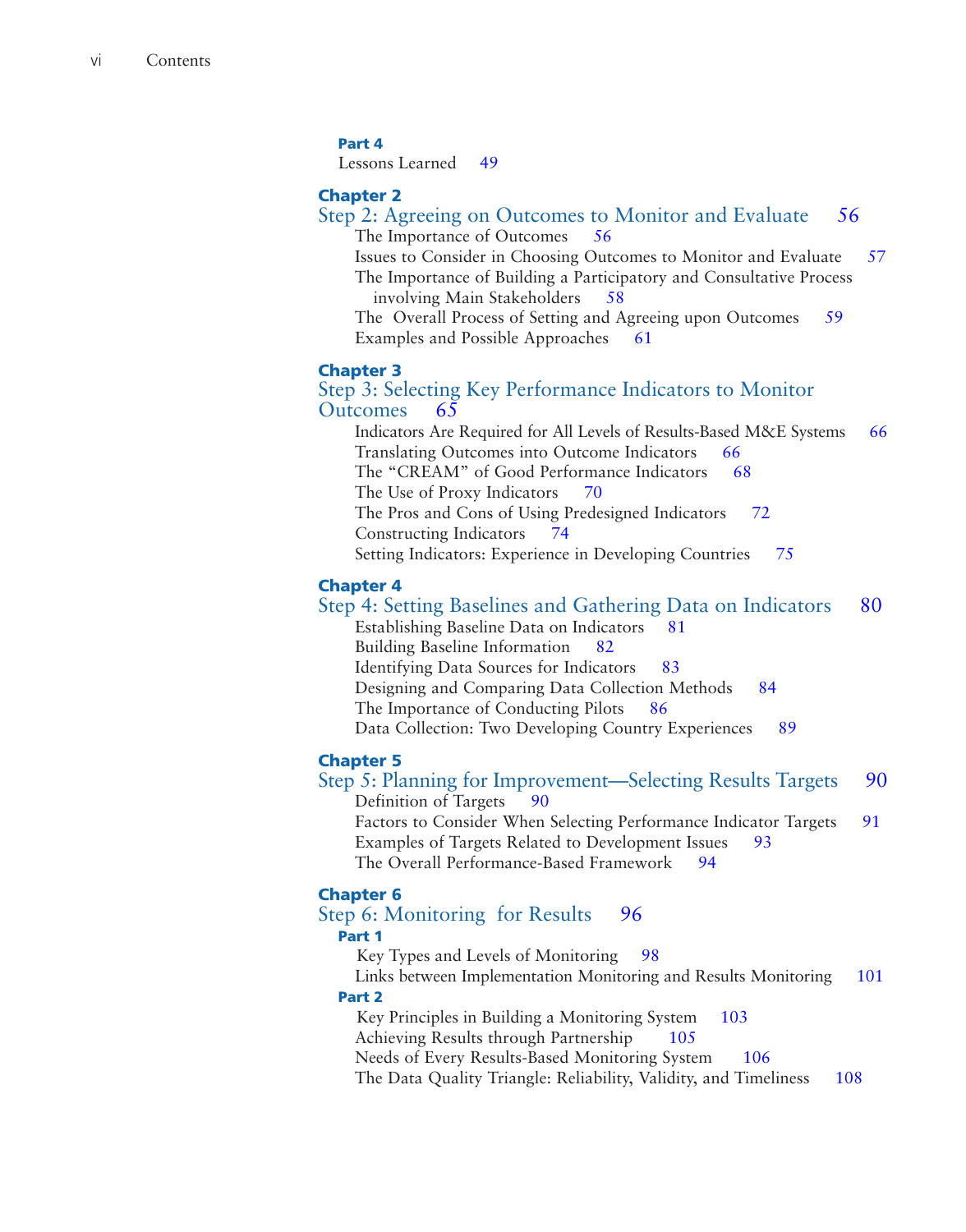**[Part 4](#page-64-0)** 

[Lessons Learned 49](#page-64-0)

### **[Chapter 2](#page-71-0)**

### Step 2: Agreeing on Outcomes to Monitor and Evaluate 56

[The Importance of Outcomes 56](#page-71-0)

[Issues to Consider in Choosing Outcomes to Monitor and Evaluate 57](#page-72-0) [The Importance of Building a Participatory and Consultative Process](#page-73-0)  involving Main Stakeholders 58

[The Overall Process of Setting and Agreeing upon Outcomes 59](#page-74-0) [Examples and Possible Approaches 61](#page-76-0)

### **[Chapter 3](#page-80-0)**

### [Step 3: Selecting Key Performance Indicators to Monitor](#page-80-0) Outcomes 65

[Indicators Are Required for All Levels of Results-Based M&E Systems 66](#page-81-0) [Translating Outcomes into Outcome Indicators 66](#page-81-0) [The "CREAM" of Good Performance Indicators 68](#page-83-0) [The Use of Proxy Indicators 70](#page-85-0) [The Pros and Cons of Using Predesigned Indicators 72](#page-87-0) [Constructing Indicators 74](#page-89-0) [Setting Indicators: Experience in Developing Countries 75](#page-90-0)

### **[Chapter 4](#page-95-0)**

Step 4: Setting Baselines and Gathering Data on Indicators 80

[Establishing Baseline Data on Indicators 81](#page-96-0) [Building Baseline Information 82](#page-97-0) [Identifying Data Sources for Indicators 83](#page-98-0) [Designing and Comparing Data Collection Methods 84](#page-99-0) [The Importance of Conducting Pilots 86](#page-101-0) [Data Collection: Two Developing Country Experiences 89](#page-104-0)

### **[Chapter 5](#page-105-0)**

[Step 5: Planning for Improvement—Selecting Results Targets 90](#page-105-0) [Definition of Targets 90](#page-105-0)

[Factors to Consider When Selecting Performance Indicator Targets 91](#page-106-0) [Examples of Targets Related to Development Issues 93](#page-108-0) [The Overall Performance-Based Framework 94](#page-109-0)

### **[Chapter 6](#page-111-0)**

### [Step 6: Monitoring for Results 96](#page-111-0)

#### **[Part 1](#page-111-0)**

[Key Types and Levels of Monitoring](#page-113-0) 98

[Links between Implementation Monitoring and Results Monitoring 101](#page-116-0) **[Part 2](#page-118-0)** 

[Key Principles in Building a Monitoring System 103](#page-118-0)

[Achieving Results through Partnership 105](#page-120-0)

[Needs of Every Results-Based Monitoring System 106](#page-121-0)

[The Data Quality Triangle: Reliability, Validity, and Timeliness 108](#page-123-0)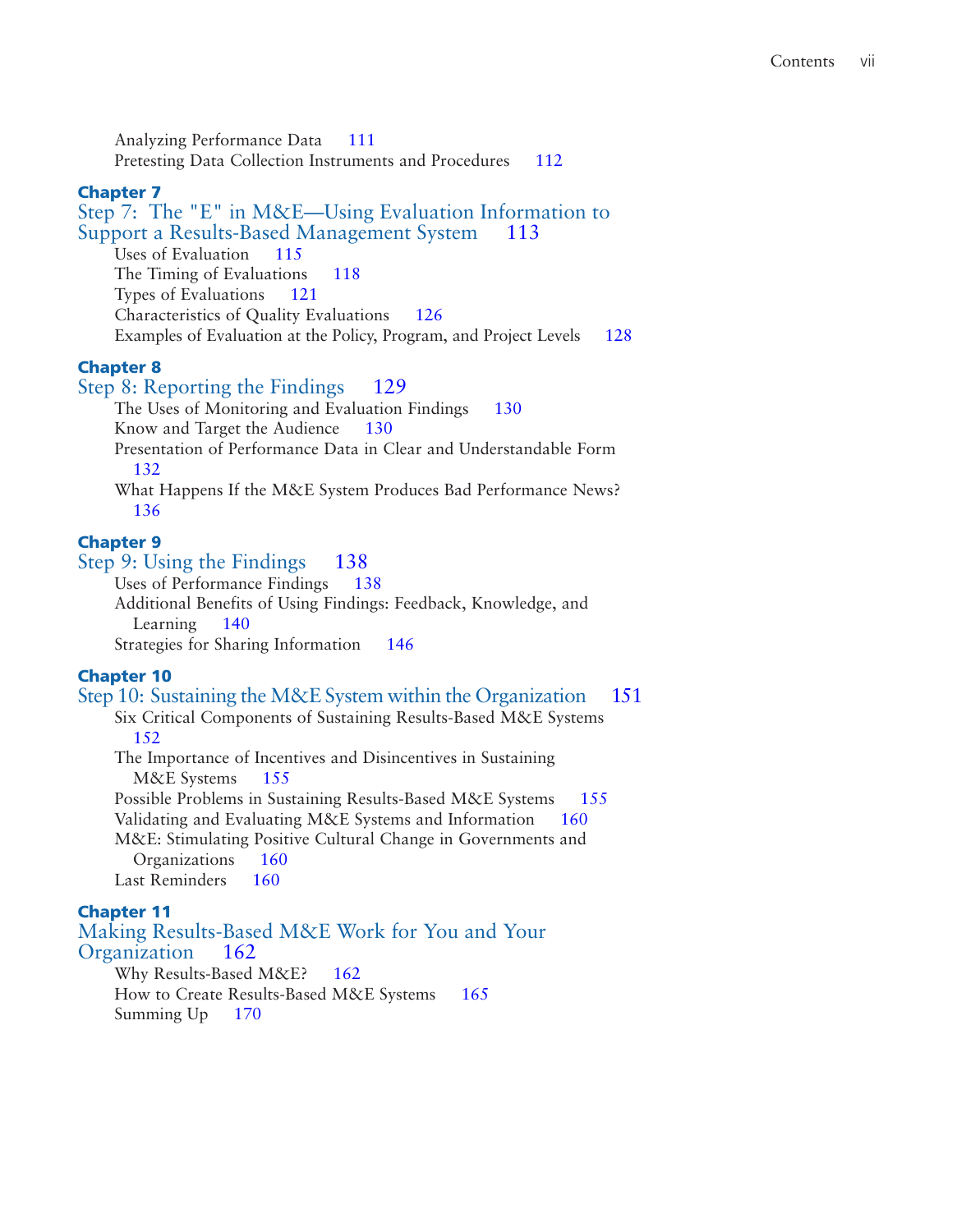[Analyzing Performance Data 111](#page-126-0) [Pretesting Data Collection Instruments and Procedures 112](#page-127-0)

### **[Chapter 7](#page-128-0)**

### [Step 7: The "E" in M&E—Using Evaluation Information to](#page-128-0) Support a Results-Based Management System 113 [Uses of Evaluation 115](#page-130-0) [The Timing of Evaluations 118](#page-133-0) [Types of Evaluations 121](#page-136-0) [Characteristics of Quality Evaluations 126](#page-141-0) [Examples of Evaluation at the Policy, Program, and Project Levels 128](#page-143-0)

### **[Chapter 8](#page-144-0)**

### Step 8: Reporting the Findings 129

[The Uses of Monitoring and Evaluation Findings 130](#page-145-0) [Know and Target the Audience 130](#page-145-0) [Presentation of Performance Data in Clear and Understandable Form](#page-147-0)  132 [What Happens If the M&E System Produces Bad Performance News?](#page-151-0)  136

#### **[Chapter 9](#page-153-0)**

### [Step 9: Using the Findings 138](#page-153-0)

[Uses of Performance Findings 138](#page-153-0) [Additional Benefits of Using Findings: Feedback, Knowledge, and](#page-155-0) Learning 140 [Strategies for Sharing Information 146](#page-161-0)

### **[Chapter 10](#page-166-0)**

### Step 10: Sustaining the M&E System within the [Organization 151](#page-166-0)

[Six Critical Components of Sustaining Results-Based M&E Systems](#page-167-0)  152 [The Importance of Incentives and Disincentives in Sustaining](#page-170-0)

M&E Systems 155 [Possible Problems in Sustaining Results-Based M&E Systems 155](#page-170-0) [Validating and Evaluating M&E Systems and Information 160](#page-175-0) [M&E: Stimulating Positive Cultural Change in Governments and](#page-175-0) Organizations 160 [Last Reminders 160](#page-175-0)

**[Chapter 11](#page-177-0)** 

[Making Results-Based M&E Work for You and Your](#page-177-0)  Organization 162

[Why Results-Based M&E? 162](#page-177-0) [How to Create Results-Based M&E Systems 165](#page-180-0) [Summing Up 170](#page-185-0)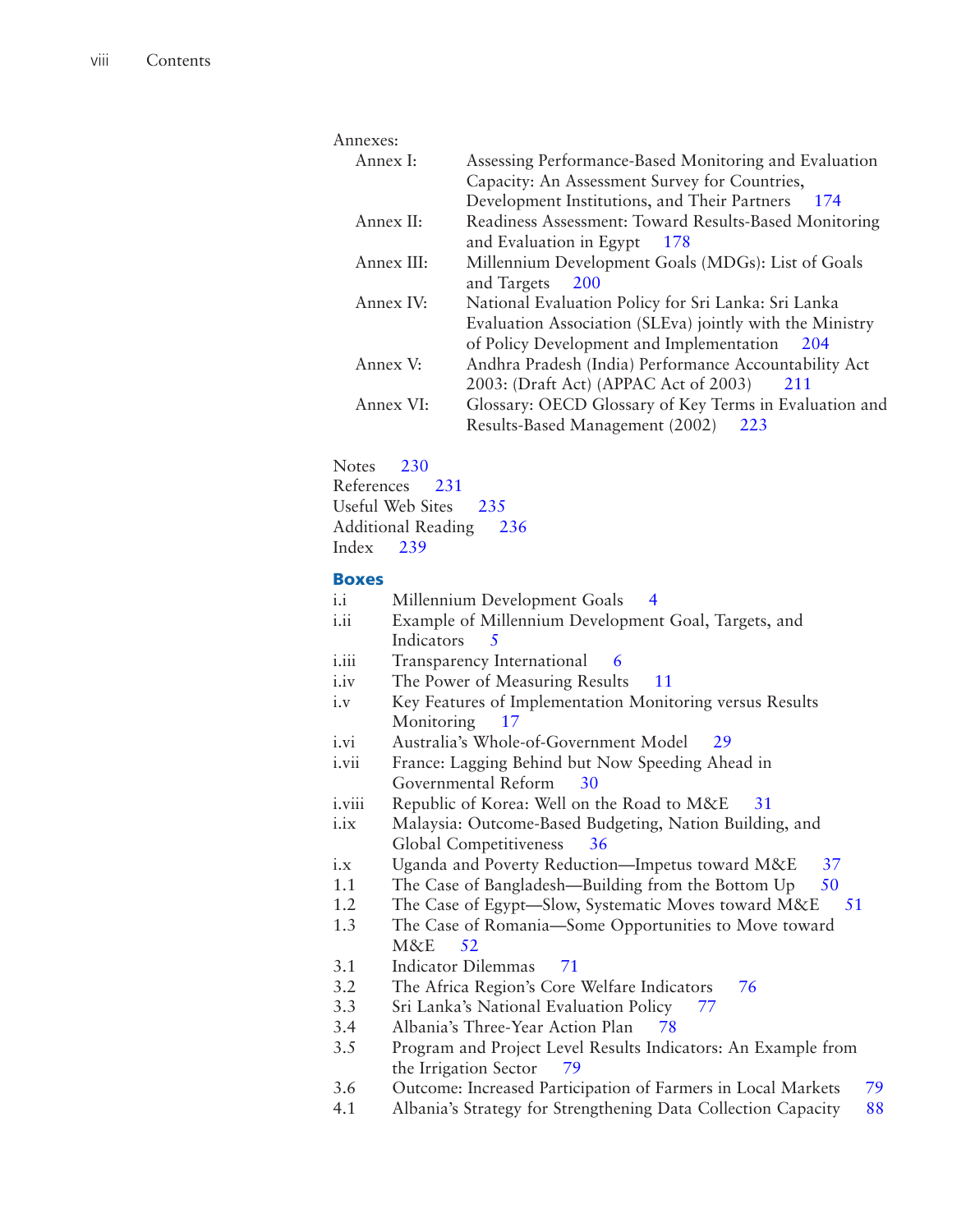| Annexes:   |                                                          |
|------------|----------------------------------------------------------|
| Annex I:   | Assessing Performance-Based Monitoring and Evaluation    |
|            | Capacity: An Assessment Survey for Countries,            |
|            | Development Institutions, and Their Partners<br>174      |
| Annex II:  | Readiness Assessment: Toward Results-Based Monitoring    |
|            | and Evaluation in Egypt<br>- 178                         |
| Annex III: | Millennium Development Goals (MDGs): List of Goals       |
|            | and Targets<br><b>200</b>                                |
| Annex IV:  | National Evaluation Policy for Sri Lanka: Sri Lanka      |
|            | Evaluation Association (SLEva) jointly with the Ministry |
|            | of Policy Development and Implementation<br>204          |
| Annex V:   | Andhra Pradesh (India) Performance Accountability Act    |
|            | 2003: (Draft Act) (APPAC Act of 2003)<br>211             |
| Annex VI:  | Glossary: OECD Glossary of Key Terms in Evaluation and   |
|            | Results-Based Management (2002)<br>223                   |

[Notes 230](#page-245-0) [References 231](#page-246-0) [Useful Web Sites 235](#page-250-0) [Additional Reading 236](#page-251-0) [Index 239](#page-254-0)

# **[Boxes](#page-19-0)**

| $\mathbf{i} \cdot \mathbf{i}$ | Millennium Development Goals<br>4                                   |  |
|-------------------------------|---------------------------------------------------------------------|--|
| $i$ . $ii$                    | Example of Millennium Development Goal, Targets, and                |  |
|                               | Indicators<br>-5                                                    |  |
| i.iii                         | Transparency International<br>6                                     |  |
| i.iv                          | The Power of Measuring Results<br>- 11                              |  |
| i.v                           | Key Features of Implementation Monitoring versus Results            |  |
|                               | Monitoring<br>17                                                    |  |
| i.vi                          | Australia's Whole-of-Government Model<br>29                         |  |
| <i>i</i> .vii                 | France: Lagging Behind but Now Speeding Ahead in                    |  |
|                               | Governmental Reform<br>30                                           |  |
| <i>i.viii</i>                 | Republic of Korea: Well on the Road to M&E<br>31                    |  |
| $i$ .ix                       | Malaysia: Outcome-Based Budgeting, Nation Building, and             |  |
|                               | Global Competitiveness<br>36                                        |  |
| i.x                           | Uganda and Poverty Reduction-Impetus toward M&E<br>37               |  |
| 1.1                           | The Case of Bangladesh—Building from the Bottom Up<br>50            |  |
| 1.2                           | The Case of Egypt-Slow, Systematic Moves toward M&E<br>- 51         |  |
| 1.3                           | The Case of Romania-Some Opportunities to Move toward               |  |
|                               | M&E<br>.52                                                          |  |
| 3.1                           | Indicator Dilemmas<br>71                                            |  |
| 3.2                           | The Africa Region's Core Welfare Indicators<br>76                   |  |
| 3.3                           | Sri Lanka's National Evaluation Policy<br>77                        |  |
| 3.4                           | Albania's Three-Year Action Plan<br>78                              |  |
| 3.5                           | Program and Project Level Results Indicators: An Example from       |  |
|                               | the Irrigation Sector<br>79                                         |  |
| 3.6                           | Outcome: Increased Participation of Farmers in Local Markets<br>79  |  |
| 4.1                           | Albania's Strategy for Strengthening Data Collection Capacity<br>88 |  |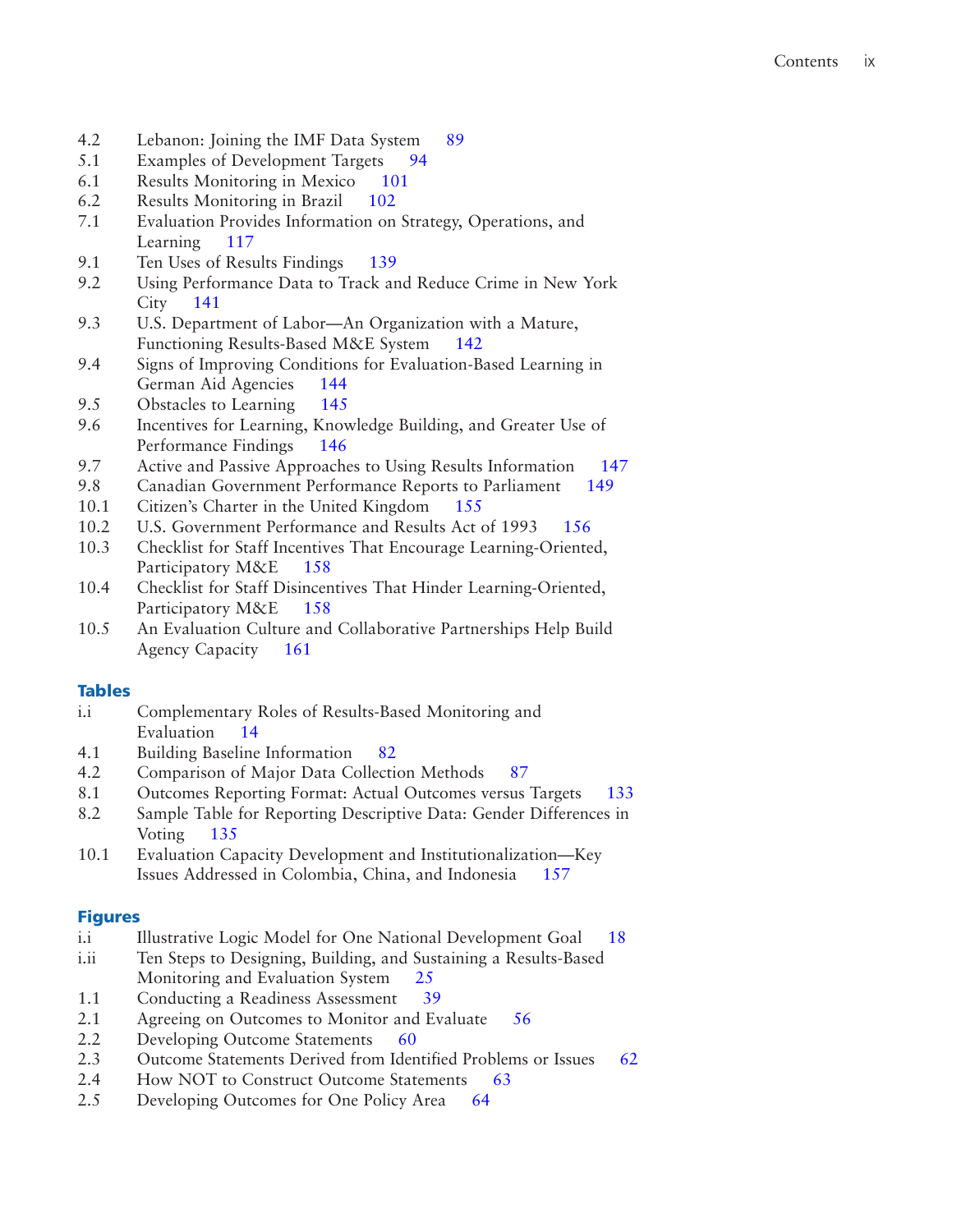- 4.2 [Lebanon: Joining the IMF Data System 89](#page-104-0)
- 5.1 [Examples of Development Targets 94](#page-109-0)
- 6.1 [Results Monitoring in Mexico 101](#page-116-0)
- 6.2 [Results Monitoring in Brazil 102](#page-117-0)<br>7.1 Evaluation Provides Information on
- Evaluation Provides Information on Strategy, Operations, and Learning 117
- 9.1 [Ten Uses of Results Findings 139](#page-154-0)
- [9.2 Using Performance Data to Track and Reduce Crime in New York](#page-156-0) City 141
- [9.3 U.S. Department of Labor—An Organization with a Mature,](#page-157-0)  Functioning Results-Based M&E System 142
- [9.4 Signs of Improving Conditions for Evaluation-Based Learning in](#page-159-0) German Aid Agencies 144
- 9.5 [Obstacles to Learning 145](#page-160-0)
- [9.6 Incentives for Learning, Knowledge Building, and Greater Use of](#page-161-0) Performance Findings 146
- 9.7 [Active and Passive Approaches to Using Results Information 147](#page-162-0)
- 9.8 [Canadian Government Performance Reports to Parliament 149](#page-164-0)
- 10.1 [Citizen's Charter in the United Kingdom 155](#page-170-0)
- 10.2 [U.S. Government Performance and Results Act of 1993 156](#page-171-0)
- [10.3 Checklist for Staff Incentives That Encourage Learning-Oriented,](#page-173-0) Participatory M&E 158
- [10.4 Checklist for Staff Disincentives That Hinder Learning-Oriented,](#page-173-0) Participatory M&E 158
- [10.5 An Evaluation Culture and Collaborative Partnerships Help Build](#page-176-0) Agency Capacity 161

### **[Tables](#page-29-0)**

- [i.i Complementary Roles of Results-Based Monitoring and](#page-29-0)  Evaluation 14
- 4.1 [Building Baseline Information 82](#page-97-0)
- 4.2 [Comparison of Major Data Collection Methods 87](#page-102-0)
- [8.1 Outcomes Reporting Format: Actual Outcomes versus Targets 133](#page-148-0)
- [8.2 Sample Table for Reporting Descriptive Data: Gender Differences in](#page-150-0) Voting 135
- [10.1 Evaluation Capacity Development and Institutionalization—Key](#page-172-0) Issues Addressed in Colombia, China, and Indonesia 157

### **[Figures](#page-33-0)**

- [i.i Illustrative Logic Model for One National Development Goal 18](#page-33-0)
- [i.ii Ten Steps to Designing, Building, and Sustaining a Results-Based](#page-40-0) Monitoring and Evaluation System 25
- 1.1 [Conducting a Readiness Assessment 39](#page-54-0)
- 2.1 [Agreeing on Outcomes to Monitor and Evaluate 56](#page-71-0)
- 2.2 [Developing Outcome Statements 60](#page-75-0)<br>2.3 Outcome Statements Derived from Iden
- [Outcome Statements Derived from Identified Problems or Issues 62](#page-77-0)<br>How NOT to Construct Outcome Statements 63
- 2.4 How NOT to Construct Outcome Statements
- 2.5 [Developing Outcomes for One Policy Area 64](#page-79-0)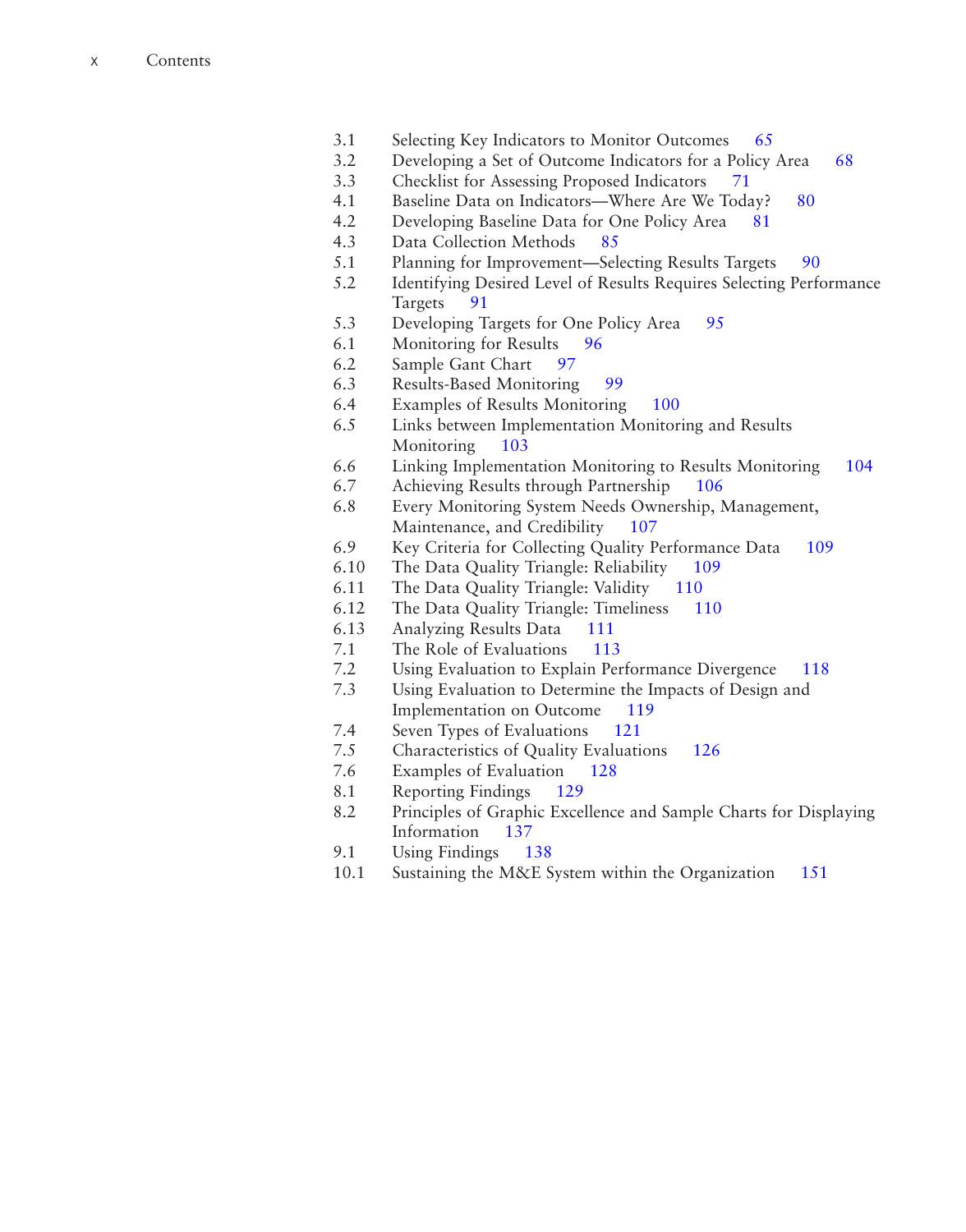- 3.1 [Selecting Key Indicators to Monitor Outcomes 65](#page-80-0)
- 3.2 [Developing a Set of Outcome Indicators for a Policy Area 68](#page-83-0)
- 3.3 [Checklist for Assessing Proposed Indicators 71](#page-86-0)
- 4.1 [Baseline Data on Indicators—Where Are We Today? 80](#page-95-0)<br>4.2 Developing Baseline Data for One Policy Area 81
- [Developing Baseline Data for One Policy Area 81](#page-96-0)
- 4.3 [Data Collection Methods 85](#page-100-0)
- 5.1 [Planning for Improvement—Selecting Results Targets 90](#page-105-0)
- 5.2 [Identifying Desired Level of Results Requires Selecting Performance](#page-106-0) Targets 91
- 5.3 [Developing Targets for One Policy Area 95](#page-110-0)<br>6.1 Monitoring for Results 96
- Monitoring for Results 96
- 6.2 [Sample Gant Chart 97](#page-112-0)
- 6.3 [Results-Based Monitoring 99](#page-114-0)
- 6.4 [Examples of Results Monitoring 100](#page-115-0)
- [6.5 Links between Implementation Monitoring and Results](#page-118-0) Monitoring 103
- 6.6 [Linking Implementation Monitoring to Results Monitoring 104](#page-119-0)
- 6.7 [Achieving Results through Partnership 106](#page-121-0)
- [6.8 Every Monitoring System Needs Ownership, Management,](#page-122-0) Maintenance, and Credibility 107
- [6.9 Key Criteria for Collecting Quality Performance Data 109](#page-124-0)
- [6.10 The Data Quality Triangle: Reliability 109](#page-124-0)
- [6.11 The Data Quality Triangle: Validity 110](#page-125-0)
- [6.12 The Data Quality Triangle: Timeliness 110](#page-125-0)<br>6.13 Analyzing Results Data 111
- 6.13 [Analyzing Results Data 111](#page-126-0)<br>7.1 The Role of Evaluations 113
- [The Role of Evaluations 113](#page-128-0)
- 7.2 [Using Evaluation to Explain Performance Divergence 118](#page-133-0)<br>7.3 Using Evaluation to Determine the Impacts of Design and
- Using Evaluation to Determine the Impacts of Design and Implementation on Outcome 119
- 7.4 [Seven Types of Evaluations 121](#page-136-0)
- 7.5 [Characteristics of Quality Evaluations 126](#page-141-0)<br>7.6 Examples of Evaluation 128
- [Examples of Evaluation 128](#page-143-0)
- 8.1 [Reporting Findings 129](#page-144-0)
- [8.2 Principles of Graphic Excellence and Sample Charts for Displaying](#page-152-0) Information 137
- [9.1 Using Findings 138](#page-153-0)
- [10.1 Sustaining the M&E System within the Organization 151](#page-166-0)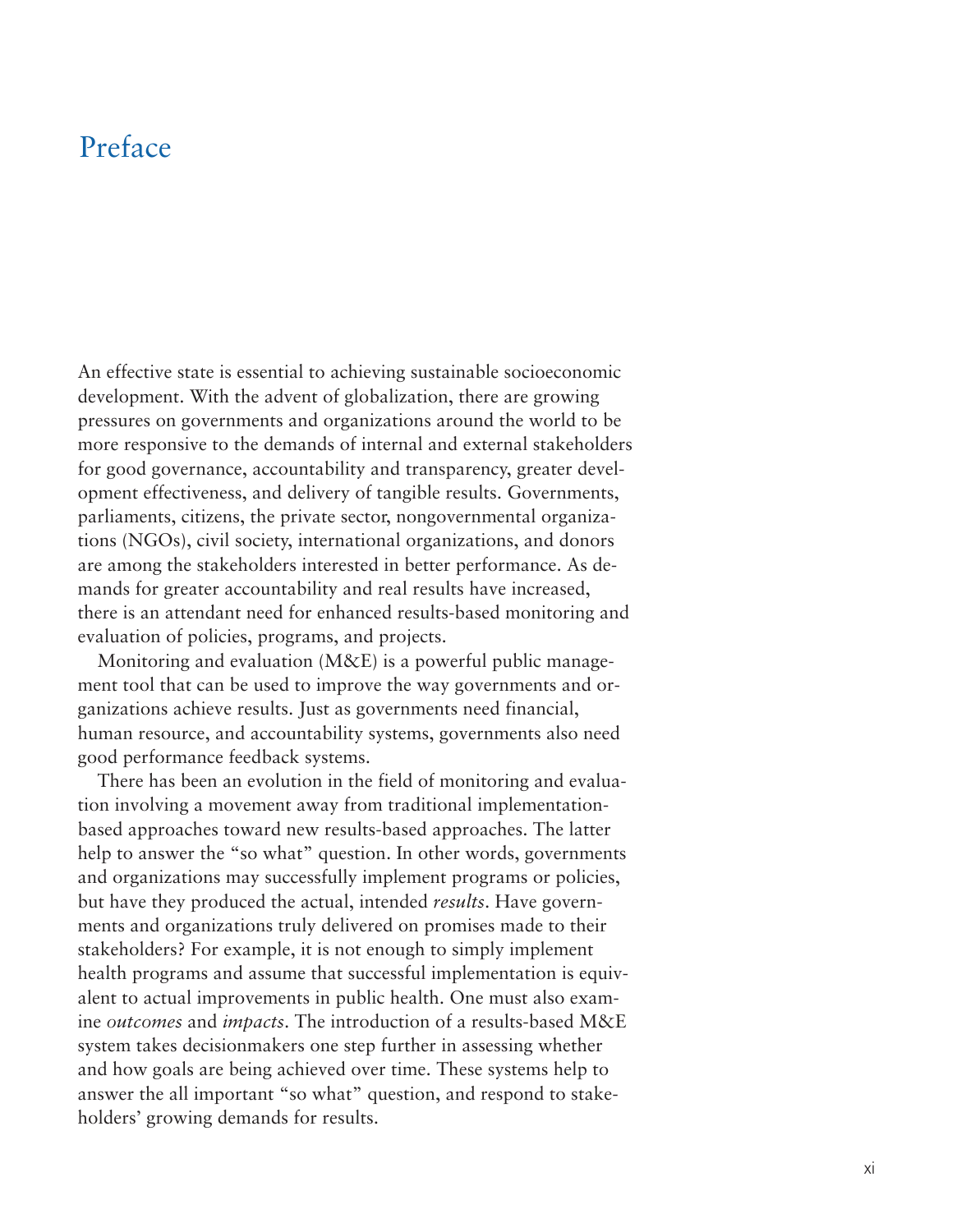## <span id="page-12-0"></span>Preface

An effective state is essential to achieving sustainable socioeconomic development. With the advent of globalization, there are growing pressures on governments and organizations around the world to be more responsive to the demands of internal and external stakeholders for good governance, accountability and transparency, greater development effectiveness, and delivery of tangible results. Governments, parliaments, citizens, the private sector, nongovernmental organizations (NGOs), civil society, international organizations, and donors are among the stakeholders interested in better performance. As demands for greater accountability and real results have increased, there is an attendant need for enhanced results-based monitoring and evaluation of policies, programs, and projects.

Monitoring and evaluation (M&E) is a powerful public management tool that can be used to improve the way governments and organizations achieve results. Just as governments need financial, human resource, and accountability systems, governments also need good performance feedback systems.

There has been an evolution in the field of monitoring and evaluation involving a movement away from traditional implementationbased approaches toward new results-based approaches. The latter help to answer the "so what" question. In other words, governments and organizations may successfully implement programs or policies, but have they produced the actual, intended *results*. Have governments and organizations truly delivered on promises made to their stakeholders? For example, it is not enough to simply implement health programs and assume that successful implementation is equivalent to actual improvements in public health. One must also examine *outcomes* and *impacts*. The introduction of a results-based M&E system takes decisionmakers one step further in assessing whether and how goals are being achieved over time. These systems help to answer the all important "so what" question, and respond to stakeholders' growing demands for results.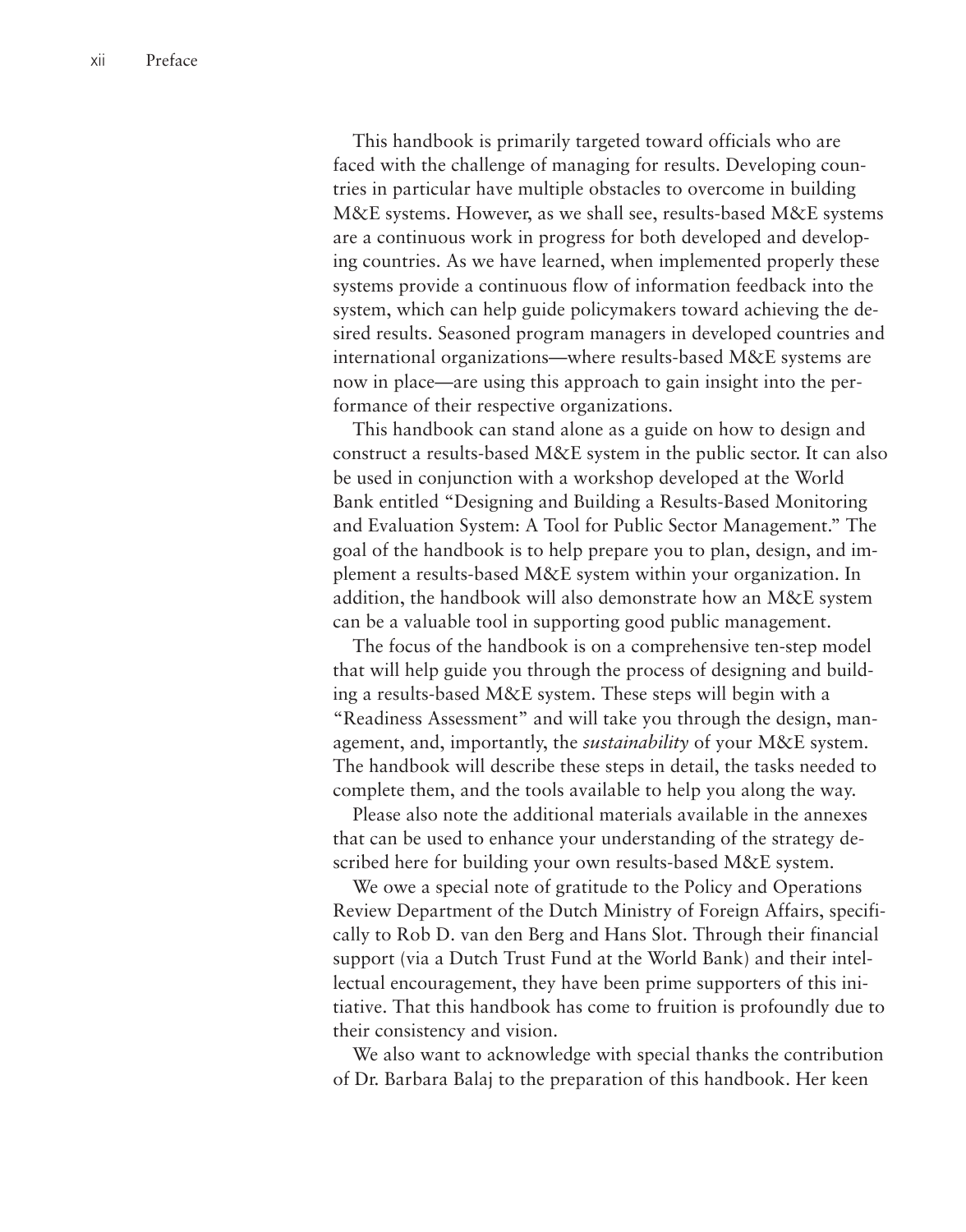This handbook is primarily targeted toward officials who are faced with the challenge of managing for results. Developing countries in particular have multiple obstacles to overcome in building M&E systems. However, as we shall see, results-based M&E systems are a continuous work in progress for both developed and developing countries. As we have learned, when implemented properly these systems provide a continuous flow of information feedback into the system, which can help guide policymakers toward achieving the desired results. Seasoned program managers in developed countries and international organizations—where results-based M&E systems are now in place—are using this approach to gain insight into the performance of their respective organizations.

This handbook can stand alone as a guide on how to design and construct a results-based M&E system in the public sector. It can also be used in conjunction with a workshop developed at the World Bank entitled "Designing and Building a Results-Based Monitoring and Evaluation System: A Tool for Public Sector Management." The goal of the handbook is to help prepare you to plan, design, and implement a results-based M&E system within your organization. In addition, the handbook will also demonstrate how an M&E system can be a valuable tool in supporting good public management.

The focus of the handbook is on a comprehensive ten-step model that will help guide you through the process of designing and building a results-based M&E system. These steps will begin with a "Readiness Assessment" and will take you through the design, management, and, importantly, the *sustainability* of your M&E system. The handbook will describe these steps in detail, the tasks needed to complete them, and the tools available to help you along the way.

Please also note the additional materials available in the annexes that can be used to enhance your understanding of the strategy described here for building your own results-based M&E system.

We owe a special note of gratitude to the Policy and Operations Review Department of the Dutch Ministry of Foreign Affairs, specifically to Rob D. van den Berg and Hans Slot. Through their financial support (via a Dutch Trust Fund at the World Bank) and their intellectual encouragement, they have been prime supporters of this initiative. That this handbook has come to fruition is profoundly due to their consistency and vision.

We also want to acknowledge with special thanks the contribution of Dr. Barbara Balaj to the preparation of this handbook. Her keen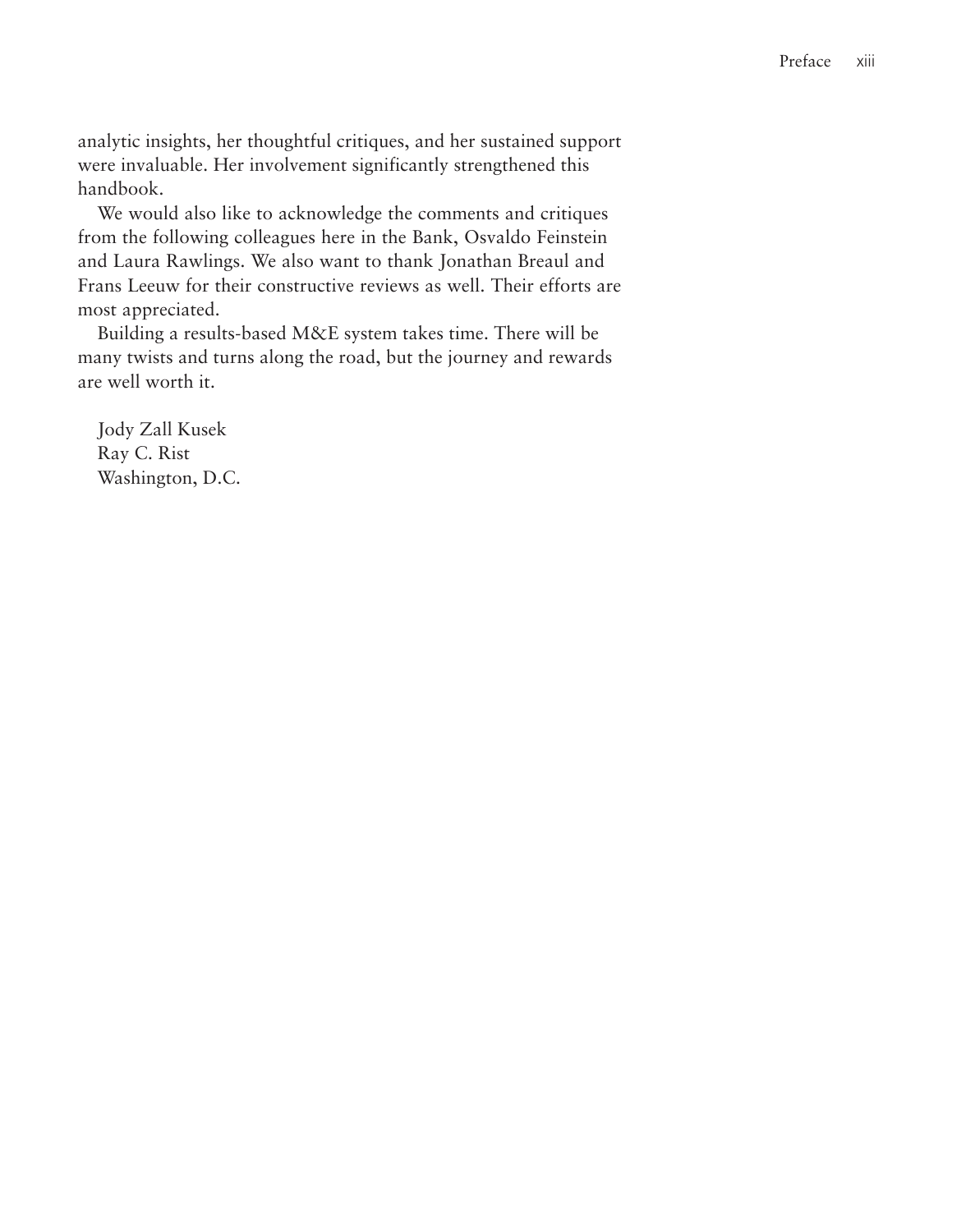analytic insights, her thoughtful critiques, and her sustained support were invaluable. Her involvement significantly strengthened this handbook.

We would also like to acknowledge the comments and critiques from the following colleagues here in the Bank, Osvaldo Feinstein and Laura Rawlings. We also want to thank Jonathan Breaul and Frans Leeuw for their constructive reviews as well. Their efforts are most appreciated.

Building a results-based M&E system takes time. There will be many twists and turns along the road, but the journey and rewards are well worth it.

Jody Zall Kusek Ray C. Rist Washington, D.C.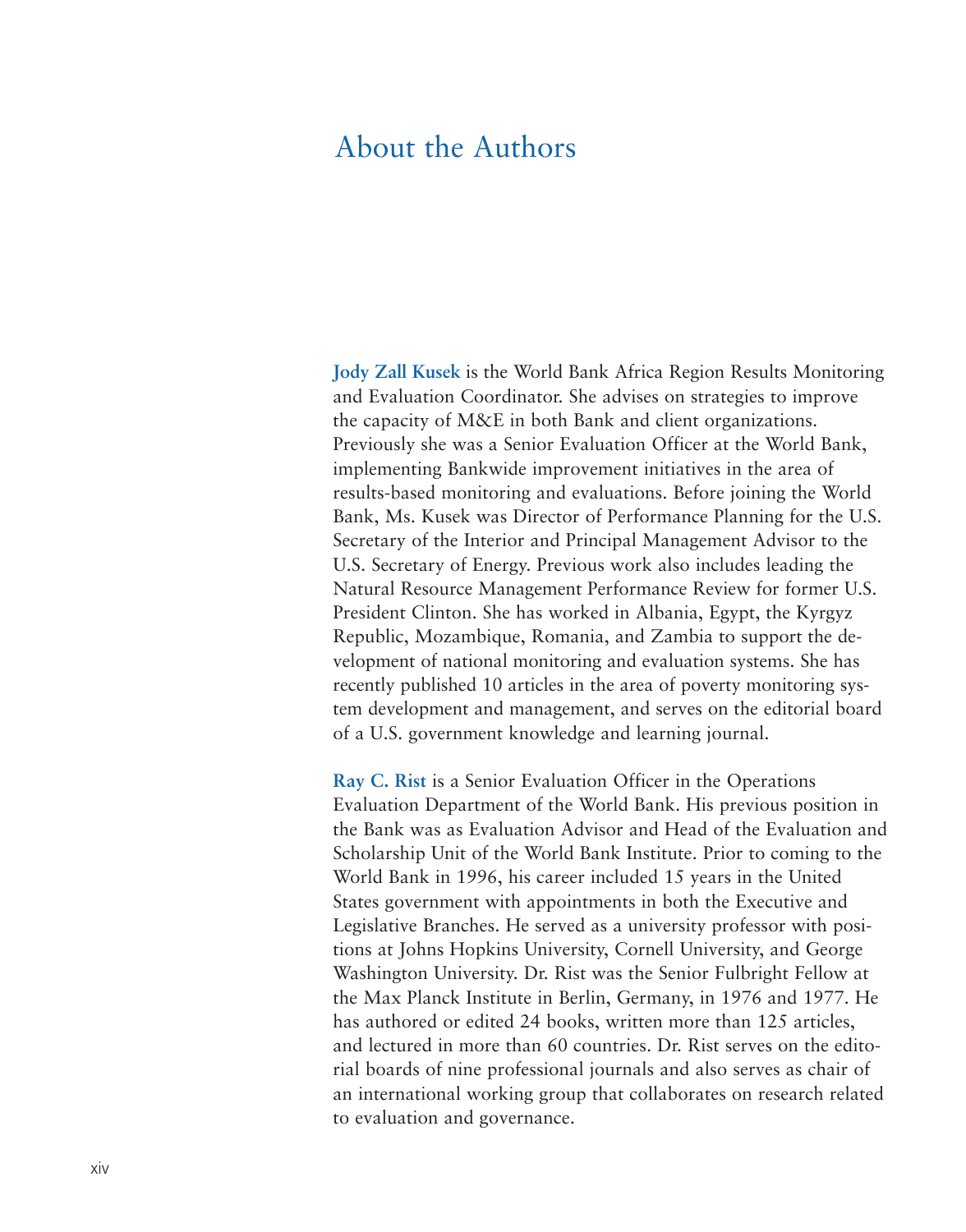### <span id="page-15-0"></span>About the Authors

**Jody Zall Kusek** is the World Bank Africa Region Results Monitoring and Evaluation Coordinator. She advises on strategies to improve the capacity of M&E in both Bank and client organizations. Previously she was a Senior Evaluation Officer at the World Bank, implementing Bankwide improvement initiatives in the area of results-based monitoring and evaluations. Before joining the World Bank, Ms. Kusek was Director of Performance Planning for the U.S. Secretary of the Interior and Principal Management Advisor to the U.S. Secretary of Energy. Previous work also includes leading the Natural Resource Management Performance Review for former U.S. President Clinton. She has worked in Albania, Egypt, the Kyrgyz Republic, Mozambique, Romania, and Zambia to support the development of national monitoring and evaluation systems. She has recently published 10 articles in the area of poverty monitoring system development and management, and serves on the editorial board of a U.S. government knowledge and learning journal.

**Ray C. Rist** is a Senior Evaluation Officer in the Operations Evaluation Department of the World Bank. His previous position in the Bank was as Evaluation Advisor and Head of the Evaluation and Scholarship Unit of the World Bank Institute. Prior to coming to the World Bank in 1996, his career included 15 years in the United States government with appointments in both the Executive and Legislative Branches. He served as a university professor with positions at Johns Hopkins University, Cornell University, and George Washington University. Dr. Rist was the Senior Fulbright Fellow at the Max Planck Institute in Berlin, Germany, in 1976 and 1977. He has authored or edited 24 books, written more than 125 articles, and lectured in more than 60 countries. Dr. Rist serves on the editorial boards of nine professional journals and also serves as chair of an international working group that collaborates on research related to evaluation and governance.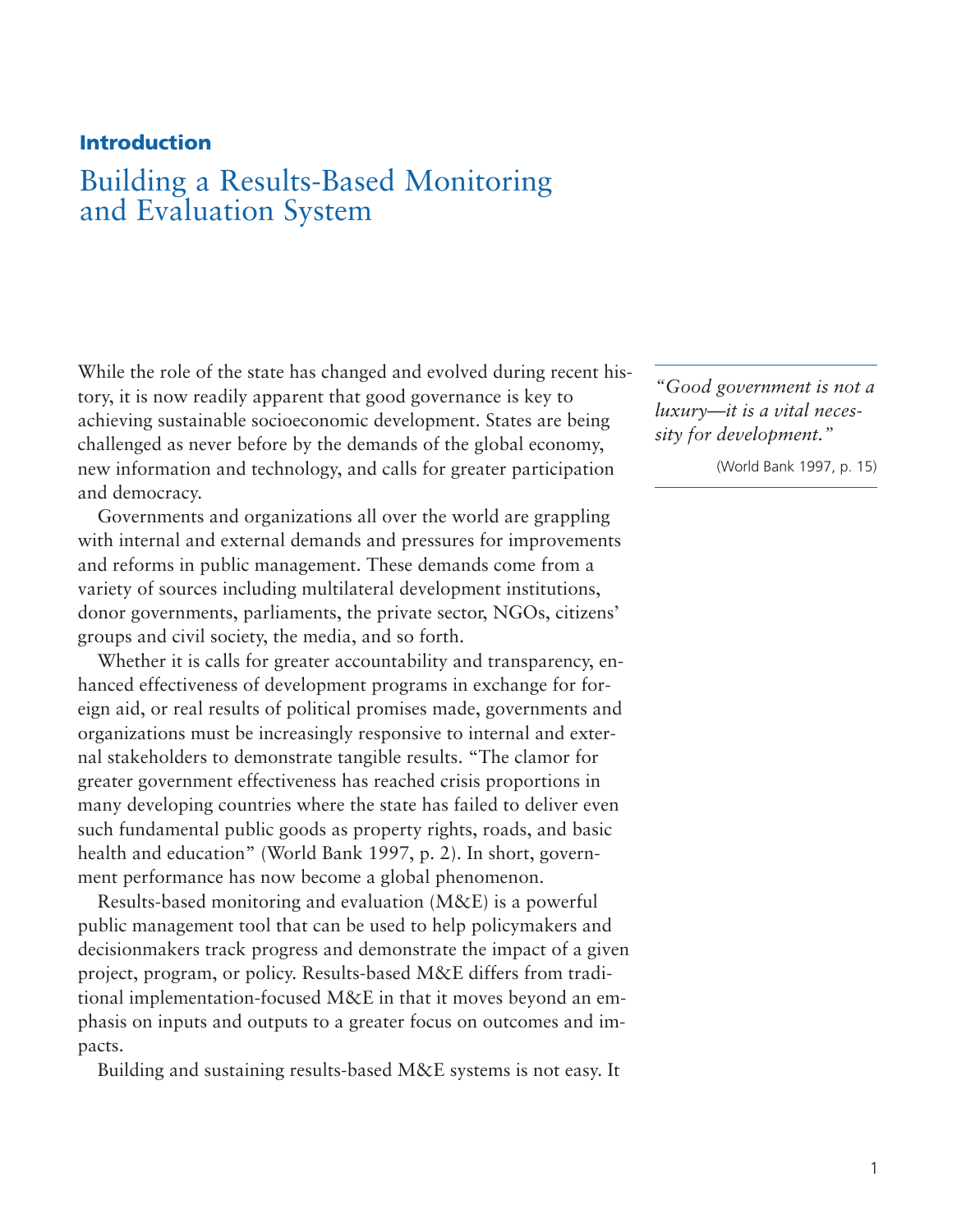### <span id="page-16-0"></span>**Introduction**

### Building a Results-Based Monitoring and Evaluation System

While the role of the state has changed and evolved during recent history, it is now readily apparent that good governance is key to achieving sustainable socioeconomic development. States are being challenged as never before by the demands of the global economy, new information and technology, and calls for greater participation and democracy.

Governments and organizations all over the world are grappling with internal and external demands and pressures for improvements and reforms in public management. These demands come from a variety of sources including multilateral development institutions, donor governments, parliaments, the private sector, NGOs, citizens' groups and civil society, the media, and so forth.

Whether it is calls for greater accountability and transparency, enhanced effectiveness of development programs in exchange for foreign aid, or real results of political promises made, governments and organizations must be increasingly responsive to internal and external stakeholders to demonstrate tangible results. "The clamor for greater government effectiveness has reached crisis proportions in many developing countries where the state has failed to deliver even such fundamental public goods as property rights, roads, and basic health and education" (World Bank 1997, p. 2). In short, government performance has now become a global phenomenon.

Results-based monitoring and evaluation (M&E) is a powerful public management tool that can be used to help policymakers and decisionmakers track progress and demonstrate the impact of a given project, program, or policy. Results-based M&E differs from traditional implementation-focused M&E in that it moves beyond an emphasis on inputs and outputs to a greater focus on outcomes and impacts.

Building and sustaining results-based M&E systems is not easy. It

*"Good government is not a luxury—it is a vital necessity for development."*

(World Bank 1997, p. 15)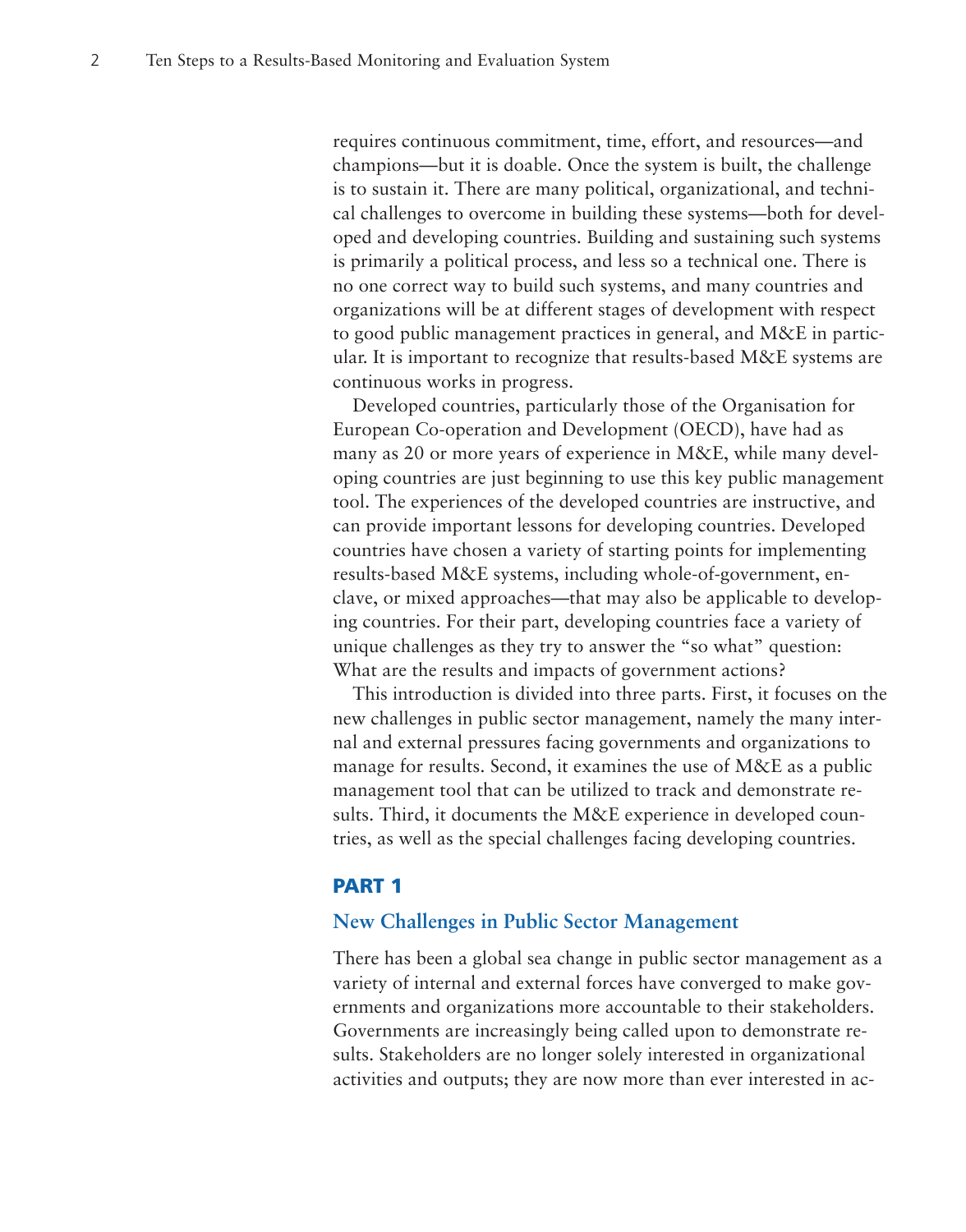<span id="page-17-0"></span>requires continuous commitment, time, effort, and resources—and champions—but it is doable. Once the system is built, the challenge is to sustain it. There are many political, organizational, and technical challenges to overcome in building these systems—both for developed and developing countries. Building and sustaining such systems is primarily a political process, and less so a technical one. There is no one correct way to build such systems, and many countries and organizations will be at different stages of development with respect to good public management practices in general, and M&E in particular. It is important to recognize that results-based M&E systems are continuous works in progress.

Developed countries, particularly those of the Organisation for European Co-operation and Development (OECD), have had as many as 20 or more years of experience in M&E, while many developing countries are just beginning to use this key public management tool. The experiences of the developed countries are instructive, and can provide important lessons for developing countries. Developed countries have chosen a variety of starting points for implementing results-based M&E systems, including whole-of-government, enclave, or mixed approaches—that may also be applicable to developing countries. For their part, developing countries face a variety of unique challenges as they try to answer the "so what" question: What are the results and impacts of government actions?

This introduction is divided into three parts. First, it focuses on the new challenges in public sector management, namely the many internal and external pressures facing governments and organizations to manage for results. Second, it examines the use of M&E as a public management tool that can be utilized to track and demonstrate results. Third, it documents the M&E experience in developed countries, as well as the special challenges facing developing countries.

### **PART 1**

### **New Challenges in Public Sector Management**

There has been a global sea change in public sector management as a variety of internal and external forces have converged to make governments and organizations more accountable to their stakeholders. Governments are increasingly being called upon to demonstrate results. Stakeholders are no longer solely interested in organizational activities and outputs; they are now more than ever interested in ac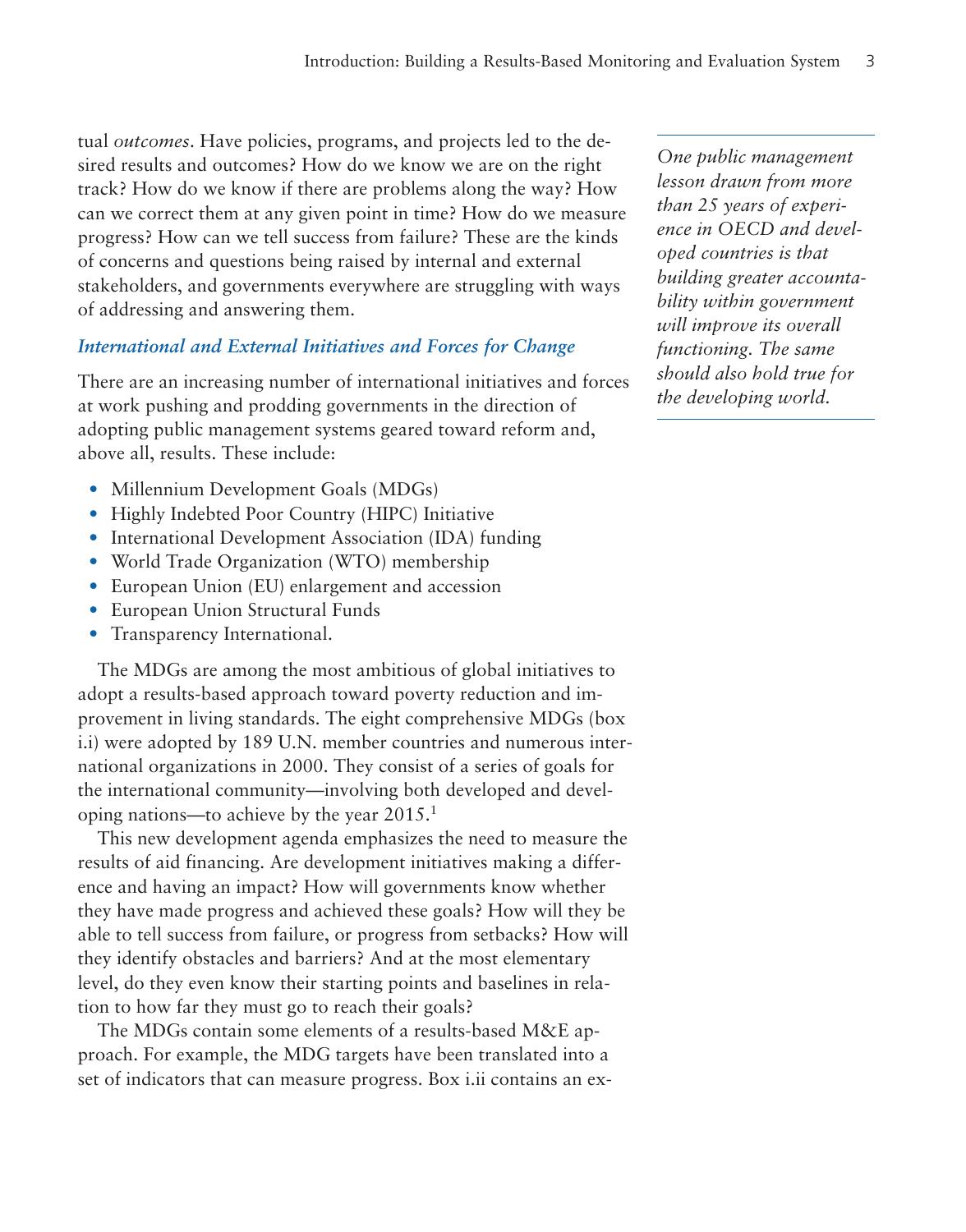<span id="page-18-0"></span>tual *outcomes*. Have policies, programs, and projects led to the desired results and outcomes? How do we know we are on the right track? How do we know if there are problems along the way? How can we correct them at any given point in time? How do we measure progress? How can we tell success from failure? These are the kinds of concerns and questions being raised by internal and external stakeholders, and governments everywhere are struggling with ways of addressing and answering them.

### *International and External Initiatives and Forces for Change*

There are an increasing number of international initiatives and forces at work pushing and prodding governments in the direction of adopting public management systems geared toward reform and, above all, results. These include:

- Millennium Development Goals (MDGs)
- Highly Indebted Poor Country (HIPC) Initiative
- International Development Association (IDA) funding
- World Trade Organization (WTO) membership
- European Union (EU) enlargement and accession
- European Union Structural Funds
- Transparency International.

The MDGs are among the most ambitious of global initiatives to adopt a results-based approach toward poverty reduction and improvement in living standards. The eight comprehensive MDGs (box i.i) were adopted by 189 U.N. member countries and numerous international organizations in 2000. They consist of a series of goals for the international community—involving both developed and developing nations—to achieve by the year 2015.1

This new development agenda emphasizes the need to measure the results of aid financing. Are development initiatives making a difference and having an impact? How will governments know whether they have made progress and achieved these goals? How will they be able to tell success from failure, or progress from setbacks? How will they identify obstacles and barriers? And at the most elementary level, do they even know their starting points and baselines in relation to how far they must go to reach their goals?

The MDGs contain some elements of a results-based M&E approach. For example, the MDG targets have been translated into a set of indicators that can measure progress. Box i.ii contains an ex*One public management lesson drawn from more than 25 years of experience in OECD and developed countries is that building greater accountability within government will improve its overall functioning. The same should also hold true for the developing world.*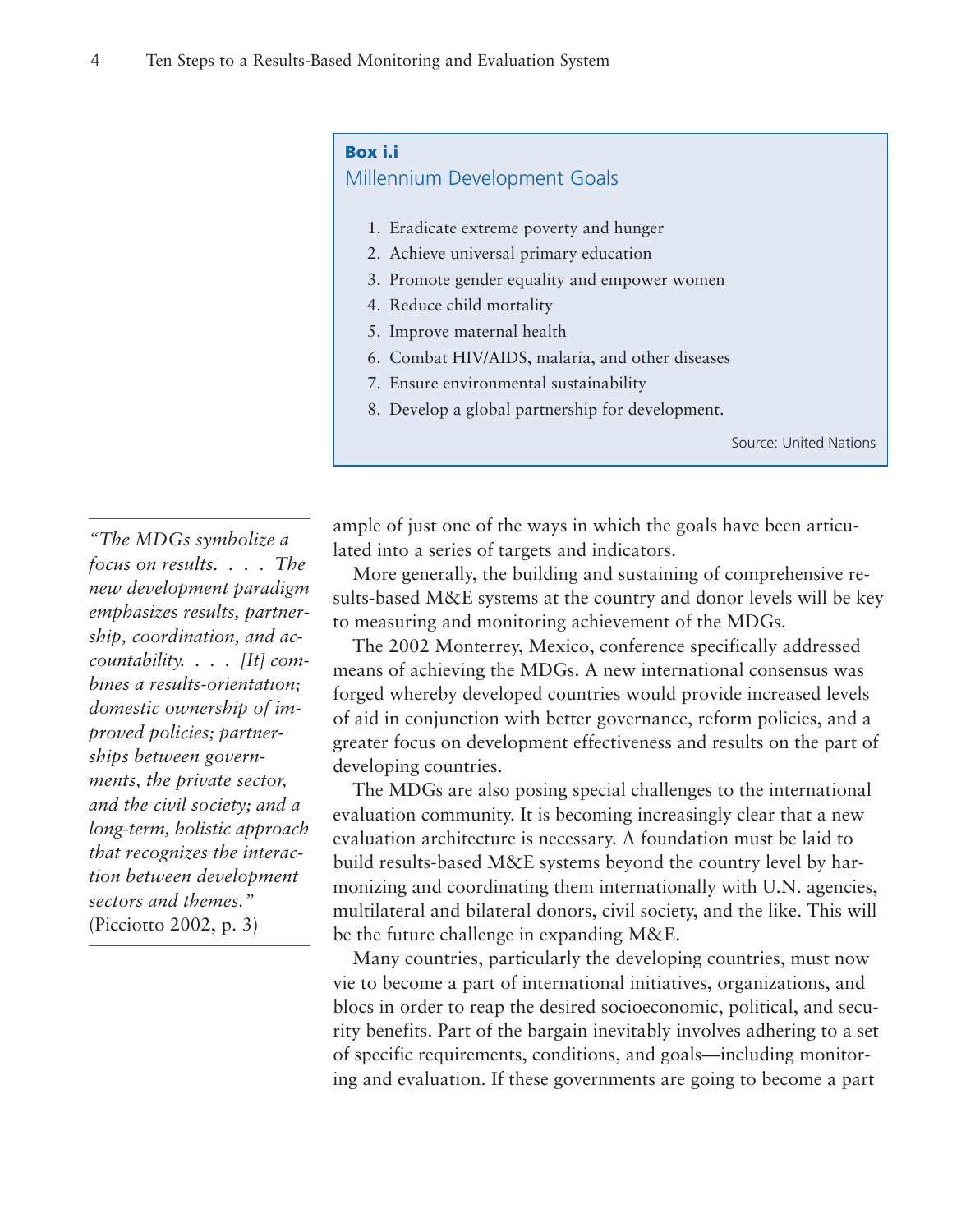### <span id="page-19-0"></span>**Box i.i**

Millennium Development Goals

- 1. Eradicate extreme poverty and hunger
- 2. Achieve universal primary education
- 3. Promote gender equality and empower women
- 4. Reduce child mortality
- 5. Improve maternal health
- 6. Combat HIV/AIDS, malaria, and other diseases
- 7. Ensure environmental sustainability
- 8. Develop a global partnership for development.

*"The MDGs symbolize a focus on results. . . . The new development paradigm emphasizes results, partnership, coordination, and accountability.... [It] combines a results-orientation; domestic ownership of improved policies; partnerships between governments, the private sector, and the civil society; and a long-term, holistic approach that recognizes the interaction between development sectors and themes."* (Picciotto 2002, p. 3)

ample of just one of the ways in which the goals have been articulated into a series of targets and indicators.

More generally, the building and sustaining of comprehensive results-based M&E systems at the country and donor levels will be key to measuring and monitoring achievement of the MDGs.

The 2002 Monterrey, Mexico, conference specifically addressed means of achieving the MDGs. A new international consensus was forged whereby developed countries would provide increased levels of aid in conjunction with better governance, reform policies, and a greater focus on development effectiveness and results on the part of developing countries.

The MDGs are also posing special challenges to the international evaluation community. It is becoming increasingly clear that a new evaluation architecture is necessary. A foundation must be laid to build results-based M&E systems beyond the country level by harmonizing and coordinating them internationally with U.N. agencies, multilateral and bilateral donors, civil society, and the like. This will be the future challenge in expanding M&E.

Many countries, particularly the developing countries, must now vie to become a part of international initiatives, organizations, and blocs in order to reap the desired socioeconomic, political, and security benefits. Part of the bargain inevitably involves adhering to a set of specific requirements, conditions, and goals—including monitoring and evaluation. If these governments are going to become a part

Source: United Nations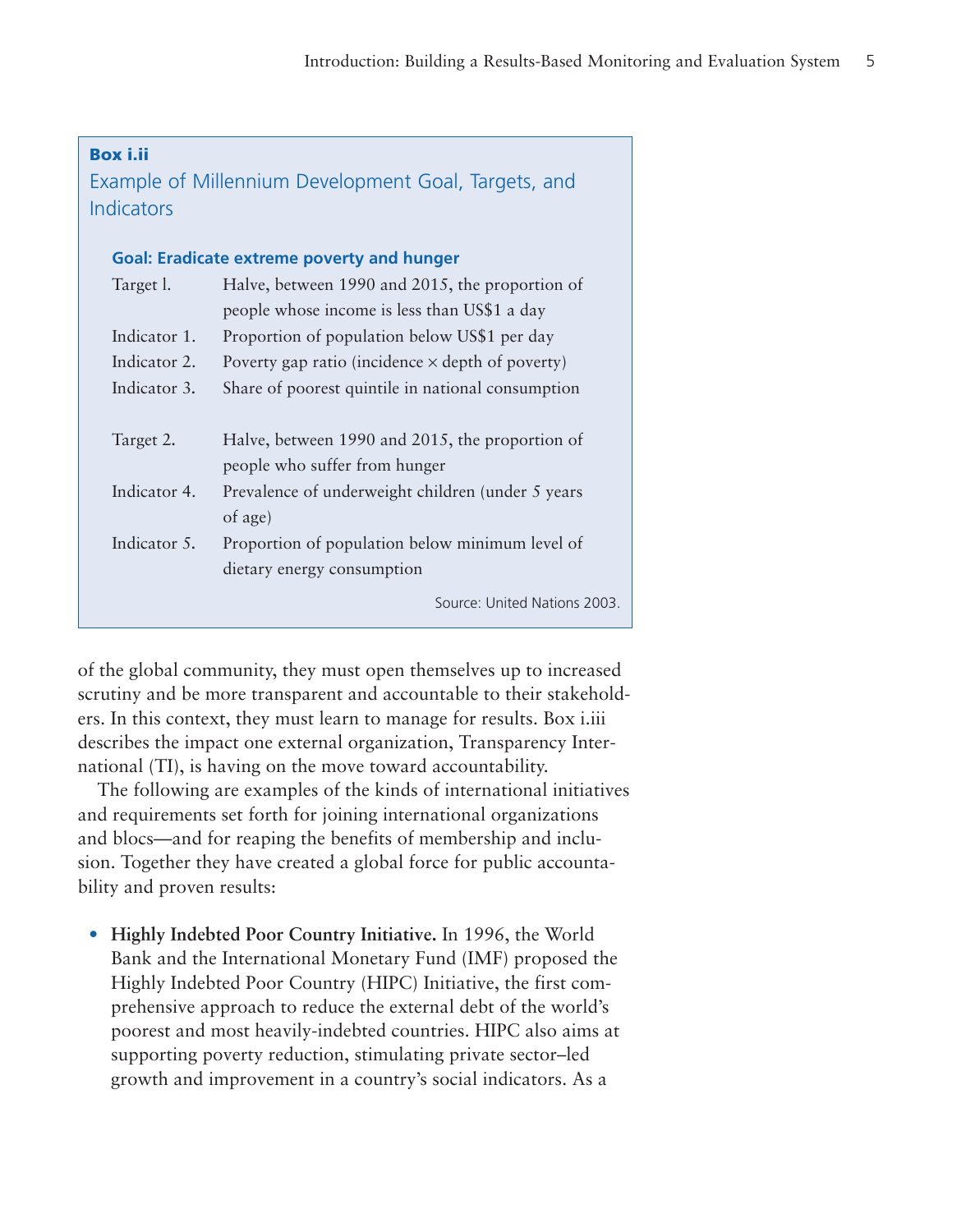### <span id="page-20-0"></span>**Box i.ii**

Example of Millennium Development Goal, Targets, and **Indicators** 

### **Goal: Eradicate extreme poverty and hunger**

| Target l.    | Halve, between 1990 and 2015, the proportion of         |
|--------------|---------------------------------------------------------|
|              | people whose income is less than US\$1 a day            |
| Indicator 1. | Proportion of population below US\$1 per day            |
| Indicator 2. | Poverty gap ratio (incidence $\times$ depth of poverty) |
| Indicator 3. | Share of poorest quintile in national consumption       |
|              |                                                         |
| Target 2.    | Halve, between 1990 and 2015, the proportion of         |
|              | people who suffer from hunger                           |
| Indicator 4. | Prevalence of underweight children (under 5 years       |
|              | of age)                                                 |
| Indicator 5. | Proportion of population below minimum level of         |
|              | dietary energy consumption                              |
|              | Source: United Nations 2003.                            |
|              |                                                         |

of the global community, they must open themselves up to increased scrutiny and be more transparent and accountable to their stakeholders. In this context, they must learn to manage for results. Box i.iii describes the impact one external organization, Transparency International (TI), is having on the move toward accountability.

The following are examples of the kinds of international initiatives and requirements set forth for joining international organizations and blocs—and for reaping the benefits of membership and inclusion. Together they have created a global force for public accountability and proven results:

• **Highly Indebted Poor Country Initiative.** In 1996, the World Bank and the International Monetary Fund (IMF) proposed the Highly Indebted Poor Country (HIPC) Initiative, the first comprehensive approach to reduce the external debt of the world's poorest and most heavily-indebted countries. HIPC also aims at supporting poverty reduction, stimulating private sector–led growth and improvement in a country's social indicators. As a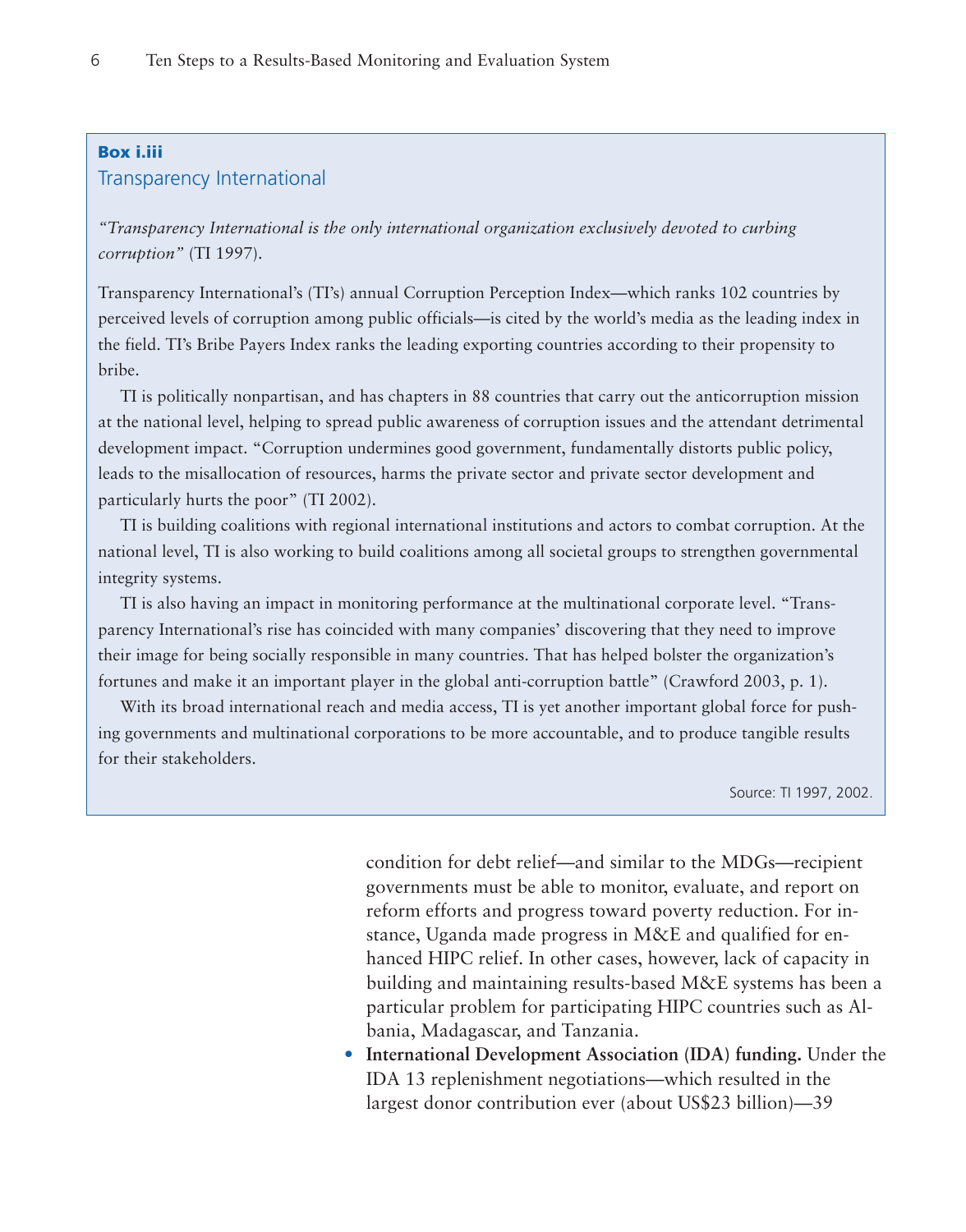### <span id="page-21-0"></span>**Box i.iii**

### Transparency International

*"Transparency International is the only international organization exclusively devoted to curbing corruption"* (TI 1997).

Transparency International's (TI's) annual Corruption Perception Index—which ranks 102 countries by perceived levels of corruption among public officials—is cited by the world's media as the leading index in the field. TI's Bribe Payers Index ranks the leading exporting countries according to their propensity to bribe.

TI is politically nonpartisan, and has chapters in 88 countries that carry out the anticorruption mission at the national level, helping to spread public awareness of corruption issues and the attendant detrimental development impact. "Corruption undermines good government, fundamentally distorts public policy, leads to the misallocation of resources, harms the private sector and private sector development and particularly hurts the poor" (TI 2002).

TI is building coalitions with regional international institutions and actors to combat corruption. At the national level, TI is also working to build coalitions among all societal groups to strengthen governmental integrity systems.

TI is also having an impact in monitoring performance at the multinational corporate level. "Transparency International's rise has coincided with many companies' discovering that they need to improve their image for being socially responsible in many countries. That has helped bolster the organization's fortunes and make it an important player in the global anti-corruption battle" (Crawford 2003, p. 1).

With its broad international reach and media access, TI is yet another important global force for pushing governments and multinational corporations to be more accountable, and to produce tangible results for their stakeholders.

Source: TI 1997, 2002.

condition for debt relief—and similar to the MDGs—recipient governments must be able to monitor, evaluate, and report on reform efforts and progress toward poverty reduction. For instance, Uganda made progress in M&E and qualified for enhanced HIPC relief. In other cases, however, lack of capacity in building and maintaining results-based M&E systems has been a particular problem for participating HIPC countries such as Albania, Madagascar, and Tanzania.

• **International Development Association (IDA) funding.** Under the IDA 13 replenishment negotiations—which resulted in the largest donor contribution ever (about US\$23 billion)—39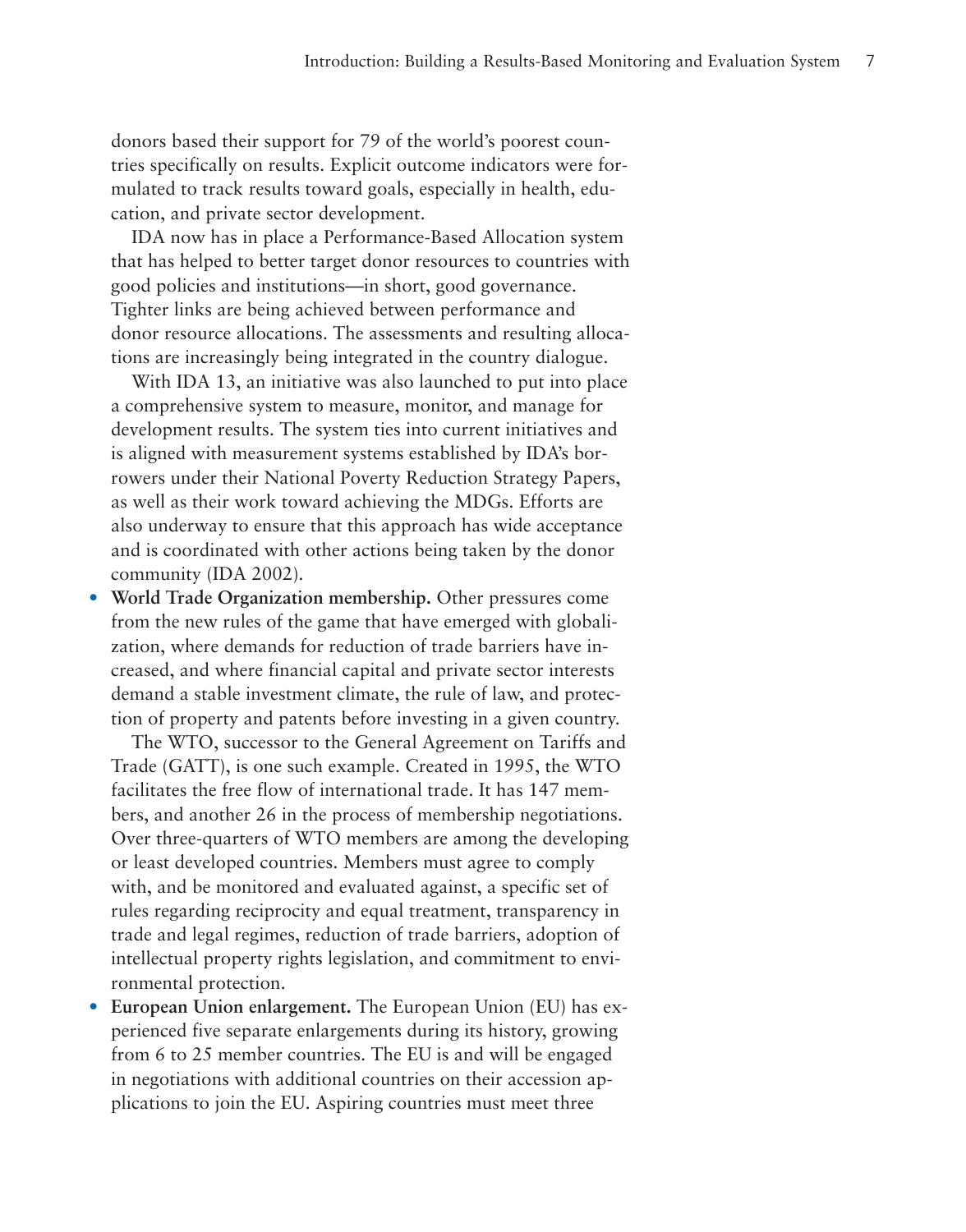donors based their support for 79 of the world's poorest countries specifically on results. Explicit outcome indicators were formulated to track results toward goals, especially in health, education, and private sector development.

IDA now has in place a Performance-Based Allocation system that has helped to better target donor resources to countries with good policies and institutions—in short, good governance. Tighter links are being achieved between performance and donor resource allocations. The assessments and resulting allocations are increasingly being integrated in the country dialogue.

With IDA 13, an initiative was also launched to put into place a comprehensive system to measure, monitor, and manage for development results. The system ties into current initiatives and is aligned with measurement systems established by IDA's borrowers under their National Poverty Reduction Strategy Papers, as well as their work toward achieving the MDGs. Efforts are also underway to ensure that this approach has wide acceptance and is coordinated with other actions being taken by the donor community (IDA 2002)*.*

• World Trade Organization membership. Other pressures come from the new rules of the game that have emerged with globalization, where demands for reduction of trade barriers have increased, and where financial capital and private sector interests demand a stable investment climate, the rule of law, and protection of property and patents before investing in a given country.

The WTO, successor to the General Agreement on Tariffs and Trade (GATT), is one such example. Created in 1995, the WTO facilitates the free flow of international trade. It has 147 members, and another 26 in the process of membership negotiations. Over three-quarters of WTO members are among the developing or least developed countries. Members must agree to comply with, and be monitored and evaluated against, a specific set of rules regarding reciprocity and equal treatment, transparency in trade and legal regimes, reduction of trade barriers, adoption of intellectual property rights legislation, and commitment to environmental protection.

• **European Union enlargement.** The European Union (EU) has experienced five separate enlargements during its history, growing from 6 to 25 member countries. The EU is and will be engaged in negotiations with additional countries on their accession applications to join the EU. Aspiring countries must meet three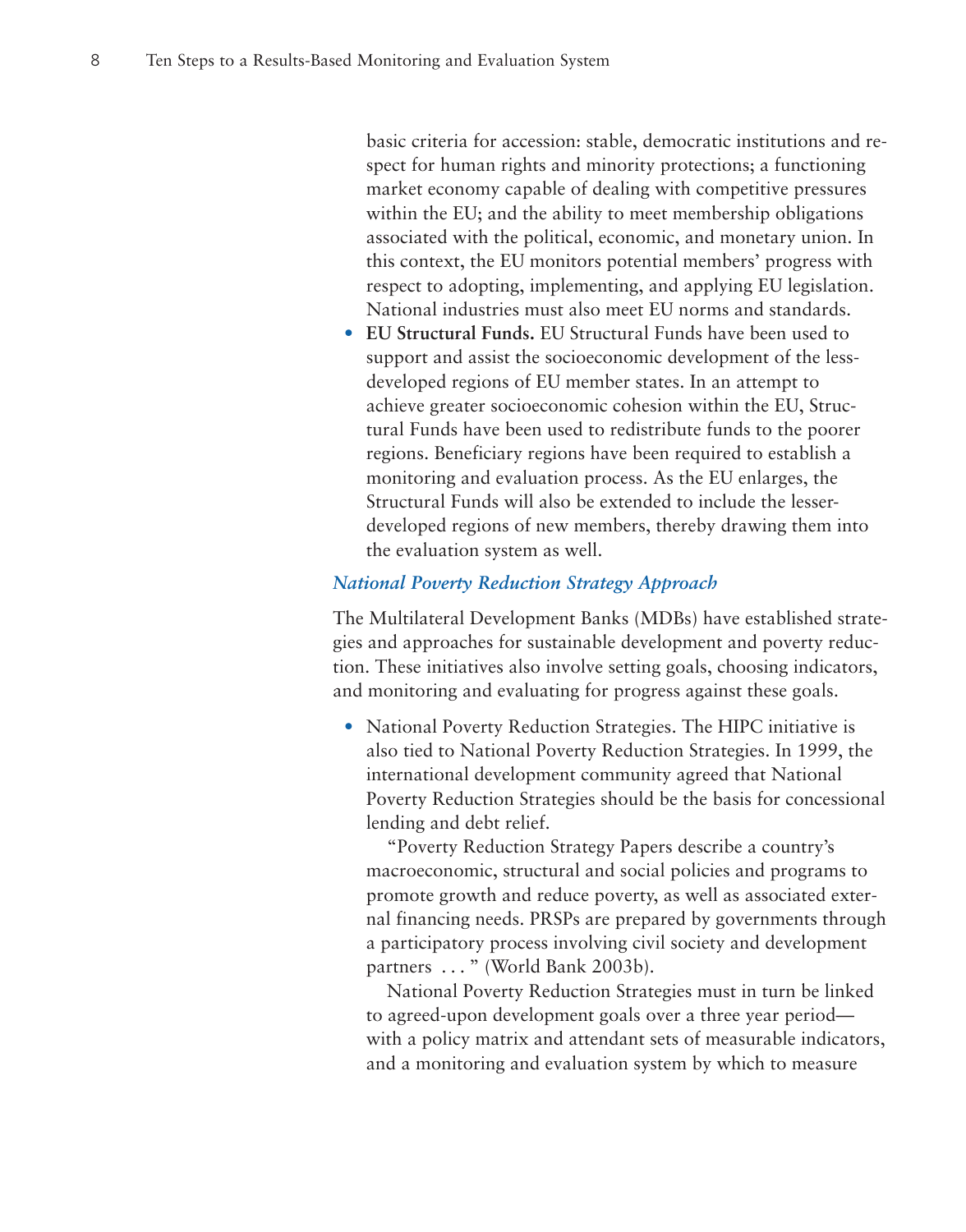<span id="page-23-0"></span>basic criteria for accession: stable, democratic institutions and respect for human rights and minority protections; a functioning market economy capable of dealing with competitive pressures within the EU; and the ability to meet membership obligations associated with the political, economic, and monetary union. In this context, the EU monitors potential members' progress with respect to adopting, implementing, and applying EU legislation. National industries must also meet EU norms and standards.

• **EU Structural Funds.** EU Structural Funds have been used to support and assist the socioeconomic development of the lessdeveloped regions of EU member states. In an attempt to achieve greater socioeconomic cohesion within the EU, Structural Funds have been used to redistribute funds to the poorer regions. Beneficiary regions have been required to establish a monitoring and evaluation process. As the EU enlarges, the Structural Funds will also be extended to include the lesserdeveloped regions of new members, thereby drawing them into the evaluation system as well.

### *National Poverty Reduction Strategy Approach*

The Multilateral Development Banks (MDBs) have established strategies and approaches for sustainable development and poverty reduction. These initiatives also involve setting goals, choosing indicators, and monitoring and evaluating for progress against these goals.

• National Poverty Reduction Strategies. The HIPC initiative is also tied to National Poverty Reduction Strategies. In 1999, the international development community agreed that National Poverty Reduction Strategies should be the basis for concessional lending and debt relief.

"Poverty Reduction Strategy Papers describe a country's macroeconomic, structural and social policies and programs to promote growth and reduce poverty, as well as associated external financing needs. PRSPs are prepared by governments through a participatory process involving civil society and development partners ..." (World Bank 2003b).

National Poverty Reduction Strategies must in turn be linked to agreed-upon development goals over a three year period with a policy matrix and attendant sets of measurable indicators, and a monitoring and evaluation system by which to measure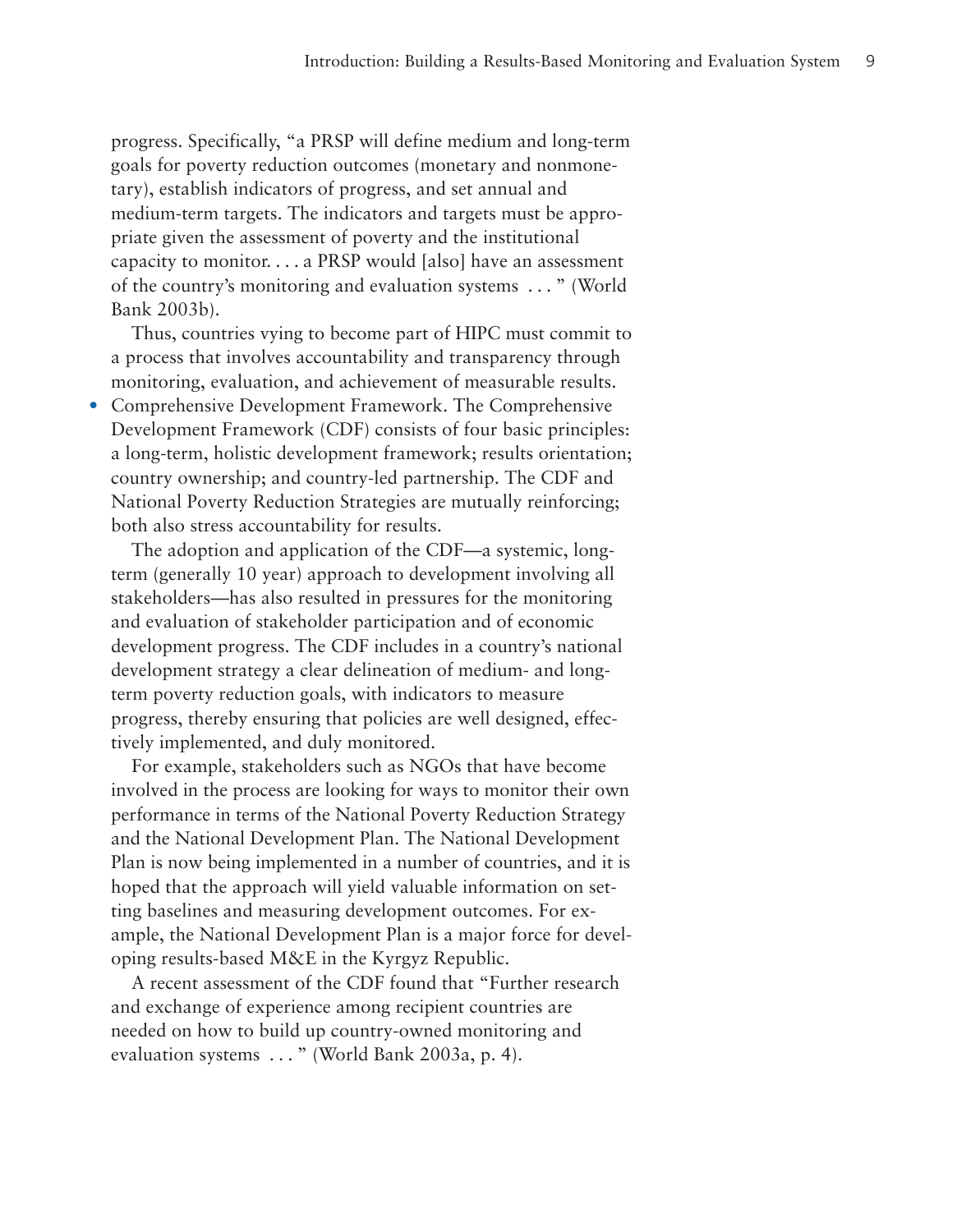progress. Specifically, "a PRSP will define medium and long-term goals for poverty reduction outcomes (monetary and nonmonetary), establish indicators of progress, and set annual and medium-term targets. The indicators and targets must be appropriate given the assessment of poverty and the institutional capacity to monitor. . . . a PRSP would [also] have an assessment of the country's monitoring and evaluation systems . . . " (World Bank 2003b).

Thus, countries vying to become part of HIPC must commit to a process that involves accountability and transparency through monitoring, evaluation, and achievement of measurable results.

• Comprehensive Development Framework. The Comprehensive Development Framework (CDF) consists of four basic principles: a long-term, holistic development framework; results orientation; country ownership; and country-led partnership. The CDF and National Poverty Reduction Strategies are mutually reinforcing; both also stress accountability for results.

The adoption and application of the CDF—a systemic, longterm (generally 10 year) approach to development involving all stakeholders—has also resulted in pressures for the monitoring and evaluation of stakeholder participation and of economic development progress. The CDF includes in a country's national development strategy a clear delineation of medium- and longterm poverty reduction goals, with indicators to measure progress, thereby ensuring that policies are well designed, effectively implemented, and duly monitored.

For example, stakeholders such as NGOs that have become involved in the process are looking for ways to monitor their own performance in terms of the National Poverty Reduction Strategy and the National Development Plan. The National Development Plan is now being implemented in a number of countries, and it is hoped that the approach will yield valuable information on setting baselines and measuring development outcomes. For example, the National Development Plan is a major force for developing results-based M&E in the Kyrgyz Republic.

A recent assessment of the CDF found that "Further research and exchange of experience among recipient countries are needed on how to build up country-owned monitoring and evaluation systems . . . " (World Bank 2003a, p. 4).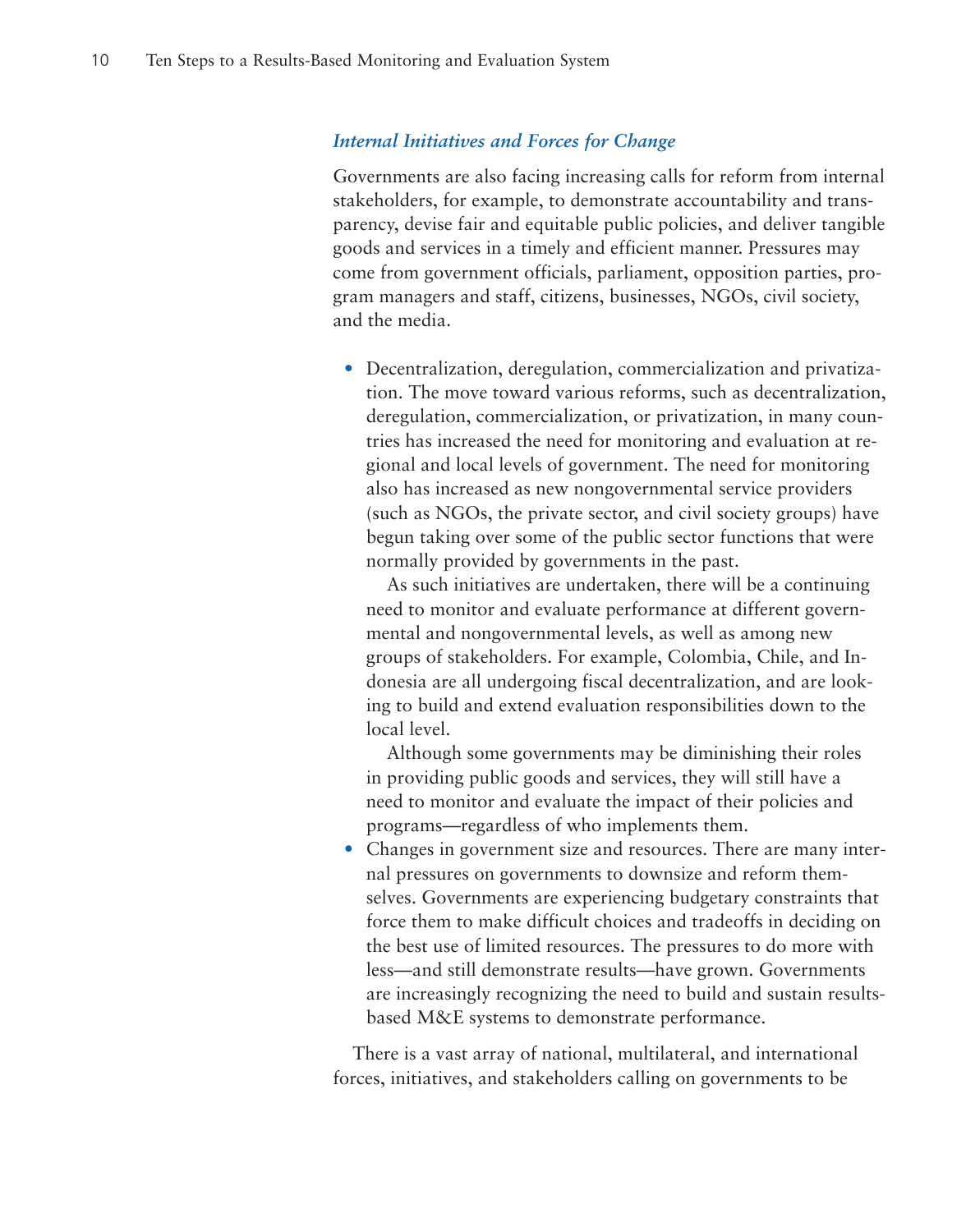### <span id="page-25-0"></span>*Internal Initiatives and Forces for Change*

Governments are also facing increasing calls for reform from internal stakeholders, for example, to demonstrate accountability and transparency, devise fair and equitable public policies, and deliver tangible goods and services in a timely and efficient manner. Pressures may come from government officials, parliament, opposition parties, program managers and staff, citizens, businesses, NGOs, civil society, and the media.

• Decentralization, deregulation, commercialization and privatization. The move toward various reforms, such as decentralization, deregulation, commercialization, or privatization, in many countries has increased the need for monitoring and evaluation at regional and local levels of government. The need for monitoring also has increased as new nongovernmental service providers (such as NGOs, the private sector, and civil society groups) have begun taking over some of the public sector functions that were normally provided by governments in the past.

As such initiatives are undertaken, there will be a continuing need to monitor and evaluate performance at different governmental and nongovernmental levels, as well as among new groups of stakeholders. For example, Colombia, Chile, and Indonesia are all undergoing fiscal decentralization, and are looking to build and extend evaluation responsibilities down to the local level.

Although some governments may be diminishing their roles in providing public goods and services, they will still have a need to monitor and evaluate the impact of their policies and programs—regardless of who implements them.

• Changes in government size and resources. There are many internal pressures on governments to downsize and reform themselves. Governments are experiencing budgetary constraints that force them to make difficult choices and tradeoffs in deciding on the best use of limited resources. The pressures to do more with less—and still demonstrate results—have grown. Governments are increasingly recognizing the need to build and sustain resultsbased M&E systems to demonstrate performance.

There is a vast array of national, multilateral, and international forces, initiatives, and stakeholders calling on governments to be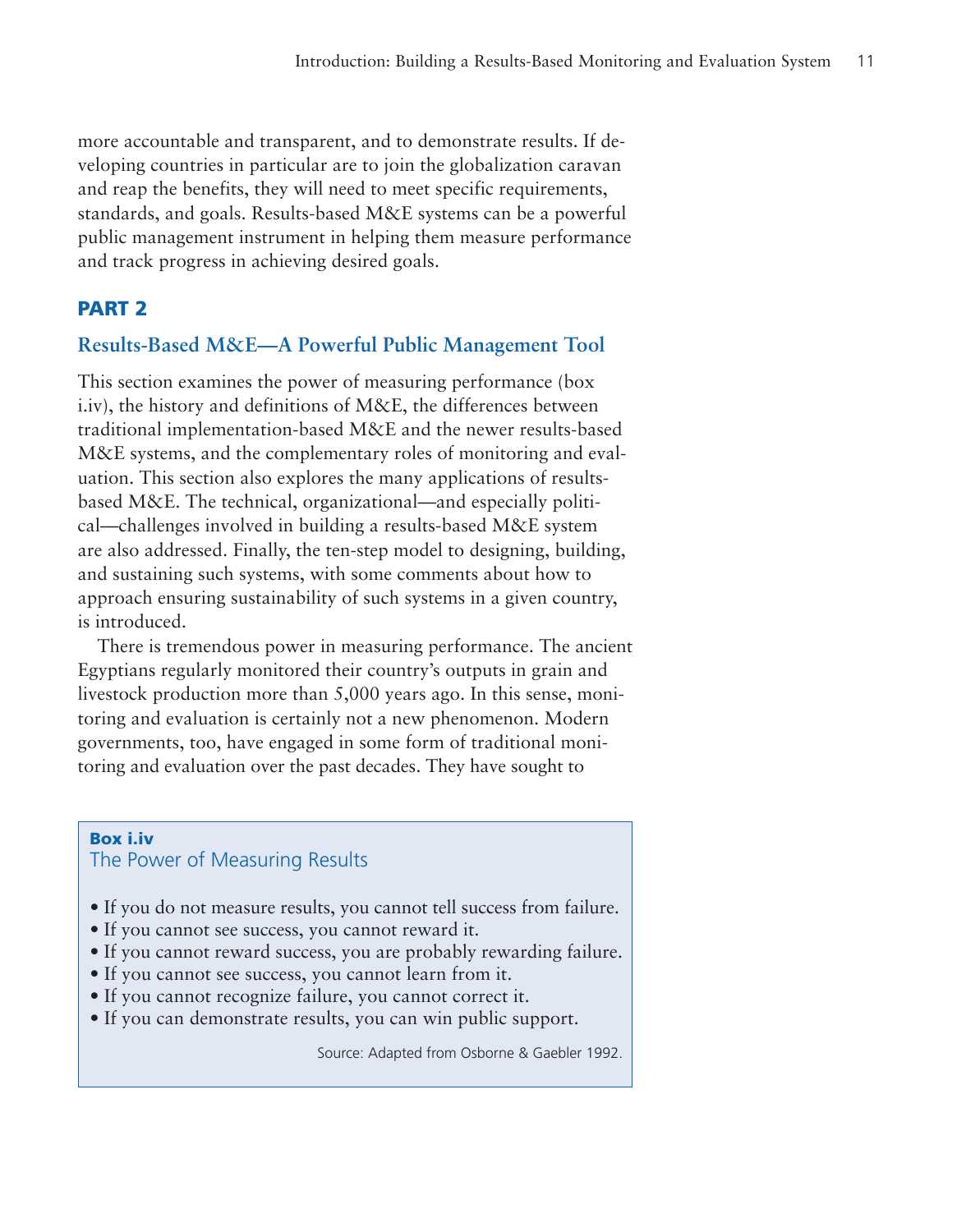<span id="page-26-0"></span>more accountable and transparent, and to demonstrate results. If developing countries in particular are to join the globalization caravan and reap the benefits, they will need to meet specific requirements, standards, and goals. Results-based M&E systems can be a powerful public management instrument in helping them measure performance and track progress in achieving desired goals.

### **PART 2**

### **Results-Based M&E—A Powerful Public Management Tool**

This section examines the power of measuring performance (box i.iv), the history and definitions of M&E, the differences between traditional implementation-based M&E and the newer results-based M&E systems, and the complementary roles of monitoring and evaluation. This section also explores the many applications of resultsbased M&E. The technical, organizational—and especially political—challenges involved in building a results-based M&E system are also addressed. Finally, the ten-step model to designing, building, and sustaining such systems, with some comments about how to approach ensuring sustainability of such systems in a given country, is introduced.

There is tremendous power in measuring performance. The ancient Egyptians regularly monitored their country's outputs in grain and livestock production more than 5,000 years ago. In this sense, monitoring and evaluation is certainly not a new phenomenon. Modern governments, too, have engaged in some form of traditional monitoring and evaluation over the past decades. They have sought to

### **Box i.iv** The Power of Measuring Results

- If you do not measure results, you cannot tell success from failure.
- If you cannot see success, you cannot reward it.
- If you cannot reward success, you are probably rewarding failure.
- If you cannot see success, you cannot learn from it.
- If you cannot recognize failure, you cannot correct it.
- If you can demonstrate results, you can win public support.

Source: Adapted from Osborne & Gaebler 1992.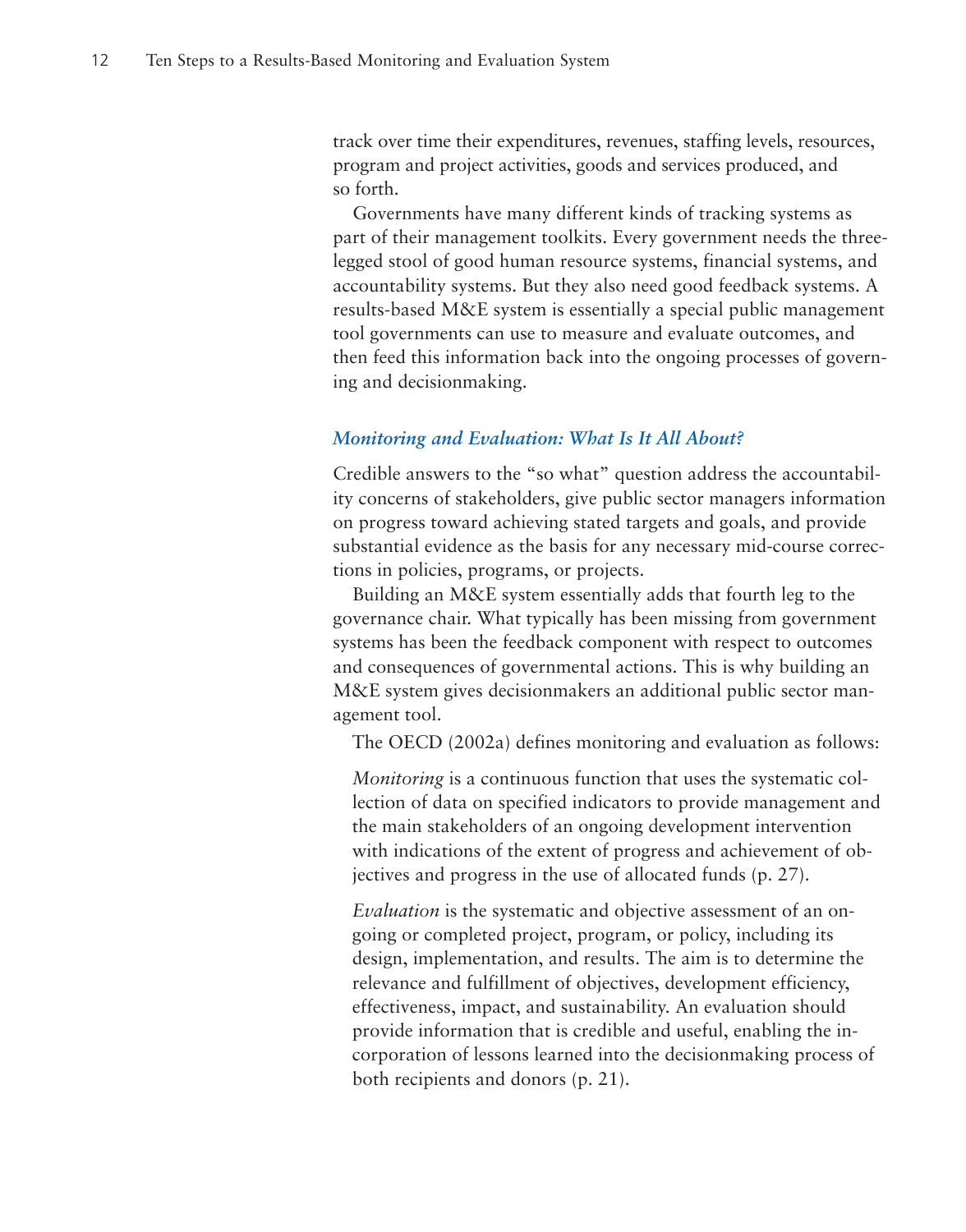<span id="page-27-0"></span>track over time their expenditures, revenues, staffing levels, resources, program and project activities, goods and services produced, and so forth.

Governments have many different kinds of tracking systems as part of their management toolkits. Every government needs the threelegged stool of good human resource systems, financial systems, and accountability systems. But they also need good feedback systems. A results-based M&E system is essentially a special public management tool governments can use to measure and evaluate outcomes, and then feed this information back into the ongoing processes of governing and decisionmaking.

### *Monitoring and Evaluation: What Is It All About?*

Credible answers to the "so what" question address the accountability concerns of stakeholders, give public sector managers information on progress toward achieving stated targets and goals, and provide substantial evidence as the basis for any necessary mid-course corrections in policies, programs, or projects.

Building an M&E system essentially adds that fourth leg to the governance chair. What typically has been missing from government systems has been the feedback component with respect to outcomes and consequences of governmental actions. This is why building an M&E system gives decisionmakers an additional public sector management tool.

The OECD (2002a) defines monitoring and evaluation as follows:

*Monitoring* is a continuous function that uses the systematic collection of data on specified indicators to provide management and the main stakeholders of an ongoing development intervention with indications of the extent of progress and achievement of objectives and progress in the use of allocated funds (p. 27).

*Evaluation* is the systematic and objective assessment of an ongoing or completed project, program, or policy, including its design, implementation, and results. The aim is to determine the relevance and fulfillment of objectives, development efficiency, effectiveness, impact, and sustainability. An evaluation should provide information that is credible and useful, enabling the incorporation of lessons learned into the decisionmaking process of both recipients and donors (p. 21).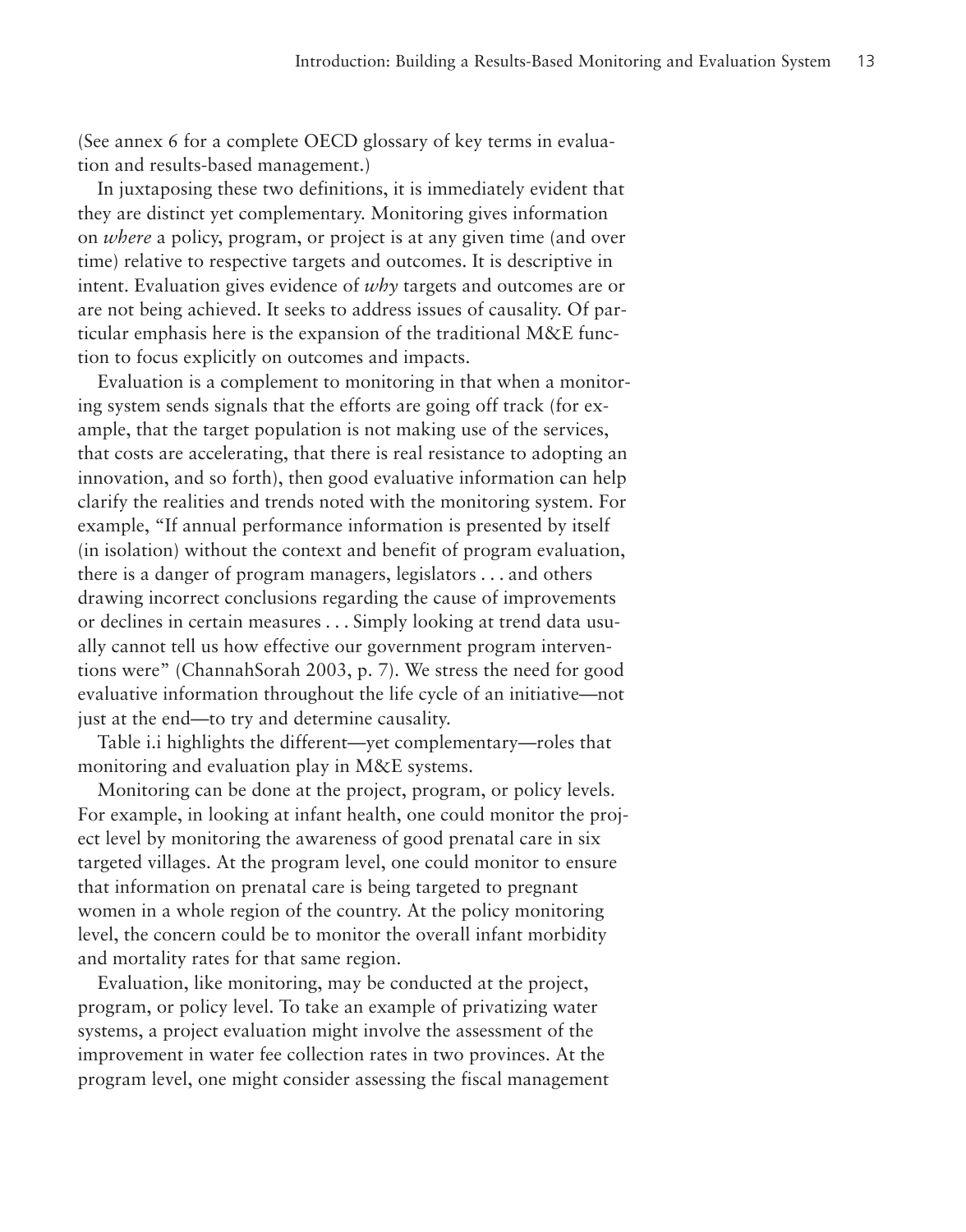(See annex 6 for a complete OECD glossary of key terms in evaluation and results-based management.)

In juxtaposing these two definitions, it is immediately evident that they are distinct yet complementary. Monitoring gives information on *where* a policy, program, or project is at any given time (and over time) relative to respective targets and outcomes. It is descriptive in intent. Evaluation gives evidence of *why* targets and outcomes are or are not being achieved. It seeks to address issues of causality. Of particular emphasis here is the expansion of the traditional M&E function to focus explicitly on outcomes and impacts.

Evaluation is a complement to monitoring in that when a monitoring system sends signals that the efforts are going off track (for example, that the target population is not making use of the services, that costs are accelerating, that there is real resistance to adopting an innovation, and so forth), then good evaluative information can help clarify the realities and trends noted with the monitoring system. For example, "If annual performance information is presented by itself (in isolation) without the context and benefit of program evaluation, there is a danger of program managers, legislators . . . and others drawing incorrect conclusions regarding the cause of improvements or declines in certain measures . . . Simply looking at trend data usually cannot tell us how effective our government program interventions were" (ChannahSorah 2003, p. 7). We stress the need for good evaluative information throughout the life cycle of an initiative—not just at the end—to try and determine causality.

Table i.i highlights the different—yet complementary—roles that monitoring and evaluation play in M&E systems.

Monitoring can be done at the project, program, or policy levels. For example, in looking at infant health, one could monitor the project level by monitoring the awareness of good prenatal care in six targeted villages. At the program level, one could monitor to ensure that information on prenatal care is being targeted to pregnant women in a whole region of the country. At the policy monitoring level, the concern could be to monitor the overall infant morbidity and mortality rates for that same region.

Evaluation, like monitoring, may be conducted at the project, program, or policy level. To take an example of privatizing water systems, a project evaluation might involve the assessment of the improvement in water fee collection rates in two provinces. At the program level, one might consider assessing the fiscal management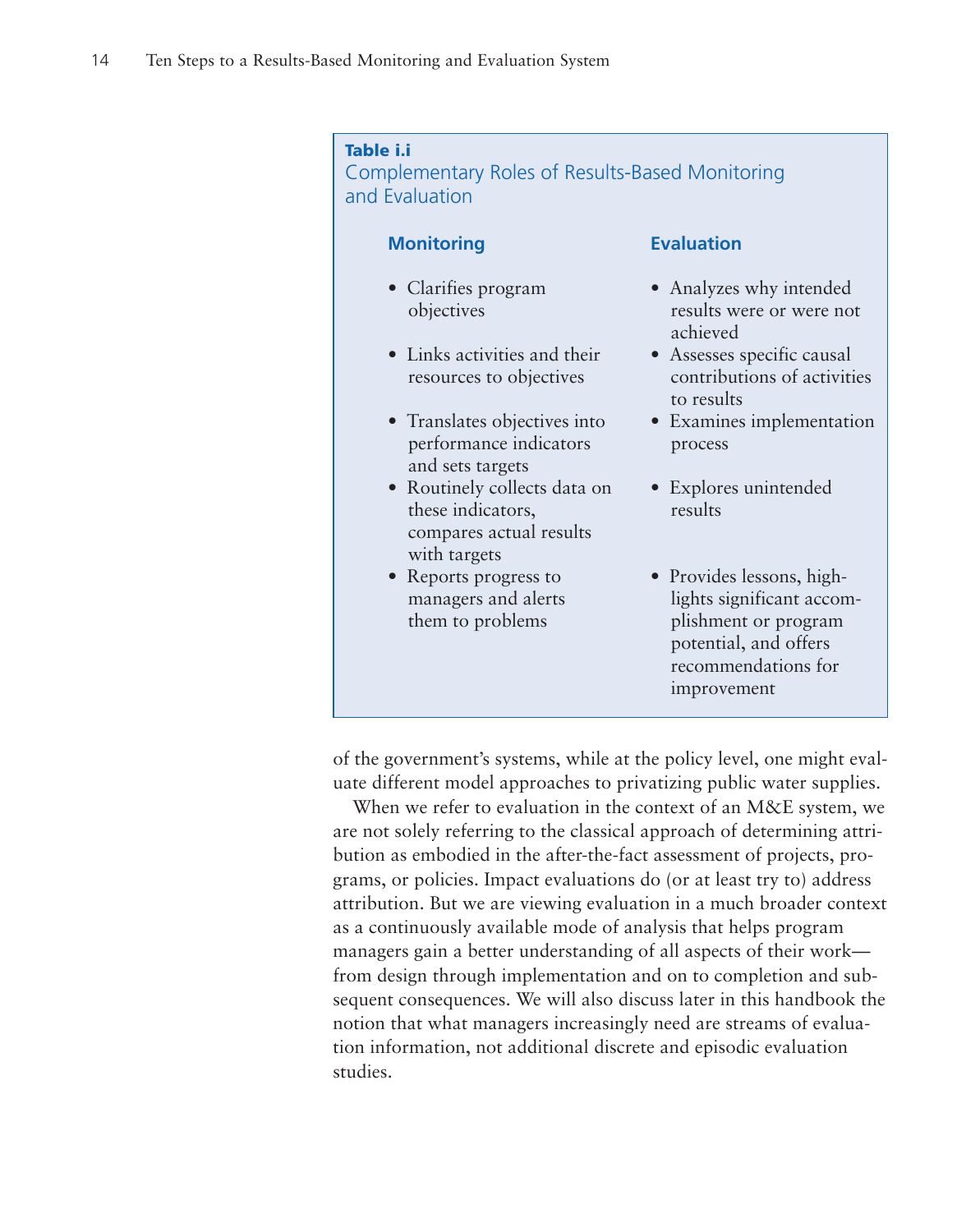### <span id="page-29-0"></span>**Table i.i**

Complementary Roles of Results-Based Monitoring and Evaluation

### **Monitoring Evaluation**

- 
- Links activities and their Assesses specific causal
- Translates objectives into Examines implementation performance indicators process and sets targets
- Routinely collects data on Explores unintended these indicators, these indicators, compares actual results with targets
- 

- Clarifies program Analyzes why intended objectives results were or were not achieved
	- resources to objectives contributions of activities to results
		-
		-
- Reports progress to Provides lessons, highmanagers and alerts lights significant accomthem to problems plishment or program potential, and offers recommendations for improvement

of the government's systems, while at the policy level, one might evaluate different model approaches to privatizing public water supplies.

When we refer to evaluation in the context of an M&E system, we are not solely referring to the classical approach of determining attribution as embodied in the after-the-fact assessment of projects, programs, or policies. Impact evaluations do (or at least try to) address attribution. But we are viewing evaluation in a much broader context as a continuously available mode of analysis that helps program managers gain a better understanding of all aspects of their work from design through implementation and on to completion and subsequent consequences. We will also discuss later in this handbook the notion that what managers increasingly need are streams of evaluation information, not additional discrete and episodic evaluation studies.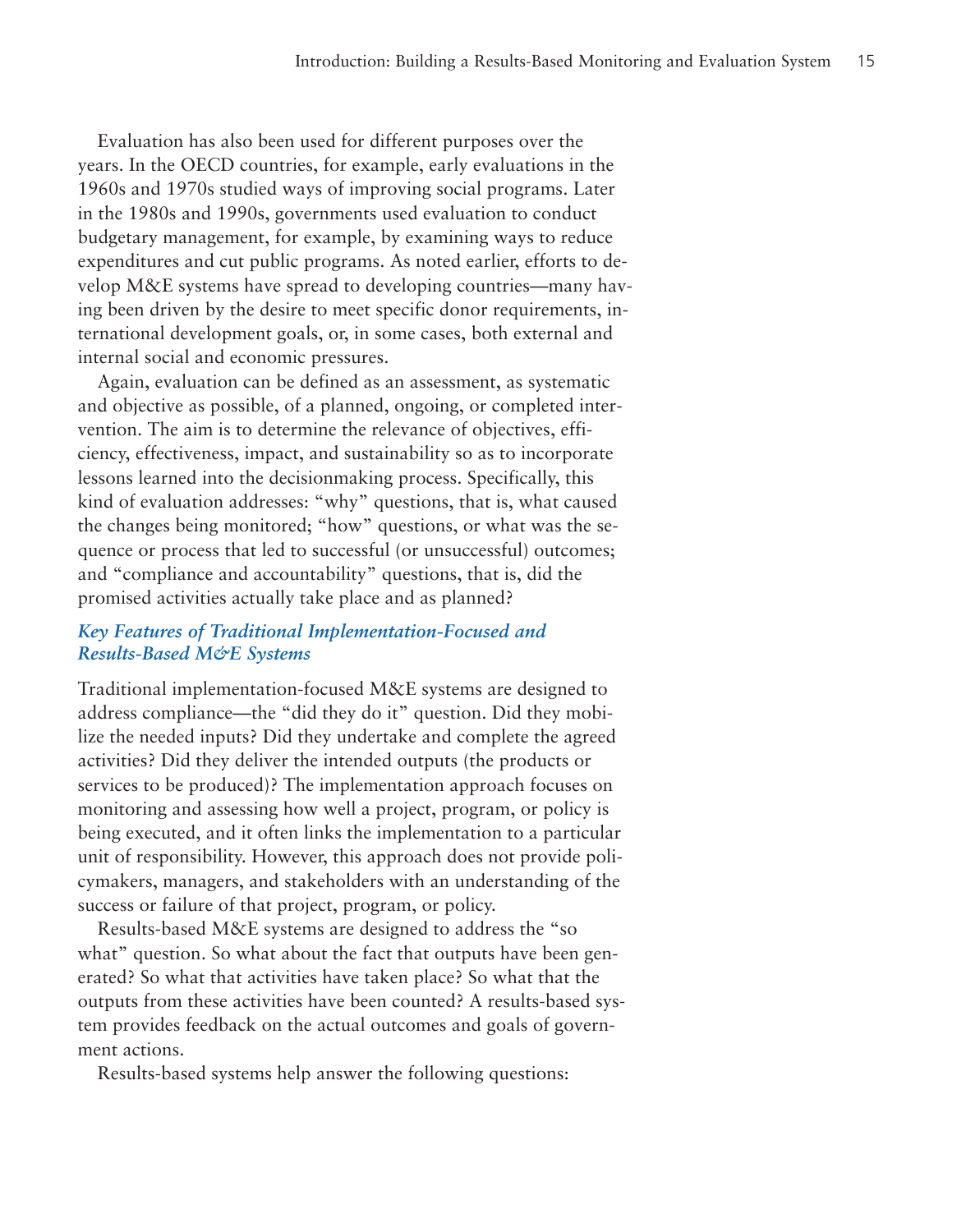<span id="page-30-0"></span>Evaluation has also been used for different purposes over the years. In the OECD countries, for example, early evaluations in the 1960s and 1970s studied ways of improving social programs. Later in the 1980s and 1990s, governments used evaluation to conduct budgetary management, for example, by examining ways to reduce expenditures and cut public programs. As noted earlier, efforts to develop M&E systems have spread to developing countries—many having been driven by the desire to meet specific donor requirements, international development goals, or, in some cases, both external and internal social and economic pressures.

Again, evaluation can be defined as an assessment, as systematic and objective as possible, of a planned, ongoing, or completed intervention. The aim is to determine the relevance of objectives, efficiency, effectiveness, impact, and sustainability so as to incorporate lessons learned into the decisionmaking process. Specifically, this kind of evaluation addresses: "why" questions, that is, what caused the changes being monitored; "how" questions, or what was the sequence or process that led to successful (or unsuccessful) outcomes; and "compliance and accountability" questions, that is, did the promised activities actually take place and as planned?

### *Key Features of Traditional Implementation-Focused and Results-Based M&E Systems*

Traditional implementation-focused M&E systems are designed to address compliance—the "did they do it" question. Did they mobilize the needed inputs? Did they undertake and complete the agreed activities? Did they deliver the intended outputs (the products or services to be produced)? The implementation approach focuses on monitoring and assessing how well a project, program, or policy is being executed, and it often links the implementation to a particular unit of responsibility. However, this approach does not provide policymakers, managers, and stakeholders with an understanding of the success or failure of that project, program, or policy.

Results-based M&E systems are designed to address the "so what" question. So what about the fact that outputs have been generated? So what that activities have taken place? So what that the outputs from these activities have been counted? A results-based system provides feedback on the actual outcomes and goals of government actions.

Results-based systems help answer the following questions: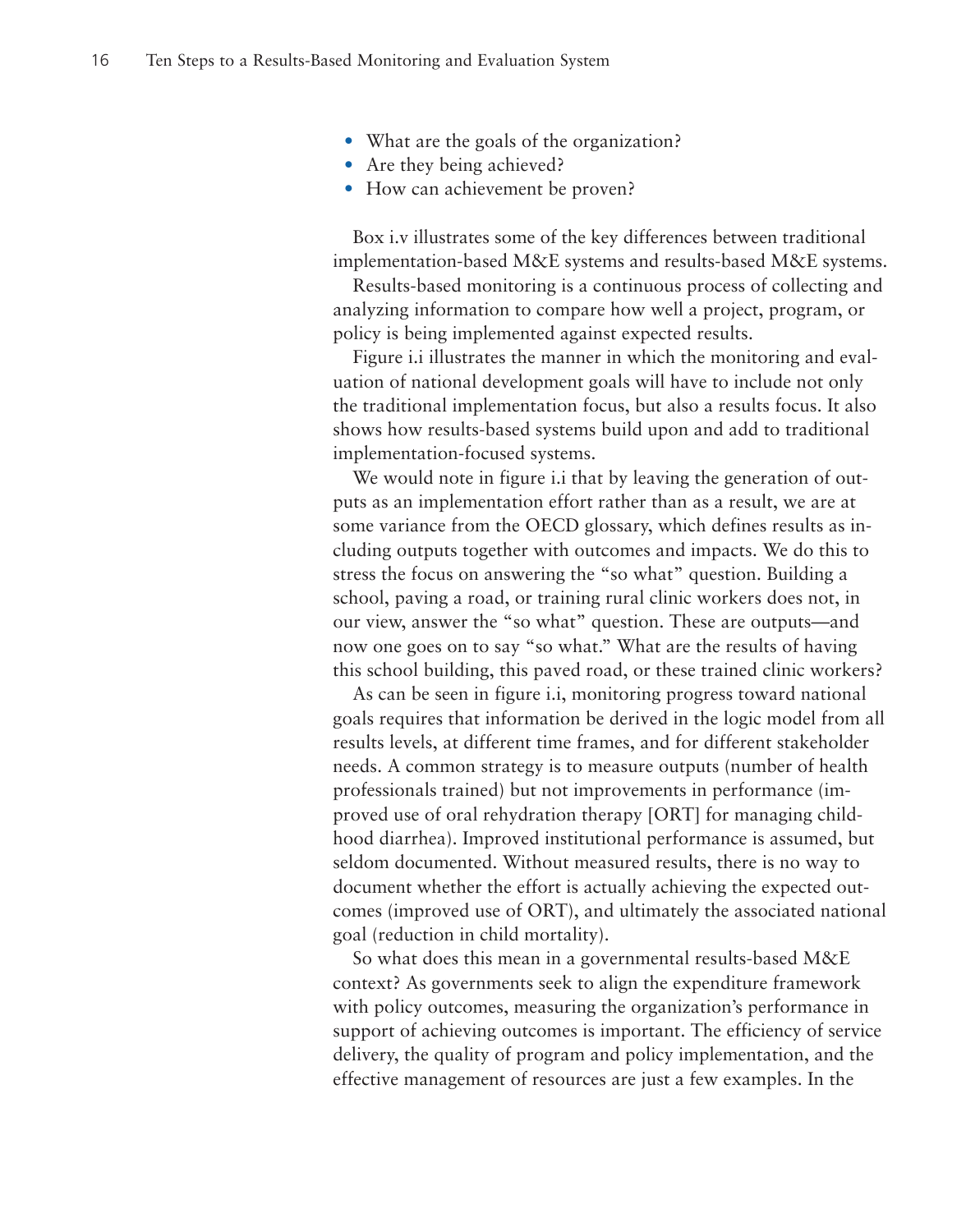- What are the goals of the organization?
- Are they being achieved?
- How can achievement be proven?

Box i.v illustrates some of the key differences between traditional implementation-based M&E systems and results-based M&E systems.

Results-based monitoring is a continuous process of collecting and analyzing information to compare how well a project, program, or policy is being implemented against expected results.

Figure i.i illustrates the manner in which the monitoring and evaluation of national development goals will have to include not only the traditional implementation focus, but also a results focus. It also shows how results-based systems build upon and add to traditional implementation-focused systems.

We would note in figure i.i that by leaving the generation of outputs as an implementation effort rather than as a result, we are at some variance from the OECD glossary, which defines results as including outputs together with outcomes and impacts. We do this to stress the focus on answering the "so what" question. Building a school, paving a road, or training rural clinic workers does not, in our view, answer the "so what" question. These are outputs—and now one goes on to say "so what." What are the results of having this school building, this paved road, or these trained clinic workers?

As can be seen in figure i.i, monitoring progress toward national goals requires that information be derived in the logic model from all results levels, at different time frames, and for different stakeholder needs. A common strategy is to measure outputs (number of health professionals trained) but not improvements in performance (improved use of oral rehydration therapy [ORT] for managing childhood diarrhea). Improved institutional performance is assumed, but seldom documented. Without measured results, there is no way to document whether the effort is actually achieving the expected outcomes (improved use of ORT), and ultimately the associated national goal (reduction in child mortality).

So what does this mean in a governmental results-based M&E context? As governments seek to align the expenditure framework with policy outcomes, measuring the organization's performance in support of achieving outcomes is important. The efficiency of service delivery, the quality of program and policy implementation, and the effective management of resources are just a few examples. In the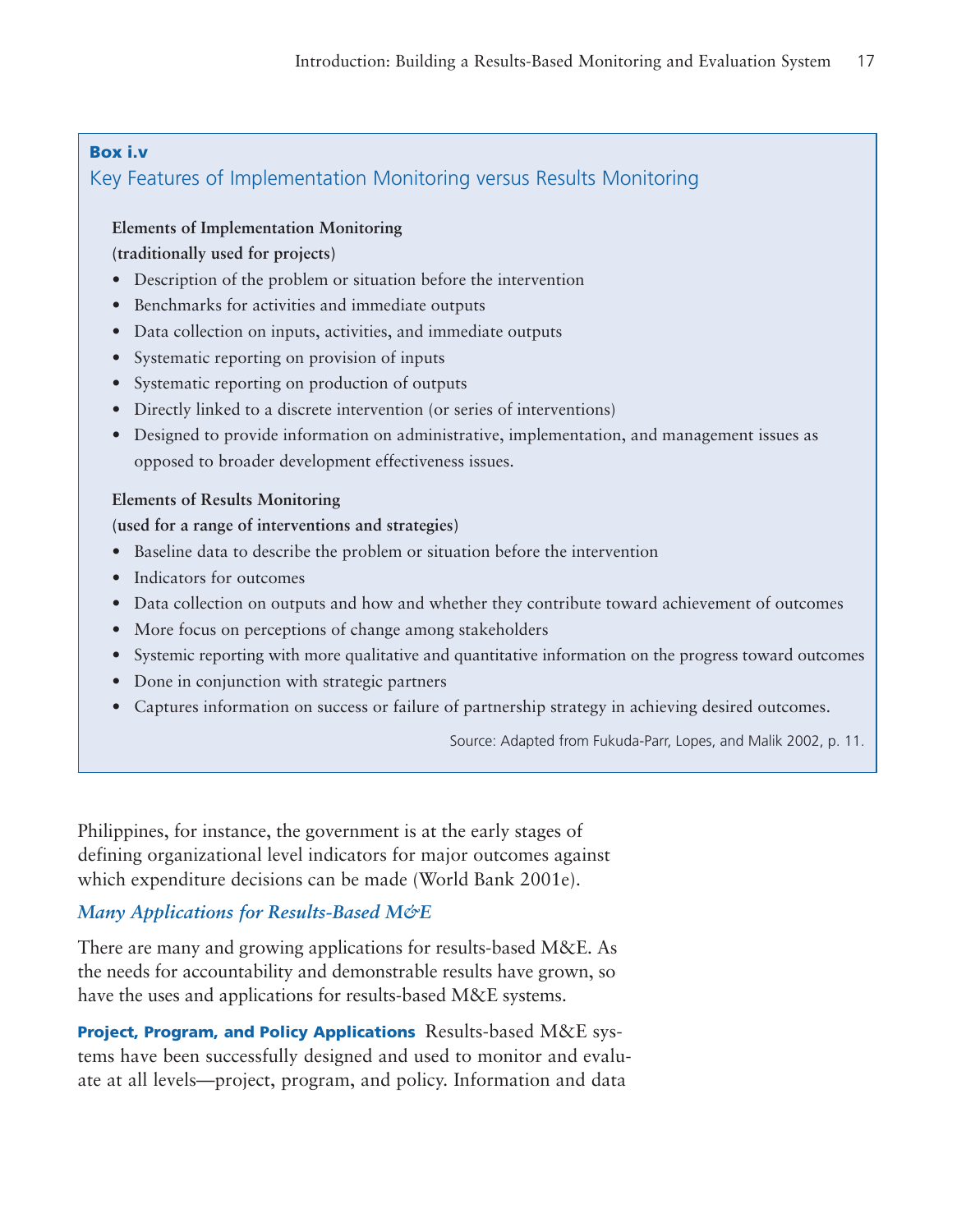### <span id="page-32-0"></span>**Box i.v**  Key Features of Implementation Monitoring versus Results Monitoring

### **Elements of Implementation Monitoring**

**(traditionally used for projects)**

- Description of the problem or situation before the intervention
- Benchmarks for activities and immediate outputs
- Data collection on inputs, activities, and immediate outputs
- Systematic reporting on provision of inputs
- Systematic reporting on production of outputs
- Directly linked to a discrete intervention (or series of interventions)
- Designed to provide information on administrative, implementation, and management issues as opposed to broader development effectiveness issues.

### **Elements of Results Monitoring**

### **(used for a range of interventions and strategies)**

- Baseline data to describe the problem or situation before the intervention
- Indicators for outcomes
- Data collection on outputs and how and whether they contribute toward achievement of outcomes
- More focus on perceptions of change among stakeholders
- Systemic reporting with more qualitative and quantitative information on the progress toward outcomes
- Done in conjunction with strategic partners
- Captures information on success or failure of partnership strategy in achieving desired outcomes.

Source: Adapted from Fukuda-Parr, Lopes, and Malik 2002, p. 11.

Philippines, for instance, the government is at the early stages of defining organizational level indicators for major outcomes against which expenditure decisions can be made (World Bank 2001e).

### *Many Applications for Results-Based M&E*

There are many and growing applications for results-based M&E. As the needs for accountability and demonstrable results have grown, so have the uses and applications for results-based M&E systems.

**Project, Program, and Policy Applications** Results-based M&E systems have been successfully designed and used to monitor and evaluate at all levels—project, program, and policy. Information and data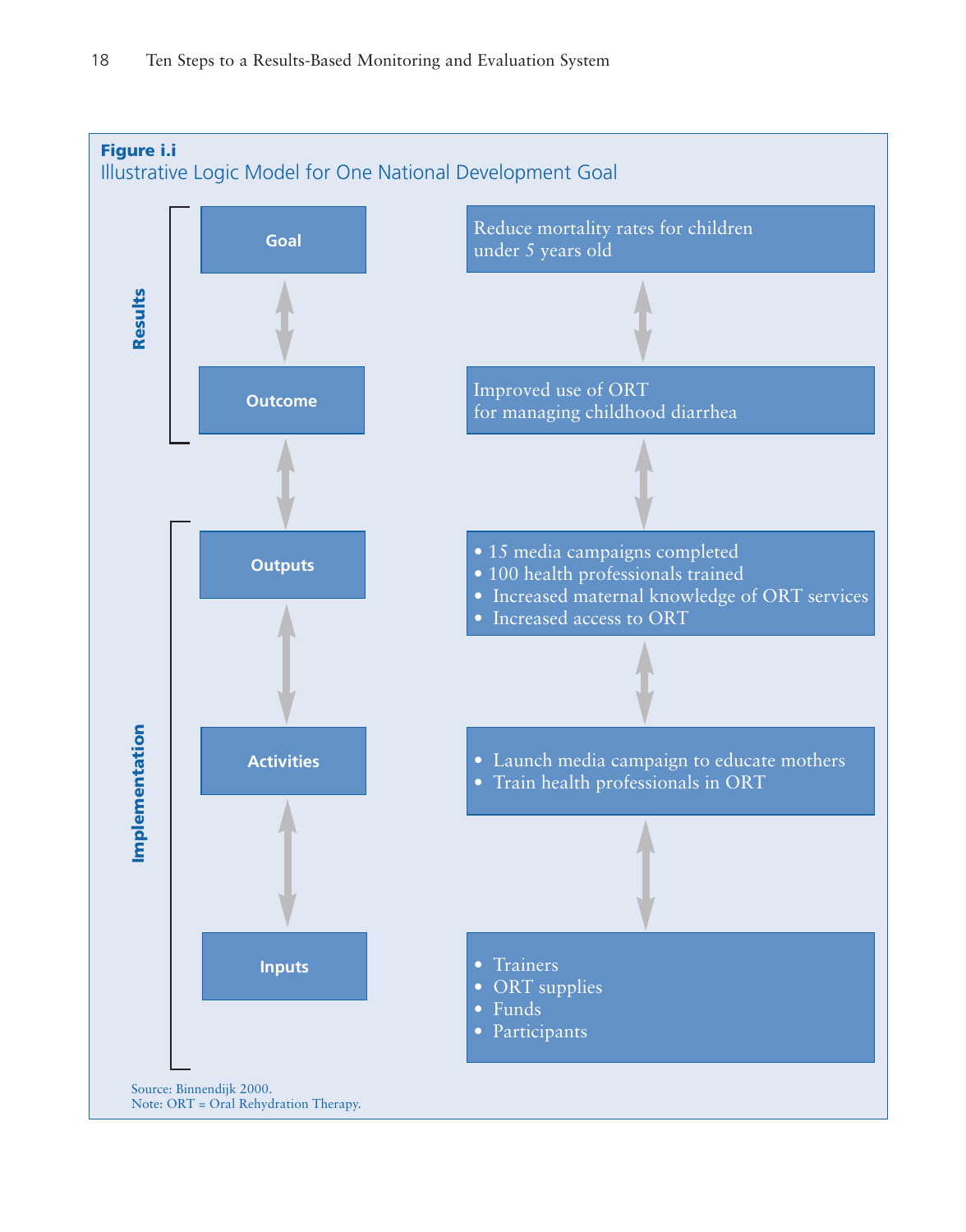<span id="page-33-0"></span>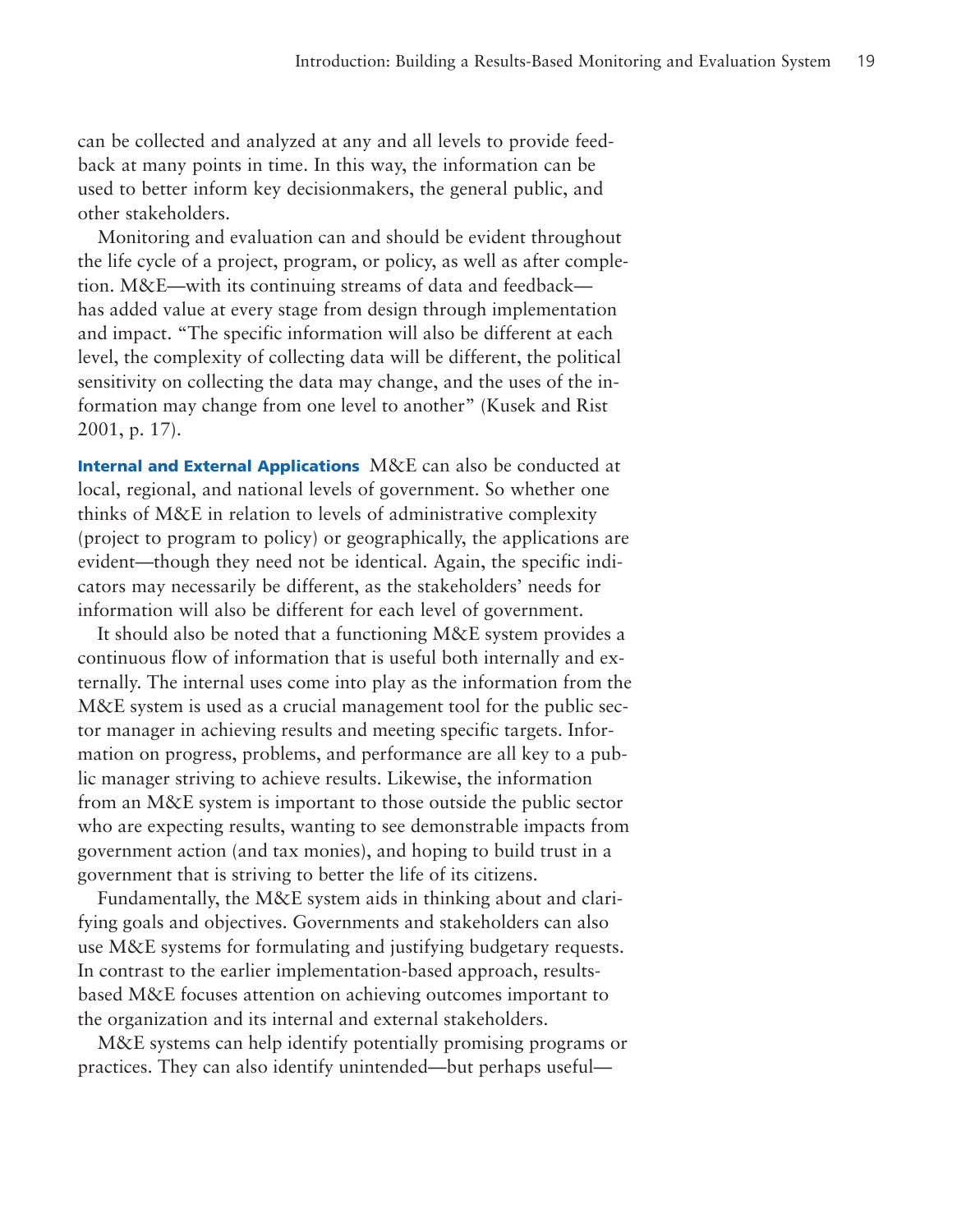can be collected and analyzed at any and all levels to provide feedback at many points in time. In this way, the information can be used to better inform key decisionmakers, the general public, and other stakeholders.

Monitoring and evaluation can and should be evident throughout the life cycle of a project, program, or policy, as well as after completion. M&E—with its continuing streams of data and feedback has added value at every stage from design through implementation and impact. "The specific information will also be different at each level, the complexity of collecting data will be different, the political sensitivity on collecting the data may change, and the uses of the information may change from one level to another" (Kusek and Rist 2001, p. 17).

**Internal and External Applications** M&E can also be conducted at local, regional, and national levels of government. So whether one thinks of M&E in relation to levels of administrative complexity (project to program to policy) or geographically, the applications are evident—though they need not be identical. Again, the specific indicators may necessarily be different, as the stakeholders' needs for information will also be different for each level of government.

It should also be noted that a functioning M&E system provides a continuous flow of information that is useful both internally and externally. The internal uses come into play as the information from the M&E system is used as a crucial management tool for the public sector manager in achieving results and meeting specific targets. Information on progress, problems, and performance are all key to a public manager striving to achieve results. Likewise, the information from an M&E system is important to those outside the public sector who are expecting results, wanting to see demonstrable impacts from government action (and tax monies), and hoping to build trust in a government that is striving to better the life of its citizens.

Fundamentally, the M&E system aids in thinking about and clarifying goals and objectives. Governments and stakeholders can also use M&E systems for formulating and justifying budgetary requests. In contrast to the earlier implementation-based approach, resultsbased M&E focuses attention on achieving outcomes important to the organization and its internal and external stakeholders.

M&E systems can help identify potentially promising programs or practices. They can also identify unintended—but perhaps useful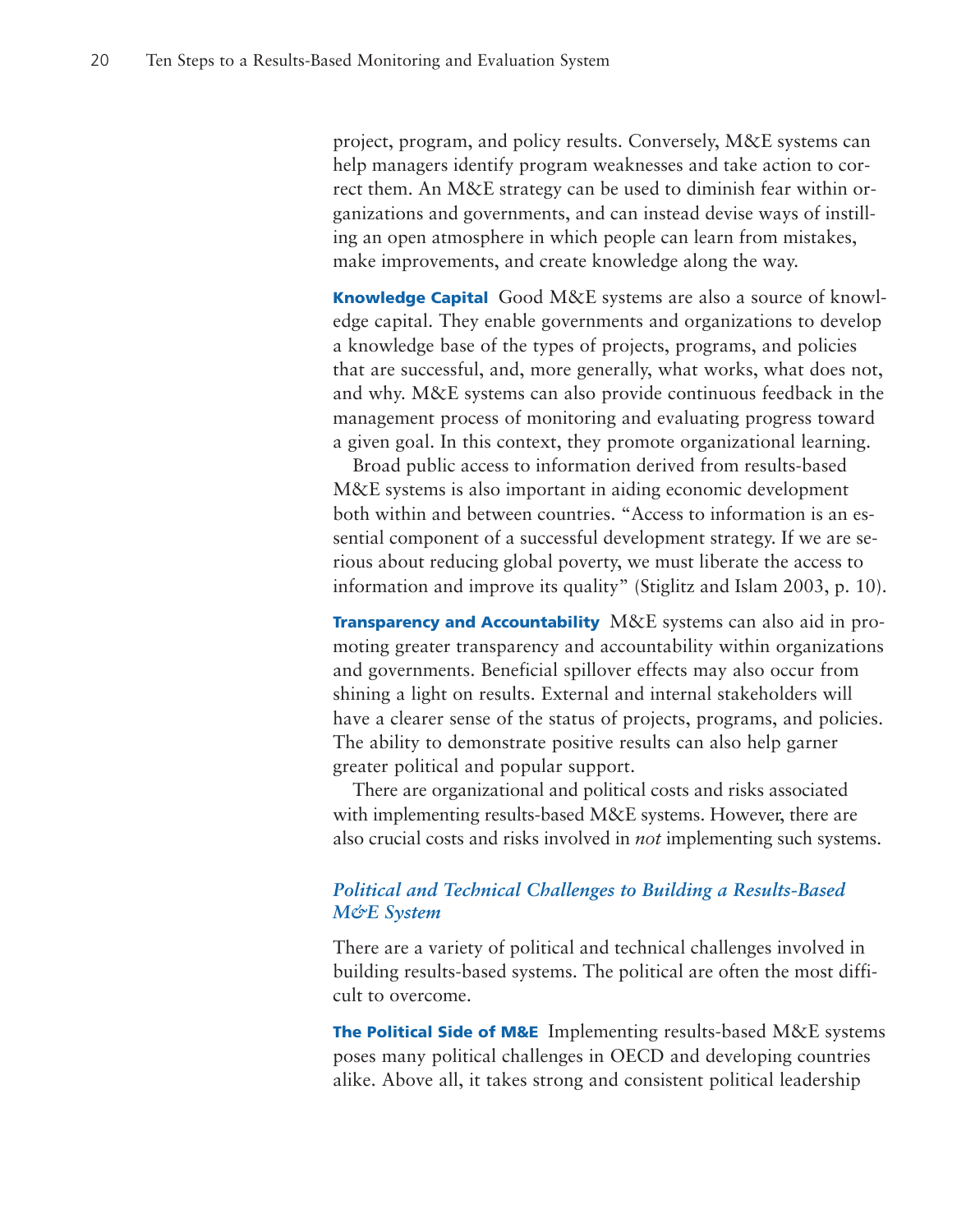<span id="page-35-0"></span>project, program, and policy results. Conversely, M&E systems can help managers identify program weaknesses and take action to correct them. An M&E strategy can be used to diminish fear within organizations and governments, and can instead devise ways of instilling an open atmosphere in which people can learn from mistakes, make improvements, and create knowledge along the way.

**Knowledge Capital** Good M&E systems are also a source of knowledge capital. They enable governments and organizations to develop a knowledge base of the types of projects, programs, and policies that are successful, and, more generally, what works, what does not, and why. M&E systems can also provide continuous feedback in the management process of monitoring and evaluating progress toward a given goal. In this context, they promote organizational learning.

Broad public access to information derived from results-based M&E systems is also important in aiding economic development both within and between countries. "Access to information is an essential component of a successful development strategy. If we are serious about reducing global poverty, we must liberate the access to information and improve its quality" (Stiglitz and Islam 2003, p. 10).

**Transparency and Accountability** M&E systems can also aid in promoting greater transparency and accountability within organizations and governments. Beneficial spillover effects may also occur from shining a light on results. External and internal stakeholders will have a clearer sense of the status of projects, programs, and policies. The ability to demonstrate positive results can also help garner greater political and popular support.

There are organizational and political costs and risks associated with implementing results-based M&E systems. However, there are also crucial costs and risks involved in *not* implementing such systems.

### *Political and Technical Challenges to Building a Results-Based M&E System*

There are a variety of political and technical challenges involved in building results-based systems. The political are often the most difficult to overcome.

**The Political Side of M&E** Implementing results-based M&E systems poses many political challenges in OECD and developing countries alike. Above all, it takes strong and consistent political leadership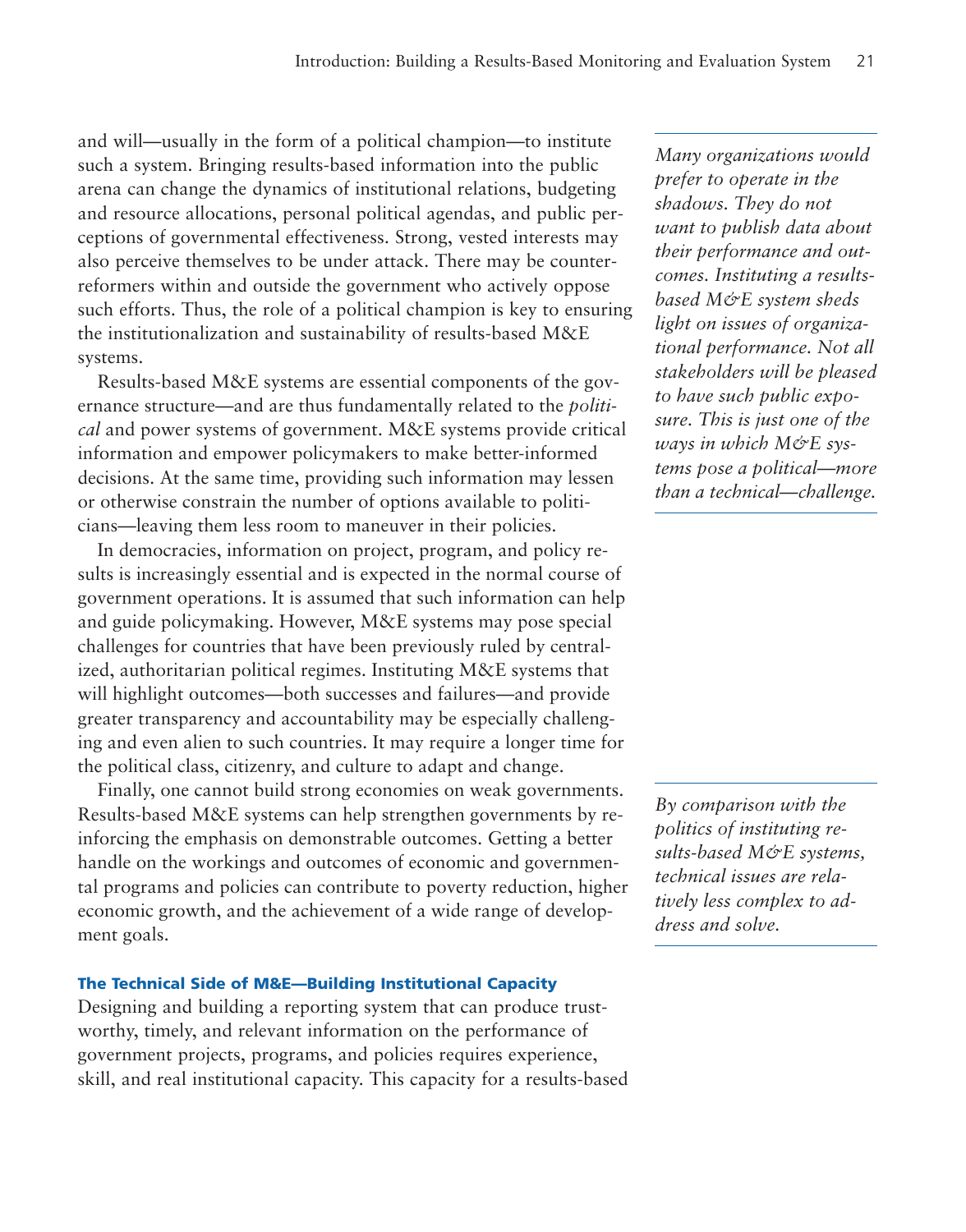and will—usually in the form of a political champion—to institute such a system. Bringing results-based information into the public arena can change the dynamics of institutional relations, budgeting and resource allocations, personal political agendas, and public perceptions of governmental effectiveness. Strong, vested interests may also perceive themselves to be under attack. There may be counterreformers within and outside the government who actively oppose such efforts. Thus, the role of a political champion is key to ensuring the institutionalization and sustainability of results-based M&E systems.

Results-based M&E systems are essential components of the governance structure—and are thus fundamentally related to the *political* and power systems of government. M&E systems provide critical information and empower policymakers to make better-informed decisions. At the same time, providing such information may lessen or otherwise constrain the number of options available to politicians—leaving them less room to maneuver in their policies.

In democracies, information on project, program, and policy results is increasingly essential and is expected in the normal course of government operations. It is assumed that such information can help and guide policymaking. However, M&E systems may pose special challenges for countries that have been previously ruled by centralized, authoritarian political regimes. Instituting M&E systems that will highlight outcomes—both successes and failures—and provide greater transparency and accountability may be especially challenging and even alien to such countries. It may require a longer time for the political class, citizenry, and culture to adapt and change.

Finally, one cannot build strong economies on weak governments. Results-based M&E systems can help strengthen governments by reinforcing the emphasis on demonstrable outcomes. Getting a better handle on the workings and outcomes of economic and governmental programs and policies can contribute to poverty reduction, higher economic growth, and the achievement of a wide range of development goals.

#### **The Technical Side of M&E—Building Institutional Capacity**

Designing and building a reporting system that can produce trustworthy, timely, and relevant information on the performance of government projects, programs, and policies requires experience, skill, and real institutional capacity. This capacity for a results-based *Many organizations would prefer to operate in the shadows. They do not want to publish data about their performance and outcomes. Instituting a resultsbased M&E system sheds light on issues of organizational performance. Not all stakeholders will be pleased to have such public exposure. This is just one of the ways in which M&E systems pose a political—more than a technical—challenge.*

*By comparison with the politics of instituting results-based M&E systems, technical issues are relatively less complex to address and solve.*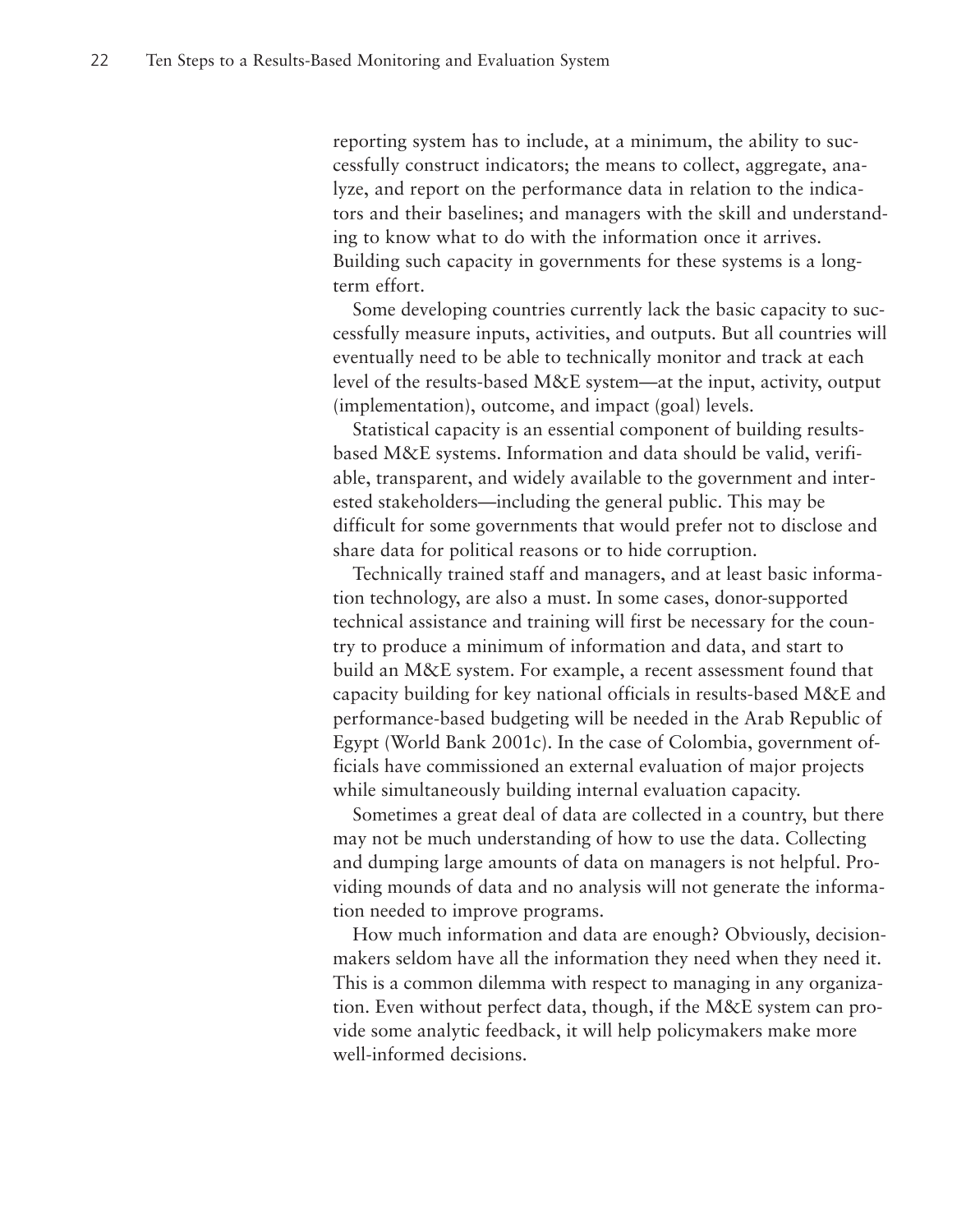reporting system has to include, at a minimum, the ability to successfully construct indicators; the means to collect, aggregate, analyze, and report on the performance data in relation to the indicators and their baselines; and managers with the skill and understanding to know what to do with the information once it arrives. Building such capacity in governments for these systems is a longterm effort.

Some developing countries currently lack the basic capacity to successfully measure inputs, activities, and outputs. But all countries will eventually need to be able to technically monitor and track at each level of the results-based M&E system—at the input, activity, output (implementation), outcome, and impact (goal) levels.

Statistical capacity is an essential component of building resultsbased M&E systems. Information and data should be valid, verifiable, transparent, and widely available to the government and interested stakeholders—including the general public. This may be difficult for some governments that would prefer not to disclose and share data for political reasons or to hide corruption.

Technically trained staff and managers, and at least basic information technology, are also a must. In some cases, donor-supported technical assistance and training will first be necessary for the country to produce a minimum of information and data, and start to build an M&E system. For example, a recent assessment found that capacity building for key national officials in results-based M&E and performance-based budgeting will be needed in the Arab Republic of Egypt (World Bank 2001c). In the case of Colombia, government officials have commissioned an external evaluation of major projects while simultaneously building internal evaluation capacity.

Sometimes a great deal of data are collected in a country, but there may not be much understanding of how to use the data. Collecting and dumping large amounts of data on managers is not helpful. Providing mounds of data and no analysis will not generate the information needed to improve programs.

How much information and data are enough? Obviously, decisionmakers seldom have all the information they need when they need it. This is a common dilemma with respect to managing in any organization. Even without perfect data, though, if the M&E system can provide some analytic feedback, it will help policymakers make more well-informed decisions.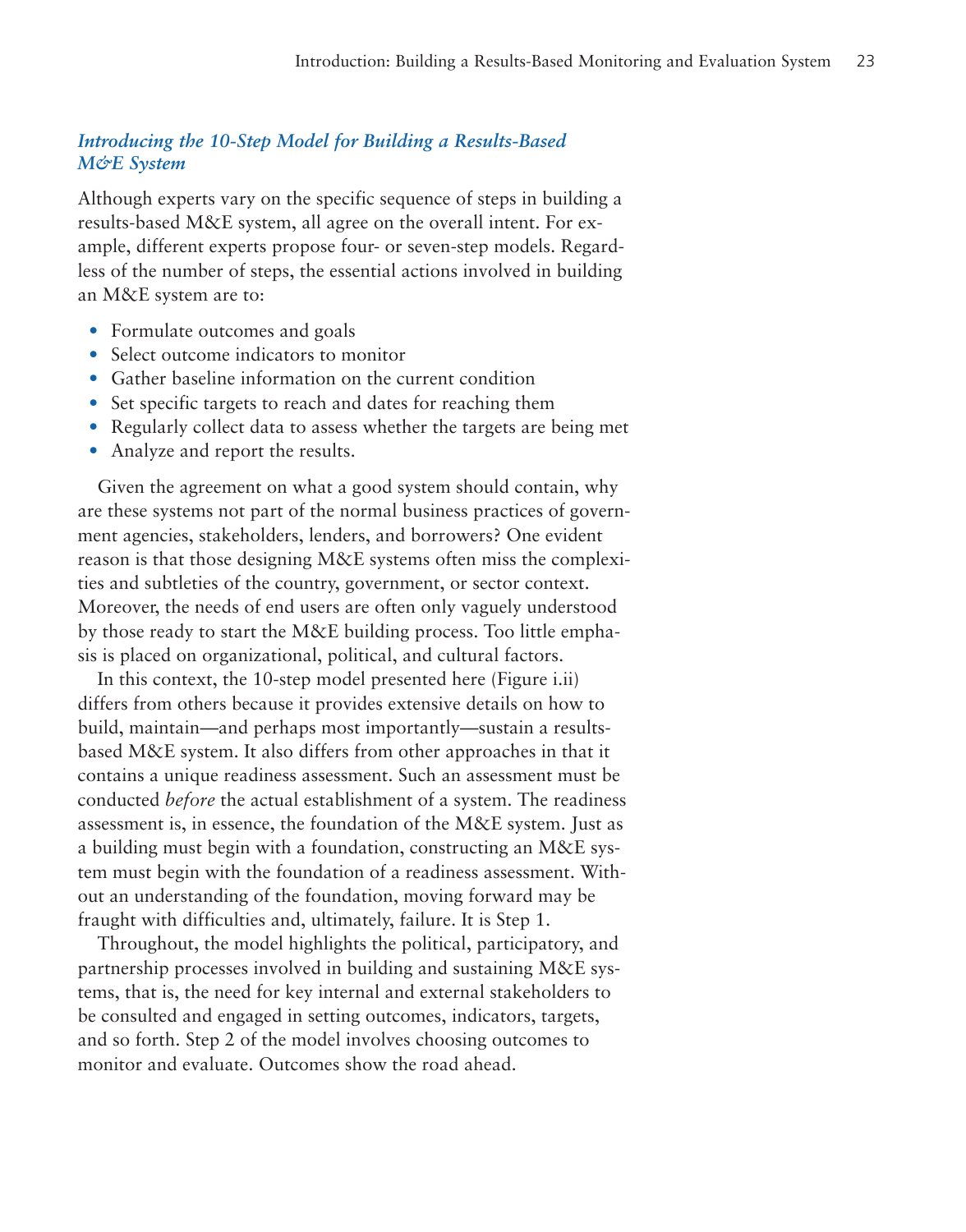## *Introducing the 10-Step Model for Building a Results-Based M&E System*

Although experts vary on the specific sequence of steps in building a results-based M&E system, all agree on the overall intent. For example, different experts propose four- or seven-step models. Regardless of the number of steps, the essential actions involved in building an M&E system are to:

- Formulate outcomes and goals
- Select outcome indicators to monitor
- Gather baseline information on the current condition
- Set specific targets to reach and dates for reaching them
- Regularly collect data to assess whether the targets are being met
- Analyze and report the results.

Given the agreement on what a good system should contain, why are these systems not part of the normal business practices of government agencies, stakeholders, lenders, and borrowers? One evident reason is that those designing M&E systems often miss the complexities and subtleties of the country, government, or sector context. Moreover, the needs of end users are often only vaguely understood by those ready to start the M&E building process. Too little emphasis is placed on organizational, political, and cultural factors.

In this context, the 10-step model presented here (Figure i.ii) differs from others because it provides extensive details on how to build, maintain—and perhaps most importantly—sustain a resultsbased M&E system. It also differs from other approaches in that it contains a unique readiness assessment. Such an assessment must be conducted *before* the actual establishment of a system. The readiness assessment is, in essence, the foundation of the M&E system. Just as a building must begin with a foundation, constructing an M&E system must begin with the foundation of a readiness assessment. Without an understanding of the foundation, moving forward may be fraught with difficulties and, ultimately, failure. It is Step 1.

Throughout, the model highlights the political, participatory, and partnership processes involved in building and sustaining M&E systems, that is, the need for key internal and external stakeholders to be consulted and engaged in setting outcomes, indicators, targets, and so forth. Step 2 of the model involves choosing outcomes to monitor and evaluate. Outcomes show the road ahead.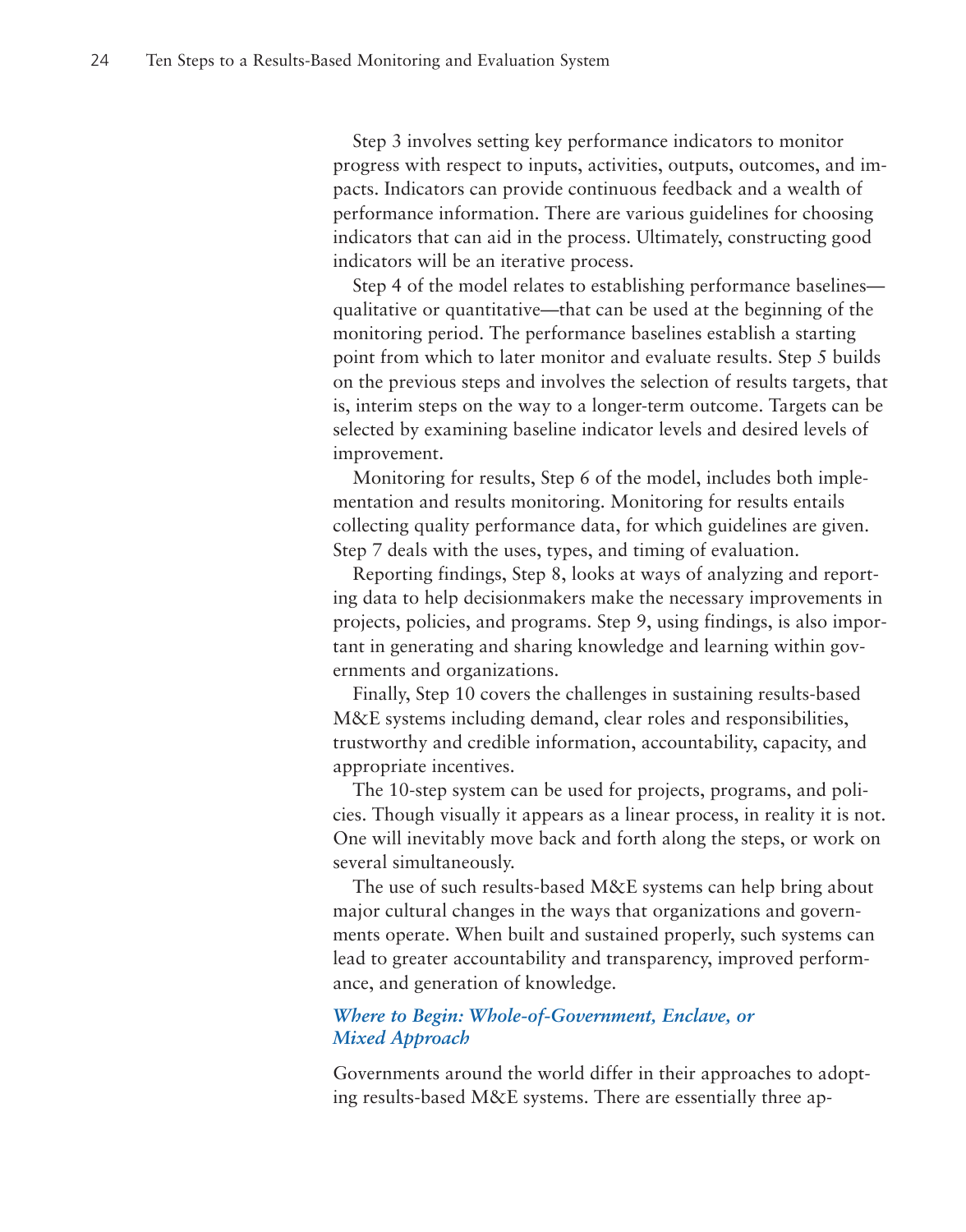Step 3 involves setting key performance indicators to monitor progress with respect to inputs, activities, outputs, outcomes, and impacts. Indicators can provide continuous feedback and a wealth of performance information. There are various guidelines for choosing indicators that can aid in the process. Ultimately, constructing good indicators will be an iterative process.

Step 4 of the model relates to establishing performance baselines qualitative or quantitative—that can be used at the beginning of the monitoring period. The performance baselines establish a starting point from which to later monitor and evaluate results. Step 5 builds on the previous steps and involves the selection of results targets, that is, interim steps on the way to a longer-term outcome. Targets can be selected by examining baseline indicator levels and desired levels of improvement.

Monitoring for results, Step 6 of the model, includes both implementation and results monitoring. Monitoring for results entails collecting quality performance data, for which guidelines are given. Step 7 deals with the uses, types, and timing of evaluation.

Reporting findings, Step 8, looks at ways of analyzing and reporting data to help decisionmakers make the necessary improvements in projects, policies, and programs. Step 9, using findings, is also important in generating and sharing knowledge and learning within governments and organizations.

Finally, Step 10 covers the challenges in sustaining results-based M&E systems including demand, clear roles and responsibilities, trustworthy and credible information, accountability, capacity, and appropriate incentives.

The 10-step system can be used for projects, programs, and policies. Though visually it appears as a linear process, in reality it is not. One will inevitably move back and forth along the steps, or work on several simultaneously.

The use of such results-based M&E systems can help bring about major cultural changes in the ways that organizations and governments operate. When built and sustained properly, such systems can lead to greater accountability and transparency, improved performance, and generation of knowledge.

## *Where to Begin: Whole-of-Government, Enclave, or Mixed Approach*

Governments around the world differ in their approaches to adopting results-based M&E systems. There are essentially three ap-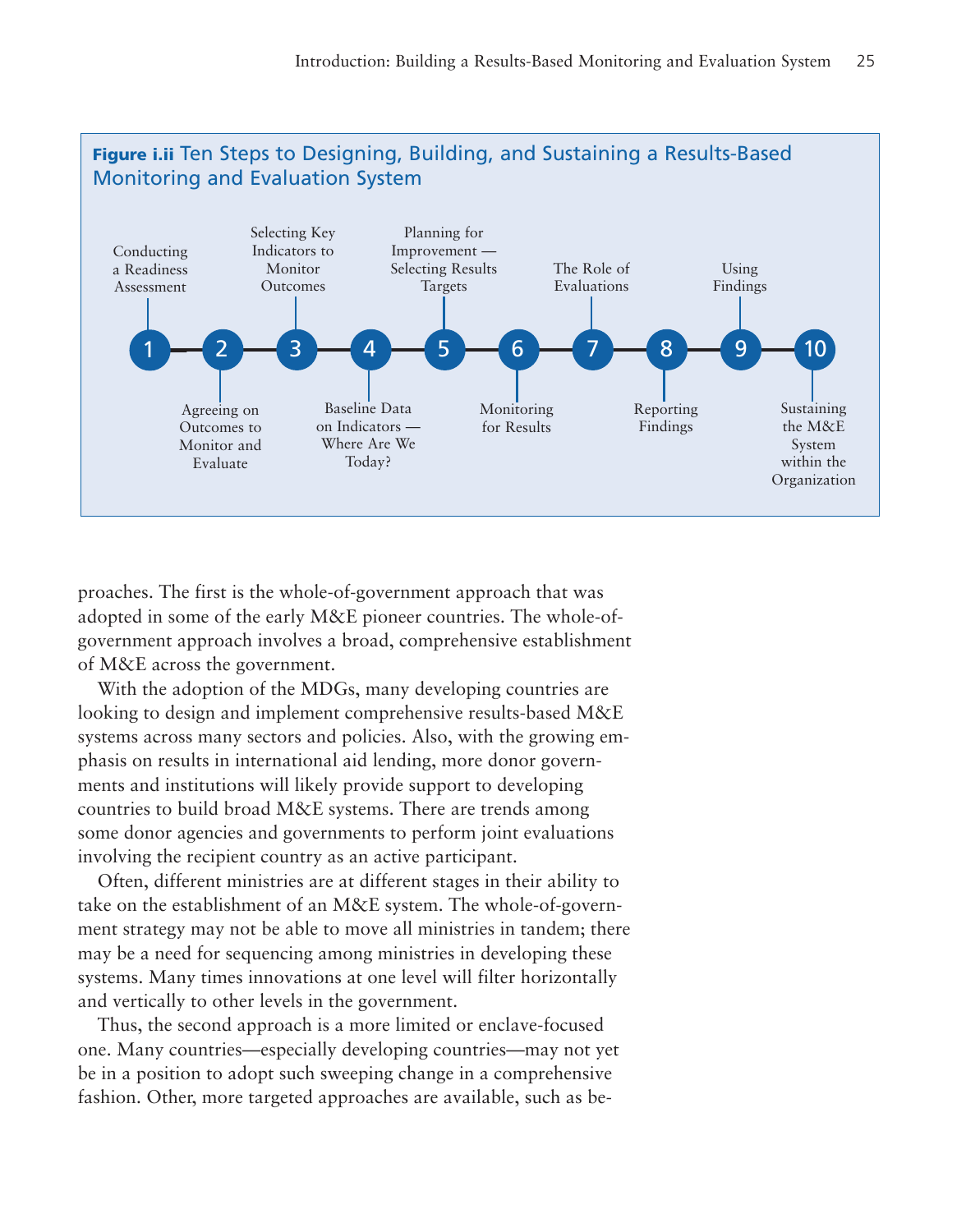

proaches. The first is the whole-of-government approach that was adopted in some of the early M&E pioneer countries. The whole-ofgovernment approach involves a broad, comprehensive establishment of M&E across the government.

With the adoption of the MDGs, many developing countries are looking to design and implement comprehensive results-based M&E systems across many sectors and policies. Also, with the growing emphasis on results in international aid lending, more donor governments and institutions will likely provide support to developing countries to build broad M&E systems. There are trends among some donor agencies and governments to perform joint evaluations involving the recipient country as an active participant.

Often, different ministries are at different stages in their ability to take on the establishment of an M&E system. The whole-of-government strategy may not be able to move all ministries in tandem; there may be a need for sequencing among ministries in developing these systems. Many times innovations at one level will filter horizontally and vertically to other levels in the government.

Thus, the second approach is a more limited or enclave-focused one. Many countries—especially developing countries—may not yet be in a position to adopt such sweeping change in a comprehensive fashion. Other, more targeted approaches are available, such as be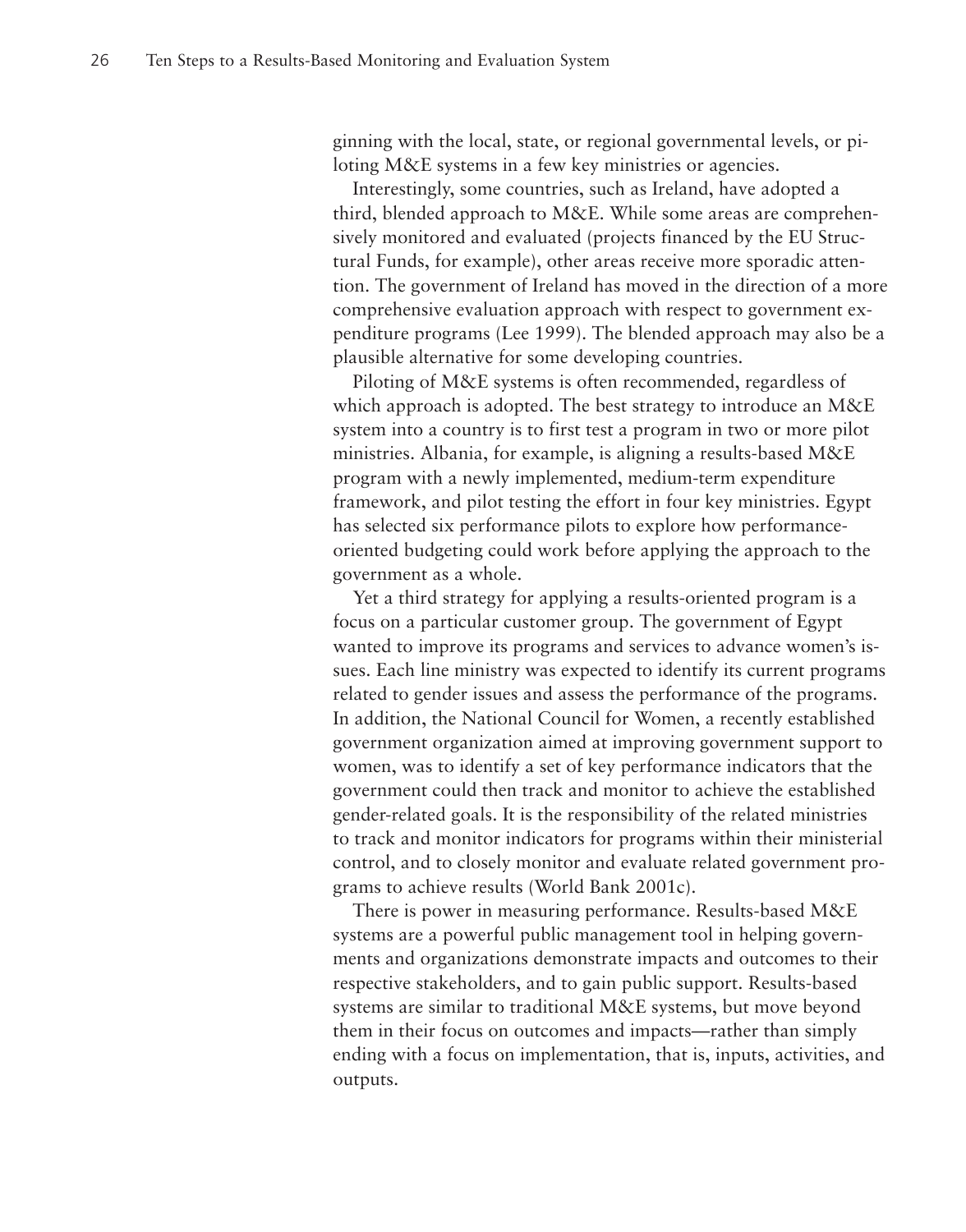ginning with the local, state, or regional governmental levels, or piloting M&E systems in a few key ministries or agencies.

Interestingly, some countries, such as Ireland, have adopted a third, blended approach to M&E. While some areas are comprehensively monitored and evaluated (projects financed by the EU Structural Funds, for example), other areas receive more sporadic attention. The government of Ireland has moved in the direction of a more comprehensive evaluation approach with respect to government expenditure programs (Lee 1999). The blended approach may also be a plausible alternative for some developing countries.

Piloting of M&E systems is often recommended, regardless of which approach is adopted. The best strategy to introduce an M&E system into a country is to first test a program in two or more pilot ministries. Albania, for example, is aligning a results-based M&E program with a newly implemented, medium-term expenditure framework, and pilot testing the effort in four key ministries. Egypt has selected six performance pilots to explore how performanceoriented budgeting could work before applying the approach to the government as a whole.

Yet a third strategy for applying a results-oriented program is a focus on a particular customer group. The government of Egypt wanted to improve its programs and services to advance women's issues. Each line ministry was expected to identify its current programs related to gender issues and assess the performance of the programs. In addition, the National Council for Women, a recently established government organization aimed at improving government support to women, was to identify a set of key performance indicators that the government could then track and monitor to achieve the established gender-related goals. It is the responsibility of the related ministries to track and monitor indicators for programs within their ministerial control, and to closely monitor and evaluate related government programs to achieve results (World Bank 2001c).

There is power in measuring performance. Results-based M&E systems are a powerful public management tool in helping governments and organizations demonstrate impacts and outcomes to their respective stakeholders, and to gain public support. Results-based systems are similar to traditional M&E systems, but move beyond them in their focus on outcomes and impacts—rather than simply ending with a focus on implementation, that is, inputs, activities, and outputs.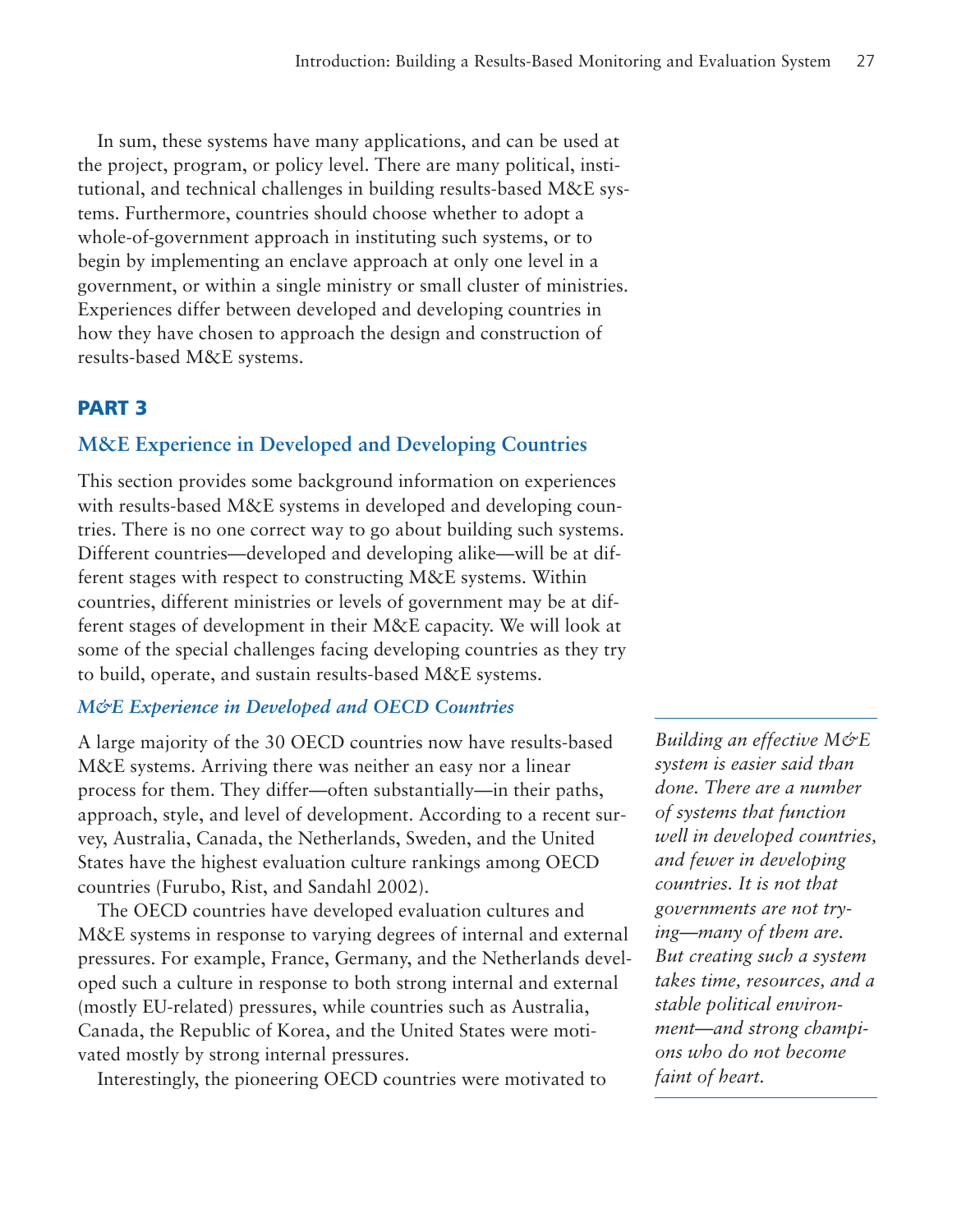In sum, these systems have many applications, and can be used at the project, program, or policy level. There are many political, institutional, and technical challenges in building results-based M&E systems. Furthermore, countries should choose whether to adopt a whole-of-government approach in instituting such systems, or to begin by implementing an enclave approach at only one level in a government, or within a single ministry or small cluster of ministries. Experiences differ between developed and developing countries in how they have chosen to approach the design and construction of results-based M&E systems.

## **PART 3**

## **M&E Experience in Developed and Developing Countries**

This section provides some background information on experiences with results-based M&E systems in developed and developing countries. There is no one correct way to go about building such systems. Different countries—developed and developing alike—will be at different stages with respect to constructing M&E systems. Within countries, different ministries or levels of government may be at different stages of development in their M&E capacity. We will look at some of the special challenges facing developing countries as they try to build, operate, and sustain results-based M&E systems.

#### *M&E Experience in Developed and OECD Countries*

A large majority of the 30 OECD countries now have results-based M&E systems. Arriving there was neither an easy nor a linear process for them. They differ—often substantially—in their paths, approach, style, and level of development. According to a recent survey, Australia, Canada, the Netherlands, Sweden, and the United States have the highest evaluation culture rankings among OECD countries (Furubo, Rist, and Sandahl 2002).

The OECD countries have developed evaluation cultures and M&E systems in response to varying degrees of internal and external pressures. For example, France, Germany, and the Netherlands developed such a culture in response to both strong internal and external (mostly EU-related) pressures, while countries such as Australia, Canada, the Republic of Korea, and the United States were motivated mostly by strong internal pressures.

Interestingly, the pioneering OECD countries were motivated to

*Building an effective M&E system is easier said than done. There are a number of systems that function well in developed countries, and fewer in developing countries. It is not that governments are not trying—many of them are. But creating such a system takes time, resources, and a stable political environment—and strong champions who do not become faint of heart.*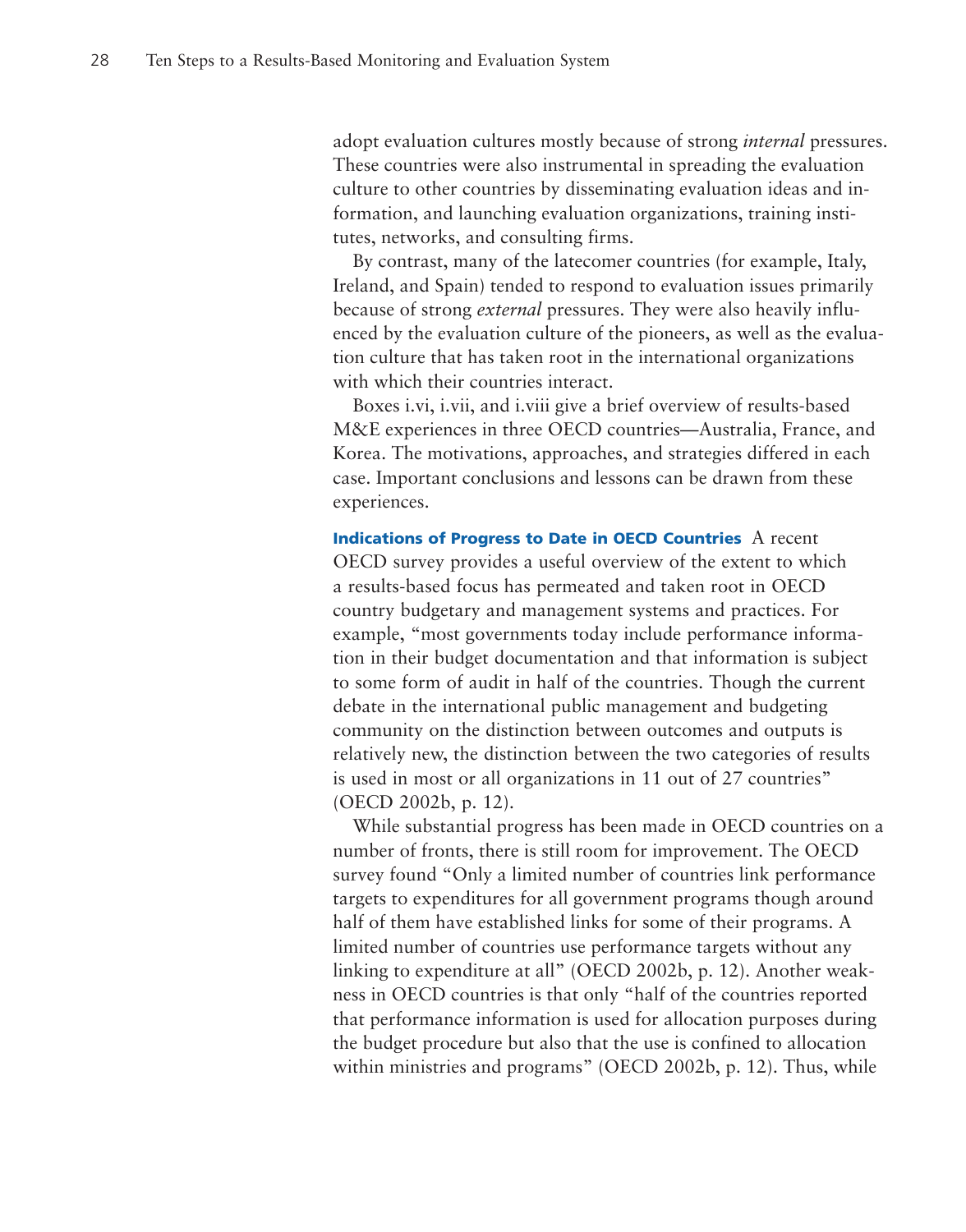adopt evaluation cultures mostly because of strong *internal* pressures. These countries were also instrumental in spreading the evaluation culture to other countries by disseminating evaluation ideas and information, and launching evaluation organizations, training institutes, networks, and consulting firms.

By contrast, many of the latecomer countries (for example, Italy, Ireland, and Spain) tended to respond to evaluation issues primarily because of strong *external* pressures. They were also heavily influenced by the evaluation culture of the pioneers, as well as the evaluation culture that has taken root in the international organizations with which their countries interact.

Boxes i.vi, i.vii, and i.viii give a brief overview of results-based M&E experiences in three OECD countries—Australia, France, and Korea. The motivations, approaches, and strategies differed in each case. Important conclusions and lessons can be drawn from these experiences.

**Indications of Progress to Date in OECD Countries** A recent OECD survey provides a useful overview of the extent to which a results-based focus has permeated and taken root in OECD country budgetary and management systems and practices. For example, "most governments today include performance information in their budget documentation and that information is subject to some form of audit in half of the countries. Though the current debate in the international public management and budgeting community on the distinction between outcomes and outputs is relatively new, the distinction between the two categories of results is used in most or all organizations in 11 out of 27 countries" (OECD 2002b, p. 12).

While substantial progress has been made in OECD countries on a number of fronts, there is still room for improvement. The OECD survey found "Only a limited number of countries link performance targets to expenditures for all government programs though around half of them have established links for some of their programs. A limited number of countries use performance targets without any linking to expenditure at all" (OECD 2002b, p. 12). Another weakness in OECD countries is that only "half of the countries reported that performance information is used for allocation purposes during the budget procedure but also that the use is confined to allocation within ministries and programs" (OECD 2002b, p. 12). Thus, while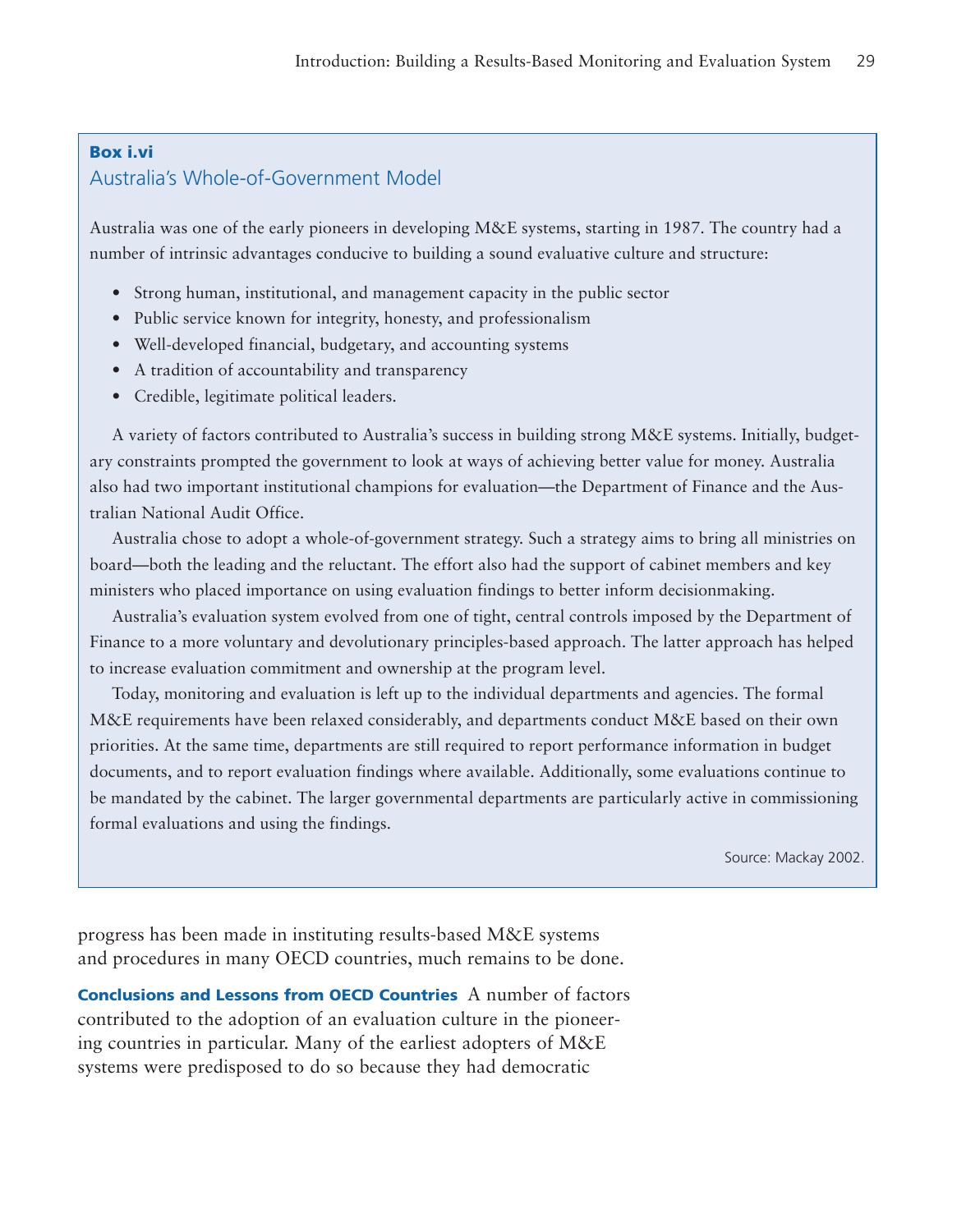# **Box i.vi** Australia's Whole-of-Government Model

Australia was one of the early pioneers in developing M&E systems, starting in 1987. The country had a number of intrinsic advantages conducive to building a sound evaluative culture and structure:

- Strong human, institutional, and management capacity in the public sector
- Public service known for integrity, honesty, and professionalism
- Well-developed financial, budgetary, and accounting systems
- A tradition of accountability and transparency
- Credible, legitimate political leaders.

A variety of factors contributed to Australia's success in building strong M&E systems. Initially, budgetary constraints prompted the government to look at ways of achieving better value for money. Australia also had two important institutional champions for evaluation—the Department of Finance and the Australian National Audit Office.

Australia chose to adopt a whole-of-government strategy. Such a strategy aims to bring all ministries on board—both the leading and the reluctant. The effort also had the support of cabinet members and key ministers who placed importance on using evaluation findings to better inform decisionmaking.

Australia's evaluation system evolved from one of tight, central controls imposed by the Department of Finance to a more voluntary and devolutionary principles-based approach. The latter approach has helped to increase evaluation commitment and ownership at the program level.

Today, monitoring and evaluation is left up to the individual departments and agencies. The formal M&E requirements have been relaxed considerably, and departments conduct M&E based on their own priorities. At the same time, departments are still required to report performance information in budget documents, and to report evaluation findings where available. Additionally, some evaluations continue to be mandated by the cabinet. The larger governmental departments are particularly active in commissioning formal evaluations and using the findings.

Source: Mackay 2002.

progress has been made in instituting results-based M&E systems and procedures in many OECD countries, much remains to be done.

**Conclusions and Lessons from OECD Countries** A number of factors contributed to the adoption of an evaluation culture in the pioneering countries in particular. Many of the earliest adopters of M&E systems were predisposed to do so because they had democratic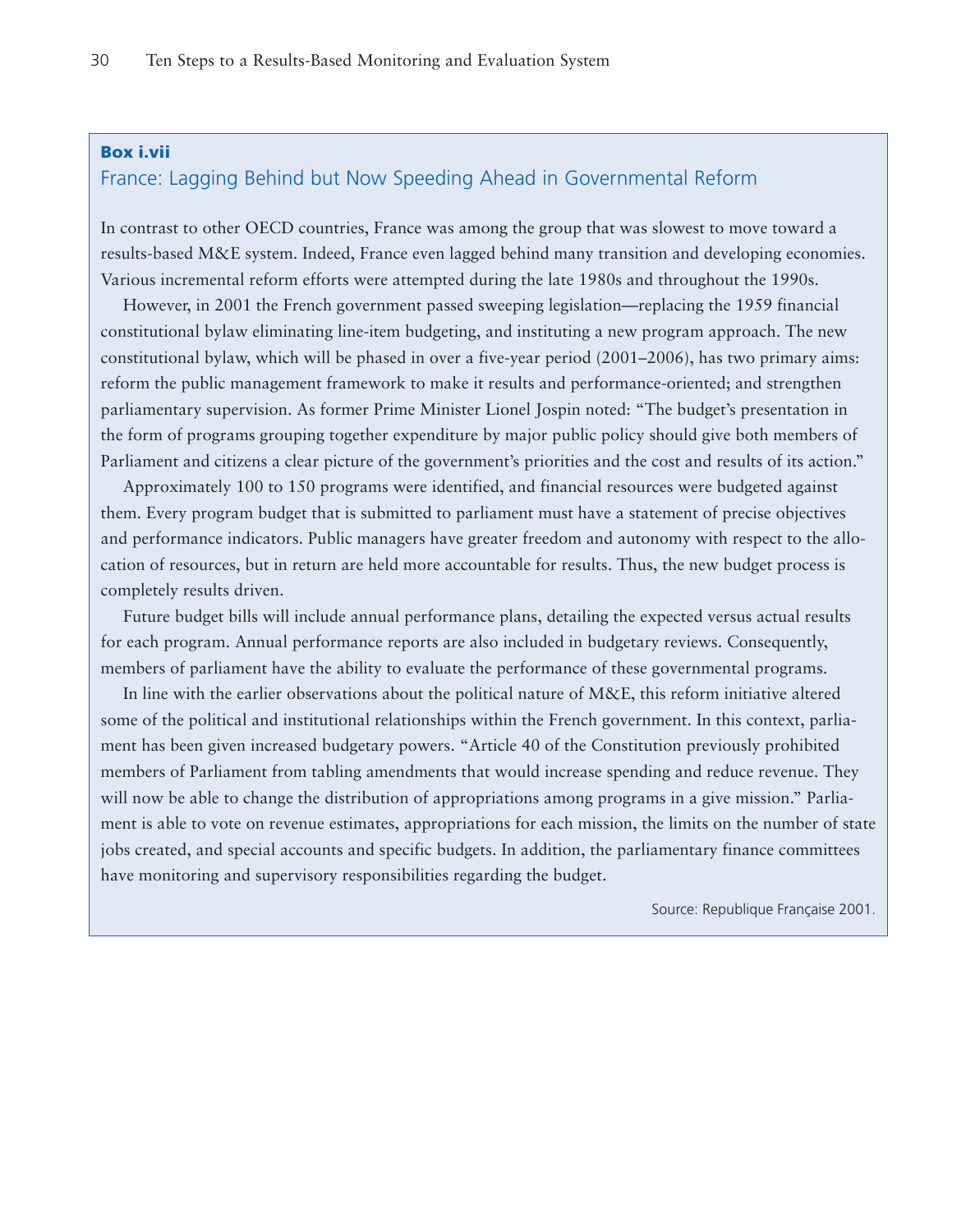#### **Box i.vii**

# France: Lagging Behind but Now Speeding Ahead in Governmental Reform

In contrast to other OECD countries, France was among the group that was slowest to move toward a results-based M&E system. Indeed, France even lagged behind many transition and developing economies. Various incremental reform efforts were attempted during the late 1980s and throughout the 1990s.

However, in 2001 the French government passed sweeping legislation—replacing the 1959 financial constitutional bylaw eliminating line-item budgeting, and instituting a new program approach. The new constitutional bylaw, which will be phased in over a five-year period (2001–2006), has two primary aims: reform the public management framework to make it results and performance-oriented; and strengthen parliamentary supervision. As former Prime Minister Lionel Jospin noted: "The budget's presentation in the form of programs grouping together expenditure by major public policy should give both members of Parliament and citizens a clear picture of the government's priorities and the cost and results of its action."

Approximately 100 to 150 programs were identified, and financial resources were budgeted against them. Every program budget that is submitted to parliament must have a statement of precise objectives and performance indicators. Public managers have greater freedom and autonomy with respect to the allocation of resources, but in return are held more accountable for results. Thus, the new budget process is completely results driven.

Future budget bills will include annual performance plans, detailing the expected versus actual results for each program. Annual performance reports are also included in budgetary reviews. Consequently, members of parliament have the ability to evaluate the performance of these governmental programs.

In line with the earlier observations about the political nature of M&E, this reform initiative altered some of the political and institutional relationships within the French government. In this context, parliament has been given increased budgetary powers. "Article 40 of the Constitution previously prohibited members of Parliament from tabling amendments that would increase spending and reduce revenue. They will now be able to change the distribution of appropriations among programs in a give mission." Parliament is able to vote on revenue estimates, appropriations for each mission, the limits on the number of state jobs created, and special accounts and specific budgets. In addition, the parliamentary finance committees have monitoring and supervisory responsibilities regarding the budget.

Source: Republique Française 2001.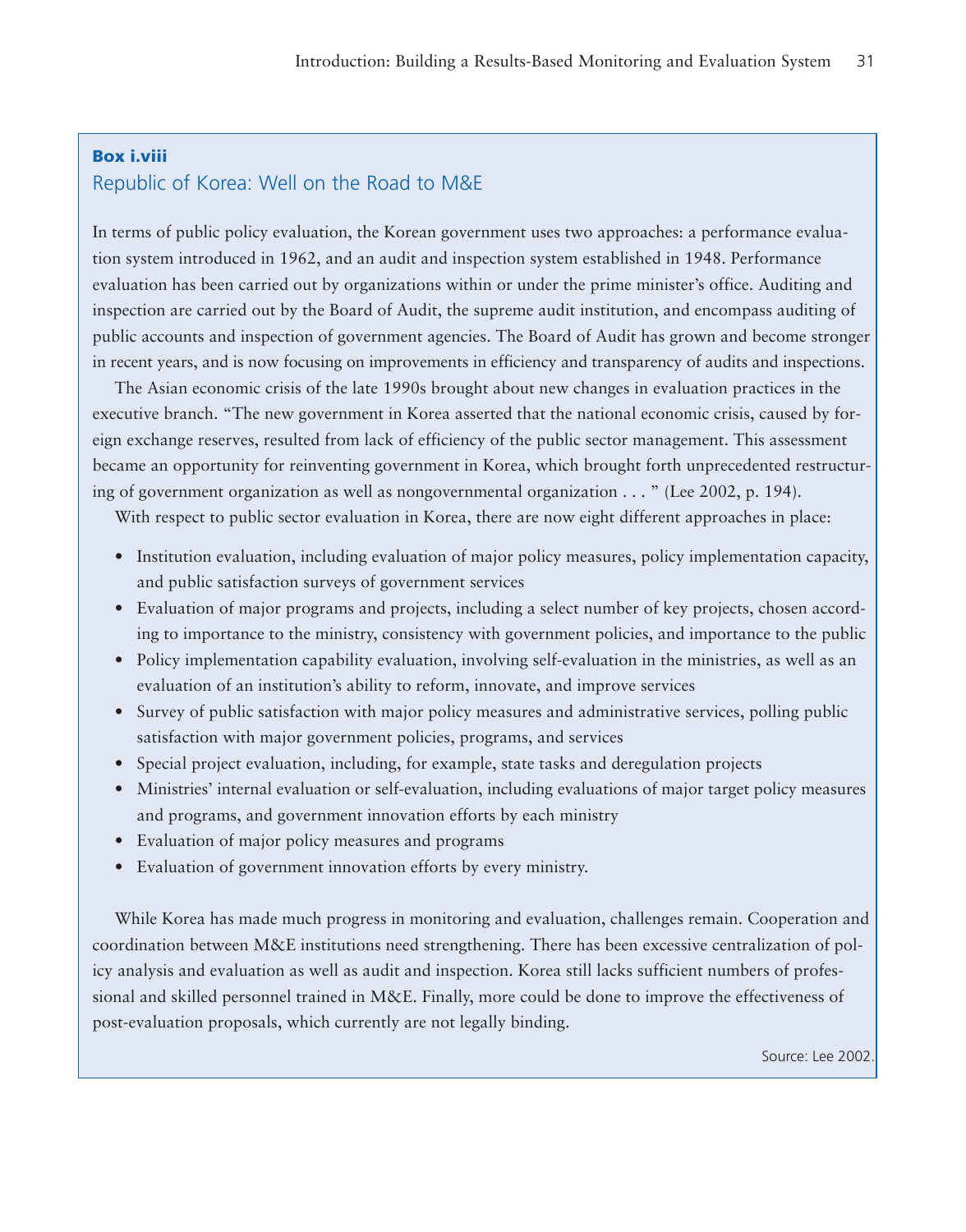#### **Box i.viii**

# Republic of Korea: Well on the Road to M&E

In terms of public policy evaluation, the Korean government uses two approaches: a performance evaluation system introduced in 1962, and an audit and inspection system established in 1948. Performance evaluation has been carried out by organizations within or under the prime minister's office. Auditing and inspection are carried out by the Board of Audit, the supreme audit institution, and encompass auditing of public accounts and inspection of government agencies. The Board of Audit has grown and become stronger in recent years, and is now focusing on improvements in efficiency and transparency of audits and inspections.

The Asian economic crisis of the late 1990s brought about new changes in evaluation practices in the executive branch. "The new government in Korea asserted that the national economic crisis, caused by foreign exchange reserves, resulted from lack of efficiency of the public sector management. This assessment became an opportunity for reinventing government in Korea, which brought forth unprecedented restructuring of government organization as well as nongovernmental organization . . . " (Lee 2002, p. 194).

With respect to public sector evaluation in Korea, there are now eight different approaches in place:

- Institution evaluation, including evaluation of major policy measures, policy implementation capacity, and public satisfaction surveys of government services
- Evaluation of major programs and projects, including a select number of key projects, chosen according to importance to the ministry, consistency with government policies, and importance to the public
- Policy implementation capability evaluation, involving self-evaluation in the ministries, as well as an evaluation of an institution's ability to reform, innovate, and improve services
- Survey of public satisfaction with major policy measures and administrative services, polling public satisfaction with major government policies, programs, and services
- Special project evaluation, including, for example, state tasks and deregulation projects
- Ministries' internal evaluation or self-evaluation, including evaluations of major target policy measures and programs, and government innovation efforts by each ministry
- Evaluation of major policy measures and programs
- Evaluation of government innovation efforts by every ministry.

While Korea has made much progress in monitoring and evaluation, challenges remain. Cooperation and coordination between M&E institutions need strengthening. There has been excessive centralization of policy analysis and evaluation as well as audit and inspection. Korea still lacks sufficient numbers of professional and skilled personnel trained in M&E. Finally, more could be done to improve the effectiveness of post-evaluation proposals, which currently are not legally binding.

Source: Lee 2002.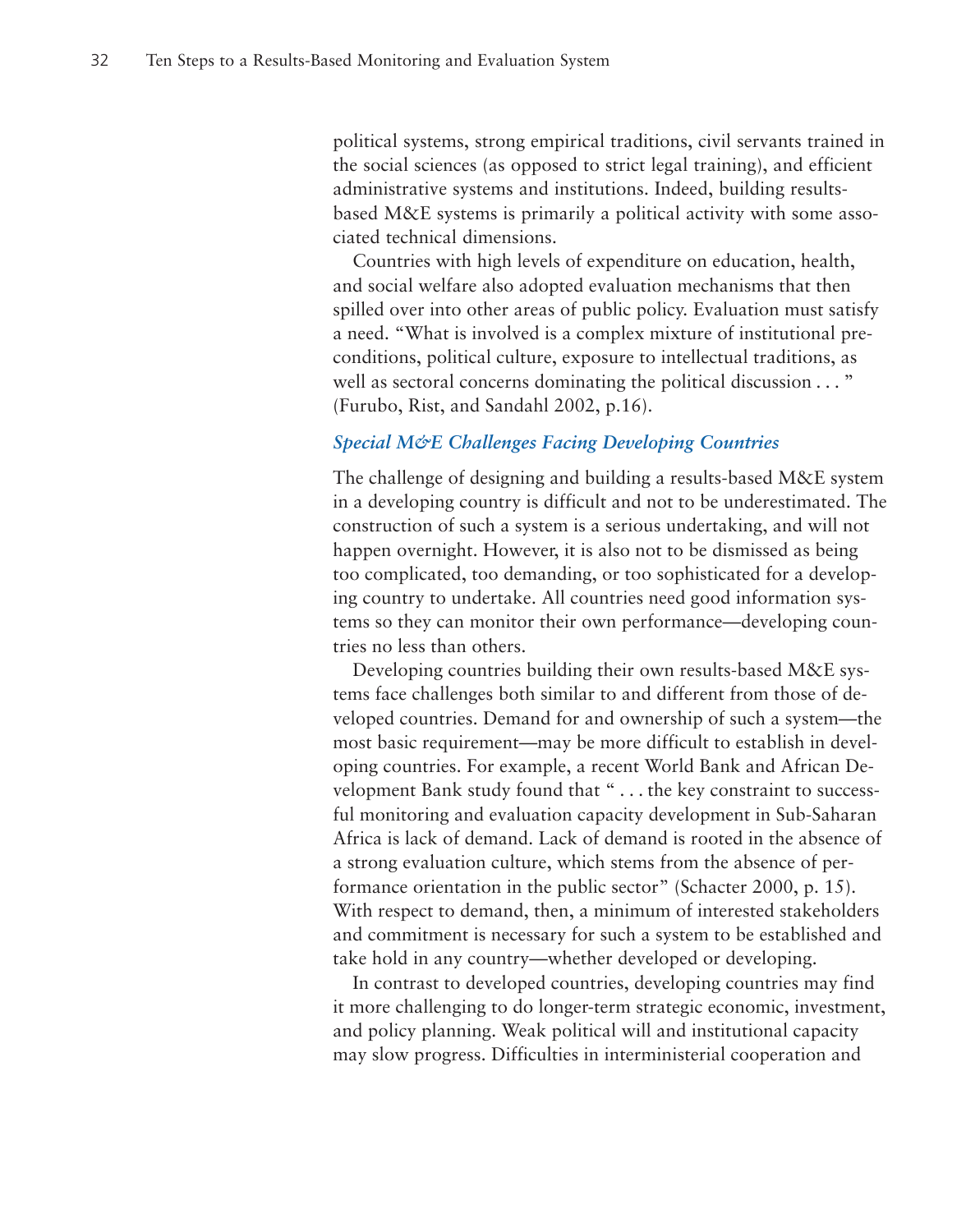political systems, strong empirical traditions, civil servants trained in the social sciences (as opposed to strict legal training), and efficient administrative systems and institutions. Indeed, building resultsbased M&E systems is primarily a political activity with some associated technical dimensions.

Countries with high levels of expenditure on education, health, and social welfare also adopted evaluation mechanisms that then spilled over into other areas of public policy. Evaluation must satisfy a need. "What is involved is a complex mixture of institutional preconditions, political culture, exposure to intellectual traditions, as well as sectoral concerns dominating the political discussion . . . " (Furubo, Rist, and Sandahl 2002, p.16).

#### *Special M&E Challenges Facing Developing Countries*

The challenge of designing and building a results-based M&E system in a developing country is difficult and not to be underestimated. The construction of such a system is a serious undertaking, and will not happen overnight. However, it is also not to be dismissed as being too complicated, too demanding, or too sophisticated for a developing country to undertake. All countries need good information systems so they can monitor their own performance—developing countries no less than others.

Developing countries building their own results-based M&E systems face challenges both similar to and different from those of developed countries. Demand for and ownership of such a system—the most basic requirement—may be more difficult to establish in developing countries. For example, a recent World Bank and African Development Bank study found that " . . . the key constraint to successful monitoring and evaluation capacity development in Sub-Saharan Africa is lack of demand. Lack of demand is rooted in the absence of a strong evaluation culture, which stems from the absence of performance orientation in the public sector" (Schacter 2000, p. 15). With respect to demand, then, a minimum of interested stakeholders and commitment is necessary for such a system to be established and take hold in any country—whether developed or developing.

In contrast to developed countries, developing countries may find it more challenging to do longer-term strategic economic, investment, and policy planning. Weak political will and institutional capacity may slow progress. Difficulties in interministerial cooperation and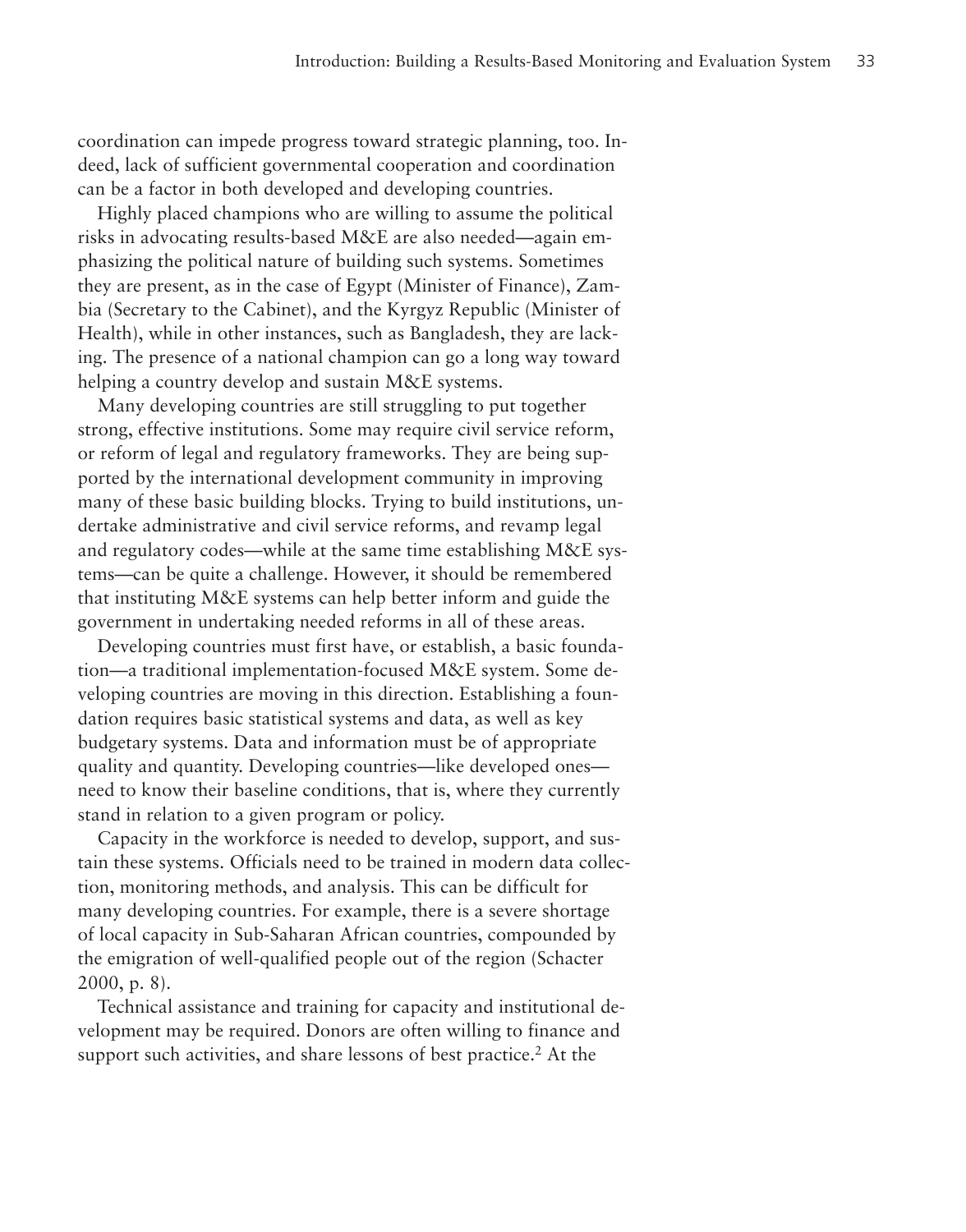coordination can impede progress toward strategic planning, too. Indeed, lack of sufficient governmental cooperation and coordination can be a factor in both developed and developing countries.

Highly placed champions who are willing to assume the political risks in advocating results-based M&E are also needed—again emphasizing the political nature of building such systems. Sometimes they are present, as in the case of Egypt (Minister of Finance), Zambia (Secretary to the Cabinet), and the Kyrgyz Republic (Minister of Health), while in other instances, such as Bangladesh, they are lacking. The presence of a national champion can go a long way toward helping a country develop and sustain M&E systems.

Many developing countries are still struggling to put together strong, effective institutions. Some may require civil service reform, or reform of legal and regulatory frameworks. They are being supported by the international development community in improving many of these basic building blocks. Trying to build institutions, undertake administrative and civil service reforms, and revamp legal and regulatory codes—while at the same time establishing M&E systems—can be quite a challenge. However, it should be remembered that instituting M&E systems can help better inform and guide the government in undertaking needed reforms in all of these areas.

Developing countries must first have, or establish, a basic foundation—a traditional implementation-focused M&E system. Some developing countries are moving in this direction. Establishing a foundation requires basic statistical systems and data, as well as key budgetary systems. Data and information must be of appropriate quality and quantity. Developing countries—like developed ones need to know their baseline conditions, that is, where they currently stand in relation to a given program or policy.

Capacity in the workforce is needed to develop, support, and sustain these systems. Officials need to be trained in modern data collection, monitoring methods, and analysis. This can be difficult for many developing countries. For example, there is a severe shortage of local capacity in Sub-Saharan African countries, compounded by the emigration of well-qualified people out of the region (Schacter 2000, p. 8).

Technical assistance and training for capacity and institutional development may be required. Donors are often willing to finance and support such activities, and share lessons of best practice.<sup>2</sup> At the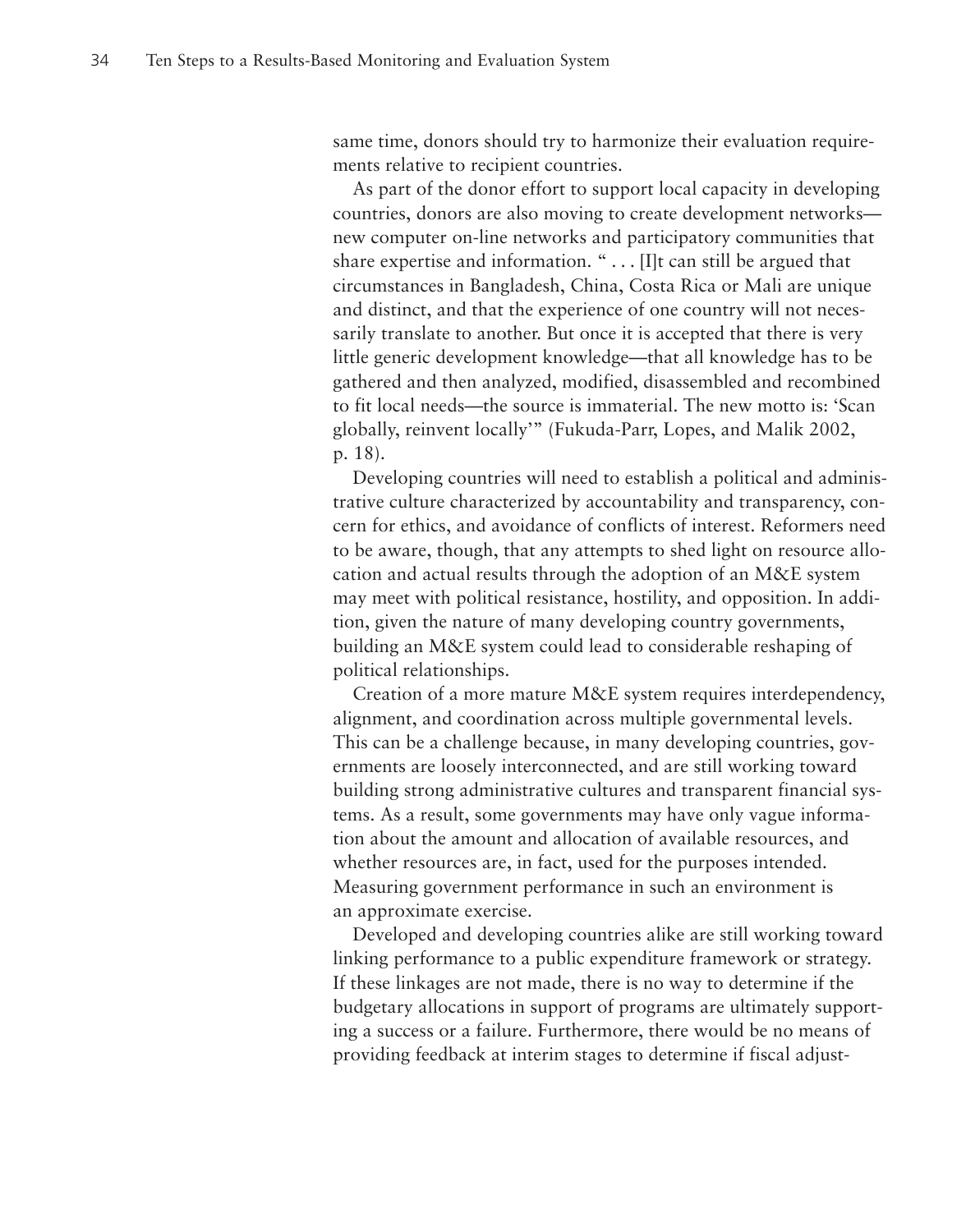same time, donors should try to harmonize their evaluation requirements relative to recipient countries.

As part of the donor effort to support local capacity in developing countries, donors are also moving to create development networks new computer on-line networks and participatory communities that share expertise and information. " . . . [I]t can still be argued that circumstances in Bangladesh, China, Costa Rica or Mali are unique and distinct, and that the experience of one country will not necessarily translate to another. But once it is accepted that there is very little generic development knowledge—that all knowledge has to be gathered and then analyzed, modified, disassembled and recombined to fit local needs—the source is immaterial. The new motto is: 'Scan globally, reinvent locally'" (Fukuda-Parr, Lopes, and Malik 2002, p. 18).

Developing countries will need to establish a political and administrative culture characterized by accountability and transparency, concern for ethics, and avoidance of conflicts of interest. Reformers need to be aware, though, that any attempts to shed light on resource allocation and actual results through the adoption of an M&E system may meet with political resistance, hostility, and opposition. In addition, given the nature of many developing country governments, building an M&E system could lead to considerable reshaping of political relationships.

Creation of a more mature M&E system requires interdependency, alignment, and coordination across multiple governmental levels. This can be a challenge because, in many developing countries, governments are loosely interconnected, and are still working toward building strong administrative cultures and transparent financial systems. As a result, some governments may have only vague information about the amount and allocation of available resources, and whether resources are, in fact, used for the purposes intended. Measuring government performance in such an environment is an approximate exercise.

Developed and developing countries alike are still working toward linking performance to a public expenditure framework or strategy. If these linkages are not made, there is no way to determine if the budgetary allocations in support of programs are ultimately supporting a success or a failure. Furthermore, there would be no means of providing feedback at interim stages to determine if fiscal adjust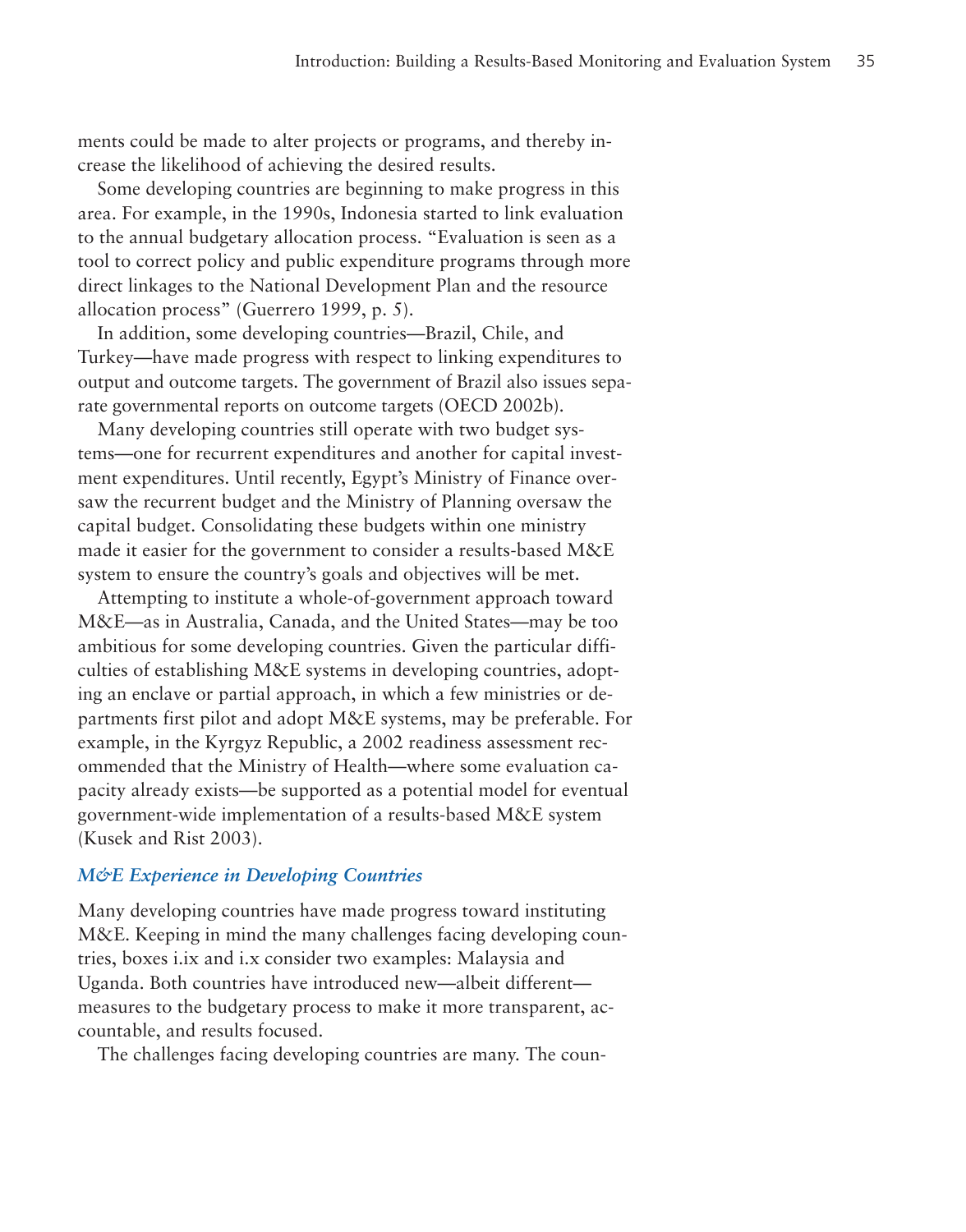ments could be made to alter projects or programs, and thereby increase the likelihood of achieving the desired results.

Some developing countries are beginning to make progress in this area. For example, in the 1990s, Indonesia started to link evaluation to the annual budgetary allocation process. "Evaluation is seen as a tool to correct policy and public expenditure programs through more direct linkages to the National Development Plan and the resource allocation process" (Guerrero 1999, p. 5).

In addition, some developing countries—Brazil, Chile, and Turkey—have made progress with respect to linking expenditures to output and outcome targets. The government of Brazil also issues separate governmental reports on outcome targets (OECD 2002b).

Many developing countries still operate with two budget systems—one for recurrent expenditures and another for capital investment expenditures. Until recently, Egypt's Ministry of Finance oversaw the recurrent budget and the Ministry of Planning oversaw the capital budget. Consolidating these budgets within one ministry made it easier for the government to consider a results-based M&E system to ensure the country's goals and objectives will be met.

Attempting to institute a whole-of-government approach toward M&E—as in Australia, Canada, and the United States—may be too ambitious for some developing countries. Given the particular difficulties of establishing M&E systems in developing countries, adopting an enclave or partial approach, in which a few ministries or departments first pilot and adopt M&E systems, may be preferable. For example, in the Kyrgyz Republic, a 2002 readiness assessment recommended that the Ministry of Health—where some evaluation capacity already exists—be supported as a potential model for eventual government-wide implementation of a results-based M&E system (Kusek and Rist 2003).

#### *M&E Experience in Developing Countries*

Many developing countries have made progress toward instituting M&E. Keeping in mind the many challenges facing developing countries, boxes i.ix and i.x consider two examples: Malaysia and Uganda. Both countries have introduced new—albeit different measures to the budgetary process to make it more transparent, accountable, and results focused.

The challenges facing developing countries are many. The coun-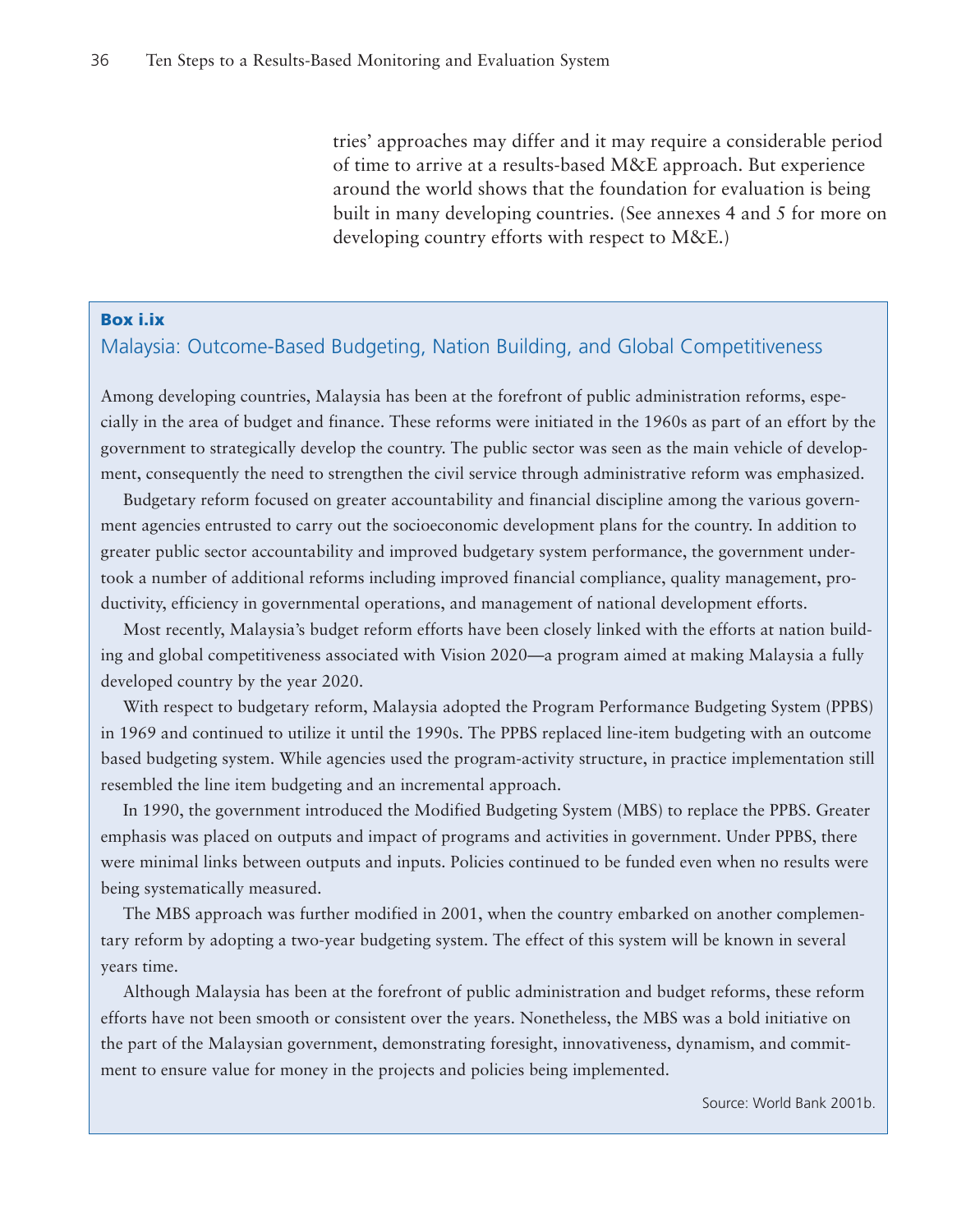tries' approaches may differ and it may require a considerable period of time to arrive at a results-based M&E approach. But experience around the world shows that the foundation for evaluation is being built in many developing countries. (See annexes 4 and 5 for more on developing country efforts with respect to M&E.)

# **Box i.ix** Malaysia: Outcome-Based Budgeting, Nation Building, and Global Competitiveness

Among developing countries, Malaysia has been at the forefront of public administration reforms, especially in the area of budget and finance. These reforms were initiated in the 1960s as part of an effort by the government to strategically develop the country. The public sector was seen as the main vehicle of development, consequently the need to strengthen the civil service through administrative reform was emphasized.

Budgetary reform focused on greater accountability and financial discipline among the various government agencies entrusted to carry out the socioeconomic development plans for the country. In addition to greater public sector accountability and improved budgetary system performance, the government undertook a number of additional reforms including improved financial compliance, quality management, productivity, efficiency in governmental operations, and management of national development efforts.

Most recently, Malaysia's budget reform efforts have been closely linked with the efforts at nation building and global competitiveness associated with Vision 2020—a program aimed at making Malaysia a fully developed country by the year 2020.

With respect to budgetary reform, Malaysia adopted the Program Performance Budgeting System (PPBS) in 1969 and continued to utilize it until the 1990s. The PPBS replaced line-item budgeting with an outcome based budgeting system. While agencies used the program-activity structure, in practice implementation still resembled the line item budgeting and an incremental approach.

In 1990, the government introduced the Modified Budgeting System (MBS) to replace the PPBS. Greater emphasis was placed on outputs and impact of programs and activities in government. Under PPBS, there were minimal links between outputs and inputs. Policies continued to be funded even when no results were being systematically measured.

The MBS approach was further modified in 2001, when the country embarked on another complementary reform by adopting a two-year budgeting system. The effect of this system will be known in several years time.

Although Malaysia has been at the forefront of public administration and budget reforms, these reform efforts have not been smooth or consistent over the years. Nonetheless, the MBS was a bold initiative on the part of the Malaysian government, demonstrating foresight, innovativeness, dynamism, and commitment to ensure value for money in the projects and policies being implemented.

Source: World Bank 2001b.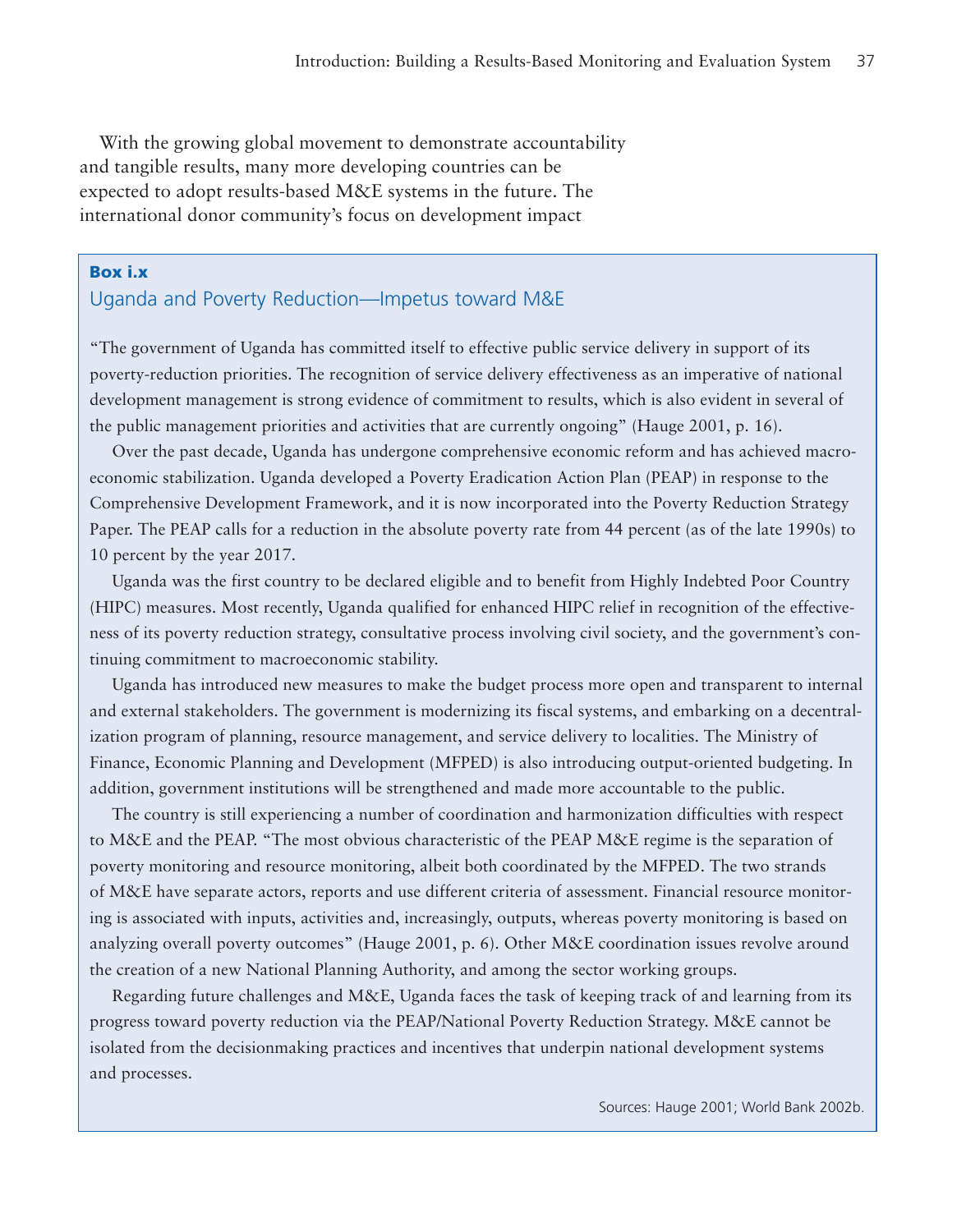With the growing global movement to demonstrate accountability and tangible results, many more developing countries can be expected to adopt results-based M&E systems in the future. The international donor community's focus on development impact

#### **Box i.x**

#### Uganda and Poverty Reduction—Impetus toward M&E

"The government of Uganda has committed itself to effective public service delivery in support of its poverty-reduction priorities. The recognition of service delivery effectiveness as an imperative of national development management is strong evidence of commitment to results, which is also evident in several of the public management priorities and activities that are currently ongoing" (Hauge 2001, p. 16).

Over the past decade, Uganda has undergone comprehensive economic reform and has achieved macroeconomic stabilization. Uganda developed a Poverty Eradication Action Plan (PEAP) in response to the Comprehensive Development Framework, and it is now incorporated into the Poverty Reduction Strategy Paper. The PEAP calls for a reduction in the absolute poverty rate from 44 percent (as of the late 1990s) to 10 percent by the year 2017.

Uganda was the first country to be declared eligible and to benefit from Highly Indebted Poor Country (HIPC) measures. Most recently, Uganda qualified for enhanced HIPC relief in recognition of the effectiveness of its poverty reduction strategy, consultative process involving civil society, and the government's continuing commitment to macroeconomic stability.

Uganda has introduced new measures to make the budget process more open and transparent to internal and external stakeholders. The government is modernizing its fiscal systems, and embarking on a decentralization program of planning, resource management, and service delivery to localities. The Ministry of Finance, Economic Planning and Development (MFPED) is also introducing output-oriented budgeting. In addition, government institutions will be strengthened and made more accountable to the public.

The country is still experiencing a number of coordination and harmonization difficulties with respect to M&E and the PEAP. "The most obvious characteristic of the PEAP M&E regime is the separation of poverty monitoring and resource monitoring, albeit both coordinated by the MFPED. The two strands of M&E have separate actors, reports and use different criteria of assessment. Financial resource monitoring is associated with inputs, activities and, increasingly, outputs, whereas poverty monitoring is based on analyzing overall poverty outcomes" (Hauge 2001, p. 6). Other M&E coordination issues revolve around the creation of a new National Planning Authority, and among the sector working groups.

Regarding future challenges and M&E, Uganda faces the task of keeping track of and learning from its progress toward poverty reduction via the PEAP/National Poverty Reduction Strategy. M&E cannot be isolated from the decisionmaking practices and incentives that underpin national development systems and processes.

Sources: Hauge 2001; World Bank 2002b.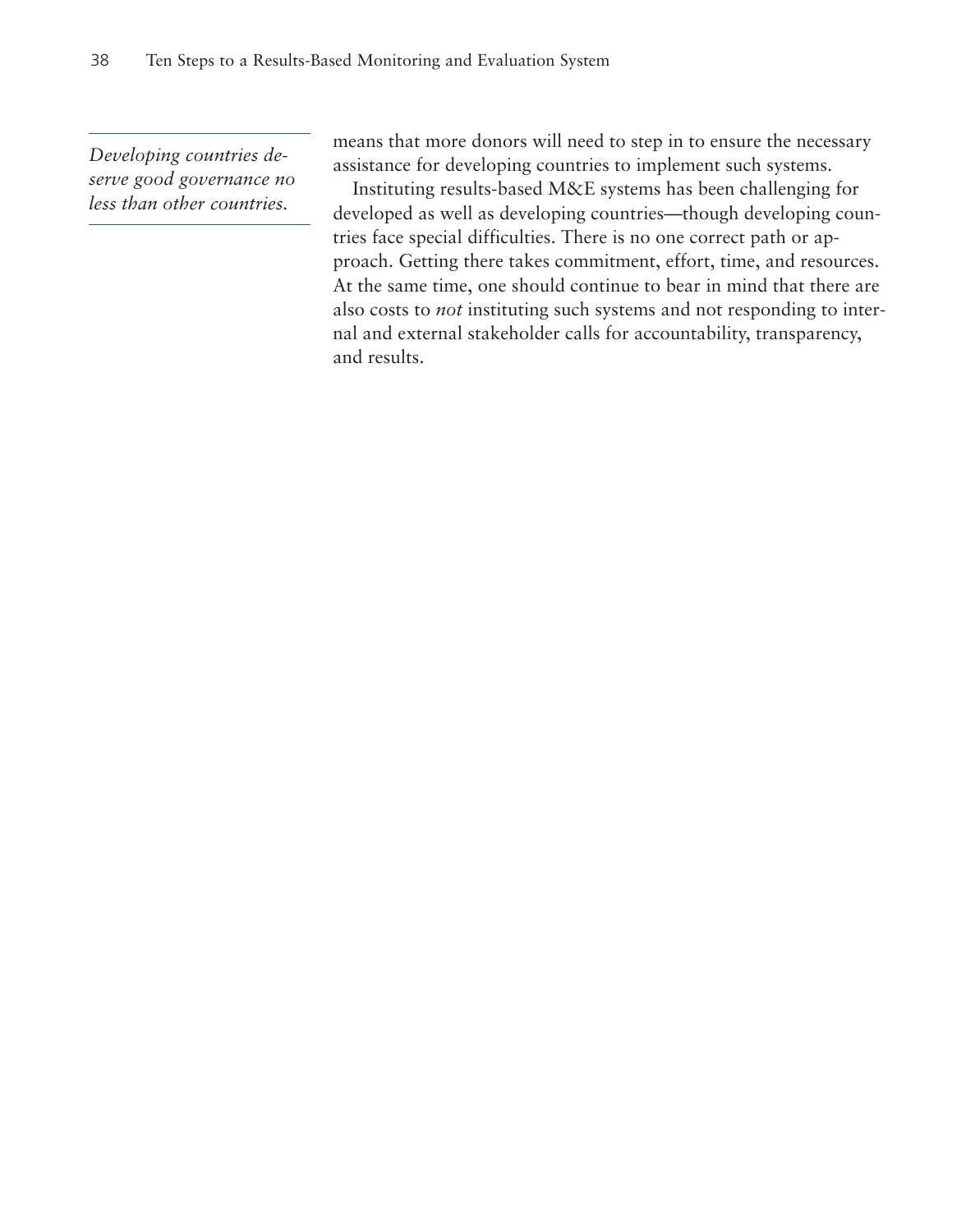*Developing countries deserve good governance no less than other countries.*

means that more donors will need to step in to ensure the necessary assistance for developing countries to implement such systems.

Instituting results-based M&E systems has been challenging for developed as well as developing countries—though developing countries face special difficulties. There is no one correct path or approach. Getting there takes commitment, effort, time, and resources. At the same time, one should continue to bear in mind that there are also costs to *not* instituting such systems and not responding to internal and external stakeholder calls for accountability, transparency, and results.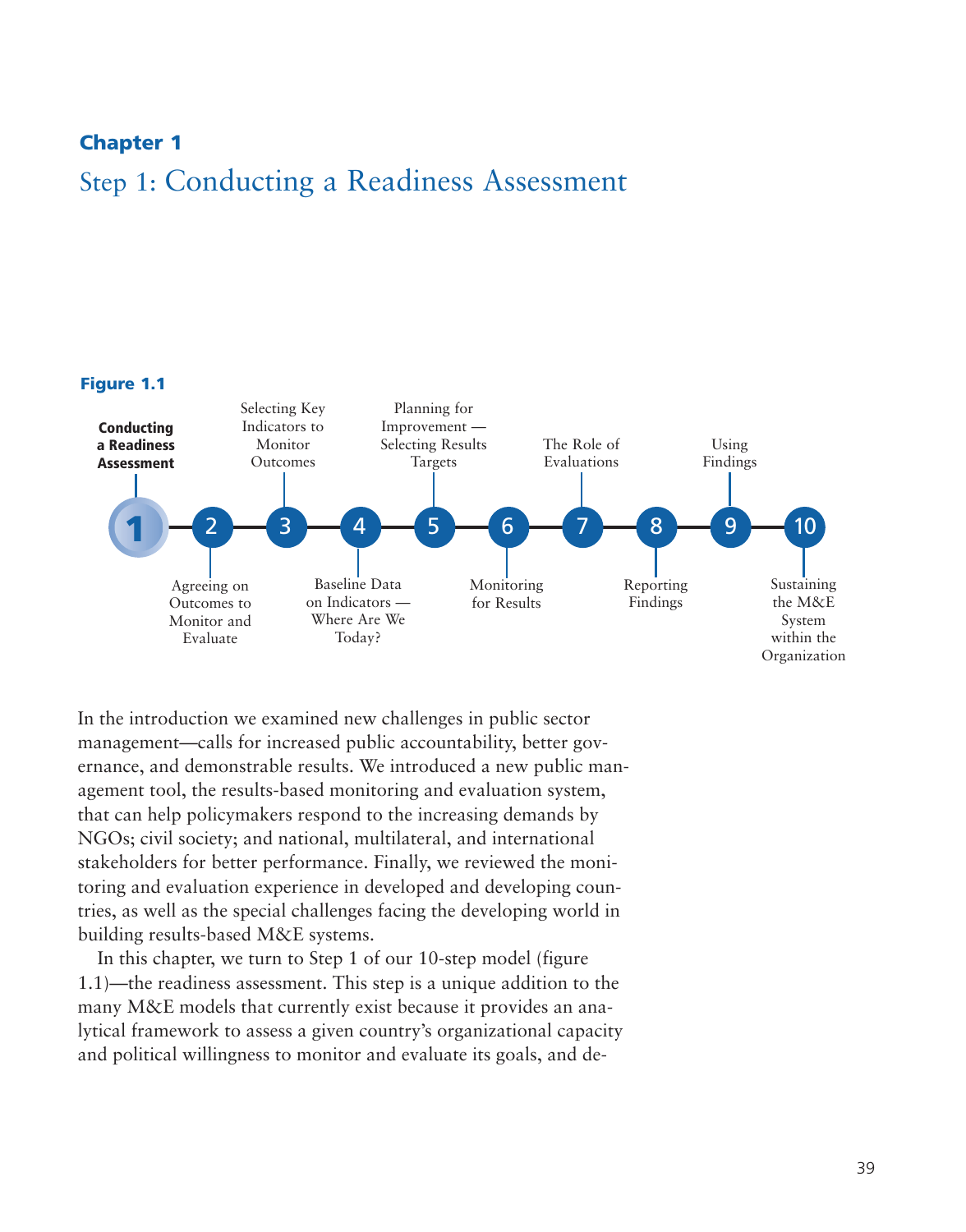# **Chapter 1** Step 1: Conducting a Readiness Assessment

#### **Figure 1.1**



In the introduction we examined new challenges in public sector management—calls for increased public accountability, better governance, and demonstrable results. We introduced a new public management tool, the results-based monitoring and evaluation system, that can help policymakers respond to the increasing demands by NGOs; civil society; and national, multilateral, and international stakeholders for better performance. Finally, we reviewed the monitoring and evaluation experience in developed and developing countries, as well as the special challenges facing the developing world in building results-based M&E systems.

In this chapter, we turn to Step 1 of our 10-step model (figure 1.1)—the readiness assessment. This step is a unique addition to the many M&E models that currently exist because it provides an analytical framework to assess a given country's organizational capacity and political willingness to monitor and evaluate its goals, and de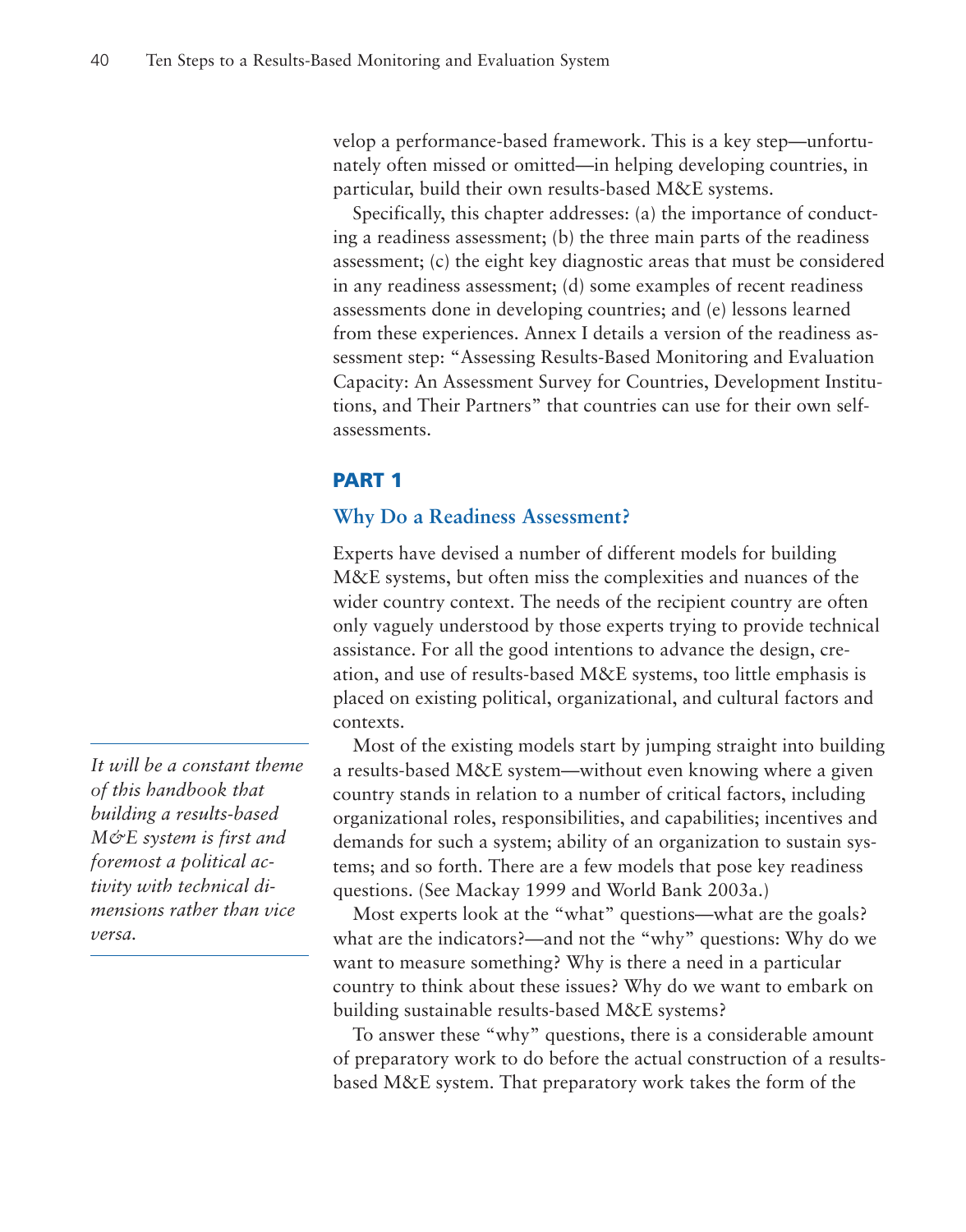velop a performance-based framework. This is a key step—unfortunately often missed or omitted—in helping developing countries, in particular, build their own results-based M&E systems.

Specifically, this chapter addresses: (a) the importance of conducting a readiness assessment; (b) the three main parts of the readiness assessment; (c) the eight key diagnostic areas that must be considered in any readiness assessment; (d) some examples of recent readiness assessments done in developing countries; and (e) lessons learned from these experiences. Annex I details a version of the readiness assessment step: "Assessing Results-Based Monitoring and Evaluation Capacity: An Assessment Survey for Countries, Development Institutions, and Their Partners" that countries can use for their own selfassessments.

# **PART 1**

## **Why Do a Readiness Assessment?**

Experts have devised a number of different models for building M&E systems, but often miss the complexities and nuances of the wider country context. The needs of the recipient country are often only vaguely understood by those experts trying to provide technical assistance. For all the good intentions to advance the design, creation, and use of results-based M&E systems, too little emphasis is placed on existing political, organizational, and cultural factors and contexts.

Most of the existing models start by jumping straight into building a results-based M&E system—without even knowing where a given country stands in relation to a number of critical factors, including organizational roles, responsibilities, and capabilities; incentives and demands for such a system; ability of an organization to sustain systems; and so forth. There are a few models that pose key readiness questions. (See Mackay 1999 and World Bank 2003a.)

Most experts look at the "what" questions—what are the goals? what are the indicators?—and not the "why" questions: Why do we want to measure something? Why is there a need in a particular country to think about these issues? Why do we want to embark on building sustainable results-based M&E systems?

To answer these "why" questions, there is a considerable amount of preparatory work to do before the actual construction of a resultsbased M&E system. That preparatory work takes the form of the

*It will be a constant theme of this handbook that building a results-based M&E system is first and foremost a political activity with technical dimensions rather than vice versa.*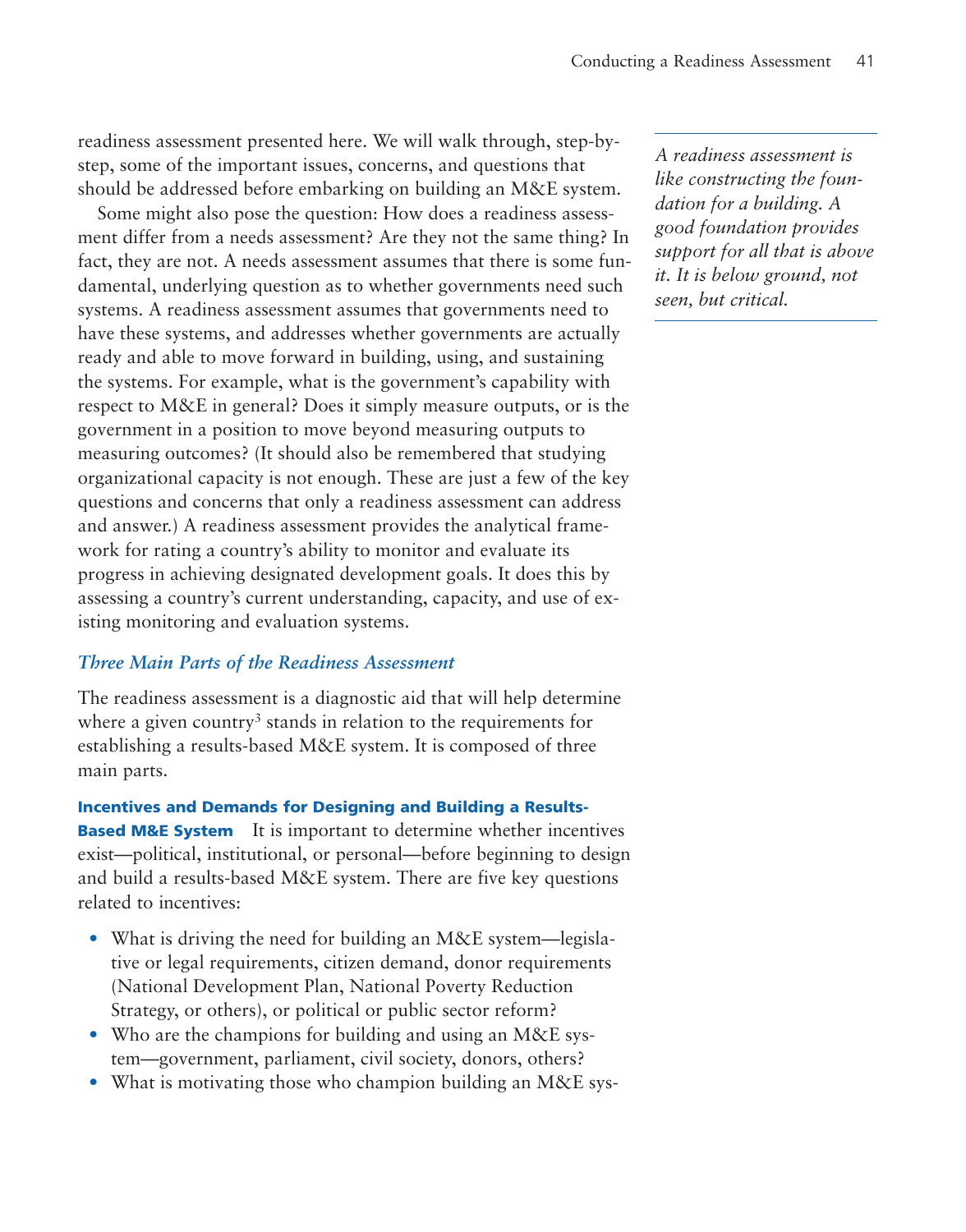readiness assessment presented here. We will walk through, step-bystep, some of the important issues, concerns, and questions that should be addressed before embarking on building an M&E system.

Some might also pose the question: How does a readiness assessment differ from a needs assessment? Are they not the same thing? In fact, they are not. A needs assessment assumes that there is some fundamental, underlying question as to whether governments need such systems. A readiness assessment assumes that governments need to have these systems, and addresses whether governments are actually ready and able to move forward in building, using, and sustaining the systems. For example, what is the government's capability with respect to M&E in general? Does it simply measure outputs, or is the government in a position to move beyond measuring outputs to measuring outcomes? (It should also be remembered that studying organizational capacity is not enough. These are just a few of the key questions and concerns that only a readiness assessment can address and answer.) A readiness assessment provides the analytical framework for rating a country's ability to monitor and evaluate its progress in achieving designated development goals. It does this by assessing a country's current understanding, capacity, and use of existing monitoring and evaluation systems.

#### *Three Main Parts of the Readiness Assessment*

The readiness assessment is a diagnostic aid that will help determine where a given country<sup>3</sup> stands in relation to the requirements for establishing a results-based M&E system. It is composed of three main parts.

**Incentives and Demands for Designing and Building a Results-Based M&E System** It is important to determine whether incentives

exist—political, institutional, or personal—before beginning to design and build a results-based M&E system. There are five key questions related to incentives:

- What is driving the need for building an M&E system—legislative or legal requirements, citizen demand, donor requirements (National Development Plan, National Poverty Reduction Strategy, or others), or political or public sector reform?
- Who are the champions for building and using an M&E system—government, parliament, civil society, donors, others?
- What is motivating those who champion building an M&E sys-

*A readiness assessment is like constructing the foundation for a building. A good foundation provides support for all that is above it. It is below ground, not seen, but critical.*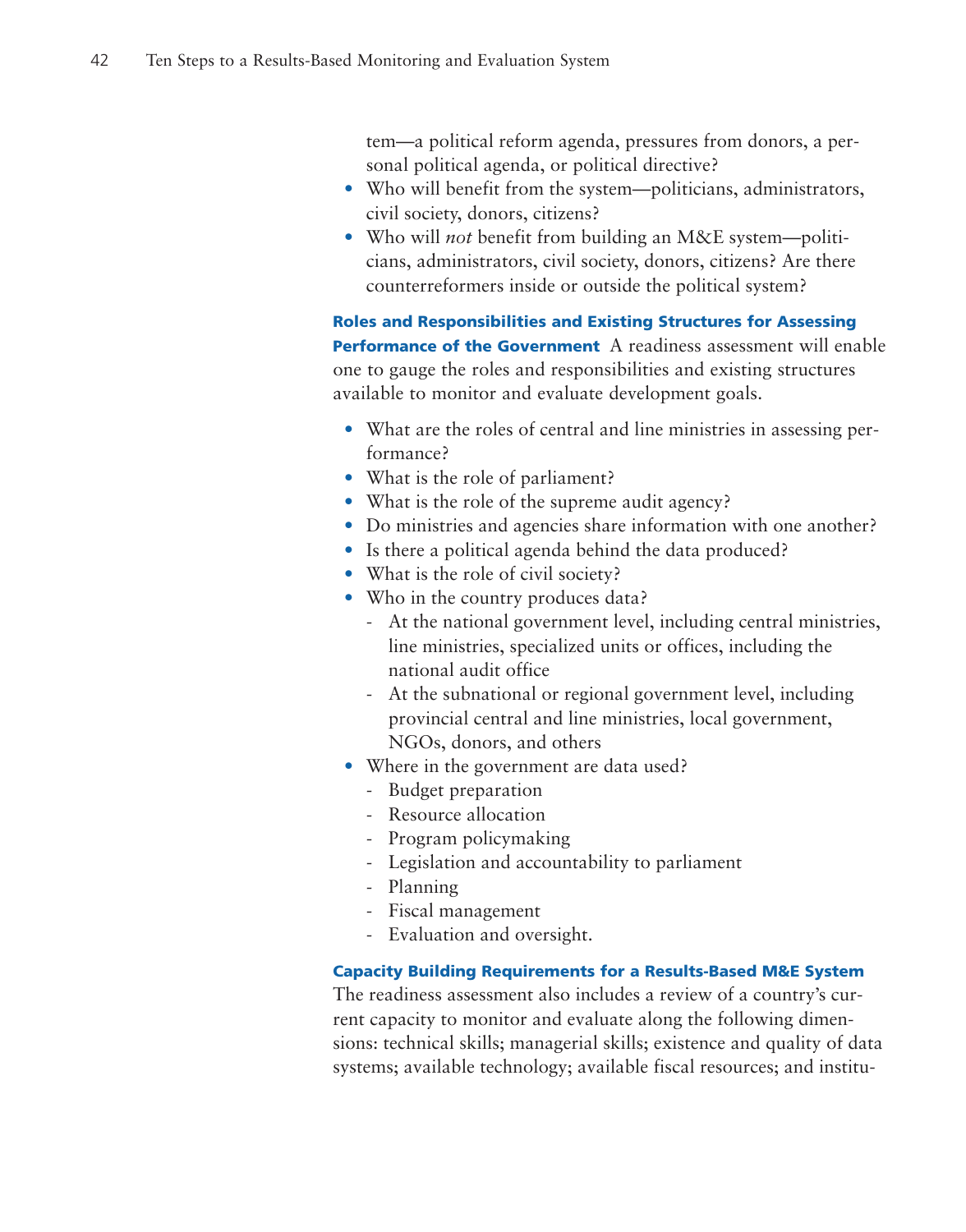tem—a political reform agenda, pressures from donors, a personal political agenda, or political directive?

- Who will benefit from the system—politicians, administrators, civil society, donors, citizens?
- Who will *not* benefit from building an M&E system—politicians, administrators, civil society, donors, citizens? Are there counterreformers inside or outside the political system?

**Roles and Responsibilities and Existing Structures for Assessing Performance of the Government** A readiness assessment will enable one to gauge the roles and responsibilities and existing structures available to monitor and evaluate development goals.

- What are the roles of central and line ministries in assessing performance?
- What is the role of parliament?
- What is the role of the supreme audit agency?
- Do ministries and agencies share information with one another?
- Is there a political agenda behind the data produced?
- What is the role of civil society?
- Who in the country produces data?
	- At the national government level, including central ministries, line ministries, specialized units or offices, including the national audit office
	- At the subnational or regional government level, including provincial central and line ministries, local government, NGOs, donors, and others
- Where in the government are data used?
	- Budget preparation
	- Resource allocation
	- Program policymaking
	- Legislation and accountability to parliament
	- Planning
	- Fiscal management
	- Evaluation and oversight.

## **Capacity Building Requirements for a Results-Based M&E System**

The readiness assessment also includes a review of a country's current capacity to monitor and evaluate along the following dimensions: technical skills; managerial skills; existence and quality of data systems; available technology; available fiscal resources; and institu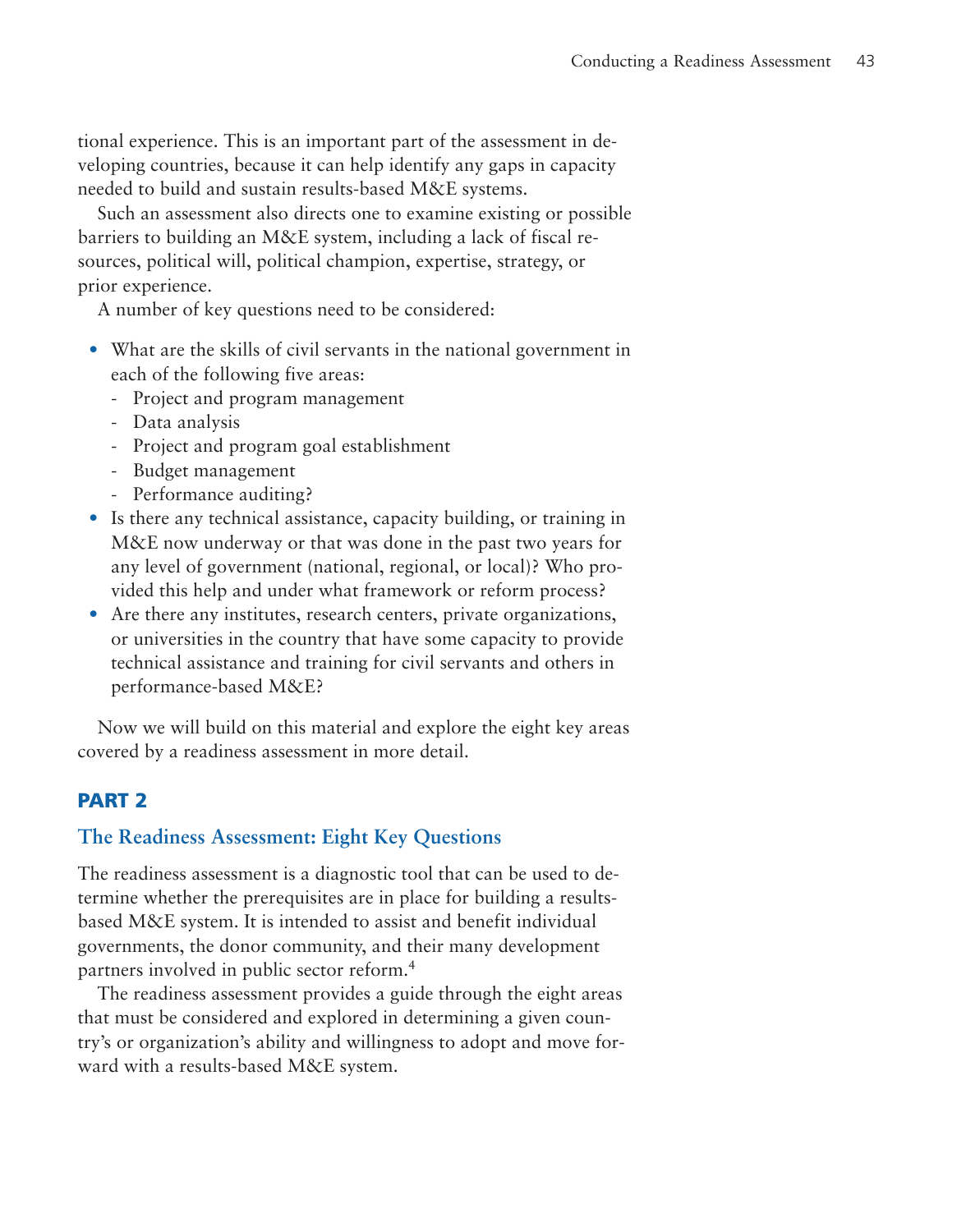tional experience. This is an important part of the assessment in developing countries, because it can help identify any gaps in capacity needed to build and sustain results-based M&E systems.

Such an assessment also directs one to examine existing or possible barriers to building an M&E system, including a lack of fiscal resources, political will, political champion, expertise, strategy, or prior experience.

A number of key questions need to be considered:

- What are the skills of civil servants in the national government in each of the following five areas:
	- Project and program management
	- Data analysis
	- Project and program goal establishment
	- Budget management
	- Performance auditing?
- Is there any technical assistance, capacity building, or training in M&E now underway or that was done in the past two years for any level of government (national, regional, or local)? Who provided this help and under what framework or reform process?
- Are there any institutes, research centers, private organizations, or universities in the country that have some capacity to provide technical assistance and training for civil servants and others in performance-based M&E?

Now we will build on this material and explore the eight key areas covered by a readiness assessment in more detail.

# **PART 2**

## **The Readiness Assessment: Eight Key Questions**

The readiness assessment is a diagnostic tool that can be used to determine whether the prerequisites are in place for building a resultsbased M&E system. It is intended to assist and benefit individual governments, the donor community, and their many development partners involved in public sector reform.4

The readiness assessment provides a guide through the eight areas that must be considered and explored in determining a given country's or organization's ability and willingness to adopt and move forward with a results-based M&E system.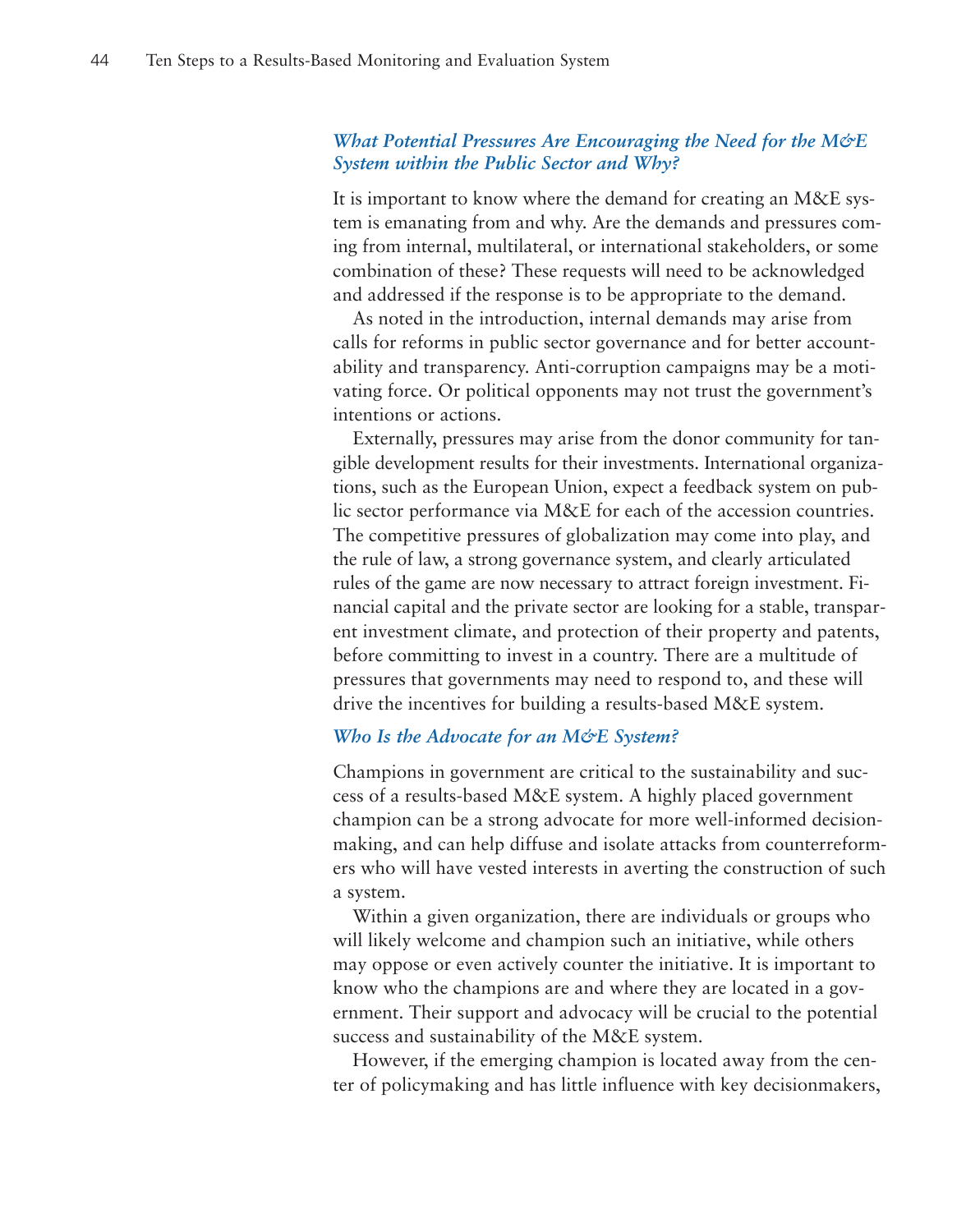#### *What Potential Pressures Are Encouraging the Need for the M&E System within the Public Sector and Why?*

It is important to know where the demand for creating an M&E system is emanating from and why. Are the demands and pressures coming from internal, multilateral, or international stakeholders, or some combination of these? These requests will need to be acknowledged and addressed if the response is to be appropriate to the demand.

As noted in the introduction, internal demands may arise from calls for reforms in public sector governance and for better accountability and transparency. Anti-corruption campaigns may be a motivating force. Or political opponents may not trust the government's intentions or actions.

Externally, pressures may arise from the donor community for tangible development results for their investments. International organizations, such as the European Union, expect a feedback system on public sector performance via M&E for each of the accession countries. The competitive pressures of globalization may come into play, and the rule of law, a strong governance system, and clearly articulated rules of the game are now necessary to attract foreign investment. Financial capital and the private sector are looking for a stable, transparent investment climate, and protection of their property and patents, before committing to invest in a country. There are a multitude of pressures that governments may need to respond to, and these will drive the incentives for building a results-based M&E system.

#### *Who Is the Advocate for an M&E System?*

Champions in government are critical to the sustainability and success of a results-based M&E system. A highly placed government champion can be a strong advocate for more well-informed decisionmaking, and can help diffuse and isolate attacks from counterreformers who will have vested interests in averting the construction of such a system.

Within a given organization, there are individuals or groups who will likely welcome and champion such an initiative, while others may oppose or even actively counter the initiative. It is important to know who the champions are and where they are located in a government. Their support and advocacy will be crucial to the potential success and sustainability of the M&E system.

However, if the emerging champion is located away from the center of policymaking and has little influence with key decisionmakers,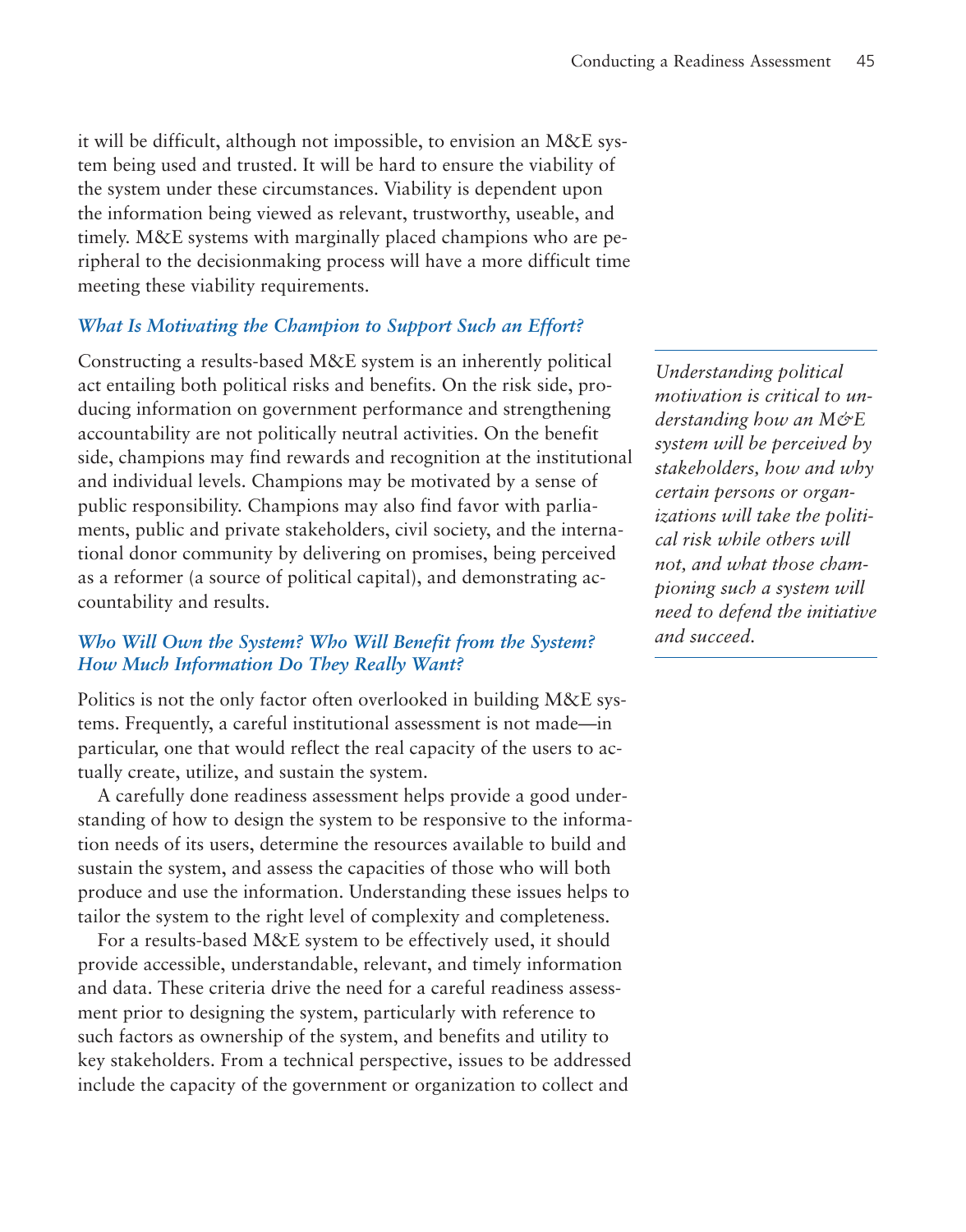it will be difficult, although not impossible, to envision an M&E system being used and trusted. It will be hard to ensure the viability of the system under these circumstances. Viability is dependent upon the information being viewed as relevant, trustworthy, useable, and timely. M&E systems with marginally placed champions who are peripheral to the decisionmaking process will have a more difficult time meeting these viability requirements.

#### *What Is Motivating the Champion to Support Such an Effort?*

Constructing a results-based M&E system is an inherently political act entailing both political risks and benefits. On the risk side, producing information on government performance and strengthening accountability are not politically neutral activities. On the benefit side, champions may find rewards and recognition at the institutional and individual levels. Champions may be motivated by a sense of public responsibility. Champions may also find favor with parliaments, public and private stakeholders, civil society, and the international donor community by delivering on promises, being perceived as a reformer (a source of political capital), and demonstrating accountability and results.

## *Who Will Own the System? Who Will Benefit from the System? How Much Information Do They Really Want?*

Politics is not the only factor often overlooked in building M&E systems. Frequently, a careful institutional assessment is not made—in particular, one that would reflect the real capacity of the users to actually create, utilize, and sustain the system.

A carefully done readiness assessment helps provide a good understanding of how to design the system to be responsive to the information needs of its users, determine the resources available to build and sustain the system, and assess the capacities of those who will both produce and use the information. Understanding these issues helps to tailor the system to the right level of complexity and completeness.

For a results-based M&E system to be effectively used, it should provide accessible, understandable, relevant, and timely information and data. These criteria drive the need for a careful readiness assessment prior to designing the system, particularly with reference to such factors as ownership of the system, and benefits and utility to key stakeholders. From a technical perspective, issues to be addressed include the capacity of the government or organization to collect and

*Understanding political motivation is critical to understanding how an M&E system will be perceived by stakeholders, how and why certain persons or organizations will take the political risk while others will not, and what those championing such a system will need to defend the initiative and succeed.*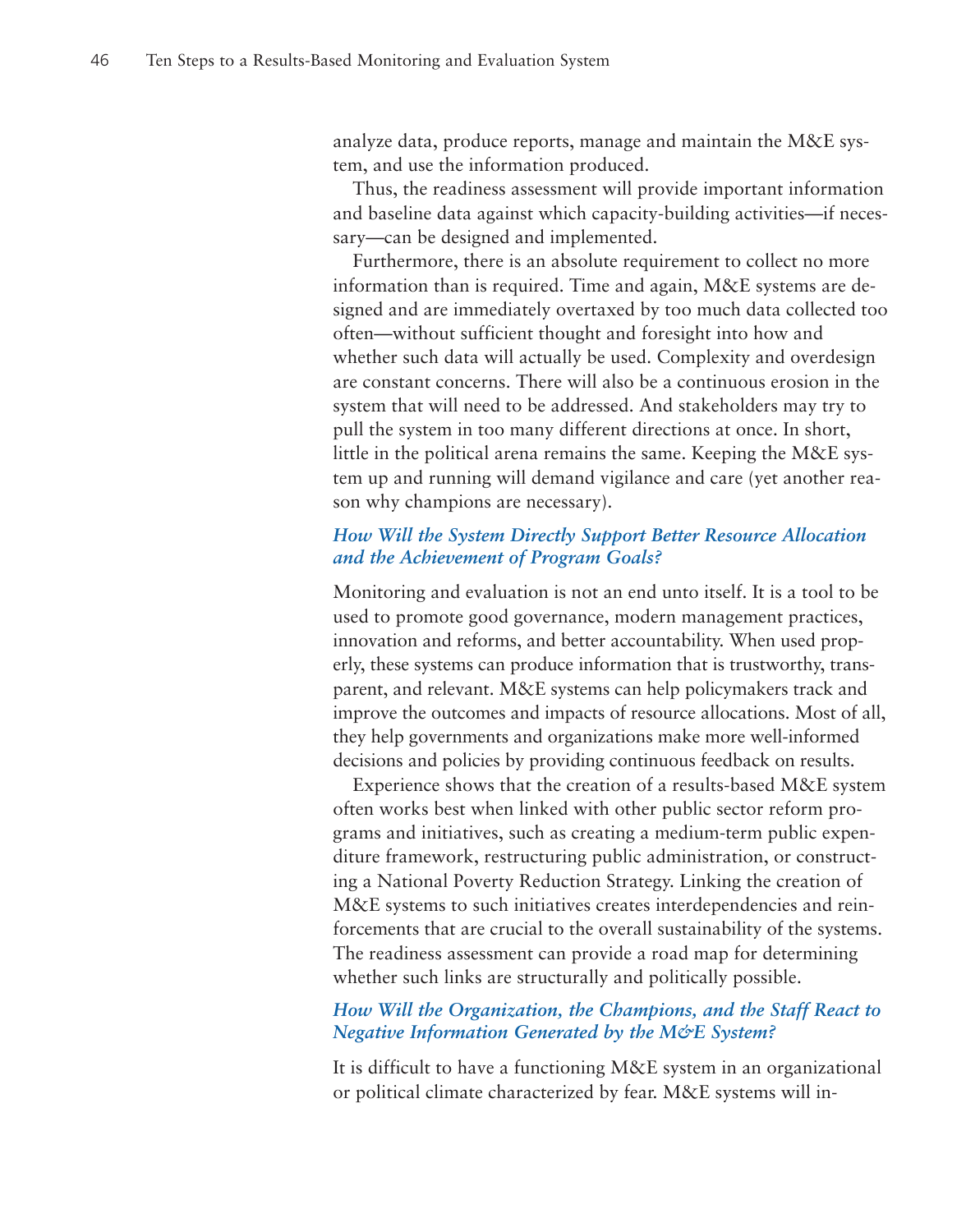analyze data, produce reports, manage and maintain the M&E system, and use the information produced.

Thus, the readiness assessment will provide important information and baseline data against which capacity-building activities—if necessary—can be designed and implemented.

Furthermore, there is an absolute requirement to collect no more information than is required. Time and again, M&E systems are designed and are immediately overtaxed by too much data collected too often—without sufficient thought and foresight into how and whether such data will actually be used. Complexity and overdesign are constant concerns. There will also be a continuous erosion in the system that will need to be addressed. And stakeholders may try to pull the system in too many different directions at once. In short, little in the political arena remains the same. Keeping the M&E system up and running will demand vigilance and care (yet another reason why champions are necessary).

#### *How Will the System Directly Support Better Resource Allocation and the Achievement of Program Goals?*

Monitoring and evaluation is not an end unto itself. It is a tool to be used to promote good governance, modern management practices, innovation and reforms, and better accountability. When used properly, these systems can produce information that is trustworthy, transparent, and relevant. M&E systems can help policymakers track and improve the outcomes and impacts of resource allocations. Most of all, they help governments and organizations make more well-informed decisions and policies by providing continuous feedback on results.

Experience shows that the creation of a results-based M&E system often works best when linked with other public sector reform programs and initiatives, such as creating a medium-term public expenditure framework, restructuring public administration, or constructing a National Poverty Reduction Strategy. Linking the creation of M&E systems to such initiatives creates interdependencies and reinforcements that are crucial to the overall sustainability of the systems. The readiness assessment can provide a road map for determining whether such links are structurally and politically possible.

## *How Will the Organization, the Champions, and the Staff React to Negative Information Generated by the M&E System?*

It is difficult to have a functioning M&E system in an organizational or political climate characterized by fear. M&E systems will in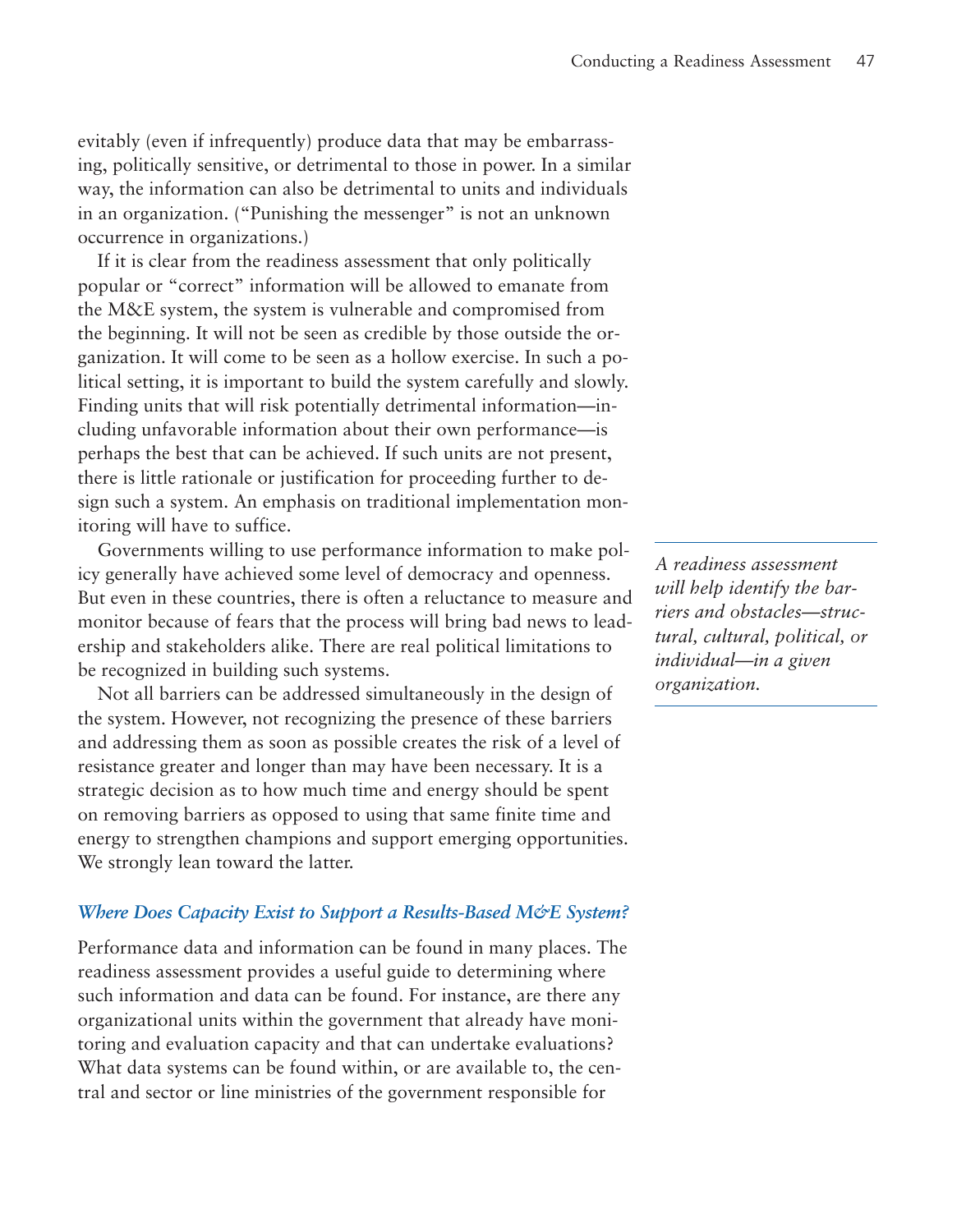evitably (even if infrequently) produce data that may be embarrassing, politically sensitive, or detrimental to those in power. In a similar way, the information can also be detrimental to units and individuals in an organization. ("Punishing the messenger" is not an unknown occurrence in organizations.)

If it is clear from the readiness assessment that only politically popular or "correct" information will be allowed to emanate from the M&E system, the system is vulnerable and compromised from the beginning. It will not be seen as credible by those outside the organization. It will come to be seen as a hollow exercise. In such a political setting, it is important to build the system carefully and slowly. Finding units that will risk potentially detrimental information—including unfavorable information about their own performance—is perhaps the best that can be achieved. If such units are not present, there is little rationale or justification for proceeding further to design such a system. An emphasis on traditional implementation monitoring will have to suffice.

Governments willing to use performance information to make policy generally have achieved some level of democracy and openness. But even in these countries, there is often a reluctance to measure and monitor because of fears that the process will bring bad news to leadership and stakeholders alike. There are real political limitations to be recognized in building such systems.

Not all barriers can be addressed simultaneously in the design of the system. However, not recognizing the presence of these barriers and addressing them as soon as possible creates the risk of a level of resistance greater and longer than may have been necessary. It is a strategic decision as to how much time and energy should be spent on removing barriers as opposed to using that same finite time and energy to strengthen champions and support emerging opportunities. We strongly lean toward the latter.

#### *Where Does Capacity Exist to Support a Results-Based M&E System?*

Performance data and information can be found in many places. The readiness assessment provides a useful guide to determining where such information and data can be found. For instance, are there any organizational units within the government that already have monitoring and evaluation capacity and that can undertake evaluations? What data systems can be found within, or are available to, the central and sector or line ministries of the government responsible for

*A readiness assessment will help identify the barriers and obstacles—structural, cultural, political, or individual—in a given organization.*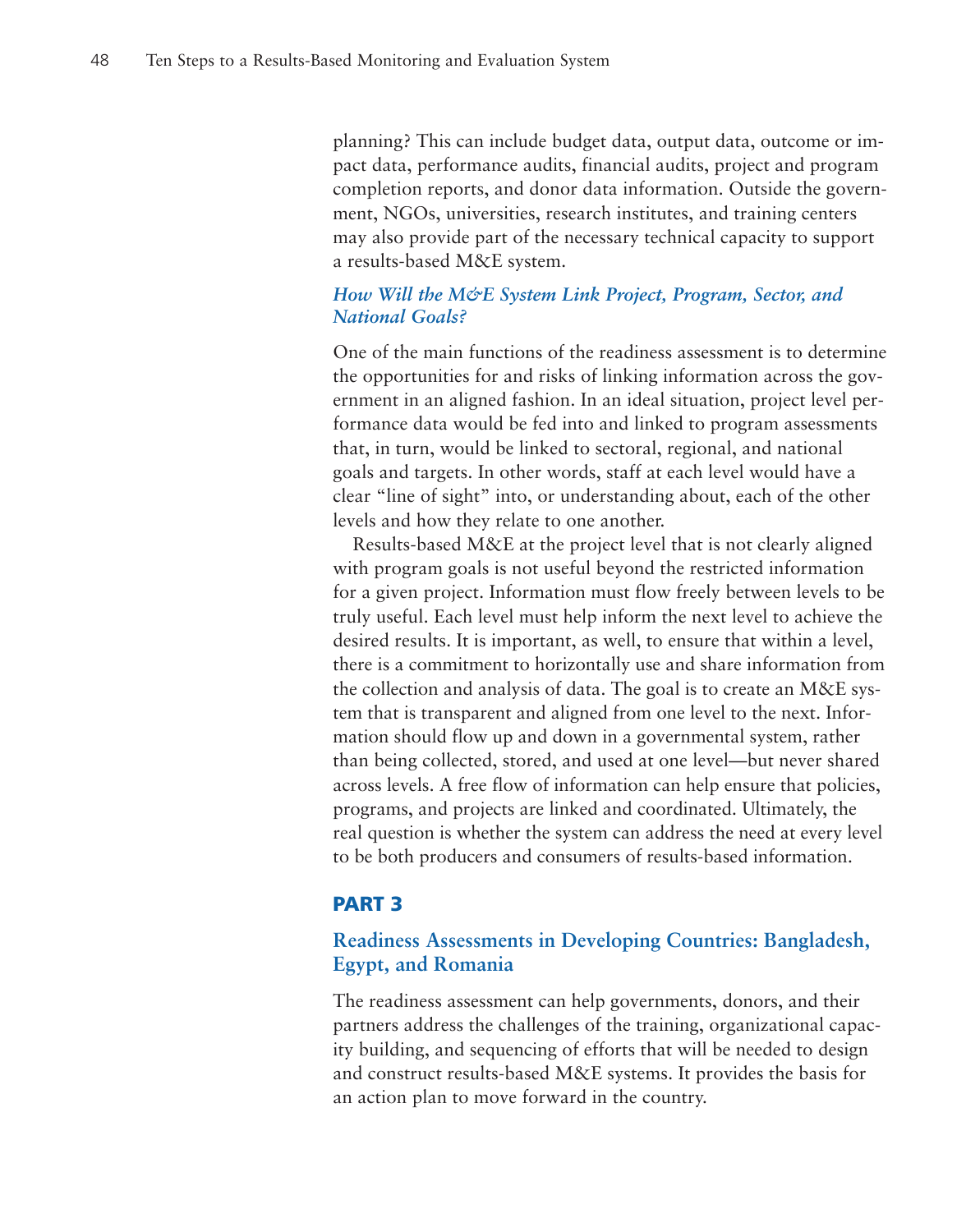planning? This can include budget data, output data, outcome or impact data, performance audits, financial audits, project and program completion reports, and donor data information. Outside the government, NGOs, universities, research institutes, and training centers may also provide part of the necessary technical capacity to support a results-based M&E system.

## *How Will the M&E System Link Project, Program, Sector, and National Goals?*

One of the main functions of the readiness assessment is to determine the opportunities for and risks of linking information across the government in an aligned fashion. In an ideal situation, project level performance data would be fed into and linked to program assessments that, in turn, would be linked to sectoral, regional, and national goals and targets. In other words, staff at each level would have a clear "line of sight" into, or understanding about, each of the other levels and how they relate to one another.

Results-based M&E at the project level that is not clearly aligned with program goals is not useful beyond the restricted information for a given project. Information must flow freely between levels to be truly useful. Each level must help inform the next level to achieve the desired results. It is important, as well, to ensure that within a level, there is a commitment to horizontally use and share information from the collection and analysis of data. The goal is to create an M&E system that is transparent and aligned from one level to the next. Information should flow up and down in a governmental system, rather than being collected, stored, and used at one level—but never shared across levels. A free flow of information can help ensure that policies, programs, and projects are linked and coordinated. Ultimately, the real question is whether the system can address the need at every level to be both producers and consumers of results-based information.

# **PART 3**

# **Readiness Assessments in Developing Countries: Bangladesh, Egypt, and Romania**

The readiness assessment can help governments, donors, and their partners address the challenges of the training, organizational capacity building, and sequencing of efforts that will be needed to design and construct results-based M&E systems. It provides the basis for an action plan to move forward in the country.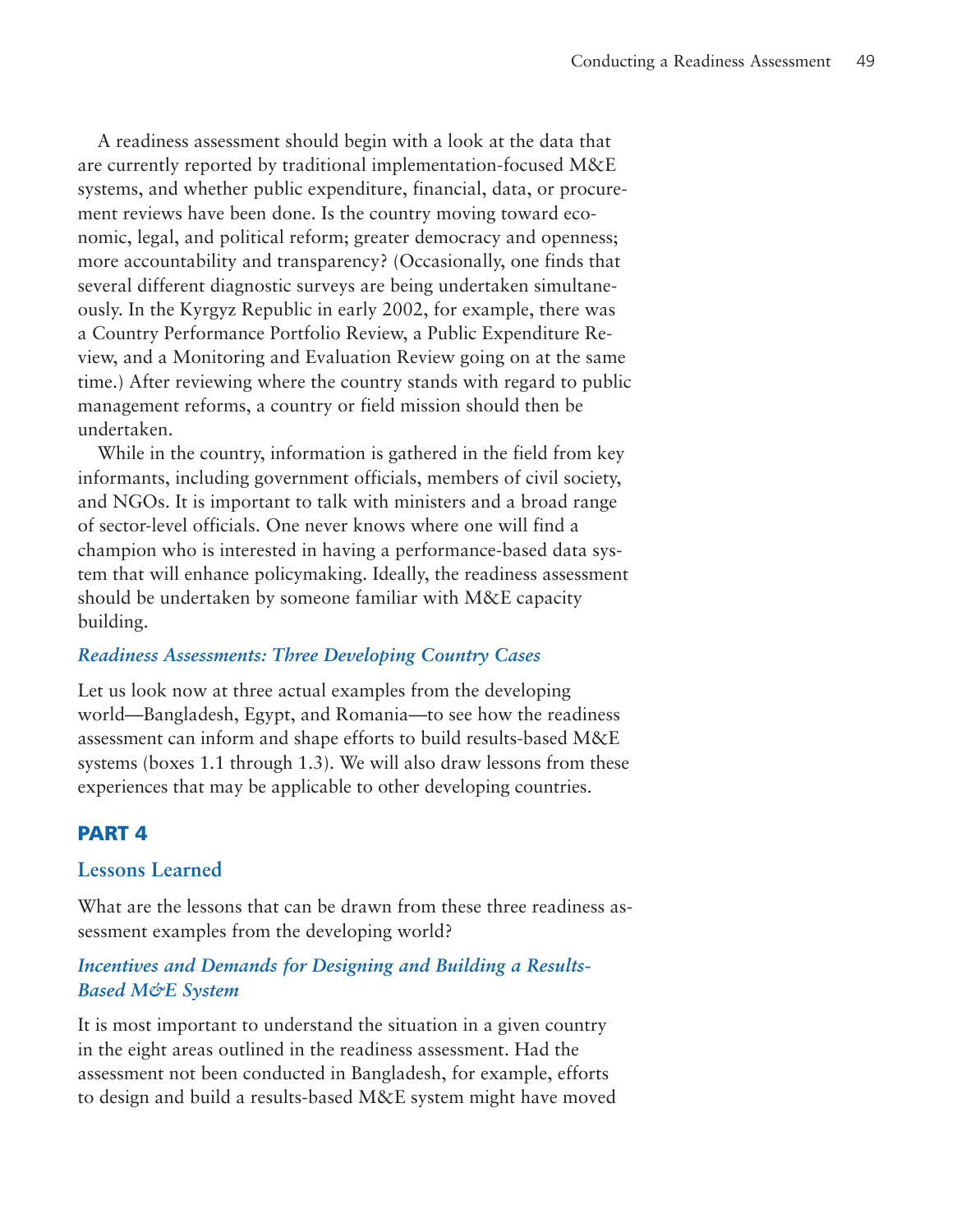A readiness assessment should begin with a look at the data that are currently reported by traditional implementation-focused M&E systems, and whether public expenditure, financial, data, or procurement reviews have been done. Is the country moving toward economic, legal, and political reform; greater democracy and openness; more accountability and transparency? (Occasionally, one finds that several different diagnostic surveys are being undertaken simultaneously. In the Kyrgyz Republic in early 2002, for example, there was a Country Performance Portfolio Review, a Public Expenditure Review, and a Monitoring and Evaluation Review going on at the same time.) After reviewing where the country stands with regard to public management reforms, a country or field mission should then be undertaken.

While in the country, information is gathered in the field from key informants, including government officials, members of civil society, and NGOs. It is important to talk with ministers and a broad range of sector-level officials. One never knows where one will find a champion who is interested in having a performance-based data system that will enhance policymaking. Ideally, the readiness assessment should be undertaken by someone familiar with M&E capacity building.

#### *Readiness Assessments: Three Developing Country Cases*

Let us look now at three actual examples from the developing world—Bangladesh, Egypt, and Romania—to see how the readiness assessment can inform and shape efforts to build results-based M&E systems (boxes 1.1 through 1.3). We will also draw lessons from these experiences that may be applicable to other developing countries.

## **PART 4**

## **Lessons Learned**

What are the lessons that can be drawn from these three readiness assessment examples from the developing world?

## *Incentives and Demands for Designing and Building a Results-Based M&E System*

It is most important to understand the situation in a given country in the eight areas outlined in the readiness assessment. Had the assessment not been conducted in Bangladesh, for example, efforts to design and build a results-based M&E system might have moved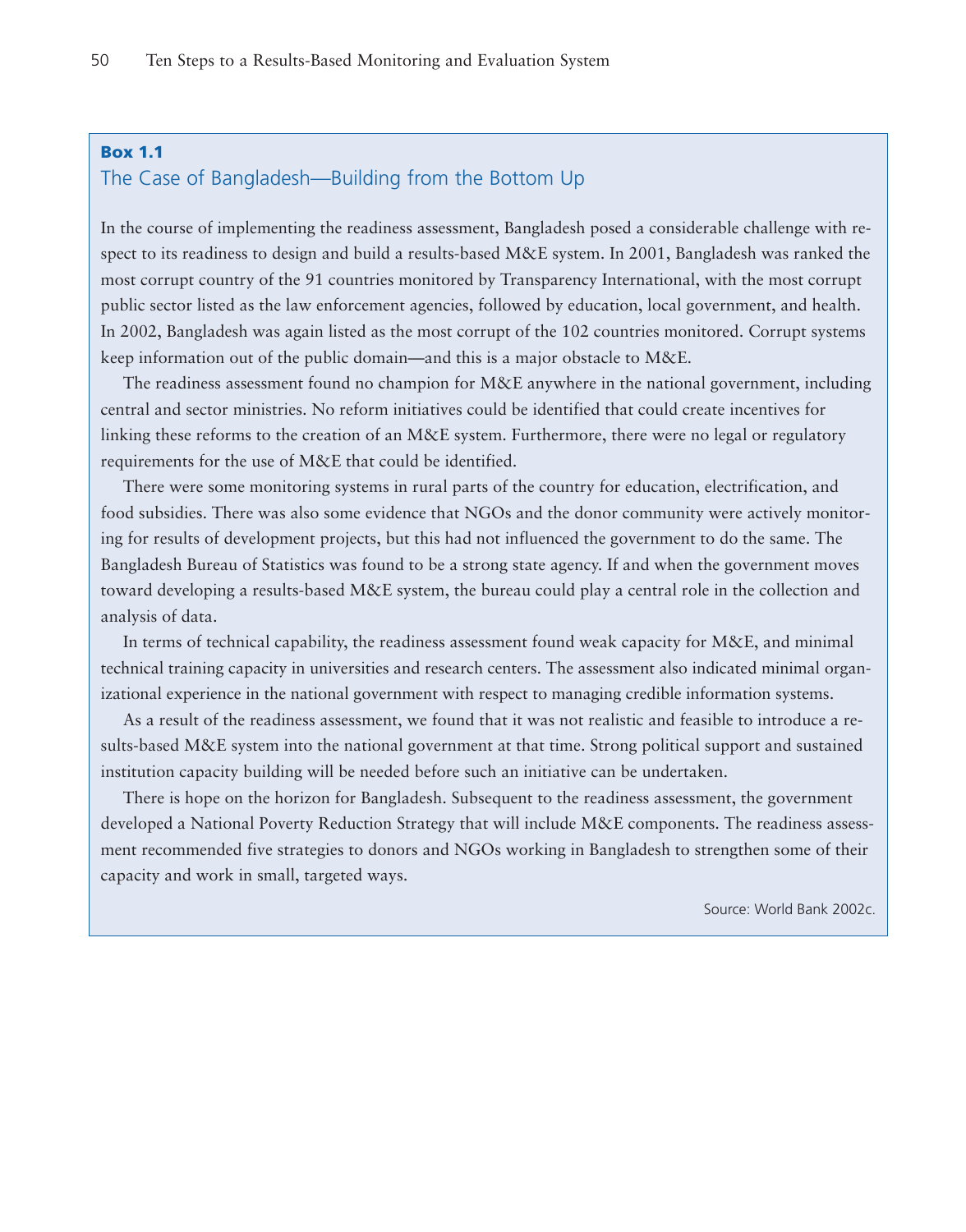# **Box 1.1** The Case of Bangladesh—Building from the Bottom Up

In the course of implementing the readiness assessment, Bangladesh posed a considerable challenge with respect to its readiness to design and build a results-based M&E system. In 2001, Bangladesh was ranked the most corrupt country of the 91 countries monitored by Transparency International, with the most corrupt public sector listed as the law enforcement agencies, followed by education, local government, and health. In 2002, Bangladesh was again listed as the most corrupt of the 102 countries monitored. Corrupt systems keep information out of the public domain—and this is a major obstacle to M&E.

The readiness assessment found no champion for M&E anywhere in the national government, including central and sector ministries. No reform initiatives could be identified that could create incentives for linking these reforms to the creation of an M&E system. Furthermore, there were no legal or regulatory requirements for the use of M&E that could be identified.

There were some monitoring systems in rural parts of the country for education, electrification, and food subsidies. There was also some evidence that NGOs and the donor community were actively monitoring for results of development projects, but this had not influenced the government to do the same. The Bangladesh Bureau of Statistics was found to be a strong state agency. If and when the government moves toward developing a results-based M&E system, the bureau could play a central role in the collection and analysis of data.

In terms of technical capability, the readiness assessment found weak capacity for M&E, and minimal technical training capacity in universities and research centers. The assessment also indicated minimal organizational experience in the national government with respect to managing credible information systems.

As a result of the readiness assessment, we found that it was not realistic and feasible to introduce a results-based M&E system into the national government at that time. Strong political support and sustained institution capacity building will be needed before such an initiative can be undertaken.

There is hope on the horizon for Bangladesh. Subsequent to the readiness assessment, the government developed a National Poverty Reduction Strategy that will include M&E components. The readiness assessment recommended five strategies to donors and NGOs working in Bangladesh to strengthen some of their capacity and work in small, targeted ways.

Source: World Bank 2002c.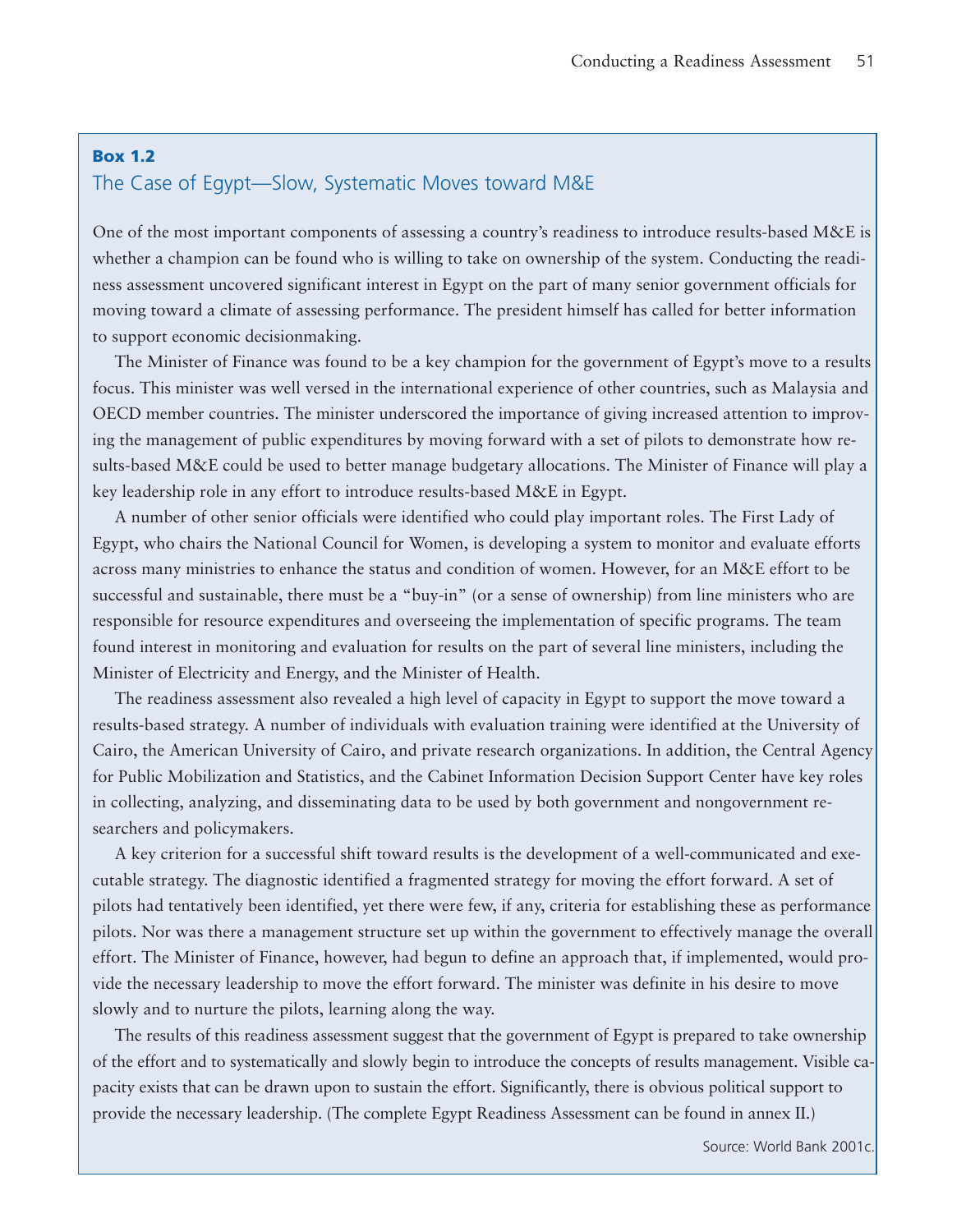# **Box 1.2** The Case of Egypt—Slow, Systematic Moves toward M&E

One of the most important components of assessing a country's readiness to introduce results-based M&E is whether a champion can be found who is willing to take on ownership of the system. Conducting the readiness assessment uncovered significant interest in Egypt on the part of many senior government officials for moving toward a climate of assessing performance. The president himself has called for better information to support economic decisionmaking.

The Minister of Finance was found to be a key champion for the government of Egypt's move to a results focus. This minister was well versed in the international experience of other countries, such as Malaysia and OECD member countries. The minister underscored the importance of giving increased attention to improving the management of public expenditures by moving forward with a set of pilots to demonstrate how results-based M&E could be used to better manage budgetary allocations. The Minister of Finance will play a key leadership role in any effort to introduce results-based M&E in Egypt.

A number of other senior officials were identified who could play important roles. The First Lady of Egypt, who chairs the National Council for Women, is developing a system to monitor and evaluate efforts across many ministries to enhance the status and condition of women. However, for an M&E effort to be successful and sustainable, there must be a "buy-in" (or a sense of ownership) from line ministers who are responsible for resource expenditures and overseeing the implementation of specific programs. The team found interest in monitoring and evaluation for results on the part of several line ministers, including the Minister of Electricity and Energy, and the Minister of Health.

The readiness assessment also revealed a high level of capacity in Egypt to support the move toward a results-based strategy. A number of individuals with evaluation training were identified at the University of Cairo, the American University of Cairo, and private research organizations. In addition, the Central Agency for Public Mobilization and Statistics, and the Cabinet Information Decision Support Center have key roles in collecting, analyzing, and disseminating data to be used by both government and nongovernment researchers and policymakers.

A key criterion for a successful shift toward results is the development of a well-communicated and executable strategy. The diagnostic identified a fragmented strategy for moving the effort forward. A set of pilots had tentatively been identified, yet there were few, if any, criteria for establishing these as performance pilots. Nor was there a management structure set up within the government to effectively manage the overall effort. The Minister of Finance, however, had begun to define an approach that, if implemented, would provide the necessary leadership to move the effort forward. The minister was definite in his desire to move slowly and to nurture the pilots, learning along the way.

The results of this readiness assessment suggest that the government of Egypt is prepared to take ownership of the effort and to systematically and slowly begin to introduce the concepts of results management. Visible capacity exists that can be drawn upon to sustain the effort. Significantly, there is obvious political support to provide the necessary leadership. (The complete Egypt Readiness Assessment can be found in annex II.)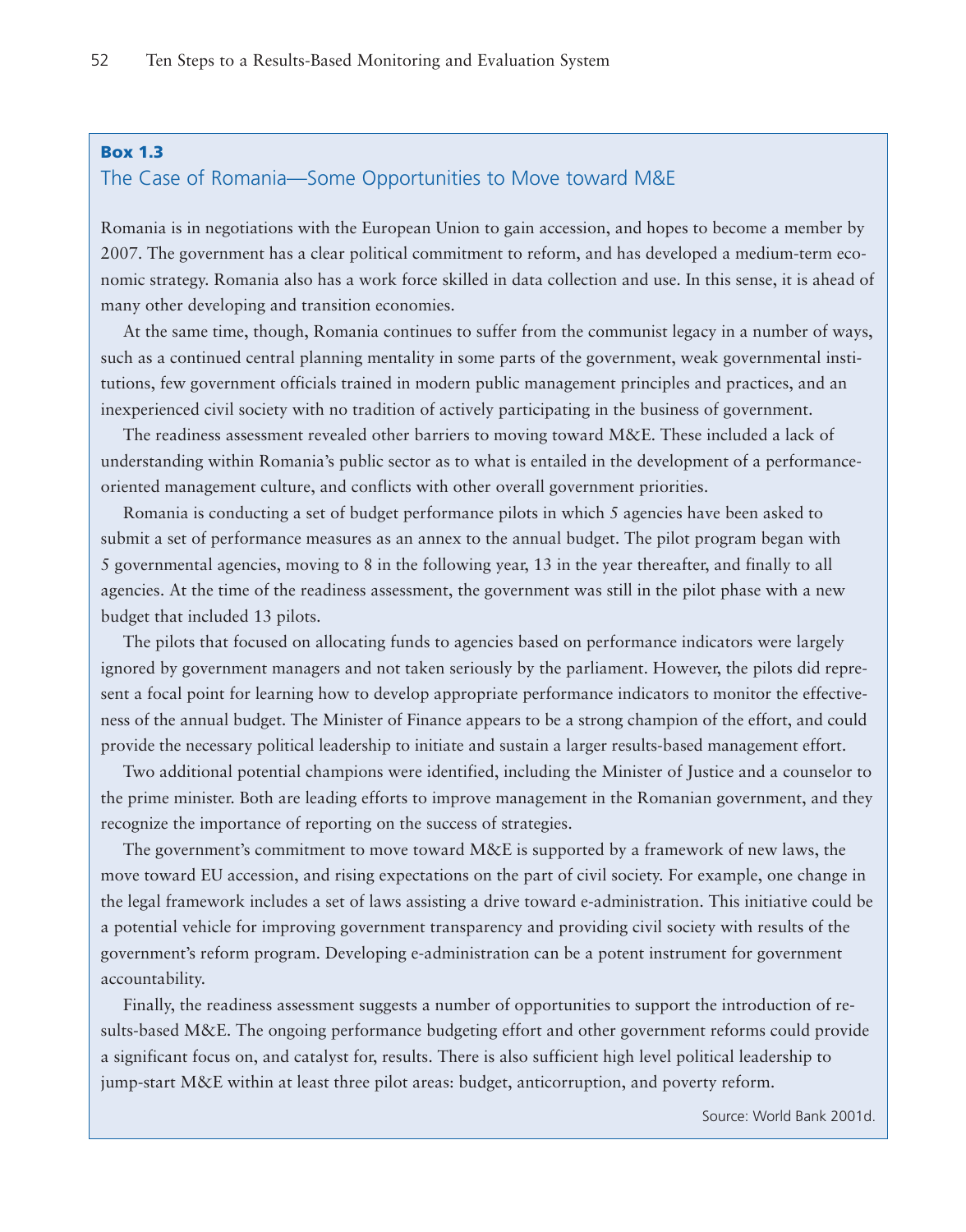#### **Box 1.3**

## The Case of Romania—Some Opportunities to Move toward M&E

Romania is in negotiations with the European Union to gain accession, and hopes to become a member by 2007. The government has a clear political commitment to reform, and has developed a medium-term economic strategy. Romania also has a work force skilled in data collection and use. In this sense, it is ahead of many other developing and transition economies.

At the same time, though, Romania continues to suffer from the communist legacy in a number of ways, such as a continued central planning mentality in some parts of the government, weak governmental institutions, few government officials trained in modern public management principles and practices, and an inexperienced civil society with no tradition of actively participating in the business of government.

The readiness assessment revealed other barriers to moving toward M&E. These included a lack of understanding within Romania's public sector as to what is entailed in the development of a performanceoriented management culture, and conflicts with other overall government priorities.

Romania is conducting a set of budget performance pilots in which 5 agencies have been asked to submit a set of performance measures as an annex to the annual budget. The pilot program began with 5 governmental agencies, moving to 8 in the following year, 13 in the year thereafter, and finally to all agencies. At the time of the readiness assessment, the government was still in the pilot phase with a new budget that included 13 pilots.

The pilots that focused on allocating funds to agencies based on performance indicators were largely ignored by government managers and not taken seriously by the parliament. However, the pilots did represent a focal point for learning how to develop appropriate performance indicators to monitor the effectiveness of the annual budget. The Minister of Finance appears to be a strong champion of the effort, and could provide the necessary political leadership to initiate and sustain a larger results-based management effort.

Two additional potential champions were identified, including the Minister of Justice and a counselor to the prime minister. Both are leading efforts to improve management in the Romanian government, and they recognize the importance of reporting on the success of strategies.

The government's commitment to move toward M&E is supported by a framework of new laws, the move toward EU accession, and rising expectations on the part of civil society. For example, one change in the legal framework includes a set of laws assisting a drive toward e-administration. This initiative could be a potential vehicle for improving government transparency and providing civil society with results of the government's reform program. Developing e-administration can be a potent instrument for government accountability.

Finally, the readiness assessment suggests a number of opportunities to support the introduction of results-based M&E. The ongoing performance budgeting effort and other government reforms could provide a significant focus on, and catalyst for, results. There is also sufficient high level political leadership to jump-start M&E within at least three pilot areas: budget, anticorruption, and poverty reform.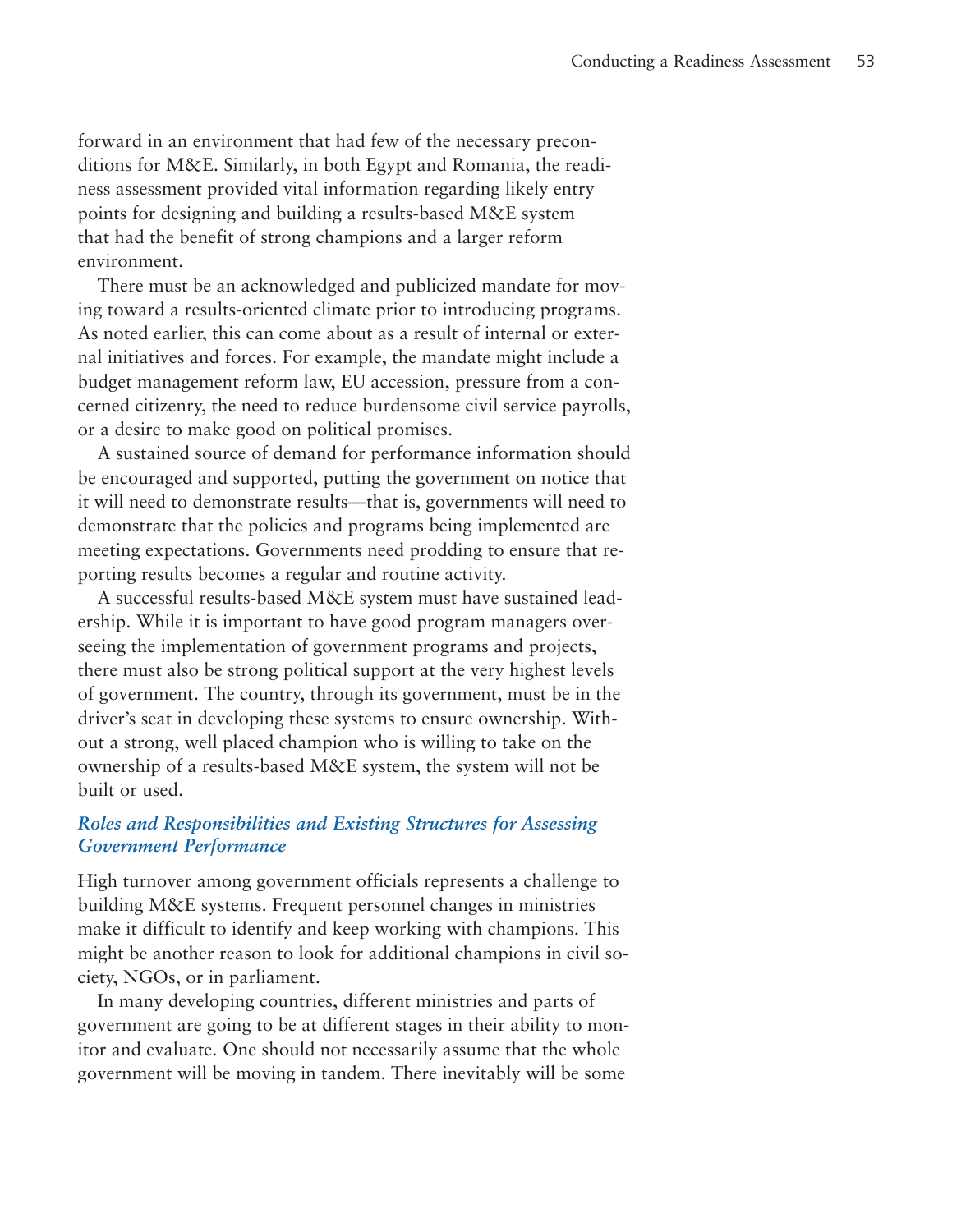forward in an environment that had few of the necessary preconditions for M&E. Similarly, in both Egypt and Romania, the readiness assessment provided vital information regarding likely entry points for designing and building a results-based M&E system that had the benefit of strong champions and a larger reform environment.

There must be an acknowledged and publicized mandate for moving toward a results-oriented climate prior to introducing programs. As noted earlier, this can come about as a result of internal or external initiatives and forces. For example, the mandate might include a budget management reform law, EU accession, pressure from a concerned citizenry, the need to reduce burdensome civil service payrolls, or a desire to make good on political promises.

A sustained source of demand for performance information should be encouraged and supported, putting the government on notice that it will need to demonstrate results—that is, governments will need to demonstrate that the policies and programs being implemented are meeting expectations. Governments need prodding to ensure that reporting results becomes a regular and routine activity.

A successful results-based M&E system must have sustained leadership. While it is important to have good program managers overseeing the implementation of government programs and projects, there must also be strong political support at the very highest levels of government. The country, through its government, must be in the driver's seat in developing these systems to ensure ownership. Without a strong, well placed champion who is willing to take on the ownership of a results-based M&E system, the system will not be built or used.

## *Roles and Responsibilities and Existing Structures for Assessing Government Performance*

High turnover among government officials represents a challenge to building M&E systems. Frequent personnel changes in ministries make it difficult to identify and keep working with champions. This might be another reason to look for additional champions in civil society, NGOs, or in parliament.

In many developing countries, different ministries and parts of government are going to be at different stages in their ability to monitor and evaluate. One should not necessarily assume that the whole government will be moving in tandem. There inevitably will be some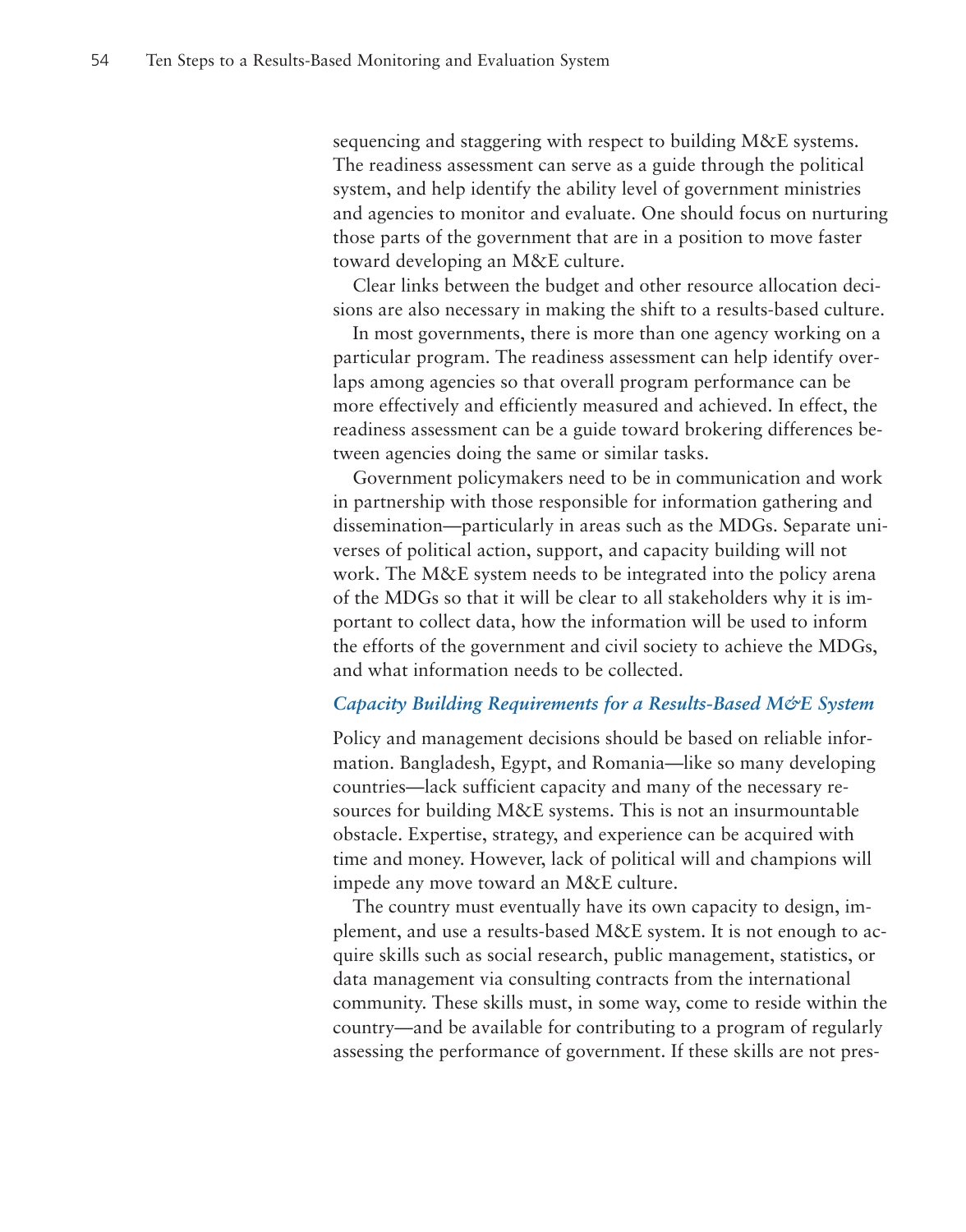sequencing and staggering with respect to building M&E systems. The readiness assessment can serve as a guide through the political system, and help identify the ability level of government ministries and agencies to monitor and evaluate. One should focus on nurturing those parts of the government that are in a position to move faster toward developing an M&E culture.

Clear links between the budget and other resource allocation decisions are also necessary in making the shift to a results-based culture.

In most governments, there is more than one agency working on a particular program. The readiness assessment can help identify overlaps among agencies so that overall program performance can be more effectively and efficiently measured and achieved. In effect, the readiness assessment can be a guide toward brokering differences between agencies doing the same or similar tasks.

Government policymakers need to be in communication and work in partnership with those responsible for information gathering and dissemination—particularly in areas such as the MDGs. Separate universes of political action, support, and capacity building will not work. The M&E system needs to be integrated into the policy arena of the MDGs so that it will be clear to all stakeholders why it is important to collect data, how the information will be used to inform the efforts of the government and civil society to achieve the MDGs, and what information needs to be collected.

## *Capacity Building Requirements for a Results-Based M&E System*

Policy and management decisions should be based on reliable information. Bangladesh, Egypt, and Romania—like so many developing countries—lack sufficient capacity and many of the necessary resources for building M&E systems. This is not an insurmountable obstacle. Expertise, strategy, and experience can be acquired with time and money. However, lack of political will and champions will impede any move toward an M&E culture.

The country must eventually have its own capacity to design, implement, and use a results-based M&E system. It is not enough to acquire skills such as social research, public management, statistics, or data management via consulting contracts from the international community. These skills must, in some way, come to reside within the country—and be available for contributing to a program of regularly assessing the performance of government. If these skills are not pres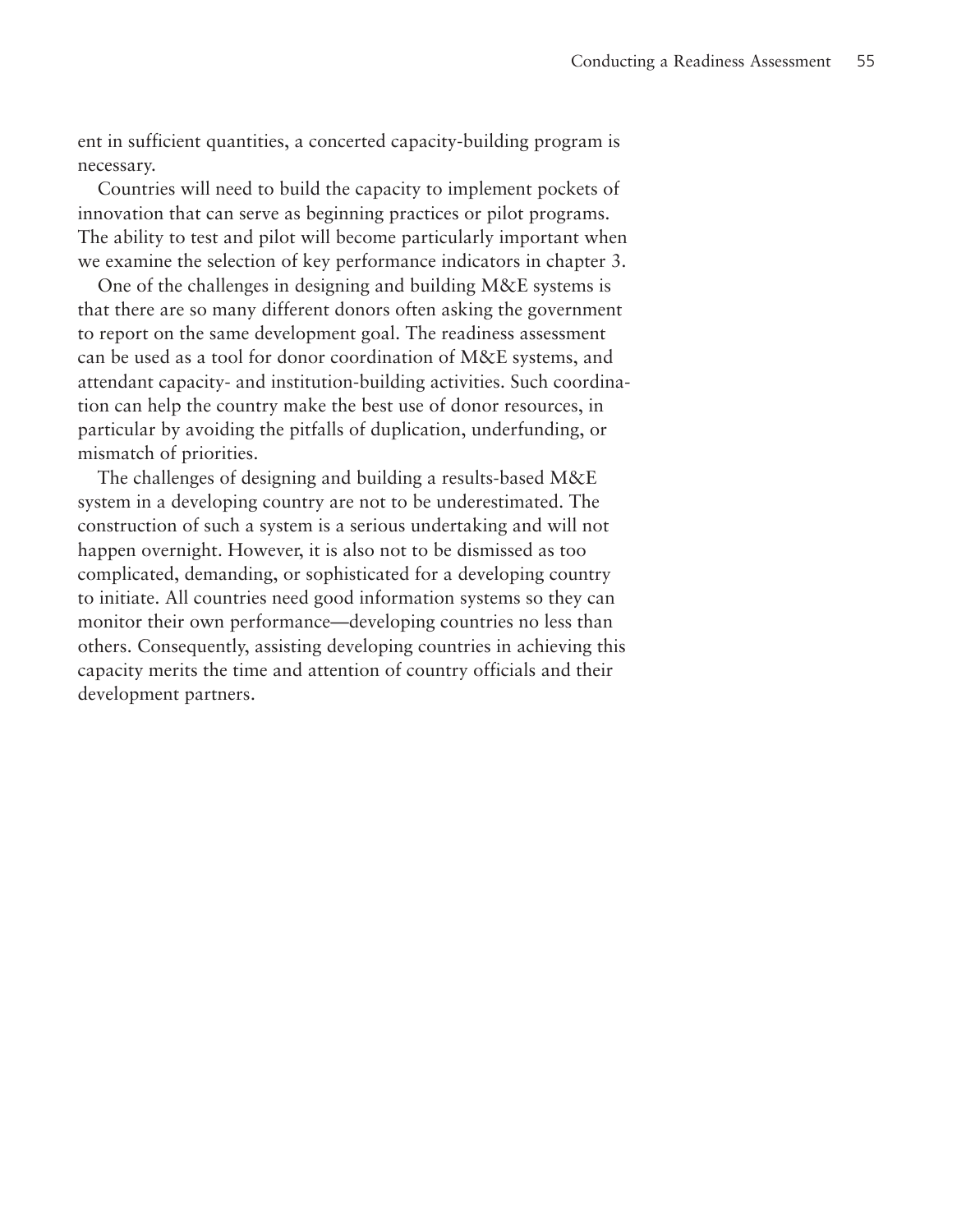ent in sufficient quantities, a concerted capacity-building program is necessary.

Countries will need to build the capacity to implement pockets of innovation that can serve as beginning practices or pilot programs. The ability to test and pilot will become particularly important when we examine the selection of key performance indicators in chapter 3.

One of the challenges in designing and building M&E systems is that there are so many different donors often asking the government to report on the same development goal. The readiness assessment can be used as a tool for donor coordination of M&E systems, and attendant capacity- and institution-building activities. Such coordination can help the country make the best use of donor resources, in particular by avoiding the pitfalls of duplication, underfunding, or mismatch of priorities.

The challenges of designing and building a results-based M&E system in a developing country are not to be underestimated. The construction of such a system is a serious undertaking and will not happen overnight. However, it is also not to be dismissed as too complicated, demanding, or sophisticated for a developing country to initiate. All countries need good information systems so they can monitor their own performance—developing countries no less than others. Consequently, assisting developing countries in achieving this capacity merits the time and attention of country officials and their development partners.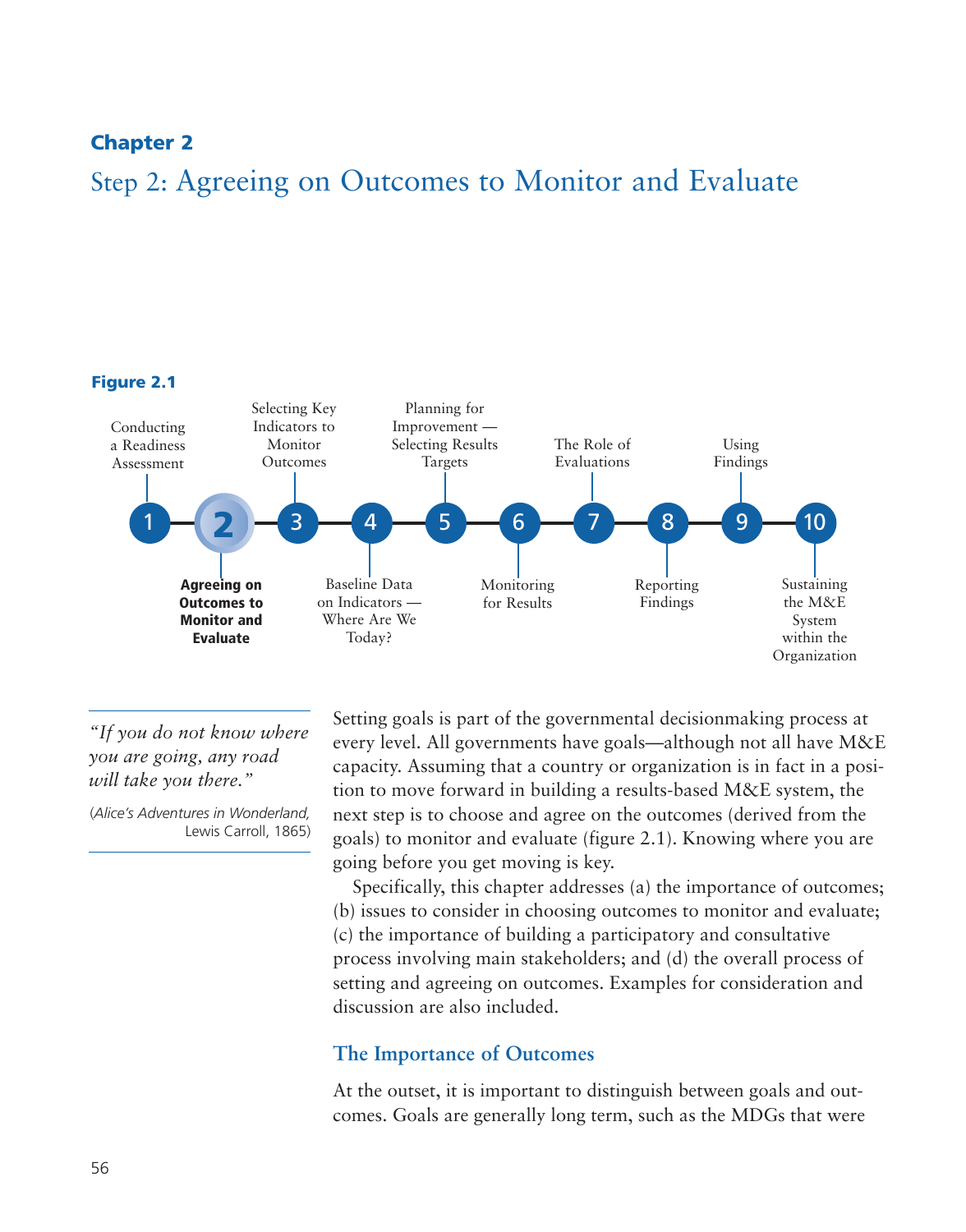# **Chapter 2**

# Step 2: Agreeing on Outcomes to Monitor and Evaluate

#### **Figure 2.1**



*"If you do not know where you are going, any road will take you there."*

(*Alice's Adventures in Wonderland,* Lewis Carroll, 1865) Setting goals is part of the governmental decisionmaking process at every level. All governments have goals—although not all have M&E capacity. Assuming that a country or organization is in fact in a position to move forward in building a results-based M&E system, the next step is to choose and agree on the outcomes (derived from the goals) to monitor and evaluate (figure 2.1). Knowing where you are going before you get moving is key.

Specifically, this chapter addresses (a) the importance of outcomes; (b) issues to consider in choosing outcomes to monitor and evaluate; (c) the importance of building a participatory and consultative process involving main stakeholders; and (d) the overall process of setting and agreeing on outcomes. Examples for consideration and discussion are also included.

#### **The Importance of Outcomes**

At the outset, it is important to distinguish between goals and outcomes. Goals are generally long term, such as the MDGs that were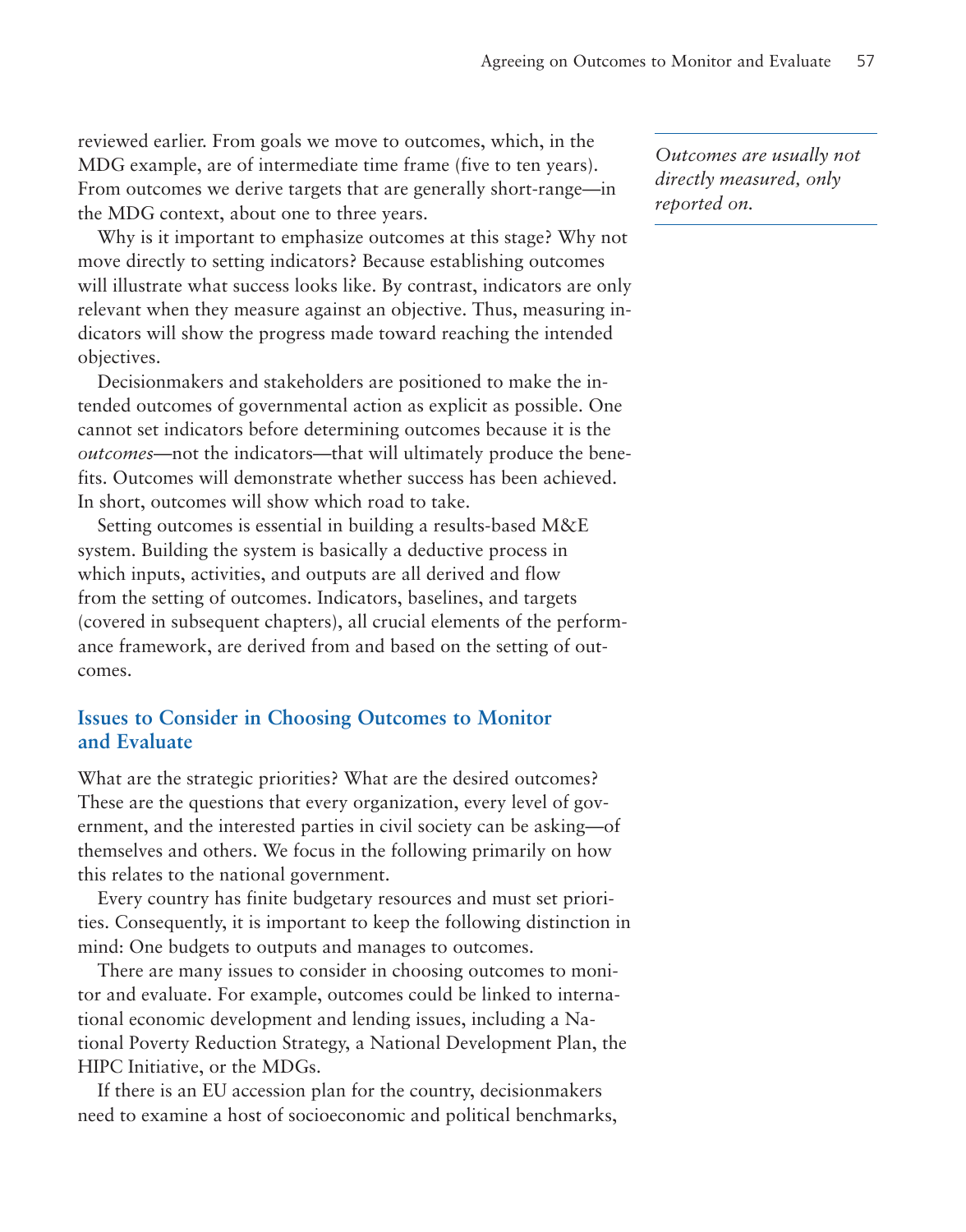reviewed earlier. From goals we move to outcomes, which, in the MDG example, are of intermediate time frame (five to ten years). From outcomes we derive targets that are generally short-range—in the MDG context, about one to three years.

Why is it important to emphasize outcomes at this stage? Why not move directly to setting indicators? Because establishing outcomes will illustrate what success looks like. By contrast, indicators are only relevant when they measure against an objective. Thus, measuring indicators will show the progress made toward reaching the intended objectives.

Decisionmakers and stakeholders are positioned to make the intended outcomes of governmental action as explicit as possible. One cannot set indicators before determining outcomes because it is the *outcomes*—not the indicators—that will ultimately produce the benefits. Outcomes will demonstrate whether success has been achieved. In short, outcomes will show which road to take.

Setting outcomes is essential in building a results-based M&E system. Building the system is basically a deductive process in which inputs, activities, and outputs are all derived and flow from the setting of outcomes. Indicators, baselines, and targets (covered in subsequent chapters), all crucial elements of the performance framework, are derived from and based on the setting of outcomes.

## **Issues to Consider in Choosing Outcomes to Monitor and Evaluate**

What are the strategic priorities? What are the desired outcomes? These are the questions that every organization, every level of government, and the interested parties in civil society can be asking—of themselves and others. We focus in the following primarily on how this relates to the national government.

Every country has finite budgetary resources and must set priorities. Consequently, it is important to keep the following distinction in mind: One budgets to outputs and manages to outcomes.

There are many issues to consider in choosing outcomes to monitor and evaluate. For example, outcomes could be linked to international economic development and lending issues, including a National Poverty Reduction Strategy, a National Development Plan, the HIPC Initiative, or the MDGs.

If there is an EU accession plan for the country, decisionmakers need to examine a host of socioeconomic and political benchmarks,

*Outcomes are usually not directly measured, only reported on.*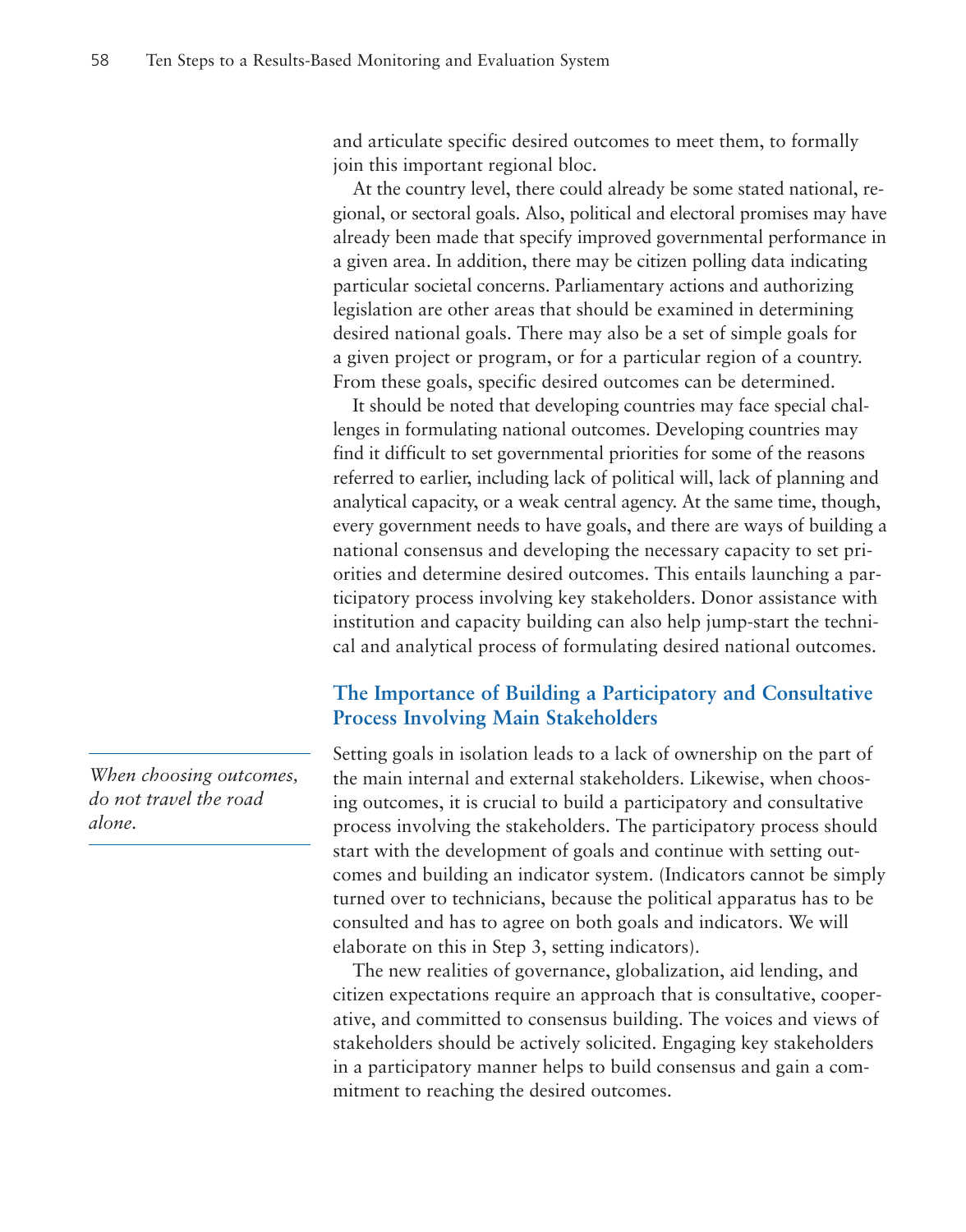and articulate specific desired outcomes to meet them, to formally join this important regional bloc.

At the country level, there could already be some stated national, regional, or sectoral goals. Also, political and electoral promises may have already been made that specify improved governmental performance in a given area. In addition, there may be citizen polling data indicating particular societal concerns. Parliamentary actions and authorizing legislation are other areas that should be examined in determining desired national goals. There may also be a set of simple goals for a given project or program, or for a particular region of a country. From these goals, specific desired outcomes can be determined.

It should be noted that developing countries may face special challenges in formulating national outcomes. Developing countries may find it difficult to set governmental priorities for some of the reasons referred to earlier, including lack of political will, lack of planning and analytical capacity, or a weak central agency. At the same time, though, every government needs to have goals, and there are ways of building a national consensus and developing the necessary capacity to set priorities and determine desired outcomes. This entails launching a participatory process involving key stakeholders. Donor assistance with institution and capacity building can also help jump-start the technical and analytical process of formulating desired national outcomes.

## **The Importance of Building a Participatory and Consultative Process Involving Main Stakeholders**

Setting goals in isolation leads to a lack of ownership on the part of the main internal and external stakeholders. Likewise, when choosing outcomes, it is crucial to build a participatory and consultative process involving the stakeholders. The participatory process should start with the development of goals and continue with setting outcomes and building an indicator system. (Indicators cannot be simply turned over to technicians, because the political apparatus has to be consulted and has to agree on both goals and indicators. We will elaborate on this in Step 3, setting indicators).

The new realities of governance, globalization, aid lending, and citizen expectations require an approach that is consultative, cooperative, and committed to consensus building. The voices and views of stakeholders should be actively solicited. Engaging key stakeholders in a participatory manner helps to build consensus and gain a commitment to reaching the desired outcomes.

*When choosing outcomes, do not travel the road alone.*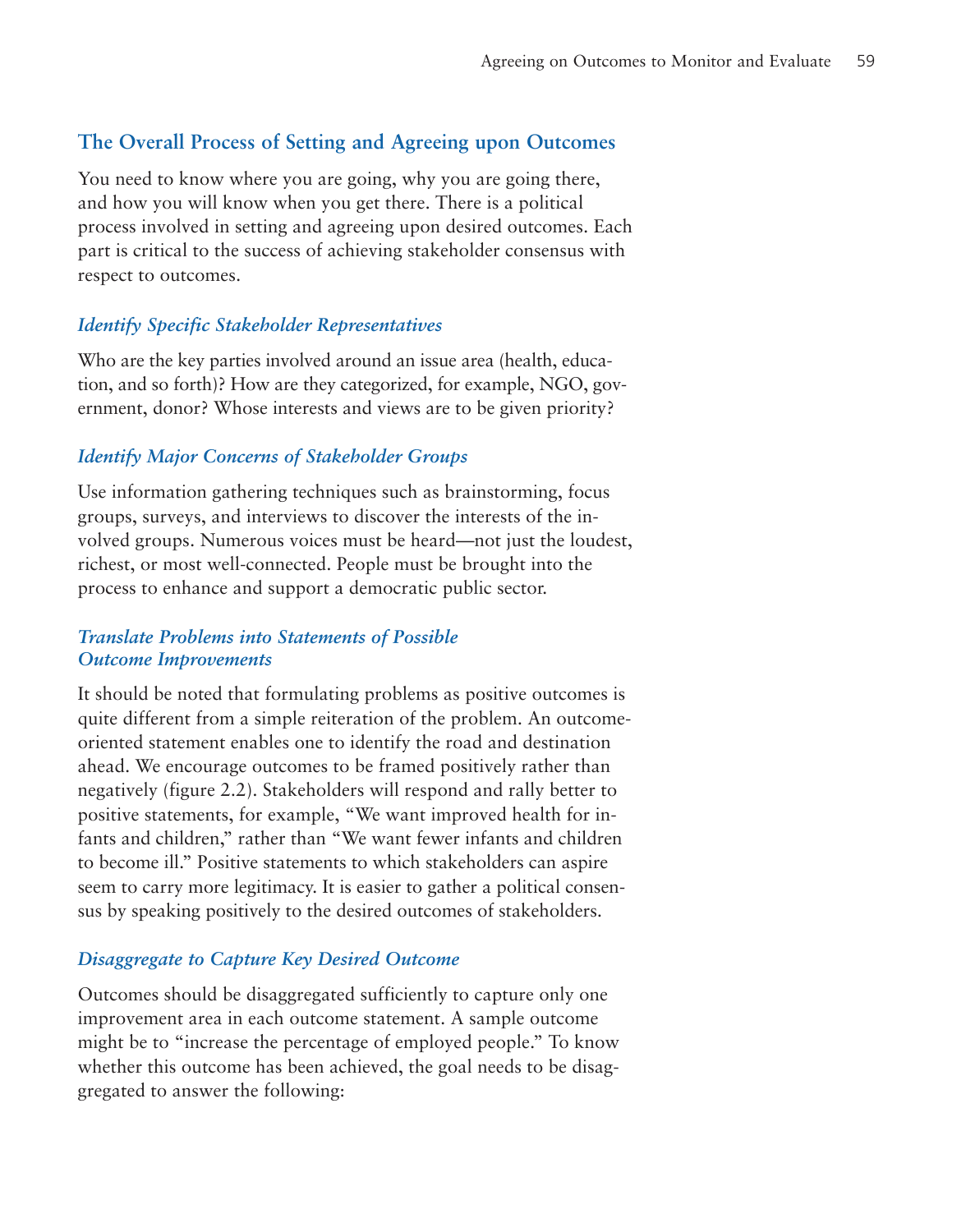## **The Overall Process of Setting and Agreeing upon Outcomes**

You need to know where you are going, why you are going there, and how you will know when you get there. There is a political process involved in setting and agreeing upon desired outcomes. Each part is critical to the success of achieving stakeholder consensus with respect to outcomes.

## *Identify Specific Stakeholder Representatives*

Who are the key parties involved around an issue area (health, education, and so forth)? How are they categorized, for example, NGO, government, donor? Whose interests and views are to be given priority?

## *Identify Major Concerns of Stakeholder Groups*

Use information gathering techniques such as brainstorming, focus groups, surveys, and interviews to discover the interests of the involved groups. Numerous voices must be heard—not just the loudest, richest, or most well-connected. People must be brought into the process to enhance and support a democratic public sector.

## *Translate Problems into Statements of Possible Outcome Improvements*

It should be noted that formulating problems as positive outcomes is quite different from a simple reiteration of the problem. An outcomeoriented statement enables one to identify the road and destination ahead. We encourage outcomes to be framed positively rather than negatively (figure 2.2). Stakeholders will respond and rally better to positive statements, for example, "We want improved health for infants and children," rather than "We want fewer infants and children to become ill." Positive statements to which stakeholders can aspire seem to carry more legitimacy. It is easier to gather a political consensus by speaking positively to the desired outcomes of stakeholders.

## *Disaggregate to Capture Key Desired Outcome*

Outcomes should be disaggregated sufficiently to capture only one improvement area in each outcome statement. A sample outcome might be to "increase the percentage of employed people." To know whether this outcome has been achieved, the goal needs to be disaggregated to answer the following: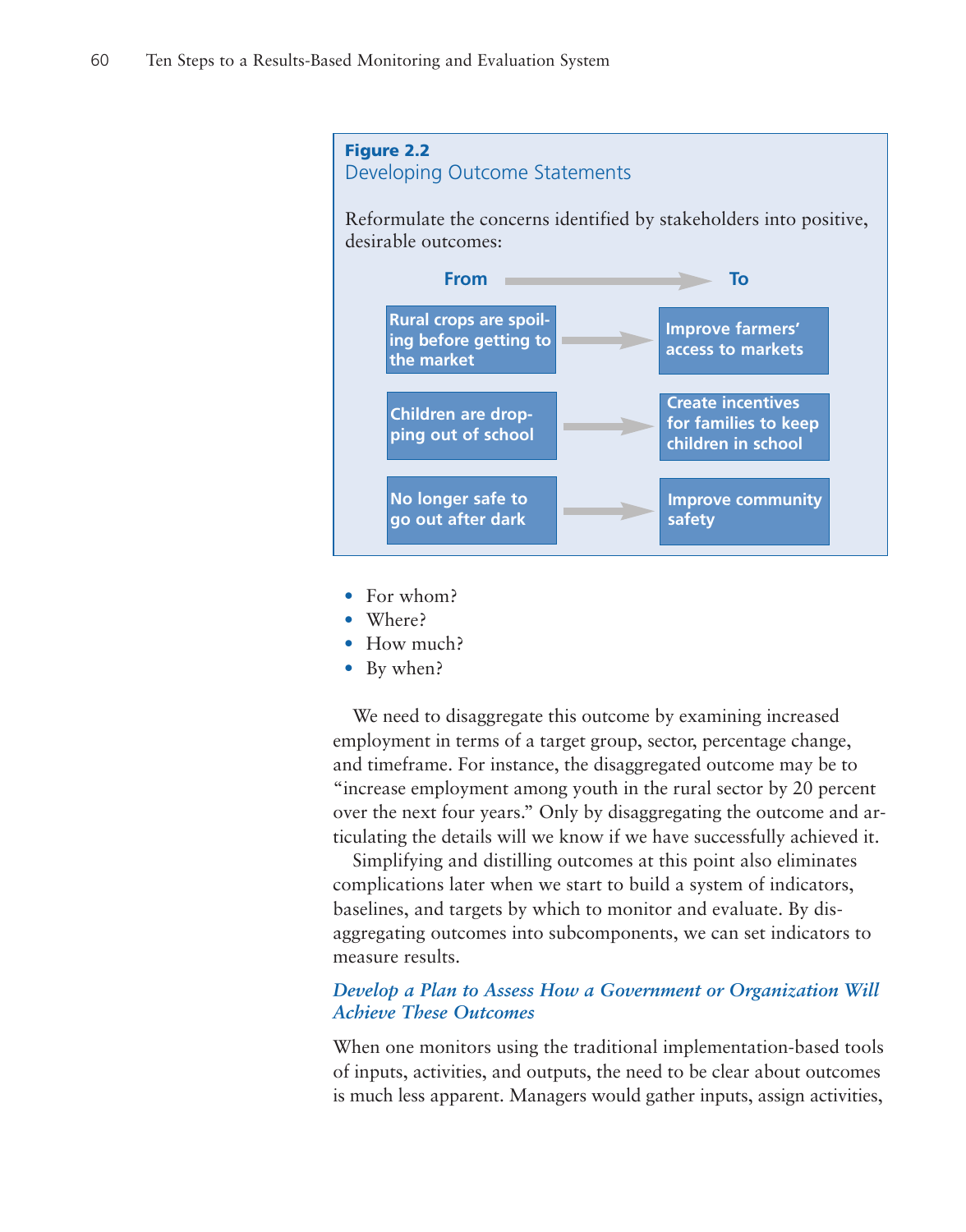

- For whom?
- Where?
- How much?
- By when?

We need to disaggregate this outcome by examining increased employment in terms of a target group, sector, percentage change, and timeframe. For instance, the disaggregated outcome may be to "increase employment among youth in the rural sector by 20 percent over the next four years." Only by disaggregating the outcome and articulating the details will we know if we have successfully achieved it.

Simplifying and distilling outcomes at this point also eliminates complications later when we start to build a system of indicators, baselines, and targets by which to monitor and evaluate. By disaggregating outcomes into subcomponents, we can set indicators to measure results.

## *Develop a Plan to Assess How a Government or Organization Will Achieve These Outcomes*

When one monitors using the traditional implementation-based tools of inputs, activities, and outputs, the need to be clear about outcomes is much less apparent. Managers would gather inputs, assign activities,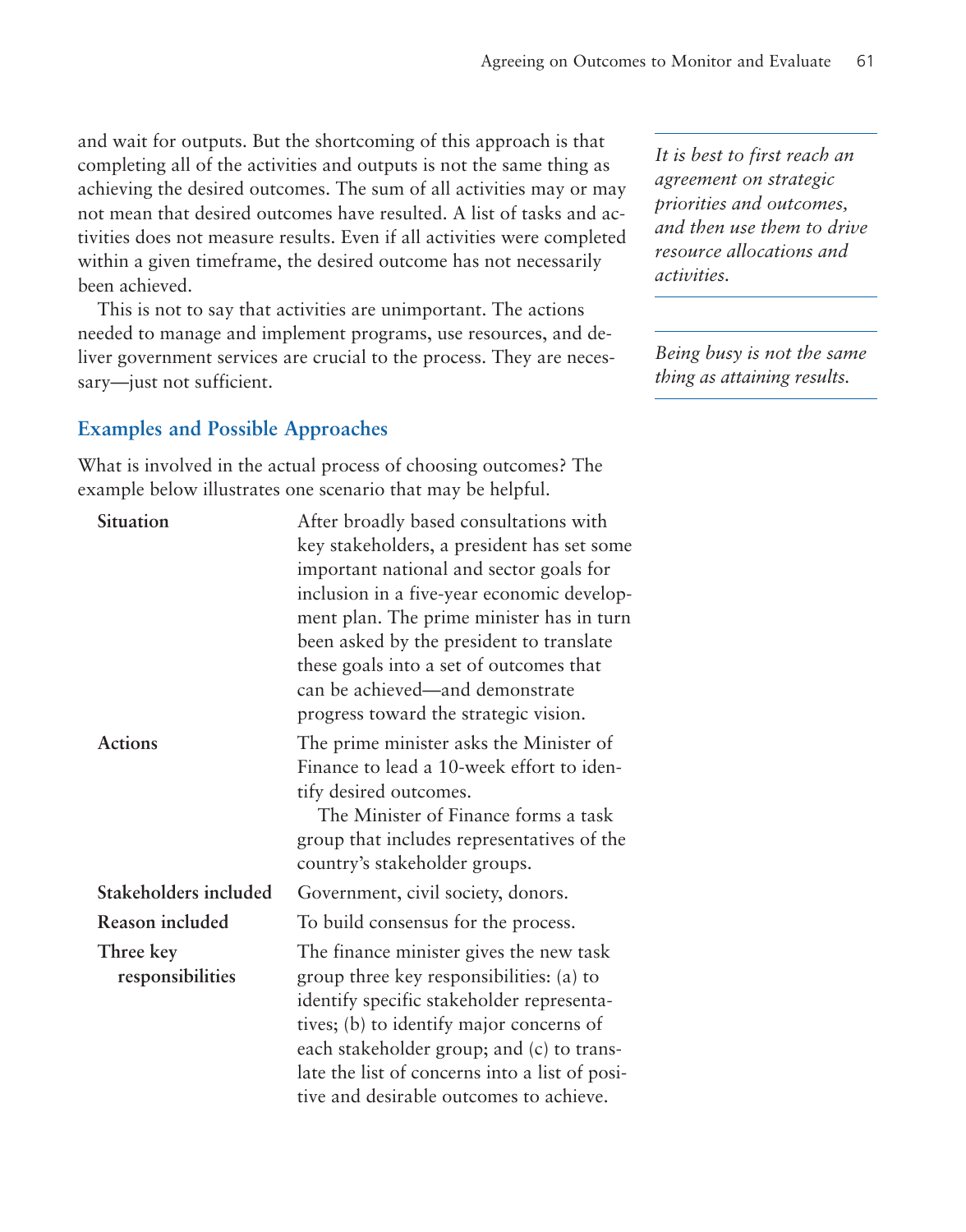and wait for outputs. But the shortcoming of this approach is that completing all of the activities and outputs is not the same thing as achieving the desired outcomes. The sum of all activities may or may not mean that desired outcomes have resulted. A list of tasks and activities does not measure results. Even if all activities were completed within a given timeframe, the desired outcome has not necessarily been achieved.

This is not to say that activities are unimportant. The actions needed to manage and implement programs, use resources, and deliver government services are crucial to the process. They are necessary—just not sufficient.

## **Examples and Possible Approaches**

What is involved in the actual process of choosing outcomes? The example below illustrates one scenario that may be helpful.

| <b>Situation</b>              | After broadly based consultations with<br>key stakeholders, a president has set some<br>important national and sector goals for<br>inclusion in a five-year economic develop-<br>ment plan. The prime minister has in turn<br>been asked by the president to translate<br>these goals into a set of outcomes that<br>can be achieved—and demonstrate |
|-------------------------------|------------------------------------------------------------------------------------------------------------------------------------------------------------------------------------------------------------------------------------------------------------------------------------------------------------------------------------------------------|
| Actions                       | progress toward the strategic vision.<br>The prime minister asks the Minister of<br>Finance to lead a 10-week effort to iden-<br>tify desired outcomes.<br>The Minister of Finance forms a task<br>group that includes representatives of the<br>country's stakeholder groups.                                                                       |
| Stakeholders included         | Government, civil society, donors.                                                                                                                                                                                                                                                                                                                   |
| Reason included               | To build consensus for the process.                                                                                                                                                                                                                                                                                                                  |
| Three key<br>responsibilities | The finance minister gives the new task<br>group three key responsibilities: (a) to<br>identify specific stakeholder representa-<br>tives; (b) to identify major concerns of<br>each stakeholder group; and (c) to trans-<br>late the list of concerns into a list of posi-<br>tive and desirable outcomes to achieve.                               |

*It is best to first reach an agreement on strategic priorities and outcomes, and then use them to drive resource allocations and activities.*

*Being busy is not the same thing as attaining results.*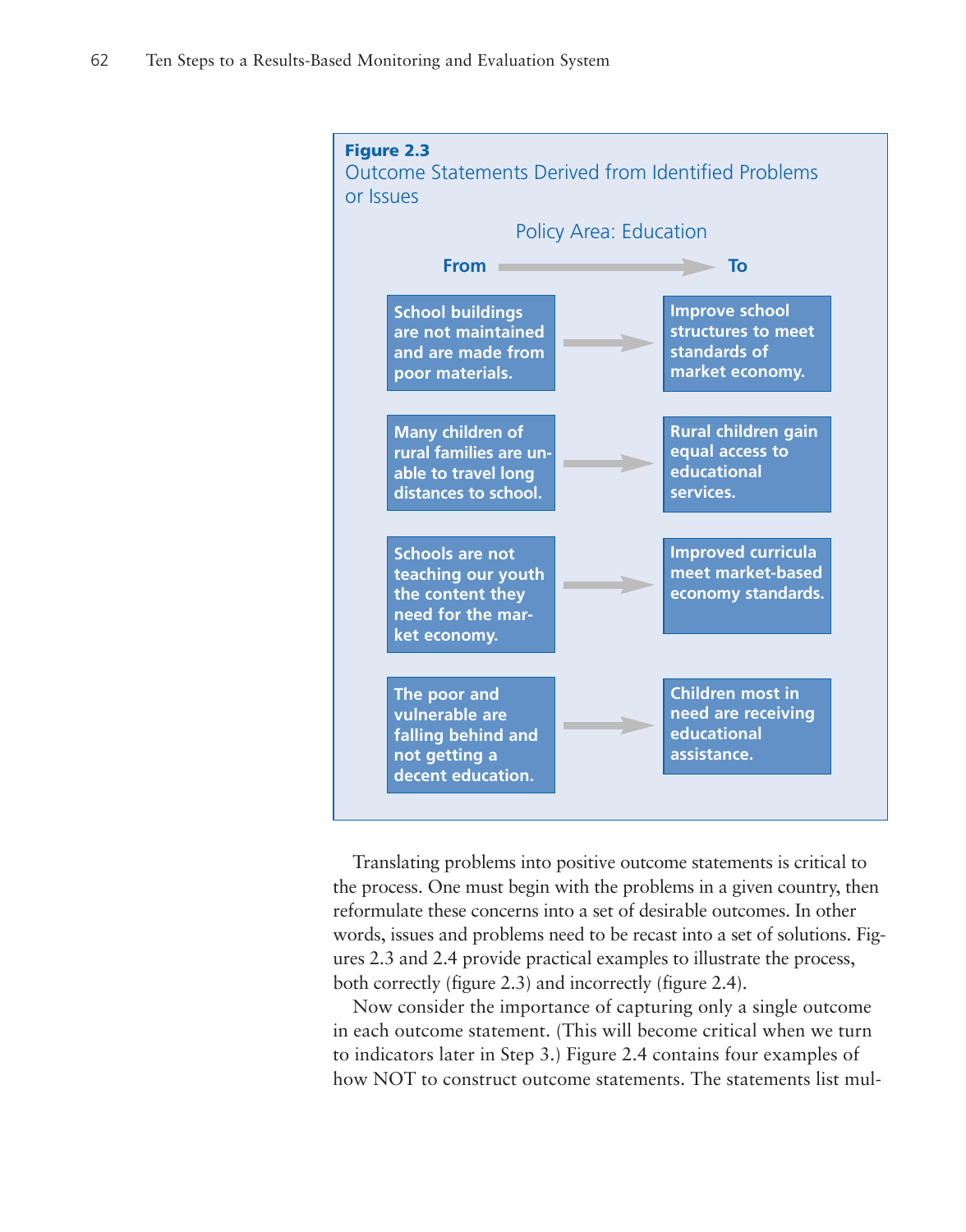

Translating problems into positive outcome statements is critical to the process. One must begin with the problems in a given country, then reformulate these concerns into a set of desirable outcomes. In other words, issues and problems need to be recast into a set of solutions. Figures 2.3 and 2.4 provide practical examples to illustrate the process, both correctly (figure 2.3) and incorrectly (figure 2.4).

Now consider the importance of capturing only a single outcome in each outcome statement. (This will become critical when we turn to indicators later in Step 3.) Figure 2.4 contains four examples of how NOT to construct outcome statements. The statements list mul-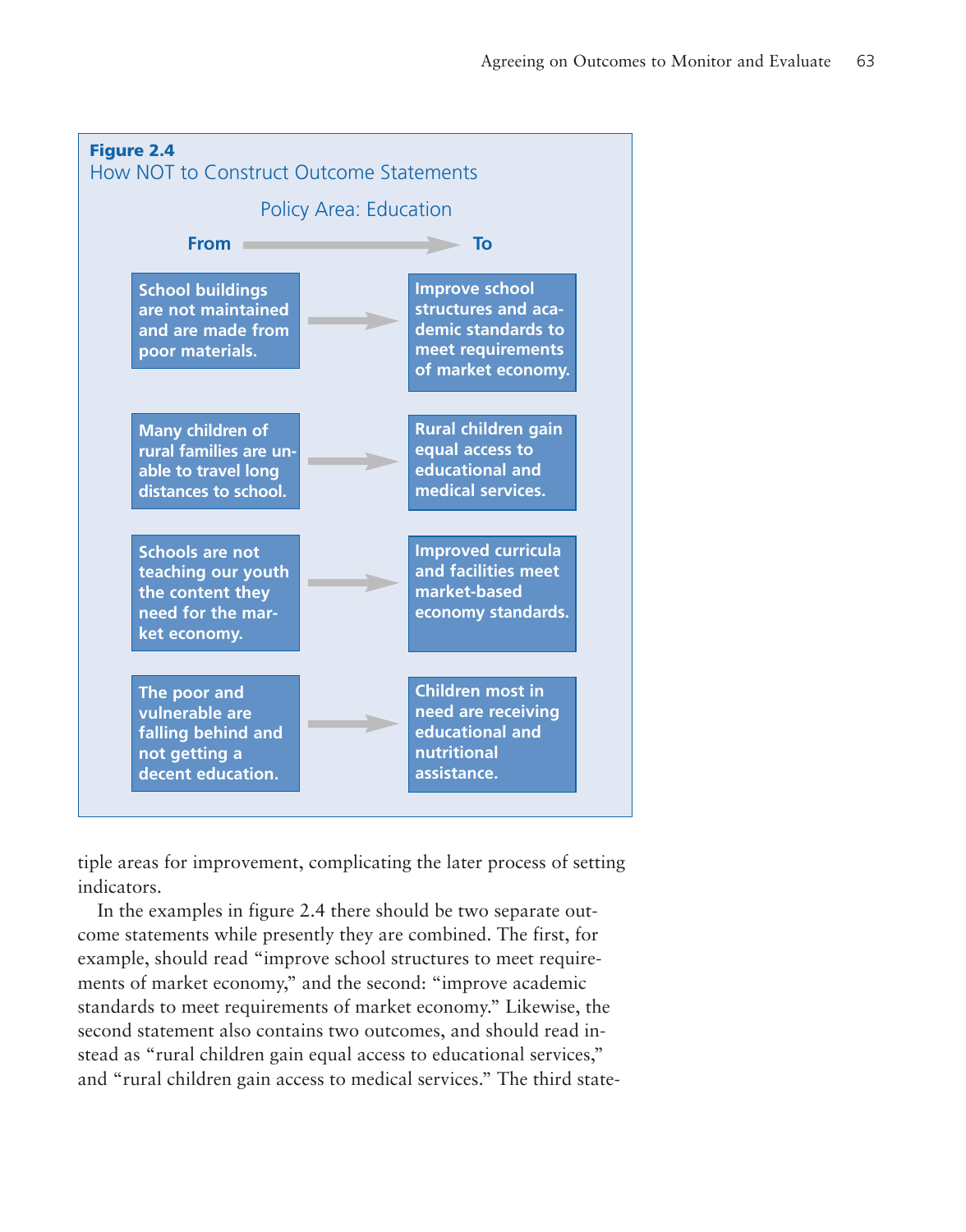

tiple areas for improvement, complicating the later process of setting indicators.

In the examples in figure 2.4 there should be two separate outcome statements while presently they are combined. The first, for example, should read "improve school structures to meet requirements of market economy," and the second: "improve academic standards to meet requirements of market economy." Likewise, the second statement also contains two outcomes, and should read instead as "rural children gain equal access to educational services," and "rural children gain access to medical services." The third state-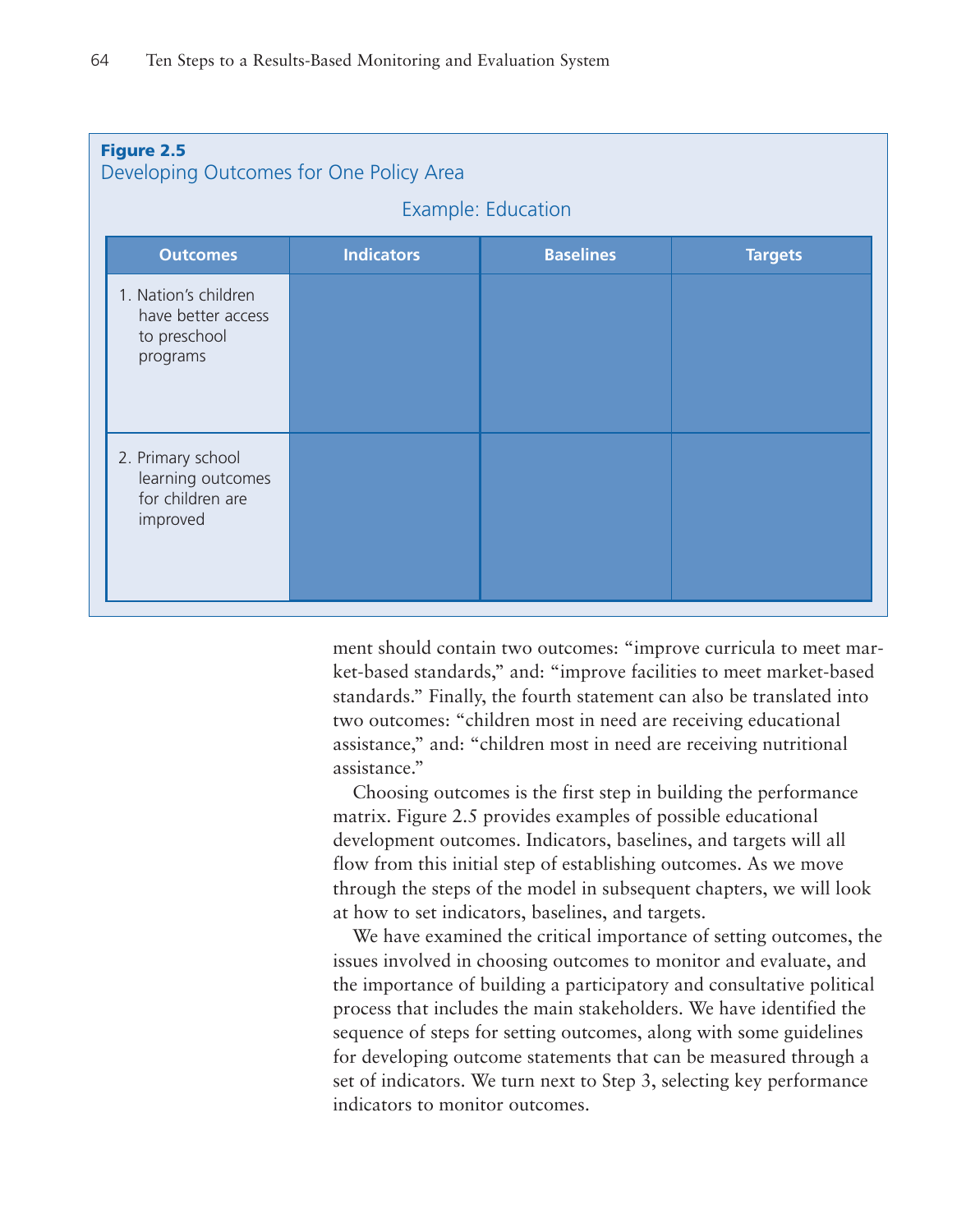| <b>Figure 2.5</b><br>Developing Outcomes for One Policy Area<br><b>Example: Education</b> |                   |                  |                |  |  |  |
|-------------------------------------------------------------------------------------------|-------------------|------------------|----------------|--|--|--|
| <b>Outcomes</b>                                                                           | <b>Indicators</b> | <b>Baselines</b> | <b>Targets</b> |  |  |  |
| 1. Nation's children<br>have better access<br>to preschool<br>programs                    |                   |                  |                |  |  |  |
| 2. Primary school<br>learning outcomes<br>for children are<br>improved                    |                   |                  |                |  |  |  |

ment should contain two outcomes: "improve curricula to meet market-based standards," and: "improve facilities to meet market-based standards." Finally, the fourth statement can also be translated into two outcomes: "children most in need are receiving educational assistance," and: "children most in need are receiving nutritional assistance."

Choosing outcomes is the first step in building the performance matrix. Figure 2.5 provides examples of possible educational development outcomes. Indicators, baselines, and targets will all flow from this initial step of establishing outcomes. As we move through the steps of the model in subsequent chapters, we will look at how to set indicators, baselines, and targets.

We have examined the critical importance of setting outcomes, the issues involved in choosing outcomes to monitor and evaluate, and the importance of building a participatory and consultative political process that includes the main stakeholders. We have identified the sequence of steps for setting outcomes, along with some guidelines for developing outcome statements that can be measured through a set of indicators. We turn next to Step 3, selecting key performance indicators to monitor outcomes.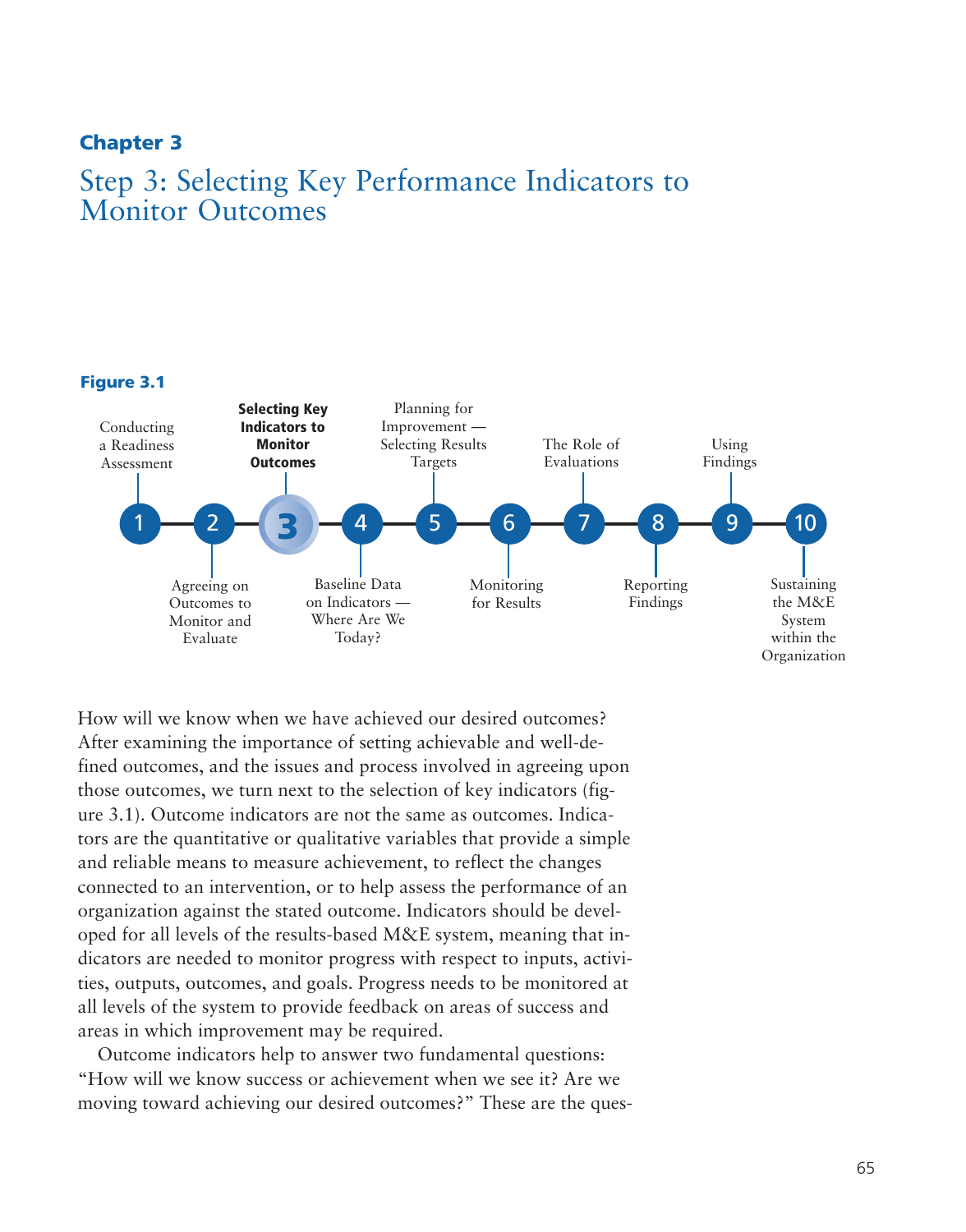## **Chapter 3**

# Step 3: Selecting Key Performance Indicators to Monitor Outcomes

**Figure 3.1**



How will we know when we have achieved our desired outcomes? After examining the importance of setting achievable and well-defined outcomes, and the issues and process involved in agreeing upon those outcomes, we turn next to the selection of key indicators (figure 3.1). Outcome indicators are not the same as outcomes. Indicators are the quantitative or qualitative variables that provide a simple and reliable means to measure achievement, to reflect the changes connected to an intervention, or to help assess the performance of an organization against the stated outcome. Indicators should be developed for all levels of the results-based M&E system, meaning that indicators are needed to monitor progress with respect to inputs, activities, outputs, outcomes, and goals. Progress needs to be monitored at all levels of the system to provide feedback on areas of success and areas in which improvement may be required.

Outcome indicators help to answer two fundamental questions: "How will we know success or achievement when we see it? Are we moving toward achieving our desired outcomes?" These are the ques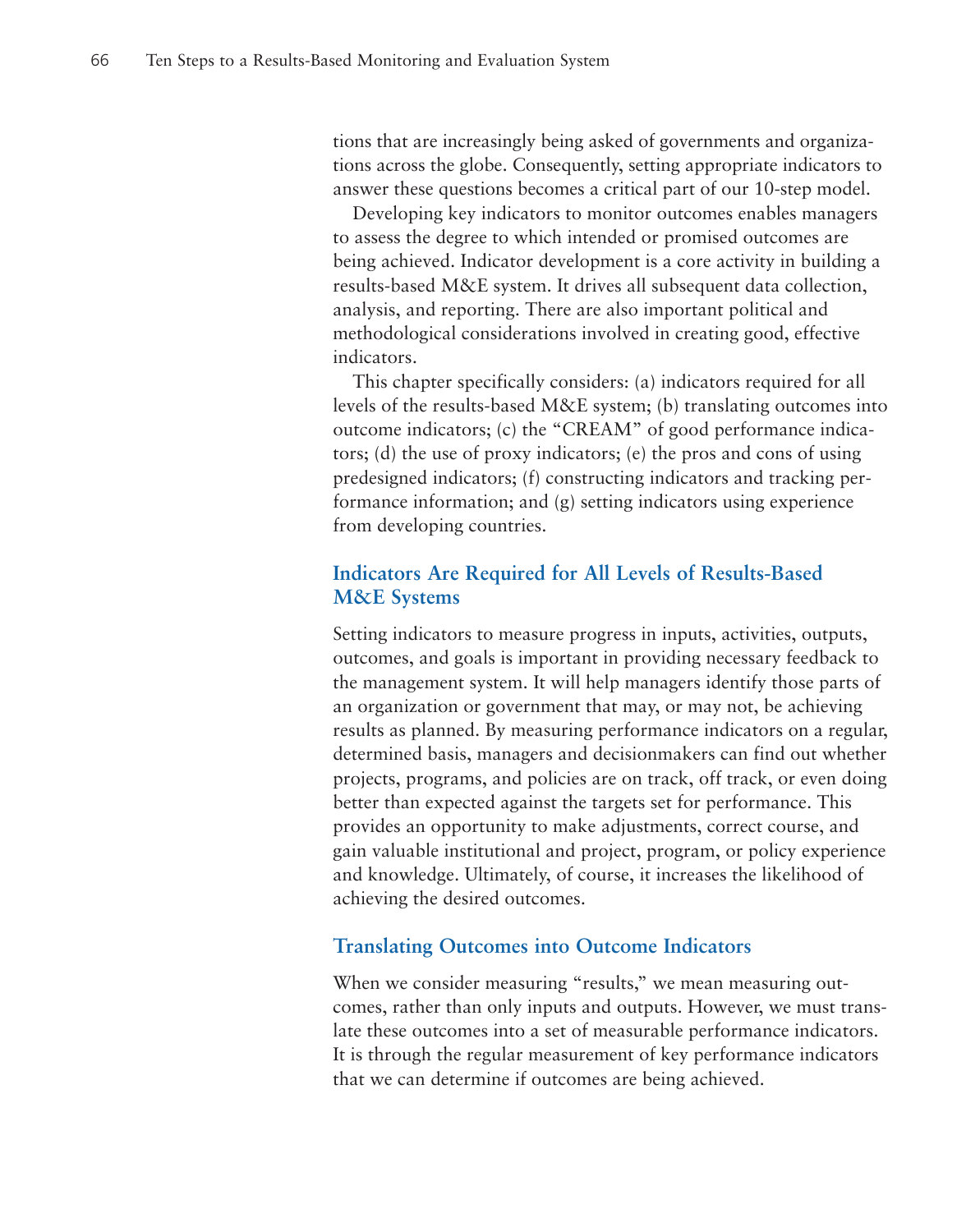tions that are increasingly being asked of governments and organizations across the globe. Consequently, setting appropriate indicators to answer these questions becomes a critical part of our 10-step model.

Developing key indicators to monitor outcomes enables managers to assess the degree to which intended or promised outcomes are being achieved. Indicator development is a core activity in building a results-based M&E system. It drives all subsequent data collection, analysis, and reporting. There are also important political and methodological considerations involved in creating good, effective indicators.

This chapter specifically considers: (a) indicators required for all levels of the results-based M&E system; (b) translating outcomes into outcome indicators; (c) the "CREAM" of good performance indicators; (d) the use of proxy indicators; (e) the pros and cons of using predesigned indicators; (f) constructing indicators and tracking performance information; and (g) setting indicators using experience from developing countries.

# **Indicators Are Required for All Levels of Results-Based M&E Systems**

Setting indicators to measure progress in inputs, activities, outputs, outcomes, and goals is important in providing necessary feedback to the management system. It will help managers identify those parts of an organization or government that may, or may not, be achieving results as planned. By measuring performance indicators on a regular, determined basis, managers and decisionmakers can find out whether projects, programs, and policies are on track, off track, or even doing better than expected against the targets set for performance. This provides an opportunity to make adjustments, correct course, and gain valuable institutional and project, program, or policy experience and knowledge. Ultimately, of course, it increases the likelihood of achieving the desired outcomes.

## **Translating Outcomes into Outcome Indicators**

When we consider measuring "results," we mean measuring outcomes, rather than only inputs and outputs. However, we must translate these outcomes into a set of measurable performance indicators. It is through the regular measurement of key performance indicators that we can determine if outcomes are being achieved.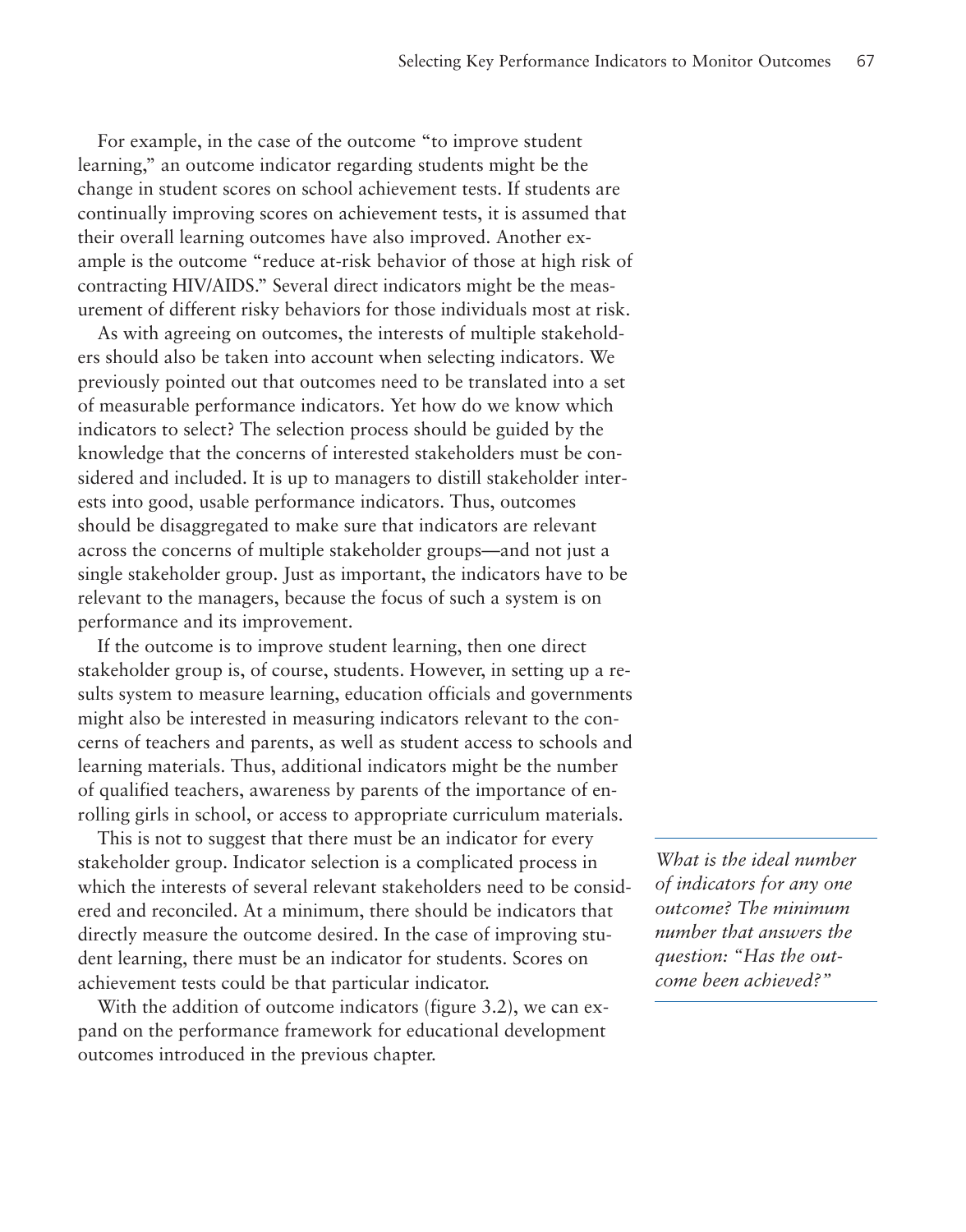For example, in the case of the outcome "to improve student learning," an outcome indicator regarding students might be the change in student scores on school achievement tests. If students are continually improving scores on achievement tests, it is assumed that their overall learning outcomes have also improved. Another example is the outcome "reduce at-risk behavior of those at high risk of contracting HIV/AIDS." Several direct indicators might be the measurement of different risky behaviors for those individuals most at risk.

As with agreeing on outcomes, the interests of multiple stakeholders should also be taken into account when selecting indicators. We previously pointed out that outcomes need to be translated into a set of measurable performance indicators. Yet how do we know which indicators to select? The selection process should be guided by the knowledge that the concerns of interested stakeholders must be considered and included. It is up to managers to distill stakeholder interests into good, usable performance indicators. Thus, outcomes should be disaggregated to make sure that indicators are relevant across the concerns of multiple stakeholder groups—and not just a single stakeholder group. Just as important, the indicators have to be relevant to the managers, because the focus of such a system is on performance and its improvement.

If the outcome is to improve student learning, then one direct stakeholder group is, of course, students. However, in setting up a results system to measure learning, education officials and governments might also be interested in measuring indicators relevant to the concerns of teachers and parents, as well as student access to schools and learning materials. Thus, additional indicators might be the number of qualified teachers, awareness by parents of the importance of enrolling girls in school, or access to appropriate curriculum materials.

This is not to suggest that there must be an indicator for every stakeholder group. Indicator selection is a complicated process in which the interests of several relevant stakeholders need to be considered and reconciled. At a minimum, there should be indicators that directly measure the outcome desired. In the case of improving student learning, there must be an indicator for students. Scores on achievement tests could be that particular indicator.

With the addition of outcome indicators (figure 3.2), we can expand on the performance framework for educational development outcomes introduced in the previous chapter.

*What is the ideal number of indicators for any one outcome? The minimum number that answers the question: "Has the outcome been achieved?"*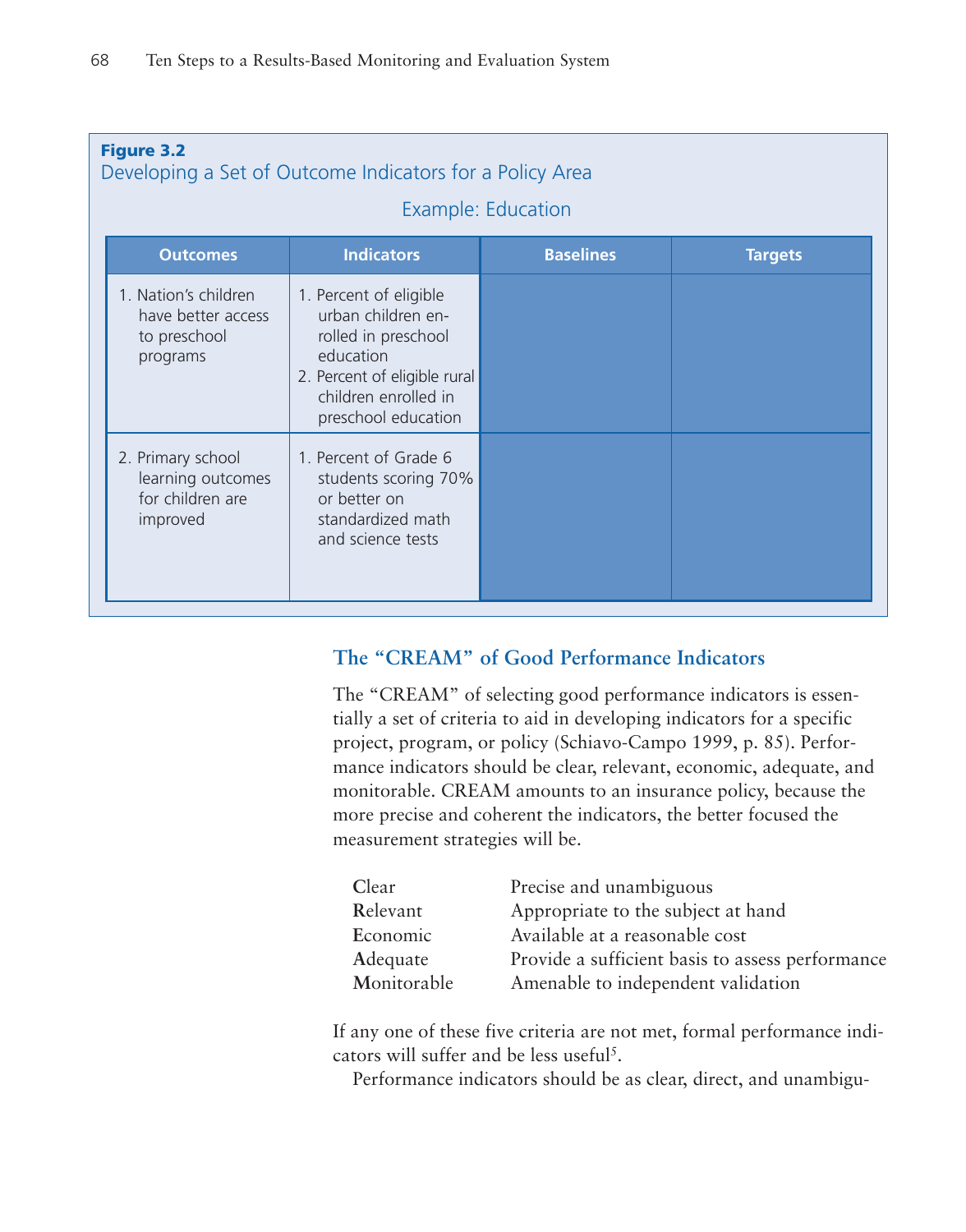| <b>Figure 3.2</b><br>Developing a Set of Outcome Indicators for a Policy Area<br><b>Example: Education</b> |                                                                                                                                                                 |                  |                |  |  |
|------------------------------------------------------------------------------------------------------------|-----------------------------------------------------------------------------------------------------------------------------------------------------------------|------------------|----------------|--|--|
| <b>Outcomes</b>                                                                                            | <b>Indicators</b>                                                                                                                                               | <b>Baselines</b> | <b>Targets</b> |  |  |
| 1. Nation's children<br>have better access<br>to preschool<br>programs                                     | 1. Percent of eligible<br>urban children en-<br>rolled in preschool<br>education<br>2. Percent of eligible rural<br>children enrolled in<br>preschool education |                  |                |  |  |
| 2. Primary school<br>learning outcomes<br>for children are<br>improved                                     | 1. Percent of Grade 6<br>students scoring 70%<br>or better on<br>standardized math<br>and science tests                                                         |                  |                |  |  |

# **The "CREAM" of Good Performance Indicators**

The "CREAM" of selecting good performance indicators is essentially a set of criteria to aid in developing indicators for a specific project, program, or policy (Schiavo-Campo 1999, p. 85). Performance indicators should be clear, relevant, economic, adequate, and monitorable. CREAM amounts to an insurance policy, because the more precise and coherent the indicators, the better focused the measurement strategies will be.

| Clear       | Precise and unambiguous                          |
|-------------|--------------------------------------------------|
| Relevant    | Appropriate to the subject at hand               |
| Economic    | Available at a reasonable cost                   |
| Adequate    | Provide a sufficient basis to assess performance |
| Monitorable | Amenable to independent validation               |

If any one of these five criteria are not met, formal performance indicators will suffer and be less useful5.

Performance indicators should be as clear, direct, and unambigu-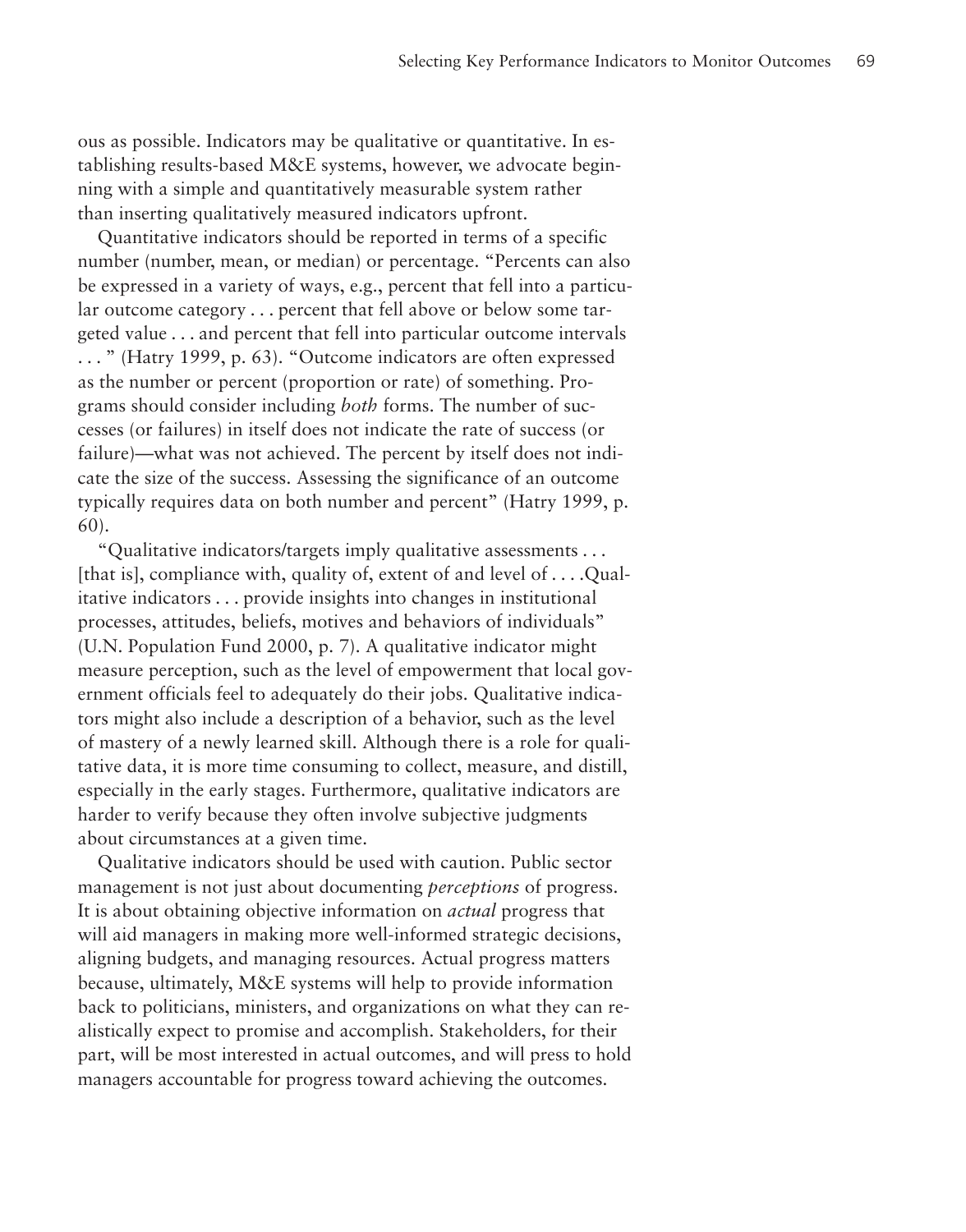ous as possible. Indicators may be qualitative or quantitative. In establishing results-based M&E systems, however, we advocate beginning with a simple and quantitatively measurable system rather than inserting qualitatively measured indicators upfront.

Quantitative indicators should be reported in terms of a specific number (number, mean, or median) or percentage. "Percents can also be expressed in a variety of ways, e.g., percent that fell into a particular outcome category . . . percent that fell above or below some targeted value . . . and percent that fell into particular outcome intervals . . . " (Hatry 1999, p. 63). "Outcome indicators are often expressed as the number or percent (proportion or rate) of something. Programs should consider including *both* forms. The number of successes (or failures) in itself does not indicate the rate of success (or failure)—what was not achieved. The percent by itself does not indicate the size of the success. Assessing the significance of an outcome typically requires data on both number and percent" (Hatry 1999, p. 60).

"Qualitative indicators/targets imply qualitative assessments . . . [that is], compliance with, quality of, extent of and level of ....Qualitative indicators . . . provide insights into changes in institutional processes, attitudes, beliefs, motives and behaviors of individuals" (U.N. Population Fund 2000, p. 7). A qualitative indicator might measure perception, such as the level of empowerment that local government officials feel to adequately do their jobs. Qualitative indicators might also include a description of a behavior, such as the level of mastery of a newly learned skill. Although there is a role for qualitative data, it is more time consuming to collect, measure, and distill, especially in the early stages. Furthermore, qualitative indicators are harder to verify because they often involve subjective judgments about circumstances at a given time.

Qualitative indicators should be used with caution. Public sector management is not just about documenting *perceptions* of progress. It is about obtaining objective information on *actual* progress that will aid managers in making more well-informed strategic decisions, aligning budgets, and managing resources. Actual progress matters because, ultimately, M&E systems will help to provide information back to politicians, ministers, and organizations on what they can realistically expect to promise and accomplish. Stakeholders, for their part, will be most interested in actual outcomes, and will press to hold managers accountable for progress toward achieving the outcomes.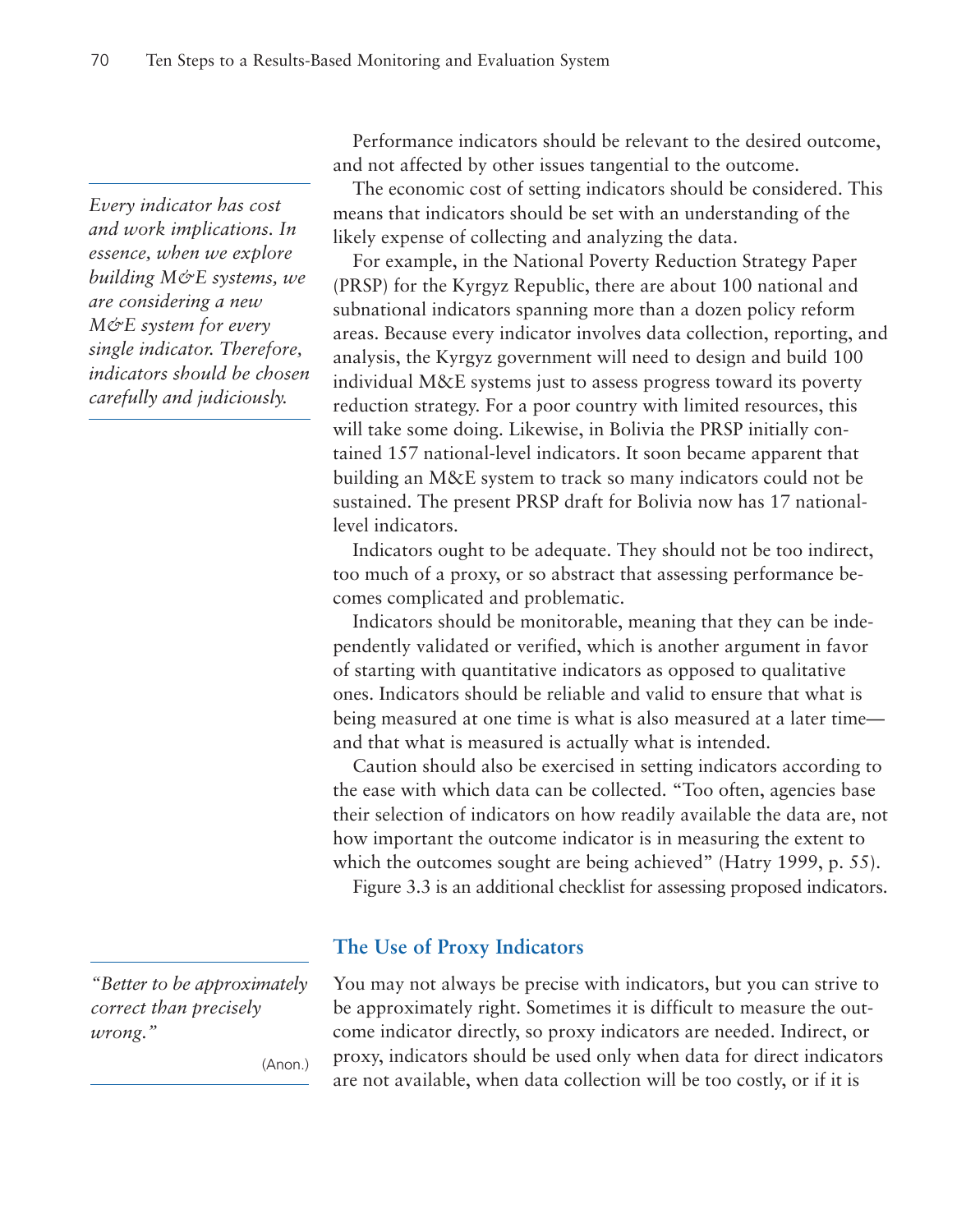*Every indicator has cost and work implications. In essence, when we explore building M&E systems, we are considering a new M&E system for every single indicator. Therefore, indicators should be chosen carefully and judiciously.*

Performance indicators should be relevant to the desired outcome, and not affected by other issues tangential to the outcome.

The economic cost of setting indicators should be considered. This means that indicators should be set with an understanding of the likely expense of collecting and analyzing the data.

For example, in the National Poverty Reduction Strategy Paper (PRSP) for the Kyrgyz Republic, there are about 100 national and subnational indicators spanning more than a dozen policy reform areas. Because every indicator involves data collection, reporting, and analysis, the Kyrgyz government will need to design and build 100 individual M&E systems just to assess progress toward its poverty reduction strategy. For a poor country with limited resources, this will take some doing. Likewise, in Bolivia the PRSP initially contained 157 national-level indicators. It soon became apparent that building an M&E system to track so many indicators could not be sustained. The present PRSP draft for Bolivia now has 17 nationallevel indicators.

Indicators ought to be adequate. They should not be too indirect, too much of a proxy, or so abstract that assessing performance becomes complicated and problematic.

Indicators should be monitorable, meaning that they can be independently validated or verified, which is another argument in favor of starting with quantitative indicators as opposed to qualitative ones. Indicators should be reliable and valid to ensure that what is being measured at one time is what is also measured at a later time and that what is measured is actually what is intended.

Caution should also be exercised in setting indicators according to the ease with which data can be collected. "Too often, agencies base their selection of indicators on how readily available the data are, not how important the outcome indicator is in measuring the extent to which the outcomes sought are being achieved" (Hatry 1999, p. 55).

Figure 3.3 is an additional checklist for assessing proposed indicators.

## **The Use of Proxy Indicators**

*"Better to be approximately correct than precisely wrong."*

You may not always be precise with indicators, but you can strive to be approximately right. Sometimes it is difficult to measure the outcome indicator directly, so proxy indicators are needed. Indirect, or proxy, indicators should be used only when data for direct indicators are not available, when data collection will be too costly, or if it is

(Anon.)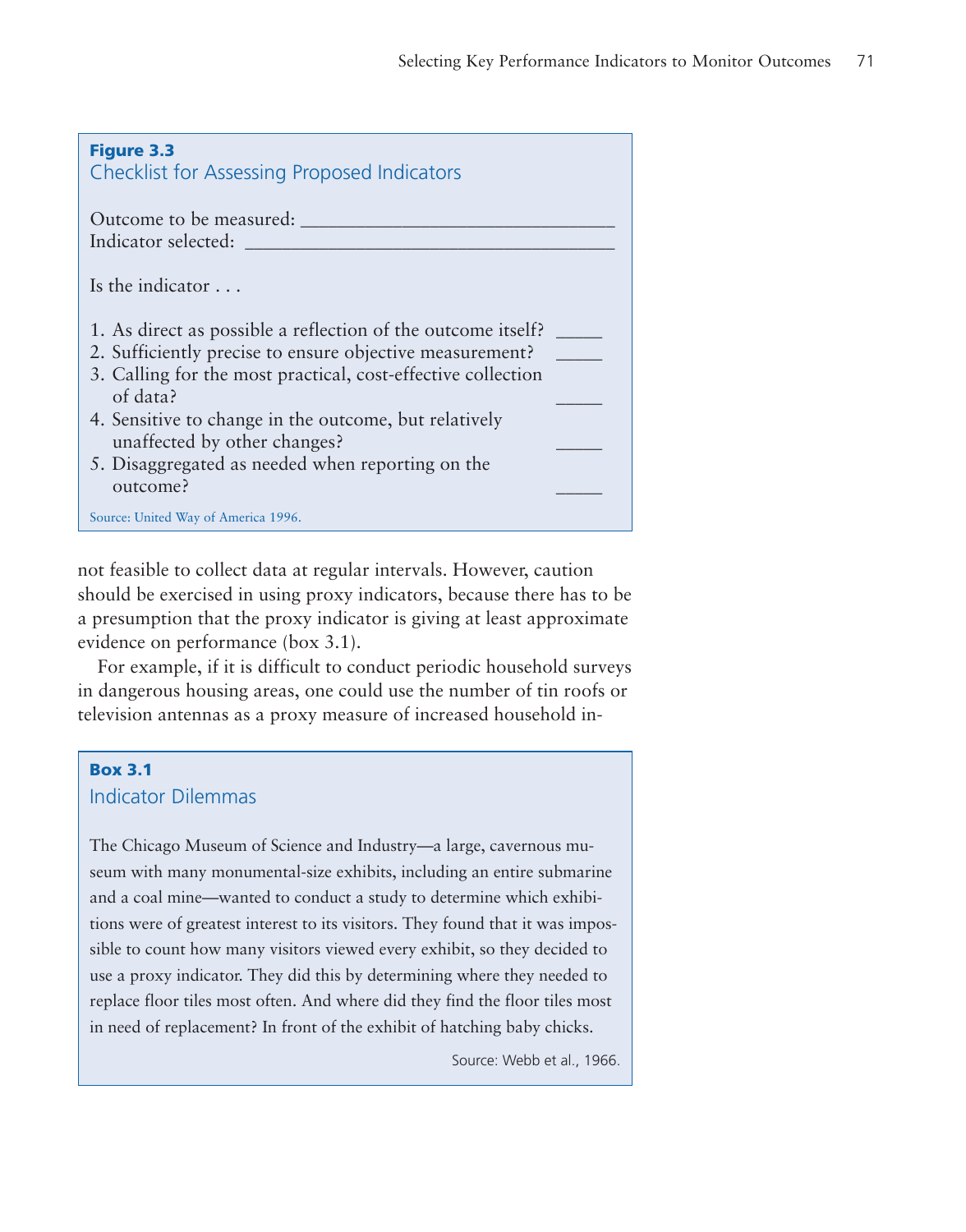

not feasible to collect data at regular intervals. However, caution should be exercised in using proxy indicators, because there has to be a presumption that the proxy indicator is giving at least approximate evidence on performance (box 3.1).

For example, if it is difficult to conduct periodic household surveys in dangerous housing areas, one could use the number of tin roofs or television antennas as a proxy measure of increased household in-

#### **Box 3.1** Indicator Dilemmas

The Chicago Museum of Science and Industry—a large, cavernous museum with many monumental-size exhibits, including an entire submarine and a coal mine—wanted to conduct a study to determine which exhibitions were of greatest interest to its visitors. They found that it was impossible to count how many visitors viewed every exhibit, so they decided to use a proxy indicator. They did this by determining where they needed to replace floor tiles most often. And where did they find the floor tiles most in need of replacement? In front of the exhibit of hatching baby chicks.

Source: Webb et al., 1966.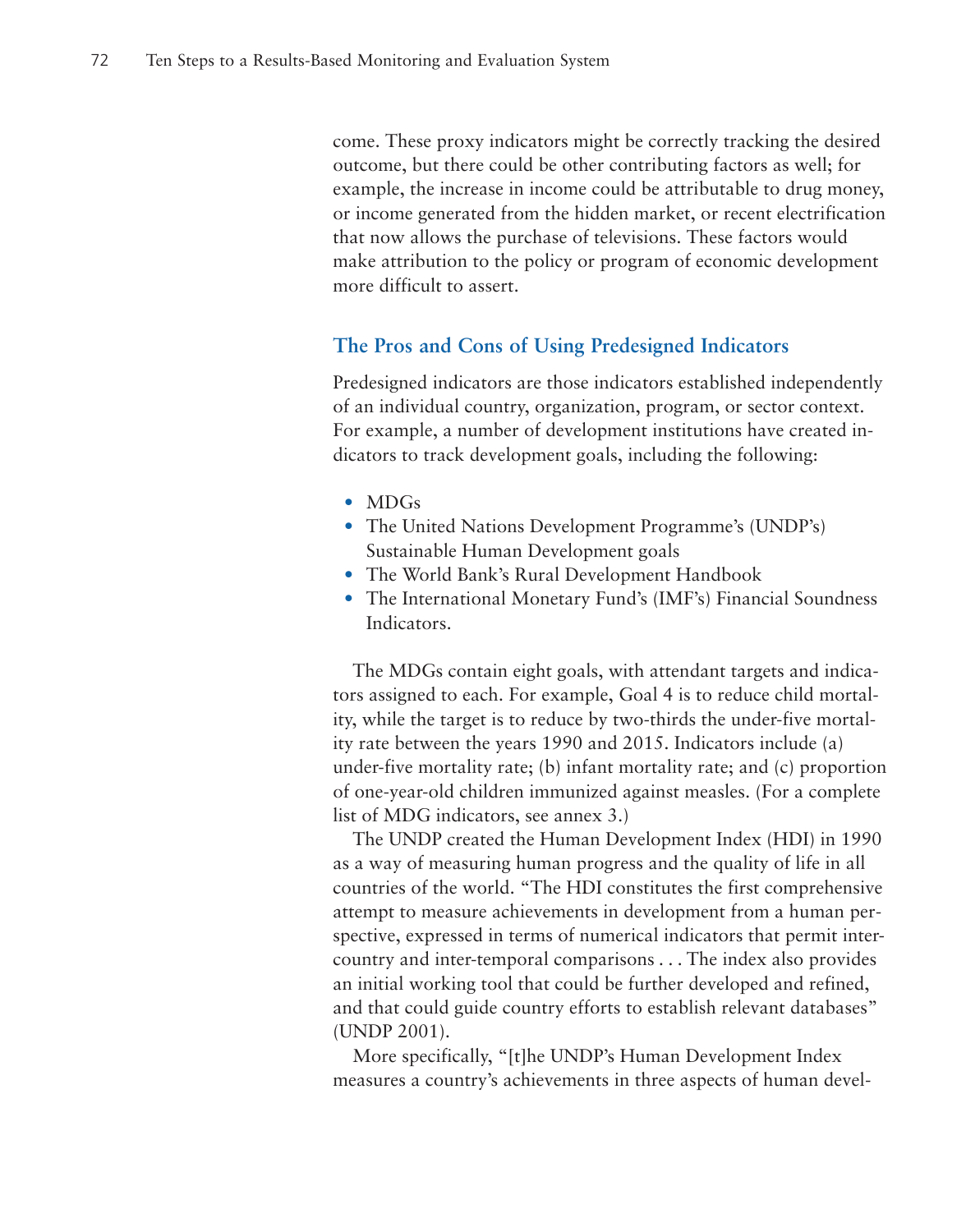come. These proxy indicators might be correctly tracking the desired outcome, but there could be other contributing factors as well; for example, the increase in income could be attributable to drug money, or income generated from the hidden market, or recent electrification that now allows the purchase of televisions. These factors would make attribution to the policy or program of economic development more difficult to assert.

## **The Pros and Cons of Using Predesigned Indicators**

Predesigned indicators are those indicators established independently of an individual country, organization, program, or sector context. For example, a number of development institutions have created indicators to track development goals, including the following:

- MDGs
- The United Nations Development Programme's (UNDP's) Sustainable Human Development goals
- The World Bank's Rural Development Handbook
- The International Monetary Fund's (IMF's) Financial Soundness Indicators.

The MDGs contain eight goals, with attendant targets and indicators assigned to each. For example, Goal 4 is to reduce child mortality, while the target is to reduce by two-thirds the under-five mortality rate between the years 1990 and 2015. Indicators include (a) under-five mortality rate; (b) infant mortality rate; and (c) proportion of one-year-old children immunized against measles. (For a complete list of MDG indicators, see annex 3.)

The UNDP created the Human Development Index (HDI) in 1990 as a way of measuring human progress and the quality of life in all countries of the world. "The HDI constitutes the first comprehensive attempt to measure achievements in development from a human perspective, expressed in terms of numerical indicators that permit intercountry and inter-temporal comparisons . . . The index also provides an initial working tool that could be further developed and refined, and that could guide country efforts to establish relevant databases" (UNDP 2001).

More specifically, "[t]he UNDP's Human Development Index measures a country's achievements in three aspects of human devel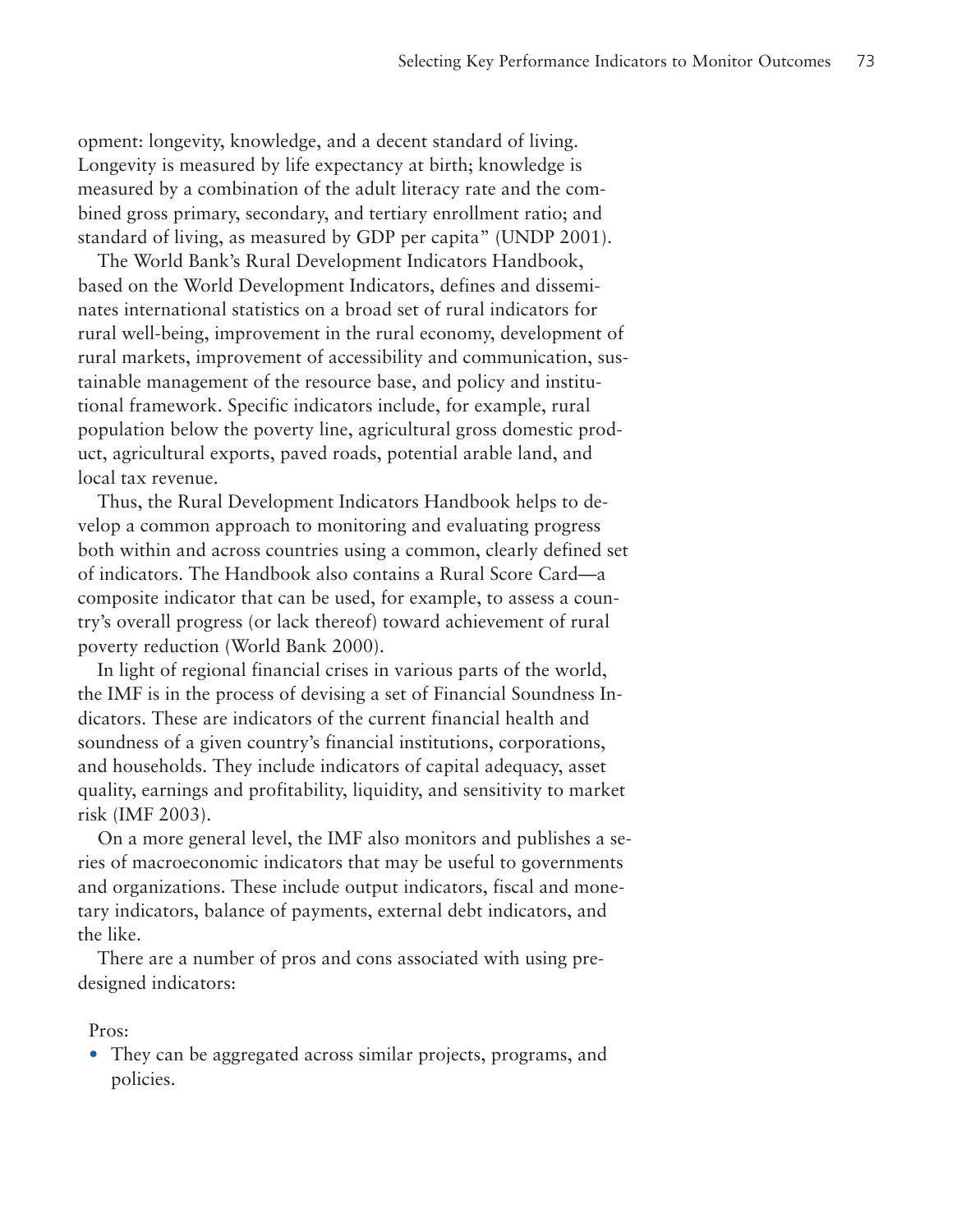opment: longevity, knowledge, and a decent standard of living. Longevity is measured by life expectancy at birth; knowledge is measured by a combination of the adult literacy rate and the combined gross primary, secondary, and tertiary enrollment ratio; and standard of living, as measured by GDP per capita" (UNDP 2001).

The World Bank's Rural Development Indicators Handbook, based on the World Development Indicators, defines and disseminates international statistics on a broad set of rural indicators for rural well-being, improvement in the rural economy, development of rural markets, improvement of accessibility and communication, sustainable management of the resource base, and policy and institutional framework. Specific indicators include, for example, rural population below the poverty line, agricultural gross domestic product, agricultural exports, paved roads, potential arable land, and local tax revenue.

Thus, the Rural Development Indicators Handbook helps to develop a common approach to monitoring and evaluating progress both within and across countries using a common, clearly defined set of indicators. The Handbook also contains a Rural Score Card—a composite indicator that can be used, for example, to assess a country's overall progress (or lack thereof) toward achievement of rural poverty reduction (World Bank 2000).

In light of regional financial crises in various parts of the world, the IMF is in the process of devising a set of Financial Soundness Indicators. These are indicators of the current financial health and soundness of a given country's financial institutions, corporations, and households. They include indicators of capital adequacy, asset quality, earnings and profitability, liquidity, and sensitivity to market risk (IMF 2003).

On a more general level, the IMF also monitors and publishes a series of macroeconomic indicators that may be useful to governments and organizations. These include output indicators, fiscal and monetary indicators, balance of payments, external debt indicators, and the like.

There are a number of pros and cons associated with using predesigned indicators:

#### Pros:

• They can be aggregated across similar projects, programs, and policies.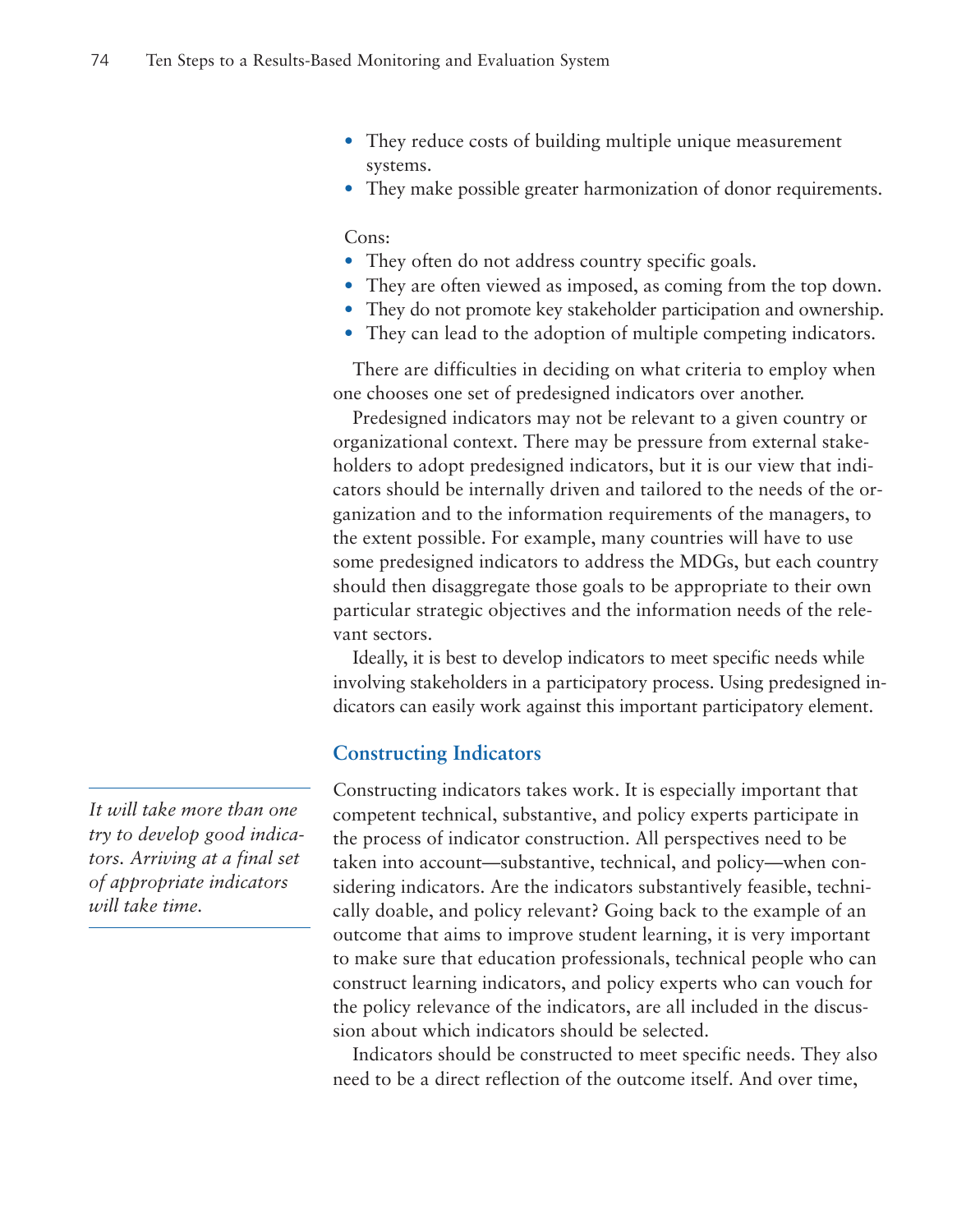- They reduce costs of building multiple unique measurement systems.
- They make possible greater harmonization of donor requirements.

#### Cons:

- They often do not address country specific goals.
- They are often viewed as imposed, as coming from the top down.
- They do not promote key stakeholder participation and ownership.
- They can lead to the adoption of multiple competing indicators.

There are difficulties in deciding on what criteria to employ when one chooses one set of predesigned indicators over another.

Predesigned indicators may not be relevant to a given country or organizational context. There may be pressure from external stakeholders to adopt predesigned indicators, but it is our view that indicators should be internally driven and tailored to the needs of the organization and to the information requirements of the managers, to the extent possible. For example, many countries will have to use some predesigned indicators to address the MDGs, but each country should then disaggregate those goals to be appropriate to their own particular strategic objectives and the information needs of the relevant sectors.

Ideally, it is best to develop indicators to meet specific needs while involving stakeholders in a participatory process. Using predesigned indicators can easily work against this important participatory element.

## **Constructing Indicators**

Constructing indicators takes work. It is especially important that competent technical, substantive, and policy experts participate in the process of indicator construction. All perspectives need to be taken into account—substantive, technical, and policy—when considering indicators. Are the indicators substantively feasible, technically doable, and policy relevant? Going back to the example of an outcome that aims to improve student learning, it is very important to make sure that education professionals, technical people who can construct learning indicators, and policy experts who can vouch for the policy relevance of the indicators, are all included in the discussion about which indicators should be selected.

Indicators should be constructed to meet specific needs. They also need to be a direct reflection of the outcome itself. And over time,

*It will take more than one try to develop good indicators. Arriving at a final set of appropriate indicators will take time.*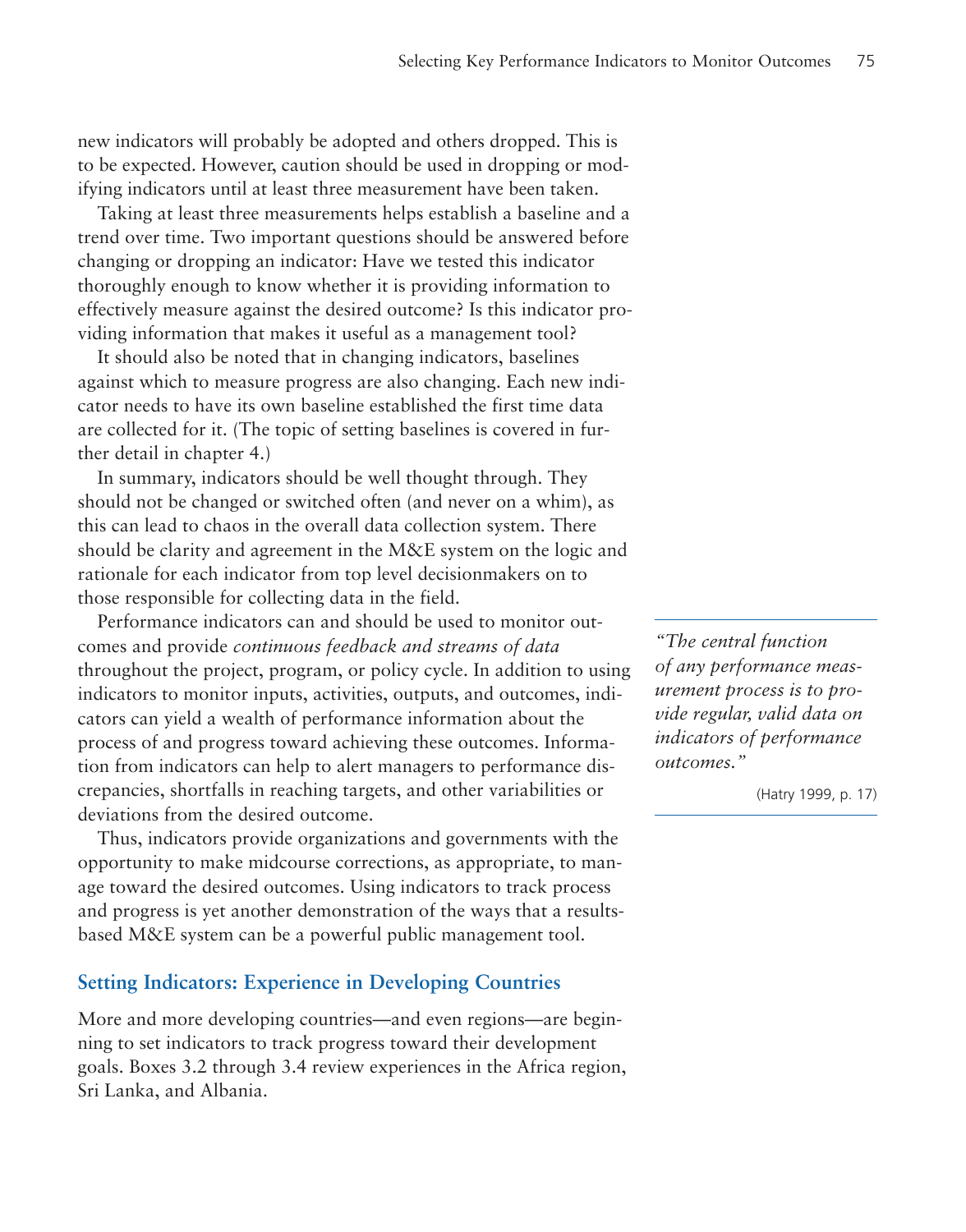new indicators will probably be adopted and others dropped. This is to be expected. However, caution should be used in dropping or modifying indicators until at least three measurement have been taken.

Taking at least three measurements helps establish a baseline and a trend over time. Two important questions should be answered before changing or dropping an indicator: Have we tested this indicator thoroughly enough to know whether it is providing information to effectively measure against the desired outcome? Is this indicator providing information that makes it useful as a management tool?

It should also be noted that in changing indicators, baselines against which to measure progress are also changing. Each new indicator needs to have its own baseline established the first time data are collected for it. (The topic of setting baselines is covered in further detail in chapter 4.)

In summary, indicators should be well thought through. They should not be changed or switched often (and never on a whim), as this can lead to chaos in the overall data collection system. There should be clarity and agreement in the M&E system on the logic and rationale for each indicator from top level decisionmakers on to those responsible for collecting data in the field.

Performance indicators can and should be used to monitor outcomes and provide *continuous feedback and streams of data* throughout the project, program, or policy cycle. In addition to using indicators to monitor inputs, activities, outputs, and outcomes, indicators can yield a wealth of performance information about the process of and progress toward achieving these outcomes. Information from indicators can help to alert managers to performance discrepancies, shortfalls in reaching targets, and other variabilities or deviations from the desired outcome.

Thus, indicators provide organizations and governments with the opportunity to make midcourse corrections, as appropriate, to manage toward the desired outcomes. Using indicators to track process and progress is yet another demonstration of the ways that a resultsbased M&E system can be a powerful public management tool.

## **Setting Indicators: Experience in Developing Countries**

More and more developing countries—and even regions—are beginning to set indicators to track progress toward their development goals. Boxes 3.2 through 3.4 review experiences in the Africa region, Sri Lanka, and Albania.

*"The central function of any performance measurement process is to provide regular, valid data on indicators of performance outcomes."* 

(Hatry 1999, p. 17)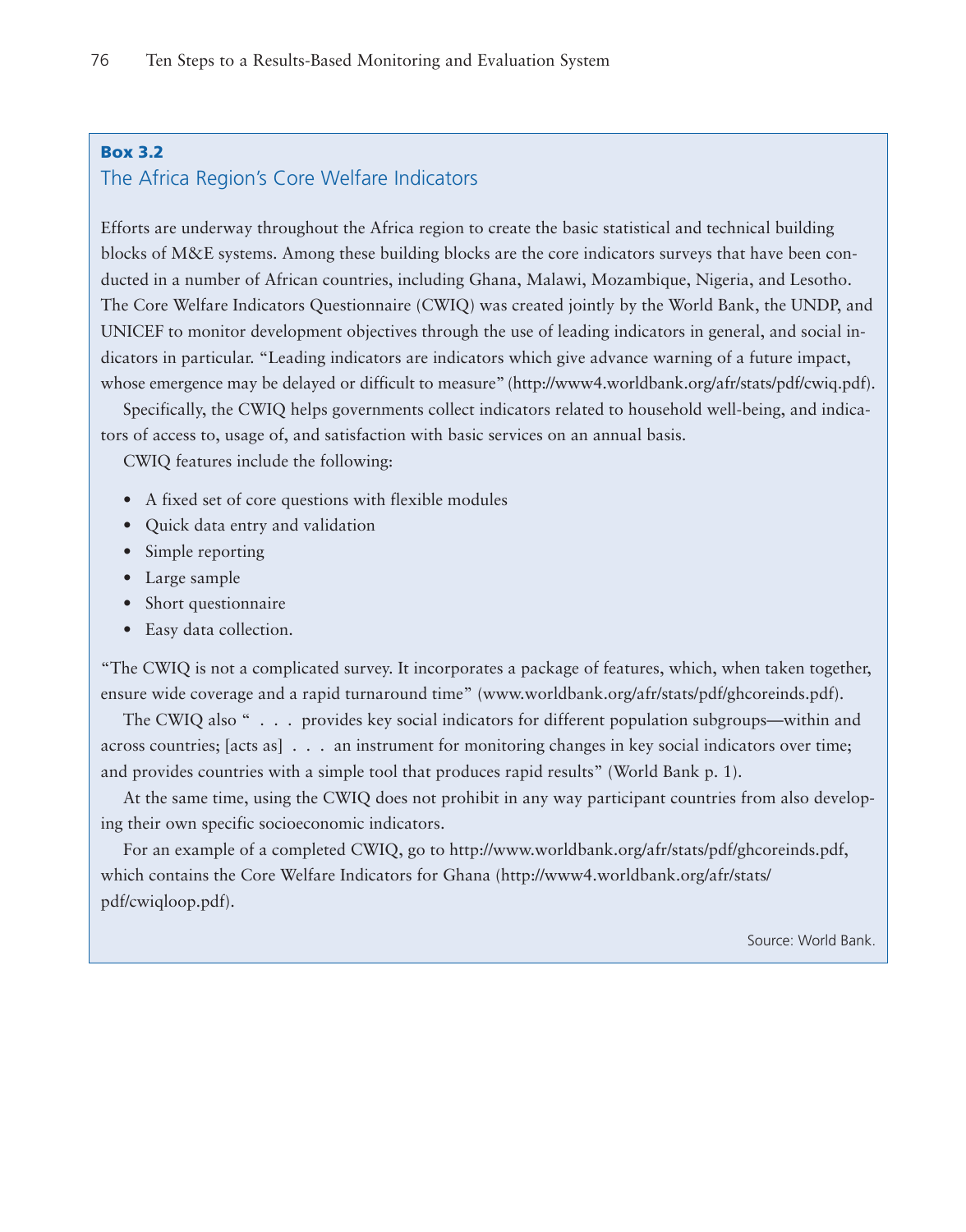#### **Box 3.2**

# The Africa Region's Core Welfare Indicators

Efforts are underway throughout the Africa region to create the basic statistical and technical building blocks of M&E systems. Among these building blocks are the core indicators surveys that have been conducted in a number of African countries, including Ghana, Malawi, Mozambique, Nigeria, and Lesotho. The Core Welfare Indicators Questionnaire (CWIQ) was created jointly by the World Bank, the UNDP, and UNICEF to monitor development objectives through the use of leading indicators in general, and social indicators in particular. "Leading indicators are indicators which give advance warning of a future impact, whose emergence may be delayed or difficult to measure" (http://www4.worldbank.org/afr/stats/pdf/cwiq.pdf).

Specifically, the CWIQ helps governments collect indicators related to household well-being, and indicators of access to, usage of, and satisfaction with basic services on an annual basis.

CWIQ features include the following:

- A fixed set of core questions with flexible modules
- Quick data entry and validation
- Simple reporting
- Large sample
- Short questionnaire
- Easy data collection.

"The CWIQ is not a complicated survey. It incorporates a package of features, which, when taken together, ensure wide coverage and a rapid turnaround time" (www.worldbank.org/afr/stats/pdf/ghcoreinds.pdf).

The CWIQ also " . . . provides key social indicators for different population subgroups—within and across countries; [acts as] . . . an instrument for monitoring changes in key social indicators over time; and provides countries with a simple tool that produces rapid results" (World Bank p. 1).

At the same time, using the CWIQ does not prohibit in any way participant countries from also developing their own specific socioeconomic indicators.

For an example of a completed CWIQ, go to http://www.worldbank.org/afr/stats/pdf/ghcoreinds.pdf, which contains the Core Welfare Indicators for Ghana (http://www4.worldbank.org/afr/stats/ pdf/cwiqloop.pdf).

Source: World Bank.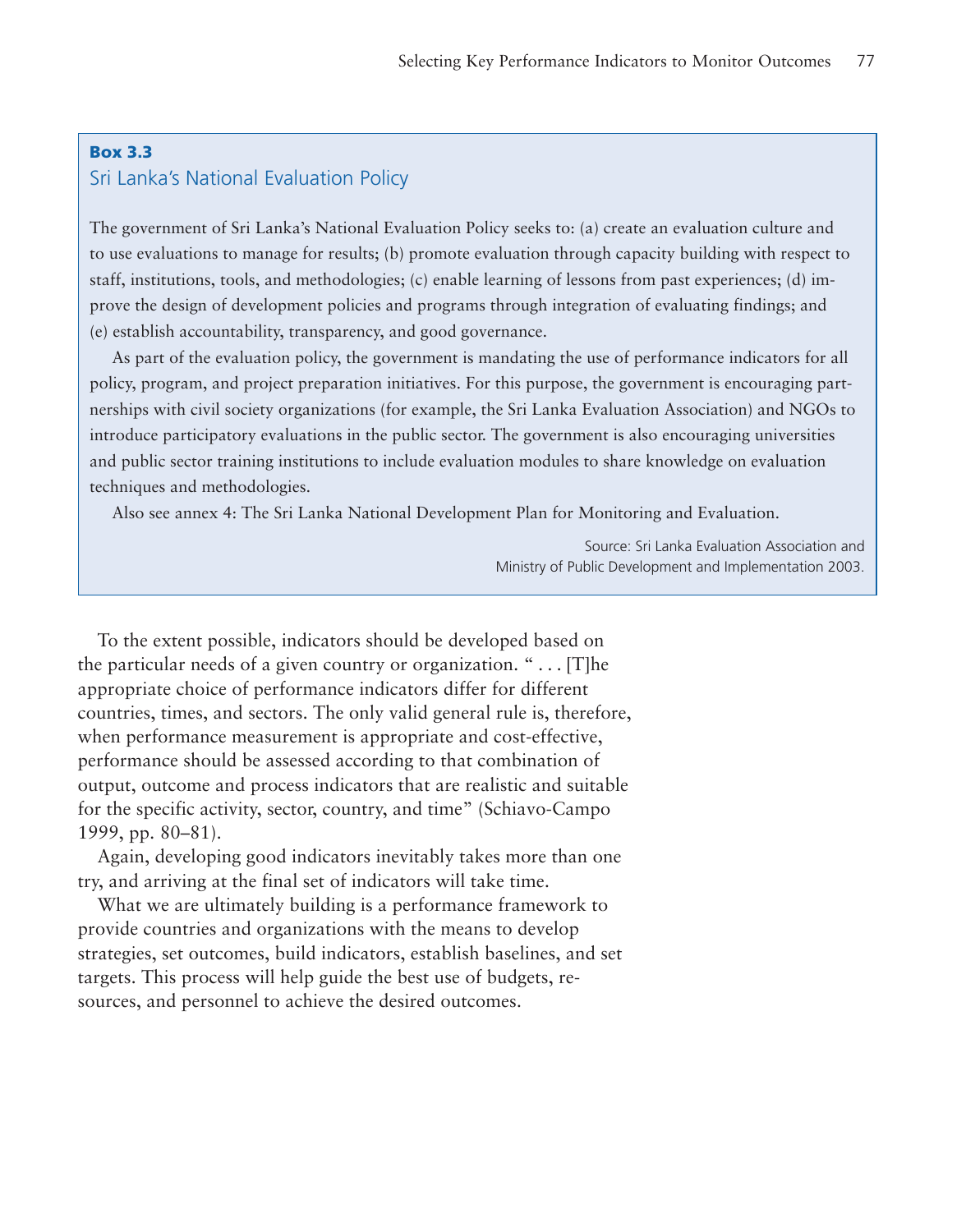## **Box 3.3** Sri Lanka's National Evaluation Policy

The government of Sri Lanka's National Evaluation Policy seeks to: (a) create an evaluation culture and to use evaluations to manage for results; (b) promote evaluation through capacity building with respect to staff, institutions, tools, and methodologies; (c) enable learning of lessons from past experiences; (d) improve the design of development policies and programs through integration of evaluating findings; and (e) establish accountability, transparency, and good governance.

As part of the evaluation policy, the government is mandating the use of performance indicators for all policy, program, and project preparation initiatives. For this purpose, the government is encouraging partnerships with civil society organizations (for example, the Sri Lanka Evaluation Association) and NGOs to introduce participatory evaluations in the public sector. The government is also encouraging universities and public sector training institutions to include evaluation modules to share knowledge on evaluation techniques and methodologies.

Also see annex 4: The Sri Lanka National Development Plan for Monitoring and Evaluation.

Source: Sri Lanka Evaluation Association and Ministry of Public Development and Implementation 2003.

To the extent possible, indicators should be developed based on the particular needs of a given country or organization. " $\dots$  [T]he appropriate choice of performance indicators differ for different countries, times, and sectors. The only valid general rule is, therefore, when performance measurement is appropriate and cost-effective, performance should be assessed according to that combination of output, outcome and process indicators that are realistic and suitable for the specific activity, sector, country, and time" (Schiavo-Campo 1999, pp. 80–81).

Again, developing good indicators inevitably takes more than one try, and arriving at the final set of indicators will take time.

What we are ultimately building is a performance framework to provide countries and organizations with the means to develop strategies, set outcomes, build indicators, establish baselines, and set targets. This process will help guide the best use of budgets, resources, and personnel to achieve the desired outcomes.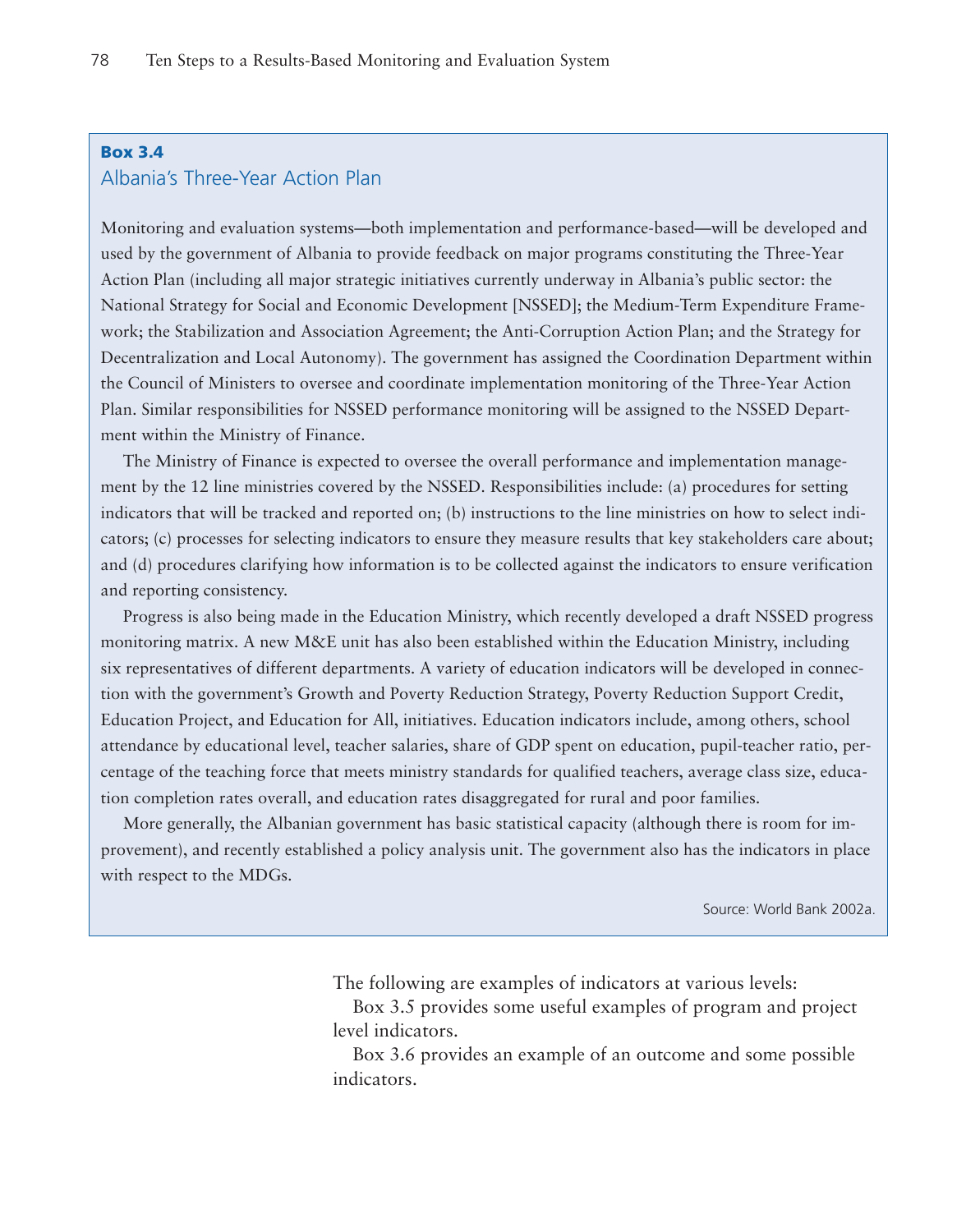# **Box 3.4** Albania's Three-Year Action Plan

Monitoring and evaluation systems—both implementation and performance-based—will be developed and used by the government of Albania to provide feedback on major programs constituting the Three-Year Action Plan (including all major strategic initiatives currently underway in Albania's public sector: the National Strategy for Social and Economic Development [NSSED]; the Medium-Term Expenditure Framework; the Stabilization and Association Agreement; the Anti-Corruption Action Plan; and the Strategy for Decentralization and Local Autonomy). The government has assigned the Coordination Department within the Council of Ministers to oversee and coordinate implementation monitoring of the Three-Year Action Plan. Similar responsibilities for NSSED performance monitoring will be assigned to the NSSED Department within the Ministry of Finance.

The Ministry of Finance is expected to oversee the overall performance and implementation management by the 12 line ministries covered by the NSSED. Responsibilities include: (a) procedures for setting indicators that will be tracked and reported on; (b) instructions to the line ministries on how to select indicators; (c) processes for selecting indicators to ensure they measure results that key stakeholders care about; and (d) procedures clarifying how information is to be collected against the indicators to ensure verification and reporting consistency.

Progress is also being made in the Education Ministry, which recently developed a draft NSSED progress monitoring matrix. A new M&E unit has also been established within the Education Ministry, including six representatives of different departments. A variety of education indicators will be developed in connection with the government's Growth and Poverty Reduction Strategy, Poverty Reduction Support Credit, Education Project, and Education for All, initiatives. Education indicators include, among others, school attendance by educational level, teacher salaries, share of GDP spent on education, pupil-teacher ratio, percentage of the teaching force that meets ministry standards for qualified teachers, average class size, education completion rates overall, and education rates disaggregated for rural and poor families.

More generally, the Albanian government has basic statistical capacity (although there is room for improvement), and recently established a policy analysis unit. The government also has the indicators in place with respect to the MDGs.

Source: World Bank 2002a.

The following are examples of indicators at various levels:

Box 3.5 provides some useful examples of program and project level indicators.

Box 3.6 provides an example of an outcome and some possible indicators.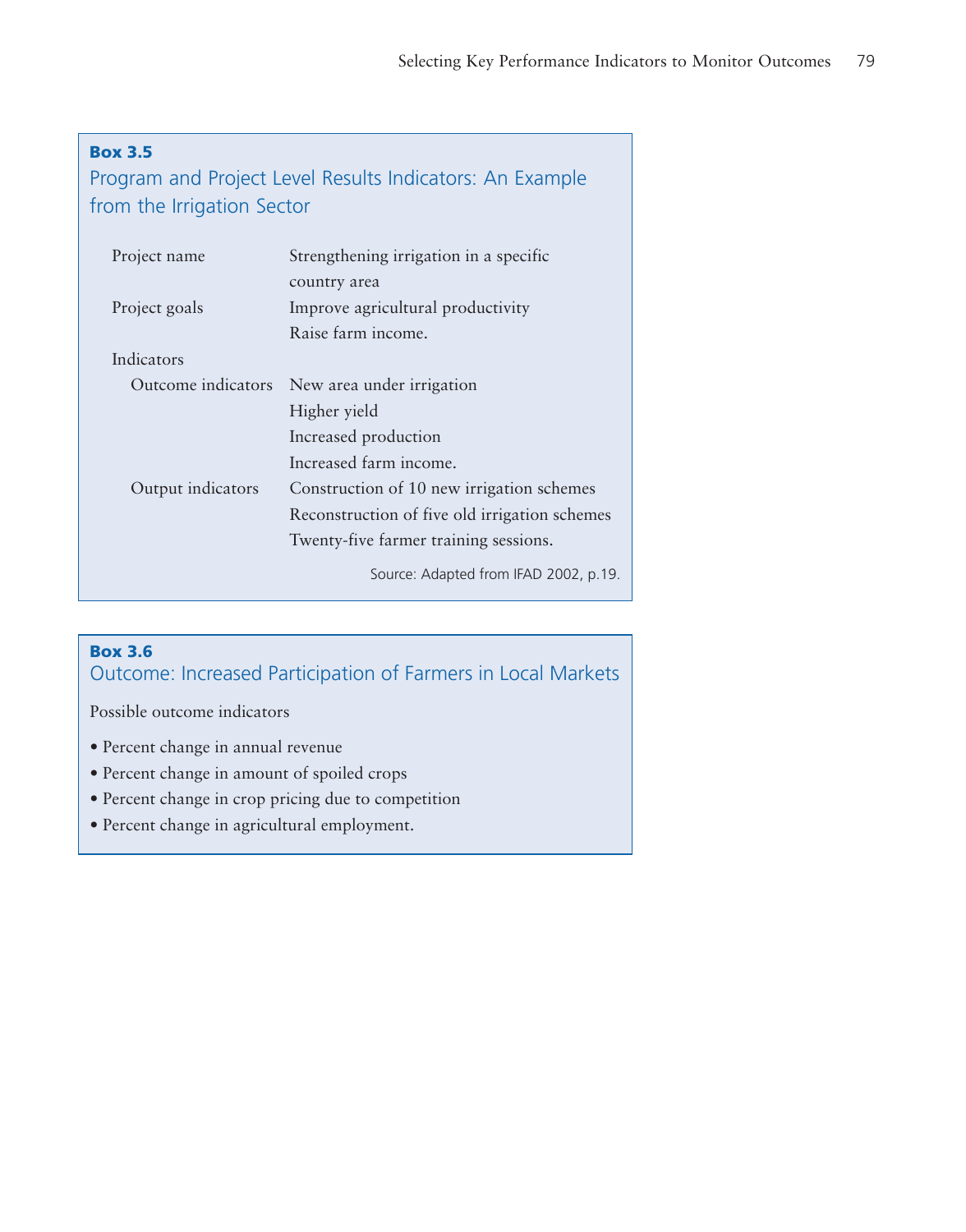## **Box 3.5**

Program and Project Level Results Indicators: An Example from the Irrigation Sector

|                   | Strengthening irrigation in a specific        |
|-------------------|-----------------------------------------------|
|                   | country area                                  |
|                   | Improve agricultural productivity             |
|                   | Raise farm income.                            |
|                   |                                               |
|                   | Outcome indicators New area under irrigation  |
|                   | Higher yield                                  |
|                   | Increased production                          |
|                   | Increased farm income.                        |
| Output indicators | Construction of 10 new irrigation schemes     |
|                   | Reconstruction of five old irrigation schemes |
|                   | Twenty-five farmer training sessions.         |
|                   | Source: Adapted from IFAD 2002, p.19.         |
|                   | Project name<br>Project goals<br>Indicators   |

## **Box 3.6** Outcome: Increased Participation of Farmers in Local Markets

Possible outcome indicators

- Percent change in annual revenue
- Percent change in amount of spoiled crops
- Percent change in crop pricing due to competition
- Percent change in agricultural employment.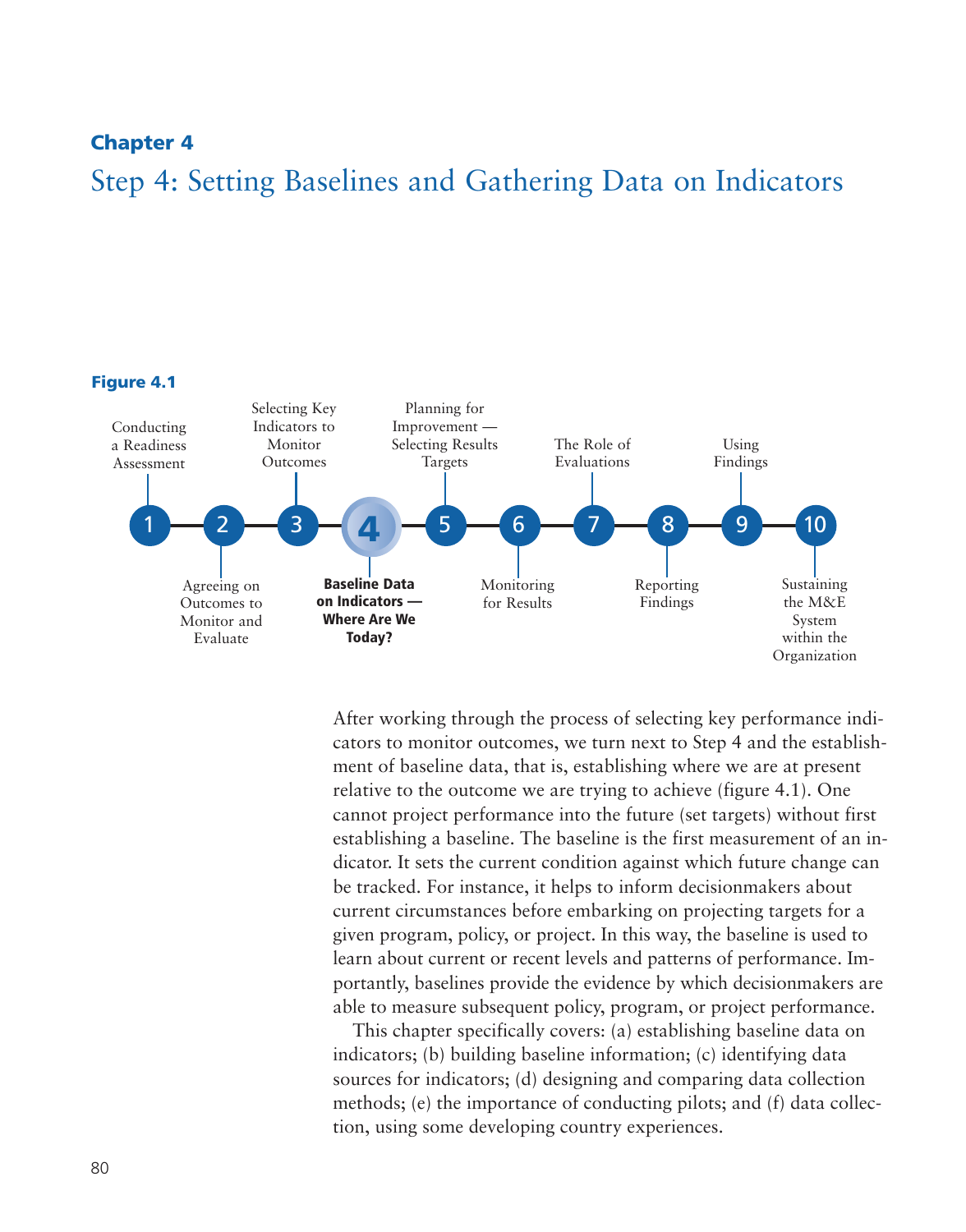## **Chapter 4**

# Step 4: Setting Baselines and Gathering Data on Indicators



After working through the process of selecting key performance indicators to monitor outcomes, we turn next to Step 4 and the establishment of baseline data, that is, establishing where we are at present relative to the outcome we are trying to achieve (figure 4.1). One cannot project performance into the future (set targets) without first establishing a baseline. The baseline is the first measurement of an indicator. It sets the current condition against which future change can be tracked. For instance, it helps to inform decisionmakers about current circumstances before embarking on projecting targets for a given program, policy, or project. In this way, the baseline is used to learn about current or recent levels and patterns of performance. Importantly, baselines provide the evidence by which decisionmakers are able to measure subsequent policy, program, or project performance.

This chapter specifically covers: (a) establishing baseline data on indicators; (b) building baseline information; (c) identifying data sources for indicators; (d) designing and comparing data collection methods; (e) the importance of conducting pilots; and (f) data collection, using some developing country experiences.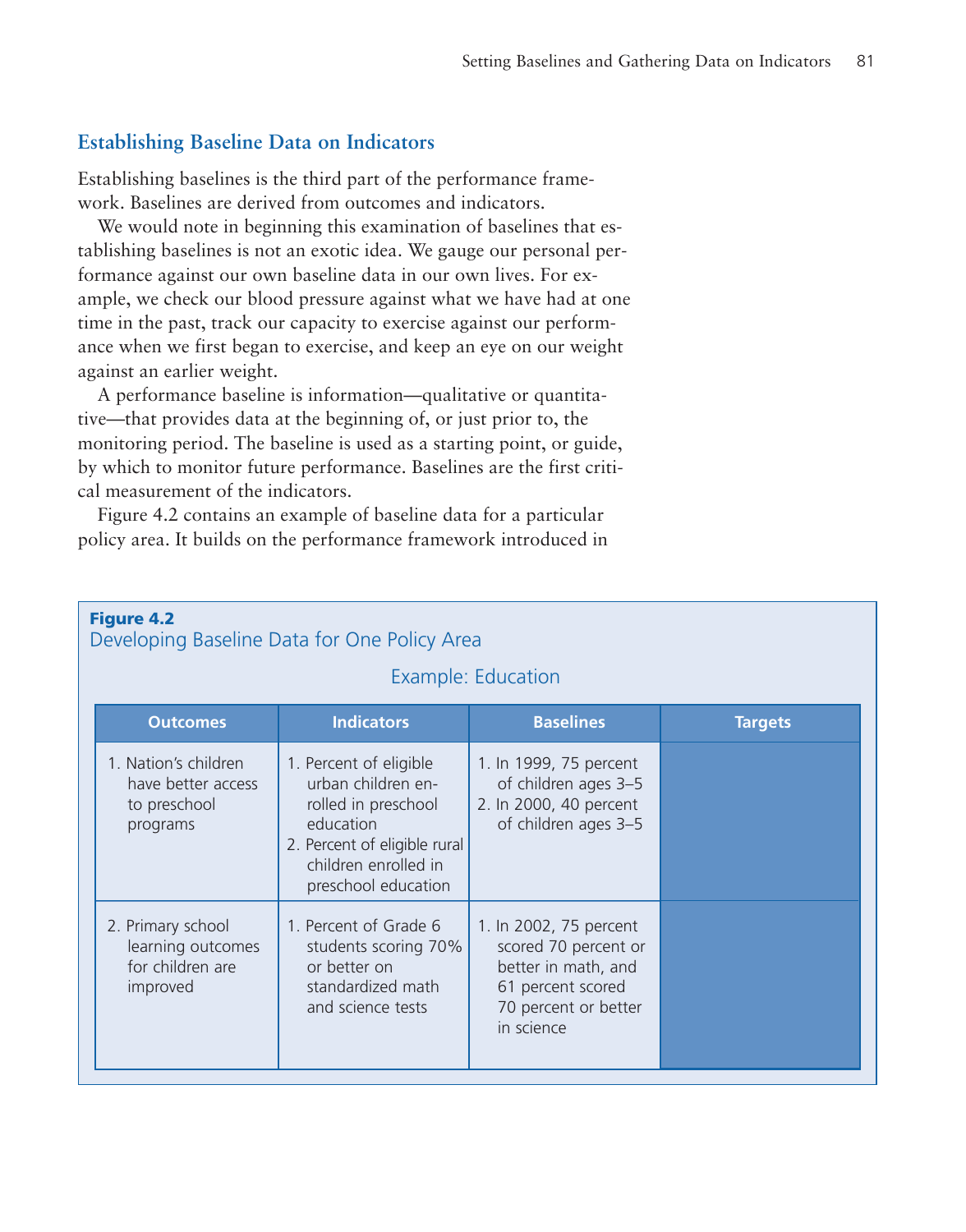## **Establishing Baseline Data on Indicators**

Establishing baselines is the third part of the performance framework. Baselines are derived from outcomes and indicators.

We would note in beginning this examination of baselines that establishing baselines is not an exotic idea. We gauge our personal performance against our own baseline data in our own lives. For example, we check our blood pressure against what we have had at one time in the past, track our capacity to exercise against our performance when we first began to exercise, and keep an eye on our weight against an earlier weight.

A performance baseline is information—qualitative or quantitative—that provides data at the beginning of, or just prior to, the monitoring period. The baseline is used as a starting point, or guide, by which to monitor future performance. Baselines are the first critical measurement of the indicators.

Figure 4.2 contains an example of baseline data for a particular policy area. It builds on the performance framework introduced in

| <b>Figure 4.2</b> |  |
|-------------------|--|
|                   |  |

Developing Baseline Data for One Policy Area

| <b>Outcomes</b>                                                        | <b>Indicators</b>                                                                                                                                               | <b>Baselines</b>                                                                                                                 | <b>Targets</b> |
|------------------------------------------------------------------------|-----------------------------------------------------------------------------------------------------------------------------------------------------------------|----------------------------------------------------------------------------------------------------------------------------------|----------------|
| 1. Nation's children<br>have better access<br>to preschool<br>programs | 1. Percent of eligible<br>urban children en-<br>rolled in preschool<br>education<br>2. Percent of eligible rural<br>children enrolled in<br>preschool education | 1. In 1999, 75 percent<br>of children ages 3-5<br>2. In 2000, 40 percent<br>of children ages 3-5                                 |                |
| 2. Primary school<br>learning outcomes<br>for children are<br>improved | 1. Percent of Grade 6<br>students scoring 70%<br>or better on<br>standardized math<br>and science tests                                                         | 1. In 2002, 75 percent<br>scored 70 percent or<br>better in math, and<br>61 percent scored<br>70 percent or better<br>in science |                |

## Example: Education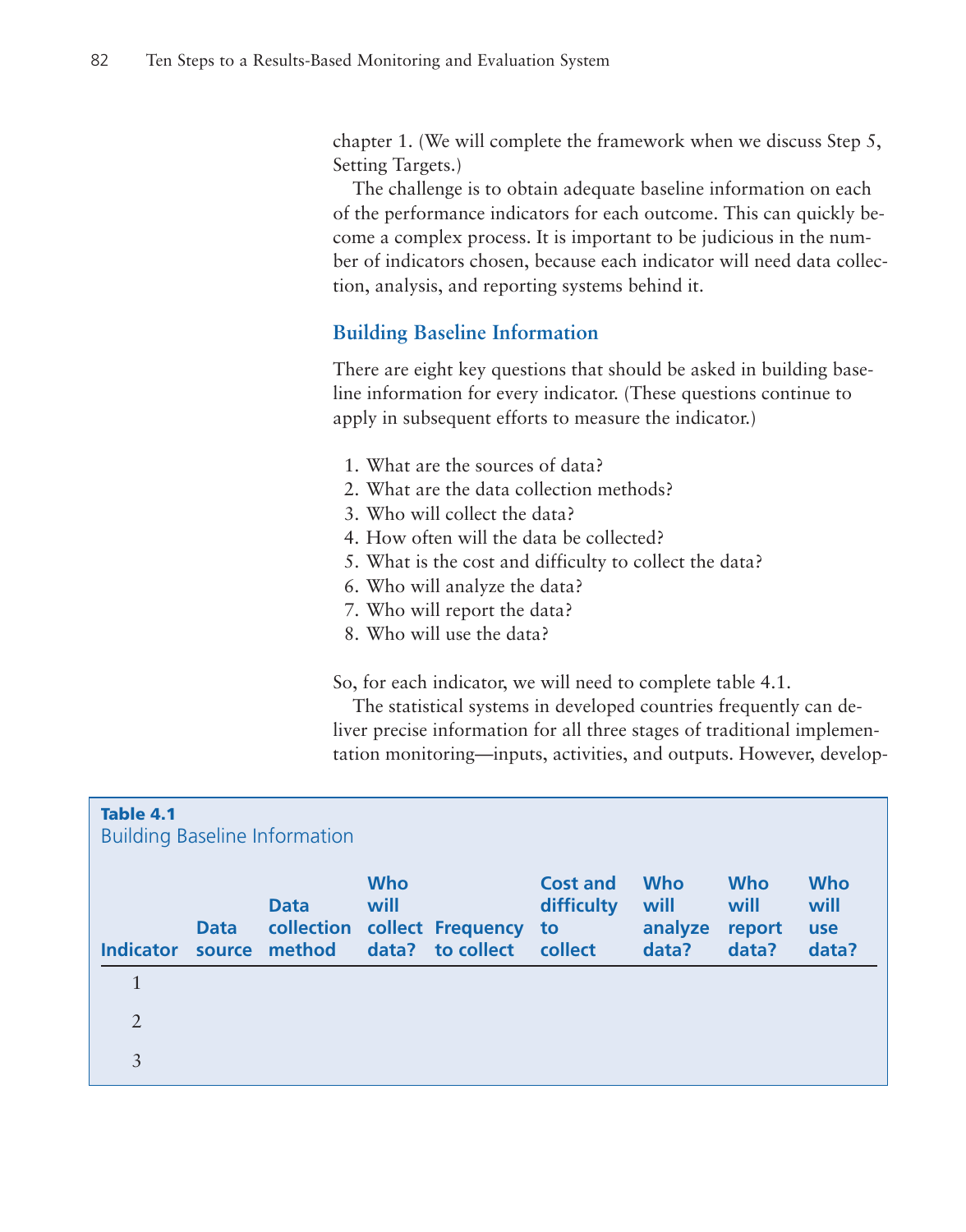chapter 1. (We will complete the framework when we discuss Step 5, Setting Targets.)

The challenge is to obtain adequate baseline information on each of the performance indicators for each outcome. This can quickly become a complex process. It is important to be judicious in the number of indicators chosen, because each indicator will need data collection, analysis, and reporting systems behind it.

# **Building Baseline Information**

There are eight key questions that should be asked in building baseline information for every indicator. (These questions continue to apply in subsequent efforts to measure the indicator.)

- 1. What are the sources of data?
- 2. What are the data collection methods?
- 3. Who will collect the data?
- 4. How often will the data be collected?
- 5. What is the cost and difficulty to collect the data?
- 6. Who will analyze the data?
- 7. Who will report the data?
- 8. Who will use the data?

So, for each indicator, we will need to complete table 4.1.

The statistical systems in developed countries frequently can deliver precise information for all three stages of traditional implementation monitoring—inputs, activities, and outputs. However, develop-

| Table 4.1        | <b>Building Baseline Information</b> |                       |             |                                                  |                                                |                                 |                                |                                    |
|------------------|--------------------------------------|-----------------------|-------------|--------------------------------------------------|------------------------------------------------|---------------------------------|--------------------------------|------------------------------------|
| <b>Indicator</b> | <b>Data</b><br>source                | <b>Data</b><br>method | Who<br>will | collection collect Frequency<br>data? to collect | <b>Cost and</b><br>difficulty<br>to<br>collect | Who<br>will<br>analyze<br>data? | Who<br>will<br>report<br>data? | Who<br>will<br><b>use</b><br>data? |
| 1                |                                      |                       |             |                                                  |                                                |                                 |                                |                                    |
| $\overline{2}$   |                                      |                       |             |                                                  |                                                |                                 |                                |                                    |
| 3                |                                      |                       |             |                                                  |                                                |                                 |                                |                                    |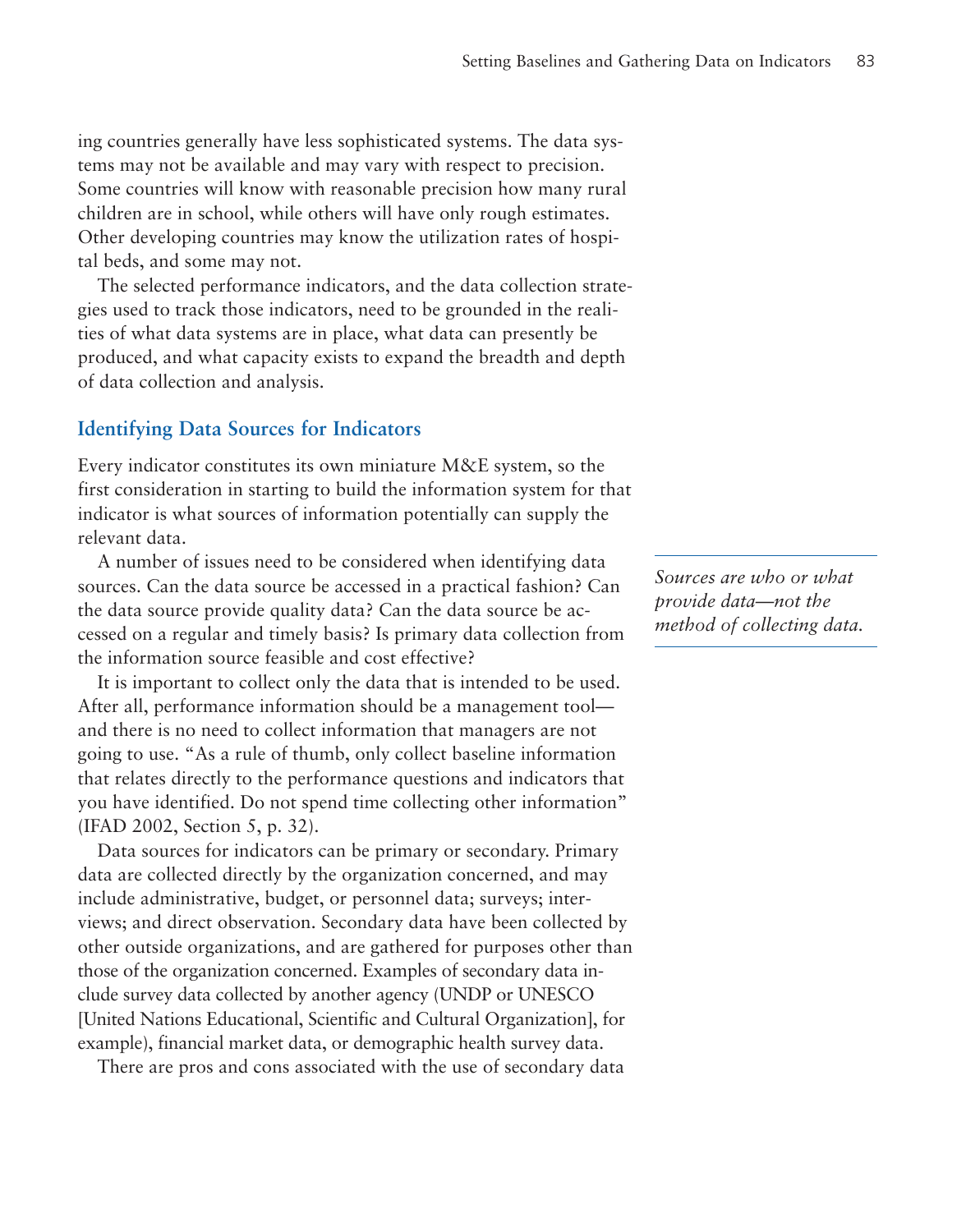ing countries generally have less sophisticated systems. The data systems may not be available and may vary with respect to precision. Some countries will know with reasonable precision how many rural children are in school, while others will have only rough estimates. Other developing countries may know the utilization rates of hospital beds, and some may not.

The selected performance indicators, and the data collection strategies used to track those indicators, need to be grounded in the realities of what data systems are in place, what data can presently be produced, and what capacity exists to expand the breadth and depth of data collection and analysis.

#### **Identifying Data Sources for Indicators**

Every indicator constitutes its own miniature M&E system, so the first consideration in starting to build the information system for that indicator is what sources of information potentially can supply the relevant data.

A number of issues need to be considered when identifying data sources. Can the data source be accessed in a practical fashion? Can the data source provide quality data? Can the data source be accessed on a regular and timely basis? Is primary data collection from the information source feasible and cost effective?

It is important to collect only the data that is intended to be used. After all, performance information should be a management tool and there is no need to collect information that managers are not going to use. "As a rule of thumb, only collect baseline information that relates directly to the performance questions and indicators that you have identified. Do not spend time collecting other information" (IFAD 2002, Section 5, p. 32).

Data sources for indicators can be primary or secondary. Primary data are collected directly by the organization concerned, and may include administrative, budget, or personnel data; surveys; interviews; and direct observation. Secondary data have been collected by other outside organizations, and are gathered for purposes other than those of the organization concerned. Examples of secondary data include survey data collected by another agency (UNDP or UNESCO [United Nations Educational, Scientific and Cultural Organization], for example), financial market data, or demographic health survey data.

There are pros and cons associated with the use of secondary data

*Sources are who or what provide data—not the method of collecting data.*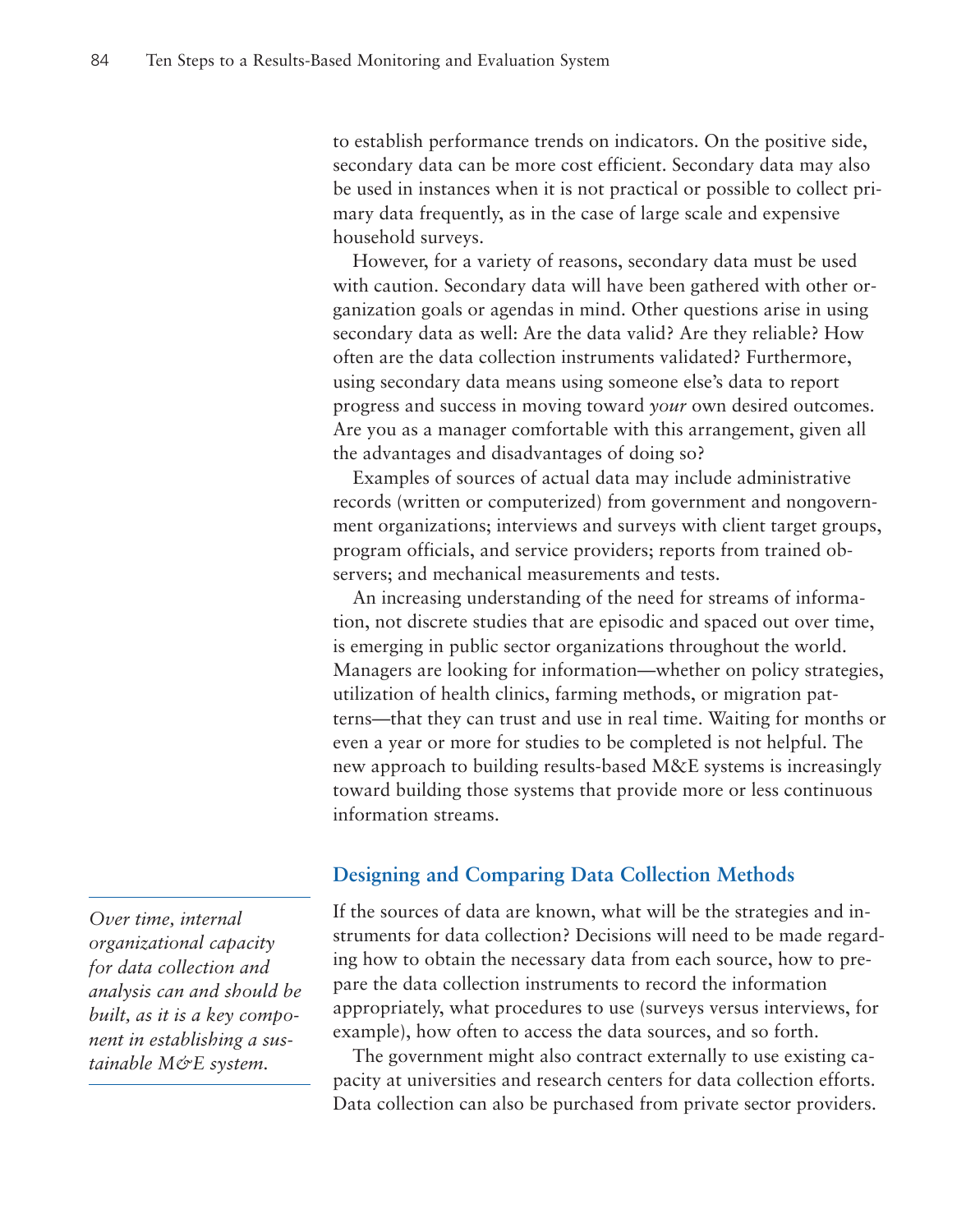to establish performance trends on indicators. On the positive side, secondary data can be more cost efficient. Secondary data may also be used in instances when it is not practical or possible to collect primary data frequently, as in the case of large scale and expensive household surveys.

However, for a variety of reasons, secondary data must be used with caution. Secondary data will have been gathered with other organization goals or agendas in mind. Other questions arise in using secondary data as well: Are the data valid? Are they reliable? How often are the data collection instruments validated? Furthermore, using secondary data means using someone else's data to report progress and success in moving toward *your* own desired outcomes. Are you as a manager comfortable with this arrangement, given all the advantages and disadvantages of doing so?

Examples of sources of actual data may include administrative records (written or computerized) from government and nongovernment organizations; interviews and surveys with client target groups, program officials, and service providers; reports from trained observers; and mechanical measurements and tests.

An increasing understanding of the need for streams of information, not discrete studies that are episodic and spaced out over time, is emerging in public sector organizations throughout the world. Managers are looking for information—whether on policy strategies, utilization of health clinics, farming methods, or migration patterns—that they can trust and use in real time. Waiting for months or even a year or more for studies to be completed is not helpful. The new approach to building results-based M&E systems is increasingly toward building those systems that provide more or less continuous information streams.

## **Designing and Comparing Data Collection Methods**

If the sources of data are known, what will be the strategies and instruments for data collection? Decisions will need to be made regarding how to obtain the necessary data from each source, how to prepare the data collection instruments to record the information appropriately, what procedures to use (surveys versus interviews, for example), how often to access the data sources, and so forth.

The government might also contract externally to use existing capacity at universities and research centers for data collection efforts. Data collection can also be purchased from private sector providers.

*Over time, internal organizational capacity for data collection and analysis can and should be built, as it is a key component in establishing a sustainable M&E system.*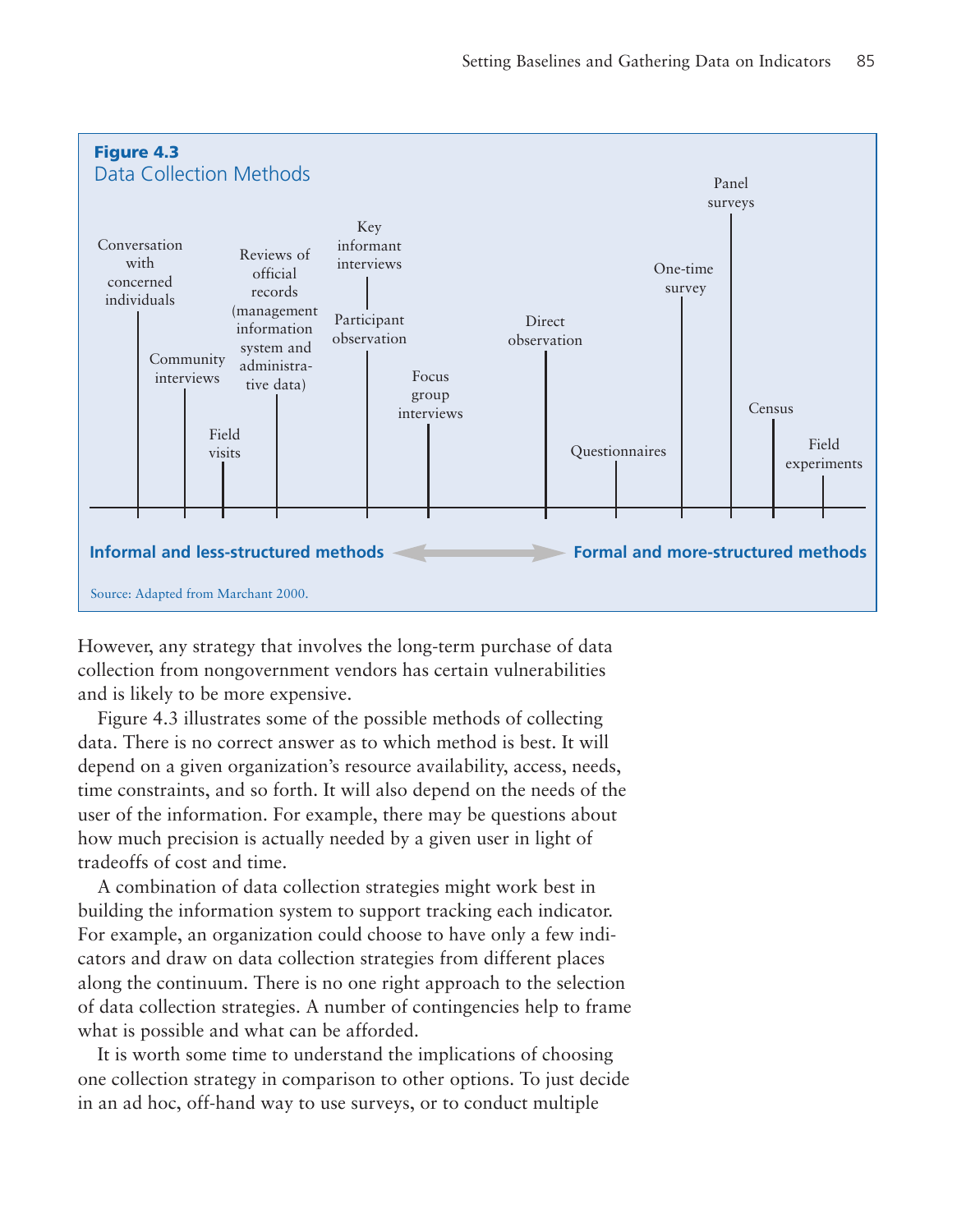

However, any strategy that involves the long-term purchase of data collection from nongovernment vendors has certain vulnerabilities and is likely to be more expensive.

Figure 4.3 illustrates some of the possible methods of collecting data. There is no correct answer as to which method is best. It will depend on a given organization's resource availability, access, needs, time constraints, and so forth. It will also depend on the needs of the user of the information. For example, there may be questions about how much precision is actually needed by a given user in light of tradeoffs of cost and time.

A combination of data collection strategies might work best in building the information system to support tracking each indicator. For example, an organization could choose to have only a few indicators and draw on data collection strategies from different places along the continuum. There is no one right approach to the selection of data collection strategies. A number of contingencies help to frame what is possible and what can be afforded.

It is worth some time to understand the implications of choosing one collection strategy in comparison to other options. To just decide in an ad hoc, off-hand way to use surveys, or to conduct multiple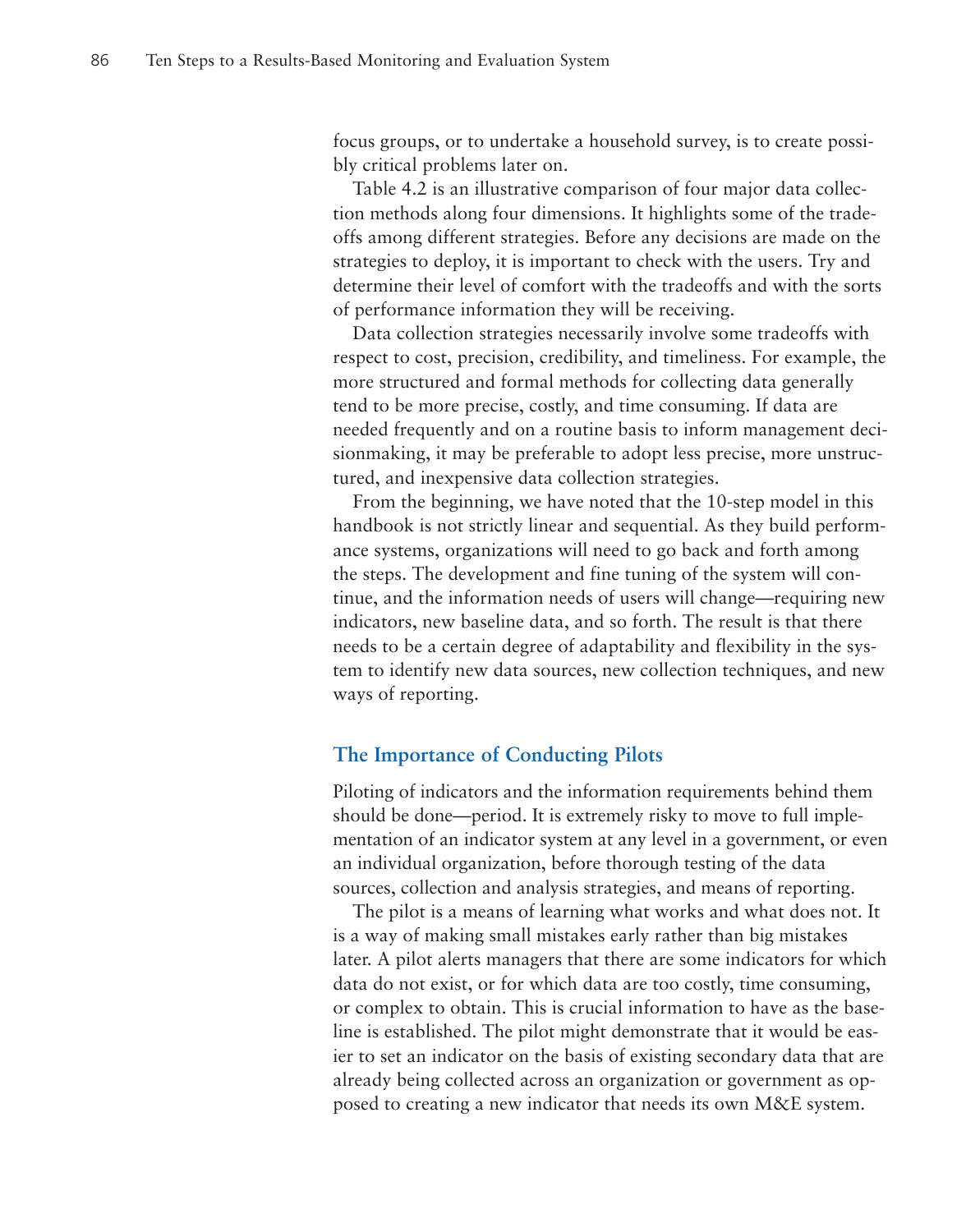focus groups, or to undertake a household survey, is to create possibly critical problems later on.

Table 4.2 is an illustrative comparison of four major data collection methods along four dimensions. It highlights some of the tradeoffs among different strategies. Before any decisions are made on the strategies to deploy, it is important to check with the users. Try and determine their level of comfort with the tradeoffs and with the sorts of performance information they will be receiving.

Data collection strategies necessarily involve some tradeoffs with respect to cost, precision, credibility, and timeliness. For example, the more structured and formal methods for collecting data generally tend to be more precise, costly, and time consuming. If data are needed frequently and on a routine basis to inform management decisionmaking, it may be preferable to adopt less precise, more unstructured, and inexpensive data collection strategies.

From the beginning, we have noted that the 10-step model in this handbook is not strictly linear and sequential. As they build performance systems, organizations will need to go back and forth among the steps. The development and fine tuning of the system will continue, and the information needs of users will change—requiring new indicators, new baseline data, and so forth. The result is that there needs to be a certain degree of adaptability and flexibility in the system to identify new data sources, new collection techniques, and new ways of reporting.

## **The Importance of Conducting Pilots**

Piloting of indicators and the information requirements behind them should be done—period. It is extremely risky to move to full implementation of an indicator system at any level in a government, or even an individual organization, before thorough testing of the data sources, collection and analysis strategies, and means of reporting.

The pilot is a means of learning what works and what does not. It is a way of making small mistakes early rather than big mistakes later. A pilot alerts managers that there are some indicators for which data do not exist, or for which data are too costly, time consuming, or complex to obtain. This is crucial information to have as the baseline is established. The pilot might demonstrate that it would be easier to set an indicator on the basis of existing secondary data that are already being collected across an organization or government as opposed to creating a new indicator that needs its own M&E system.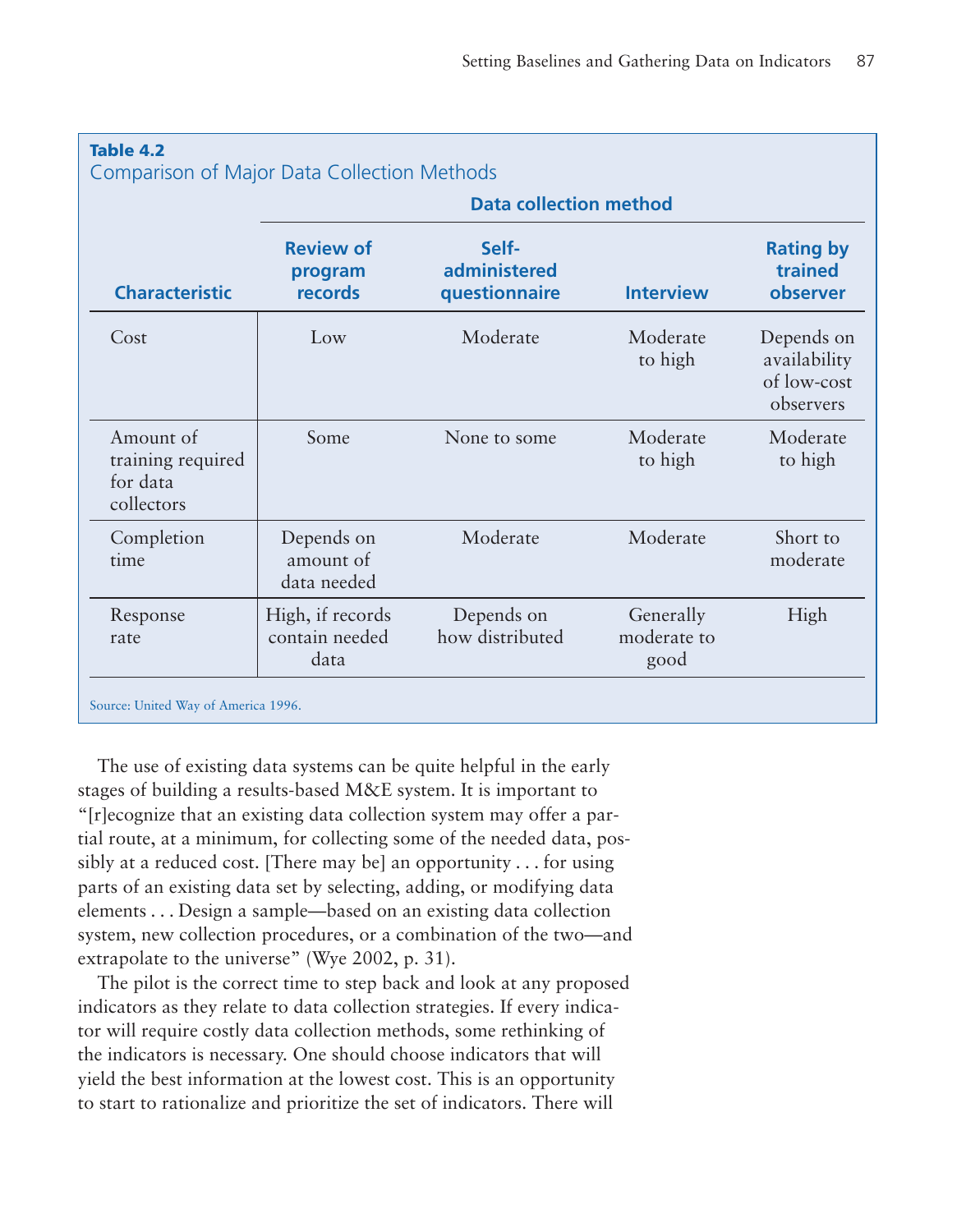## **Table 4.2**

Comparison of Major Data Collection Methods

|                                                          | <b>Data collection method</b>              |                                        |                                  |                                                        |  |  |  |
|----------------------------------------------------------|--------------------------------------------|----------------------------------------|----------------------------------|--------------------------------------------------------|--|--|--|
| <b>Characteristic</b>                                    | <b>Review of</b><br>program<br>records     | Self-<br>administered<br>questionnaire | <b>Interview</b>                 | <b>Rating by</b><br>trained<br>observer                |  |  |  |
| Cost                                                     | Low                                        | Moderate                               | Moderate<br>to high              | Depends on<br>availability<br>of low-cost<br>observers |  |  |  |
| Amount of<br>training required<br>for data<br>collectors | Some                                       | None to some                           | Moderate<br>to high              | Moderate<br>to high                                    |  |  |  |
| Completion<br>time                                       | Depends on<br>amount of<br>data needed     | Moderate                               | Moderate                         | Short to<br>moderate                                   |  |  |  |
| Response<br>rate                                         | High, if records<br>contain needed<br>data | Depends on<br>how distributed          | Generally<br>moderate to<br>good | High                                                   |  |  |  |

The use of existing data systems can be quite helpful in the early stages of building a results-based M&E system. It is important to "[r]ecognize that an existing data collection system may offer a partial route, at a minimum, for collecting some of the needed data, possibly at a reduced cost. [There may be] an opportunity  $\dots$  for using parts of an existing data set by selecting, adding, or modifying data elements . . . Design a sample—based on an existing data collection system, new collection procedures, or a combination of the two—and extrapolate to the universe" (Wye 2002, p. 31).

The pilot is the correct time to step back and look at any proposed indicators as they relate to data collection strategies. If every indicator will require costly data collection methods, some rethinking of the indicators is necessary. One should choose indicators that will yield the best information at the lowest cost. This is an opportunity to start to rationalize and prioritize the set of indicators. There will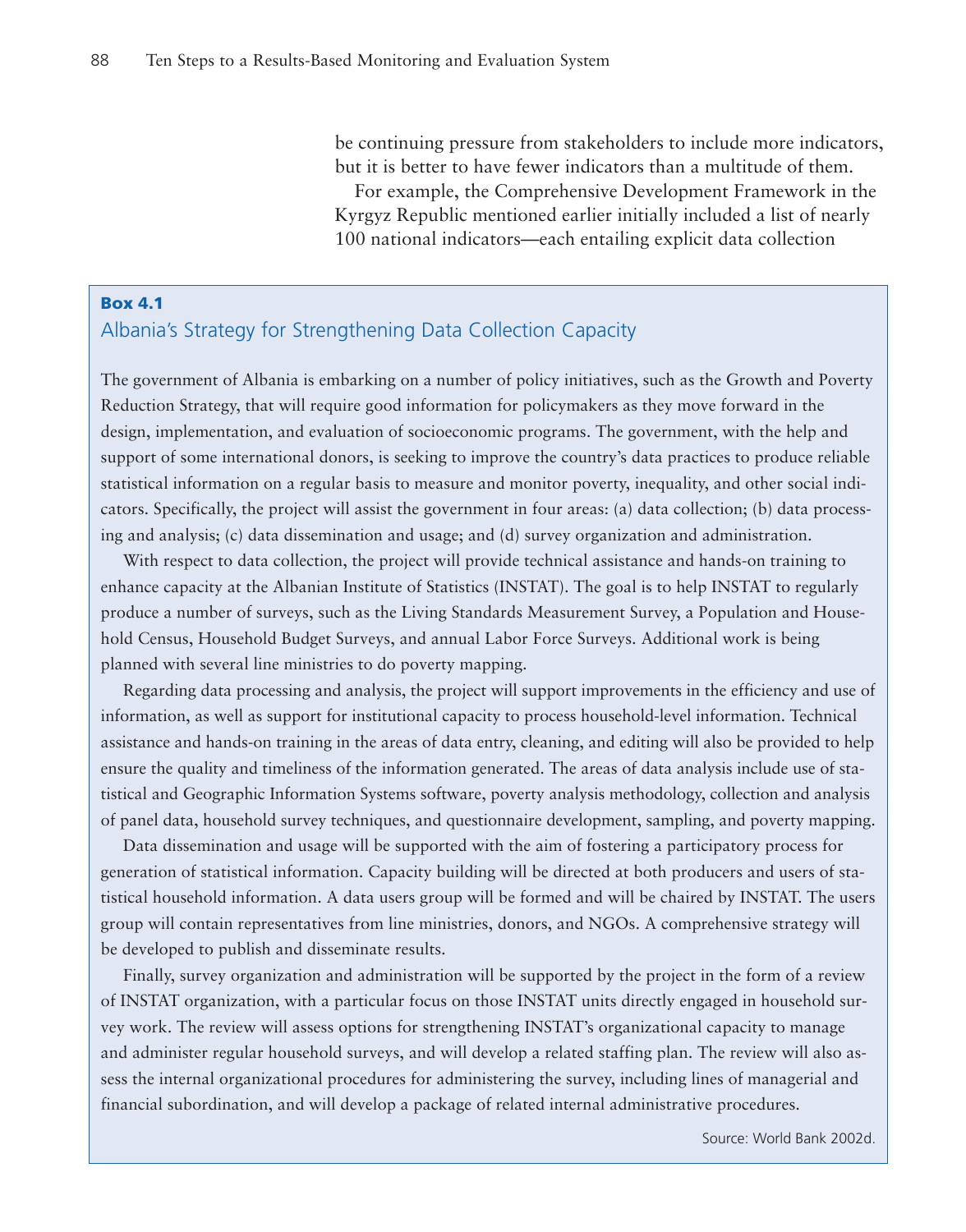be continuing pressure from stakeholders to include more indicators, but it is better to have fewer indicators than a multitude of them.

For example, the Comprehensive Development Framework in the Kyrgyz Republic mentioned earlier initially included a list of nearly 100 national indicators—each entailing explicit data collection

# **Box 4.1** Albania's Strategy for Strengthening Data Collection Capacity

The government of Albania is embarking on a number of policy initiatives, such as the Growth and Poverty Reduction Strategy, that will require good information for policymakers as they move forward in the design, implementation, and evaluation of socioeconomic programs. The government, with the help and support of some international donors, is seeking to improve the country's data practices to produce reliable statistical information on a regular basis to measure and monitor poverty, inequality, and other social indicators. Specifically, the project will assist the government in four areas: (a) data collection; (b) data processing and analysis; (c) data dissemination and usage; and (d) survey organization and administration.

With respect to data collection, the project will provide technical assistance and hands-on training to enhance capacity at the Albanian Institute of Statistics (INSTAT). The goal is to help INSTAT to regularly produce a number of surveys, such as the Living Standards Measurement Survey, a Population and Household Census, Household Budget Surveys, and annual Labor Force Surveys. Additional work is being planned with several line ministries to do poverty mapping.

Regarding data processing and analysis, the project will support improvements in the efficiency and use of information, as well as support for institutional capacity to process household-level information. Technical assistance and hands-on training in the areas of data entry, cleaning, and editing will also be provided to help ensure the quality and timeliness of the information generated. The areas of data analysis include use of statistical and Geographic Information Systems software, poverty analysis methodology, collection and analysis of panel data, household survey techniques, and questionnaire development, sampling, and poverty mapping.

Data dissemination and usage will be supported with the aim of fostering a participatory process for generation of statistical information. Capacity building will be directed at both producers and users of statistical household information. A data users group will be formed and will be chaired by INSTAT. The users group will contain representatives from line ministries, donors, and NGOs. A comprehensive strategy will be developed to publish and disseminate results.

Finally, survey organization and administration will be supported by the project in the form of a review of INSTAT organization, with a particular focus on those INSTAT units directly engaged in household survey work. The review will assess options for strengthening INSTAT's organizational capacity to manage and administer regular household surveys, and will develop a related staffing plan. The review will also assess the internal organizational procedures for administering the survey, including lines of managerial and financial subordination, and will develop a package of related internal administrative procedures.

Source: World Bank 2002d.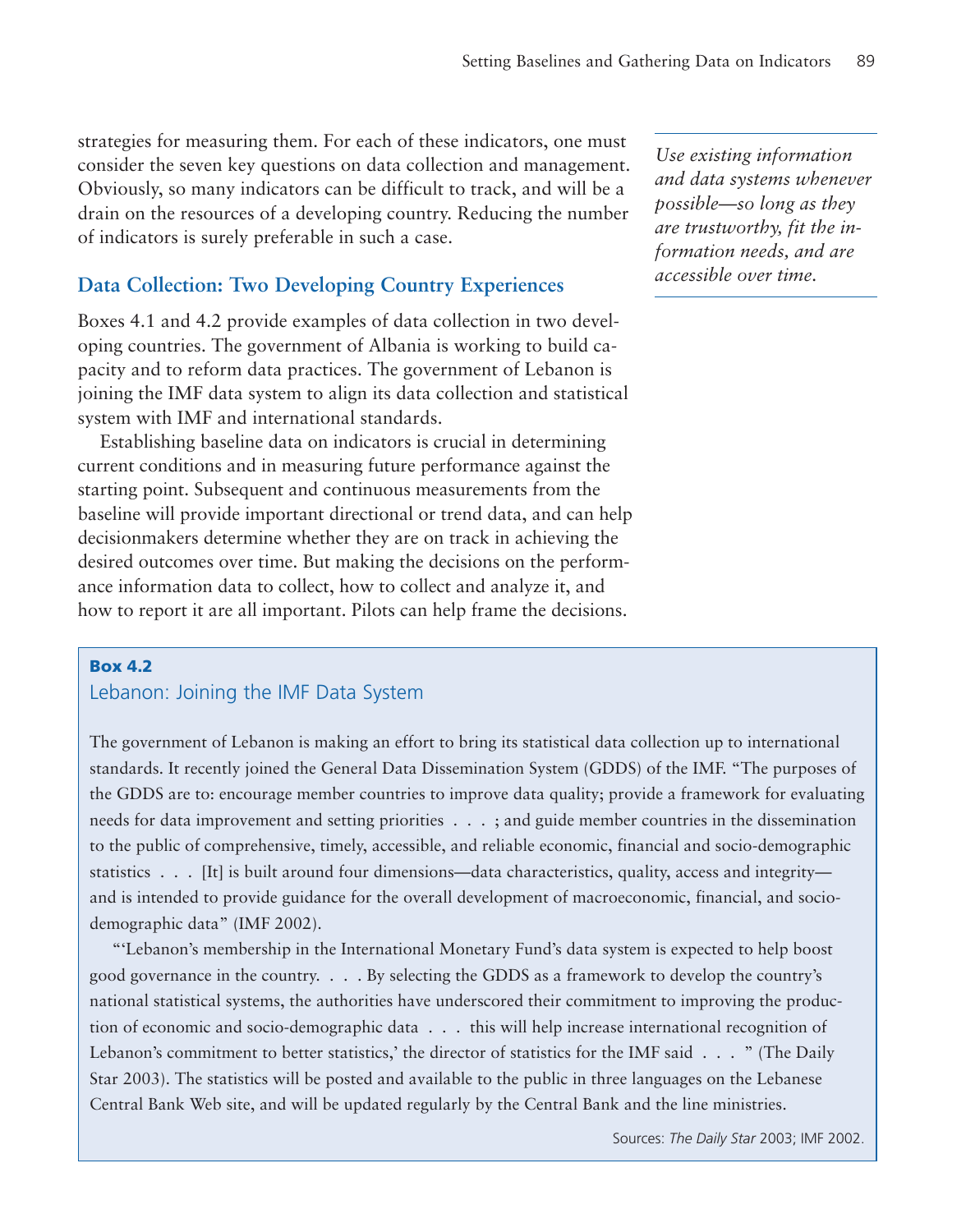strategies for measuring them. For each of these indicators, one must consider the seven key questions on data collection and management. Obviously, so many indicators can be difficult to track, and will be a drain on the resources of a developing country. Reducing the number of indicators is surely preferable in such a case.

#### **Data Collection: Two Developing Country Experiences**

Boxes 4.1 and 4.2 provide examples of data collection in two developing countries. The government of Albania is working to build capacity and to reform data practices. The government of Lebanon is joining the IMF data system to align its data collection and statistical system with IMF and international standards.

Establishing baseline data on indicators is crucial in determining current conditions and in measuring future performance against the starting point. Subsequent and continuous measurements from the baseline will provide important directional or trend data, and can help decisionmakers determine whether they are on track in achieving the desired outcomes over time. But making the decisions on the performance information data to collect, how to collect and analyze it, and how to report it are all important. Pilots can help frame the decisions.

*Use existing information and data systems whenever possible—so long as they are trustworthy, fit the information needs, and are accessible over time.*

#### **Box 4.2**

#### Lebanon: Joining the IMF Data System

The government of Lebanon is making an effort to bring its statistical data collection up to international standards. It recently joined the General Data Dissemination System (GDDS) of the IMF. "The purposes of the GDDS are to: encourage member countries to improve data quality; provide a framework for evaluating needs for data improvement and setting priorities . . . ; and guide member countries in the dissemination to the public of comprehensive, timely, accessible, and reliable economic, financial and socio-demographic statistics . . . [It] is built around four dimensions—data characteristics, quality, access and integrity and is intended to provide guidance for the overall development of macroeconomic, financial, and sociodemographic data" (IMF 2002).

"'Lebanon's membership in the International Monetary Fund's data system is expected to help boost good governance in the country. . . . By selecting the GDDS as a framework to develop the country's national statistical systems, the authorities have underscored their commitment to improving the production of economic and socio-demographic data . . . this will help increase international recognition of Lebanon's commitment to better statistics,' the director of statistics for the IMF said . . . " (The Daily Star 2003). The statistics will be posted and available to the public in three languages on the Lebanese Central Bank Web site, and will be updated regularly by the Central Bank and the line ministries.

Sources: *The Daily Star* 2003; IMF 2002.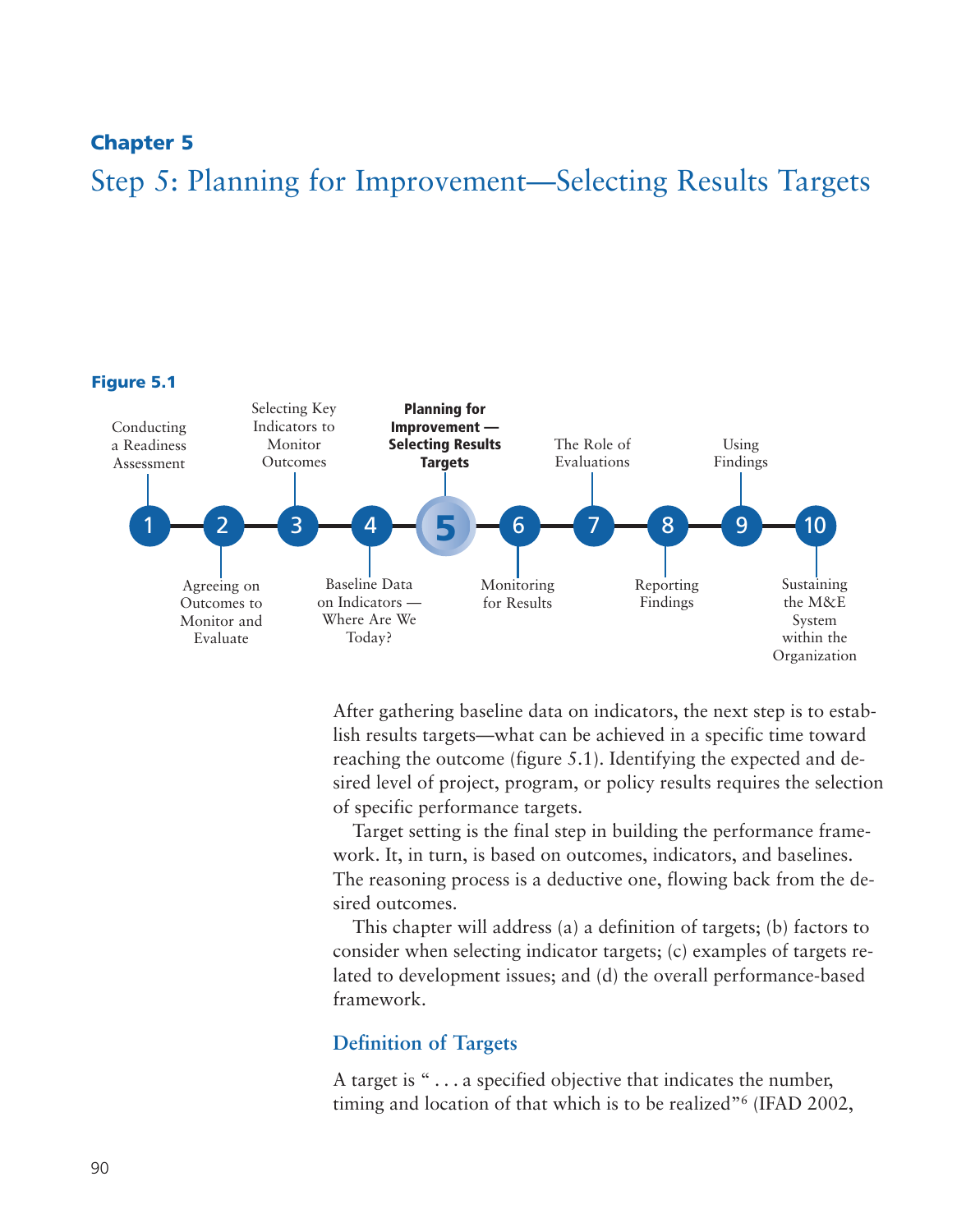## **Chapter 5**

Step 5: Planning for Improvement—Selecting Results Targets

#### **Figure 5.1**



After gathering baseline data on indicators, the next step is to establish results targets—what can be achieved in a specific time toward reaching the outcome (figure 5.1). Identifying the expected and desired level of project, program, or policy results requires the selection of specific performance targets.

Target setting is the final step in building the performance framework. It, in turn, is based on outcomes, indicators, and baselines. The reasoning process is a deductive one, flowing back from the desired outcomes.

This chapter will address (a) a definition of targets; (b) factors to consider when selecting indicator targets; (c) examples of targets related to development issues; and (d) the overall performance-based framework.

## **Definition of Targets**

A target is " . . . a specified objective that indicates the number, timing and location of that which is to be realized"6 (IFAD 2002,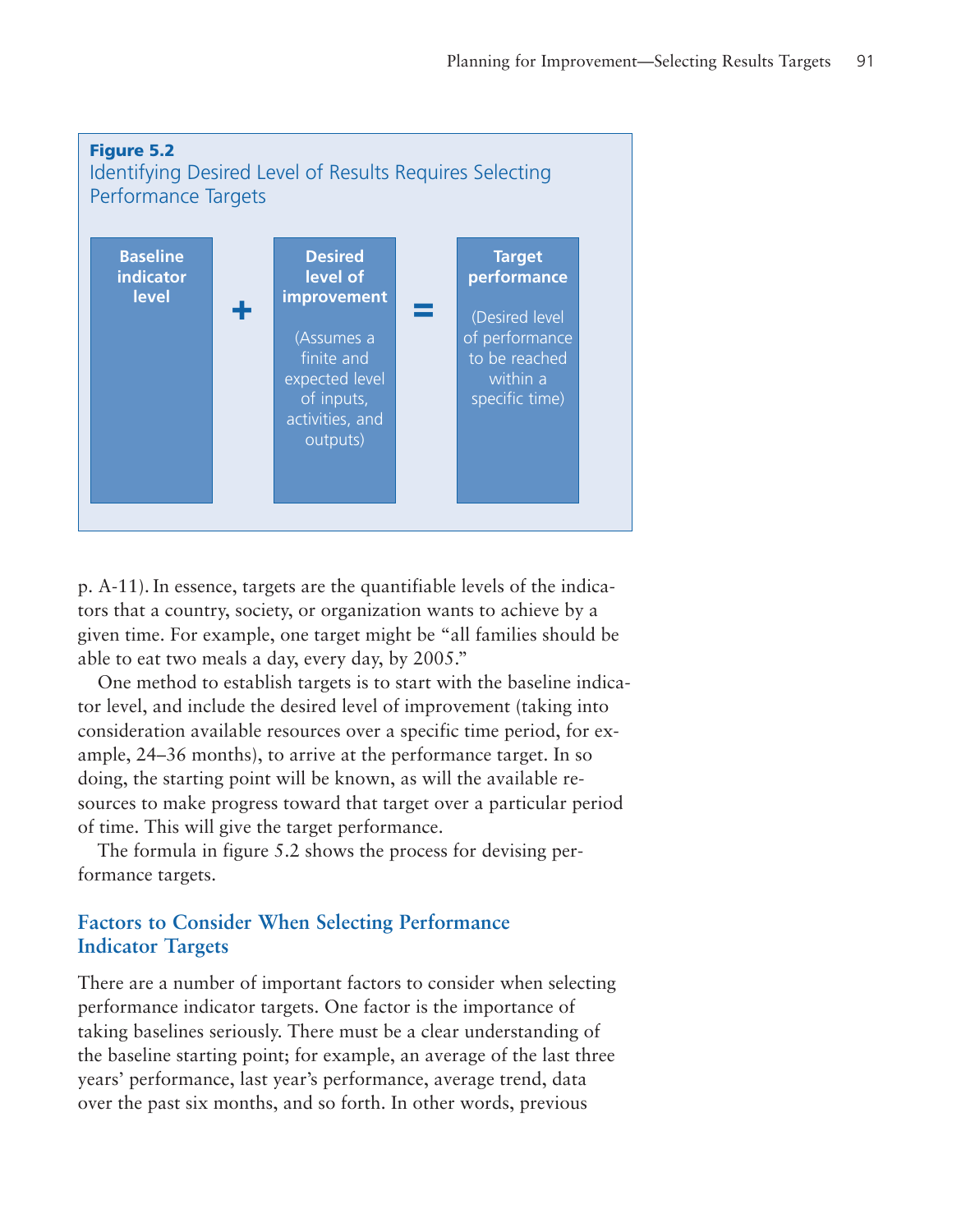

p. A-11). In essence, targets are the quantifiable levels of the indicators that a country, society, or organization wants to achieve by a given time. For example, one target might be "all families should be able to eat two meals a day, every day, by 2005."

One method to establish targets is to start with the baseline indicator level, and include the desired level of improvement (taking into consideration available resources over a specific time period, for example, 24–36 months), to arrive at the performance target. In so doing, the starting point will be known, as will the available resources to make progress toward that target over a particular period of time. This will give the target performance.

The formula in figure 5.2 shows the process for devising performance targets.

## **Factors to Consider When Selecting Performance Indicator Targets**

There are a number of important factors to consider when selecting performance indicator targets. One factor is the importance of taking baselines seriously. There must be a clear understanding of the baseline starting point; for example, an average of the last three years' performance, last year's performance, average trend, data over the past six months, and so forth. In other words, previous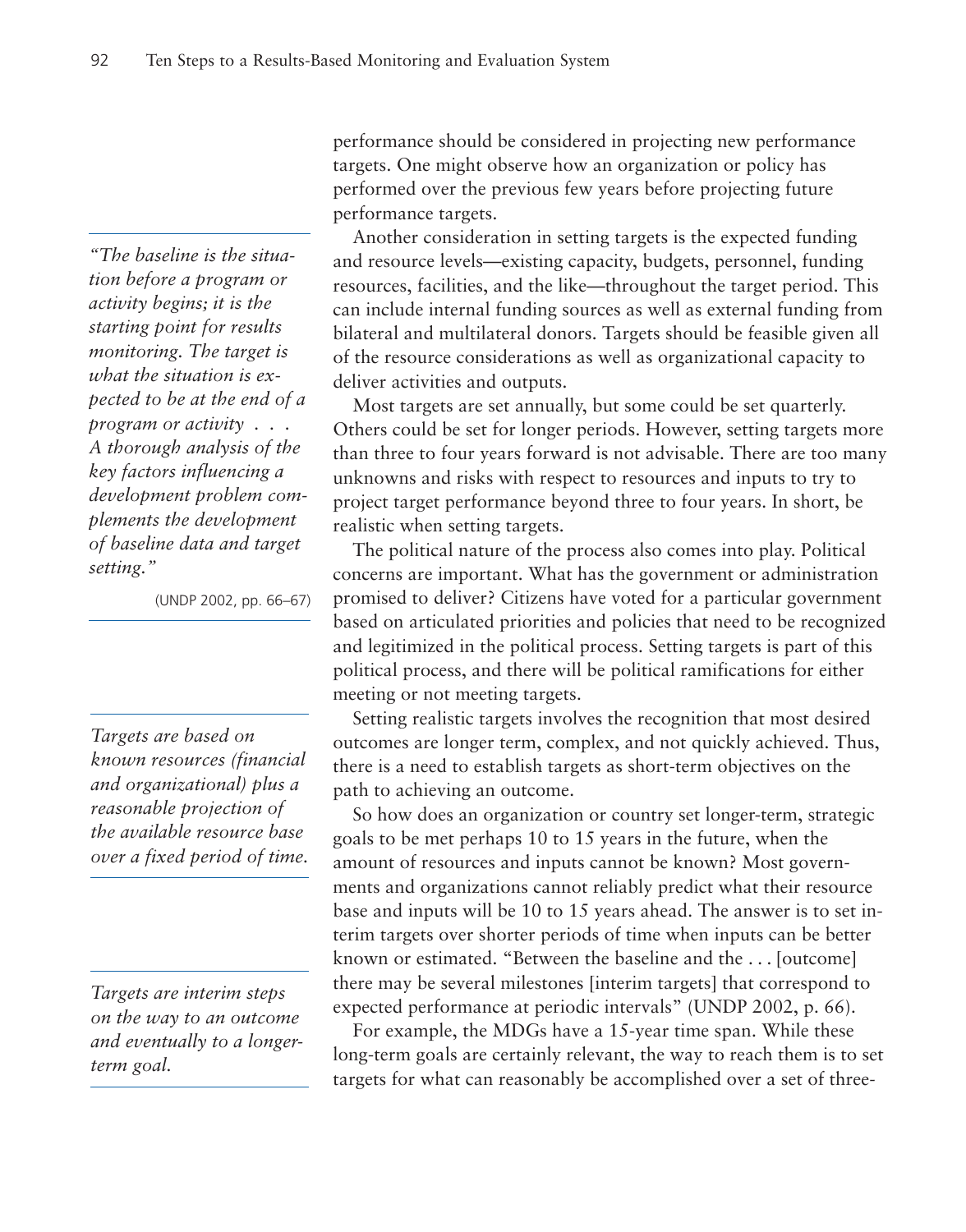*"The baseline is the situation before a program or activity begins; it is the starting point for results monitoring. The target is what the situation is expected to be at the end of a program or activity . . . A thorough analysis of the key factors influencing a development problem complements the development of baseline data and target setting."*

(UNDP 2002, pp. 66–67)

*Targets are based on known resources (financial and organizational) plus a reasonable projection of the available resource base over a fixed period of time.*

*Targets are interim steps on the way to an outcome and eventually to a longerterm goal.*

performance should be considered in projecting new performance targets. One might observe how an organization or policy has performed over the previous few years before projecting future performance targets.

Another consideration in setting targets is the expected funding and resource levels—existing capacity, budgets, personnel, funding resources, facilities, and the like—throughout the target period. This can include internal funding sources as well as external funding from bilateral and multilateral donors. Targets should be feasible given all of the resource considerations as well as organizational capacity to deliver activities and outputs.

Most targets are set annually, but some could be set quarterly. Others could be set for longer periods. However, setting targets more than three to four years forward is not advisable. There are too many unknowns and risks with respect to resources and inputs to try to project target performance beyond three to four years. In short, be realistic when setting targets.

The political nature of the process also comes into play. Political concerns are important. What has the government or administration promised to deliver? Citizens have voted for a particular government based on articulated priorities and policies that need to be recognized and legitimized in the political process. Setting targets is part of this political process, and there will be political ramifications for either meeting or not meeting targets.

Setting realistic targets involves the recognition that most desired outcomes are longer term, complex, and not quickly achieved. Thus, there is a need to establish targets as short-term objectives on the path to achieving an outcome.

So how does an organization or country set longer-term, strategic goals to be met perhaps 10 to 15 years in the future, when the amount of resources and inputs cannot be known? Most governments and organizations cannot reliably predict what their resource base and inputs will be 10 to 15 years ahead. The answer is to set interim targets over shorter periods of time when inputs can be better known or estimated. "Between the baseline and the . . . [outcome] there may be several milestones [interim targets] that correspond to expected performance at periodic intervals" (UNDP 2002, p. 66).

For example, the MDGs have a 15-year time span. While these long-term goals are certainly relevant, the way to reach them is to set targets for what can reasonably be accomplished over a set of three-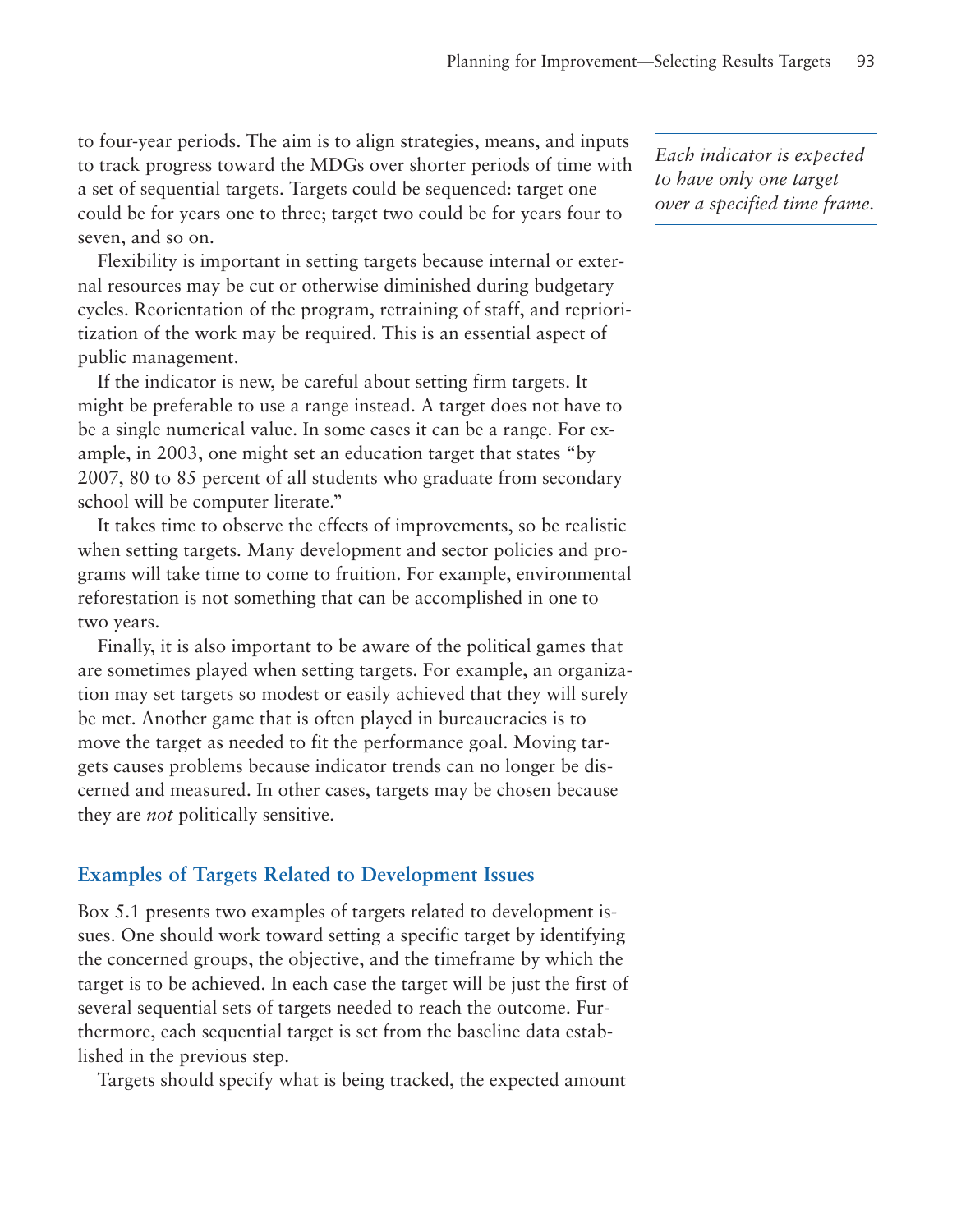to four-year periods. The aim is to align strategies, means, and inputs to track progress toward the MDGs over shorter periods of time with a set of sequential targets. Targets could be sequenced: target one could be for years one to three; target two could be for years four to seven, and so on.

Flexibility is important in setting targets because internal or external resources may be cut or otherwise diminished during budgetary cycles. Reorientation of the program, retraining of staff, and reprioritization of the work may be required. This is an essential aspect of public management.

If the indicator is new, be careful about setting firm targets. It might be preferable to use a range instead. A target does not have to be a single numerical value. In some cases it can be a range. For example, in 2003, one might set an education target that states "by 2007, 80 to 85 percent of all students who graduate from secondary school will be computer literate."

It takes time to observe the effects of improvements, so be realistic when setting targets*.* Many development and sector policies and programs will take time to come to fruition. For example, environmental reforestation is not something that can be accomplished in one to two years.

Finally, it is also important to be aware of the political games that are sometimes played when setting targets. For example, an organization may set targets so modest or easily achieved that they will surely be met. Another game that is often played in bureaucracies is to move the target as needed to fit the performance goal. Moving targets causes problems because indicator trends can no longer be discerned and measured. In other cases, targets may be chosen because they are *not* politically sensitive.

### **Examples of Targets Related to Development Issues**

Box 5.1 presents two examples of targets related to development issues. One should work toward setting a specific target by identifying the concerned groups, the objective, and the timeframe by which the target is to be achieved. In each case the target will be just the first of several sequential sets of targets needed to reach the outcome. Furthermore, each sequential target is set from the baseline data established in the previous step.

Targets should specify what is being tracked, the expected amount

*Each indicator is expected to have only one target over a specified time frame.*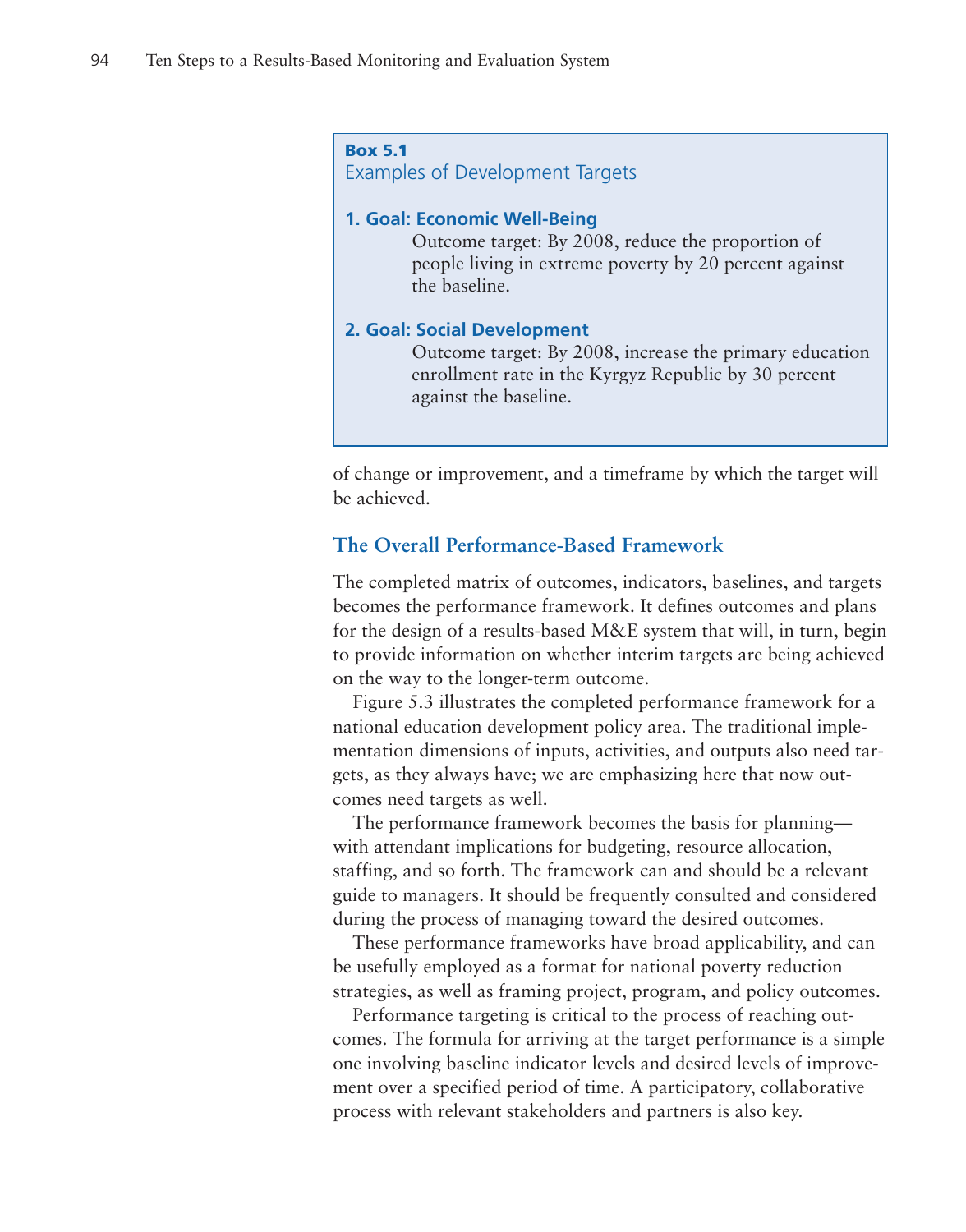**Box 5.1** Examples of Development Targets **1. Goal: Economic Well-Being** Outcome target: By 2008, reduce the proportion of people living in extreme poverty by 20 percent against the baseline. **2. Goal: Social Development** Outcome target: By 2008, increase the primary education enrollment rate in the Kyrgyz Republic by 30 percent against the baseline.

of change or improvement, and a timeframe by which the target will be achieved.

### **The Overall Performance-Based Framework**

The completed matrix of outcomes, indicators, baselines, and targets becomes the performance framework. It defines outcomes and plans for the design of a results-based M&E system that will, in turn, begin to provide information on whether interim targets are being achieved on the way to the longer-term outcome.

Figure 5.3 illustrates the completed performance framework for a national education development policy area. The traditional implementation dimensions of inputs, activities, and outputs also need targets, as they always have; we are emphasizing here that now outcomes need targets as well.

The performance framework becomes the basis for planning with attendant implications for budgeting, resource allocation, staffing, and so forth. The framework can and should be a relevant guide to managers. It should be frequently consulted and considered during the process of managing toward the desired outcomes.

These performance frameworks have broad applicability, and can be usefully employed as a format for national poverty reduction strategies, as well as framing project, program, and policy outcomes.

Performance targeting is critical to the process of reaching outcomes. The formula for arriving at the target performance is a simple one involving baseline indicator levels and desired levels of improvement over a specified period of time. A participatory, collaborative process with relevant stakeholders and partners is also key.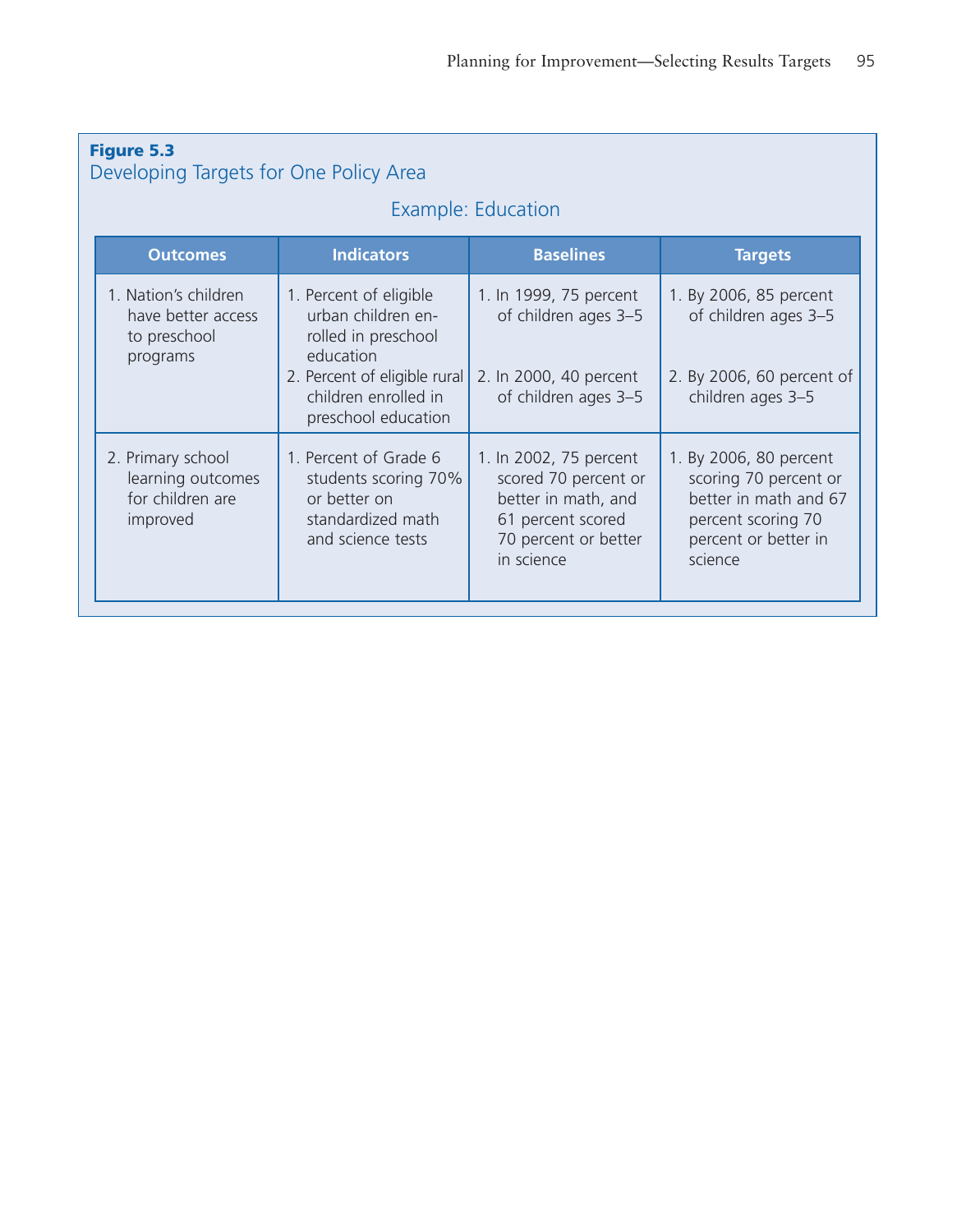## **Figure 5.3**

## Developing Targets for One Policy Area

## Example: Education

| <b>Outcomes</b>                                                        | <b>Indicators</b>                                                                                       | <b>Baselines</b>                                                                                                                 | <b>Targets</b>                                                                                                                    |
|------------------------------------------------------------------------|---------------------------------------------------------------------------------------------------------|----------------------------------------------------------------------------------------------------------------------------------|-----------------------------------------------------------------------------------------------------------------------------------|
| 1. Nation's children<br>have better access<br>to preschool<br>programs | 1. Percent of eligible<br>urban children en-<br>rolled in preschool<br>education                        | 1. In 1999, 75 percent<br>of children ages 3-5                                                                                   | 1. By 2006, 85 percent<br>of children ages 3-5                                                                                    |
|                                                                        | 2. Percent of eligible rural<br>children enrolled in<br>preschool education                             | 2. In 2000, 40 percent<br>of children ages 3-5                                                                                   | 2. By 2006, 60 percent of<br>children ages 3-5                                                                                    |
| 2. Primary school<br>learning outcomes<br>for children are<br>improved | 1. Percent of Grade 6<br>students scoring 70%<br>or better on<br>standardized math<br>and science tests | 1. In 2002, 75 percent<br>scored 70 percent or<br>better in math, and<br>61 percent scored<br>70 percent or better<br>in science | 1. By 2006, 80 percent<br>scoring 70 percent or<br>better in math and 67<br>percent scoring 70<br>percent or better in<br>science |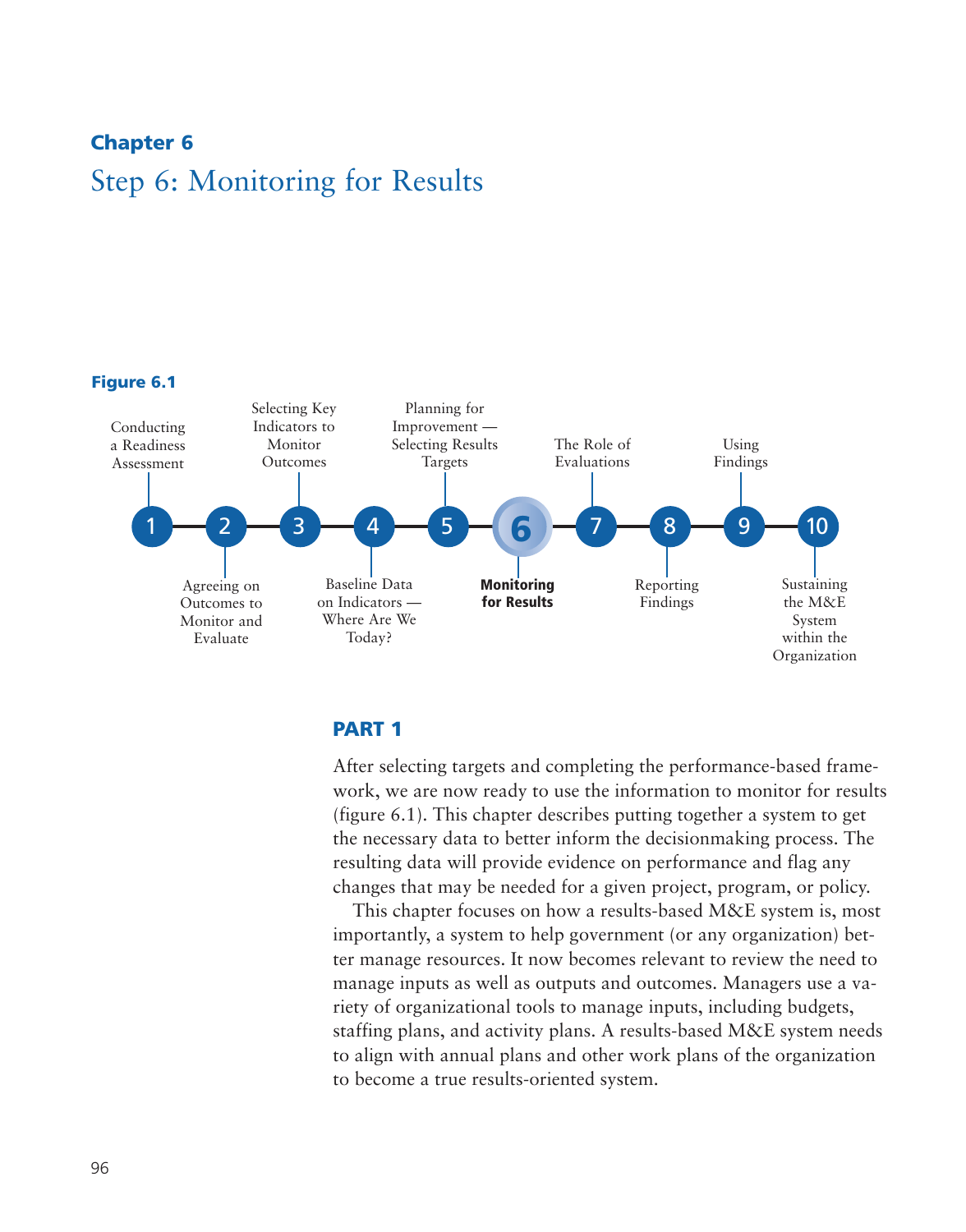# **Chapter 6** Step 6: Monitoring for Results

#### Conducting a Readiness Assessment Selecting Key Indicators to Monitor Outcomes

**Figure 6.1**



Planning for

## **PART 1**

After selecting targets and completing the performance-based framework, we are now ready to use the information to monitor for results (figure 6.1). This chapter describes putting together a system to get the necessary data to better inform the decisionmaking process. The resulting data will provide evidence on performance and flag any changes that may be needed for a given project, program, or policy.

This chapter focuses on how a results-based M&E system is, most importantly, a system to help government (or any organization) better manage resources. It now becomes relevant to review the need to manage inputs as well as outputs and outcomes. Managers use a variety of organizational tools to manage inputs, including budgets, staffing plans, and activity plans. A results-based M&E system needs to align with annual plans and other work plans of the organization to become a true results-oriented system.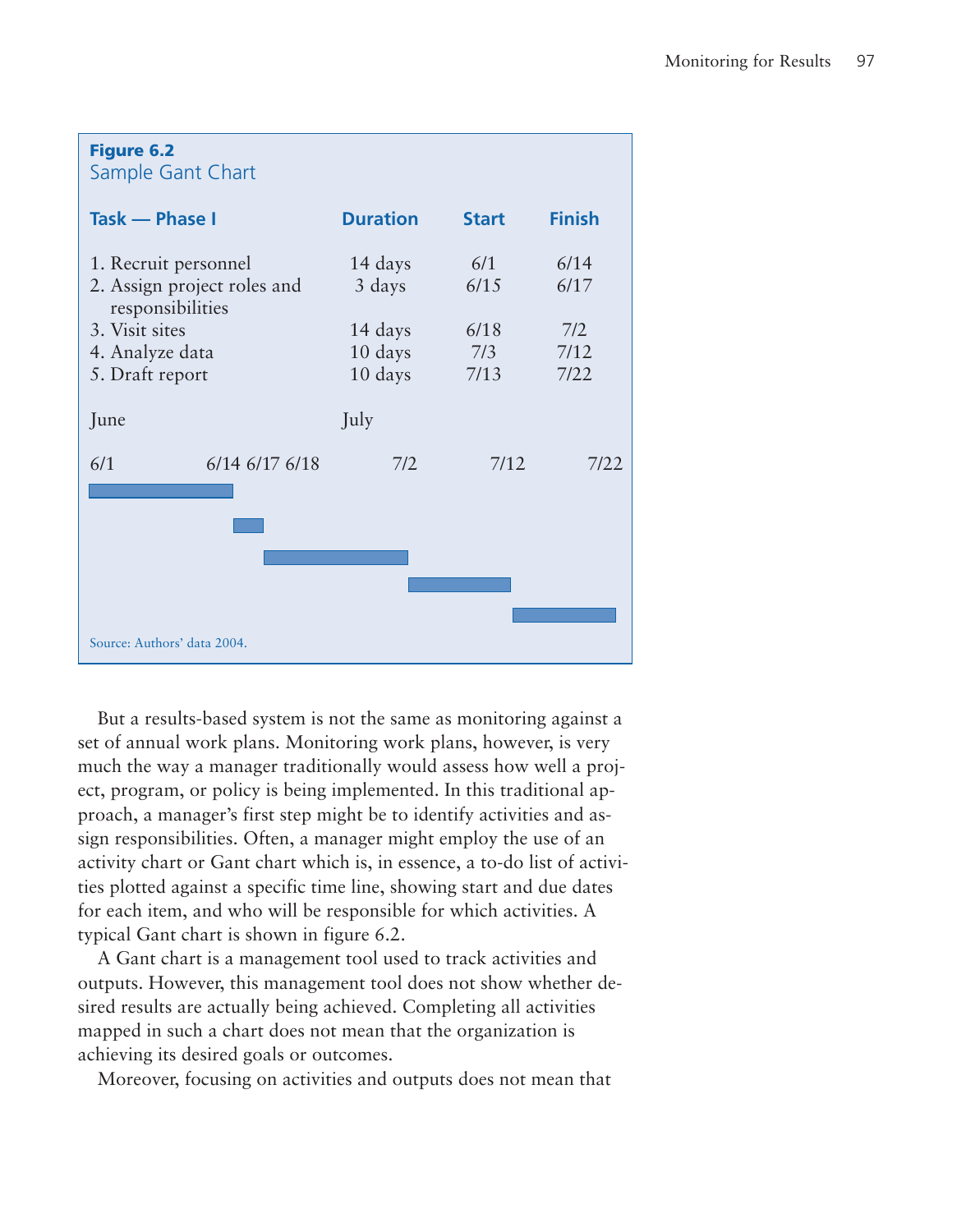| <b>Figure 6.2</b><br>Sample Gant Chart                                  |                      |                               |                     |                     |
|-------------------------------------------------------------------------|----------------------|-------------------------------|---------------------|---------------------|
| Task — Phase I                                                          |                      | <b>Duration</b>               | <b>Start</b>        | <b>Finish</b>       |
| 1. Recruit personnel<br>2. Assign project roles and<br>responsibilities |                      | 14 days<br>3 days             | 6/1<br>6/15         | 6/14<br>6/17        |
| 3. Visit sites<br>4. Analyze data<br>5. Draft report                    |                      | 14 days<br>10 days<br>10 days | 6/18<br>7/3<br>7/13 | 7/2<br>7/12<br>7/22 |
| June                                                                    |                      | July                          |                     |                     |
| 6/1                                                                     | $6/14$ $6/17$ $6/18$ | 7/2                           | 7/12                | 7/22                |
| Source: Authors' data 2004.                                             |                      |                               |                     |                     |

But a results-based system is not the same as monitoring against a set of annual work plans. Monitoring work plans, however, is very much the way a manager traditionally would assess how well a project, program, or policy is being implemented. In this traditional approach, a manager's first step might be to identify activities and assign responsibilities. Often, a manager might employ the use of an activity chart or Gant chart which is, in essence, a to-do list of activities plotted against a specific time line, showing start and due dates for each item, and who will be responsible for which activities. A typical Gant chart is shown in figure 6.2.

A Gant chart is a management tool used to track activities and outputs. However, this management tool does not show whether desired results are actually being achieved. Completing all activities mapped in such a chart does not mean that the organization is achieving its desired goals or outcomes.

Moreover, focusing on activities and outputs does not mean that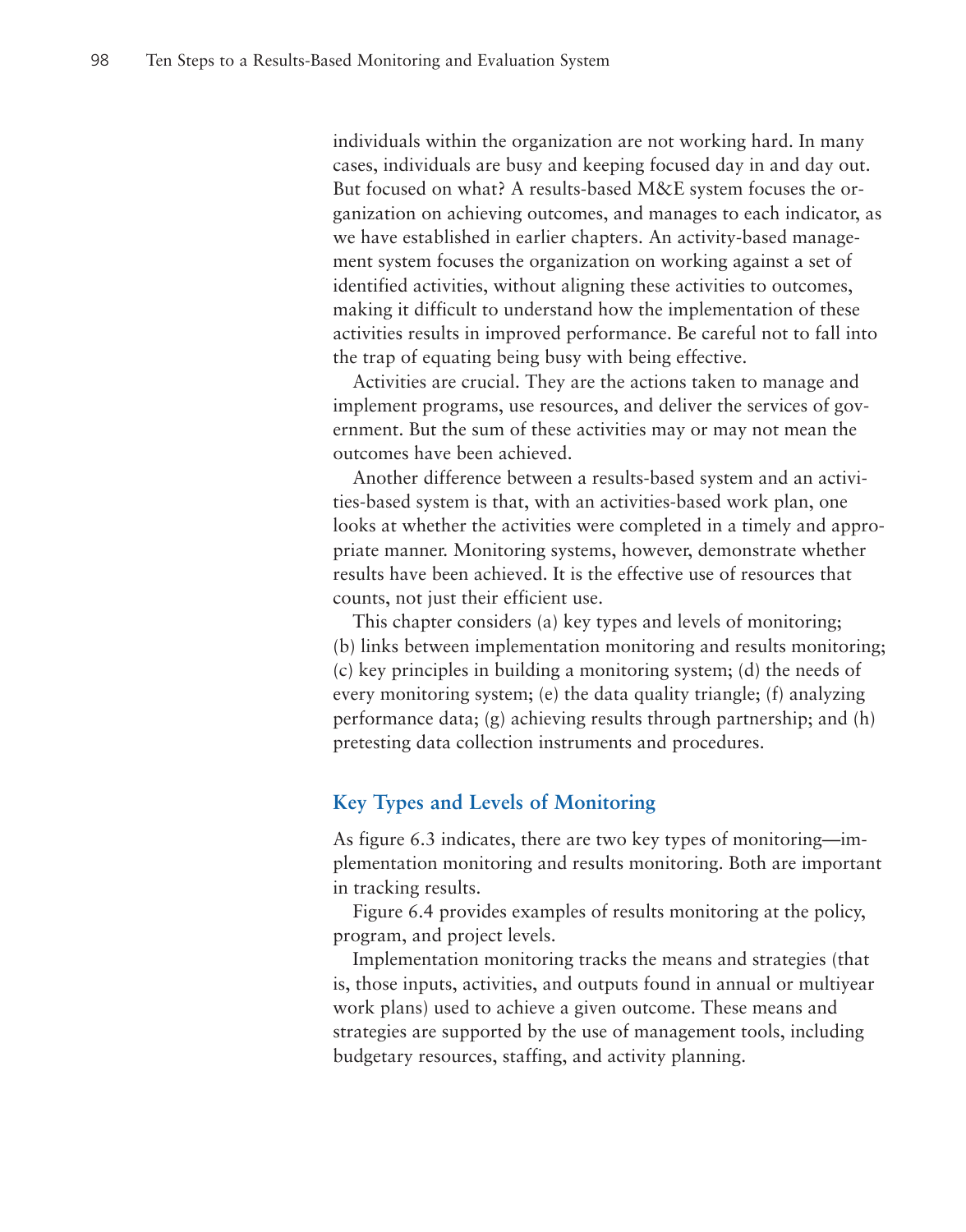individuals within the organization are not working hard. In many cases, individuals are busy and keeping focused day in and day out. But focused on what? A results-based M&E system focuses the organization on achieving outcomes, and manages to each indicator, as we have established in earlier chapters. An activity-based management system focuses the organization on working against a set of identified activities, without aligning these activities to outcomes, making it difficult to understand how the implementation of these activities results in improved performance. Be careful not to fall into the trap of equating being busy with being effective.

Activities are crucial. They are the actions taken to manage and implement programs, use resources, and deliver the services of government. But the sum of these activities may or may not mean the outcomes have been achieved.

Another difference between a results-based system and an activities-based system is that, with an activities-based work plan, one looks at whether the activities were completed in a timely and appropriate manner. Monitoring systems, however, demonstrate whether results have been achieved. It is the effective use of resources that counts, not just their efficient use.

This chapter considers (a) key types and levels of monitoring; (b) links between implementation monitoring and results monitoring; (c) key principles in building a monitoring system; (d) the needs of every monitoring system; (e) the data quality triangle; (f) analyzing performance data; (g) achieving results through partnership; and (h) pretesting data collection instruments and procedures.

### **Key Types and Levels of Monitoring**

As figure 6.3 indicates, there are two key types of monitoring—implementation monitoring and results monitoring. Both are important in tracking results.

Figure 6.4 provides examples of results monitoring at the policy, program, and project levels.

Implementation monitoring tracks the means and strategies (that is, those inputs, activities, and outputs found in annual or multiyear work plans) used to achieve a given outcome. These means and strategies are supported by the use of management tools, including budgetary resources, staffing, and activity planning.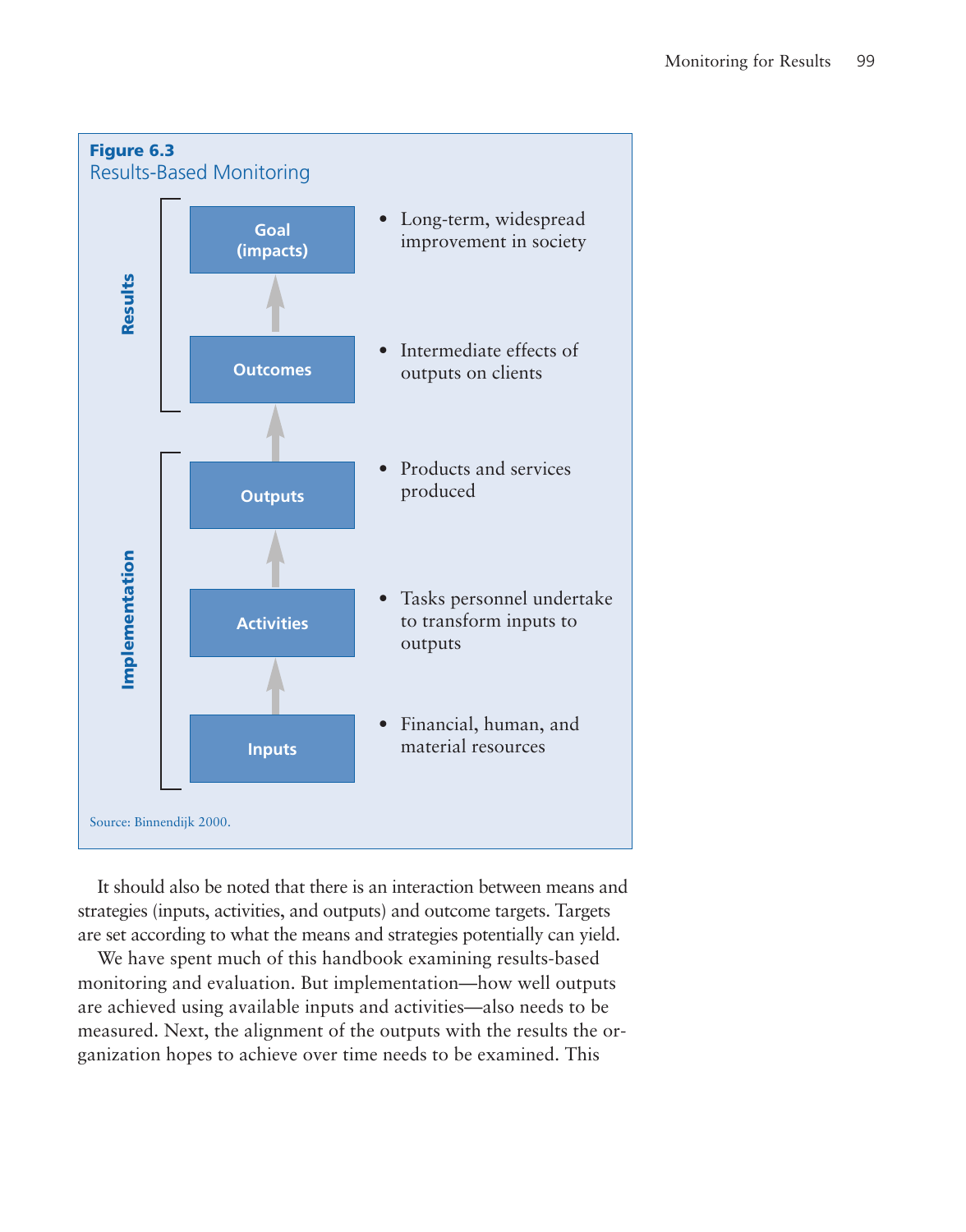

It should also be noted that there is an interaction between means and strategies (inputs, activities, and outputs) and outcome targets. Targets are set according to what the means and strategies potentially can yield.

We have spent much of this handbook examining results-based monitoring and evaluation. But implementation—how well outputs are achieved using available inputs and activities—also needs to be measured. Next, the alignment of the outputs with the results the organization hopes to achieve over time needs to be examined. This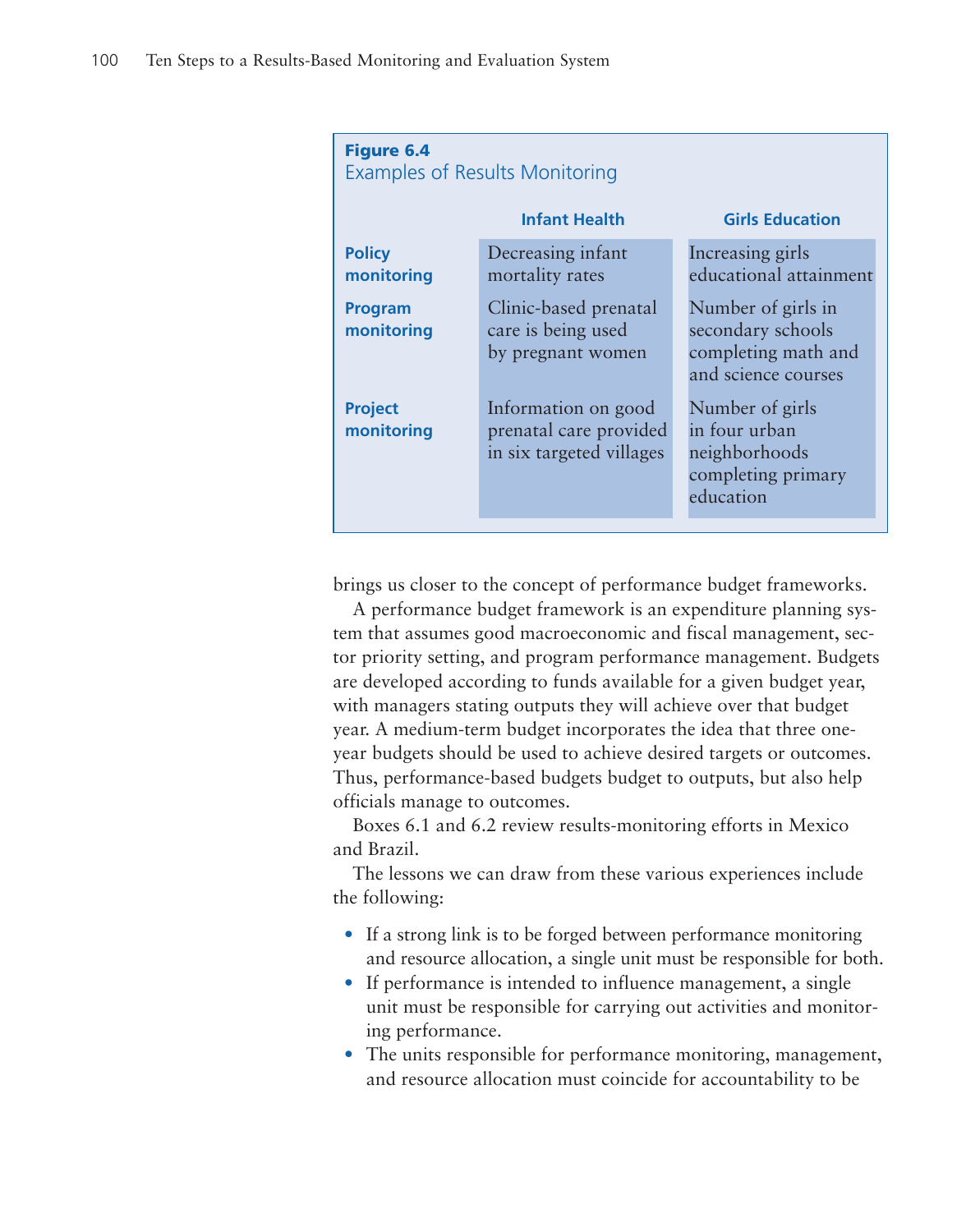| <b>Figure 6.4</b><br><b>Examples of Results Monitoring</b> |                                                                           |                                                                                       |  |  |
|------------------------------------------------------------|---------------------------------------------------------------------------|---------------------------------------------------------------------------------------|--|--|
|                                                            | <b>Infant Health</b>                                                      | <b>Girls Education</b>                                                                |  |  |
| <b>Policy</b><br>monitoring                                | Decreasing infant<br>mortality rates                                      | Increasing girls<br>educational attainment                                            |  |  |
| <b>Program</b><br>monitoring                               | Clinic-based prenatal<br>care is being used<br>by pregnant women          | Number of girls in<br>secondary schools<br>completing math and<br>and science courses |  |  |
| <b>Project</b><br>monitoring                               | Information on good<br>prenatal care provided<br>in six targeted villages | Number of girls<br>in four urban<br>neighborhoods<br>completing primary<br>education  |  |  |

brings us closer to the concept of performance budget frameworks.

A performance budget framework is an expenditure planning system that assumes good macroeconomic and fiscal management, sector priority setting, and program performance management. Budgets are developed according to funds available for a given budget year, with managers stating outputs they will achieve over that budget year. A medium-term budget incorporates the idea that three oneyear budgets should be used to achieve desired targets or outcomes. Thus, performance-based budgets budget to outputs, but also help officials manage to outcomes.

Boxes 6.1 and 6.2 review results-monitoring efforts in Mexico and Brazil.

The lessons we can draw from these various experiences include the following:

- If a strong link is to be forged between performance monitoring and resource allocation, a single unit must be responsible for both.
- If performance is intended to influence management, a single unit must be responsible for carrying out activities and monitoring performance.
- The units responsible for performance monitoring, management, and resource allocation must coincide for accountability to be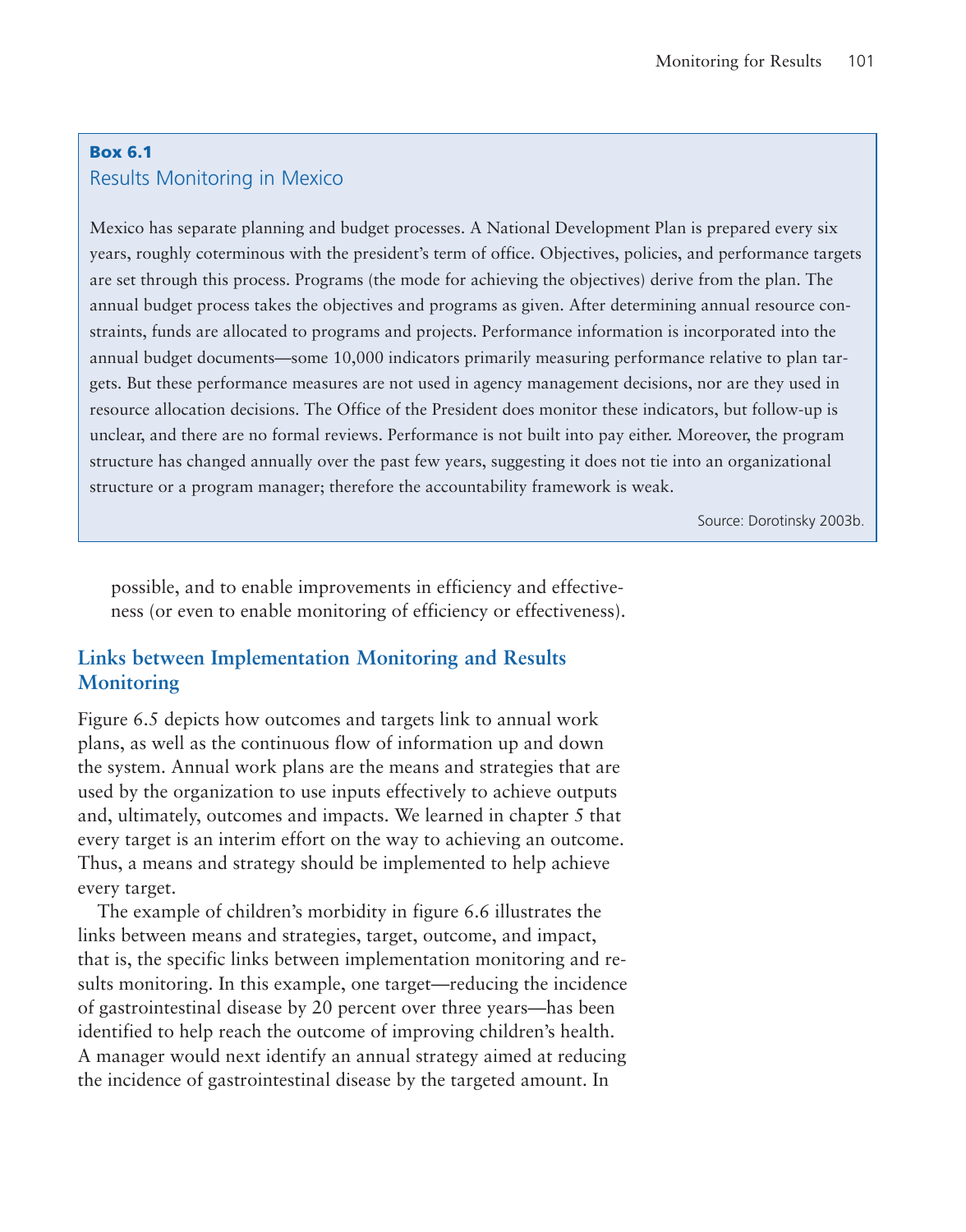## **Box 6.1** Results Monitoring in Mexico

Mexico has separate planning and budget processes. A National Development Plan is prepared every six years, roughly coterminous with the president's term of office. Objectives, policies, and performance targets are set through this process. Programs (the mode for achieving the objectives) derive from the plan. The annual budget process takes the objectives and programs as given. After determining annual resource constraints, funds are allocated to programs and projects. Performance information is incorporated into the annual budget documents—some 10,000 indicators primarily measuring performance relative to plan targets. But these performance measures are not used in agency management decisions, nor are they used in resource allocation decisions. The Office of the President does monitor these indicators, but follow-up is unclear, and there are no formal reviews. Performance is not built into pay either. Moreover, the program structure has changed annually over the past few years, suggesting it does not tie into an organizational structure or a program manager; therefore the accountability framework is weak.

Source: Dorotinsky 2003b.

possible, and to enable improvements in efficiency and effectiveness (or even to enable monitoring of efficiency or effectiveness).

## **Links between Implementation Monitoring and Results Monitoring**

Figure 6.5 depicts how outcomes and targets link to annual work plans, as well as the continuous flow of information up and down the system. Annual work plans are the means and strategies that are used by the organization to use inputs effectively to achieve outputs and, ultimately, outcomes and impacts. We learned in chapter 5 that every target is an interim effort on the way to achieving an outcome. Thus, a means and strategy should be implemented to help achieve every target.

The example of children's morbidity in figure 6.6 illustrates the links between means and strategies, target, outcome, and impact, that is, the specific links between implementation monitoring and results monitoring. In this example, one target—reducing the incidence of gastrointestinal disease by 20 percent over three years—has been identified to help reach the outcome of improving children's health. A manager would next identify an annual strategy aimed at reducing the incidence of gastrointestinal disease by the targeted amount. In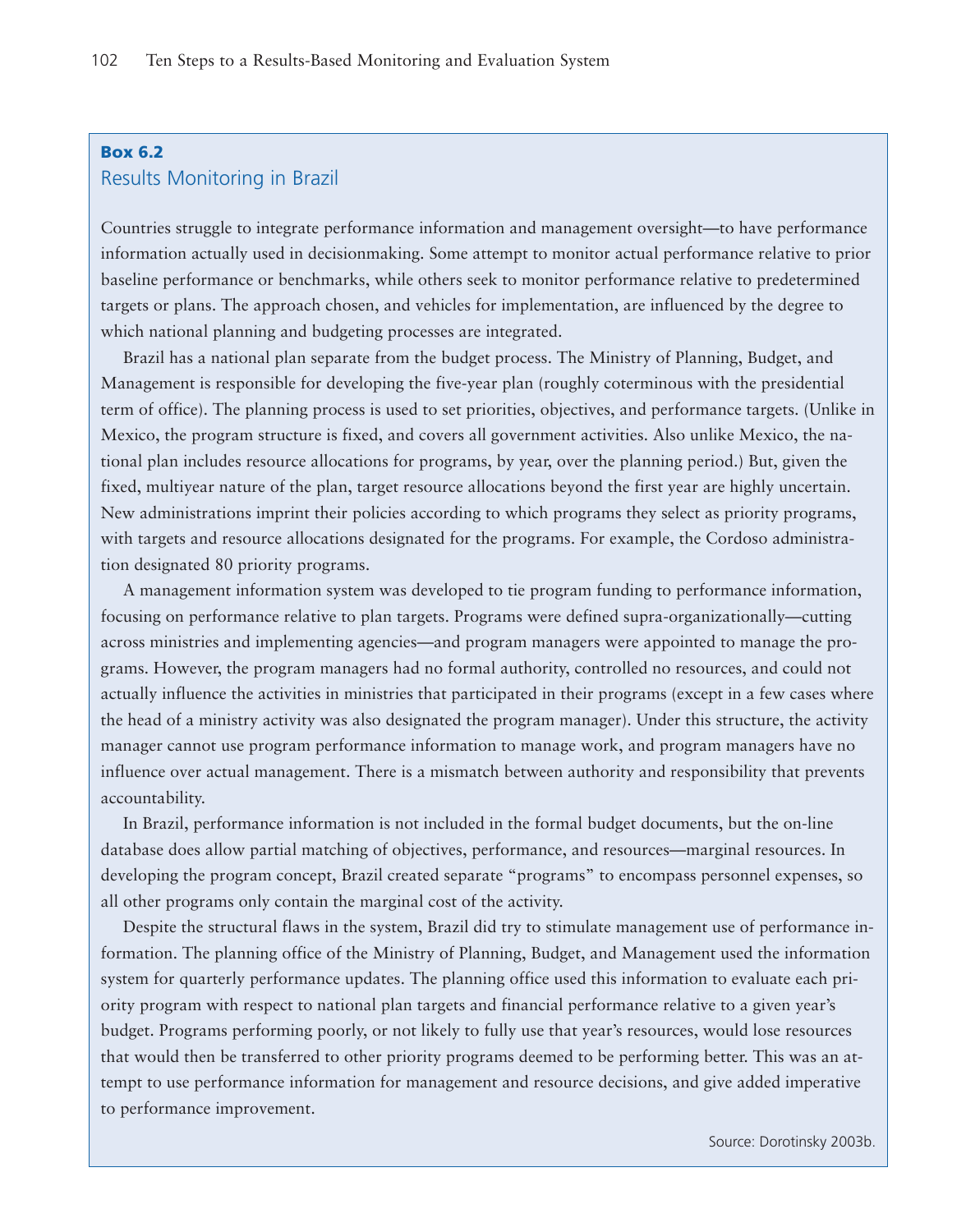## **Box 6.2** Results Monitoring in Brazil

Countries struggle to integrate performance information and management oversight—to have performance information actually used in decisionmaking. Some attempt to monitor actual performance relative to prior baseline performance or benchmarks, while others seek to monitor performance relative to predetermined targets or plans. The approach chosen, and vehicles for implementation, are influenced by the degree to which national planning and budgeting processes are integrated.

Brazil has a national plan separate from the budget process. The Ministry of Planning, Budget, and Management is responsible for developing the five-year plan (roughly coterminous with the presidential term of office). The planning process is used to set priorities, objectives, and performance targets. (Unlike in Mexico, the program structure is fixed, and covers all government activities. Also unlike Mexico, the national plan includes resource allocations for programs, by year, over the planning period.) But, given the fixed, multiyear nature of the plan, target resource allocations beyond the first year are highly uncertain. New administrations imprint their policies according to which programs they select as priority programs, with targets and resource allocations designated for the programs. For example, the Cordoso administration designated 80 priority programs.

A management information system was developed to tie program funding to performance information, focusing on performance relative to plan targets. Programs were defined supra-organizationally—cutting across ministries and implementing agencies—and program managers were appointed to manage the programs. However, the program managers had no formal authority, controlled no resources, and could not actually influence the activities in ministries that participated in their programs (except in a few cases where the head of a ministry activity was also designated the program manager). Under this structure, the activity manager cannot use program performance information to manage work, and program managers have no influence over actual management. There is a mismatch between authority and responsibility that prevents accountability.

In Brazil, performance information is not included in the formal budget documents, but the on-line database does allow partial matching of objectives, performance, and resources—marginal resources. In developing the program concept, Brazil created separate "programs" to encompass personnel expenses, so all other programs only contain the marginal cost of the activity.

Despite the structural flaws in the system, Brazil did try to stimulate management use of performance information. The planning office of the Ministry of Planning, Budget, and Management used the information system for quarterly performance updates. The planning office used this information to evaluate each priority program with respect to national plan targets and financial performance relative to a given year's budget. Programs performing poorly, or not likely to fully use that year's resources, would lose resources that would then be transferred to other priority programs deemed to be performing better. This was an attempt to use performance information for management and resource decisions, and give added imperative to performance improvement.

Source: Dorotinsky 2003b.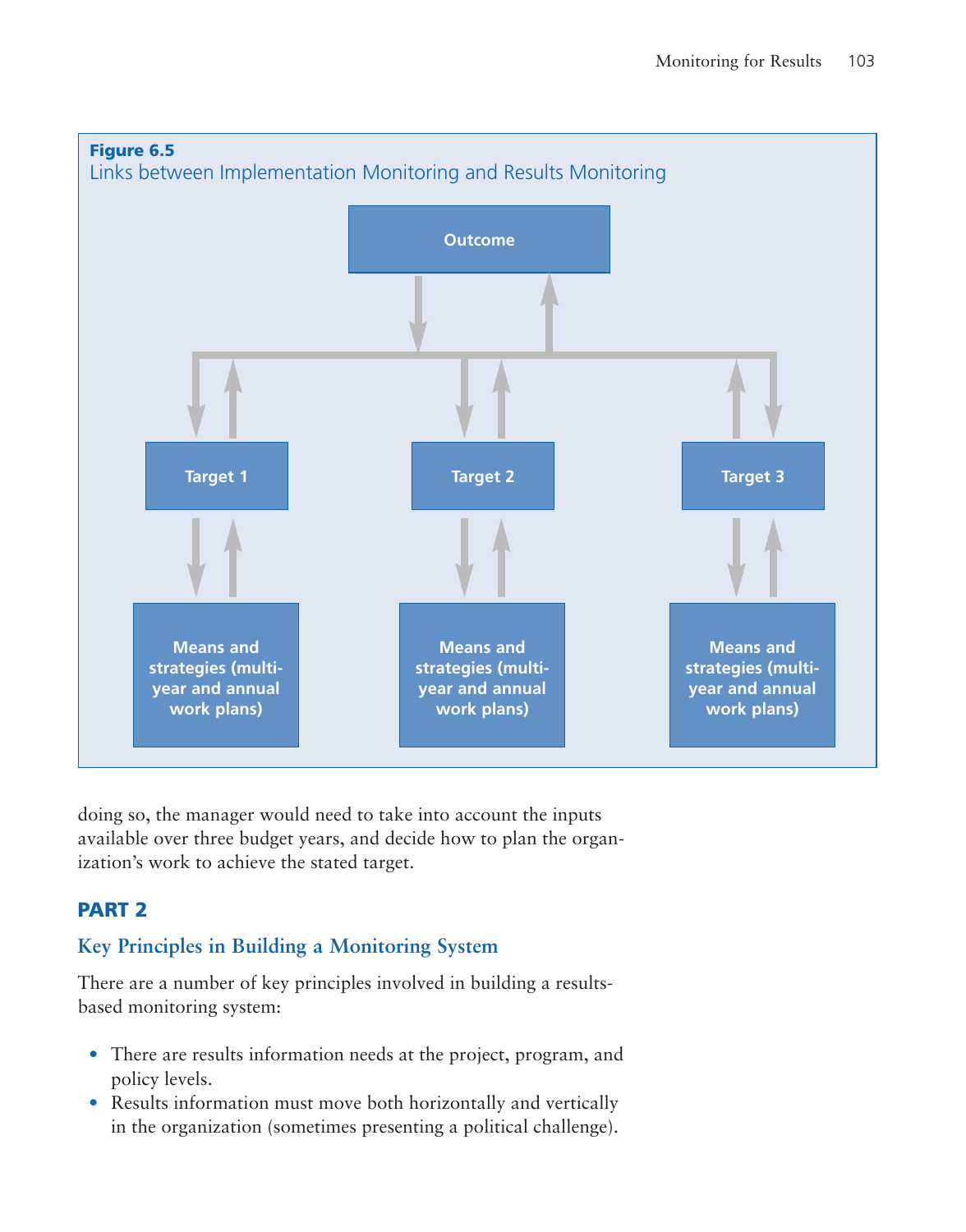

doing so, the manager would need to take into account the inputs available over three budget years, and decide how to plan the organization's work to achieve the stated target.

## **PART 2**

## **Key Principles in Building a Monitoring System**

There are a number of key principles involved in building a resultsbased monitoring system:

- There are results information needs at the project, program, and policy levels.
- Results information must move both horizontally and vertically in the organization (sometimes presenting a political challenge).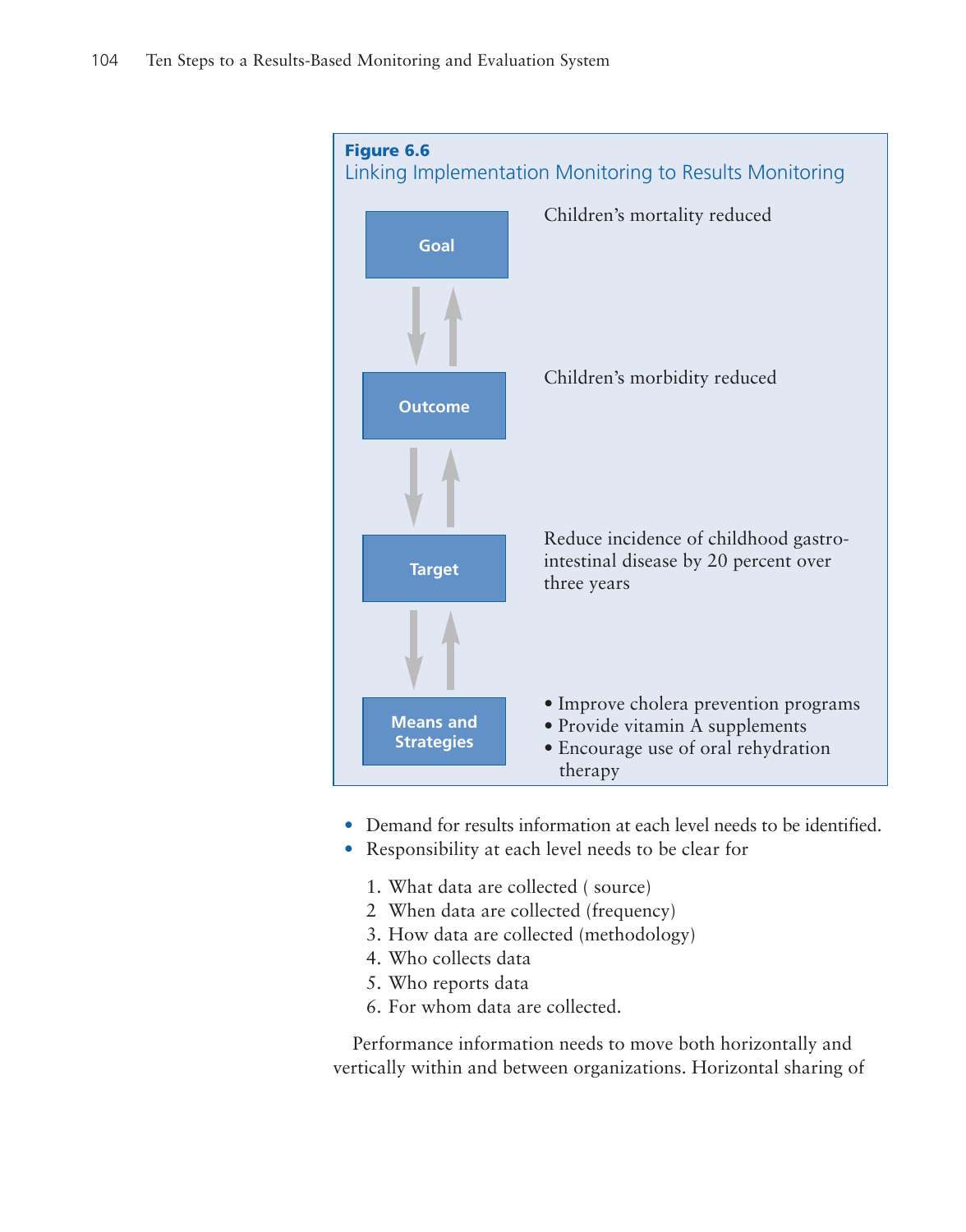

- Demand for results information at each level needs to be identified.
- Responsibility at each level needs to be clear for
	- 1. What data are collected ( source)
	- 2 When data are collected (frequency)
	- 3. How data are collected (methodology)
	- 4. Who collects data
	- 5. Who reports data
	- 6. For whom data are collected.

Performance information needs to move both horizontally and vertically within and between organizations. Horizontal sharing of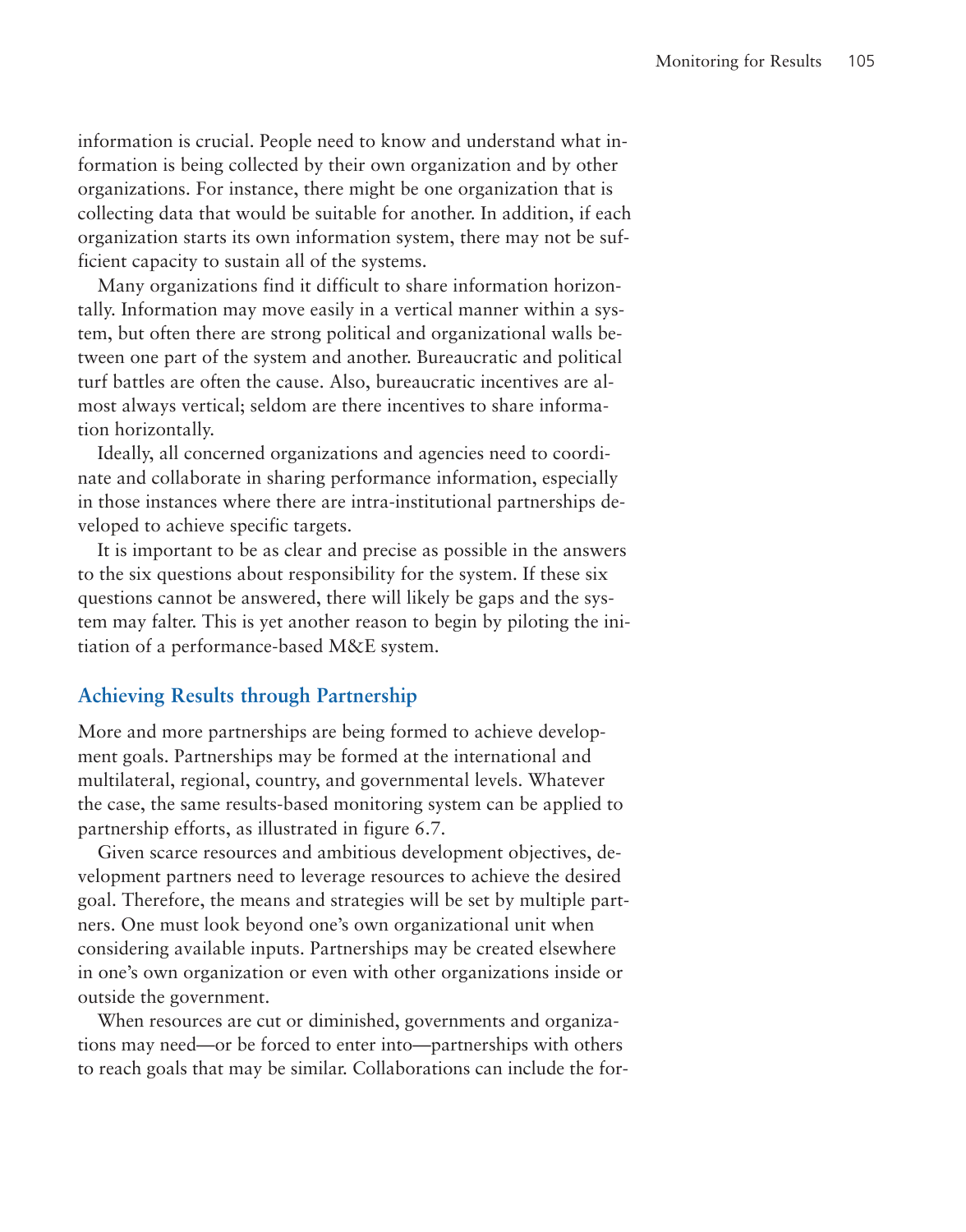information is crucial. People need to know and understand what information is being collected by their own organization and by other organizations. For instance, there might be one organization that is collecting data that would be suitable for another. In addition, if each organization starts its own information system, there may not be sufficient capacity to sustain all of the systems.

Many organizations find it difficult to share information horizontally. Information may move easily in a vertical manner within a system, but often there are strong political and organizational walls between one part of the system and another. Bureaucratic and political turf battles are often the cause. Also, bureaucratic incentives are almost always vertical; seldom are there incentives to share information horizontally.

Ideally, all concerned organizations and agencies need to coordinate and collaborate in sharing performance information, especially in those instances where there are intra-institutional partnerships developed to achieve specific targets.

It is important to be as clear and precise as possible in the answers to the six questions about responsibility for the system. If these six questions cannot be answered, there will likely be gaps and the system may falter. This is yet another reason to begin by piloting the initiation of a performance-based M&E system.

## **Achieving Results through Partnership**

More and more partnerships are being formed to achieve development goals. Partnerships may be formed at the international and multilateral, regional, country, and governmental levels. Whatever the case, the same results-based monitoring system can be applied to partnership efforts, as illustrated in figure 6.7.

Given scarce resources and ambitious development objectives, development partners need to leverage resources to achieve the desired goal. Therefore, the means and strategies will be set by multiple partners. One must look beyond one's own organizational unit when considering available inputs. Partnerships may be created elsewhere in one's own organization or even with other organizations inside or outside the government.

When resources are cut or diminished, governments and organizations may need—or be forced to enter into—partnerships with others to reach goals that may be similar. Collaborations can include the for-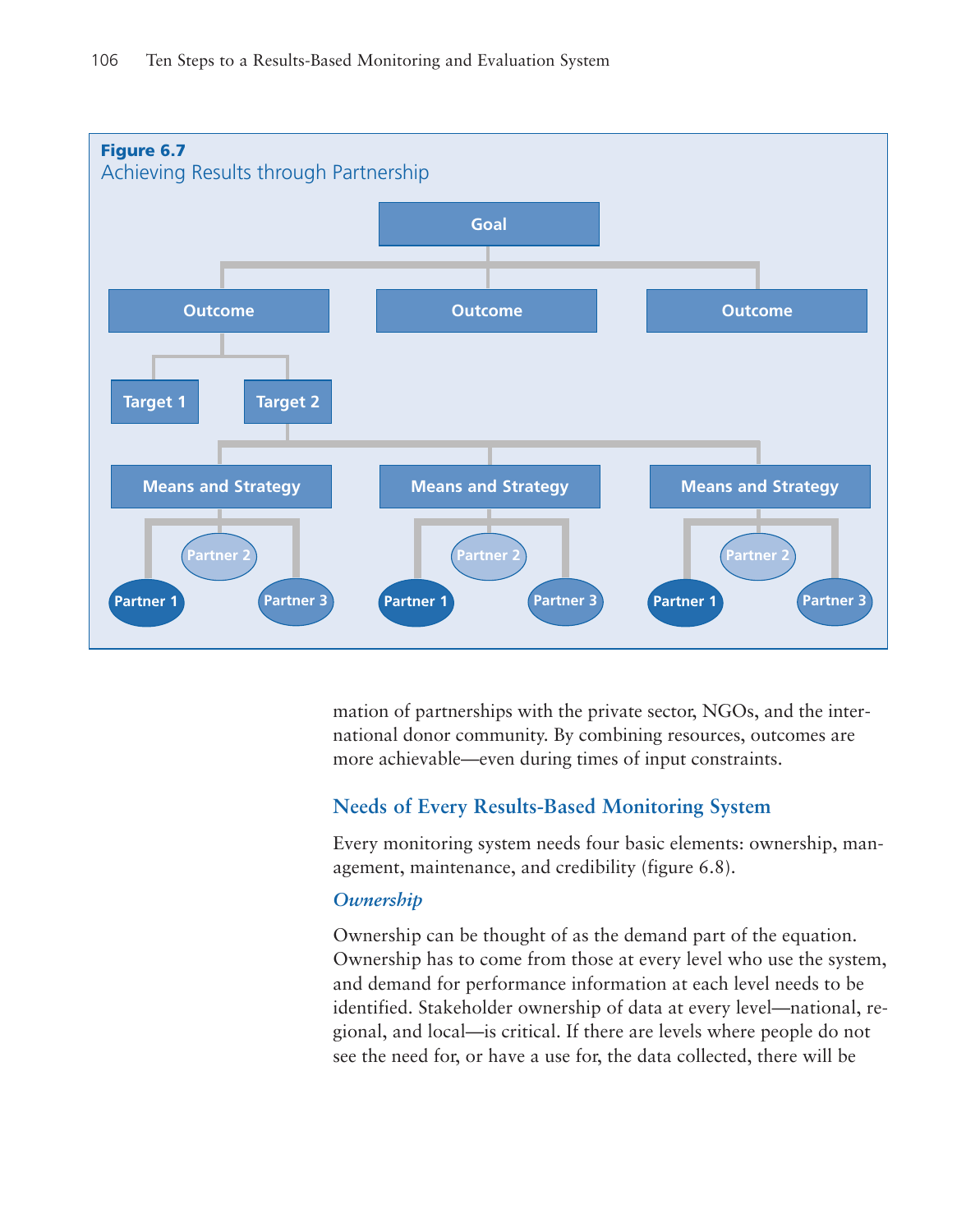

mation of partnerships with the private sector, NGOs, and the international donor community. By combining resources, outcomes are more achievable—even during times of input constraints.

## **Needs of Every Results-Based Monitoring System**

Every monitoring system needs four basic elements: ownership, management, maintenance, and credibility (figure 6.8).

## *Ownership*

Ownership can be thought of as the demand part of the equation. Ownership has to come from those at every level who use the system, and demand for performance information at each level needs to be identified. Stakeholder ownership of data at every level—national, regional, and local—is critical. If there are levels where people do not see the need for, or have a use for, the data collected, there will be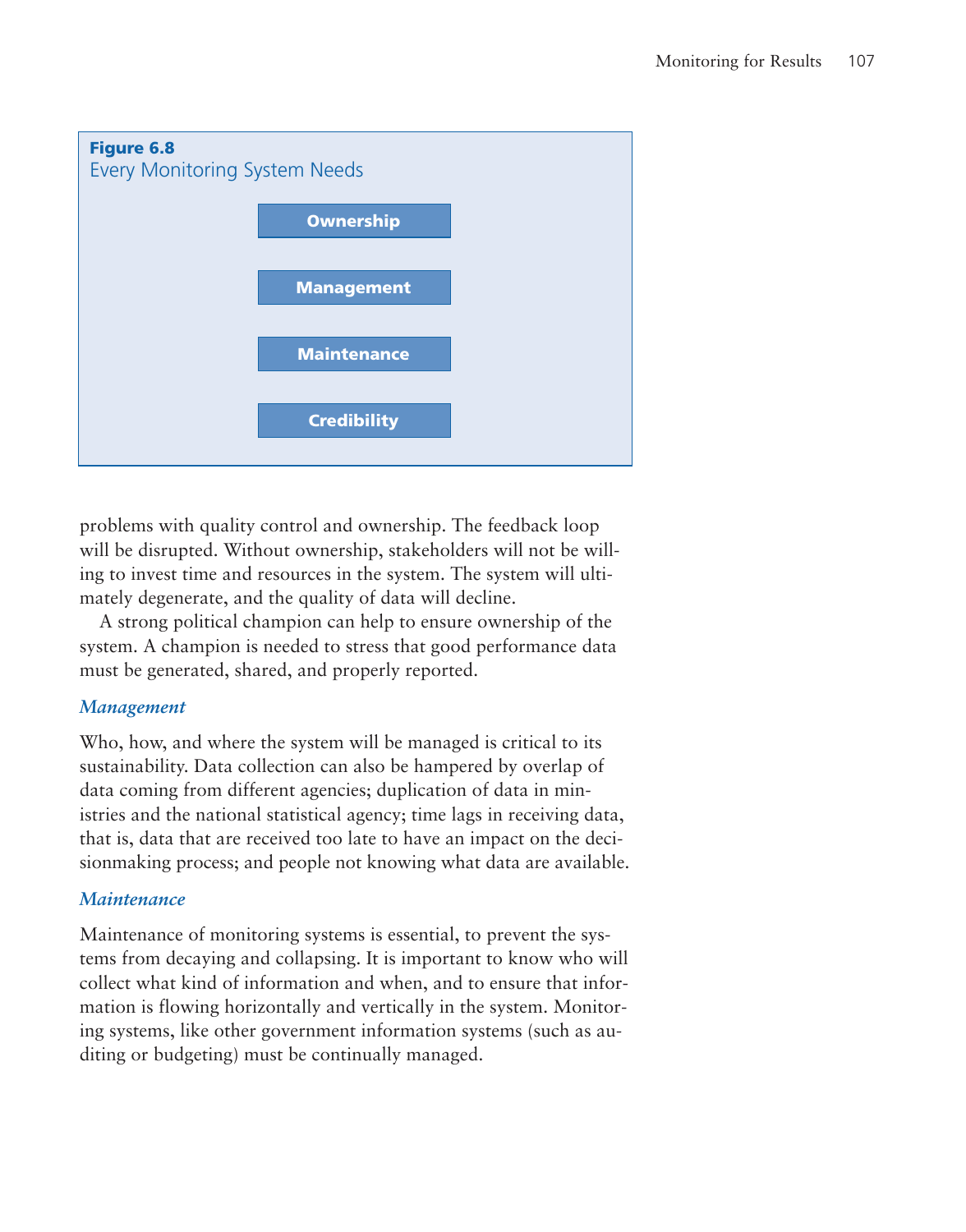| <b>Figure 6.8</b><br><b>Every Monitoring System Needs</b> |                    |  |
|-----------------------------------------------------------|--------------------|--|
|                                                           | <b>Ownership</b>   |  |
|                                                           | <b>Management</b>  |  |
|                                                           | <b>Maintenance</b> |  |
|                                                           | <b>Credibility</b> |  |
|                                                           |                    |  |

problems with quality control and ownership. The feedback loop will be disrupted. Without ownership, stakeholders will not be willing to invest time and resources in the system. The system will ultimately degenerate, and the quality of data will decline.

A strong political champion can help to ensure ownership of the system. A champion is needed to stress that good performance data must be generated, shared, and properly reported.

## *Management*

Who, how, and where the system will be managed is critical to its sustainability. Data collection can also be hampered by overlap of data coming from different agencies; duplication of data in ministries and the national statistical agency; time lags in receiving data, that is, data that are received too late to have an impact on the decisionmaking process; and people not knowing what data are available.

## *Maintenance*

Maintenance of monitoring systems is essential, to prevent the systems from decaying and collapsing. It is important to know who will collect what kind of information and when, and to ensure that information is flowing horizontally and vertically in the system. Monitoring systems, like other government information systems (such as auditing or budgeting) must be continually managed.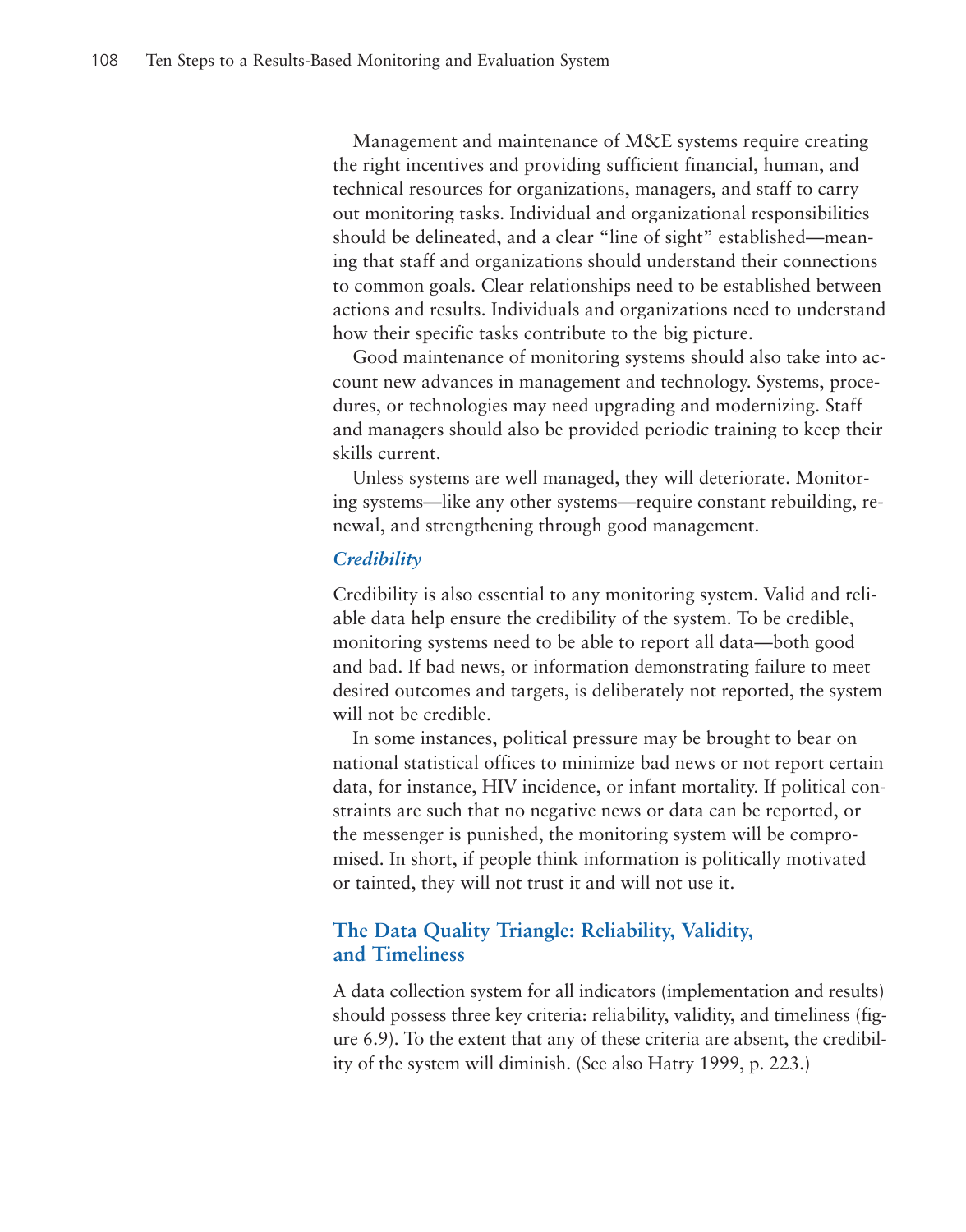Management and maintenance of M&E systems require creating the right incentives and providing sufficient financial, human, and technical resources for organizations, managers, and staff to carry out monitoring tasks. Individual and organizational responsibilities should be delineated, and a clear "line of sight" established—meaning that staff and organizations should understand their connections to common goals. Clear relationships need to be established between actions and results. Individuals and organizations need to understand how their specific tasks contribute to the big picture.

Good maintenance of monitoring systems should also take into account new advances in management and technology. Systems, procedures, or technologies may need upgrading and modernizing. Staff and managers should also be provided periodic training to keep their skills current.

Unless systems are well managed, they will deteriorate. Monitoring systems—like any other systems—require constant rebuilding, renewal, and strengthening through good management.

## *Credibility*

Credibility is also essential to any monitoring system. Valid and reliable data help ensure the credibility of the system. To be credible, monitoring systems need to be able to report all data—both good and bad. If bad news, or information demonstrating failure to meet desired outcomes and targets, is deliberately not reported, the system will not be credible.

In some instances, political pressure may be brought to bear on national statistical offices to minimize bad news or not report certain data, for instance, HIV incidence, or infant mortality. If political constraints are such that no negative news or data can be reported, or the messenger is punished, the monitoring system will be compromised. In short, if people think information is politically motivated or tainted, they will not trust it and will not use it.

## **The Data Quality Triangle: Reliability, Validity, and Timeliness**

A data collection system for all indicators (implementation and results) should possess three key criteria: reliability, validity, and timeliness (figure 6.9). To the extent that any of these criteria are absent, the credibility of the system will diminish. (See also Hatry 1999, p. 223.)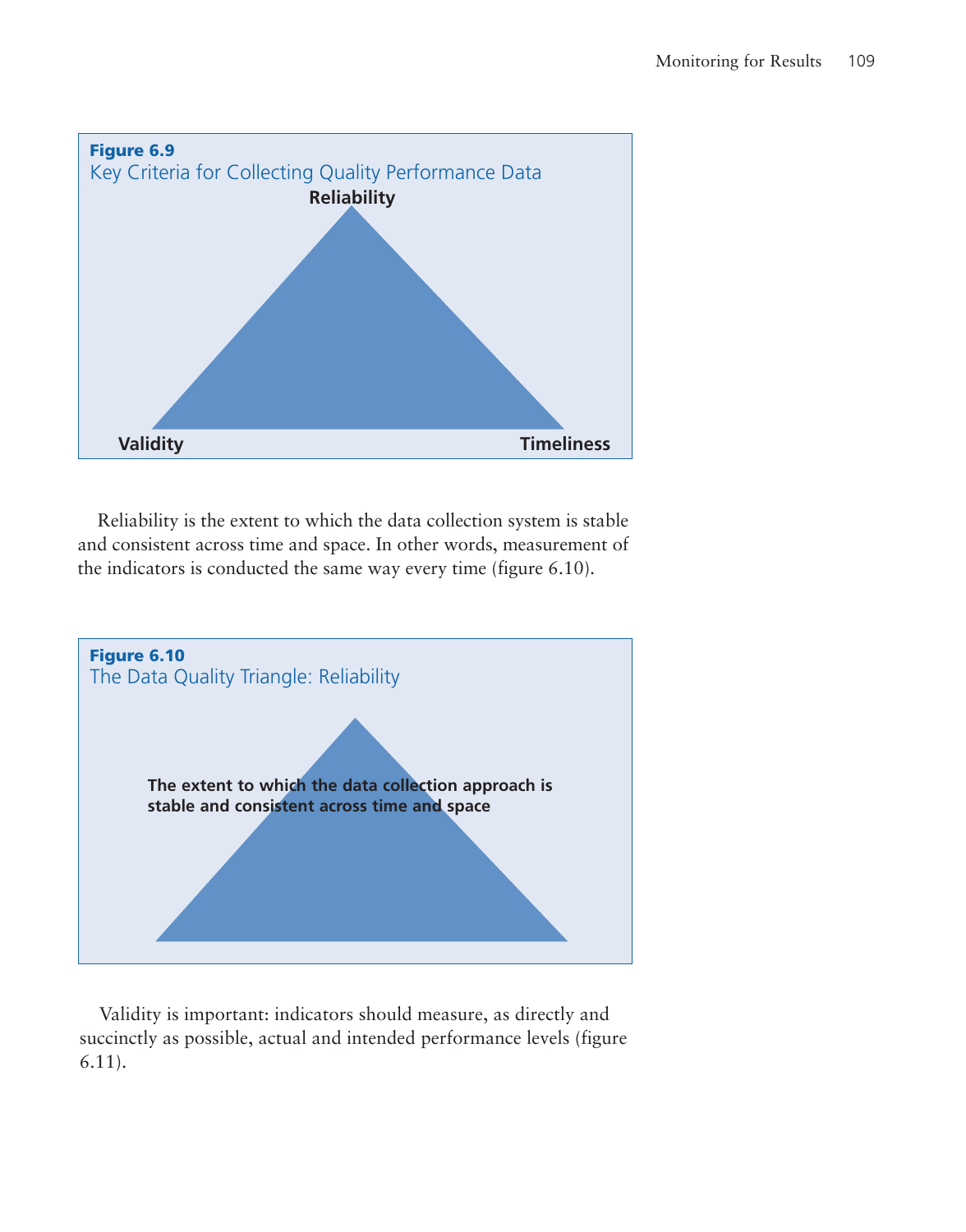

Reliability is the extent to which the data collection system is stable and consistent across time and space. In other words, measurement of the indicators is conducted the same way every time (figure 6.10).



Validity is important: indicators should measure, as directly and succinctly as possible, actual and intended performance levels (figure 6.11).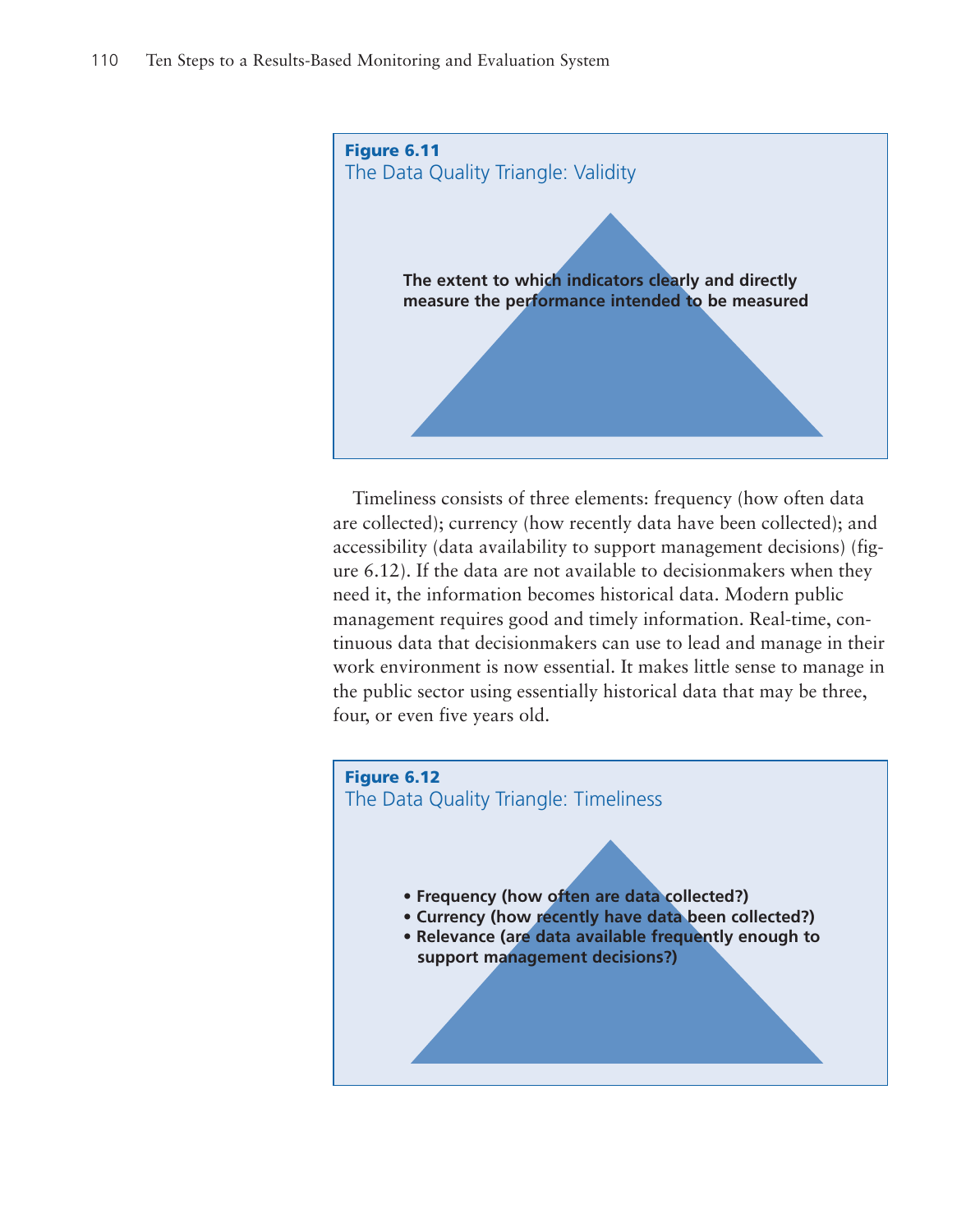

Timeliness consists of three elements: frequency (how often data are collected); currency (how recently data have been collected); and accessibility (data availability to support management decisions) (figure 6.12). If the data are not available to decisionmakers when they need it, the information becomes historical data. Modern public management requires good and timely information. Real-time, continuous data that decisionmakers can use to lead and manage in their work environment is now essential. It makes little sense to manage in the public sector using essentially historical data that may be three, four, or even five years old.

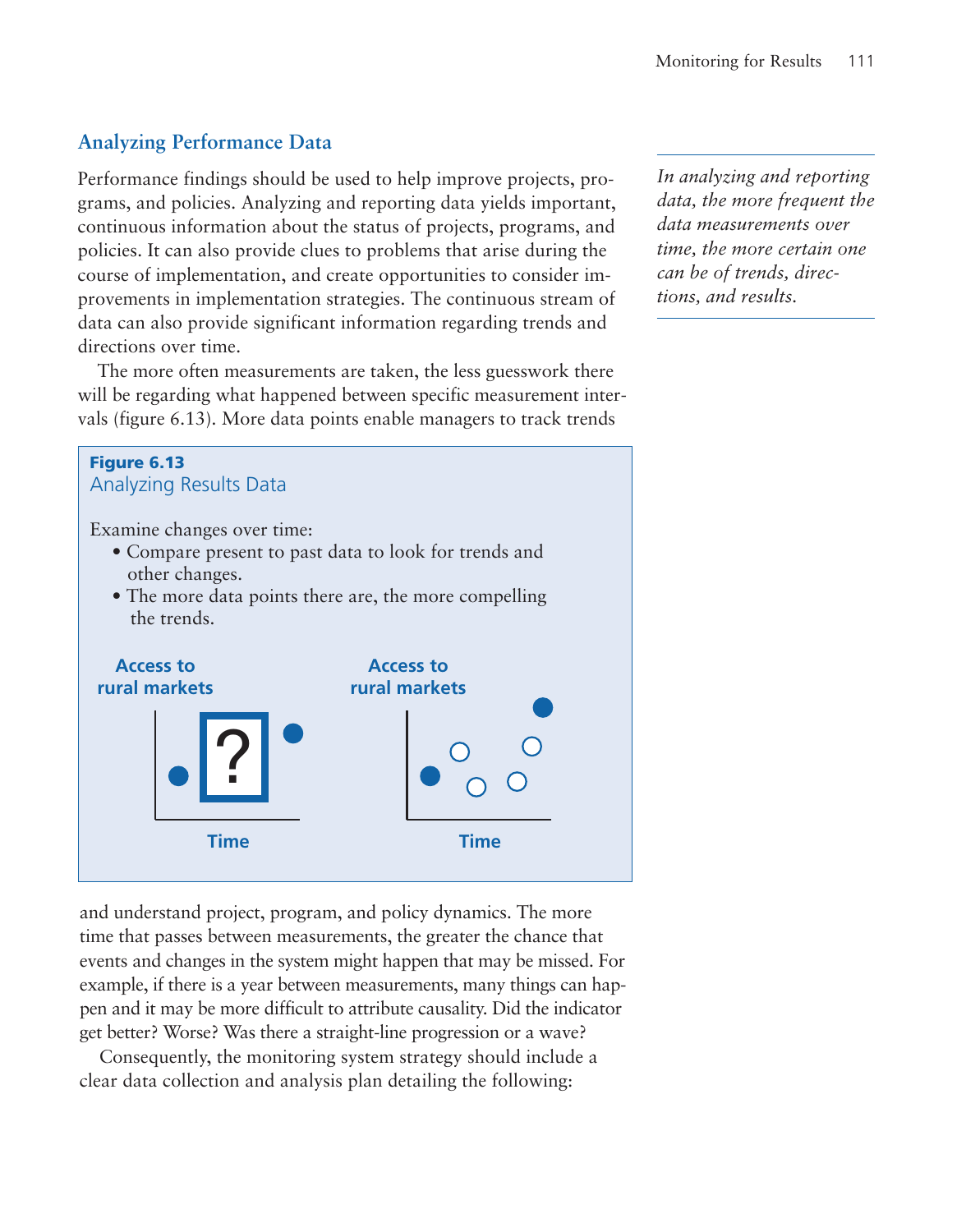## **Analyzing Performance Data**

Performance findings should be used to help improve projects, programs, and policies. Analyzing and reporting data yields important, continuous information about the status of projects, programs, and policies. It can also provide clues to problems that arise during the course of implementation, and create opportunities to consider improvements in implementation strategies. The continuous stream of data can also provide significant information regarding trends and directions over time.

The more often measurements are taken, the less guesswork there will be regarding what happened between specific measurement intervals (figure 6.13). More data points enable managers to track trends



and understand project, program, and policy dynamics. The more time that passes between measurements, the greater the chance that events and changes in the system might happen that may be missed. For example, if there is a year between measurements, many things can happen and it may be more difficult to attribute causality. Did the indicator get better? Worse? Was there a straight-line progression or a wave?

Consequently, the monitoring system strategy should include a clear data collection and analysis plan detailing the following:

*In analyzing and reporting data, the more frequent the data measurements over time, the more certain one can be of trends, directions, and results.*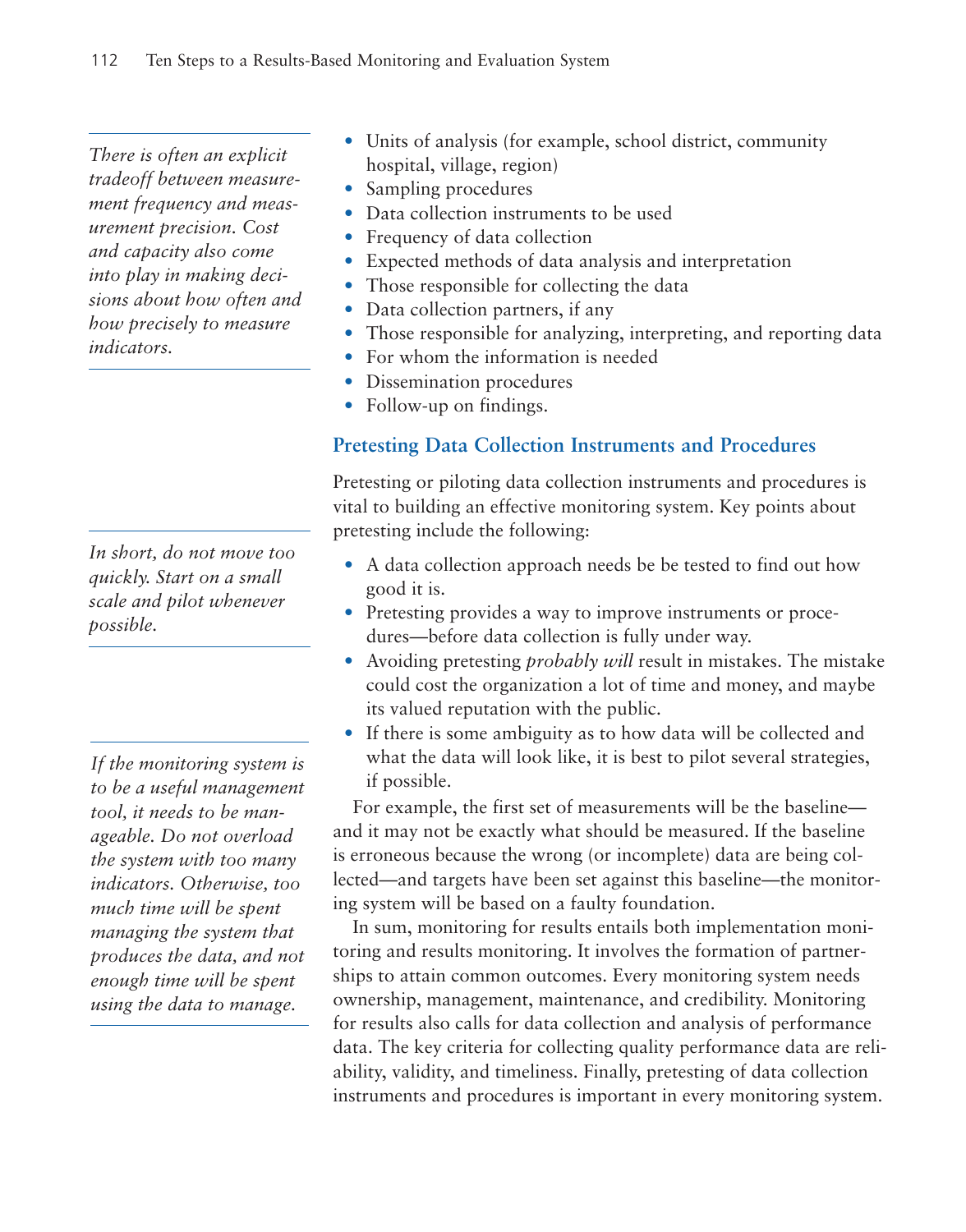*There is often an explicit tradeoff between measurement frequency and measurement precision. Cost and capacity also come into play in making decisions about how often and how precisely to measure indicators.*

*In short, do not move too quickly. Start on a small scale and pilot whenever possible.*

*If the monitoring system is to be a useful management tool, it needs to be manageable. Do not overload the system with too many indicators. Otherwise, too much time will be spent managing the system that produces the data, and not enough time will be spent using the data to manage.*

- Units of analysis (for example, school district, community hospital, village, region)
- Sampling procedures
- Data collection instruments to be used
- Frequency of data collection
- Expected methods of data analysis and interpretation
- Those responsible for collecting the data
- Data collection partners, if any
- Those responsible for analyzing, interpreting, and reporting data
- For whom the information is needed
- Dissemination procedures
- Follow-up on findings.

## **Pretesting Data Collection Instruments and Procedures**

Pretesting or piloting data collection instruments and procedures is vital to building an effective monitoring system. Key points about pretesting include the following:

- A data collection approach needs be be tested to find out how good it is.
- Pretesting provides a way to improve instruments or procedures—before data collection is fully under way.
- Avoiding pretesting *probably will* result in mistakes. The mistake could cost the organization a lot of time and money, and maybe its valued reputation with the public.
- If there is some ambiguity as to how data will be collected and what the data will look like, it is best to pilot several strategies, if possible.

For example, the first set of measurements will be the baseline and it may not be exactly what should be measured. If the baseline is erroneous because the wrong (or incomplete) data are being collected—and targets have been set against this baseline—the monitoring system will be based on a faulty foundation.

In sum, monitoring for results entails both implementation monitoring and results monitoring. It involves the formation of partnerships to attain common outcomes. Every monitoring system needs ownership, management, maintenance, and credibility. Monitoring for results also calls for data collection and analysis of performance data. The key criteria for collecting quality performance data are reliability, validity, and timeliness. Finally, pretesting of data collection instruments and procedures is important in every monitoring system.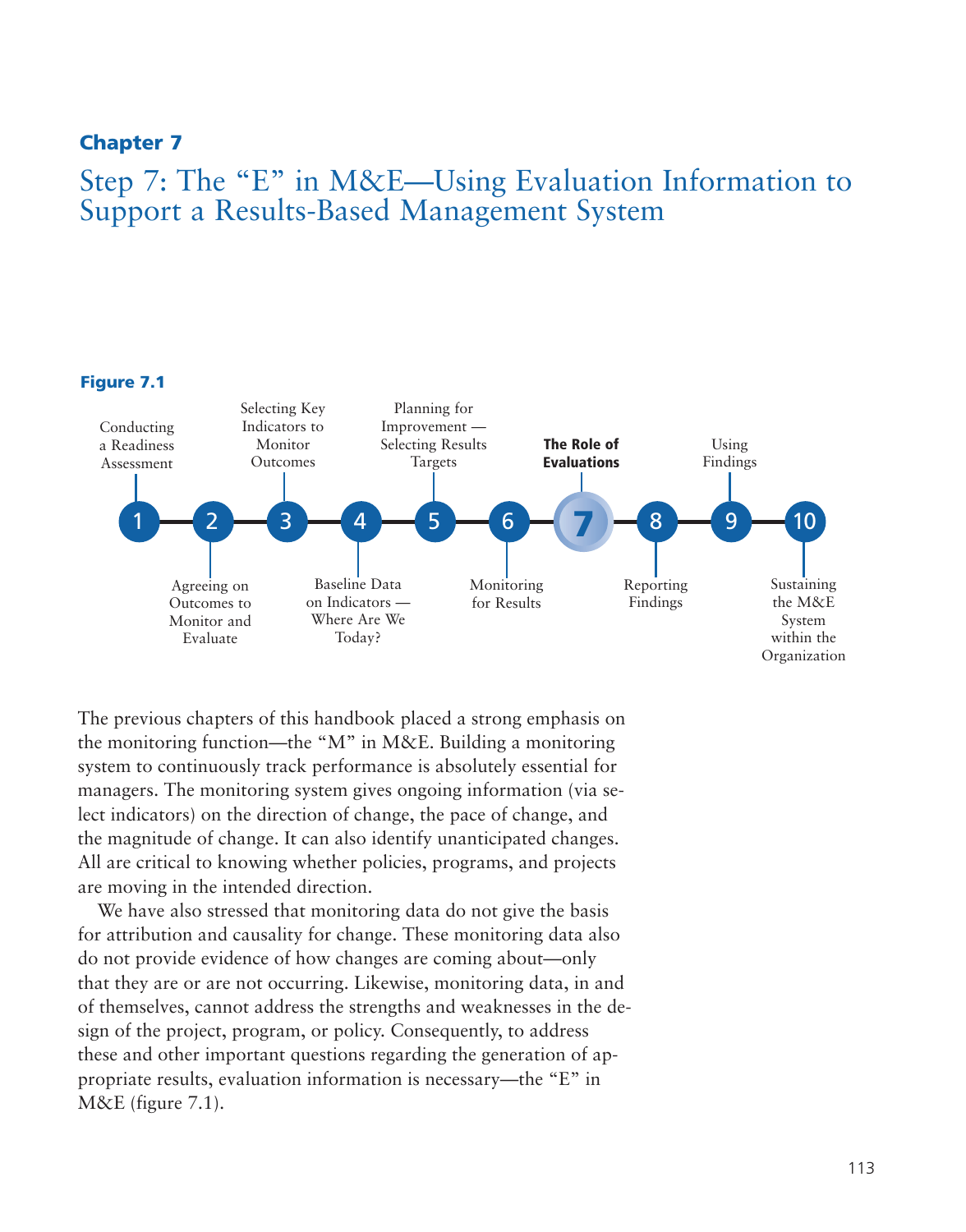### **Chapter 7**

## Step 7: The "E" in M&E—Using Evaluation Information to Support a Results-Based Management System

#### **Figure 7.1**



The previous chapters of this handbook placed a strong emphasis on the monitoring function—the "M" in M&E. Building a monitoring system to continuously track performance is absolutely essential for managers. The monitoring system gives ongoing information (via select indicators) on the direction of change, the pace of change, and the magnitude of change. It can also identify unanticipated changes. All are critical to knowing whether policies, programs, and projects are moving in the intended direction.

We have also stressed that monitoring data do not give the basis for attribution and causality for change. These monitoring data also do not provide evidence of how changes are coming about—only that they are or are not occurring. Likewise, monitoring data, in and of themselves, cannot address the strengths and weaknesses in the design of the project, program, or policy. Consequently, to address these and other important questions regarding the generation of appropriate results, evaluation information is necessary—the "E" in M&E (figure 7.1).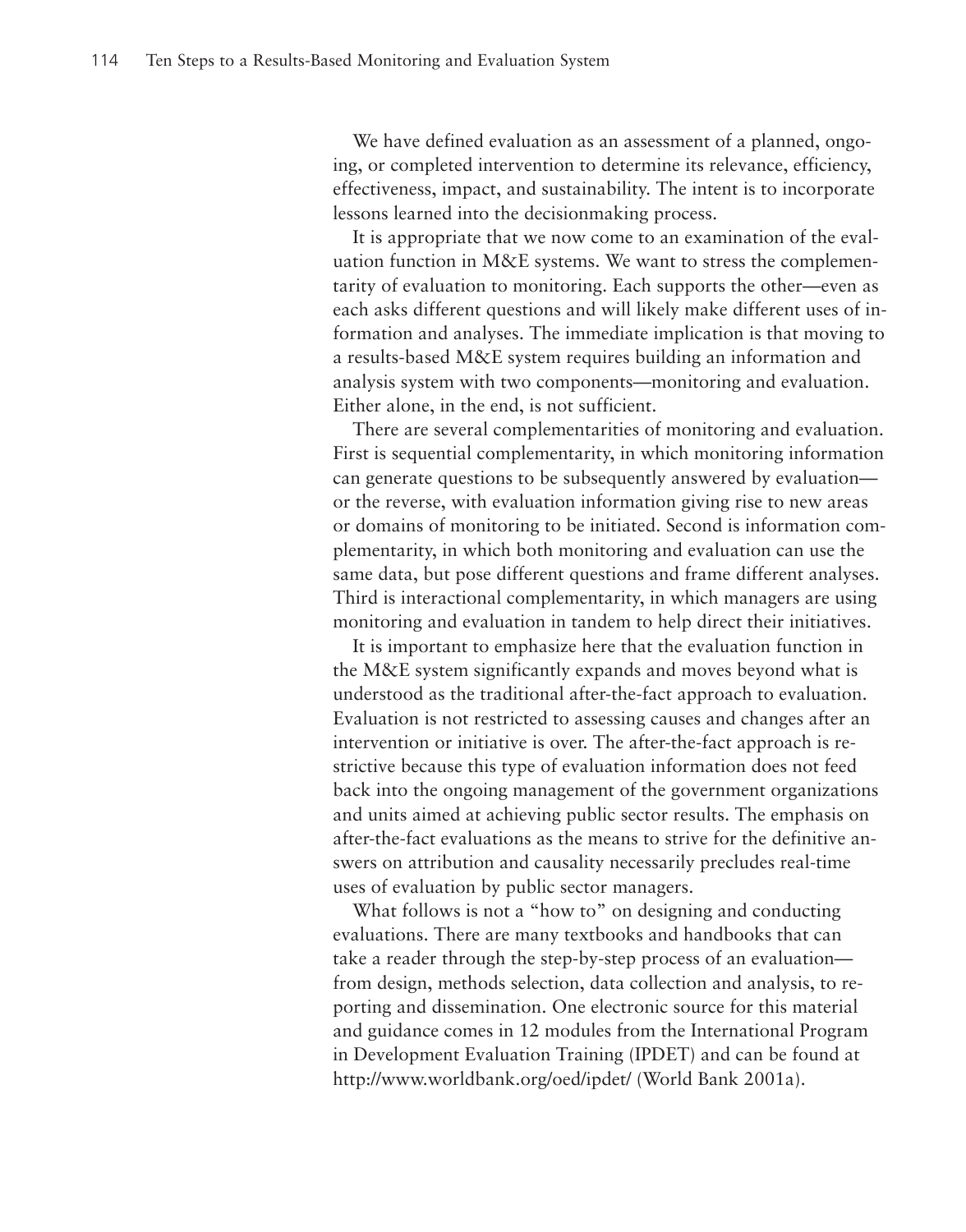We have defined evaluation as an assessment of a planned, ongoing, or completed intervention to determine its relevance, efficiency, effectiveness, impact, and sustainability. The intent is to incorporate lessons learned into the decisionmaking process.

It is appropriate that we now come to an examination of the evaluation function in M&E systems. We want to stress the complementarity of evaluation to monitoring. Each supports the other—even as each asks different questions and will likely make different uses of information and analyses. The immediate implication is that moving to a results-based M&E system requires building an information and analysis system with two components—monitoring and evaluation. Either alone, in the end, is not sufficient.

There are several complementarities of monitoring and evaluation. First is sequential complementarity, in which monitoring information can generate questions to be subsequently answered by evaluation or the reverse, with evaluation information giving rise to new areas or domains of monitoring to be initiated. Second is information complementarity, in which both monitoring and evaluation can use the same data, but pose different questions and frame different analyses. Third is interactional complementarity, in which managers are using monitoring and evaluation in tandem to help direct their initiatives.

It is important to emphasize here that the evaluation function in the M&E system significantly expands and moves beyond what is understood as the traditional after-the-fact approach to evaluation. Evaluation is not restricted to assessing causes and changes after an intervention or initiative is over. The after-the-fact approach is restrictive because this type of evaluation information does not feed back into the ongoing management of the government organizations and units aimed at achieving public sector results. The emphasis on after-the-fact evaluations as the means to strive for the definitive answers on attribution and causality necessarily precludes real-time uses of evaluation by public sector managers.

What follows is not a "how to" on designing and conducting evaluations. There are many textbooks and handbooks that can take a reader through the step-by-step process of an evaluation from design, methods selection, data collection and analysis, to reporting and dissemination. One electronic source for this material and guidance comes in 12 modules from the International Program in Development Evaluation Training (IPDET) and can be found at http://www.worldbank.org/oed/ipdet/ (World Bank 2001a).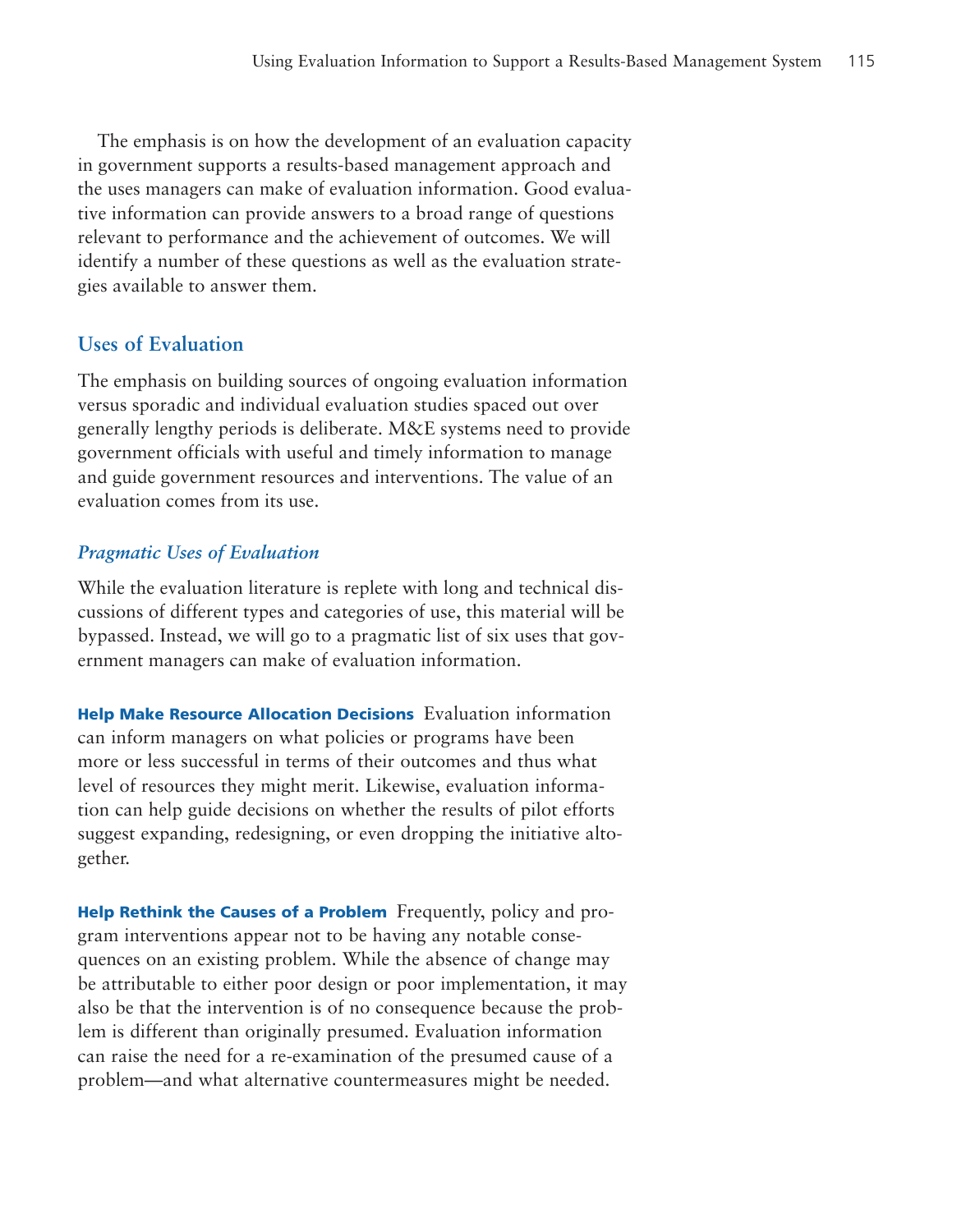The emphasis is on how the development of an evaluation capacity in government supports a results-based management approach and the uses managers can make of evaluation information. Good evaluative information can provide answers to a broad range of questions relevant to performance and the achievement of outcomes. We will identify a number of these questions as well as the evaluation strategies available to answer them.

## **Uses of Evaluation**

The emphasis on building sources of ongoing evaluation information versus sporadic and individual evaluation studies spaced out over generally lengthy periods is deliberate. M&E systems need to provide government officials with useful and timely information to manage and guide government resources and interventions. The value of an evaluation comes from its use.

### *Pragmatic Uses of Evaluation*

While the evaluation literature is replete with long and technical discussions of different types and categories of use, this material will be bypassed. Instead, we will go to a pragmatic list of six uses that government managers can make of evaluation information.

**Help Make Resource Allocation Decisions** Evaluation information can inform managers on what policies or programs have been more or less successful in terms of their outcomes and thus what level of resources they might merit. Likewise, evaluation information can help guide decisions on whether the results of pilot efforts suggest expanding, redesigning, or even dropping the initiative altogether.

**Help Rethink the Causes of a Problem** Frequently, policy and program interventions appear not to be having any notable consequences on an existing problem. While the absence of change may be attributable to either poor design or poor implementation, it may also be that the intervention is of no consequence because the problem is different than originally presumed. Evaluation information can raise the need for a re-examination of the presumed cause of a problem—and what alternative countermeasures might be needed.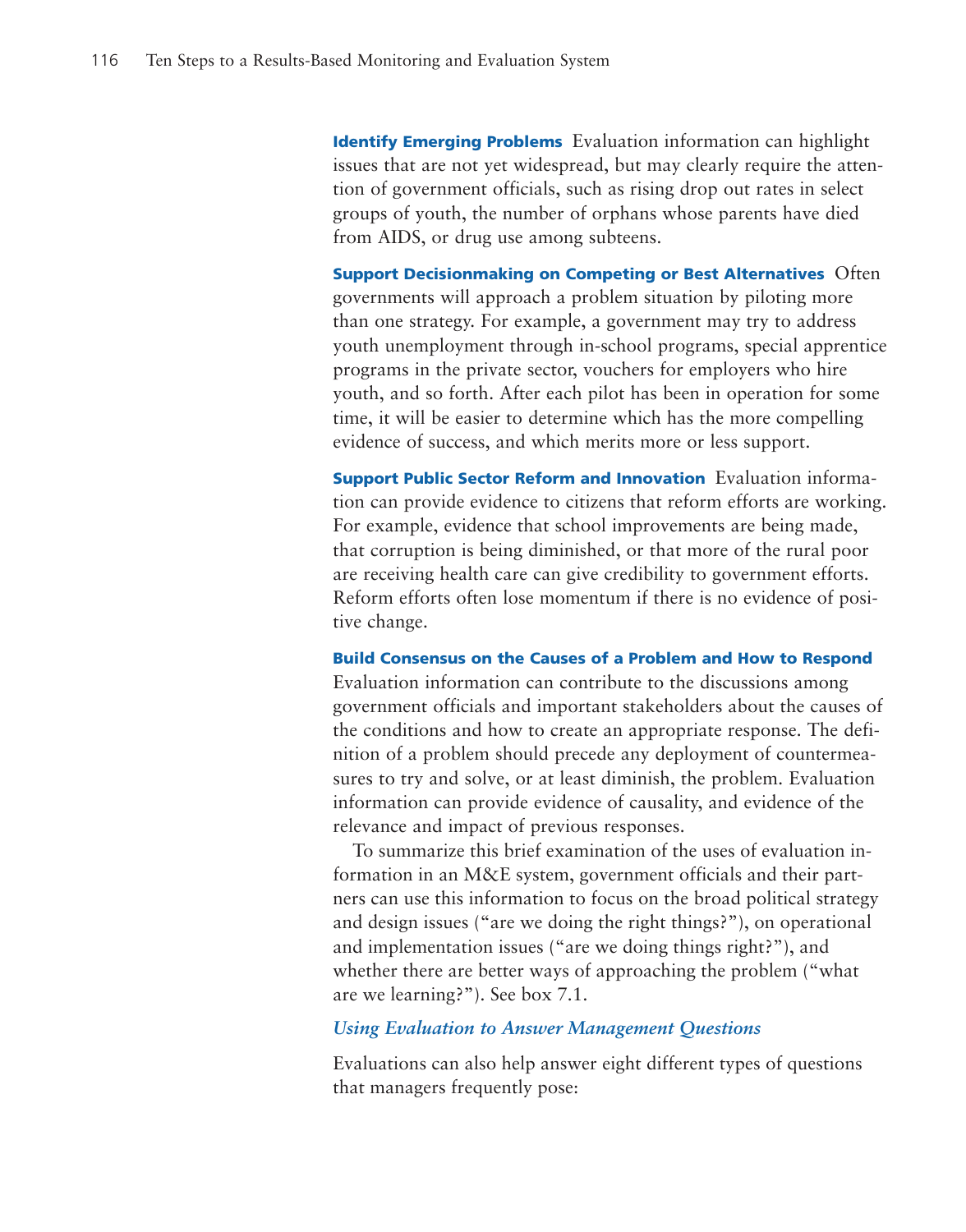**Identify Emerging Problems** Evaluation information can highlight issues that are not yet widespread, but may clearly require the attention of government officials, such as rising drop out rates in select groups of youth, the number of orphans whose parents have died from AIDS, or drug use among subteens.

**Support Decisionmaking on Competing or Best Alternatives** Often governments will approach a problem situation by piloting more than one strategy. For example, a government may try to address youth unemployment through in-school programs, special apprentice programs in the private sector, vouchers for employers who hire youth, and so forth. After each pilot has been in operation for some time, it will be easier to determine which has the more compelling evidence of success, and which merits more or less support.

**Support Public Sector Reform and Innovation** Evaluation information can provide evidence to citizens that reform efforts are working. For example, evidence that school improvements are being made, that corruption is being diminished, or that more of the rural poor are receiving health care can give credibility to government efforts. Reform efforts often lose momentum if there is no evidence of positive change.

**Build Consensus on the Causes of a Problem and How to Respond**

Evaluation information can contribute to the discussions among government officials and important stakeholders about the causes of the conditions and how to create an appropriate response. The definition of a problem should precede any deployment of countermeasures to try and solve, or at least diminish, the problem. Evaluation information can provide evidence of causality, and evidence of the relevance and impact of previous responses.

To summarize this brief examination of the uses of evaluation information in an M&E system, government officials and their partners can use this information to focus on the broad political strategy and design issues ("are we doing the right things?"), on operational and implementation issues ("are we doing things right?"), and whether there are better ways of approaching the problem ("what") are we learning?"). See box 7.1.

### *Using Evaluation to Answer Management Questions*

Evaluations can also help answer eight different types of questions that managers frequently pose: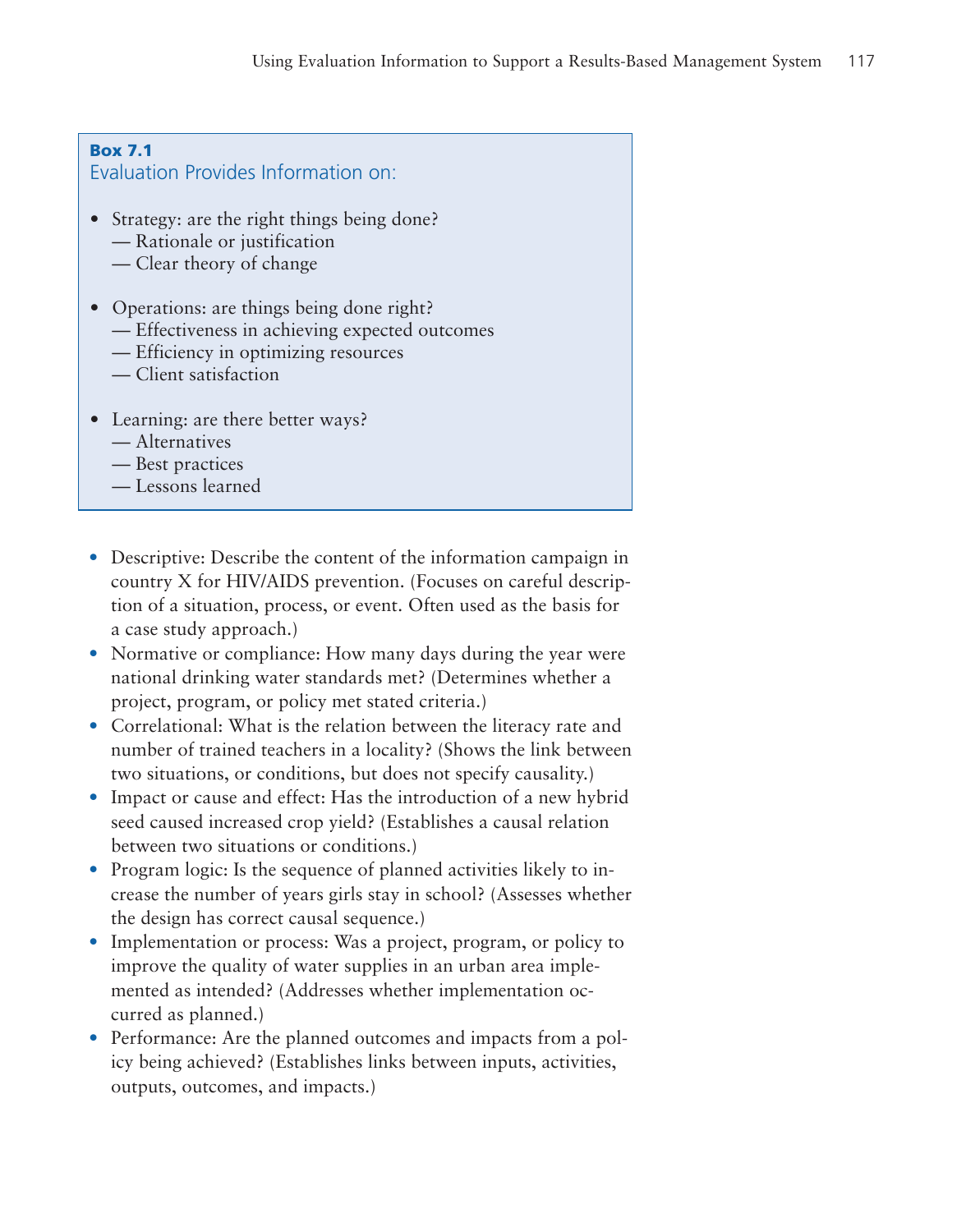## **Box 7.1**

Evaluation Provides Information on:

- Strategy: are the right things being done?
	- Rationale or justification
	- Clear theory of change
- Operations: are things being done right?
	- Effectiveness in achieving expected outcomes
	- Efficiency in optimizing resources
	- Client satisfaction
- Learning: are there better ways?
	- Alternatives
	- Best practices
	- Lessons learned
- Descriptive: Describe the content of the information campaign in country X for HIV/AIDS prevention. (Focuses on careful description of a situation, process, or event. Often used as the basis for a case study approach.)
- Normative or compliance: How many days during the year were national drinking water standards met? (Determines whether a project, program, or policy met stated criteria.)
- Correlational: What is the relation between the literacy rate and number of trained teachers in a locality? (Shows the link between two situations, or conditions, but does not specify causality.)
- Impact or cause and effect: Has the introduction of a new hybrid seed caused increased crop yield? (Establishes a causal relation between two situations or conditions.)
- Program logic: Is the sequence of planned activities likely to increase the number of years girls stay in school? (Assesses whether the design has correct causal sequence.)
- Implementation or process: Was a project, program, or policy to improve the quality of water supplies in an urban area implemented as intended? (Addresses whether implementation occurred as planned.)
- Performance: Are the planned outcomes and impacts from a policy being achieved? (Establishes links between inputs, activities, outputs, outcomes, and impacts.)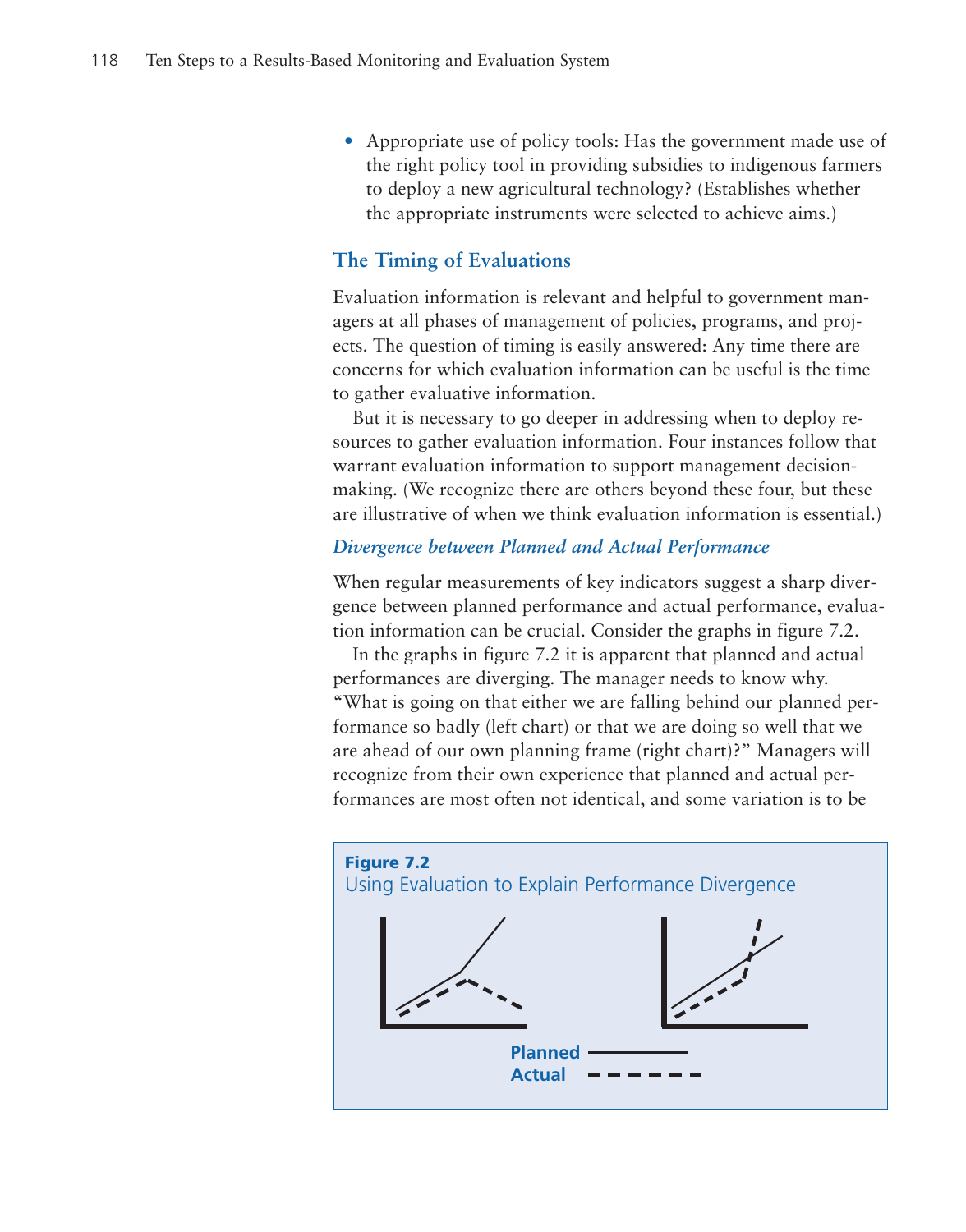• Appropriate use of policy tools: Has the government made use of the right policy tool in providing subsidies to indigenous farmers to deploy a new agricultural technology? (Establishes whether the appropriate instruments were selected to achieve aims.)

## **The Timing of Evaluations**

Evaluation information is relevant and helpful to government managers at all phases of management of policies, programs, and projects. The question of timing is easily answered: Any time there are concerns for which evaluation information can be useful is the time to gather evaluative information.

But it is necessary to go deeper in addressing when to deploy resources to gather evaluation information. Four instances follow that warrant evaluation information to support management decisionmaking. (We recognize there are others beyond these four, but these are illustrative of when we think evaluation information is essential.)

### *Divergence between Planned and Actual Performance*

When regular measurements of key indicators suggest a sharp divergence between planned performance and actual performance, evaluation information can be crucial. Consider the graphs in figure 7.2.

In the graphs in figure 7.2 it is apparent that planned and actual performances are diverging. The manager needs to know why. "What is going on that either we are falling behind our planned performance so badly (left chart) or that we are doing so well that we are ahead of our own planning frame (right chart)?" Managers will recognize from their own experience that planned and actual performances are most often not identical, and some variation is to be

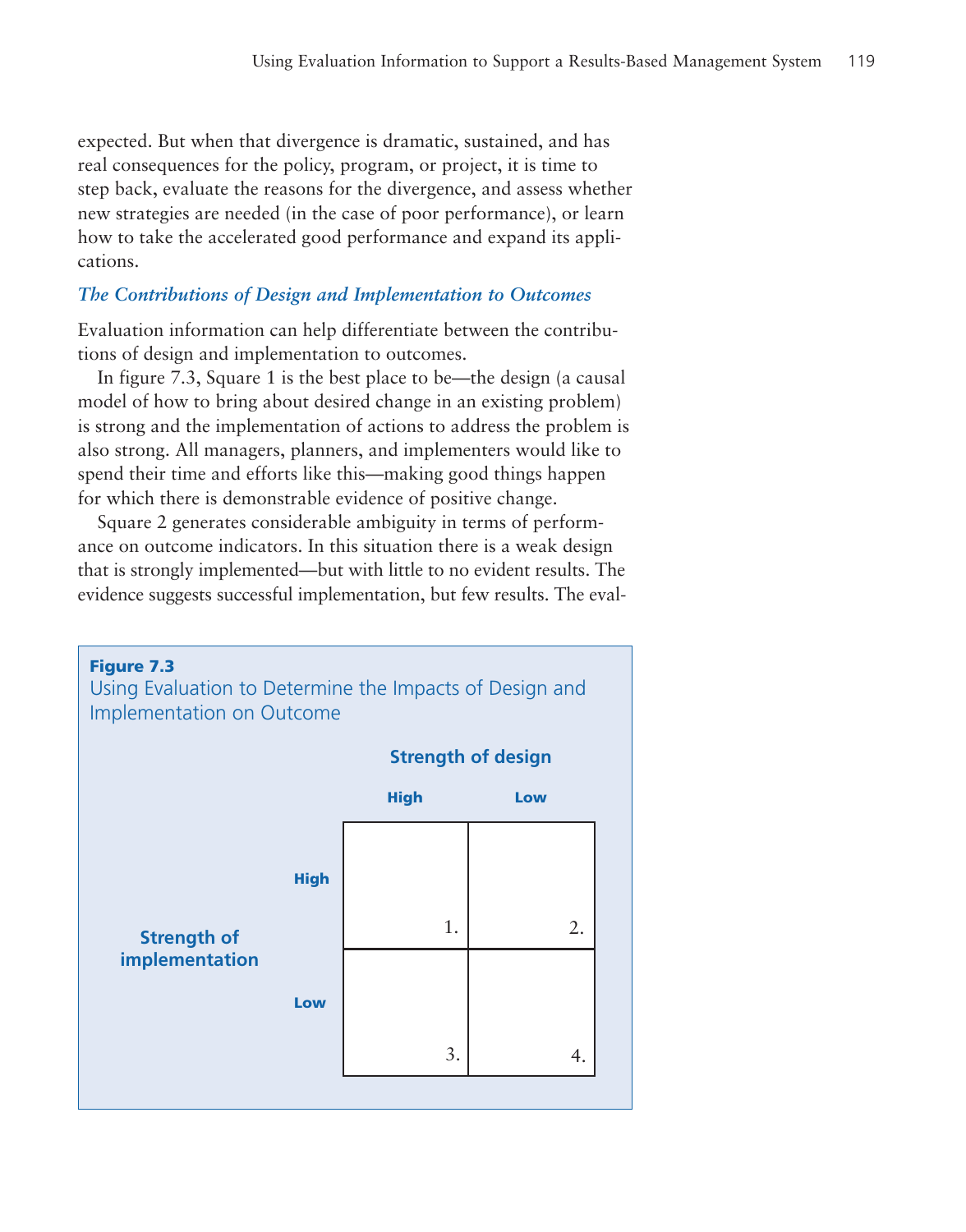expected. But when that divergence is dramatic, sustained, and has real consequences for the policy, program, or project, it is time to step back, evaluate the reasons for the divergence, and assess whether new strategies are needed (in the case of poor performance), or learn how to take the accelerated good performance and expand its applications.

### *The Contributions of Design and Implementation to Outcomes*

Evaluation information can help differentiate between the contributions of design and implementation to outcomes.

In figure 7.3, Square 1 is the best place to be—the design (a causal model of how to bring about desired change in an existing problem) is strong and the implementation of actions to address the problem is also strong. All managers, planners, and implementers would like to spend their time and efforts like this—making good things happen for which there is demonstrable evidence of positive change.

Square 2 generates considerable ambiguity in terms of performance on outcome indicators. In this situation there is a weak design that is strongly implemented—but with little to no evident results. The evidence suggests successful implementation, but few results. The eval-

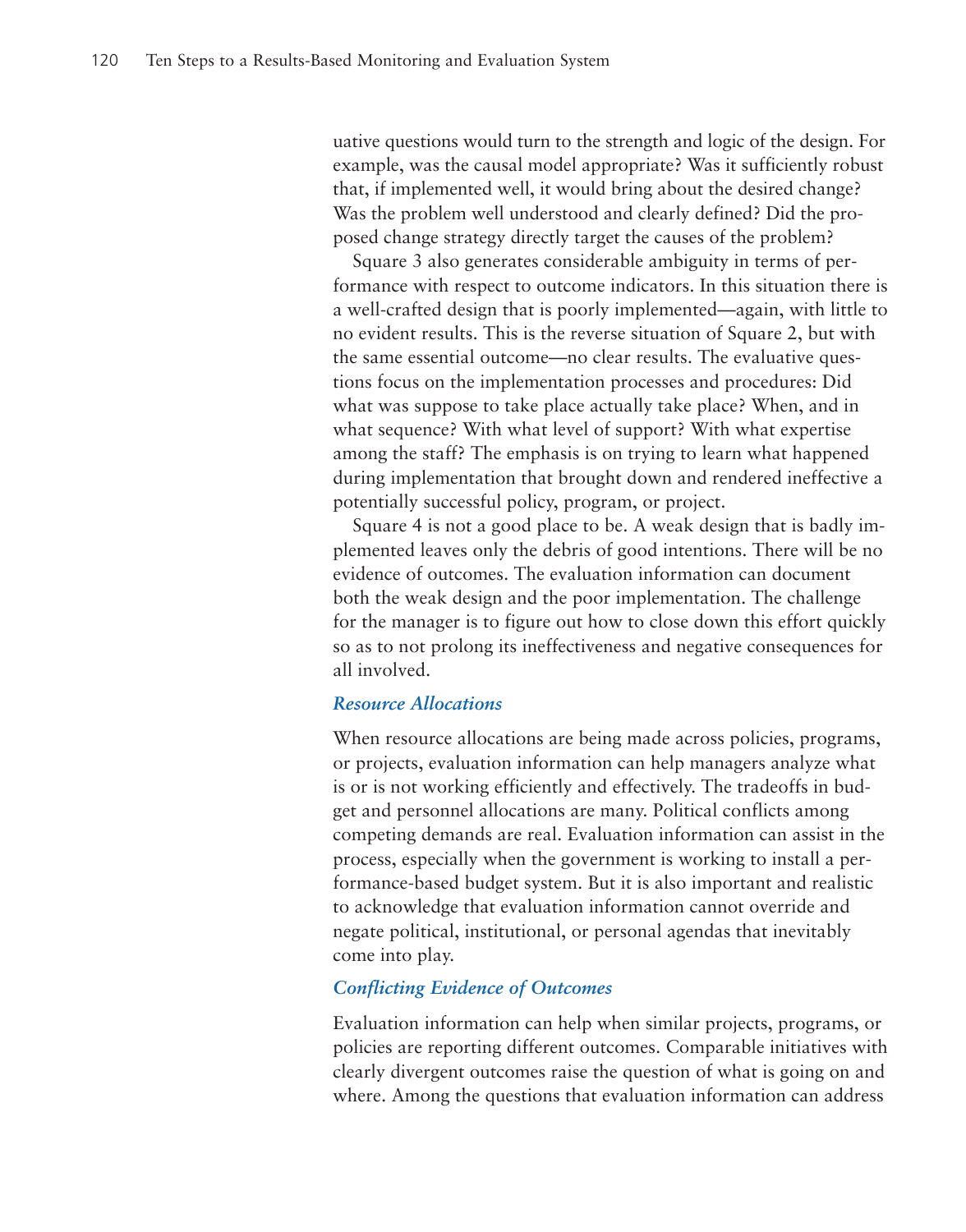uative questions would turn to the strength and logic of the design. For example, was the causal model appropriate? Was it sufficiently robust that, if implemented well, it would bring about the desired change? Was the problem well understood and clearly defined? Did the proposed change strategy directly target the causes of the problem?

Square 3 also generates considerable ambiguity in terms of performance with respect to outcome indicators. In this situation there is a well-crafted design that is poorly implemented—again, with little to no evident results. This is the reverse situation of Square 2, but with the same essential outcome—no clear results. The evaluative questions focus on the implementation processes and procedures: Did what was suppose to take place actually take place? When, and in what sequence? With what level of support? With what expertise among the staff? The emphasis is on trying to learn what happened during implementation that brought down and rendered ineffective a potentially successful policy, program, or project.

Square 4 is not a good place to be. A weak design that is badly implemented leaves only the debris of good intentions. There will be no evidence of outcomes. The evaluation information can document both the weak design and the poor implementation. The challenge for the manager is to figure out how to close down this effort quickly so as to not prolong its ineffectiveness and negative consequences for all involved.

### *Resource Allocations*

When resource allocations are being made across policies, programs, or projects, evaluation information can help managers analyze what is or is not working efficiently and effectively. The tradeoffs in budget and personnel allocations are many. Political conflicts among competing demands are real. Evaluation information can assist in the process, especially when the government is working to install a performance-based budget system. But it is also important and realistic to acknowledge that evaluation information cannot override and negate political, institutional, or personal agendas that inevitably come into play.

### *Conflicting Evidence of Outcomes*

Evaluation information can help when similar projects, programs, or policies are reporting different outcomes. Comparable initiatives with clearly divergent outcomes raise the question of what is going on and where. Among the questions that evaluation information can address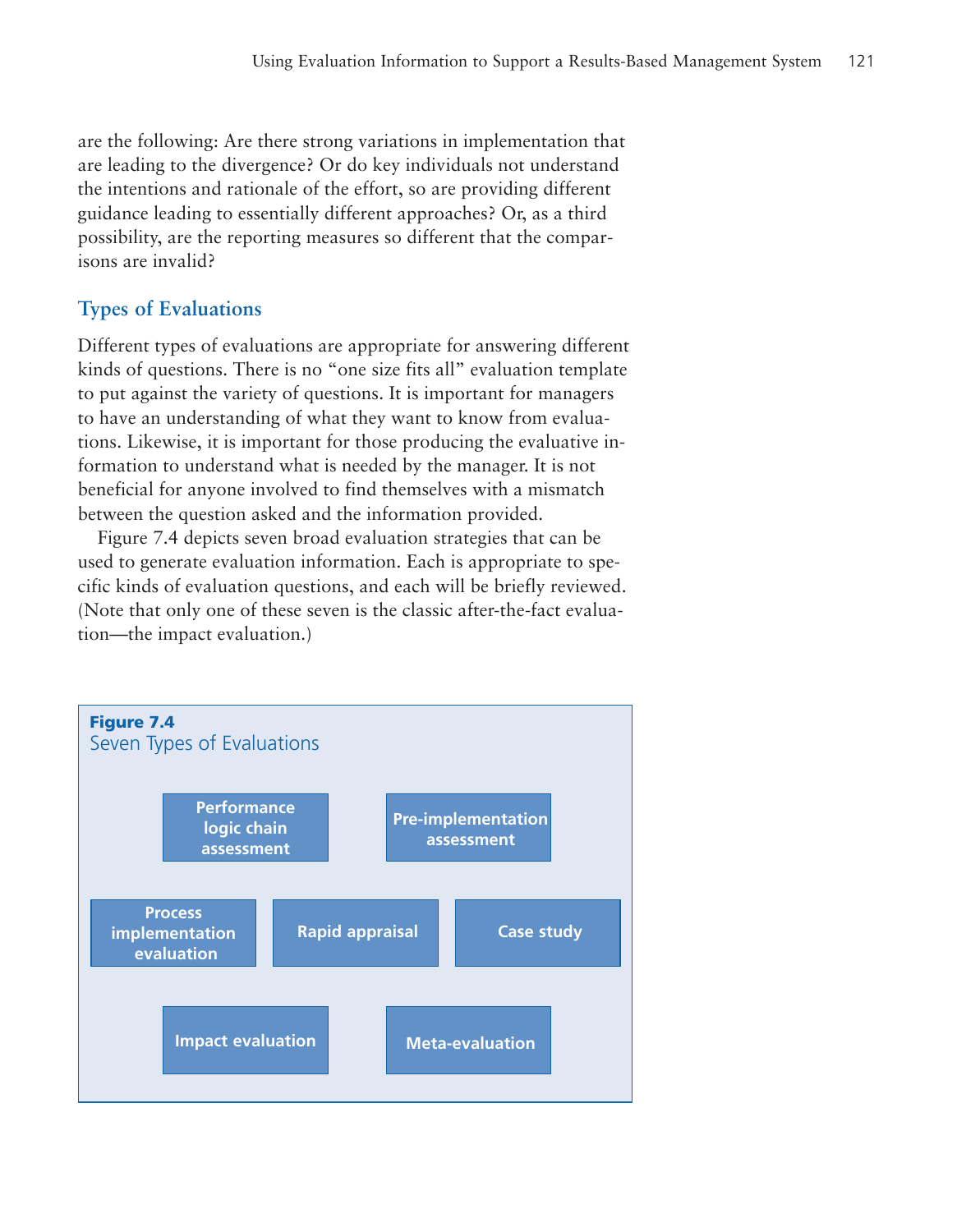are the following: Are there strong variations in implementation that are leading to the divergence? Or do key individuals not understand the intentions and rationale of the effort, so are providing different guidance leading to essentially different approaches? Or, as a third possibility, are the reporting measures so different that the comparisons are invalid?

## **Types of Evaluations**

Different types of evaluations are appropriate for answering different kinds of questions. There is no "one size fits all" evaluation template to put against the variety of questions. It is important for managers to have an understanding of what they want to know from evaluations. Likewise, it is important for those producing the evaluative information to understand what is needed by the manager. It is not beneficial for anyone involved to find themselves with a mismatch between the question asked and the information provided.

Figure 7.4 depicts seven broad evaluation strategies that can be used to generate evaluation information. Each is appropriate to specific kinds of evaluation questions, and each will be briefly reviewed. (Note that only one of these seven is the classic after-the-fact evaluation—the impact evaluation.)

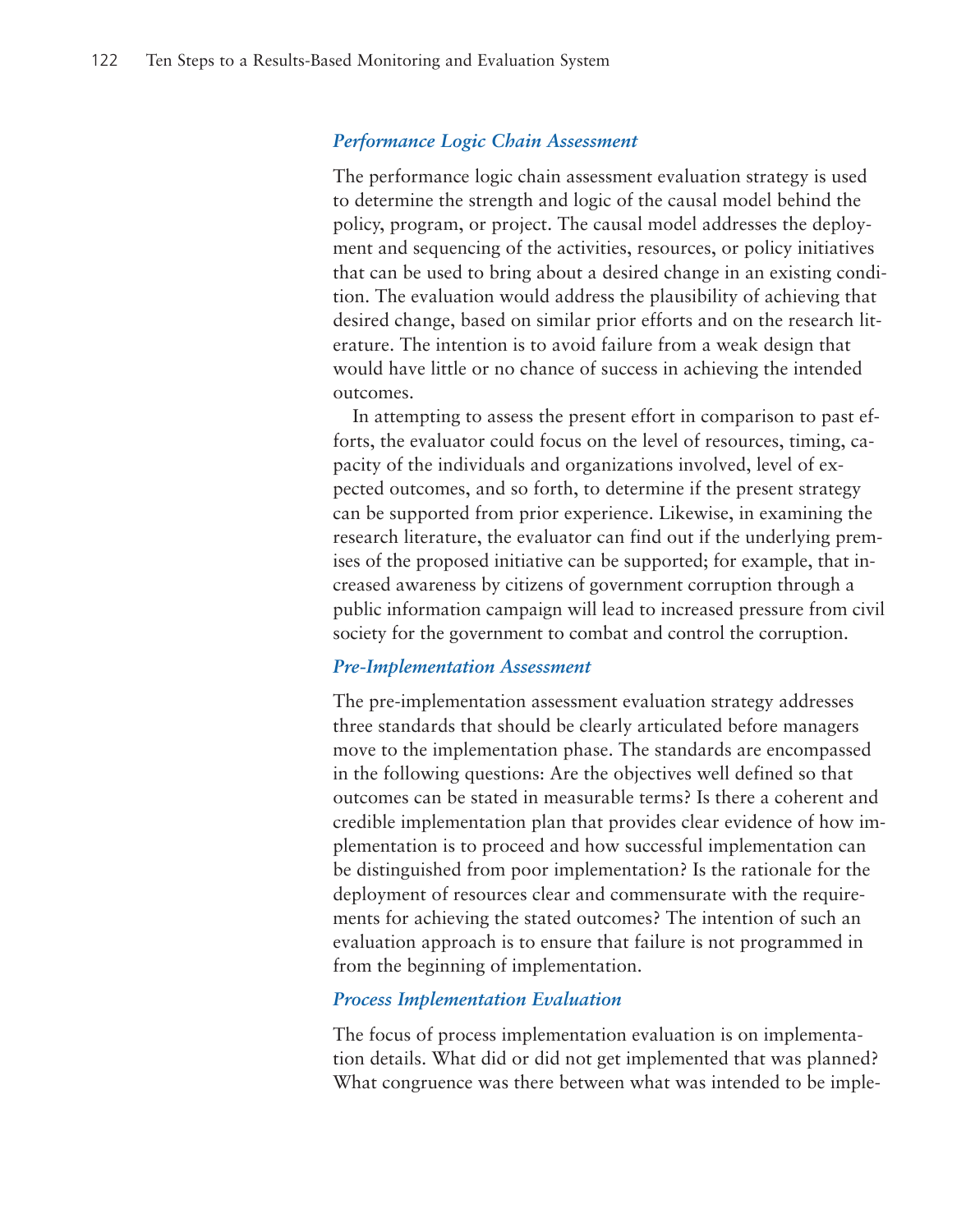### *Performance Logic Chain Assessment*

The performance logic chain assessment evaluation strategy is used to determine the strength and logic of the causal model behind the policy, program, or project. The causal model addresses the deployment and sequencing of the activities, resources, or policy initiatives that can be used to bring about a desired change in an existing condition. The evaluation would address the plausibility of achieving that desired change, based on similar prior efforts and on the research literature. The intention is to avoid failure from a weak design that would have little or no chance of success in achieving the intended outcomes.

In attempting to assess the present effort in comparison to past efforts, the evaluator could focus on the level of resources, timing, capacity of the individuals and organizations involved, level of expected outcomes, and so forth, to determine if the present strategy can be supported from prior experience. Likewise, in examining the research literature, the evaluator can find out if the underlying premises of the proposed initiative can be supported; for example, that increased awareness by citizens of government corruption through a public information campaign will lead to increased pressure from civil society for the government to combat and control the corruption.

### *Pre-Implementation Assessment*

The pre-implementation assessment evaluation strategy addresses three standards that should be clearly articulated before managers move to the implementation phase. The standards are encompassed in the following questions: Are the objectives well defined so that outcomes can be stated in measurable terms? Is there a coherent and credible implementation plan that provides clear evidence of how implementation is to proceed and how successful implementation can be distinguished from poor implementation? Is the rationale for the deployment of resources clear and commensurate with the requirements for achieving the stated outcomes? The intention of such an evaluation approach is to ensure that failure is not programmed in from the beginning of implementation.

### *Process Implementation Evaluation*

The focus of process implementation evaluation is on implementation details. What did or did not get implemented that was planned? What congruence was there between what was intended to be imple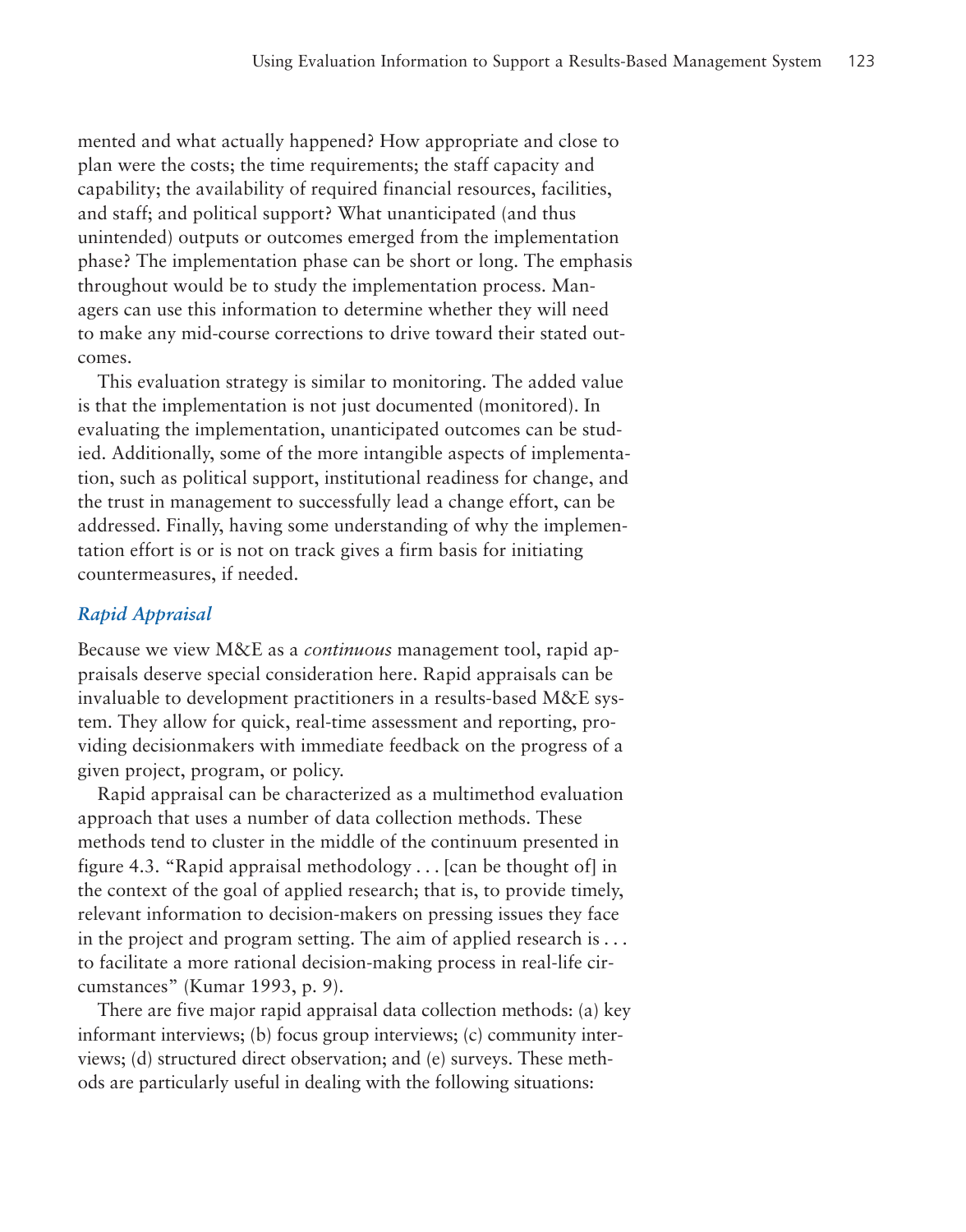mented and what actually happened? How appropriate and close to plan were the costs; the time requirements; the staff capacity and capability; the availability of required financial resources, facilities, and staff; and political support? What unanticipated (and thus unintended) outputs or outcomes emerged from the implementation phase? The implementation phase can be short or long. The emphasis throughout would be to study the implementation process. Managers can use this information to determine whether they will need to make any mid-course corrections to drive toward their stated outcomes.

This evaluation strategy is similar to monitoring. The added value is that the implementation is not just documented (monitored). In evaluating the implementation, unanticipated outcomes can be studied. Additionally, some of the more intangible aspects of implementation, such as political support, institutional readiness for change, and the trust in management to successfully lead a change effort, can be addressed. Finally, having some understanding of why the implementation effort is or is not on track gives a firm basis for initiating countermeasures, if needed.

### *Rapid Appraisal*

Because we view M&E as a *continuous* management tool, rapid appraisals deserve special consideration here. Rapid appraisals can be invaluable to development practitioners in a results-based M&E system. They allow for quick, real-time assessment and reporting, providing decisionmakers with immediate feedback on the progress of a given project, program, or policy.

Rapid appraisal can be characterized as a multimethod evaluation approach that uses a number of data collection methods. These methods tend to cluster in the middle of the continuum presented in figure 4.3. "Rapid appraisal methodology . . . [can be thought of] in the context of the goal of applied research; that is, to provide timely, relevant information to decision-makers on pressing issues they face in the project and program setting. The aim of applied research is . . . to facilitate a more rational decision-making process in real-life circumstances" (Kumar 1993, p. 9).

There are five major rapid appraisal data collection methods: (a) key informant interviews; (b) focus group interviews; (c) community interviews; (d) structured direct observation; and (e) surveys. These methods are particularly useful in dealing with the following situations: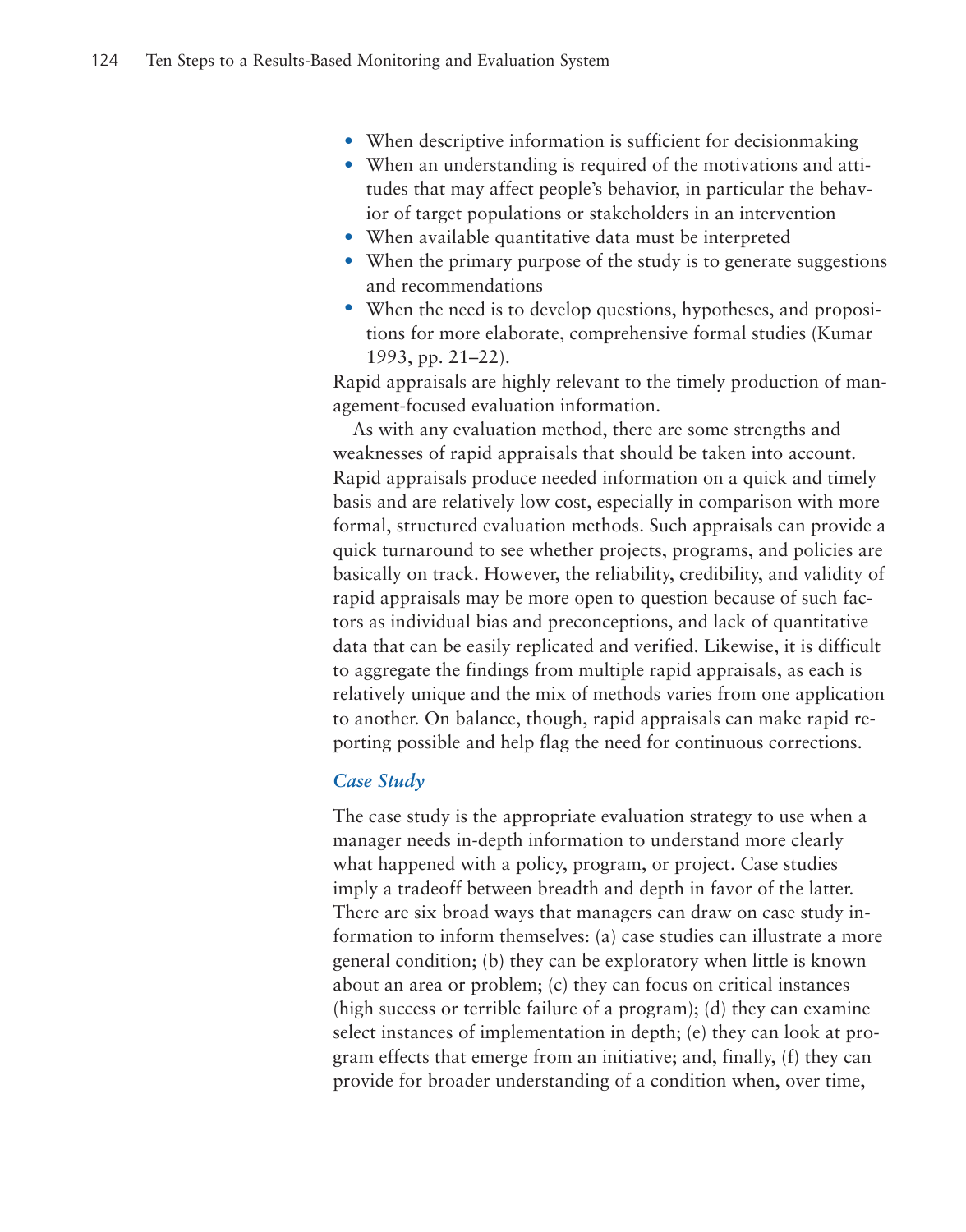- When descriptive information is sufficient for decisionmaking
- When an understanding is required of the motivations and attitudes that may affect people's behavior, in particular the behavior of target populations or stakeholders in an intervention
- When available quantitative data must be interpreted
- When the primary purpose of the study is to generate suggestions and recommendations
- When the need is to develop questions, hypotheses, and propositions for more elaborate, comprehensive formal studies (Kumar 1993, pp. 21–22).

Rapid appraisals are highly relevant to the timely production of management-focused evaluation information.

As with any evaluation method, there are some strengths and weaknesses of rapid appraisals that should be taken into account. Rapid appraisals produce needed information on a quick and timely basis and are relatively low cost, especially in comparison with more formal, structured evaluation methods. Such appraisals can provide a quick turnaround to see whether projects, programs, and policies are basically on track. However, the reliability, credibility, and validity of rapid appraisals may be more open to question because of such factors as individual bias and preconceptions, and lack of quantitative data that can be easily replicated and verified. Likewise, it is difficult to aggregate the findings from multiple rapid appraisals, as each is relatively unique and the mix of methods varies from one application to another. On balance, though, rapid appraisals can make rapid reporting possible and help flag the need for continuous corrections.

### *Case Study*

The case study is the appropriate evaluation strategy to use when a manager needs in-depth information to understand more clearly what happened with a policy, program, or project. Case studies imply a tradeoff between breadth and depth in favor of the latter. There are six broad ways that managers can draw on case study information to inform themselves: (a) case studies can illustrate a more general condition; (b) they can be exploratory when little is known about an area or problem; (c) they can focus on critical instances (high success or terrible failure of a program); (d) they can examine select instances of implementation in depth; (e) they can look at program effects that emerge from an initiative; and, finally, (f) they can provide for broader understanding of a condition when, over time,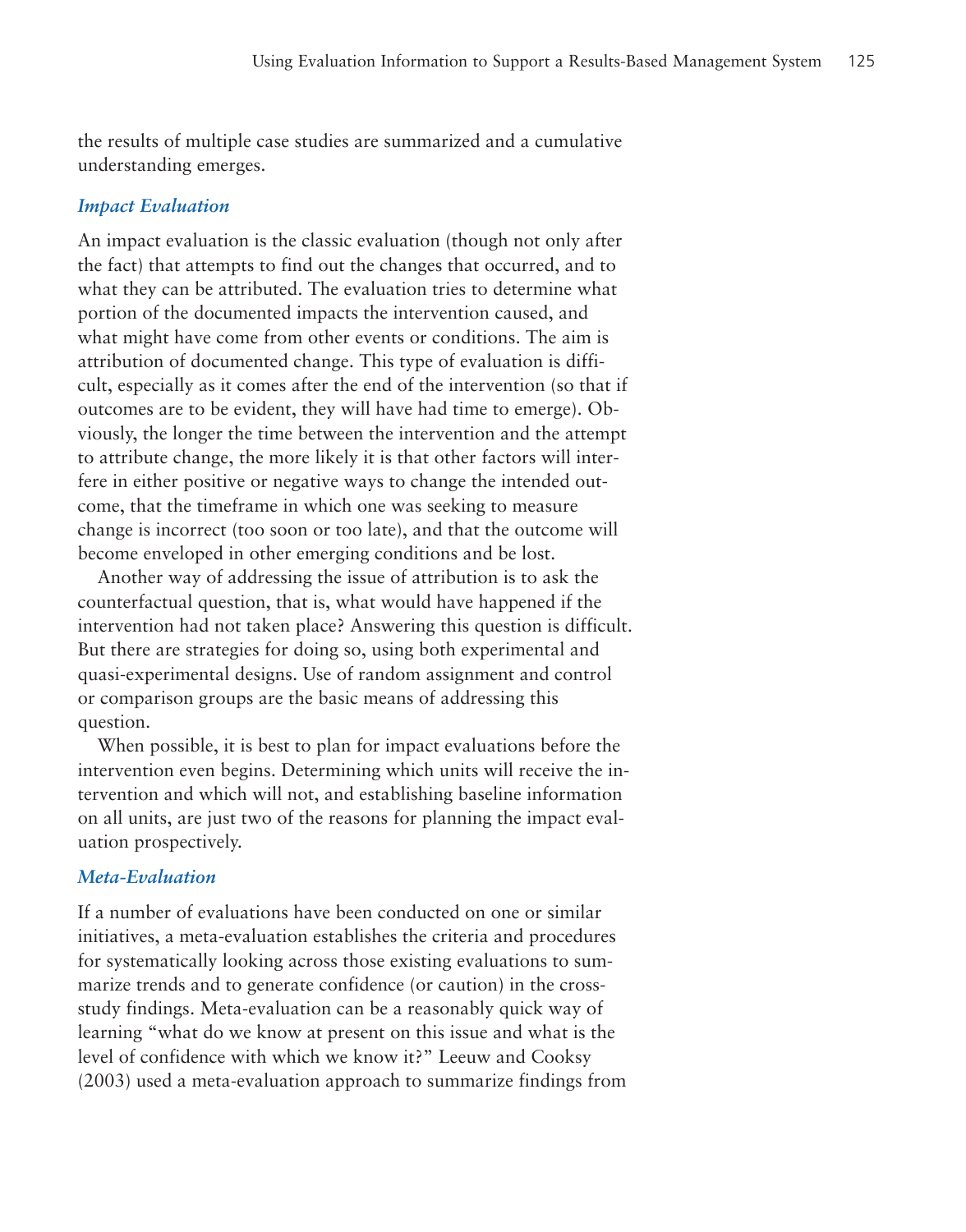the results of multiple case studies are summarized and a cumulative understanding emerges.

### *Impact Evaluation*

An impact evaluation is the classic evaluation (though not only after the fact) that attempts to find out the changes that occurred, and to what they can be attributed. The evaluation tries to determine what portion of the documented impacts the intervention caused, and what might have come from other events or conditions. The aim is attribution of documented change. This type of evaluation is difficult, especially as it comes after the end of the intervention (so that if outcomes are to be evident, they will have had time to emerge). Obviously, the longer the time between the intervention and the attempt to attribute change, the more likely it is that other factors will interfere in either positive or negative ways to change the intended outcome, that the timeframe in which one was seeking to measure change is incorrect (too soon or too late), and that the outcome will become enveloped in other emerging conditions and be lost.

Another way of addressing the issue of attribution is to ask the counterfactual question, that is, what would have happened if the intervention had not taken place? Answering this question is difficult. But there are strategies for doing so, using both experimental and quasi-experimental designs. Use of random assignment and control or comparison groups are the basic means of addressing this question.

When possible, it is best to plan for impact evaluations before the intervention even begins. Determining which units will receive the intervention and which will not, and establishing baseline information on all units, are just two of the reasons for planning the impact evaluation prospectively.

#### *Meta-Evaluation*

If a number of evaluations have been conducted on one or similar initiatives, a meta-evaluation establishes the criteria and procedures for systematically looking across those existing evaluations to summarize trends and to generate confidence (or caution) in the crossstudy findings. Meta-evaluation can be a reasonably quick way of learning "what do we know at present on this issue and what is the level of confidence with which we know it?" Leeuw and Cooksy (2003) used a meta-evaluation approach to summarize findings from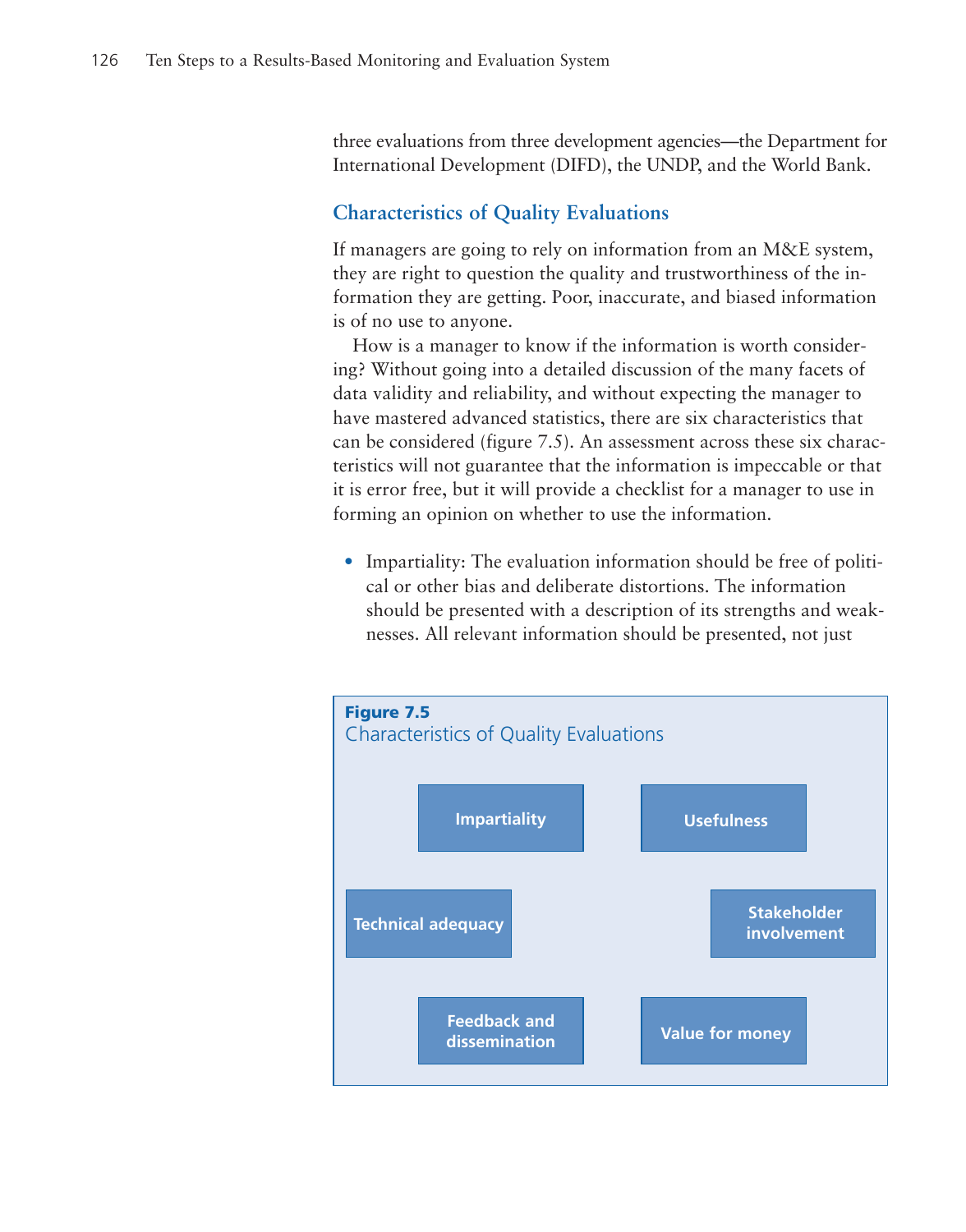three evaluations from three development agencies—the Department for International Development (DIFD), the UNDP, and the World Bank.

## **Characteristics of Quality Evaluations**

If managers are going to rely on information from an M&E system, they are right to question the quality and trustworthiness of the information they are getting. Poor, inaccurate, and biased information is of no use to anyone.

How is a manager to know if the information is worth considering? Without going into a detailed discussion of the many facets of data validity and reliability, and without expecting the manager to have mastered advanced statistics, there are six characteristics that can be considered (figure 7.5). An assessment across these six characteristics will not guarantee that the information is impeccable or that it is error free, but it will provide a checklist for a manager to use in forming an opinion on whether to use the information.

• Impartiality: The evaluation information should be free of political or other bias and deliberate distortions. The information should be presented with a description of its strengths and weaknesses. All relevant information should be presented, not just

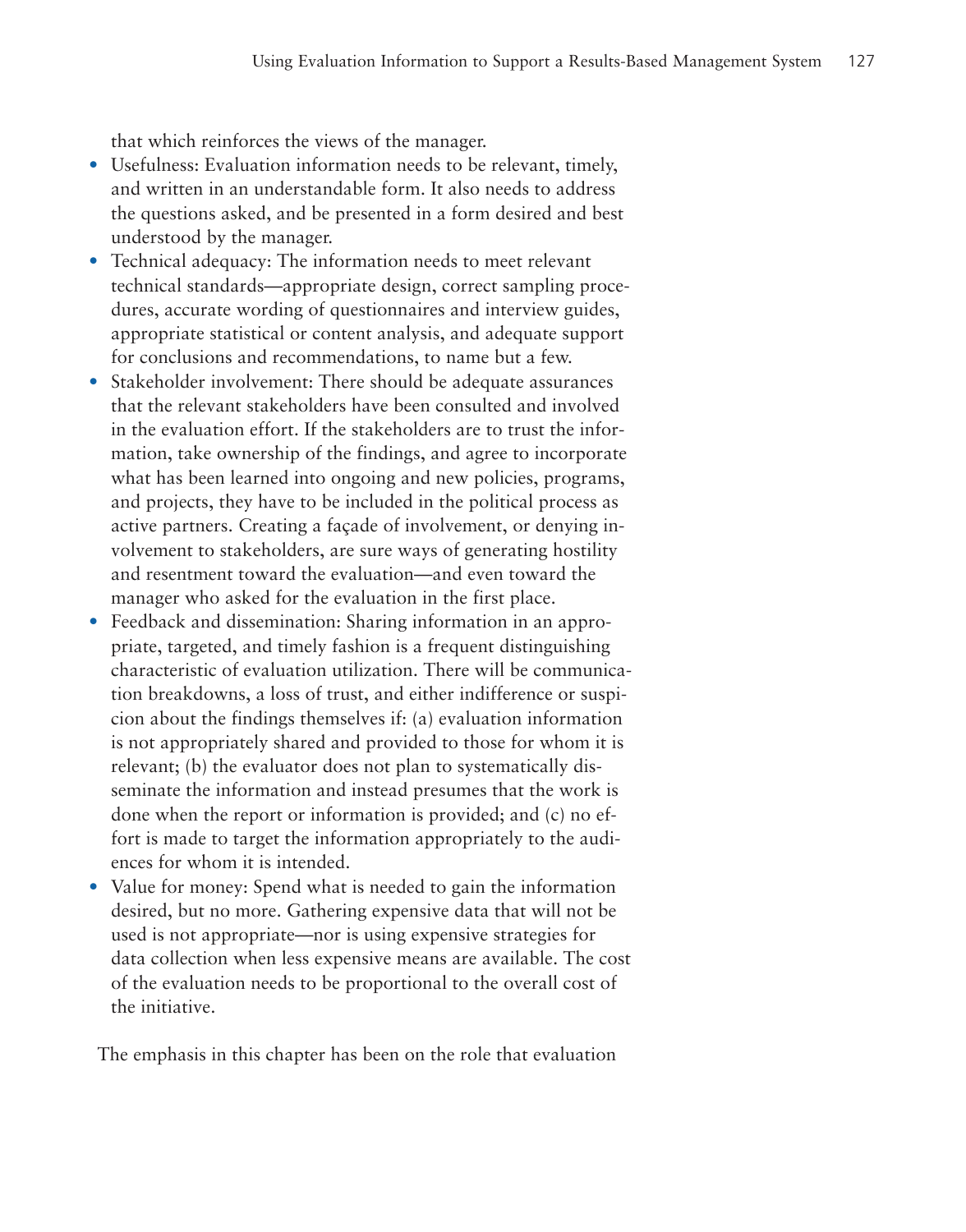that which reinforces the views of the manager.

- Usefulness: Evaluation information needs to be relevant, timely, and written in an understandable form. It also needs to address the questions asked, and be presented in a form desired and best understood by the manager.
- Technical adequacy: The information needs to meet relevant technical standards—appropriate design, correct sampling procedures, accurate wording of questionnaires and interview guides, appropriate statistical or content analysis, and adequate support for conclusions and recommendations, to name but a few.
- Stakeholder involvement: There should be adequate assurances that the relevant stakeholders have been consulted and involved in the evaluation effort. If the stakeholders are to trust the information, take ownership of the findings, and agree to incorporate what has been learned into ongoing and new policies, programs, and projects, they have to be included in the political process as active partners. Creating a façade of involvement, or denying involvement to stakeholders, are sure ways of generating hostility and resentment toward the evaluation—and even toward the manager who asked for the evaluation in the first place.
- Feedback and dissemination: Sharing information in an appropriate, targeted, and timely fashion is a frequent distinguishing characteristic of evaluation utilization. There will be communication breakdowns, a loss of trust, and either indifference or suspicion about the findings themselves if: (a) evaluation information is not appropriately shared and provided to those for whom it is relevant; (b) the evaluator does not plan to systematically disseminate the information and instead presumes that the work is done when the report or information is provided; and (c) no effort is made to target the information appropriately to the audiences for whom it is intended.
- Value for money: Spend what is needed to gain the information desired, but no more. Gathering expensive data that will not be used is not appropriate—nor is using expensive strategies for data collection when less expensive means are available. The cost of the evaluation needs to be proportional to the overall cost of the initiative.

The emphasis in this chapter has been on the role that evaluation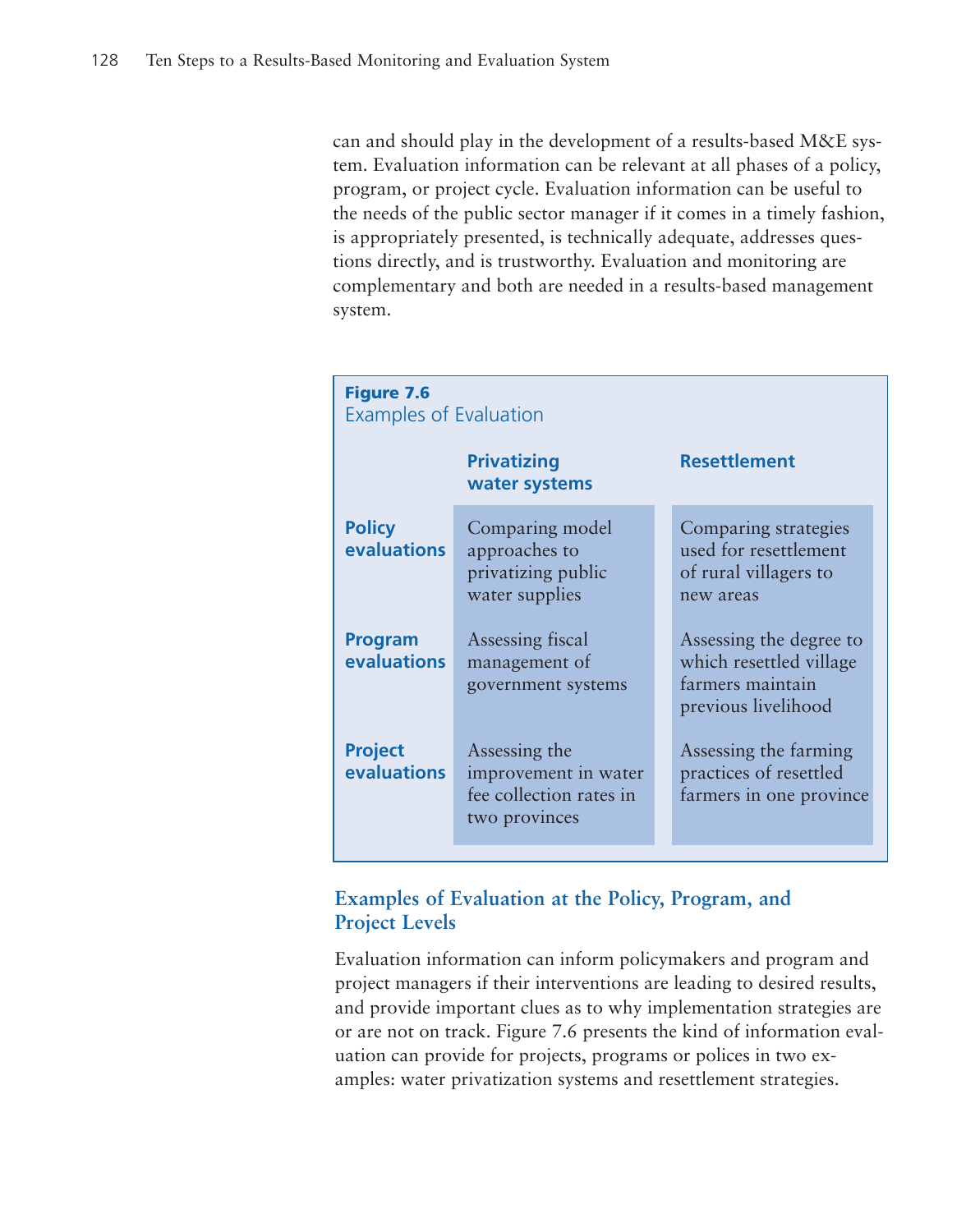can and should play in the development of a results-based M&E system. Evaluation information can be relevant at all phases of a policy, program, or project cycle. Evaluation information can be useful to the needs of the public sector manager if it comes in a timely fashion, is appropriately presented, is technically adequate, addresses questions directly, and is trustworthy. Evaluation and monitoring are complementary and both are needed in a results-based management system.

| <b>Figure 7.6</b><br><b>Examples of Evaluation</b> |                                                                                   |                                                                                               |  |
|----------------------------------------------------|-----------------------------------------------------------------------------------|-----------------------------------------------------------------------------------------------|--|
|                                                    | <b>Privatizing</b><br>water systems                                               | <b>Resettlement</b>                                                                           |  |
| <b>Policy</b><br><b>evaluations</b>                | Comparing model<br>approaches to<br>privatizing public<br>water supplies          | Comparing strategies<br>used for resettlement<br>of rural villagers to<br>new areas           |  |
| <b>Program</b><br>evaluations                      | Assessing fiscal<br>management of<br>government systems                           | Assessing the degree to<br>which resettled village<br>farmers maintain<br>previous livelihood |  |
| <b>Project</b><br>evaluations                      | Assessing the<br>improvement in water<br>fee collection rates in<br>two provinces | Assessing the farming<br>practices of resettled<br>farmers in one province                    |  |

## **Examples of Evaluation at the Policy, Program, and Project Levels**

Evaluation information can inform policymakers and program and project managers if their interventions are leading to desired results, and provide important clues as to why implementation strategies are or are not on track. Figure 7.6 presents the kind of information evaluation can provide for projects, programs or polices in two examples: water privatization systems and resettlement strategies.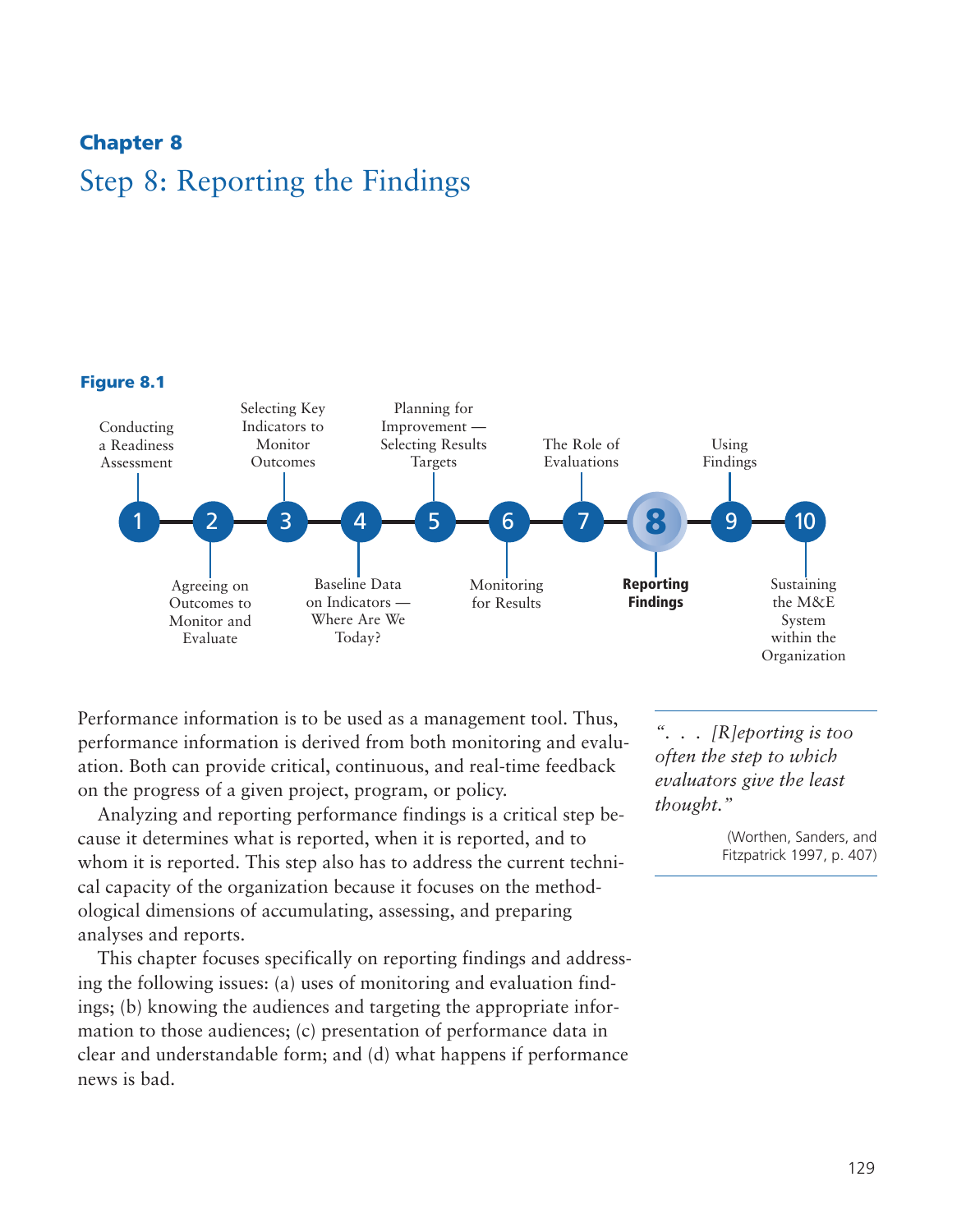# **Chapter 8** Step 8: Reporting the Findings

#### **Figure 8.1**



Performance information is to be used as a management tool. Thus, performance information is derived from both monitoring and evaluation. Both can provide critical, continuous, and real-time feedback on the progress of a given project, program, or policy.

Analyzing and reporting performance findings is a critical step because it determines what is reported, when it is reported, and to whom it is reported. This step also has to address the current technical capacity of the organization because it focuses on the methodological dimensions of accumulating, assessing, and preparing analyses and reports.

This chapter focuses specifically on reporting findings and addressing the following issues: (a) uses of monitoring and evaluation findings; (b) knowing the audiences and targeting the appropriate information to those audiences; (c) presentation of performance data in clear and understandable form; and (d) what happens if performance news is bad.

*". . . [R]eporting is too often the step to which evaluators give the least thought."*

> (Worthen, Sanders, and Fitzpatrick 1997, p. 407)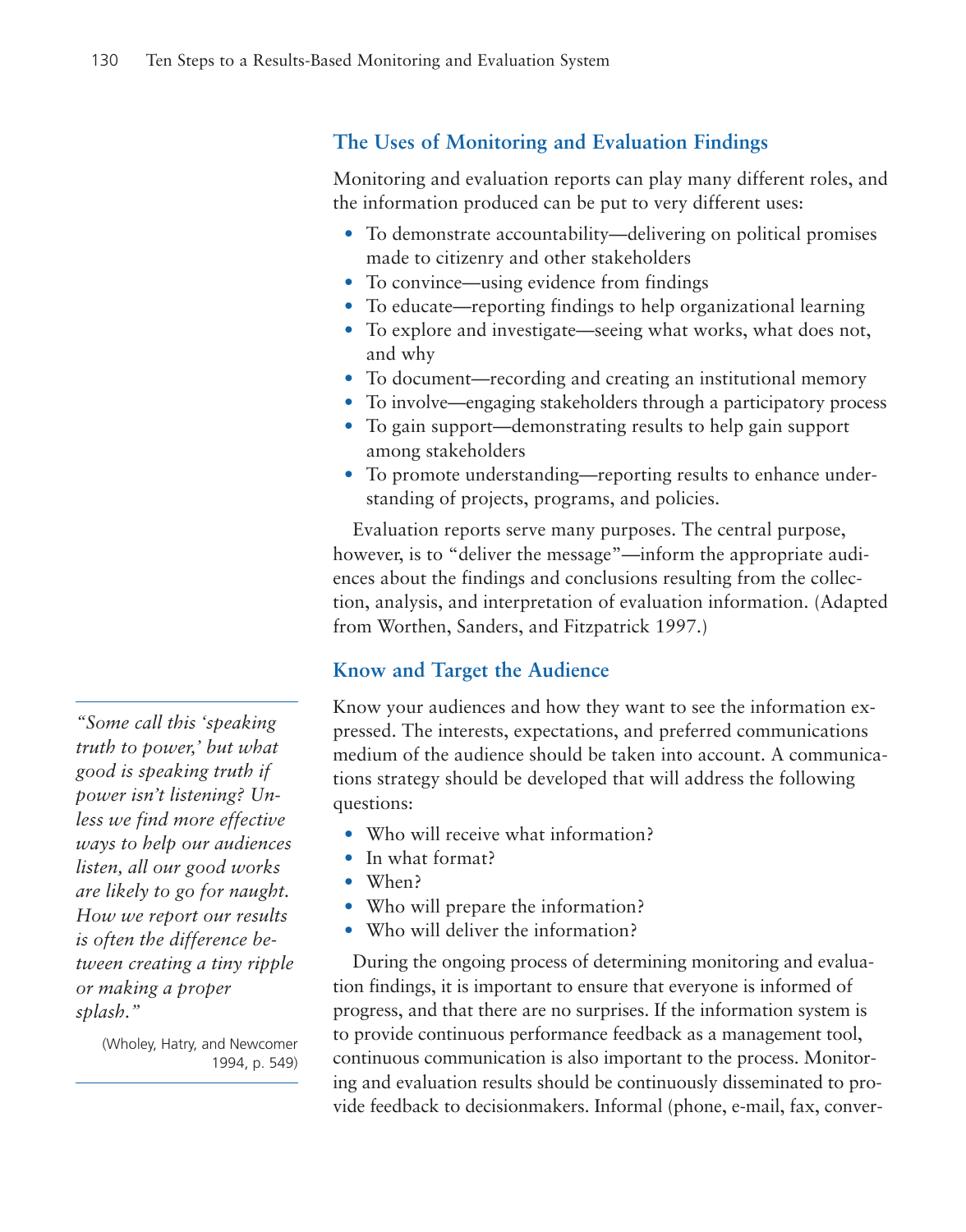# **The Uses of Monitoring and Evaluation Findings**

Monitoring and evaluation reports can play many different roles, and the information produced can be put to very different uses:

- To demonstrate accountability—delivering on political promises made to citizenry and other stakeholders
- To convince—using evidence from findings
- To educate—reporting findings to help organizational learning
- To explore and investigate—seeing what works, what does not, and why
- To document—recording and creating an institutional memory
- To involve—engaging stakeholders through a participatory process
- To gain support—demonstrating results to help gain support among stakeholders
- To promote understanding—reporting results to enhance understanding of projects, programs, and policies.

Evaluation reports serve many purposes. The central purpose, however, is to "deliver the message"—inform the appropriate audiences about the findings and conclusions resulting from the collection, analysis, and interpretation of evaluation information. (Adapted from Worthen, Sanders, and Fitzpatrick 1997.)

# **Know and Target the Audience**

Know your audiences and how they want to see the information expressed. The interests, expectations, and preferred communications medium of the audience should be taken into account. A communications strategy should be developed that will address the following questions:

- Who will receive what information?
- In what format?
- When?
- Who will prepare the information?
- Who will deliver the information?

During the ongoing process of determining monitoring and evaluation findings, it is important to ensure that everyone is informed of progress, and that there are no surprises. If the information system is to provide continuous performance feedback as a management tool, continuous communication is also important to the process. Monitoring and evaluation results should be continuously disseminated to provide feedback to decisionmakers. Informal (phone, e-mail, fax, conver-

*"Some call this 'speaking truth to power,' but what good is speaking truth if power isn't listening? Unless we find more effective ways to help our audiences listen, all our good works are likely to go for naught. How we report our results is often the difference between creating a tiny ripple or making a proper splash."* 

> (Wholey, Hatry, and Newcomer 1994, p. 549)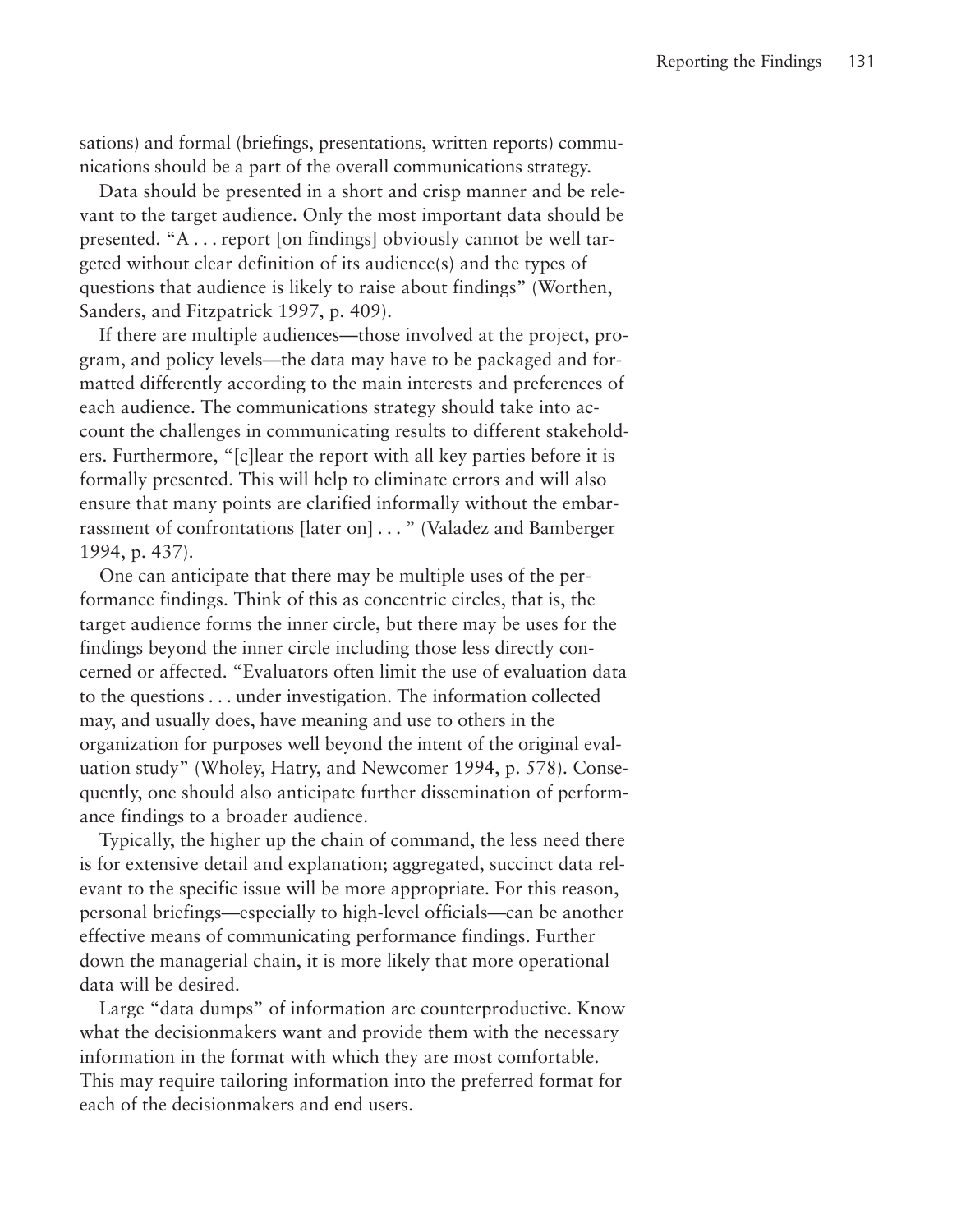sations) and formal (briefings, presentations, written reports) communications should be a part of the overall communications strategy.

Data should be presented in a short and crisp manner and be relevant to the target audience. Only the most important data should be presented. "A . . . report [on findings] obviously cannot be well targeted without clear definition of its audience(s) and the types of questions that audience is likely to raise about findings" (Worthen, Sanders, and Fitzpatrick 1997, p. 409).

If there are multiple audiences—those involved at the project, program, and policy levels—the data may have to be packaged and formatted differently according to the main interests and preferences of each audience. The communications strategy should take into account the challenges in communicating results to different stakeholders. Furthermore, "[c]lear the report with all key parties before it is formally presented. This will help to eliminate errors and will also ensure that many points are clarified informally without the embarrassment of confrontations [later on] . . . " (Valadez and Bamberger 1994, p. 437).

One can anticipate that there may be multiple uses of the performance findings. Think of this as concentric circles, that is, the target audience forms the inner circle, but there may be uses for the findings beyond the inner circle including those less directly concerned or affected. "Evaluators often limit the use of evaluation data to the questions . . . under investigation. The information collected may, and usually does, have meaning and use to others in the organization for purposes well beyond the intent of the original evaluation study" (Wholey, Hatry, and Newcomer 1994, p. 578). Consequently, one should also anticipate further dissemination of performance findings to a broader audience.

Typically, the higher up the chain of command, the less need there is for extensive detail and explanation; aggregated, succinct data relevant to the specific issue will be more appropriate. For this reason, personal briefings—especially to high-level officials—can be another effective means of communicating performance findings. Further down the managerial chain, it is more likely that more operational data will be desired.

Large "data dumps" of information are counterproductive. Know what the decisionmakers want and provide them with the necessary information in the format with which they are most comfortable. This may require tailoring information into the preferred format for each of the decisionmakers and end users.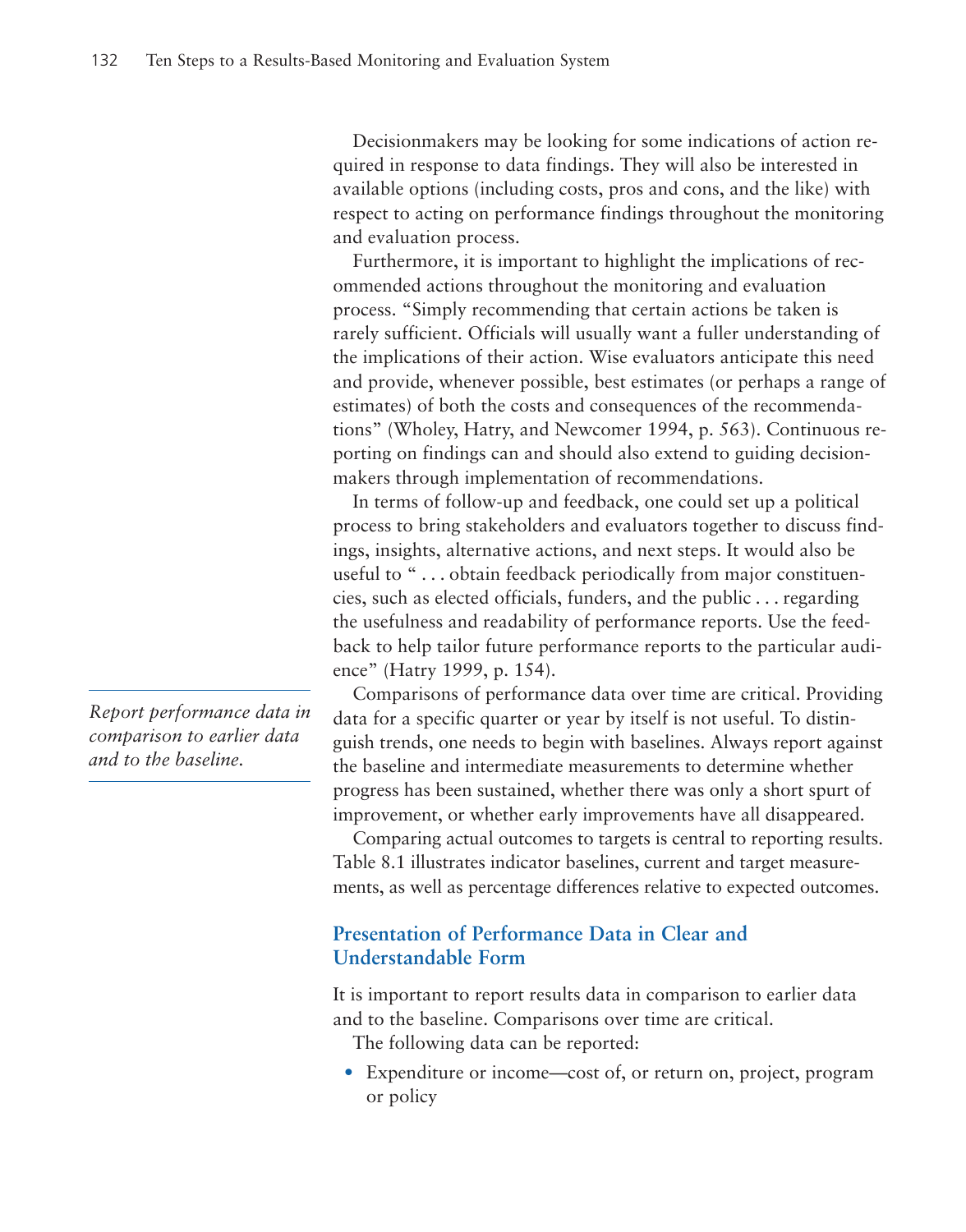Decisionmakers may be looking for some indications of action required in response to data findings. They will also be interested in available options (including costs, pros and cons, and the like) with respect to acting on performance findings throughout the monitoring and evaluation process.

Furthermore, it is important to highlight the implications of recommended actions throughout the monitoring and evaluation process. "Simply recommending that certain actions be taken is rarely sufficient. Officials will usually want a fuller understanding of the implications of their action. Wise evaluators anticipate this need and provide, whenever possible, best estimates (or perhaps a range of estimates) of both the costs and consequences of the recommendations" (Wholey, Hatry, and Newcomer 1994, p. 563). Continuous reporting on findings can and should also extend to guiding decisionmakers through implementation of recommendations.

In terms of follow-up and feedback, one could set up a political process to bring stakeholders and evaluators together to discuss findings, insights, alternative actions, and next steps. It would also be useful to " . . . obtain feedback periodically from major constituencies, such as elected officials, funders, and the public . . . regarding the usefulness and readability of performance reports. Use the feedback to help tailor future performance reports to the particular audience" (Hatry 1999, p. 154).

Comparisons of performance data over time are critical. Providing data for a specific quarter or year by itself is not useful. To distinguish trends, one needs to begin with baselines. Always report against the baseline and intermediate measurements to determine whether progress has been sustained, whether there was only a short spurt of improvement, or whether early improvements have all disappeared.

Comparing actual outcomes to targets is central to reporting results. Table 8.1 illustrates indicator baselines, current and target measurements, as well as percentage differences relative to expected outcomes.

# **Presentation of Performance Data in Clear and Understandable Form**

It is important to report results data in comparison to earlier data and to the baseline. Comparisons over time are critical.

The following data can be reported:

• Expenditure or income—cost of, or return on, project, program or policy

*Report performance data in comparison to earlier data and to the baseline.*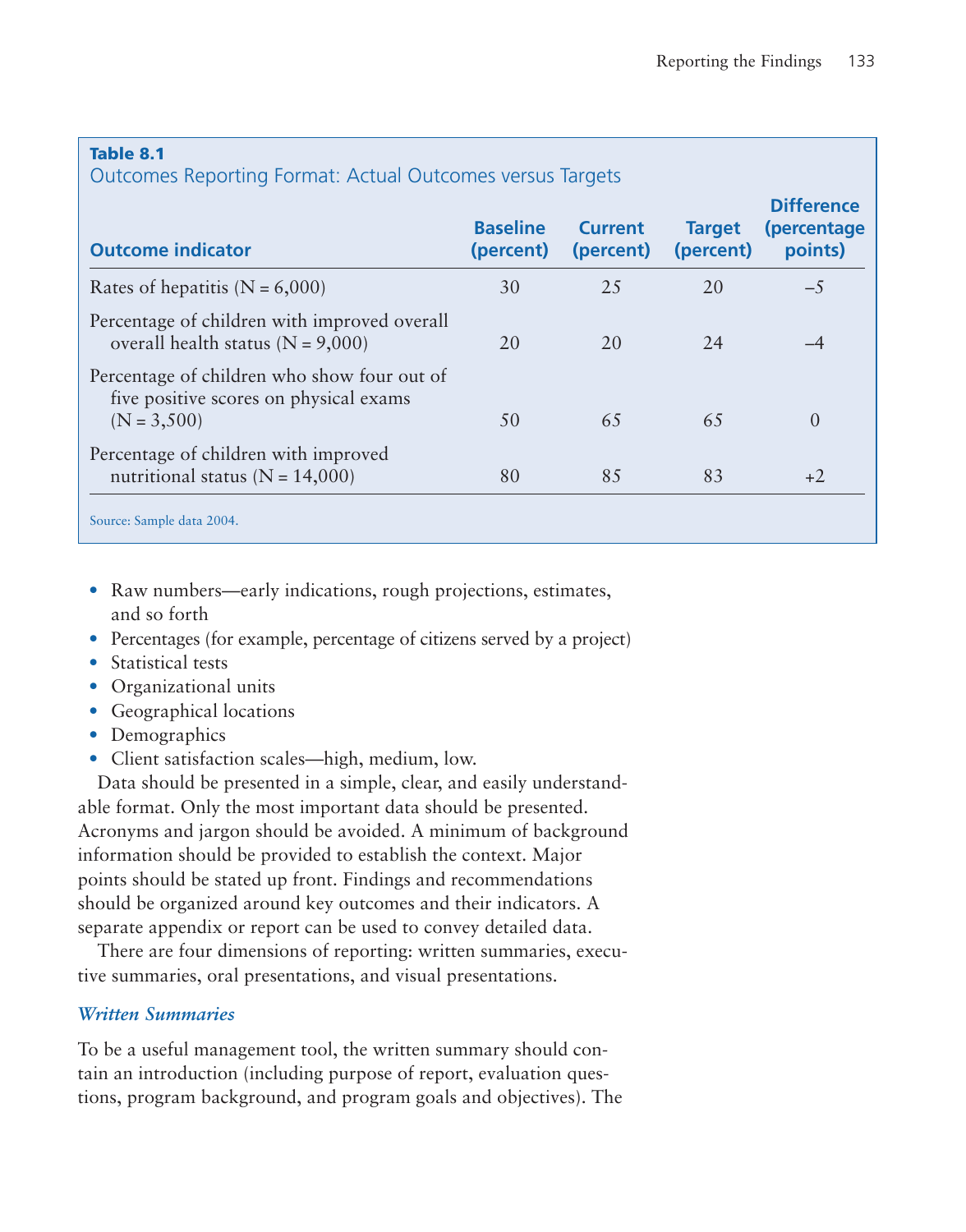## **Table 8.1**

| <b>Outcome indicator</b>                                                                               | <b>Baseline</b><br>(percent) | <b>Current</b><br>(percent) | <b>Target</b><br>(percent) | <b>Difference</b><br>(percentage<br>points) |
|--------------------------------------------------------------------------------------------------------|------------------------------|-----------------------------|----------------------------|---------------------------------------------|
| Rates of hepatitis ( $N = 6,000$ )                                                                     | 30                           | 25                          | 20                         | $-5$                                        |
| Percentage of children with improved overall<br>overall health status ( $N = 9,000$ )                  | 20                           | 20                          | 24                         |                                             |
| Percentage of children who show four out of<br>five positive scores on physical exams<br>$(N = 3,500)$ | 50                           | 65                          | 65                         | $\Omega$                                    |
| Percentage of children with improved<br>nutritional status ( $N = 14,000$ )                            | 80                           | 85                          | 83                         | $+2$                                        |

- Raw numbers—early indications, rough projections, estimates, and so forth
- Percentages (for example, percentage of citizens served by a project)
- Statistical tests
- Organizational units
- Geographical locations
- Demographics
- Client satisfaction scales—high, medium, low.

Data should be presented in a simple, clear, and easily understandable format. Only the most important data should be presented. Acronyms and jargon should be avoided. A minimum of background information should be provided to establish the context. Major points should be stated up front. Findings and recommendations should be organized around key outcomes and their indicators. A separate appendix or report can be used to convey detailed data.

There are four dimensions of reporting: written summaries, executive summaries, oral presentations, and visual presentations.

# *Written Summaries*

To be a useful management tool, the written summary should contain an introduction (including purpose of report, evaluation questions, program background, and program goals and objectives). The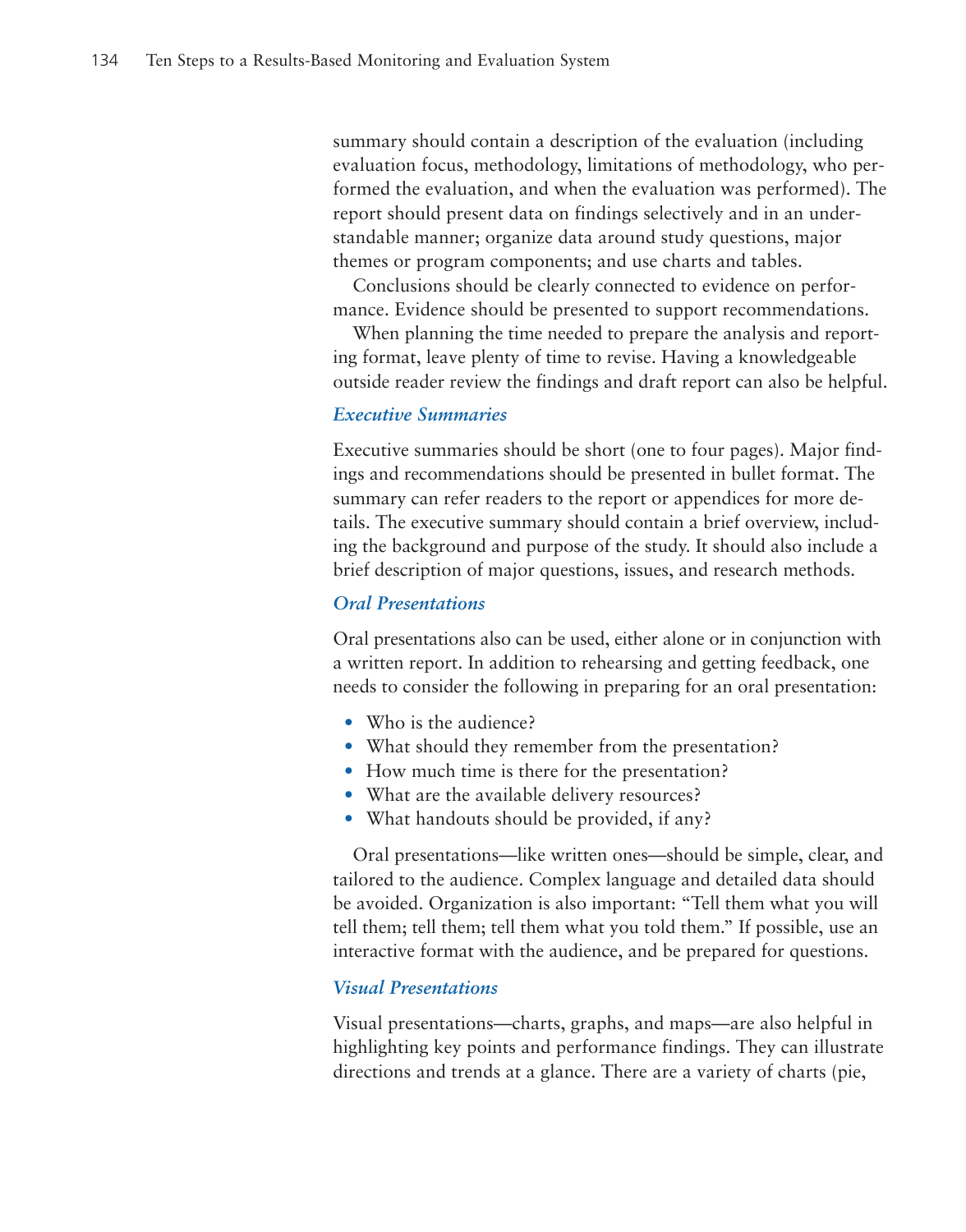summary should contain a description of the evaluation (including evaluation focus, methodology, limitations of methodology, who performed the evaluation, and when the evaluation was performed). The report should present data on findings selectively and in an understandable manner; organize data around study questions, major themes or program components; and use charts and tables.

Conclusions should be clearly connected to evidence on performance. Evidence should be presented to support recommendations.

When planning the time needed to prepare the analysis and reporting format, leave plenty of time to revise. Having a knowledgeable outside reader review the findings and draft report can also be helpful.

## *Executive Summaries*

Executive summaries should be short (one to four pages). Major findings and recommendations should be presented in bullet format. The summary can refer readers to the report or appendices for more details. The executive summary should contain a brief overview, including the background and purpose of the study. It should also include a brief description of major questions, issues, and research methods.

### *Oral Presentations*

Oral presentations also can be used, either alone or in conjunction with a written report. In addition to rehearsing and getting feedback, one needs to consider the following in preparing for an oral presentation:

- Who is the audience?
- What should they remember from the presentation?
- How much time is there for the presentation?
- What are the available delivery resources?
- What handouts should be provided, if any?

Oral presentations—like written ones—should be simple, clear, and tailored to the audience. Complex language and detailed data should be avoided. Organization is also important: "Tell them what you will tell them; tell them; tell them what you told them." If possible, use an interactive format with the audience, and be prepared for questions.

## *Visual Presentations*

Visual presentations—charts, graphs, and maps—are also helpful in highlighting key points and performance findings. They can illustrate directions and trends at a glance. There are a variety of charts (pie,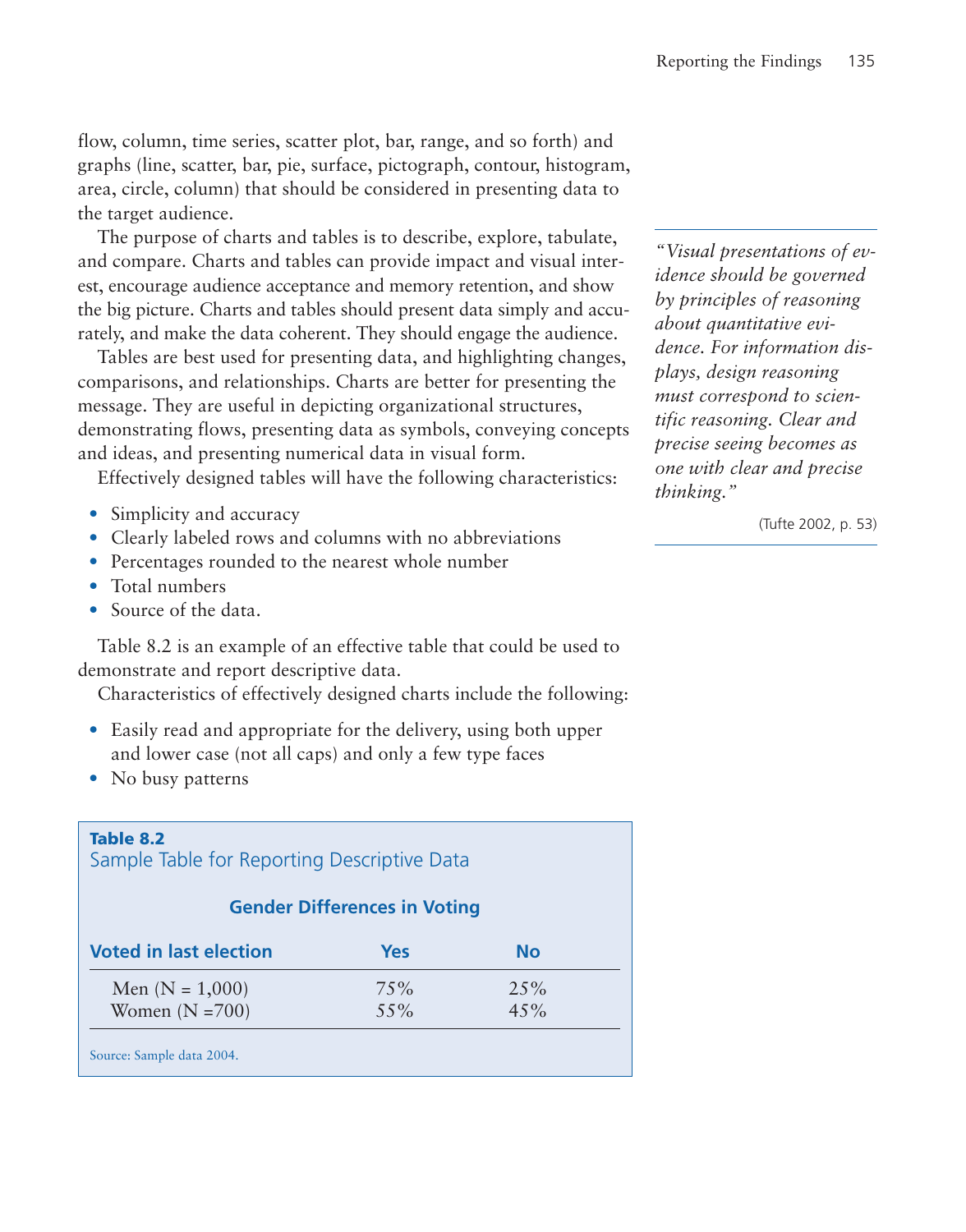flow, column, time series, scatter plot, bar, range, and so forth) and graphs (line, scatter, bar, pie, surface, pictograph, contour, histogram, area, circle, column) that should be considered in presenting data to the target audience.

The purpose of charts and tables is to describe, explore, tabulate, and compare. Charts and tables can provide impact and visual interest, encourage audience acceptance and memory retention, and show the big picture. Charts and tables should present data simply and accurately, and make the data coherent. They should engage the audience.

Tables are best used for presenting data, and highlighting changes, comparisons, and relationships. Charts are better for presenting the message. They are useful in depicting organizational structures, demonstrating flows, presenting data as symbols, conveying concepts and ideas, and presenting numerical data in visual form.

Effectively designed tables will have the following characteristics:

- Simplicity and accuracy
- Clearly labeled rows and columns with no abbreviations
- Percentages rounded to the nearest whole number
- Total numbers
- Source of the data.

Table 8.2 is an example of an effective table that could be used to demonstrate and report descriptive data.

Characteristics of effectively designed charts include the following:

• Easily read and appropriate for the delivery, using both upper and lower case (not all caps) and only a few type faces

• No busy patterns

#### **Table 8.2**

Sample Table for Reporting Descriptive Data

## **Gender Differences in Voting**

| <b>Voted in last election</b>          | Yes           | No             |  |  |  |
|----------------------------------------|---------------|----------------|--|--|--|
| Men $(N = 1,000)$<br>Women $(N = 700)$ | 75%<br>$55\%$ | $2.5\%$<br>45% |  |  |  |
| Source: Sample data 2004.              |               |                |  |  |  |

*"Visual presentations of evidence should be governed by principles of reasoning about quantitative evidence. For information displays, design reasoning must correspond to scientific reasoning. Clear and precise seeing becomes as one with clear and precise thinking."*

(Tufte 2002, p. 53)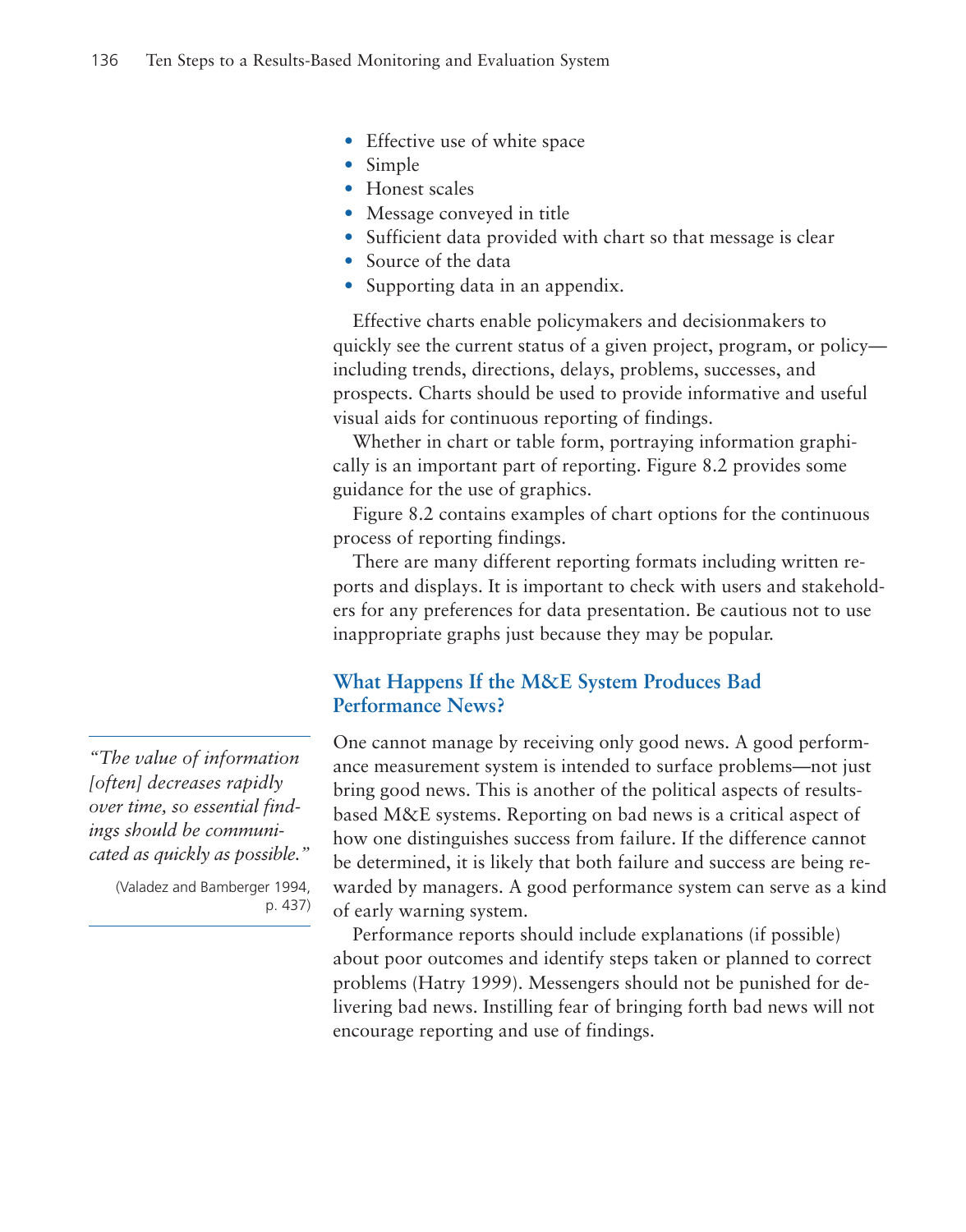- Effective use of white space
- Simple
- Honest scales
- Message conveyed in title
- Sufficient data provided with chart so that message is clear
- Source of the data
- Supporting data in an appendix.

Effective charts enable policymakers and decisionmakers to quickly see the current status of a given project, program, or policy including trends, directions, delays, problems, successes, and prospects. Charts should be used to provide informative and useful visual aids for continuous reporting of findings.

Whether in chart or table form, portraying information graphically is an important part of reporting. Figure 8.2 provides some guidance for the use of graphics.

Figure 8.2 contains examples of chart options for the continuous process of reporting findings.

There are many different reporting formats including written reports and displays. It is important to check with users and stakeholders for any preferences for data presentation. Be cautious not to use inappropriate graphs just because they may be popular.

# **What Happens If the M&E System Produces Bad Performance News?**

One cannot manage by receiving only good news. A good performance measurement system is intended to surface problems—not just bring good news. This is another of the political aspects of resultsbased M&E systems. Reporting on bad news is a critical aspect of how one distinguishes success from failure. If the difference cannot be determined, it is likely that both failure and success are being rewarded by managers. A good performance system can serve as a kind of early warning system.

Performance reports should include explanations (if possible) about poor outcomes and identify steps taken or planned to correct problems (Hatry 1999). Messengers should not be punished for delivering bad news. Instilling fear of bringing forth bad news will not encourage reporting and use of findings.

*"The value of information [often] decreases rapidly over time, so essential findings should be communicated as quickly as possible."*

(Valadez and Bamberger 1994, p. 437)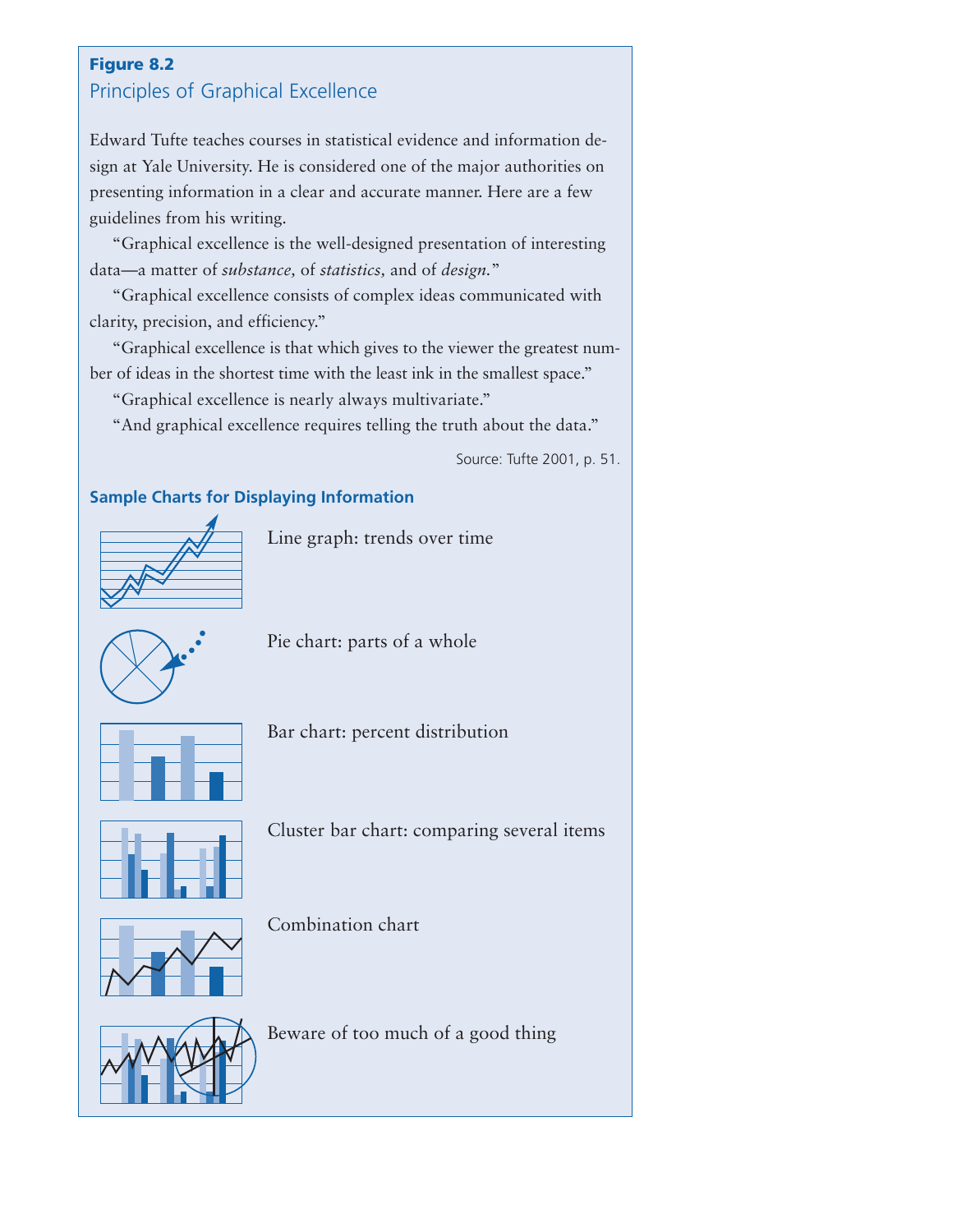# **Figure 8.2** Principles of Graphical Excellence

Edward Tufte teaches courses in statistical evidence and information design at Yale University. He is considered one of the major authorities on presenting information in a clear and accurate manner. Here are a few guidelines from his writing.

"Graphical excellence is the well-designed presentation of interesting data—a matter of *substance,* of *statistics,* and of *design.*"

"Graphical excellence consists of complex ideas communicated with clarity, precision, and efficiency."

"Graphical excellence is that which gives to the viewer the greatest number of ideas in the shortest time with the least ink in the smallest space."

"Graphical excellence is nearly always multivariate."

"And graphical excellence requires telling the truth about the data."

Source: Tufte 2001, p. 51.

## **Sample Charts for Displaying Information**



Line graph: trends over time



Pie chart: parts of a whole



Bar chart: percent distribution



Cluster bar chart: comparing several items



Combination chart



Beware of too much of a good thing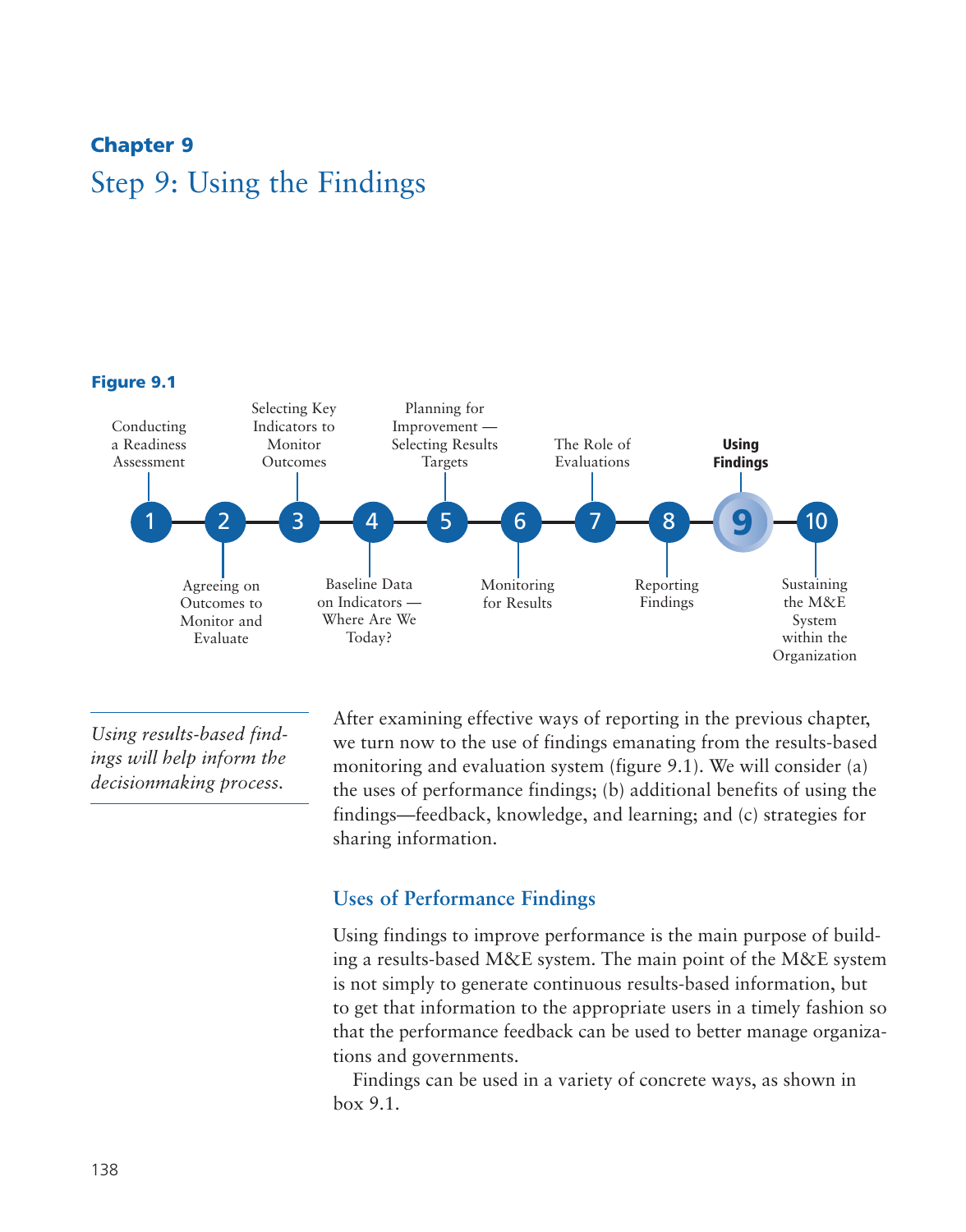# **Chapter 9** Step 9: Using the Findings

#### **Figure 9.1**



*Using results-based findings will help inform the decisionmaking process.*

After examining effective ways of reporting in the previous chapter, we turn now to the use of findings emanating from the results-based monitoring and evaluation system (figure 9.1). We will consider (a) the uses of performance findings; (b) additional benefits of using the findings—feedback, knowledge, and learning; and (c) strategies for sharing information.

## **Uses of Performance Findings**

Using findings to improve performance is the main purpose of building a results-based M&E system. The main point of the M&E system is not simply to generate continuous results-based information, but to get that information to the appropriate users in a timely fashion so that the performance feedback can be used to better manage organizations and governments.

Findings can be used in a variety of concrete ways, as shown in box 9.1.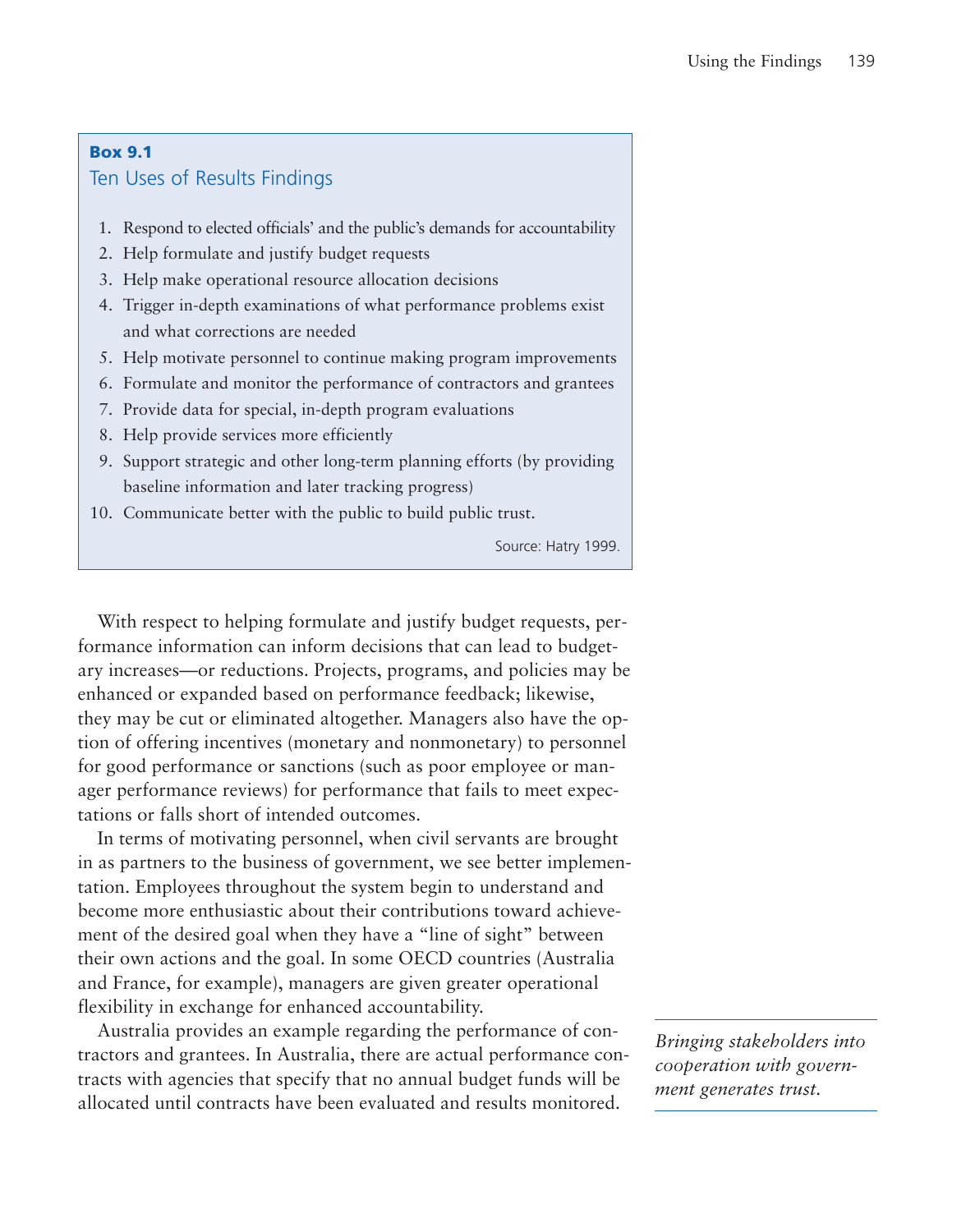## **Box 9.1**

## Ten Uses of Results Findings

- 1. Respond to elected officials' and the public's demands for accountability
- 2. Help formulate and justify budget requests
- 3. Help make operational resource allocation decisions
- 4. Trigger in-depth examinations of what performance problems exist and what corrections are needed
- 5. Help motivate personnel to continue making program improvements
- 6. Formulate and monitor the performance of contractors and grantees
- 7. Provide data for special, in-depth program evaluations
- 8. Help provide services more efficiently
- 9. Support strategic and other long-term planning efforts (by providing baseline information and later tracking progress)
- 10. Communicate better with the public to build public trust.

Source: Hatry 1999.

With respect to helping formulate and justify budget requests, performance information can inform decisions that can lead to budgetary increases—or reductions. Projects, programs, and policies may be enhanced or expanded based on performance feedback; likewise, they may be cut or eliminated altogether. Managers also have the option of offering incentives (monetary and nonmonetary) to personnel for good performance or sanctions (such as poor employee or manager performance reviews) for performance that fails to meet expectations or falls short of intended outcomes.

In terms of motivating personnel, when civil servants are brought in as partners to the business of government, we see better implementation. Employees throughout the system begin to understand and become more enthusiastic about their contributions toward achievement of the desired goal when they have a "line of sight" between their own actions and the goal. In some OECD countries (Australia and France, for example), managers are given greater operational flexibility in exchange for enhanced accountability.

Australia provides an example regarding the performance of contractors and grantees. In Australia, there are actual performance contracts with agencies that specify that no annual budget funds will be allocated until contracts have been evaluated and results monitored.

*Bringing stakeholders into cooperation with government generates trust.*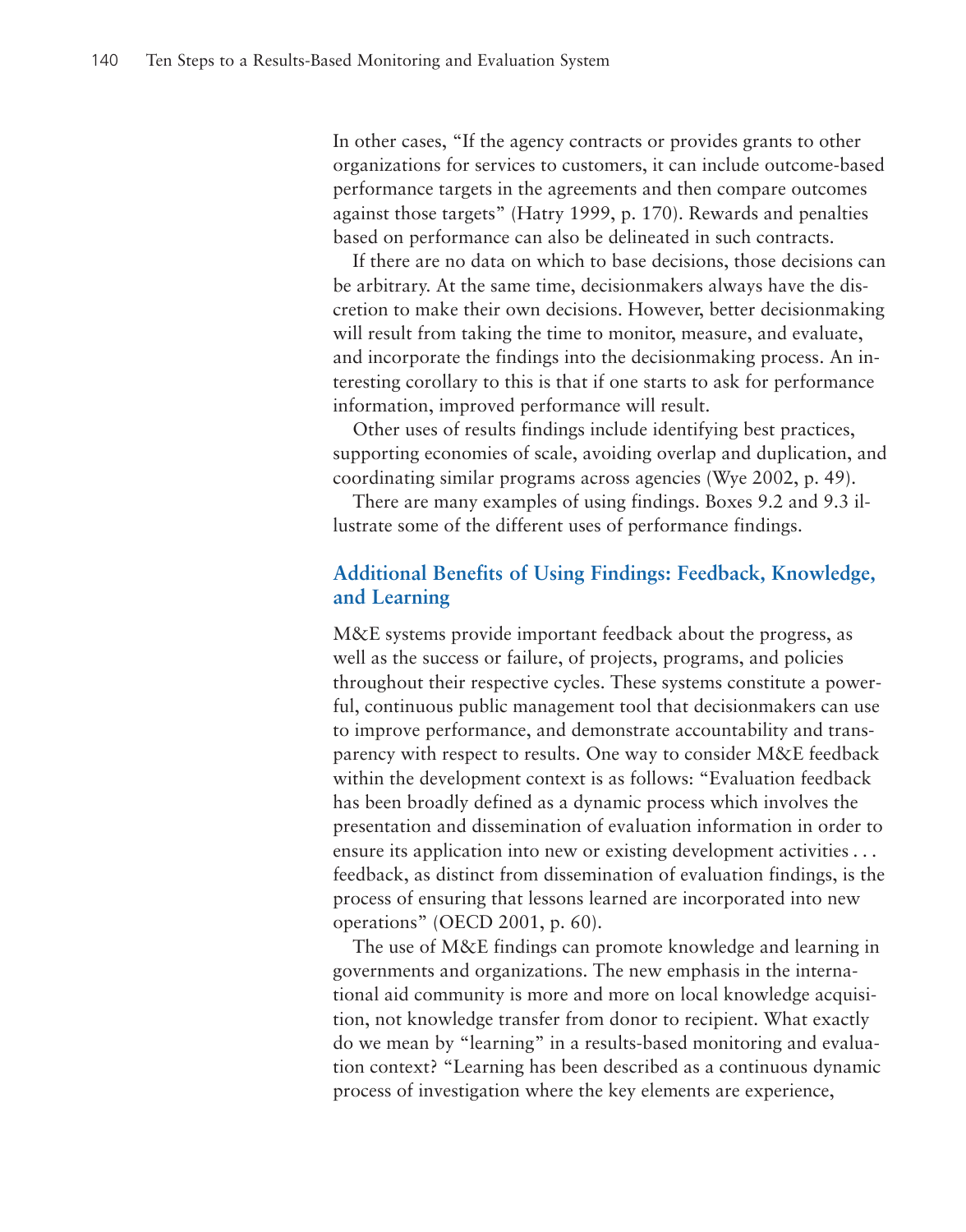In other cases, "If the agency contracts or provides grants to other organizations for services to customers, it can include outcome-based performance targets in the agreements and then compare outcomes against those targets" (Hatry 1999, p. 170). Rewards and penalties based on performance can also be delineated in such contracts.

If there are no data on which to base decisions, those decisions can be arbitrary. At the same time, decisionmakers always have the discretion to make their own decisions. However, better decisionmaking will result from taking the time to monitor, measure, and evaluate, and incorporate the findings into the decisionmaking process. An interesting corollary to this is that if one starts to ask for performance information, improved performance will result.

Other uses of results findings include identifying best practices, supporting economies of scale, avoiding overlap and duplication, and coordinating similar programs across agencies (Wye 2002, p. 49).

There are many examples of using findings. Boxes 9.2 and 9.3 illustrate some of the different uses of performance findings.

# **Additional Benefits of Using Findings: Feedback, Knowledge, and Learning**

M&E systems provide important feedback about the progress, as well as the success or failure, of projects, programs, and policies throughout their respective cycles. These systems constitute a powerful, continuous public management tool that decisionmakers can use to improve performance, and demonstrate accountability and transparency with respect to results. One way to consider M&E feedback within the development context is as follows: "Evaluation feedback has been broadly defined as a dynamic process which involves the presentation and dissemination of evaluation information in order to ensure its application into new or existing development activities . . . feedback, as distinct from dissemination of evaluation findings, is the process of ensuring that lessons learned are incorporated into new operations" (OECD 2001, p. 60).

The use of M&E findings can promote knowledge and learning in governments and organizations. The new emphasis in the international aid community is more and more on local knowledge acquisition, not knowledge transfer from donor to recipient. What exactly do we mean by "learning" in a results-based monitoring and evaluation context? "Learning has been described as a continuous dynamic process of investigation where the key elements are experience,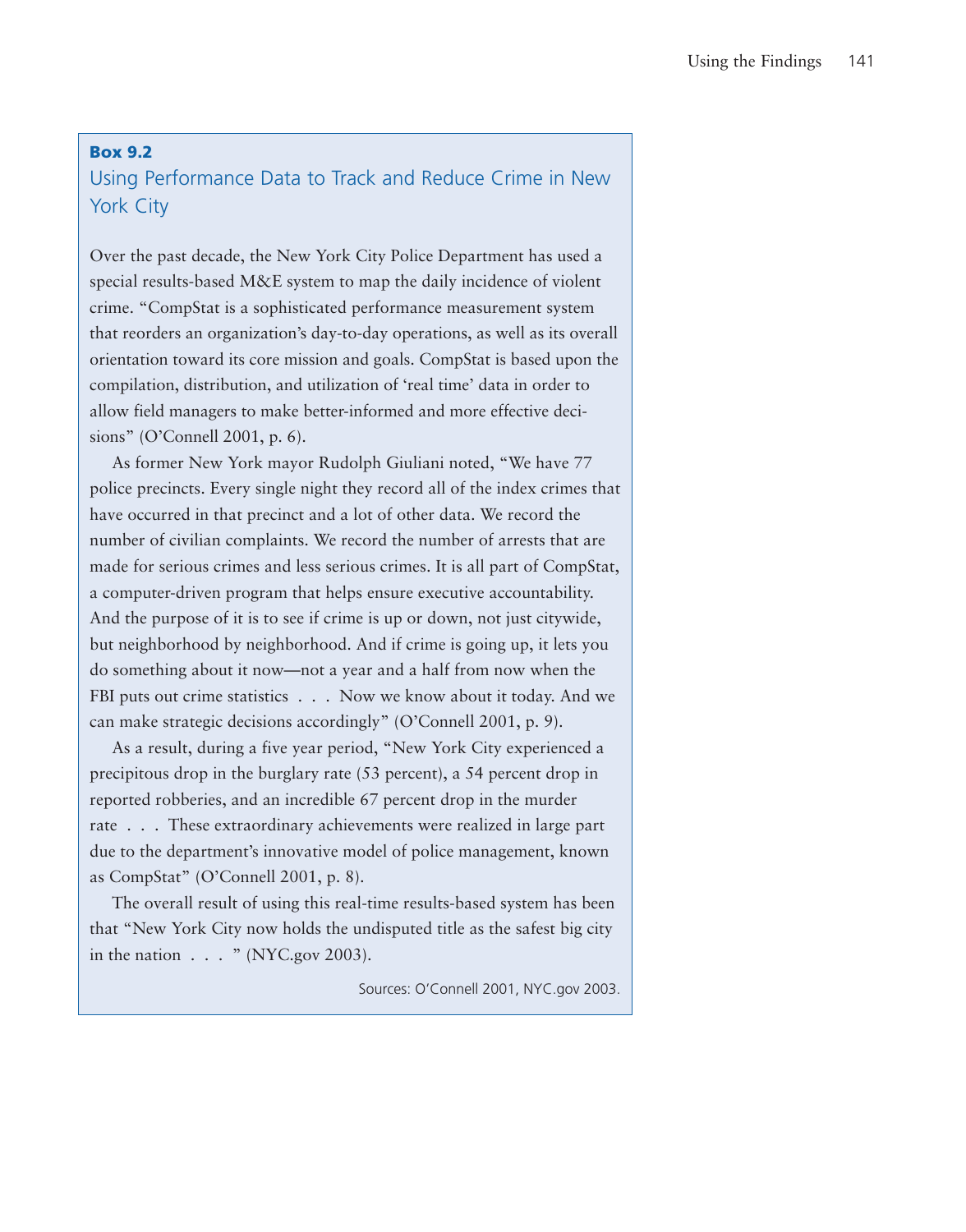#### **Box 9.2**

# Using Performance Data to Track and Reduce Crime in New York City

Over the past decade, the New York City Police Department has used a special results-based M&E system to map the daily incidence of violent crime. "CompStat is a sophisticated performance measurement system that reorders an organization's day-to-day operations, as well as its overall orientation toward its core mission and goals. CompStat is based upon the compilation, distribution, and utilization of 'real time' data in order to allow field managers to make better-informed and more effective decisions" (O'Connell 2001, p. 6).

As former New York mayor Rudolph Giuliani noted, "We have 77 police precincts. Every single night they record all of the index crimes that have occurred in that precinct and a lot of other data. We record the number of civilian complaints. We record the number of arrests that are made for serious crimes and less serious crimes. It is all part of CompStat, a computer-driven program that helps ensure executive accountability. And the purpose of it is to see if crime is up or down, not just citywide, but neighborhood by neighborhood. And if crime is going up, it lets you do something about it now—not a year and a half from now when the FBI puts out crime statistics . . . Now we know about it today. And we can make strategic decisions accordingly" (O'Connell 2001, p. 9).

As a result, during a five year period, "New York City experienced a precipitous drop in the burglary rate (53 percent), a 54 percent drop in reported robberies, and an incredible 67 percent drop in the murder rate . . . These extraordinary achievements were realized in large part due to the department's innovative model of police management, known as CompStat" (O'Connell 2001, p. 8).

The overall result of using this real-time results-based system has been that "New York City now holds the undisputed title as the safest big city in the nation  $\ldots$  " (NYC.gov 2003).

Sources: O'Connell 2001, NYC.gov 2003.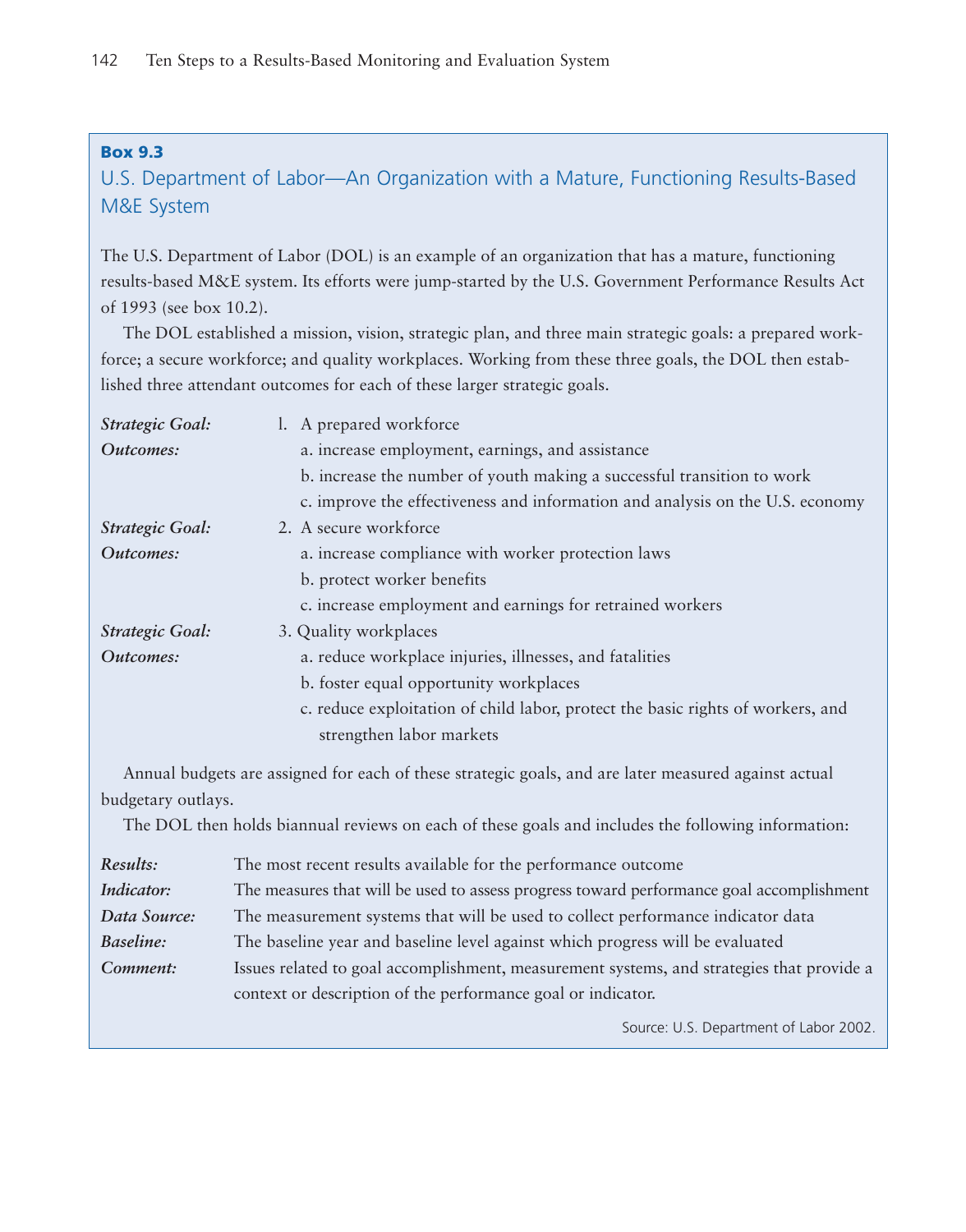#### **Box 9.3**

U.S. Department of Labor—An Organization with a Mature, Functioning Results-Based M&E System

The U.S. Department of Labor (DOL) is an example of an organization that has a mature, functioning results-based M&E system. Its efforts were jump-started by the U.S. Government Performance Results Act of 1993 (see box 10.2).

The DOL established a mission, vision, strategic plan, and three main strategic goals: a prepared workforce; a secure workforce; and quality workplaces. Working from these three goals, the DOL then established three attendant outcomes for each of these larger strategic goals.

| l. A prepared workforce                                                         |  |  |
|---------------------------------------------------------------------------------|--|--|
| a. increase employment, earnings, and assistance                                |  |  |
| b. increase the number of youth making a successful transition to work          |  |  |
| c. improve the effectiveness and information and analysis on the U.S. economy   |  |  |
| 2. A secure workforce                                                           |  |  |
| a. increase compliance with worker protection laws                              |  |  |
| b. protect worker benefits                                                      |  |  |
| c. increase employment and earnings for retrained workers                       |  |  |
| 3. Quality workplaces                                                           |  |  |
| a. reduce workplace injuries, illnesses, and fatalities                         |  |  |
| b. foster equal opportunity workplaces                                          |  |  |
| c. reduce exploitation of child labor, protect the basic rights of workers, and |  |  |
| strengthen labor markets                                                        |  |  |
|                                                                                 |  |  |

Annual budgets are assigned for each of these strategic goals, and are later measured against actual budgetary outlays.

The DOL then holds biannual reviews on each of these goals and includes the following information:

| Results:     | The most recent results available for the performance outcome                                                                                             |  |  |
|--------------|-----------------------------------------------------------------------------------------------------------------------------------------------------------|--|--|
| Indicator:   | The measures that will be used to assess progress toward performance goal accomplishment                                                                  |  |  |
| Data Source: | The measurement systems that will be used to collect performance indicator data                                                                           |  |  |
| Baseline:    | The baseline year and baseline level against which progress will be evaluated                                                                             |  |  |
| Comment:     | Issues related to goal accomplishment, measurement systems, and strategies that provide a<br>context or description of the performance goal or indicator. |  |  |
|              |                                                                                                                                                           |  |  |
|              | Source: U.S. Department of Labor 2002.                                                                                                                    |  |  |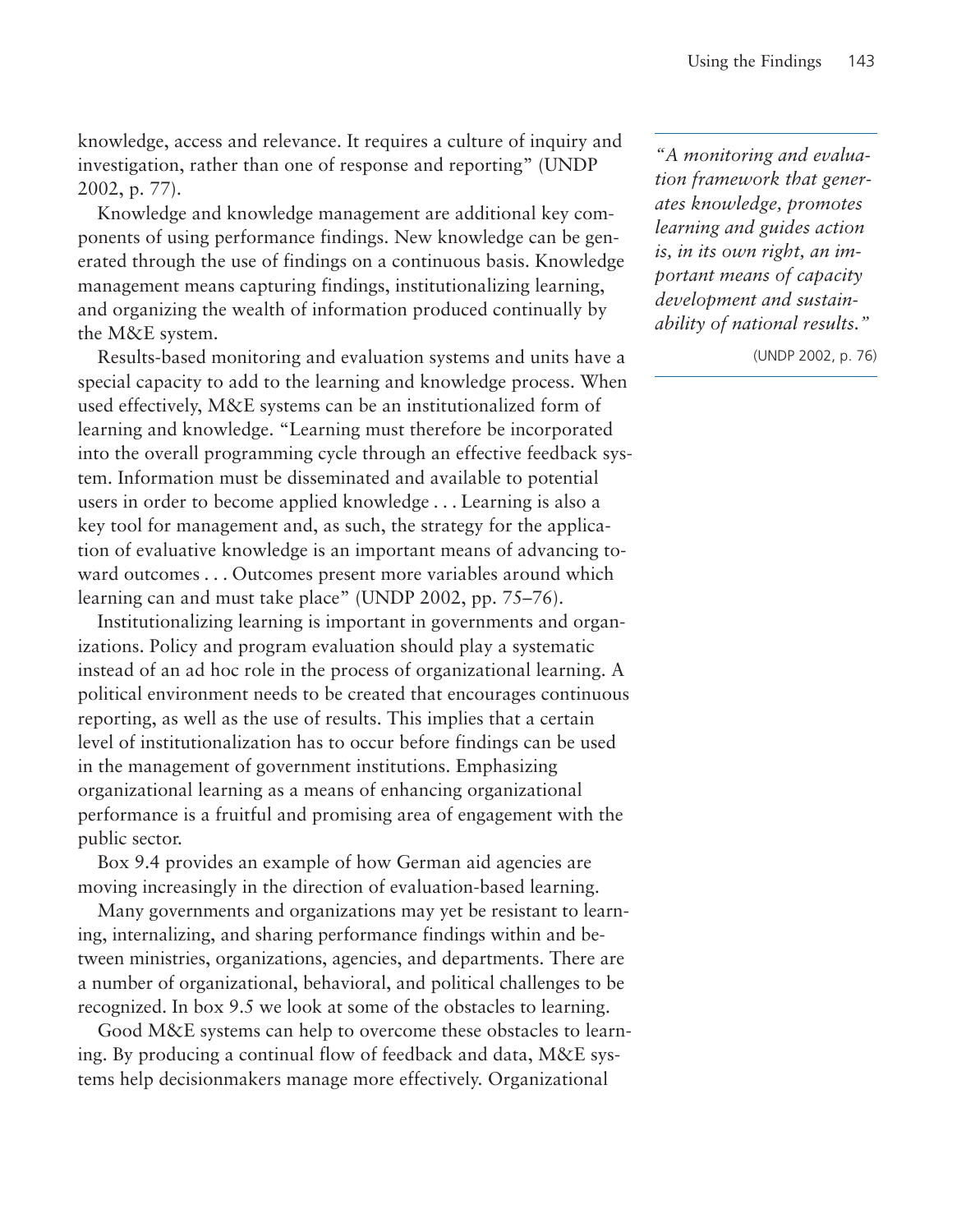knowledge, access and relevance. It requires a culture of inquiry and investigation, rather than one of response and reporting" (UNDP 2002, p. 77).

Knowledge and knowledge management are additional key components of using performance findings. New knowledge can be generated through the use of findings on a continuous basis. Knowledge management means capturing findings, institutionalizing learning, and organizing the wealth of information produced continually by the M&E system.

Results-based monitoring and evaluation systems and units have a special capacity to add to the learning and knowledge process. When used effectively, M&E systems can be an institutionalized form of learning and knowledge. "Learning must therefore be incorporated into the overall programming cycle through an effective feedback system. Information must be disseminated and available to potential users in order to become applied knowledge . . . Learning is also a key tool for management and, as such, the strategy for the application of evaluative knowledge is an important means of advancing toward outcomes . . . Outcomes present more variables around which learning can and must take place" (UNDP 2002, pp. 75–76).

Institutionalizing learning is important in governments and organizations. Policy and program evaluation should play a systematic instead of an ad hoc role in the process of organizational learning. A political environment needs to be created that encourages continuous reporting, as well as the use of results. This implies that a certain level of institutionalization has to occur before findings can be used in the management of government institutions. Emphasizing organizational learning as a means of enhancing organizational performance is a fruitful and promising area of engagement with the public sector.

Box 9.4 provides an example of how German aid agencies are moving increasingly in the direction of evaluation-based learning.

Many governments and organizations may yet be resistant to learning, internalizing, and sharing performance findings within and between ministries, organizations, agencies, and departments. There are a number of organizational, behavioral, and political challenges to be recognized. In box 9.5 we look at some of the obstacles to learning.

Good M&E systems can help to overcome these obstacles to learning. By producing a continual flow of feedback and data, M&E systems help decisionmakers manage more effectively. Organizational

*"A monitoring and evaluation framework that generates knowledge, promotes learning and guides action is, in its own right, an important means of capacity development and sustainability of national results."*

(UNDP 2002, p. 76)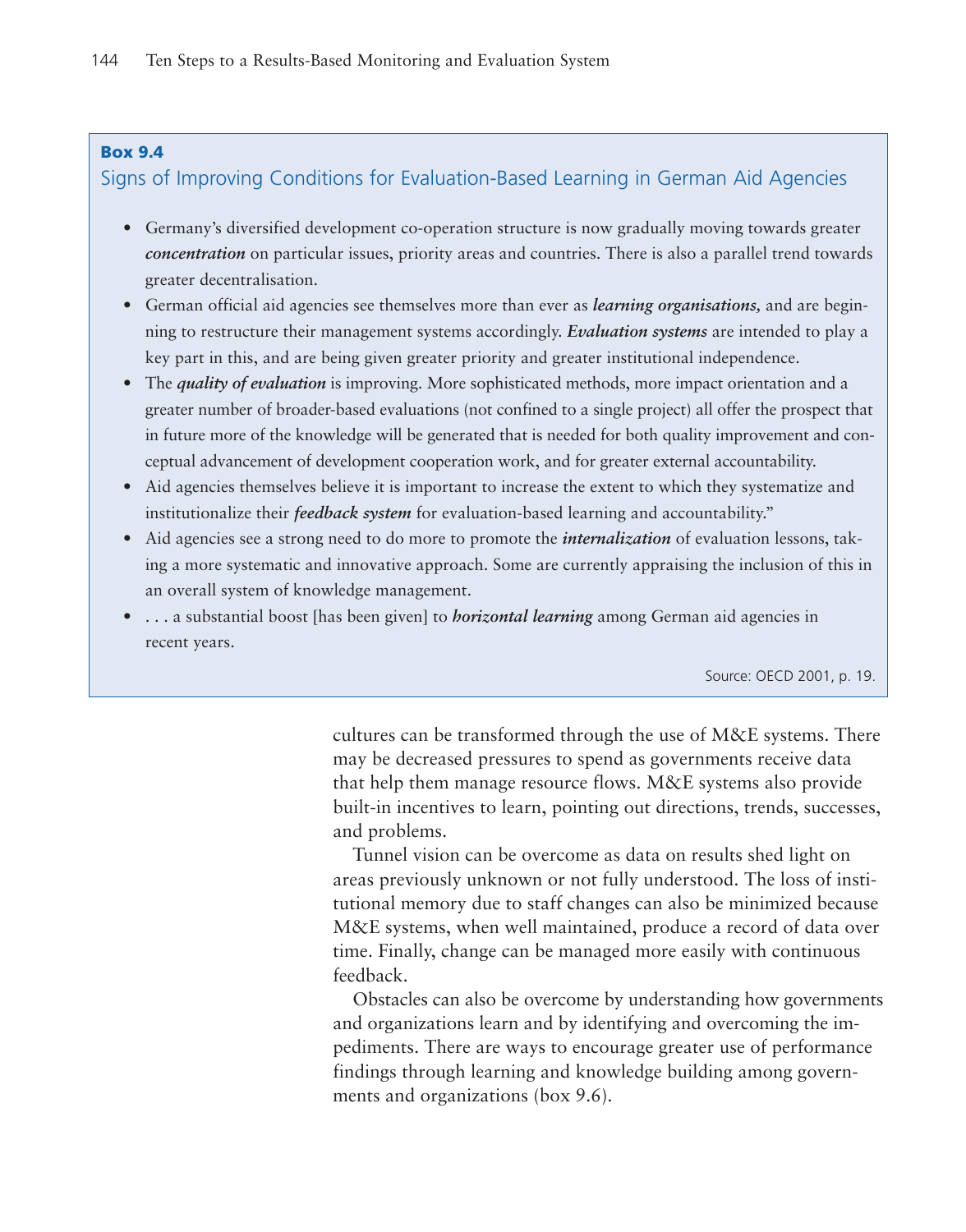#### **Box 9.4**

# Signs of Improving Conditions for Evaluation-Based Learning in German Aid Agencies

- Germany's diversified development co-operation structure is now gradually moving towards greater *concentration* on particular issues, priority areas and countries. There is also a parallel trend towards greater decentralisation.
- German official aid agencies see themselves more than ever as *learning organisations,* and are beginning to restructure their management systems accordingly. *Evaluation systems* are intended to play a key part in this, and are being given greater priority and greater institutional independence.
- The *quality of evaluation* is improving. More sophisticated methods, more impact orientation and a greater number of broader-based evaluations (not confined to a single project) all offer the prospect that in future more of the knowledge will be generated that is needed for both quality improvement and conceptual advancement of development cooperation work, and for greater external accountability.
- Aid agencies themselves believe it is important to increase the extent to which they systematize and institutionalize their *feedback system* for evaluation-based learning and accountability."
- Aid agencies see a strong need to do more to promote the *internalization* of evaluation lessons, taking a more systematic and innovative approach. Some are currently appraising the inclusion of this in an overall system of knowledge management.
- . . . a substantial boost [has been given] to *horizontal learning* among German aid agencies in recent years.

Source: OECD 2001, p. 19.

cultures can be transformed through the use of M&E systems. There may be decreased pressures to spend as governments receive data that help them manage resource flows. M&E systems also provide built-in incentives to learn, pointing out directions, trends, successes, and problems.

Tunnel vision can be overcome as data on results shed light on areas previously unknown or not fully understood. The loss of institutional memory due to staff changes can also be minimized because M&E systems, when well maintained, produce a record of data over time. Finally, change can be managed more easily with continuous feedback.

Obstacles can also be overcome by understanding how governments and organizations learn and by identifying and overcoming the impediments. There are ways to encourage greater use of performance findings through learning and knowledge building among governments and organizations (box 9.6).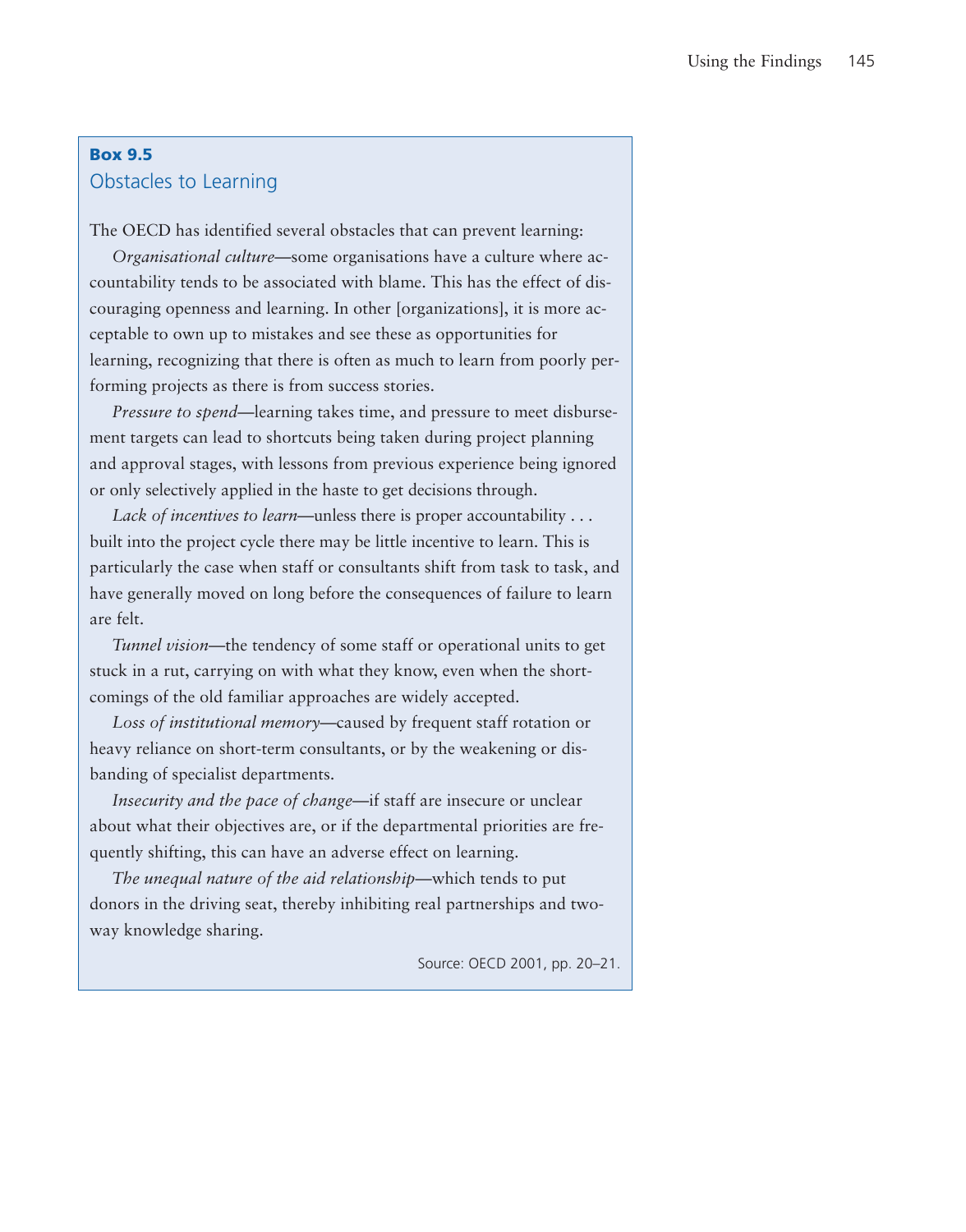# **Box 9.5** Obstacles to Learning

The OECD has identified several obstacles that can prevent learning:

*Organisational culture*—some organisations have a culture where accountability tends to be associated with blame. This has the effect of discouraging openness and learning. In other [organizations], it is more acceptable to own up to mistakes and see these as opportunities for learning, recognizing that there is often as much to learn from poorly performing projects as there is from success stories.

*Pressure to spend*—learning takes time, and pressure to meet disbursement targets can lead to shortcuts being taken during project planning and approval stages, with lessons from previous experience being ignored or only selectively applied in the haste to get decisions through.

*Lack of incentives to learn*—unless there is proper accountability . . . built into the project cycle there may be little incentive to learn. This is particularly the case when staff or consultants shift from task to task, and have generally moved on long before the consequences of failure to learn are felt.

*Tunnel vision*—the tendency of some staff or operational units to get stuck in a rut, carrying on with what they know, even when the shortcomings of the old familiar approaches are widely accepted.

*Loss of institutional memory*—caused by frequent staff rotation or heavy reliance on short-term consultants, or by the weakening or disbanding of specialist departments.

*Insecurity and the pace of change*—if staff are insecure or unclear about what their objectives are, or if the departmental priorities are frequently shifting, this can have an adverse effect on learning.

*The unequal nature of the aid relationship*—which tends to put donors in the driving seat, thereby inhibiting real partnerships and twoway knowledge sharing.

Source: OECD 2001, pp. 20–21.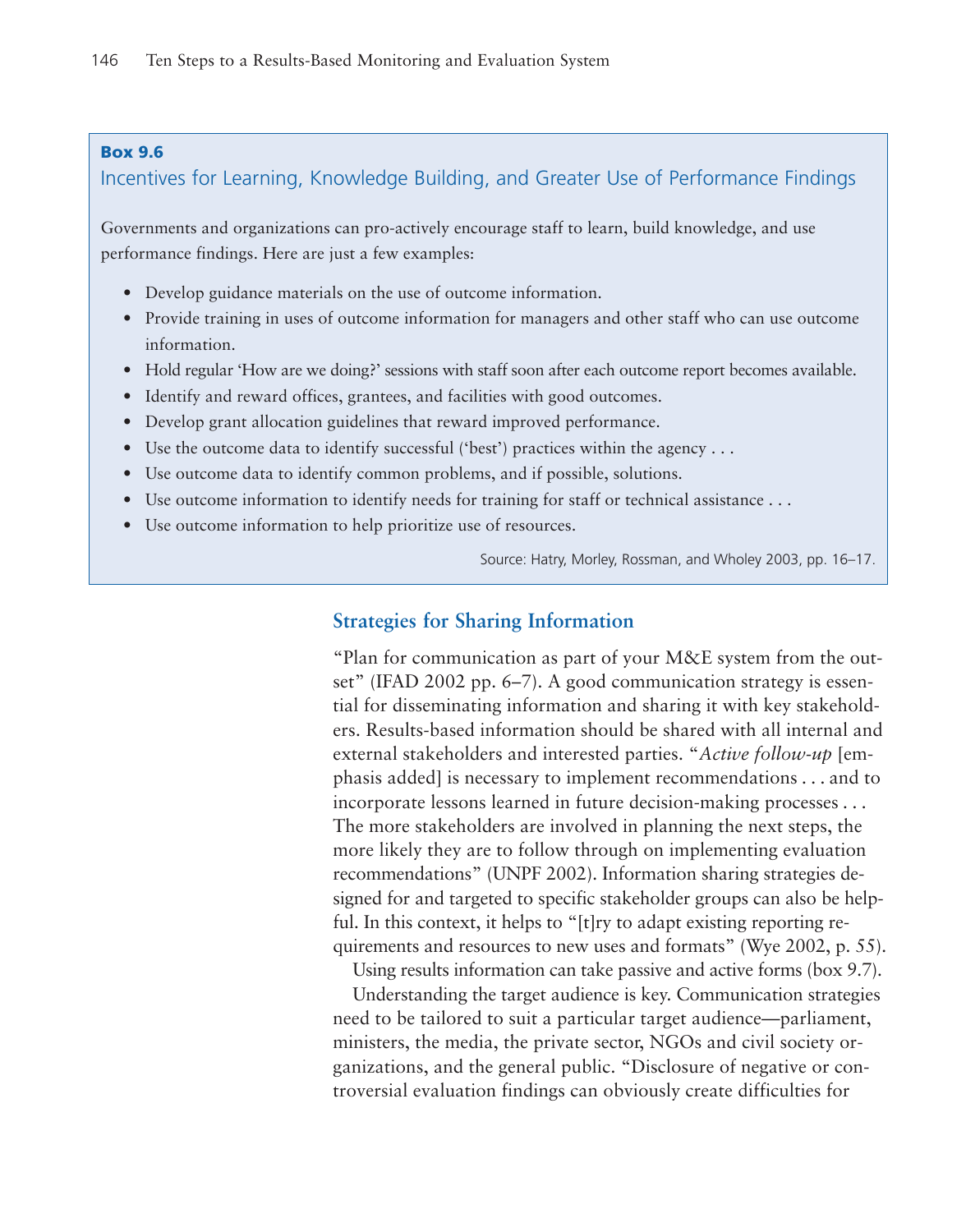#### **Box 9.6**

# Incentives for Learning, Knowledge Building, and Greater Use of Performance Findings

Governments and organizations can pro-actively encourage staff to learn, build knowledge, and use performance findings. Here are just a few examples:

- Develop guidance materials on the use of outcome information.
- Provide training in uses of outcome information for managers and other staff who can use outcome information.
- Hold regular 'How are we doing?' sessions with staff soon after each outcome report becomes available.
- Identify and reward offices, grantees, and facilities with good outcomes.
- Develop grant allocation guidelines that reward improved performance.
- Use the outcome data to identify successful ('best') practices within the agency  $\dots$
- Use outcome data to identify common problems, and if possible, solutions.
- Use outcome information to identify needs for training for staff or technical assistance . . .
- Use outcome information to help prioritize use of resources.

Source: Hatry, Morley, Rossman, and Wholey 2003, pp. 16–17.

## **Strategies for Sharing Information**

"Plan for communication as part of your M&E system from the outset" (IFAD 2002 pp. 6–7). A good communication strategy is essential for disseminating information and sharing it with key stakeholders. Results-based information should be shared with all internal and external stakeholders and interested parties. "*Active follow-up* [emphasis added] is necessary to implement recommendations . . . and to incorporate lessons learned in future decision-making processes . . . The more stakeholders are involved in planning the next steps, the more likely they are to follow through on implementing evaluation recommendations" (UNPF 2002). Information sharing strategies designed for and targeted to specific stakeholder groups can also be helpful. In this context, it helps to "[t]ry to adapt existing reporting requirements and resources to new uses and formats" (Wye 2002, p. 55).

Using results information can take passive and active forms (box 9.7).

Understanding the target audience is key. Communication strategies need to be tailored to suit a particular target audience—parliament, ministers, the media, the private sector, NGOs and civil society organizations, and the general public. "Disclosure of negative or controversial evaluation findings can obviously create difficulties for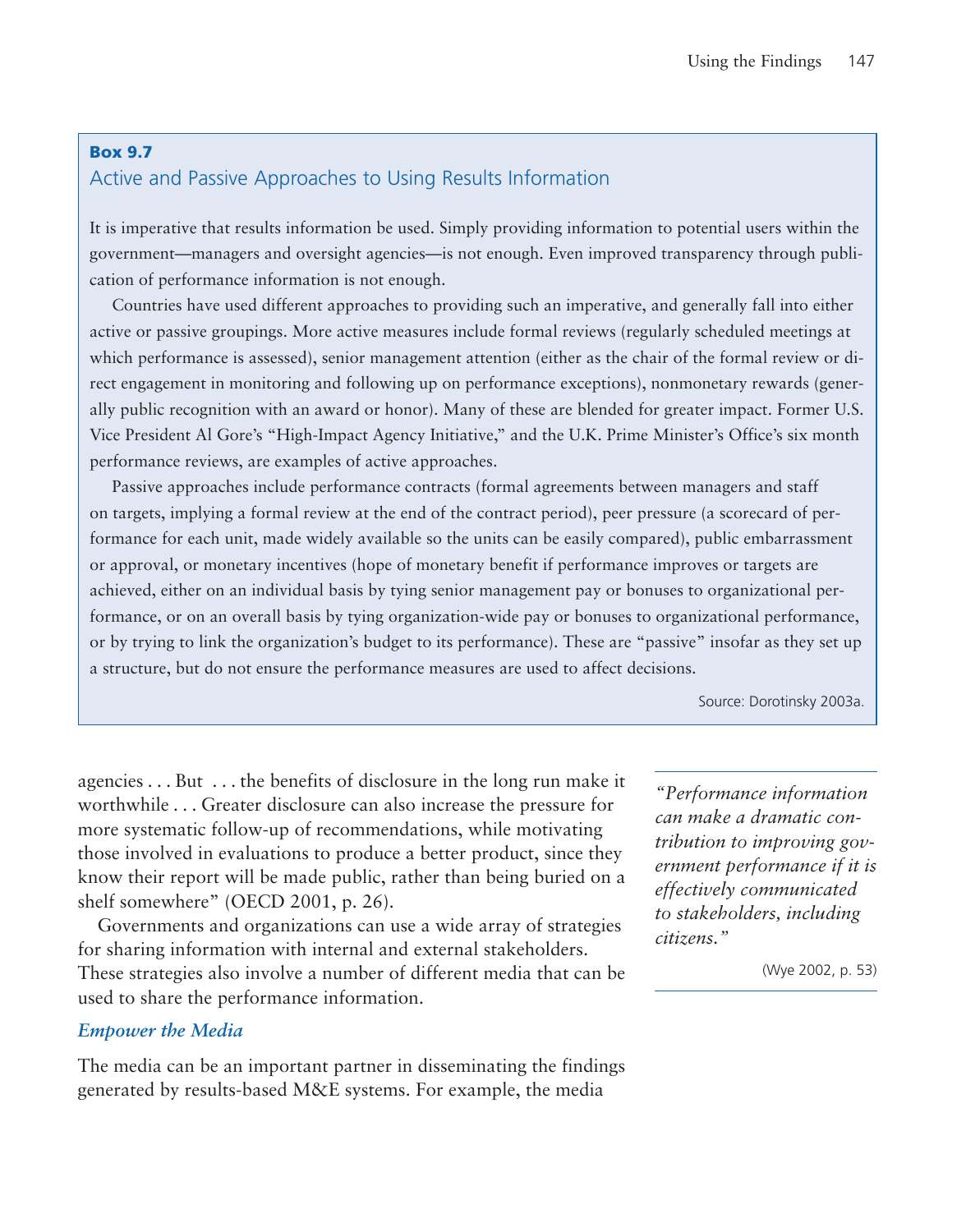## **Box 9.7**

# Active and Passive Approaches to Using Results Information

It is imperative that results information be used. Simply providing information to potential users within the government—managers and oversight agencies—is not enough. Even improved transparency through publication of performance information is not enough.

Countries have used different approaches to providing such an imperative, and generally fall into either active or passive groupings. More active measures include formal reviews (regularly scheduled meetings at which performance is assessed), senior management attention (either as the chair of the formal review or direct engagement in monitoring and following up on performance exceptions), nonmonetary rewards (generally public recognition with an award or honor). Many of these are blended for greater impact. Former U.S. Vice President Al Gore's "High-Impact Agency Initiative," and the U.K. Prime Minister's Office's six month performance reviews, are examples of active approaches.

Passive approaches include performance contracts (formal agreements between managers and staff on targets, implying a formal review at the end of the contract period), peer pressure (a scorecard of performance for each unit, made widely available so the units can be easily compared), public embarrassment or approval, or monetary incentives (hope of monetary benefit if performance improves or targets are achieved, either on an individual basis by tying senior management pay or bonuses to organizational performance, or on an overall basis by tying organization-wide pay or bonuses to organizational performance, or by trying to link the organization's budget to its performance). These are "passive" insofar as they set up a structure, but do not ensure the performance measures are used to affect decisions.

Source: Dorotinsky 2003a.

agencies . . . But . . . the benefits of disclosure in the long run make it worthwhile . . . Greater disclosure can also increase the pressure for more systematic follow-up of recommendations, while motivating those involved in evaluations to produce a better product, since they know their report will be made public, rather than being buried on a shelf somewhere" (OECD 2001, p. 26).

Governments and organizations can use a wide array of strategies for sharing information with internal and external stakeholders. These strategies also involve a number of different media that can be used to share the performance information.

### *Empower the Media*

The media can be an important partner in disseminating the findings generated by results-based M&E systems. For example, the media

*"Performance information can make a dramatic contribution to improving government performance if it is effectively communicated to stakeholders, including citizens."*

(Wye 2002, p. 53)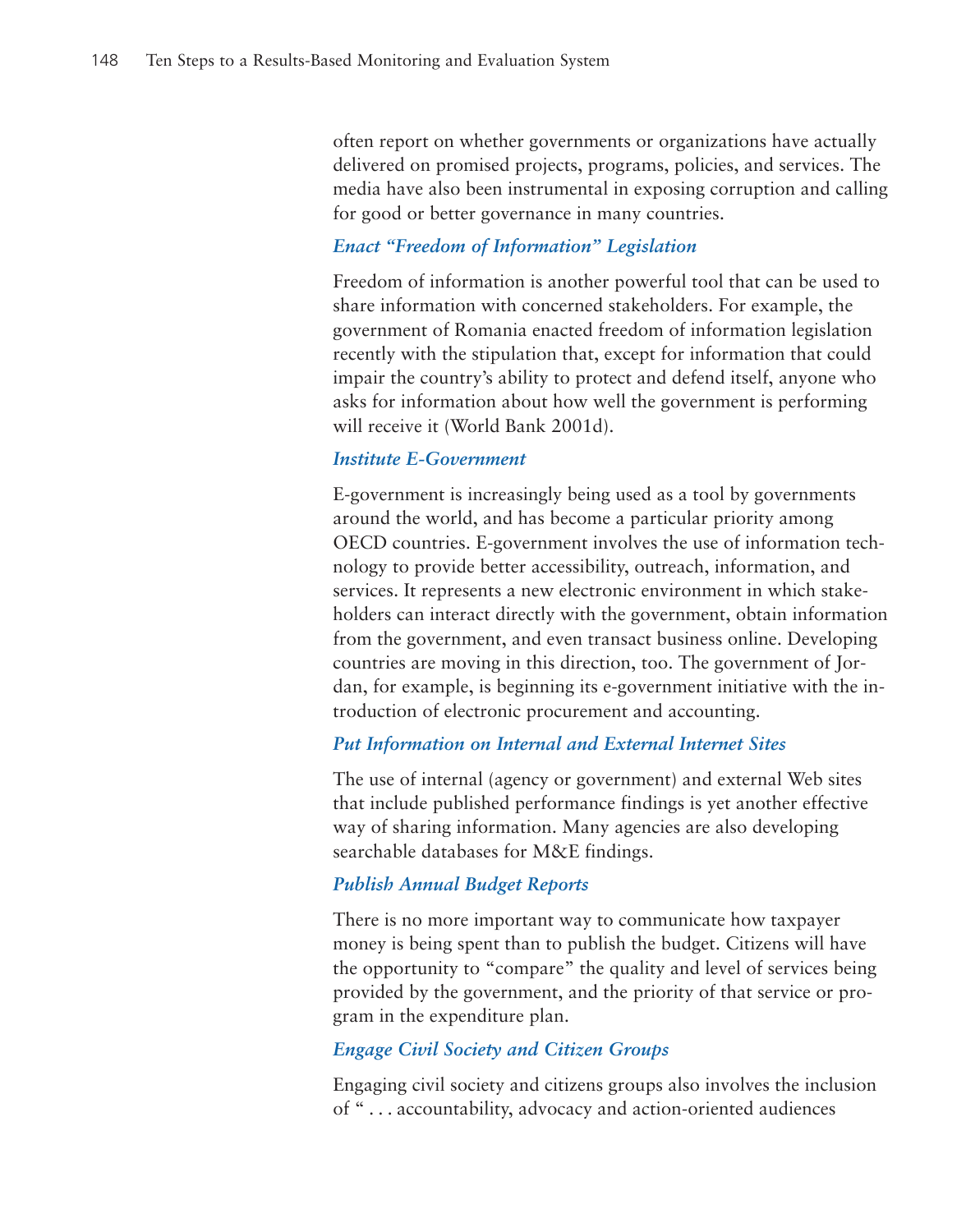often report on whether governments or organizations have actually delivered on promised projects, programs, policies, and services. The media have also been instrumental in exposing corruption and calling for good or better governance in many countries.

## *Enact "Freedom of Information" Legislation*

Freedom of information is another powerful tool that can be used to share information with concerned stakeholders. For example, the government of Romania enacted freedom of information legislation recently with the stipulation that, except for information that could impair the country's ability to protect and defend itself, anyone who asks for information about how well the government is performing will receive it (World Bank 2001d).

## *Institute E-Government*

E-government is increasingly being used as a tool by governments around the world, and has become a particular priority among OECD countries. E-government involves the use of information technology to provide better accessibility, outreach, information, and services. It represents a new electronic environment in which stakeholders can interact directly with the government, obtain information from the government, and even transact business online. Developing countries are moving in this direction, too. The government of Jordan, for example, is beginning its e-government initiative with the introduction of electronic procurement and accounting.

#### *Put Information on Internal and External Internet Sites*

The use of internal (agency or government) and external Web sites that include published performance findings is yet another effective way of sharing information. Many agencies are also developing searchable databases for M&E findings.

## *Publish Annual Budget Reports*

There is no more important way to communicate how taxpayer money is being spent than to publish the budget. Citizens will have the opportunity to "compare" the quality and level of services being provided by the government, and the priority of that service or program in the expenditure plan.

## *Engage Civil Society and Citizen Groups*

Engaging civil society and citizens groups also involves the inclusion of " . . . accountability, advocacy and action-oriented audiences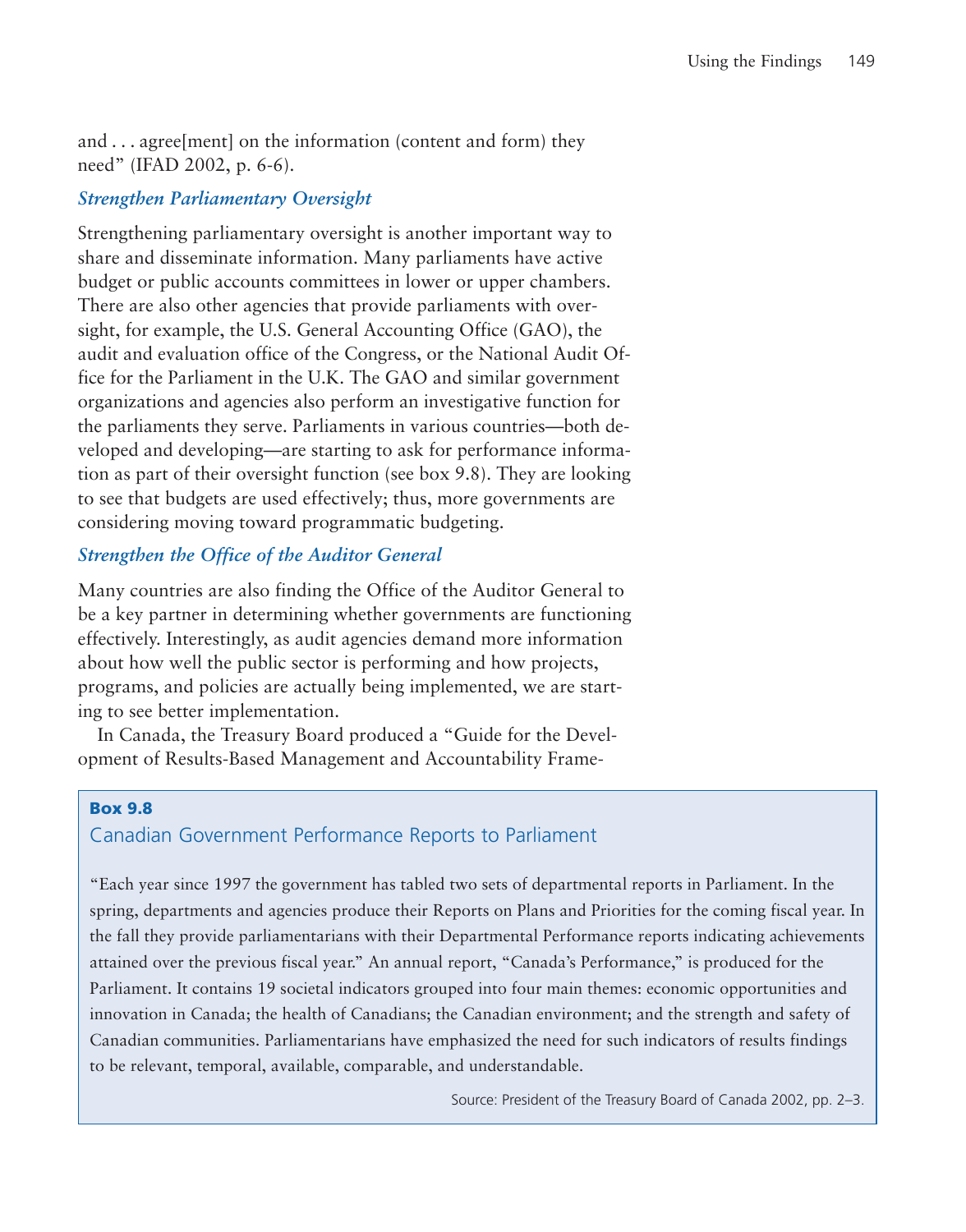and . . . agree[ment] on the information (content and form) they need" (IFAD 2002, p. 6-6).

# *Strengthen Parliamentary Oversight*

Strengthening parliamentary oversight is another important way to share and disseminate information. Many parliaments have active budget or public accounts committees in lower or upper chambers. There are also other agencies that provide parliaments with oversight, for example, the U.S. General Accounting Office (GAO), the audit and evaluation office of the Congress, or the National Audit Office for the Parliament in the U.K. The GAO and similar government organizations and agencies also perform an investigative function for the parliaments they serve. Parliaments in various countries—both developed and developing—are starting to ask for performance information as part of their oversight function (see box 9.8). They are looking to see that budgets are used effectively; thus, more governments are considering moving toward programmatic budgeting.

## *Strengthen the Office of the Auditor General*

Many countries are also finding the Office of the Auditor General to be a key partner in determining whether governments are functioning effectively. Interestingly, as audit agencies demand more information about how well the public sector is performing and how projects, programs, and policies are actually being implemented, we are starting to see better implementation.

In Canada, the Treasury Board produced a "Guide for the Development of Results-Based Management and Accountability Frame-

#### **Box 9.8**

# Canadian Government Performance Reports to Parliament

"Each year since 1997 the government has tabled two sets of departmental reports in Parliament. In the spring, departments and agencies produce their Reports on Plans and Priorities for the coming fiscal year. In the fall they provide parliamentarians with their Departmental Performance reports indicating achievements attained over the previous fiscal year." An annual report, "Canada's Performance," is produced for the Parliament. It contains 19 societal indicators grouped into four main themes: economic opportunities and innovation in Canada; the health of Canadians; the Canadian environment; and the strength and safety of Canadian communities. Parliamentarians have emphasized the need for such indicators of results findings to be relevant, temporal, available, comparable, and understandable.

Source: President of the Treasury Board of Canada 2002, pp. 2–3.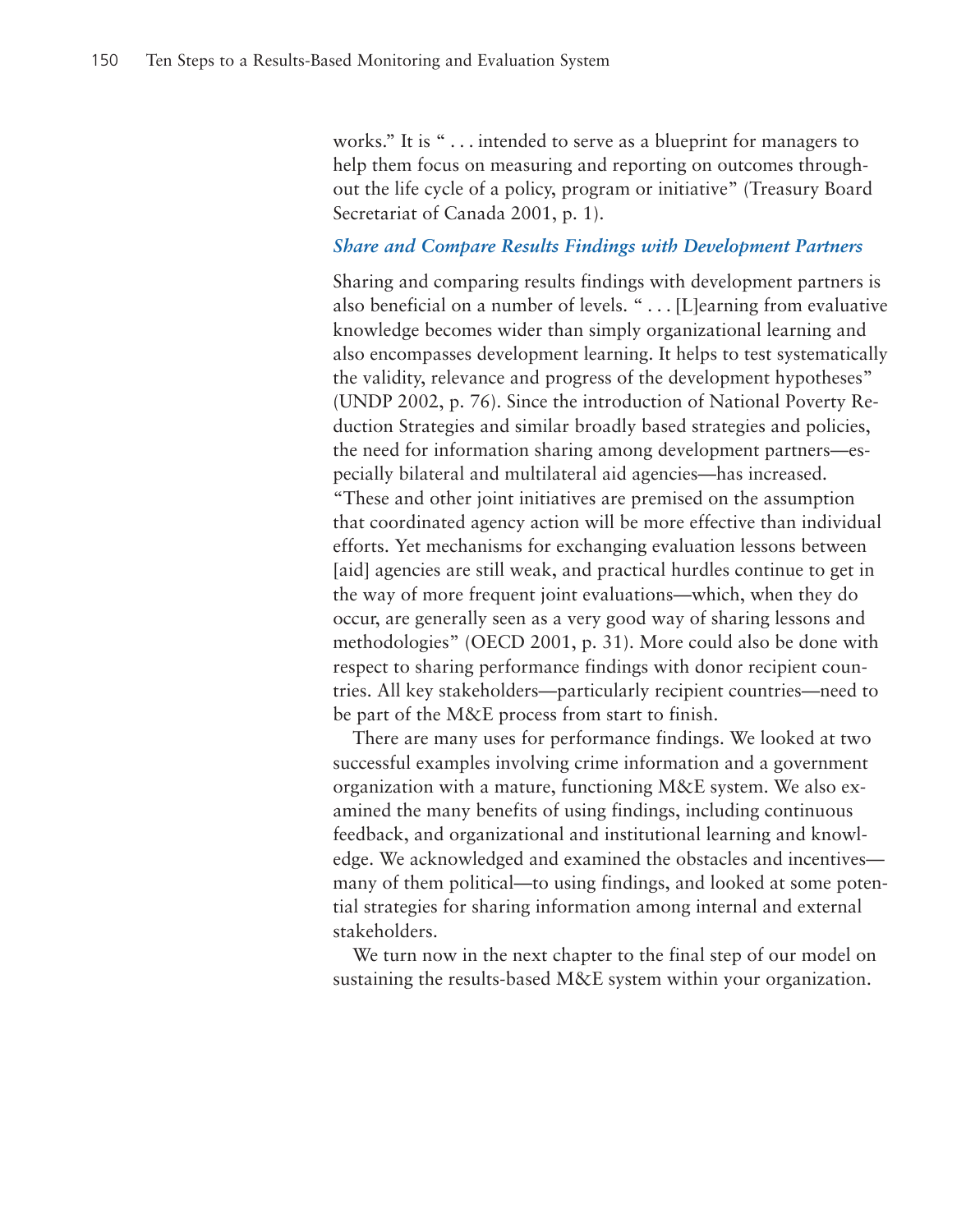works." It is "... intended to serve as a blueprint for managers to help them focus on measuring and reporting on outcomes throughout the life cycle of a policy, program or initiative" (Treasury Board Secretariat of Canada 2001, p. 1).

#### *Share and Compare Results Findings with Development Partners*

Sharing and comparing results findings with development partners is also beneficial on a number of levels. " . . . [L]earning from evaluative knowledge becomes wider than simply organizational learning and also encompasses development learning. It helps to test systematically the validity, relevance and progress of the development hypotheses" (UNDP 2002, p. 76). Since the introduction of National Poverty Reduction Strategies and similar broadly based strategies and policies, the need for information sharing among development partners—especially bilateral and multilateral aid agencies—has increased. "These and other joint initiatives are premised on the assumption that coordinated agency action will be more effective than individual efforts. Yet mechanisms for exchanging evaluation lessons between [aid] agencies are still weak, and practical hurdles continue to get in the way of more frequent joint evaluations—which, when they do occur, are generally seen as a very good way of sharing lessons and methodologies" (OECD 2001, p. 31). More could also be done with respect to sharing performance findings with donor recipient countries. All key stakeholders—particularly recipient countries—need to be part of the M&E process from start to finish.

There are many uses for performance findings. We looked at two successful examples involving crime information and a government organization with a mature, functioning M&E system. We also examined the many benefits of using findings, including continuous feedback, and organizational and institutional learning and knowledge. We acknowledged and examined the obstacles and incentives many of them political—to using findings, and looked at some potential strategies for sharing information among internal and external stakeholders.

We turn now in the next chapter to the final step of our model on sustaining the results-based M&E system within your organization.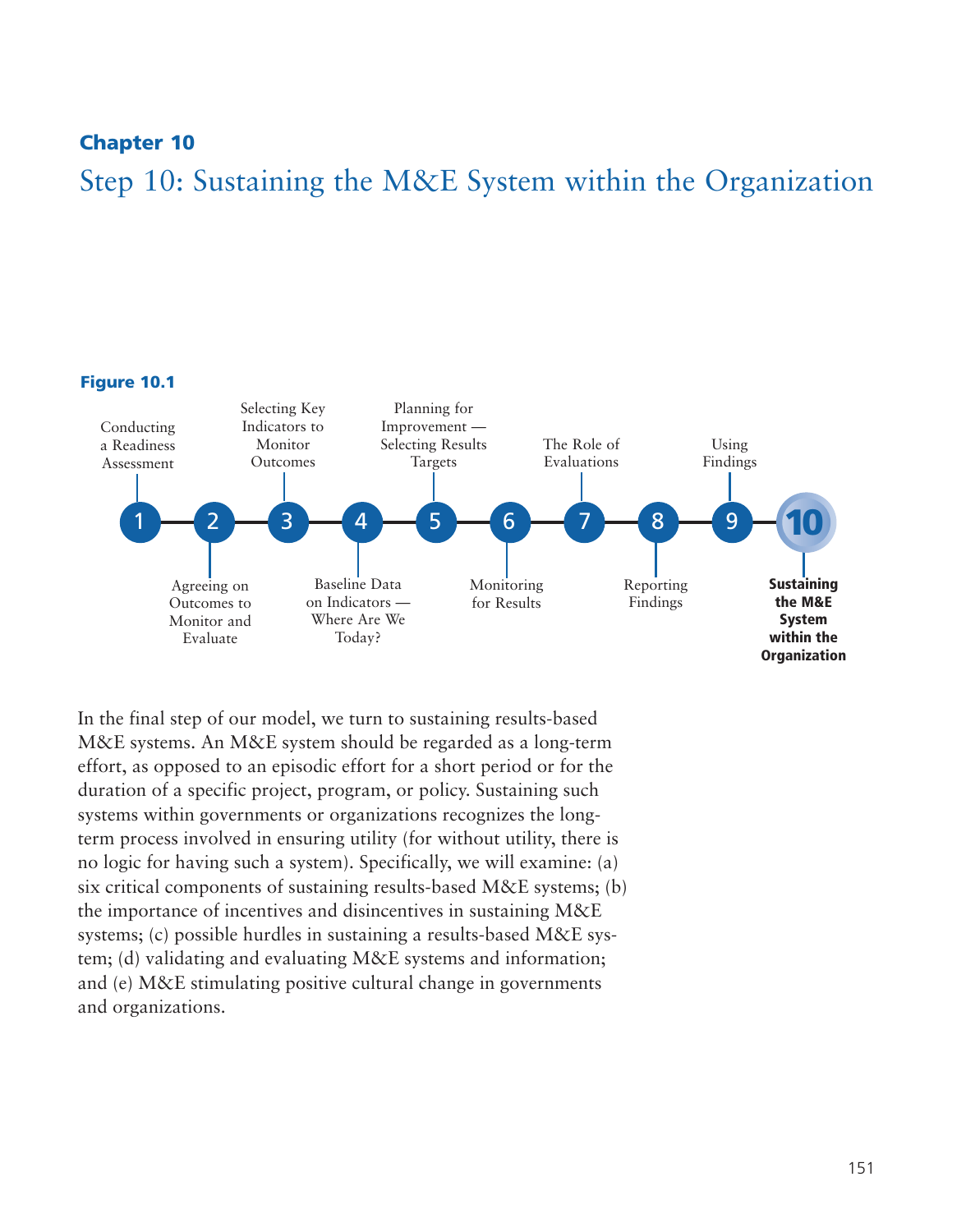# **Chapter 10**

# Step 10: Sustaining the M&E System within the Organization

#### **Figure 10.1**



In the final step of our model, we turn to sustaining results-based M&E systems. An M&E system should be regarded as a long-term effort, as opposed to an episodic effort for a short period or for the duration of a specific project, program, or policy. Sustaining such systems within governments or organizations recognizes the longterm process involved in ensuring utility (for without utility, there is no logic for having such a system). Specifically, we will examine: (a) six critical components of sustaining results-based M&E systems; (b) the importance of incentives and disincentives in sustaining M&E systems; (c) possible hurdles in sustaining a results-based M&E system; (d) validating and evaluating M&E systems and information; and (e) M&E stimulating positive cultural change in governments and organizations.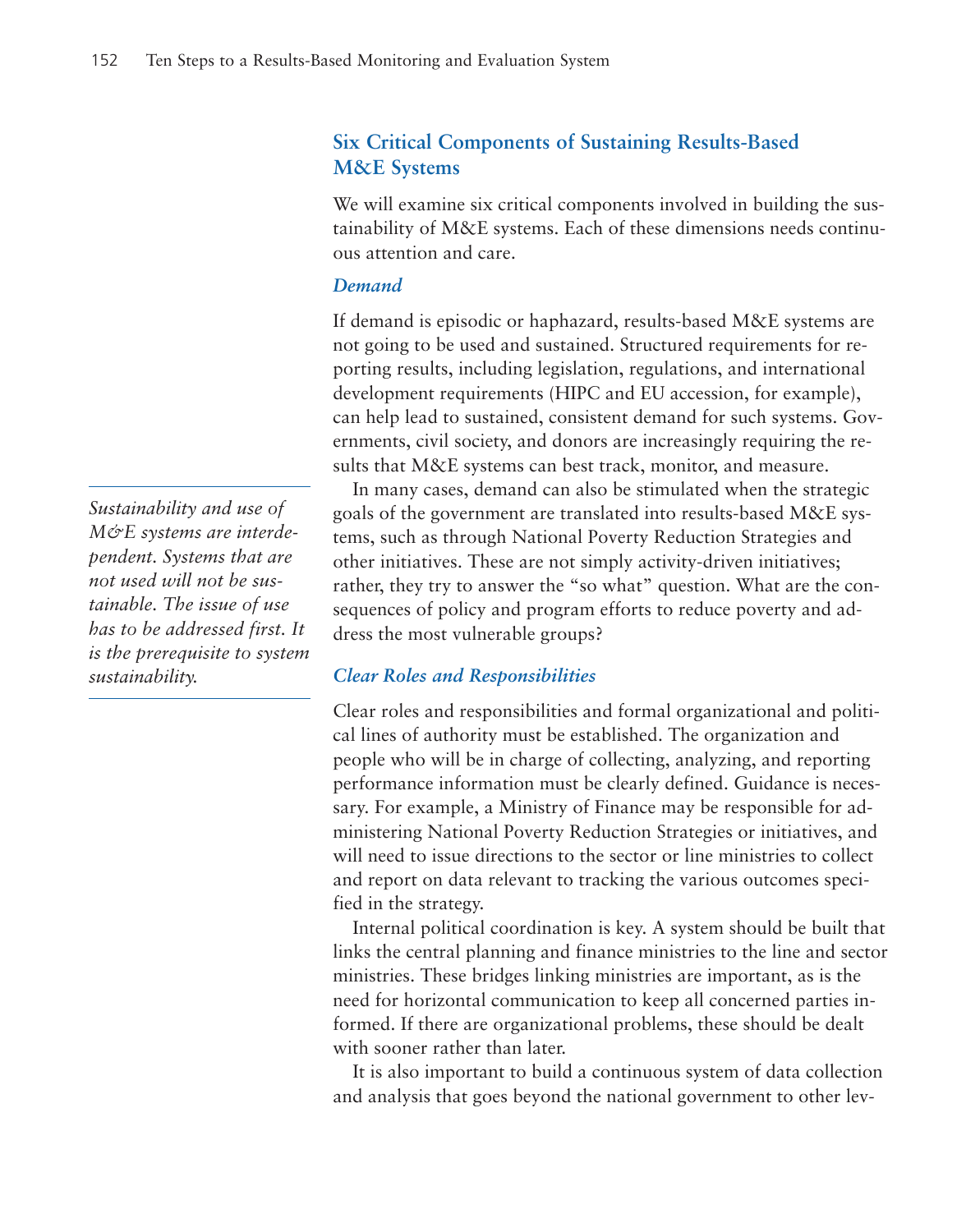# **Six Critical Components of Sustaining Results-Based M&E Systems**

We will examine six critical components involved in building the sustainability of M&E systems. Each of these dimensions needs continuous attention and care.

## *Demand*

If demand is episodic or haphazard, results-based M&E systems are not going to be used and sustained. Structured requirements for reporting results, including legislation, regulations, and international development requirements (HIPC and EU accession, for example), can help lead to sustained, consistent demand for such systems. Governments, civil society, and donors are increasingly requiring the results that M&E systems can best track, monitor, and measure.

In many cases, demand can also be stimulated when the strategic goals of the government are translated into results-based M&E systems, such as through National Poverty Reduction Strategies and other initiatives. These are not simply activity-driven initiatives; rather, they try to answer the "so what" question. What are the consequences of policy and program efforts to reduce poverty and address the most vulnerable groups?

## *Clear Roles and Responsibilities*

Clear roles and responsibilities and formal organizational and political lines of authority must be established. The organization and people who will be in charge of collecting, analyzing, and reporting performance information must be clearly defined. Guidance is necessary. For example, a Ministry of Finance may be responsible for administering National Poverty Reduction Strategies or initiatives, and will need to issue directions to the sector or line ministries to collect and report on data relevant to tracking the various outcomes specified in the strategy.

Internal political coordination is key. A system should be built that links the central planning and finance ministries to the line and sector ministries. These bridges linking ministries are important, as is the need for horizontal communication to keep all concerned parties informed. If there are organizational problems, these should be dealt with sooner rather than later.

It is also important to build a continuous system of data collection and analysis that goes beyond the national government to other lev-

*Sustainability and use of M&E systems are interdependent. Systems that are not used will not be sustainable. The issue of use has to be addressed first. It is the prerequisite to system sustainability.*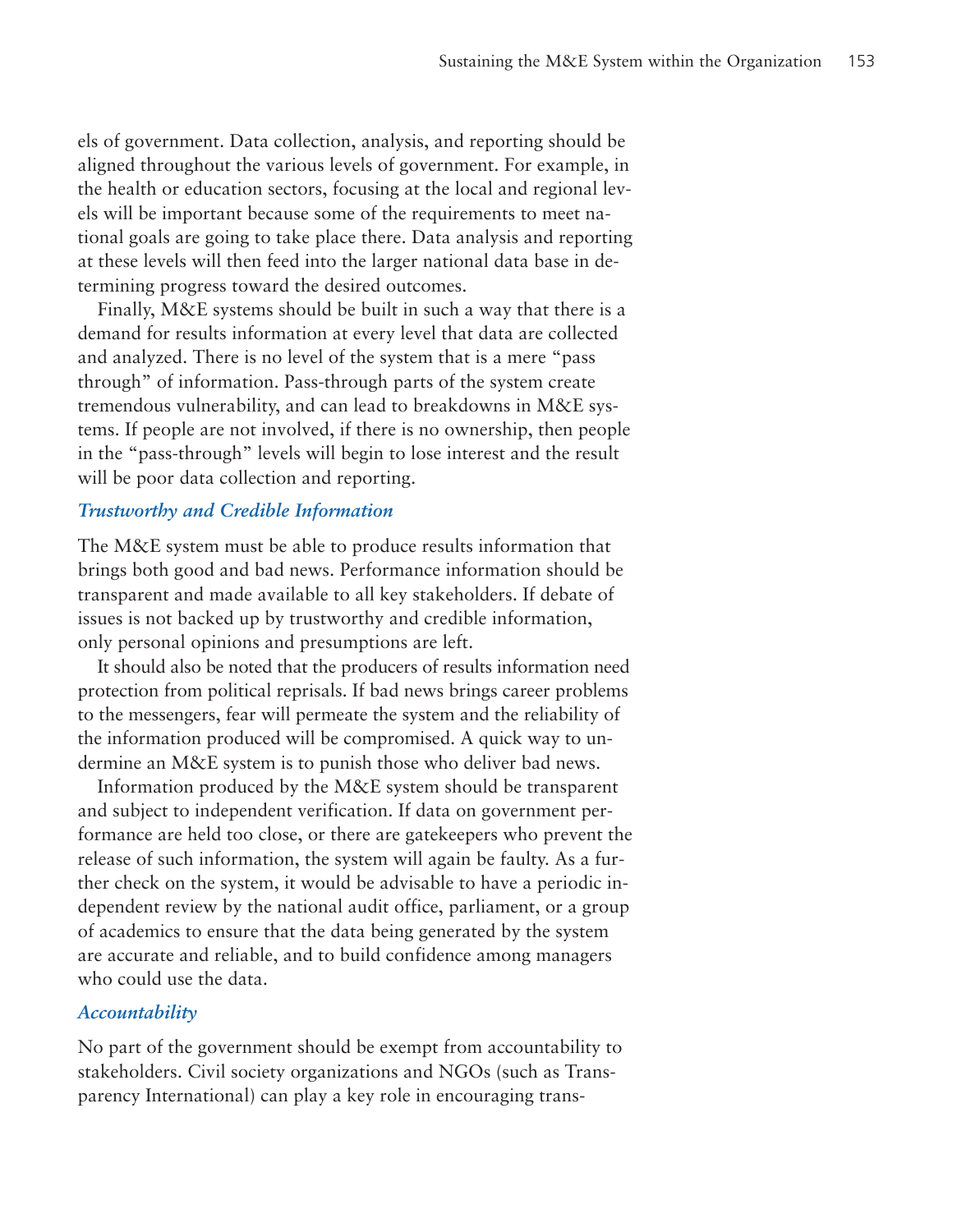els of government. Data collection, analysis, and reporting should be aligned throughout the various levels of government. For example, in the health or education sectors, focusing at the local and regional levels will be important because some of the requirements to meet national goals are going to take place there. Data analysis and reporting at these levels will then feed into the larger national data base in determining progress toward the desired outcomes.

Finally, M&E systems should be built in such a way that there is a demand for results information at every level that data are collected and analyzed. There is no level of the system that is a mere "pass through" of information. Pass-through parts of the system create tremendous vulnerability, and can lead to breakdowns in M&E systems. If people are not involved, if there is no ownership, then people in the "pass-through" levels will begin to lose interest and the result will be poor data collection and reporting.

## *Trustworthy and Credible Information*

The M&E system must be able to produce results information that brings both good and bad news. Performance information should be transparent and made available to all key stakeholders. If debate of issues is not backed up by trustworthy and credible information, only personal opinions and presumptions are left.

It should also be noted that the producers of results information need protection from political reprisals. If bad news brings career problems to the messengers, fear will permeate the system and the reliability of the information produced will be compromised. A quick way to undermine an M&E system is to punish those who deliver bad news.

Information produced by the M&E system should be transparent and subject to independent verification. If data on government performance are held too close, or there are gatekeepers who prevent the release of such information, the system will again be faulty. As a further check on the system, it would be advisable to have a periodic independent review by the national audit office, parliament, or a group of academics to ensure that the data being generated by the system are accurate and reliable, and to build confidence among managers who could use the data.

## *Accountability*

No part of the government should be exempt from accountability to stakeholders. Civil society organizations and NGOs (such as Transparency International) can play a key role in encouraging trans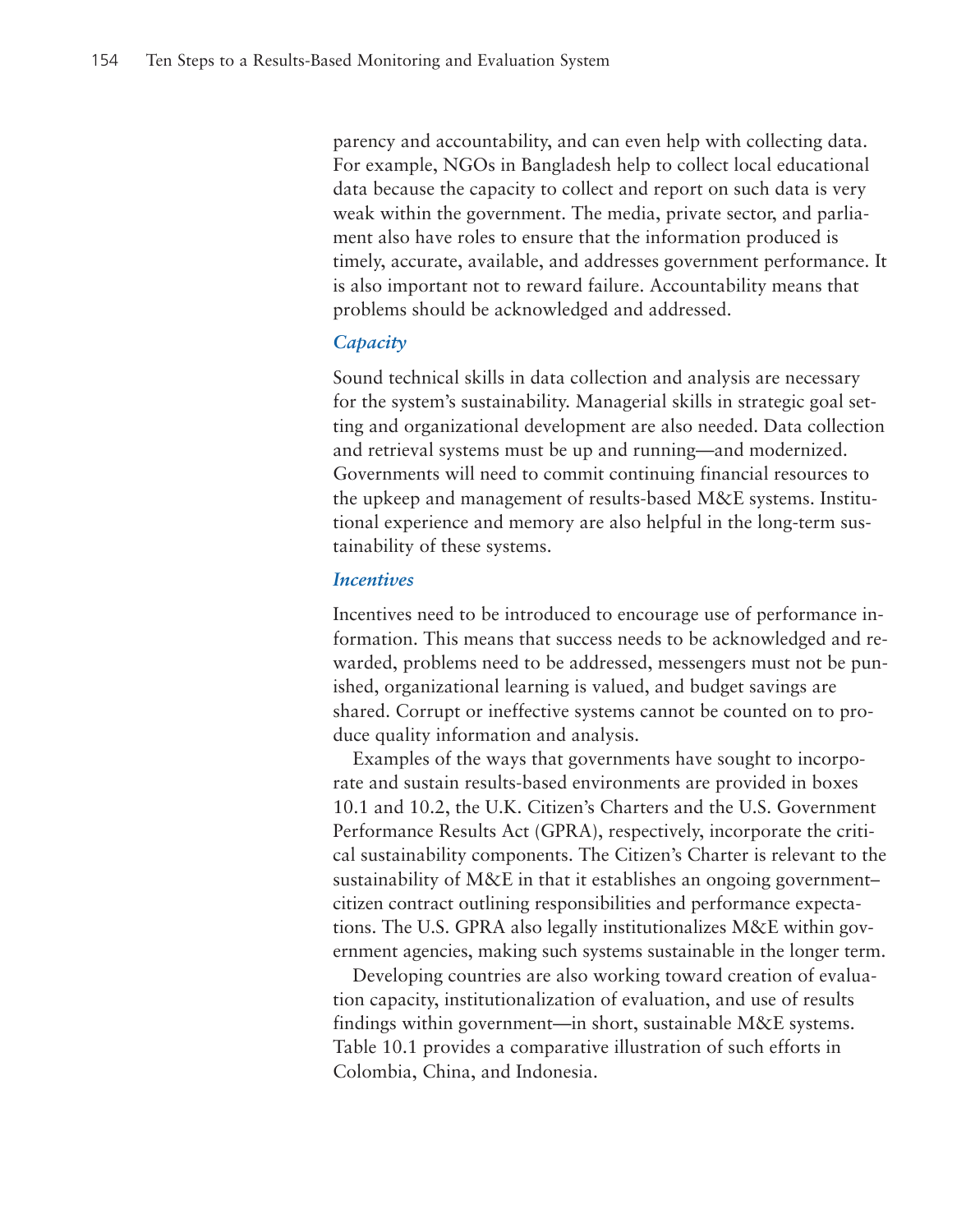parency and accountability, and can even help with collecting data. For example, NGOs in Bangladesh help to collect local educational data because the capacity to collect and report on such data is very weak within the government. The media, private sector, and parliament also have roles to ensure that the information produced is timely, accurate, available, and addresses government performance. It is also important not to reward failure. Accountability means that problems should be acknowledged and addressed.

#### *Capacity*

Sound technical skills in data collection and analysis are necessary for the system's sustainability. Managerial skills in strategic goal setting and organizational development are also needed. Data collection and retrieval systems must be up and running—and modernized. Governments will need to commit continuing financial resources to the upkeep and management of results-based M&E systems. Institutional experience and memory are also helpful in the long-term sustainability of these systems.

#### *Incentives*

Incentives need to be introduced to encourage use of performance information. This means that success needs to be acknowledged and rewarded, problems need to be addressed, messengers must not be punished, organizational learning is valued, and budget savings are shared. Corrupt or ineffective systems cannot be counted on to produce quality information and analysis.

Examples of the ways that governments have sought to incorporate and sustain results-based environments are provided in boxes 10.1 and 10.2, the U.K. Citizen's Charters and the U.S. Government Performance Results Act (GPRA), respectively, incorporate the critical sustainability components. The Citizen's Charter is relevant to the sustainability of M&E in that it establishes an ongoing government– citizen contract outlining responsibilities and performance expectations. The U.S. GPRA also legally institutionalizes M&E within government agencies, making such systems sustainable in the longer term.

Developing countries are also working toward creation of evaluation capacity, institutionalization of evaluation, and use of results findings within government—in short, sustainable M&E systems. Table 10.1 provides a comparative illustration of such efforts in Colombia, China, and Indonesia.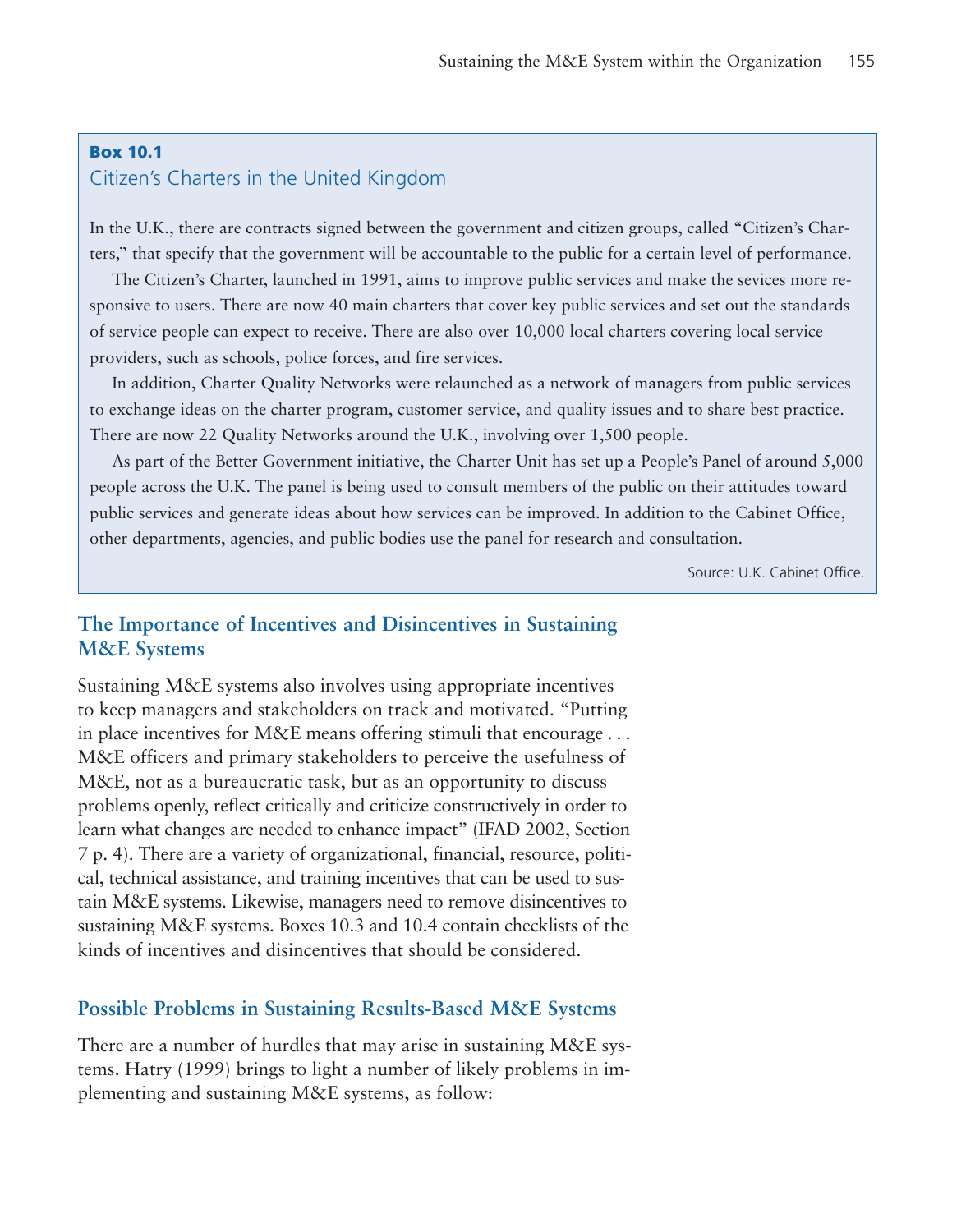#### **Box 10.1**

## Citizen's Charters in the United Kingdom

In the U.K., there are contracts signed between the government and citizen groups, called "Citizen's Charters," that specify that the government will be accountable to the public for a certain level of performance.

The Citizen's Charter, launched in 1991, aims to improve public services and make the sevices more responsive to users. There are now 40 main charters that cover key public services and set out the standards of service people can expect to receive. There are also over 10,000 local charters covering local service providers, such as schools, police forces, and fire services.

In addition, Charter Quality Networks were relaunched as a network of managers from public services to exchange ideas on the charter program, customer service, and quality issues and to share best practice. There are now 22 Quality Networks around the U.K., involving over 1,500 people.

As part of the Better Government initiative, the Charter Unit has set up a People's Panel of around 5,000 people across the U.K. The panel is being used to consult members of the public on their attitudes toward public services and generate ideas about how services can be improved. In addition to the Cabinet Office, other departments, agencies, and public bodies use the panel for research and consultation.

Source: U.K. Cabinet Office.

# **The Importance of Incentives and Disincentives in Sustaining M&E Systems**

Sustaining M&E systems also involves using appropriate incentives to keep managers and stakeholders on track and motivated. "Putting in place incentives for M&E means offering stimuli that encourage . . . M&E officers and primary stakeholders to perceive the usefulness of M&E, not as a bureaucratic task, but as an opportunity to discuss problems openly, reflect critically and criticize constructively in order to learn what changes are needed to enhance impact" (IFAD 2002, Section 7 p. 4). There are a variety of organizational, financial, resource, political, technical assistance, and training incentives that can be used to sustain M&E systems. Likewise, managers need to remove disincentives to sustaining M&E systems. Boxes 10.3 and 10.4 contain checklists of the kinds of incentives and disincentives that should be considered.

## **Possible Problems in Sustaining Results-Based M&E Systems**

There are a number of hurdles that may arise in sustaining M&E systems. Hatry (1999) brings to light a number of likely problems in implementing and sustaining M&E systems, as follow: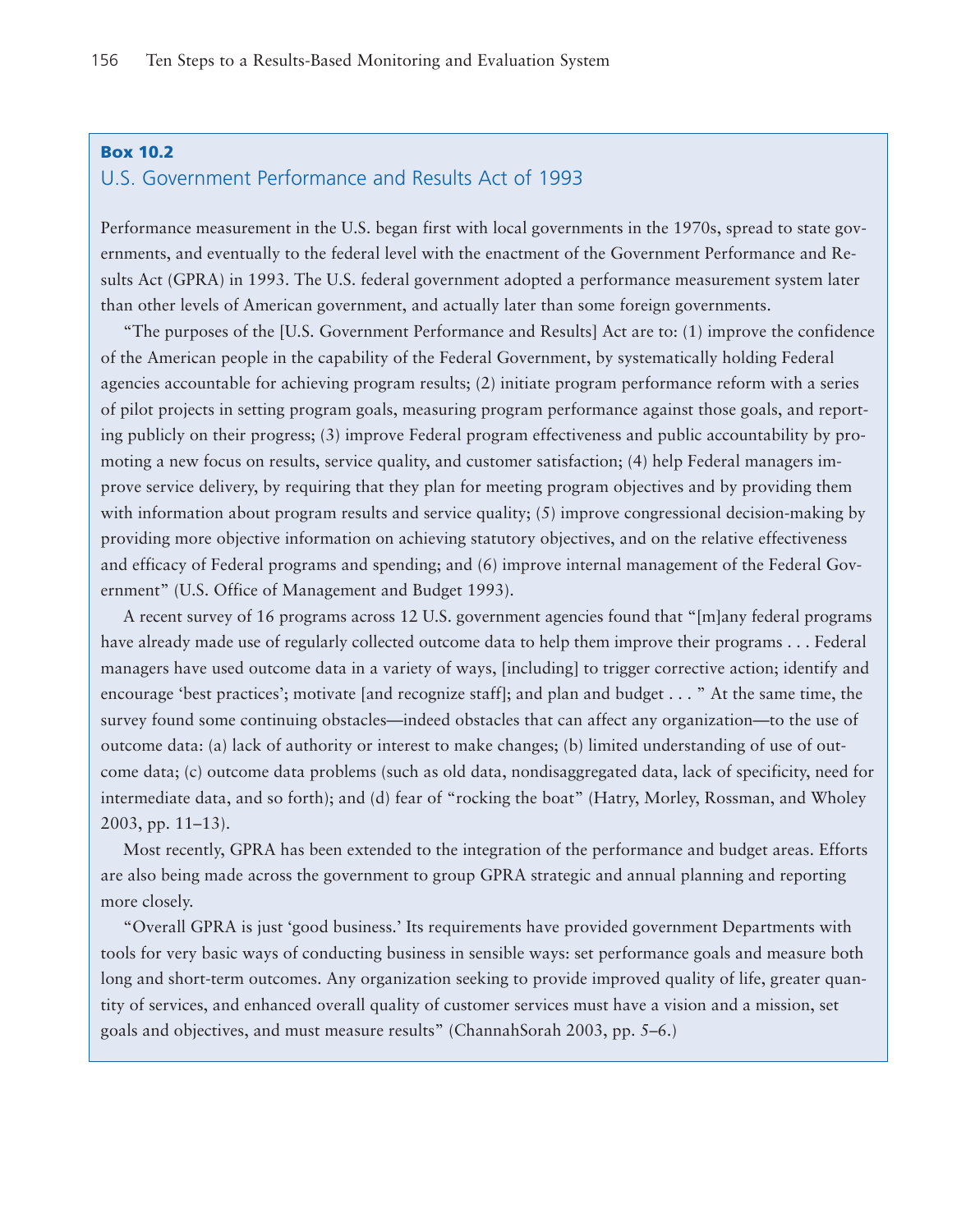#### **Box 10.2**

## U.S. Government Performance and Results Act of 1993

Performance measurement in the U.S. began first with local governments in the 1970s, spread to state governments, and eventually to the federal level with the enactment of the Government Performance and Results Act (GPRA) in 1993. The U.S. federal government adopted a performance measurement system later than other levels of American government, and actually later than some foreign governments.

"The purposes of the [U.S. Government Performance and Results] Act are to: (1) improve the confidence of the American people in the capability of the Federal Government, by systematically holding Federal agencies accountable for achieving program results; (2) initiate program performance reform with a series of pilot projects in setting program goals, measuring program performance against those goals, and reporting publicly on their progress; (3) improve Federal program effectiveness and public accountability by promoting a new focus on results, service quality, and customer satisfaction; (4) help Federal managers improve service delivery, by requiring that they plan for meeting program objectives and by providing them with information about program results and service quality; (5) improve congressional decision-making by providing more objective information on achieving statutory objectives, and on the relative effectiveness and efficacy of Federal programs and spending; and (6) improve internal management of the Federal Government" (U.S. Office of Management and Budget 1993).

A recent survey of 16 programs across 12 U.S. government agencies found that "[m]any federal programs have already made use of regularly collected outcome data to help them improve their programs . . . Federal managers have used outcome data in a variety of ways, [including] to trigger corrective action; identify and encourage 'best practices'; motivate [and recognize staff]; and plan and budget . . . " At the same time, the survey found some continuing obstacles—indeed obstacles that can affect any organization—to the use of outcome data: (a) lack of authority or interest to make changes; (b) limited understanding of use of outcome data; (c) outcome data problems (such as old data, nondisaggregated data, lack of specificity, need for intermediate data, and so forth); and (d) fear of "rocking the boat" (Hatry, Morley, Rossman, and Wholey 2003, pp. 11–13).

Most recently, GPRA has been extended to the integration of the performance and budget areas. Efforts are also being made across the government to group GPRA strategic and annual planning and reporting more closely.

"Overall GPRA is just 'good business.' Its requirements have provided government Departments with tools for very basic ways of conducting business in sensible ways: set performance goals and measure both long and short-term outcomes. Any organization seeking to provide improved quality of life, greater quantity of services, and enhanced overall quality of customer services must have a vision and a mission, set goals and objectives, and must measure results" (ChannahSorah 2003, pp. 5–6.)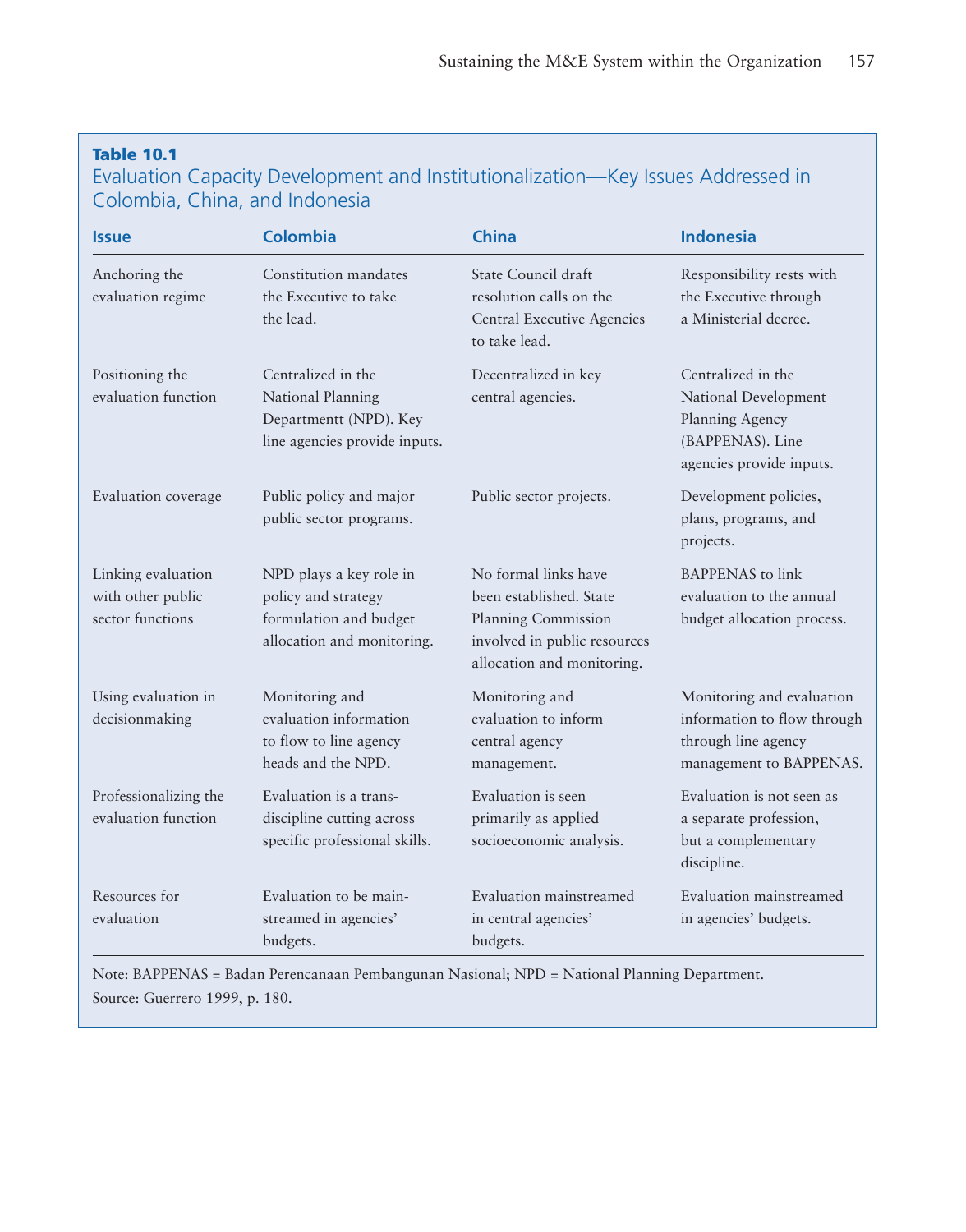## **Table 10.1**

# Evaluation Capacity Development and Institutionalization—Key Issues Addressed in Colombia, China, and Indonesia

| <b>Issue</b>                                                | <b>Colombia</b>                                                                                        | <b>China</b>                                                                                                                         | <b>Indonesia</b>                                                                                              |
|-------------------------------------------------------------|--------------------------------------------------------------------------------------------------------|--------------------------------------------------------------------------------------------------------------------------------------|---------------------------------------------------------------------------------------------------------------|
| Anchoring the<br>evaluation regime                          | Constitution mandates<br>the Executive to take<br>the lead.                                            | State Council draft<br>resolution calls on the<br>Central Executive Agencies<br>to take lead.                                        | Responsibility rests with<br>the Executive through<br>a Ministerial decree.                                   |
| Positioning the<br>evaluation function                      | Centralized in the<br>National Planning<br>Departmentt (NPD). Key<br>line agencies provide inputs.     | Decentralized in key<br>central agencies.                                                                                            | Centralized in the<br>National Development<br>Planning Agency<br>(BAPPENAS). Line<br>agencies provide inputs. |
| Evaluation coverage                                         | Public policy and major<br>public sector programs.                                                     | Public sector projects.                                                                                                              | Development policies,<br>plans, programs, and<br>projects.                                                    |
| Linking evaluation<br>with other public<br>sector functions | NPD plays a key role in<br>policy and strategy<br>formulation and budget<br>allocation and monitoring. | No formal links have<br>been established. State<br>Planning Commission<br>involved in public resources<br>allocation and monitoring. | <b>BAPPENAS</b> to link<br>evaluation to the annual<br>budget allocation process.                             |
| Using evaluation in<br>decisionmaking                       | Monitoring and<br>evaluation information<br>to flow to line agency<br>heads and the NPD.               | Monitoring and<br>evaluation to inform<br>central agency<br>management.                                                              | Monitoring and evaluation<br>information to flow through<br>through line agency<br>management to BAPPENAS.    |
| Professionalizing the<br>evaluation function                | Evaluation is a trans-<br>discipline cutting across<br>specific professional skills.                   | Evaluation is seen<br>primarily as applied<br>socioeconomic analysis.                                                                | Evaluation is not seen as<br>a separate profession,<br>but a complementary<br>discipline.                     |
| Resources for<br>evaluation                                 | Evaluation to be main-<br>streamed in agencies'<br>budgets.                                            | Evaluation mainstreamed<br>in central agencies'<br>budgets.                                                                          | Evaluation mainstreamed<br>in agencies' budgets.                                                              |

Note: BAPPENAS = Badan Perencanaan Pembangunan Nasional; NPD = National Planning Department. Source: Guerrero 1999, p. 180.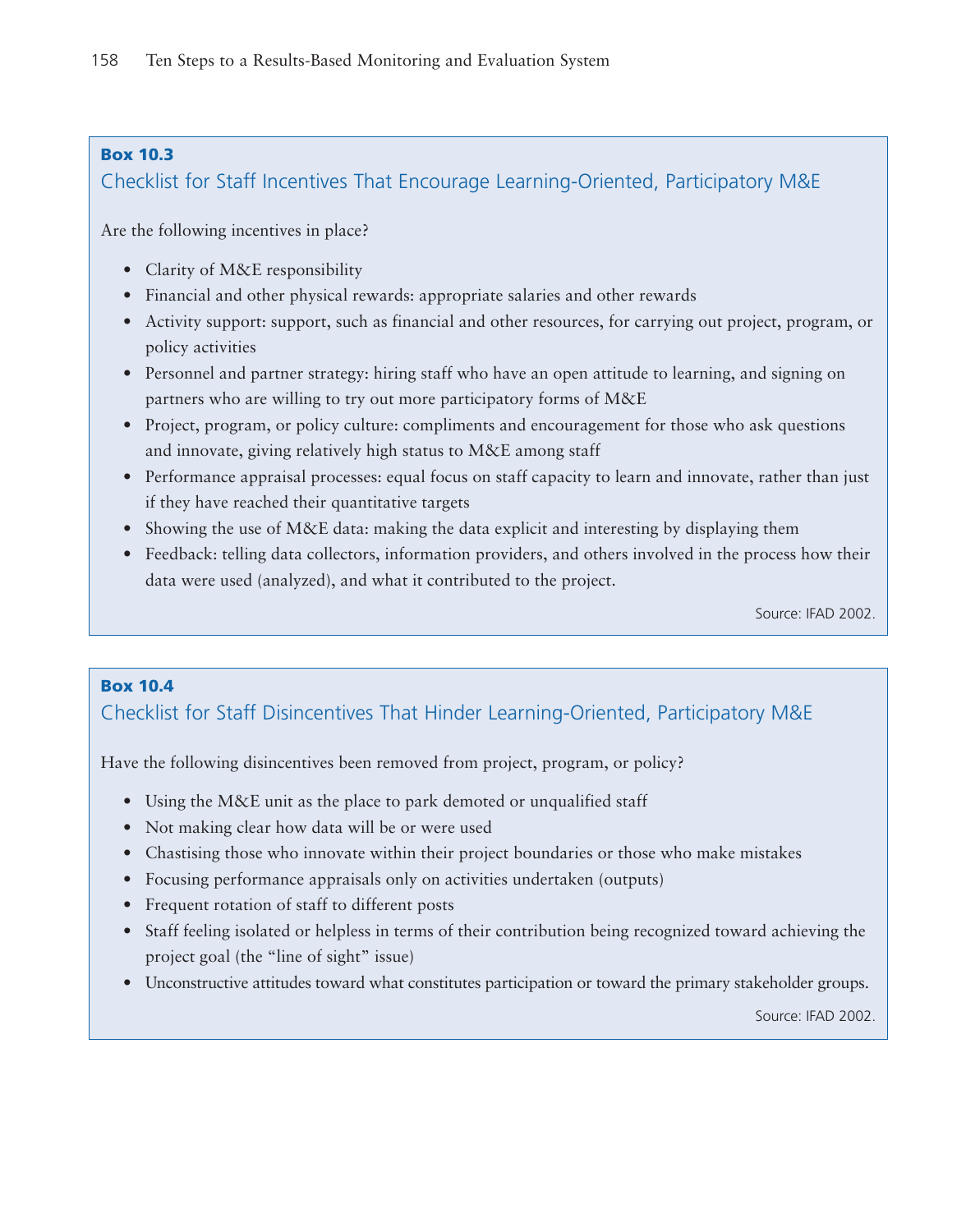## **Box 10.3**

# Checklist for Staff Incentives That Encourage Learning-Oriented, Participatory M&E

Are the following incentives in place?

- Clarity of M&E responsibility
- Financial and other physical rewards: appropriate salaries and other rewards
- Activity support: support, such as financial and other resources, for carrying out project, program, or policy activities
- Personnel and partner strategy: hiring staff who have an open attitude to learning, and signing on partners who are willing to try out more participatory forms of M&E
- Project, program, or policy culture: compliments and encouragement for those who ask questions and innovate, giving relatively high status to M&E among staff
- Performance appraisal processes: equal focus on staff capacity to learn and innovate, rather than just if they have reached their quantitative targets
- Showing the use of M&E data: making the data explicit and interesting by displaying them
- Feedback: telling data collectors, information providers, and others involved in the process how their data were used (analyzed), and what it contributed to the project.

Source: IFAD 2002.

## **Box 10.4**

# Checklist for Staff Disincentives That Hinder Learning-Oriented, Participatory M&E

Have the following disincentives been removed from project, program, or policy?

- Using the M&E unit as the place to park demoted or unqualified staff
- Not making clear how data will be or were used
- Chastising those who innovate within their project boundaries or those who make mistakes
- Focusing performance appraisals only on activities undertaken (outputs)
- Frequent rotation of staff to different posts
- Staff feeling isolated or helpless in terms of their contribution being recognized toward achieving the project goal (the "line of sight" issue)
- Unconstructive attitudes toward what constitutes participation or toward the primary stakeholder groups.

Source: IFAD 2002.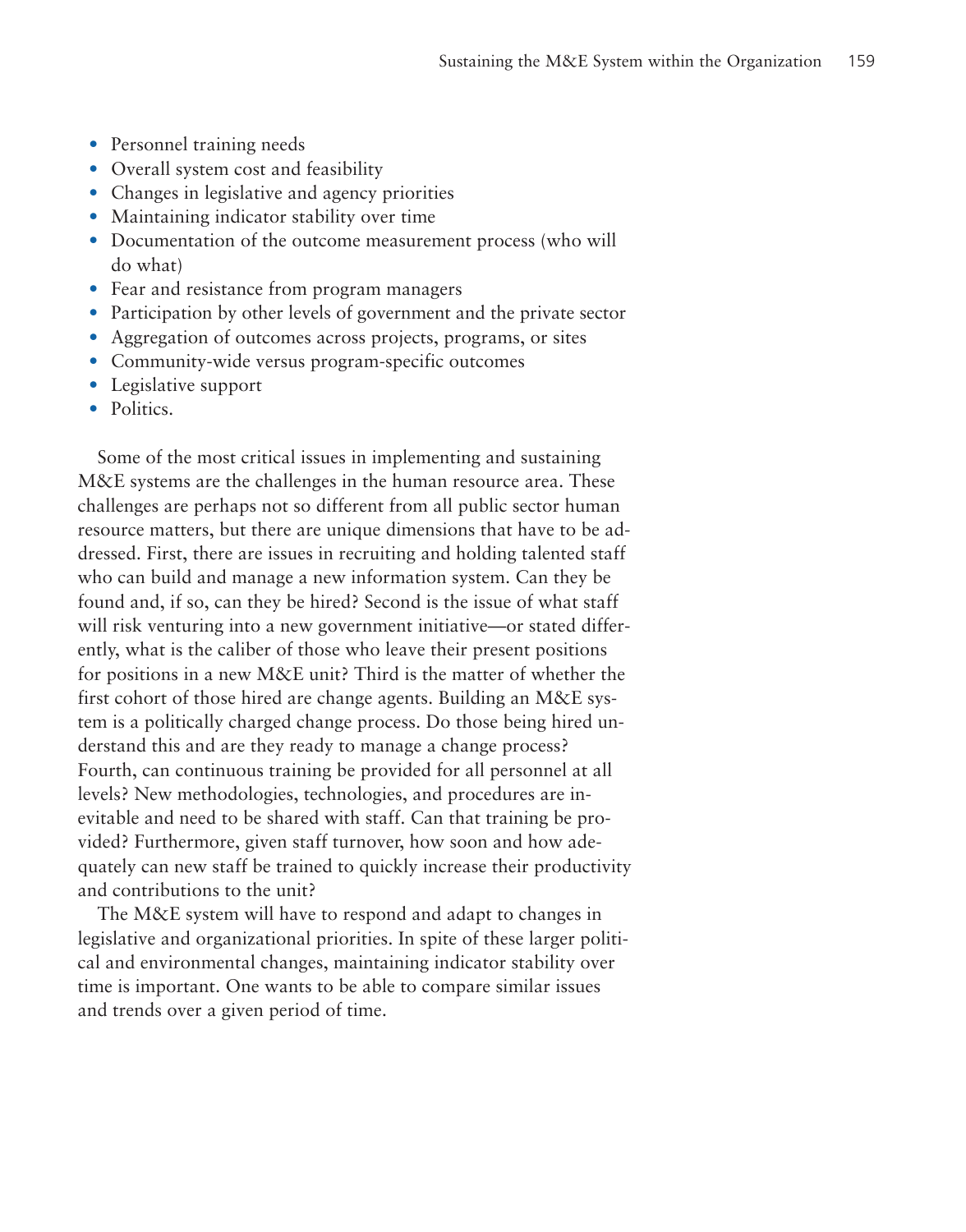- Personnel training needs
- Overall system cost and feasibility
- Changes in legislative and agency priorities
- Maintaining indicator stability over time
- Documentation of the outcome measurement process (who will do what)
- Fear and resistance from program managers
- Participation by other levels of government and the private sector
- Aggregation of outcomes across projects, programs, or sites
- Community-wide versus program-specific outcomes
- Legislative support
- Politics.

Some of the most critical issues in implementing and sustaining M&E systems are the challenges in the human resource area. These challenges are perhaps not so different from all public sector human resource matters, but there are unique dimensions that have to be addressed. First, there are issues in recruiting and holding talented staff who can build and manage a new information system. Can they be found and, if so, can they be hired? Second is the issue of what staff will risk venturing into a new government initiative—or stated differently, what is the caliber of those who leave their present positions for positions in a new M&E unit? Third is the matter of whether the first cohort of those hired are change agents. Building an M&E system is a politically charged change process. Do those being hired understand this and are they ready to manage a change process? Fourth, can continuous training be provided for all personnel at all levels? New methodologies, technologies, and procedures are inevitable and need to be shared with staff. Can that training be provided? Furthermore, given staff turnover, how soon and how adequately can new staff be trained to quickly increase their productivity and contributions to the unit?

The M&E system will have to respond and adapt to changes in legislative and organizational priorities. In spite of these larger political and environmental changes, maintaining indicator stability over time is important. One wants to be able to compare similar issues and trends over a given period of time.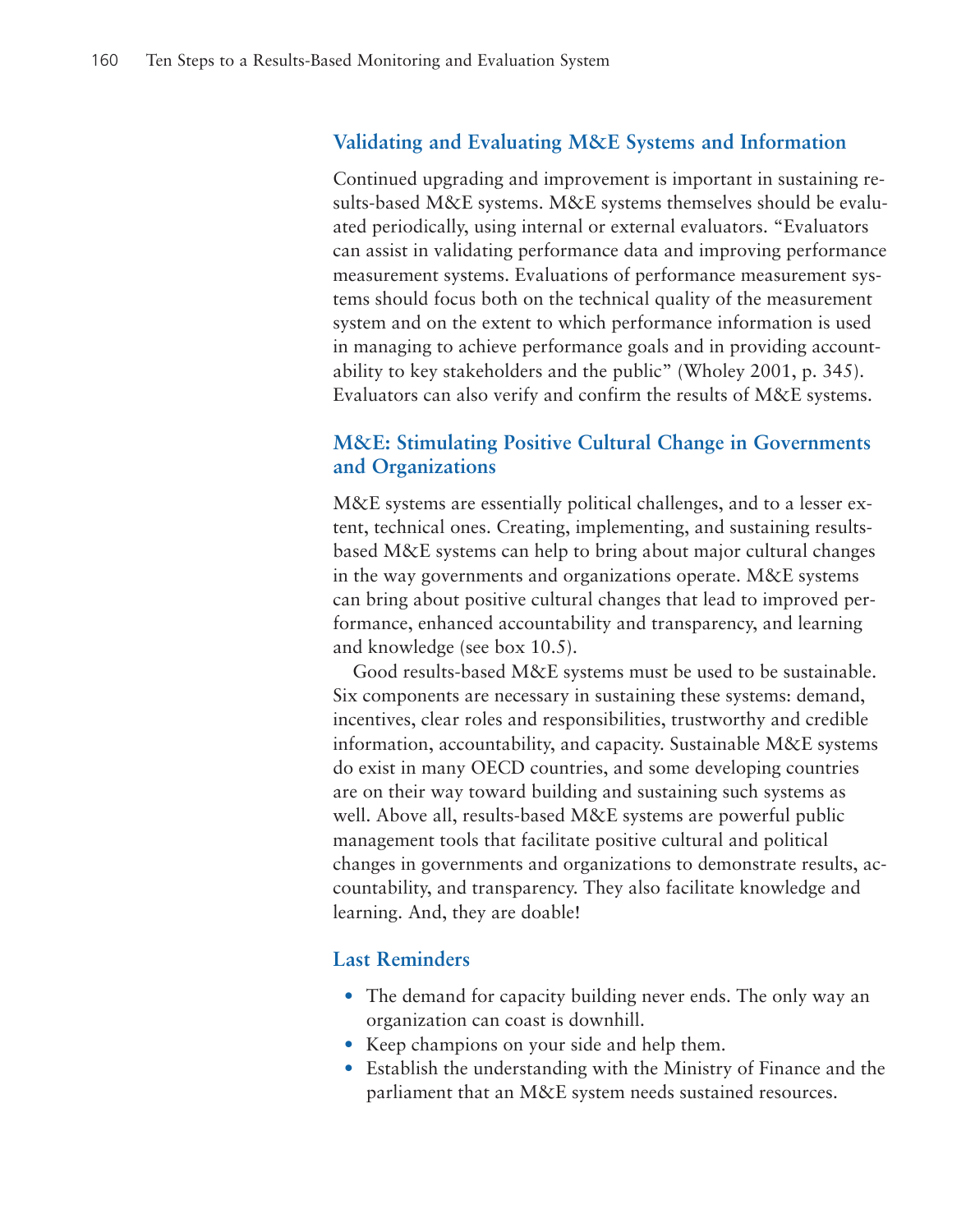# **Validating and Evaluating M&E Systems and Information**

Continued upgrading and improvement is important in sustaining results-based M&E systems. M&E systems themselves should be evaluated periodically, using internal or external evaluators. "Evaluators can assist in validating performance data and improving performance measurement systems. Evaluations of performance measurement systems should focus both on the technical quality of the measurement system and on the extent to which performance information is used in managing to achieve performance goals and in providing accountability to key stakeholders and the public" (Wholey 2001, p. 345). Evaluators can also verify and confirm the results of M&E systems.

# **M&E: Stimulating Positive Cultural Change in Governments and Organizations**

M&E systems are essentially political challenges, and to a lesser extent, technical ones. Creating, implementing, and sustaining resultsbased M&E systems can help to bring about major cultural changes in the way governments and organizations operate. M&E systems can bring about positive cultural changes that lead to improved performance, enhanced accountability and transparency, and learning and knowledge (see box 10.5).

Good results-based M&E systems must be used to be sustainable. Six components are necessary in sustaining these systems: demand, incentives, clear roles and responsibilities, trustworthy and credible information, accountability, and capacity. Sustainable M&E systems do exist in many OECD countries, and some developing countries are on their way toward building and sustaining such systems as well. Above all, results-based M&E systems are powerful public management tools that facilitate positive cultural and political changes in governments and organizations to demonstrate results, accountability, and transparency. They also facilitate knowledge and learning. And, they are doable!

# **Last Reminders**

- The demand for capacity building never ends. The only way an organization can coast is downhill.
- Keep champions on your side and help them.
- Establish the understanding with the Ministry of Finance and the parliament that an M&E system needs sustained resources.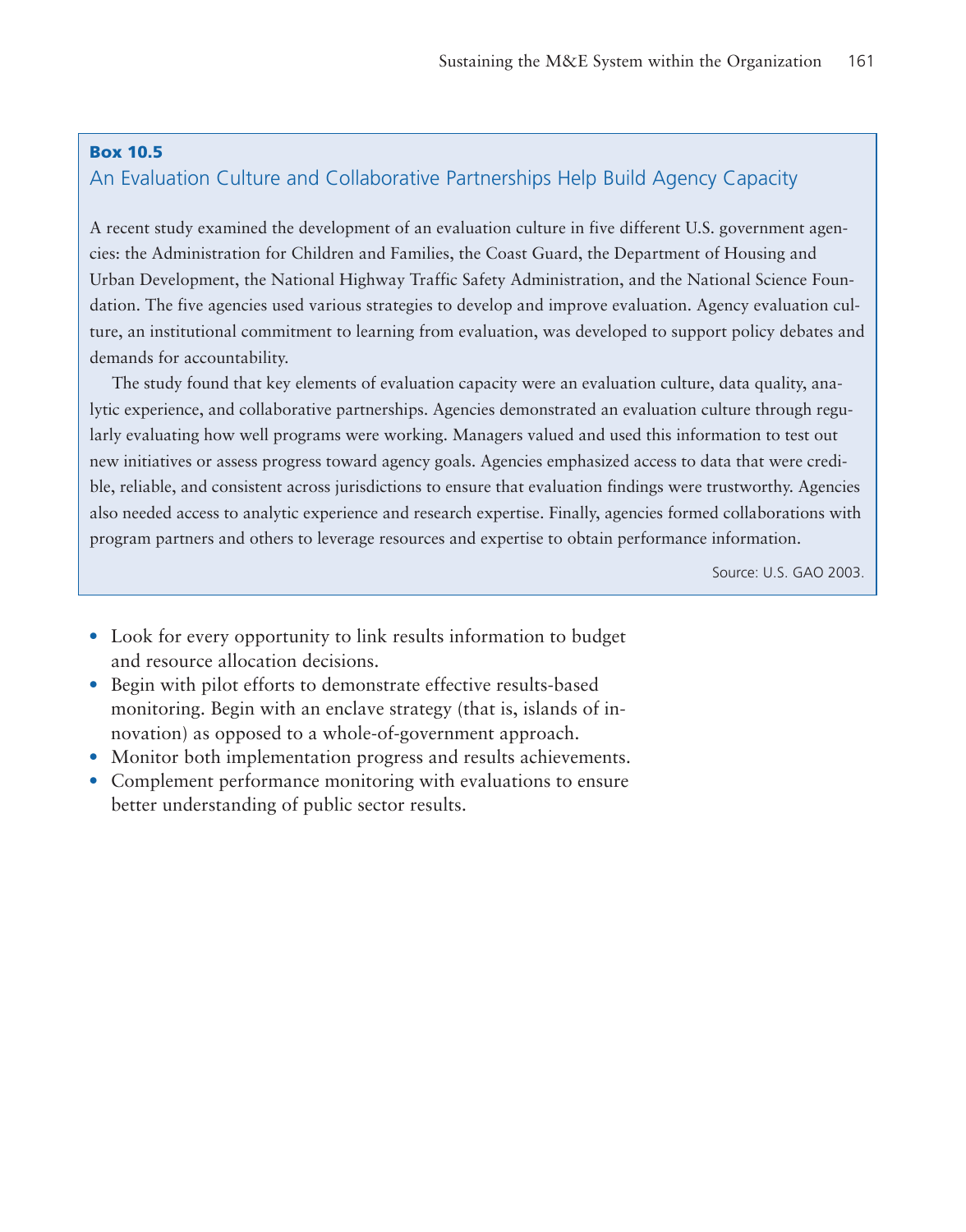#### **Box 10.5**

# An Evaluation Culture and Collaborative Partnerships Help Build Agency Capacity

A recent study examined the development of an evaluation culture in five different U.S. government agencies: the Administration for Children and Families, the Coast Guard, the Department of Housing and Urban Development, the National Highway Traffic Safety Administration, and the National Science Foundation. The five agencies used various strategies to develop and improve evaluation. Agency evaluation culture, an institutional commitment to learning from evaluation, was developed to support policy debates and demands for accountability.

The study found that key elements of evaluation capacity were an evaluation culture, data quality, analytic experience, and collaborative partnerships. Agencies demonstrated an evaluation culture through regularly evaluating how well programs were working. Managers valued and used this information to test out new initiatives or assess progress toward agency goals. Agencies emphasized access to data that were credible, reliable, and consistent across jurisdictions to ensure that evaluation findings were trustworthy. Agencies also needed access to analytic experience and research expertise. Finally, agencies formed collaborations with program partners and others to leverage resources and expertise to obtain performance information.

Source: U.S. GAO 2003.

- Look for every opportunity to link results information to budget and resource allocation decisions.
- Begin with pilot efforts to demonstrate effective results-based monitoring. Begin with an enclave strategy (that is, islands of innovation) as opposed to a whole-of-government approach.
- Monitor both implementation progress and results achievements.
- Complement performance monitoring with evaluations to ensure better understanding of public sector results.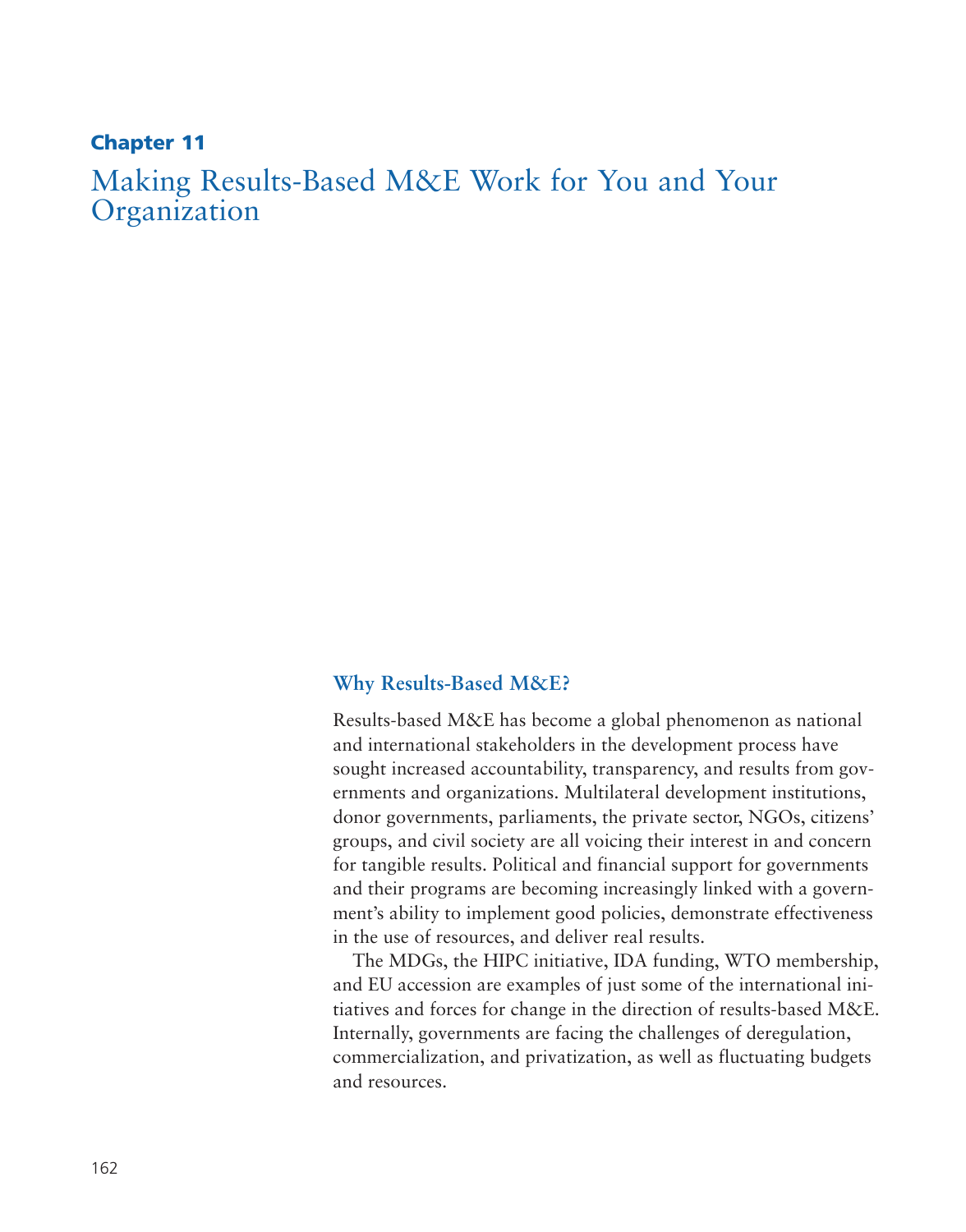## **Chapter 11**

# Making Results-Based M&E Work for You and Your **Organization**

#### **Why Results-Based M&E?**

Results-based M&E has become a global phenomenon as national and international stakeholders in the development process have sought increased accountability, transparency, and results from governments and organizations. Multilateral development institutions, donor governments, parliaments, the private sector, NGOs, citizens' groups, and civil society are all voicing their interest in and concern for tangible results. Political and financial support for governments and their programs are becoming increasingly linked with a government's ability to implement good policies, demonstrate effectiveness in the use of resources, and deliver real results.

The MDGs, the HIPC initiative, IDA funding, WTO membership, and EU accession are examples of just some of the international initiatives and forces for change in the direction of results-based M&E. Internally, governments are facing the challenges of deregulation, commercialization, and privatization, as well as fluctuating budgets and resources.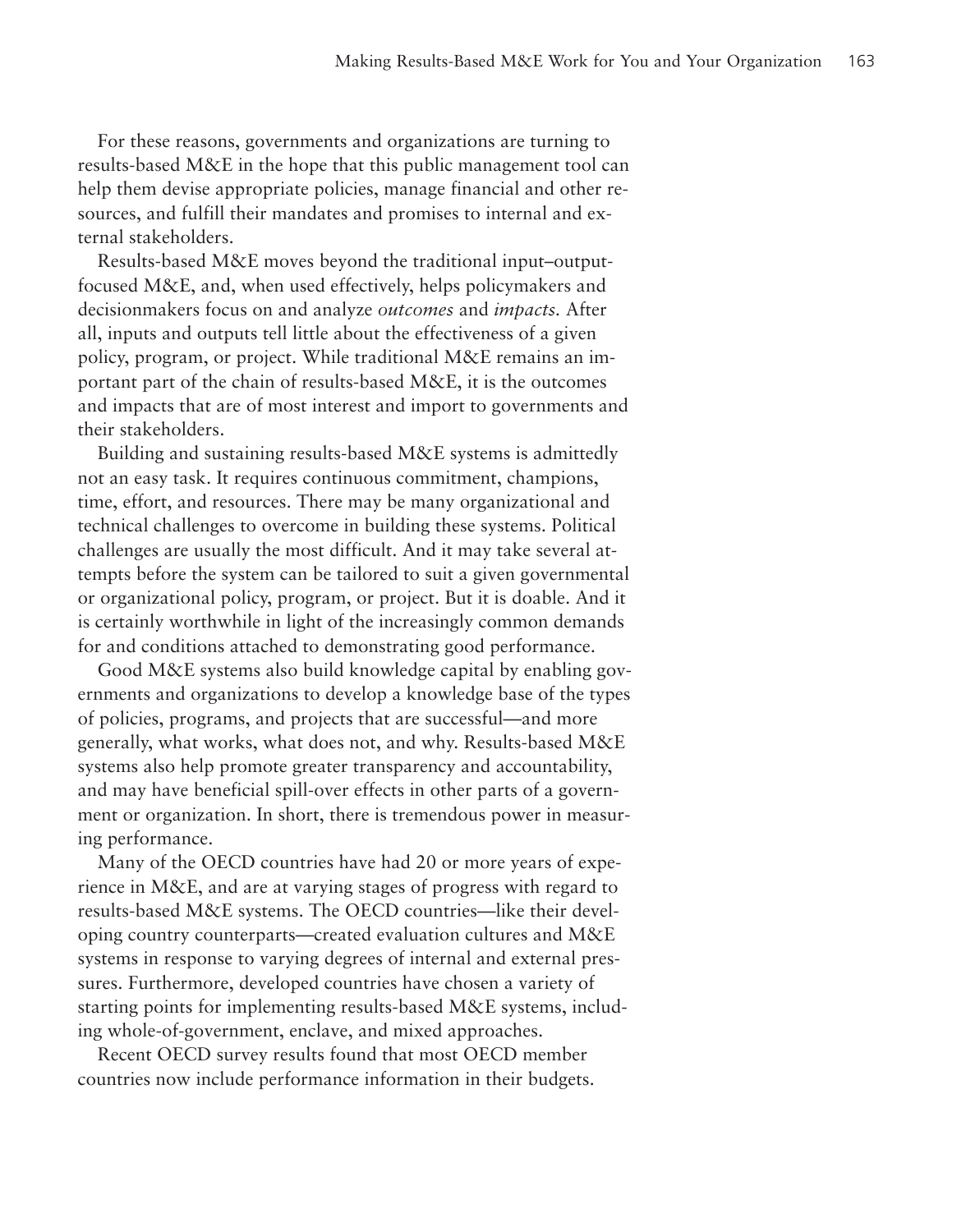For these reasons, governments and organizations are turning to results-based M&E in the hope that this public management tool can help them devise appropriate policies, manage financial and other resources, and fulfill their mandates and promises to internal and external stakeholders.

Results-based M&E moves beyond the traditional input–outputfocused M&E, and, when used effectively, helps policymakers and decisionmakers focus on and analyze *outcomes* and *impacts.* After all, inputs and outputs tell little about the effectiveness of a given policy, program, or project. While traditional M&E remains an important part of the chain of results-based M&E, it is the outcomes and impacts that are of most interest and import to governments and their stakeholders.

Building and sustaining results-based M&E systems is admittedly not an easy task. It requires continuous commitment, champions, time, effort, and resources. There may be many organizational and technical challenges to overcome in building these systems. Political challenges are usually the most difficult. And it may take several attempts before the system can be tailored to suit a given governmental or organizational policy, program, or project. But it is doable. And it is certainly worthwhile in light of the increasingly common demands for and conditions attached to demonstrating good performance.

Good M&E systems also build knowledge capital by enabling governments and organizations to develop a knowledge base of the types of policies, programs, and projects that are successful—and more generally, what works, what does not, and why. Results-based M&E systems also help promote greater transparency and accountability, and may have beneficial spill-over effects in other parts of a government or organization. In short, there is tremendous power in measuring performance.

Many of the OECD countries have had 20 or more years of experience in M&E, and are at varying stages of progress with regard to results-based M&E systems. The OECD countries—like their developing country counterparts—created evaluation cultures and M&E systems in response to varying degrees of internal and external pressures. Furthermore, developed countries have chosen a variety of starting points for implementing results-based M&E systems, including whole-of-government, enclave, and mixed approaches.

Recent OECD survey results found that most OECD member countries now include performance information in their budgets.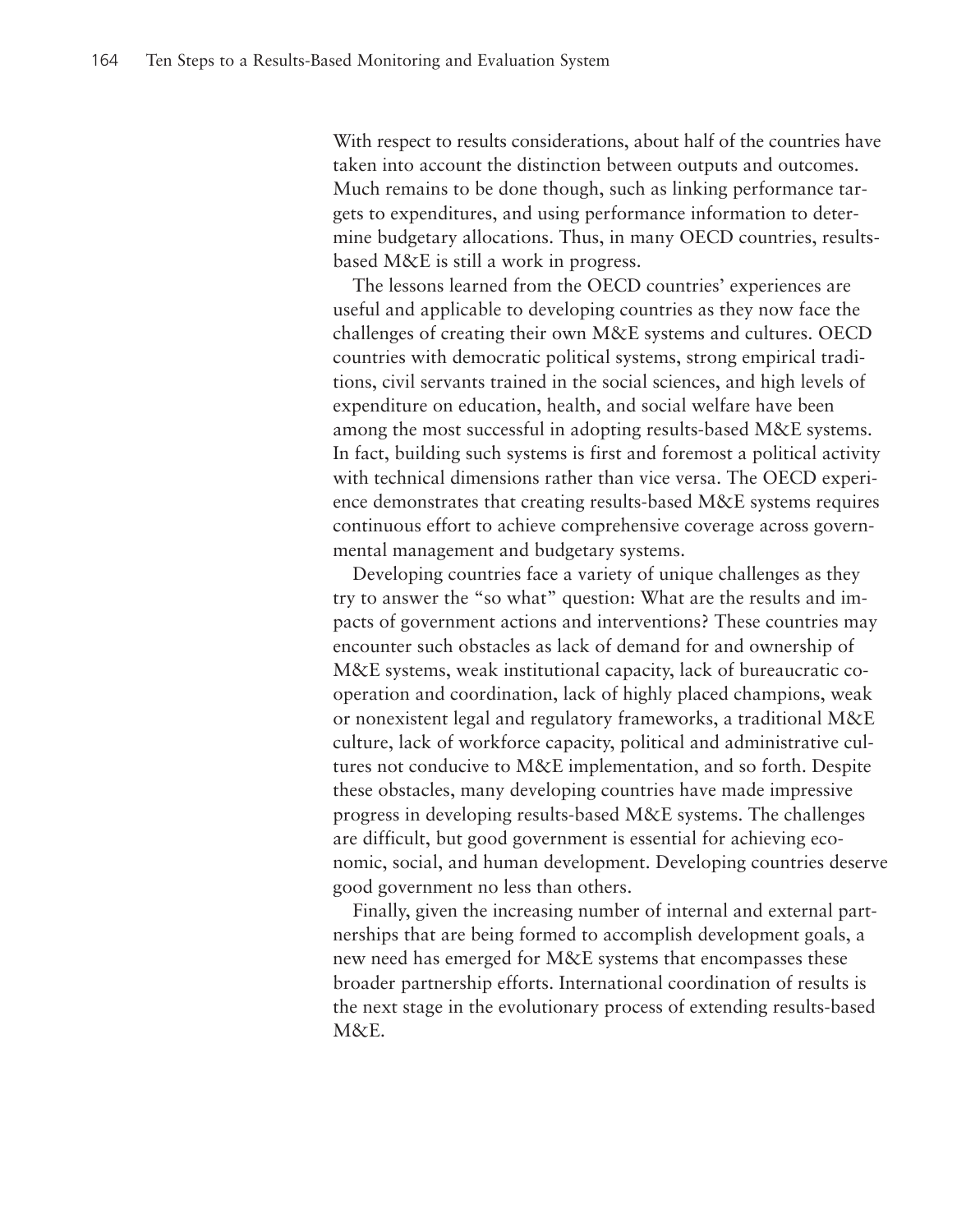With respect to results considerations, about half of the countries have taken into account the distinction between outputs and outcomes. Much remains to be done though, such as linking performance targets to expenditures, and using performance information to determine budgetary allocations. Thus, in many OECD countries, resultsbased M&E is still a work in progress.

The lessons learned from the OECD countries' experiences are useful and applicable to developing countries as they now face the challenges of creating their own M&E systems and cultures. OECD countries with democratic political systems, strong empirical traditions, civil servants trained in the social sciences, and high levels of expenditure on education, health, and social welfare have been among the most successful in adopting results-based M&E systems. In fact, building such systems is first and foremost a political activity with technical dimensions rather than vice versa. The OECD experience demonstrates that creating results-based M&E systems requires continuous effort to achieve comprehensive coverage across governmental management and budgetary systems.

Developing countries face a variety of unique challenges as they try to answer the "so what" question: What are the results and impacts of government actions and interventions? These countries may encounter such obstacles as lack of demand for and ownership of M&E systems, weak institutional capacity, lack of bureaucratic cooperation and coordination, lack of highly placed champions, weak or nonexistent legal and regulatory frameworks, a traditional M&E culture, lack of workforce capacity, political and administrative cultures not conducive to M&E implementation, and so forth. Despite these obstacles, many developing countries have made impressive progress in developing results-based M&E systems. The challenges are difficult, but good government is essential for achieving economic, social, and human development. Developing countries deserve good government no less than others.

Finally, given the increasing number of internal and external partnerships that are being formed to accomplish development goals, a new need has emerged for M&E systems that encompasses these broader partnership efforts. International coordination of results is the next stage in the evolutionary process of extending results-based M&E.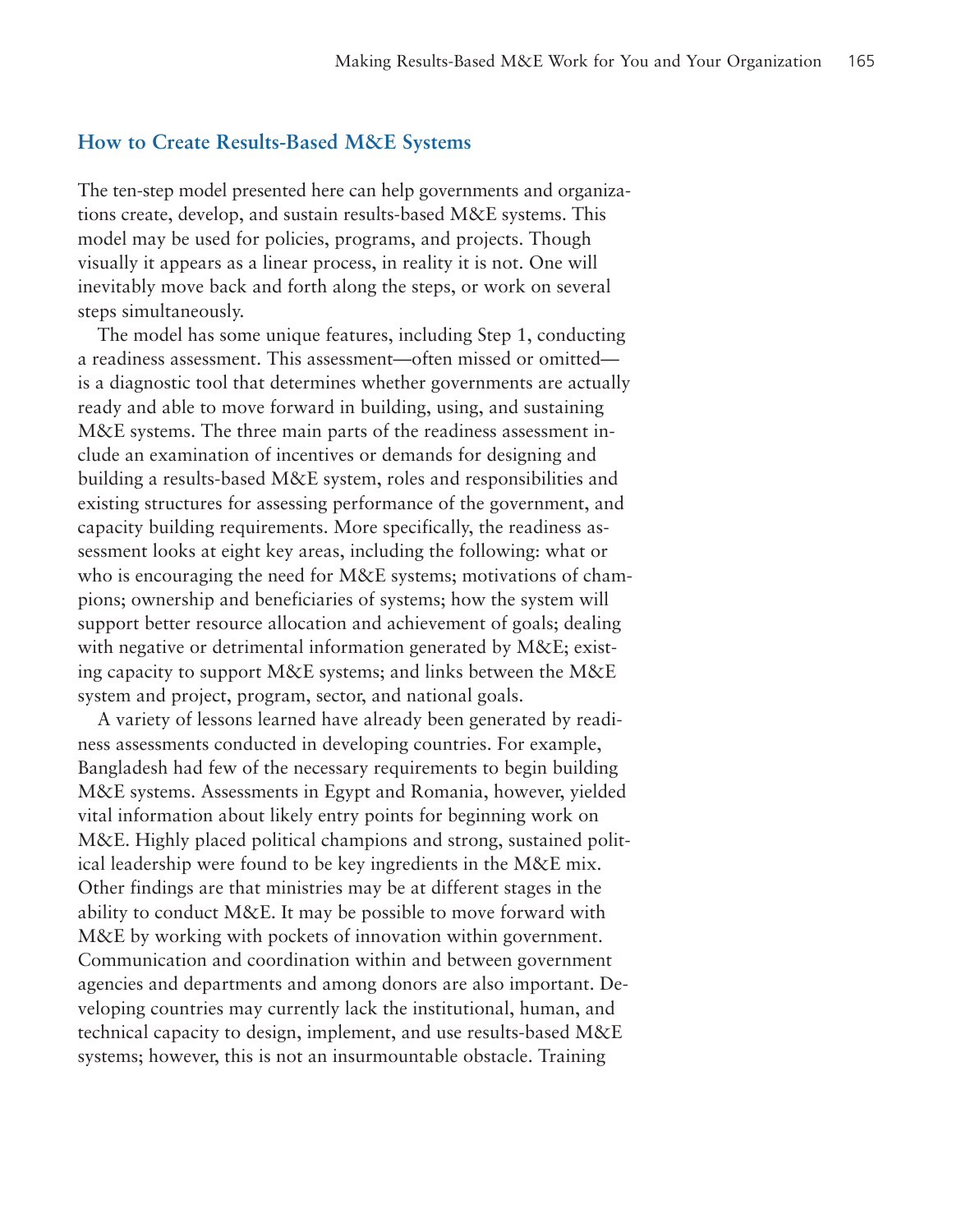# **How to Create Results-Based M&E Systems**

The ten-step model presented here can help governments and organizations create, develop, and sustain results-based M&E systems. This model may be used for policies, programs, and projects. Though visually it appears as a linear process, in reality it is not. One will inevitably move back and forth along the steps, or work on several steps simultaneously.

The model has some unique features, including Step 1, conducting a readiness assessment. This assessment—often missed or omitted is a diagnostic tool that determines whether governments are actually ready and able to move forward in building, using, and sustaining M&E systems. The three main parts of the readiness assessment include an examination of incentives or demands for designing and building a results-based M&E system, roles and responsibilities and existing structures for assessing performance of the government, and capacity building requirements. More specifically, the readiness assessment looks at eight key areas, including the following: what or who is encouraging the need for M&E systems; motivations of champions; ownership and beneficiaries of systems; how the system will support better resource allocation and achievement of goals; dealing with negative or detrimental information generated by M&E; existing capacity to support M&E systems; and links between the M&E system and project, program, sector, and national goals.

A variety of lessons learned have already been generated by readiness assessments conducted in developing countries. For example, Bangladesh had few of the necessary requirements to begin building M&E systems. Assessments in Egypt and Romania, however, yielded vital information about likely entry points for beginning work on M&E. Highly placed political champions and strong, sustained political leadership were found to be key ingredients in the M&E mix. Other findings are that ministries may be at different stages in the ability to conduct M&E. It may be possible to move forward with M&E by working with pockets of innovation within government. Communication and coordination within and between government agencies and departments and among donors are also important. Developing countries may currently lack the institutional, human, and technical capacity to design, implement, and use results-based M&E systems; however, this is not an insurmountable obstacle. Training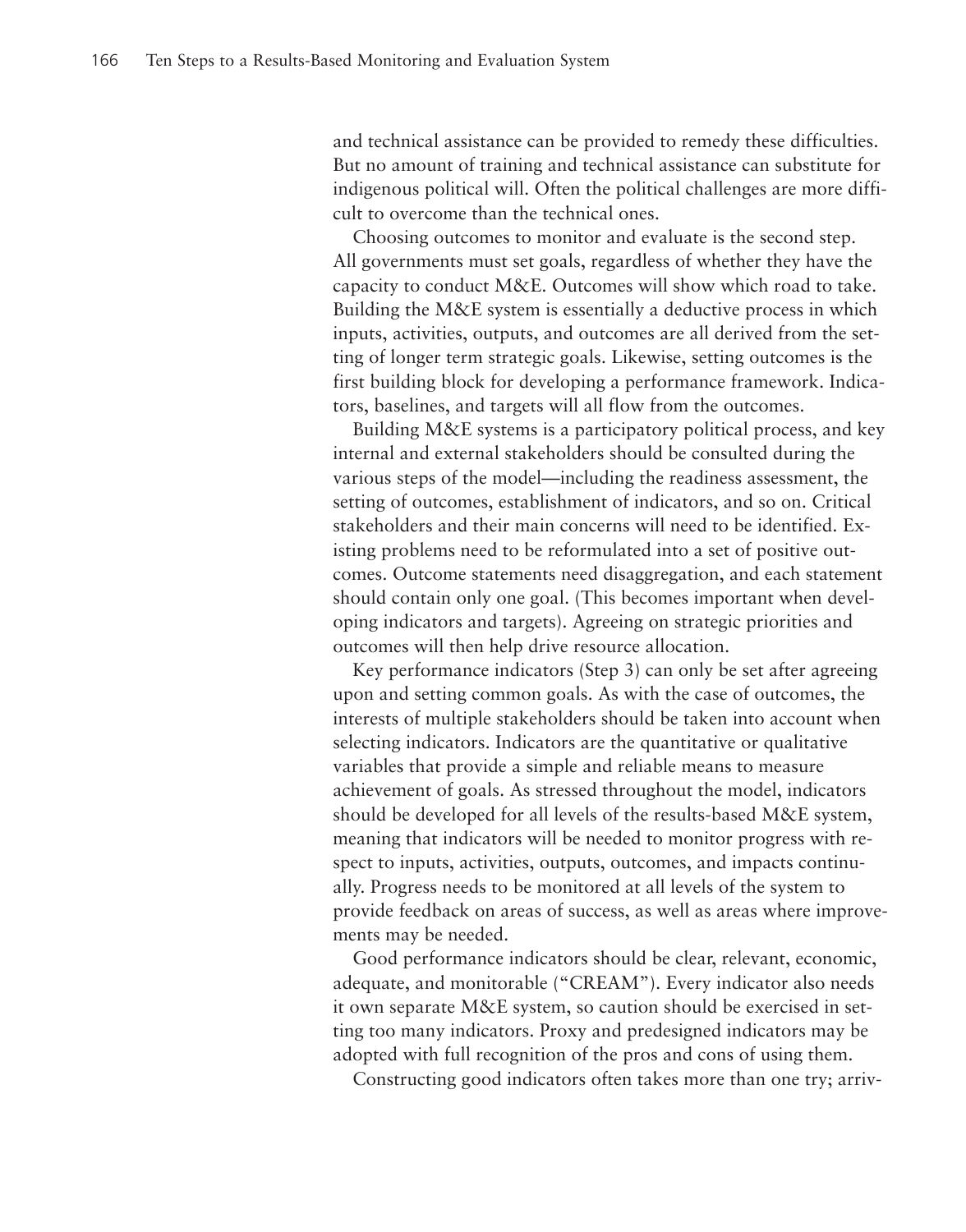and technical assistance can be provided to remedy these difficulties. But no amount of training and technical assistance can substitute for indigenous political will. Often the political challenges are more difficult to overcome than the technical ones.

Choosing outcomes to monitor and evaluate is the second step. All governments must set goals, regardless of whether they have the capacity to conduct M&E. Outcomes will show which road to take. Building the M&E system is essentially a deductive process in which inputs, activities, outputs, and outcomes are all derived from the setting of longer term strategic goals. Likewise, setting outcomes is the first building block for developing a performance framework. Indicators, baselines, and targets will all flow from the outcomes.

Building M&E systems is a participatory political process, and key internal and external stakeholders should be consulted during the various steps of the model—including the readiness assessment, the setting of outcomes, establishment of indicators, and so on. Critical stakeholders and their main concerns will need to be identified. Existing problems need to be reformulated into a set of positive outcomes. Outcome statements need disaggregation, and each statement should contain only one goal. (This becomes important when developing indicators and targets). Agreeing on strategic priorities and outcomes will then help drive resource allocation.

Key performance indicators (Step 3) can only be set after agreeing upon and setting common goals. As with the case of outcomes, the interests of multiple stakeholders should be taken into account when selecting indicators. Indicators are the quantitative or qualitative variables that provide a simple and reliable means to measure achievement of goals. As stressed throughout the model, indicators should be developed for all levels of the results-based M&E system, meaning that indicators will be needed to monitor progress with respect to inputs, activities, outputs, outcomes, and impacts continually. Progress needs to be monitored at all levels of the system to provide feedback on areas of success, as well as areas where improvements may be needed.

Good performance indicators should be clear, relevant, economic, adequate, and monitorable ("CREAM"). Every indicator also needs it own separate M&E system, so caution should be exercised in setting too many indicators. Proxy and predesigned indicators may be adopted with full recognition of the pros and cons of using them.

Constructing good indicators often takes more than one try; arriv-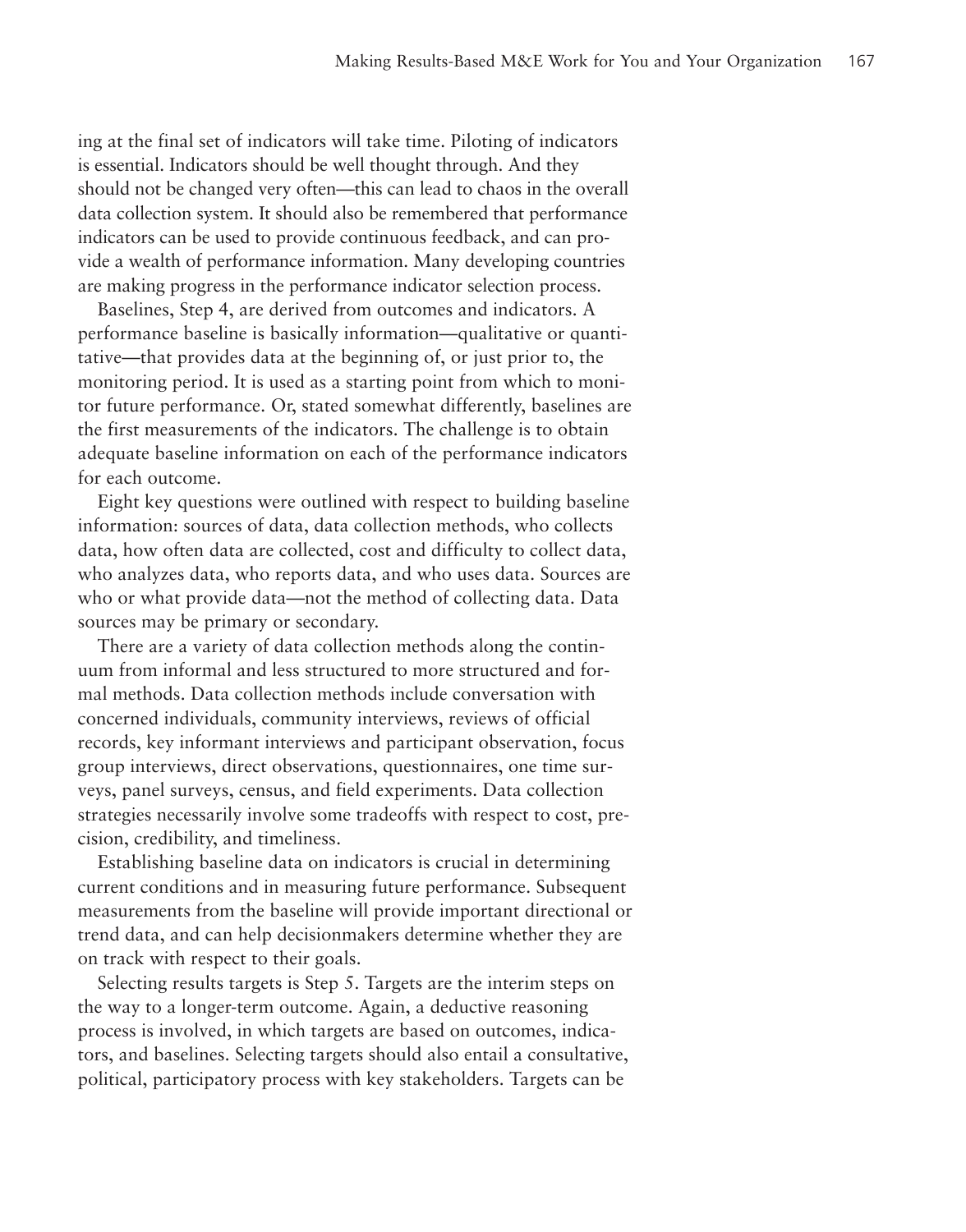ing at the final set of indicators will take time. Piloting of indicators is essential. Indicators should be well thought through. And they should not be changed very often—this can lead to chaos in the overall data collection system. It should also be remembered that performance indicators can be used to provide continuous feedback, and can provide a wealth of performance information. Many developing countries are making progress in the performance indicator selection process.

Baselines, Step 4, are derived from outcomes and indicators. A performance baseline is basically information—qualitative or quantitative—that provides data at the beginning of, or just prior to, the monitoring period. It is used as a starting point from which to monitor future performance. Or, stated somewhat differently, baselines are the first measurements of the indicators. The challenge is to obtain adequate baseline information on each of the performance indicators for each outcome.

Eight key questions were outlined with respect to building baseline information: sources of data, data collection methods, who collects data, how often data are collected, cost and difficulty to collect data, who analyzes data, who reports data, and who uses data. Sources are who or what provide data—not the method of collecting data. Data sources may be primary or secondary.

There are a variety of data collection methods along the continuum from informal and less structured to more structured and formal methods. Data collection methods include conversation with concerned individuals, community interviews, reviews of official records, key informant interviews and participant observation, focus group interviews, direct observations, questionnaires, one time surveys, panel surveys, census, and field experiments. Data collection strategies necessarily involve some tradeoffs with respect to cost, precision, credibility, and timeliness.

Establishing baseline data on indicators is crucial in determining current conditions and in measuring future performance. Subsequent measurements from the baseline will provide important directional or trend data, and can help decisionmakers determine whether they are on track with respect to their goals.

Selecting results targets is Step 5. Targets are the interim steps on the way to a longer-term outcome. Again, a deductive reasoning process is involved, in which targets are based on outcomes, indicators, and baselines. Selecting targets should also entail a consultative, political, participatory process with key stakeholders. Targets can be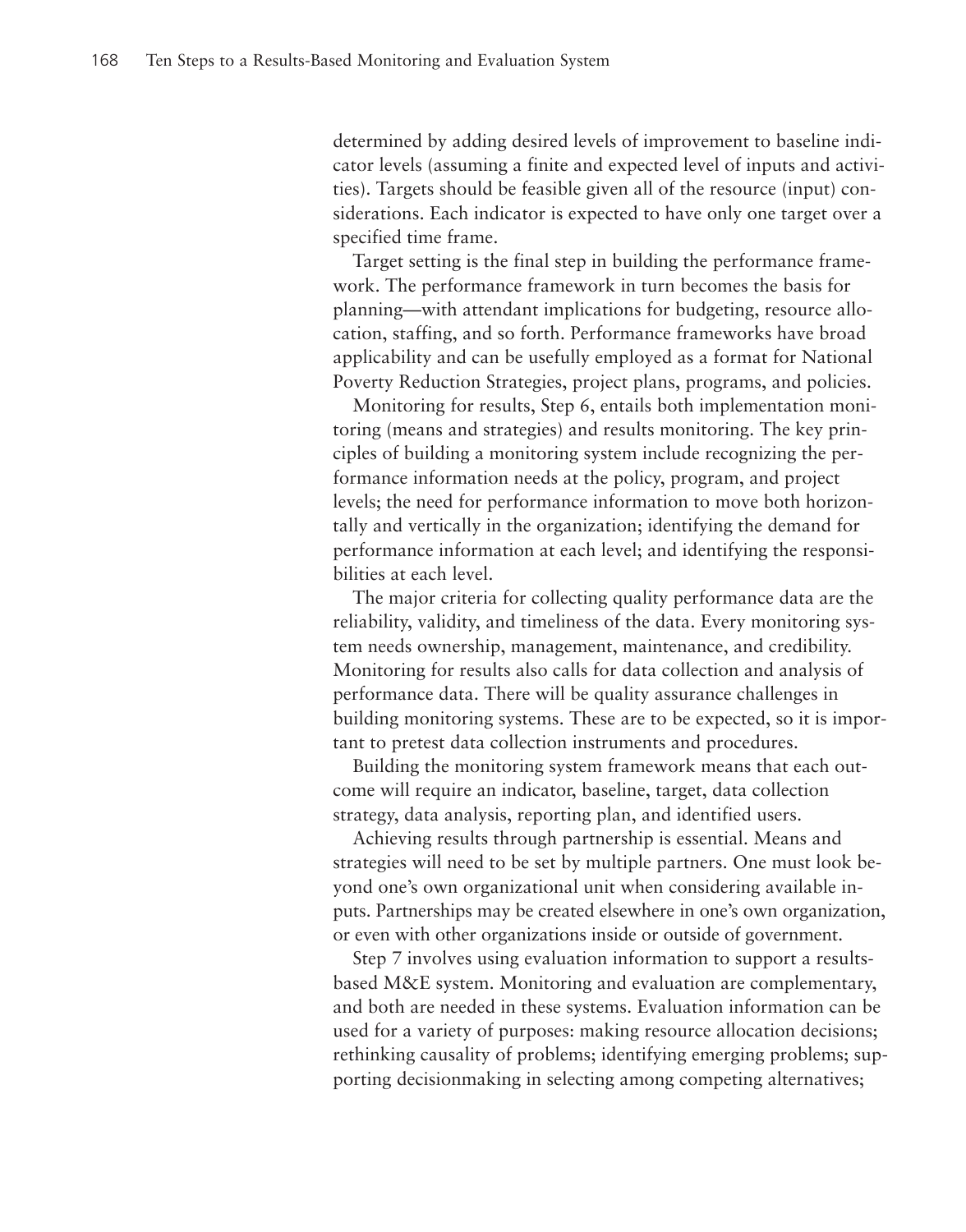determined by adding desired levels of improvement to baseline indicator levels (assuming a finite and expected level of inputs and activities). Targets should be feasible given all of the resource (input) considerations. Each indicator is expected to have only one target over a specified time frame.

Target setting is the final step in building the performance framework. The performance framework in turn becomes the basis for planning—with attendant implications for budgeting, resource allocation, staffing, and so forth. Performance frameworks have broad applicability and can be usefully employed as a format for National Poverty Reduction Strategies, project plans, programs, and policies.

Monitoring for results, Step 6, entails both implementation monitoring (means and strategies) and results monitoring. The key principles of building a monitoring system include recognizing the performance information needs at the policy, program, and project levels; the need for performance information to move both horizontally and vertically in the organization; identifying the demand for performance information at each level; and identifying the responsibilities at each level.

The major criteria for collecting quality performance data are the reliability, validity, and timeliness of the data. Every monitoring system needs ownership, management, maintenance, and credibility. Monitoring for results also calls for data collection and analysis of performance data. There will be quality assurance challenges in building monitoring systems. These are to be expected, so it is important to pretest data collection instruments and procedures.

Building the monitoring system framework means that each outcome will require an indicator, baseline, target, data collection strategy, data analysis, reporting plan, and identified users.

Achieving results through partnership is essential. Means and strategies will need to be set by multiple partners. One must look beyond one's own organizational unit when considering available inputs. Partnerships may be created elsewhere in one's own organization, or even with other organizations inside or outside of government.

Step 7 involves using evaluation information to support a resultsbased M&E system. Monitoring and evaluation are complementary, and both are needed in these systems. Evaluation information can be used for a variety of purposes: making resource allocation decisions; rethinking causality of problems; identifying emerging problems; supporting decisionmaking in selecting among competing alternatives;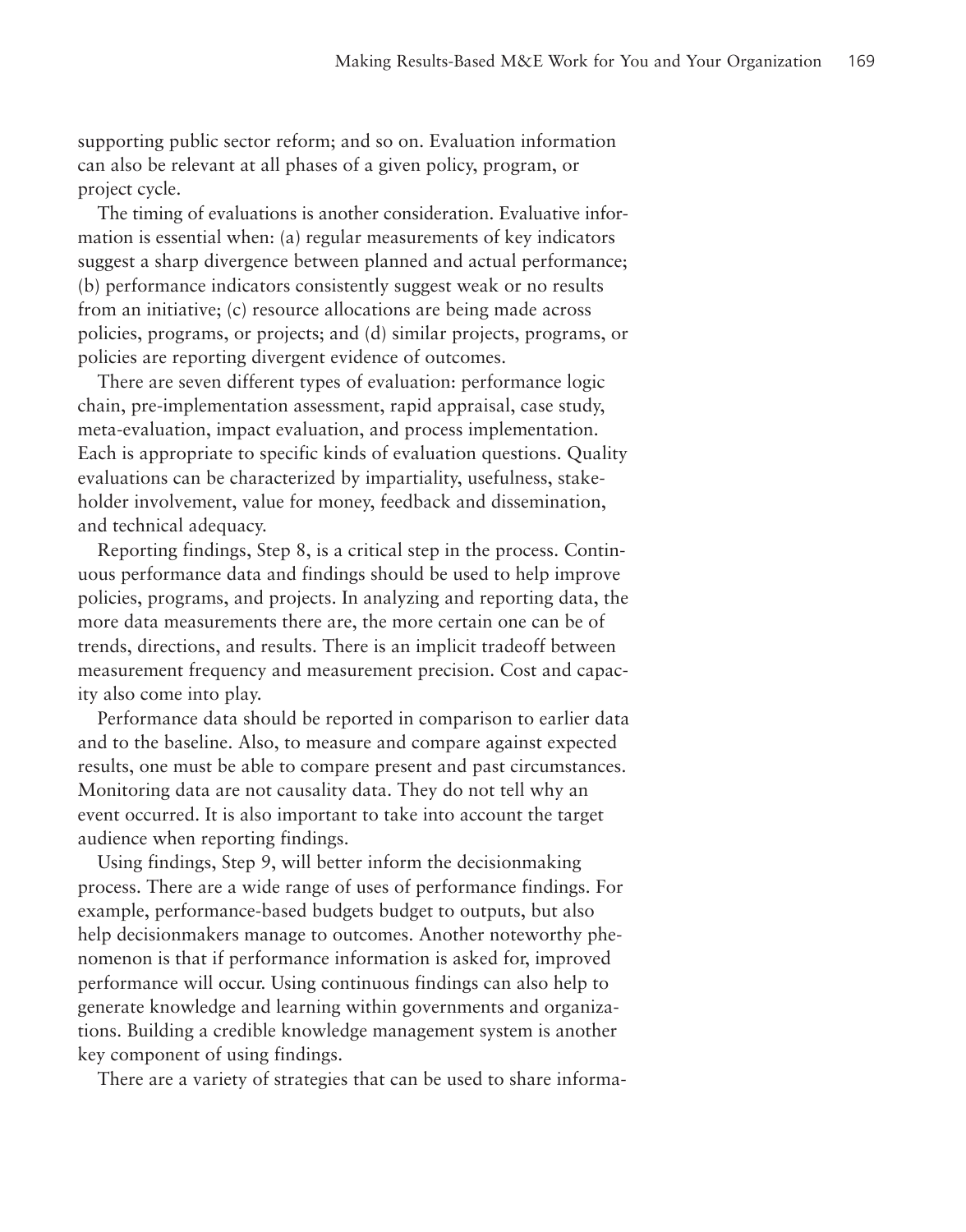supporting public sector reform; and so on. Evaluation information can also be relevant at all phases of a given policy, program, or project cycle.

The timing of evaluations is another consideration. Evaluative information is essential when: (a) regular measurements of key indicators suggest a sharp divergence between planned and actual performance; (b) performance indicators consistently suggest weak or no results from an initiative; (c) resource allocations are being made across policies, programs, or projects; and (d) similar projects, programs, or policies are reporting divergent evidence of outcomes.

There are seven different types of evaluation: performance logic chain, pre-implementation assessment, rapid appraisal, case study, meta-evaluation, impact evaluation, and process implementation. Each is appropriate to specific kinds of evaluation questions. Quality evaluations can be characterized by impartiality, usefulness, stakeholder involvement, value for money, feedback and dissemination, and technical adequacy.

Reporting findings, Step 8, is a critical step in the process. Continuous performance data and findings should be used to help improve policies, programs, and projects. In analyzing and reporting data, the more data measurements there are, the more certain one can be of trends, directions, and results. There is an implicit tradeoff between measurement frequency and measurement precision. Cost and capacity also come into play.

Performance data should be reported in comparison to earlier data and to the baseline. Also, to measure and compare against expected results, one must be able to compare present and past circumstances. Monitoring data are not causality data. They do not tell why an event occurred. It is also important to take into account the target audience when reporting findings.

Using findings, Step 9, will better inform the decisionmaking process. There are a wide range of uses of performance findings. For example, performance-based budgets budget to outputs, but also help decisionmakers manage to outcomes. Another noteworthy phenomenon is that if performance information is asked for, improved performance will occur. Using continuous findings can also help to generate knowledge and learning within governments and organizations. Building a credible knowledge management system is another key component of using findings.

There are a variety of strategies that can be used to share informa-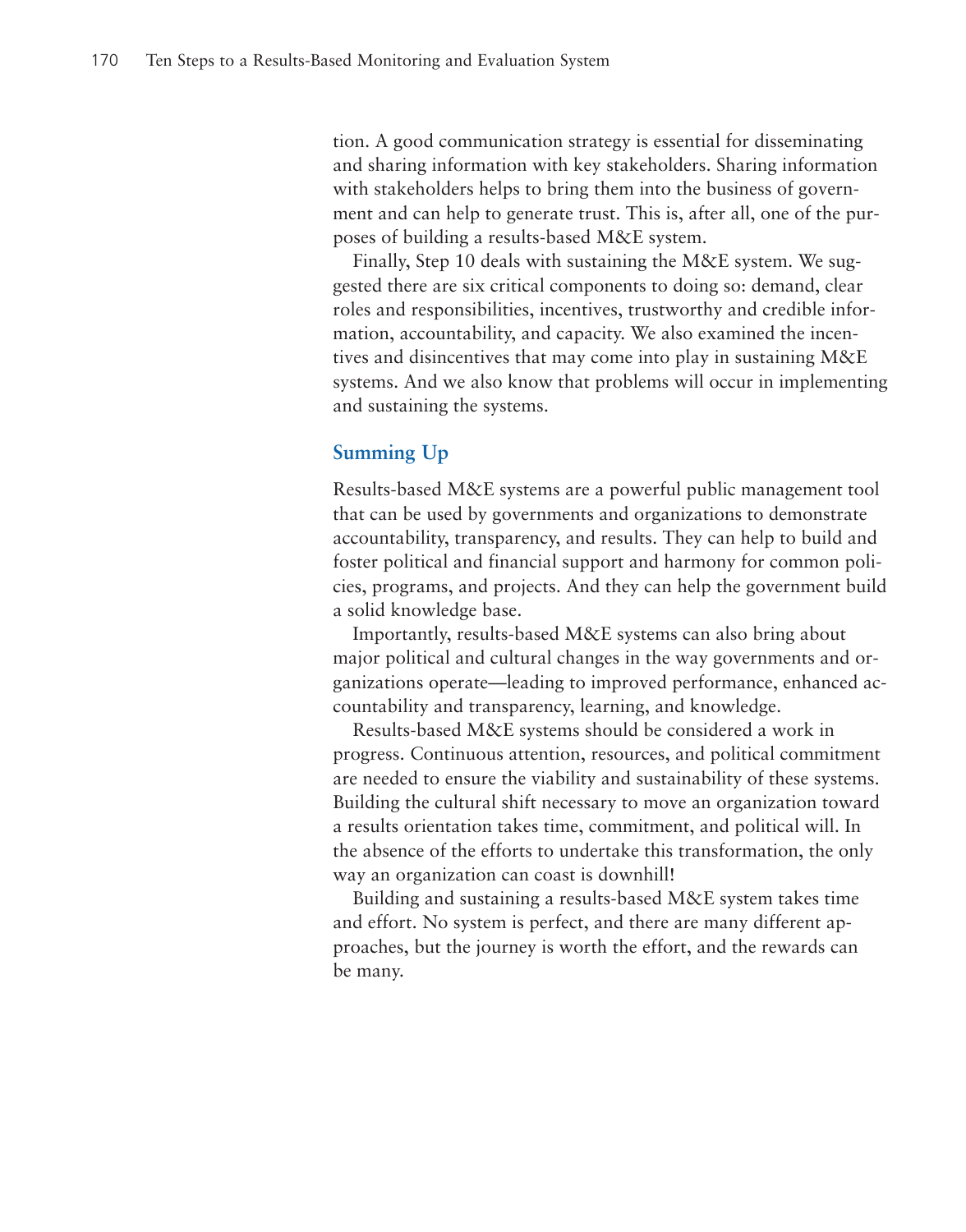tion. A good communication strategy is essential for disseminating and sharing information with key stakeholders. Sharing information with stakeholders helps to bring them into the business of government and can help to generate trust. This is, after all, one of the purposes of building a results-based M&E system.

Finally, Step 10 deals with sustaining the M&E system. We suggested there are six critical components to doing so: demand, clear roles and responsibilities, incentives, trustworthy and credible information, accountability, and capacity. We also examined the incentives and disincentives that may come into play in sustaining M&E systems. And we also know that problems will occur in implementing and sustaining the systems.

# **Summing Up**

Results-based M&E systems are a powerful public management tool that can be used by governments and organizations to demonstrate accountability, transparency, and results. They can help to build and foster political and financial support and harmony for common policies, programs, and projects. And they can help the government build a solid knowledge base.

Importantly, results-based M&E systems can also bring about major political and cultural changes in the way governments and organizations operate—leading to improved performance, enhanced accountability and transparency, learning, and knowledge.

Results-based M&E systems should be considered a work in progress. Continuous attention, resources, and political commitment are needed to ensure the viability and sustainability of these systems. Building the cultural shift necessary to move an organization toward a results orientation takes time, commitment, and political will. In the absence of the efforts to undertake this transformation, the only way an organization can coast is downhill!

Building and sustaining a results-based M&E system takes time and effort. No system is perfect, and there are many different approaches, but the journey is worth the effort, and the rewards can be many.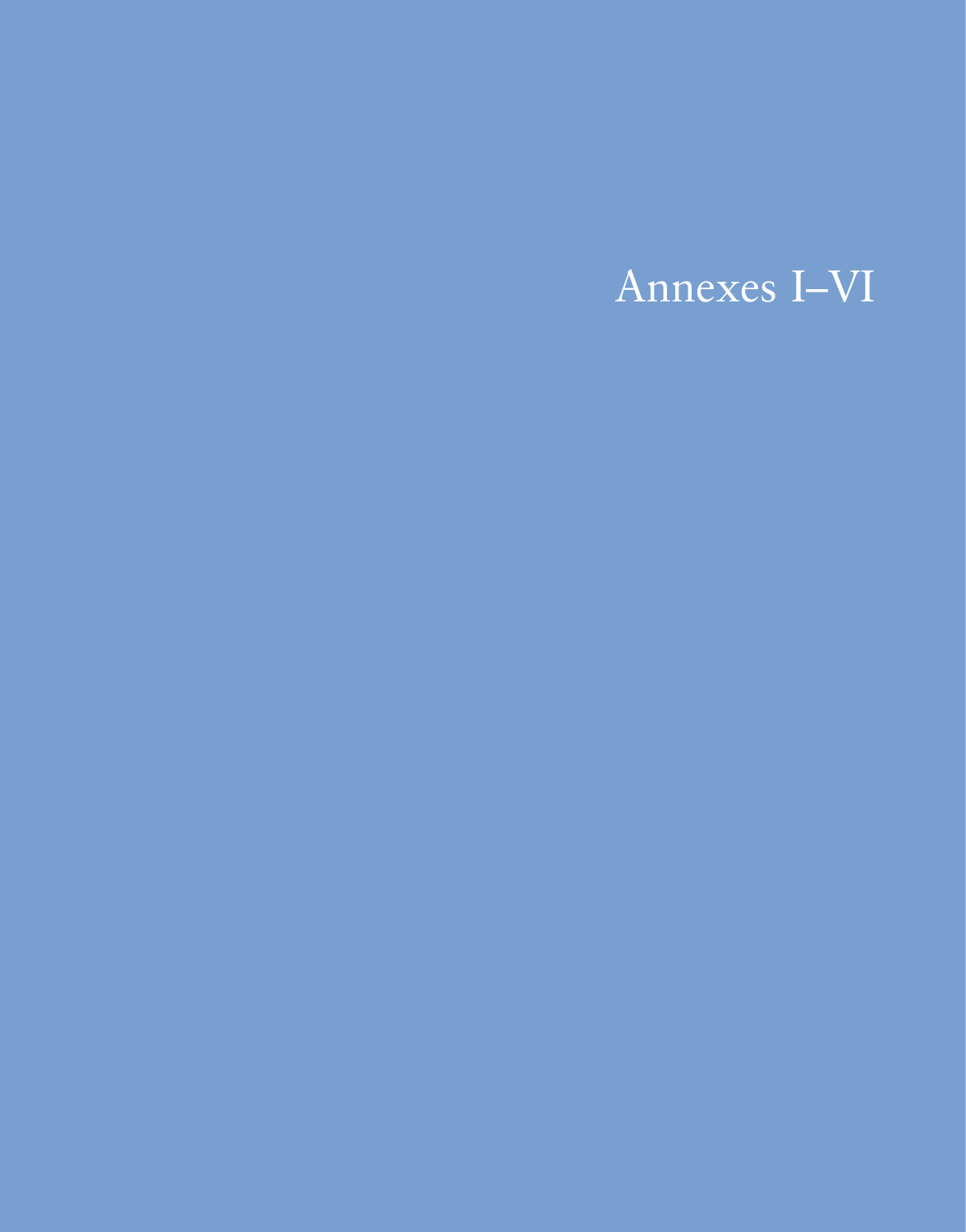# Annexes I–VI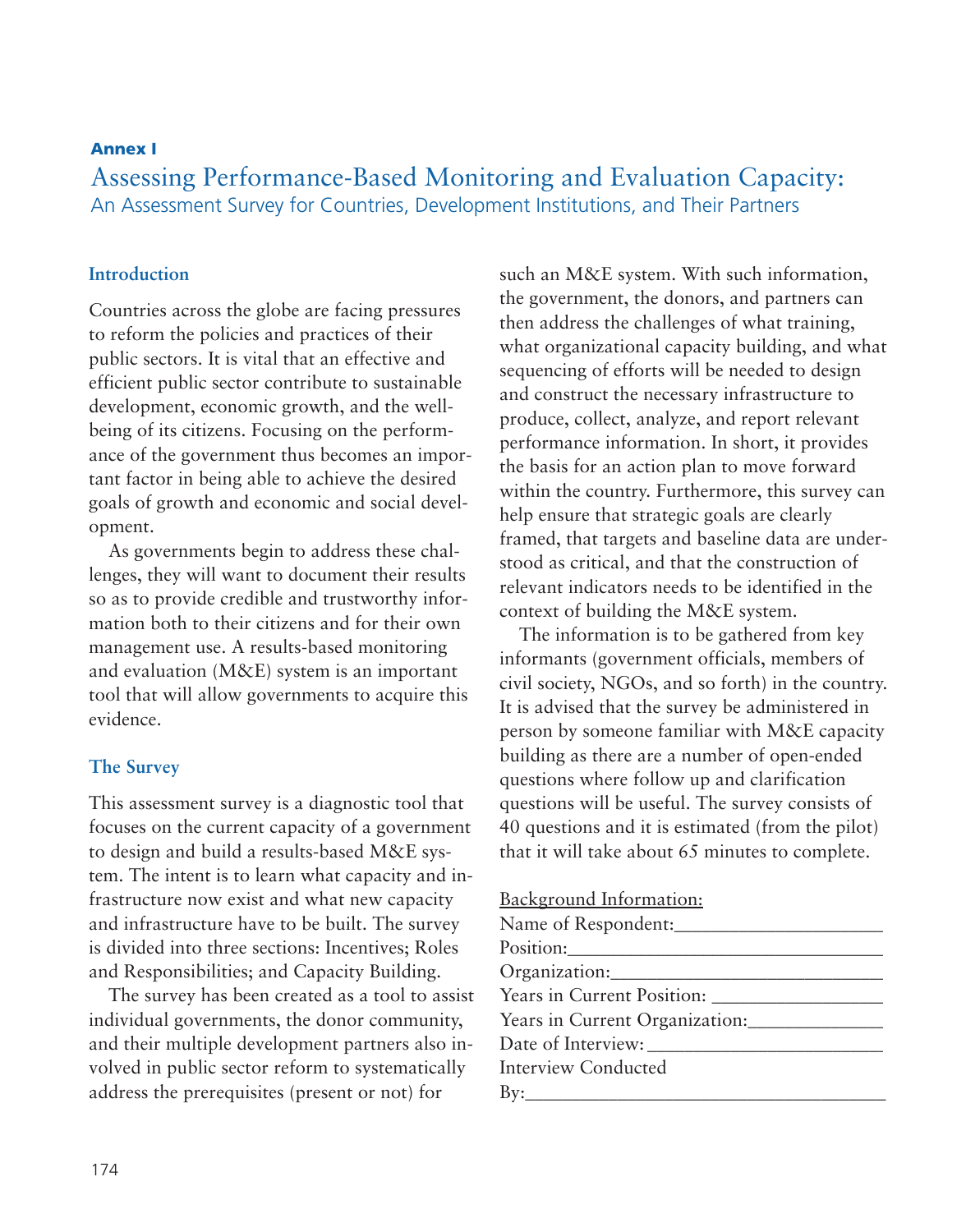# **Annex I**

# Assessing Performance-Based Monitoring and Evaluation Capacity: An Assessment Survey for Countries, Development Institutions, and Their Partners

# **Introduction**

Countries across the globe are facing pressures to reform the policies and practices of their public sectors. It is vital that an effective and efficient public sector contribute to sustainable development, economic growth, and the wellbeing of its citizens. Focusing on the performance of the government thus becomes an important factor in being able to achieve the desired goals of growth and economic and social development.

As governments begin to address these challenges, they will want to document their results so as to provide credible and trustworthy information both to their citizens and for their own management use. A results-based monitoring and evaluation (M&E) system is an important tool that will allow governments to acquire this evidence.

# **The Survey**

This assessment survey is a diagnostic tool that focuses on the current capacity of a government to design and build a results-based M&E system. The intent is to learn what capacity and infrastructure now exist and what new capacity and infrastructure have to be built. The survey is divided into three sections: Incentives; Roles and Responsibilities; and Capacity Building.

The survey has been created as a tool to assist individual governments, the donor community, and their multiple development partners also involved in public sector reform to systematically address the prerequisites (present or not) for

such an M&E system. With such information, the government, the donors, and partners can then address the challenges of what training, what organizational capacity building, and what sequencing of efforts will be needed to design and construct the necessary infrastructure to produce, collect, analyze, and report relevant performance information. In short, it provides the basis for an action plan to move forward within the country. Furthermore, this survey can help ensure that strategic goals are clearly framed, that targets and baseline data are understood as critical, and that the construction of relevant indicators needs to be identified in the context of building the M&E system.

The information is to be gathered from key informants (government officials, members of civil society, NGOs, and so forth) in the country. It is advised that the survey be administered in person by someone familiar with M&E capacity building as there are a number of open-ended questions where follow up and clarification questions will be useful. The survey consists of 40 questions and it is estimated (from the pilot) that it will take about 65 minutes to complete.

|  |  | Background Information: |
|--|--|-------------------------|
|  |  |                         |

| Name of Respondent:            |  |  |  |
|--------------------------------|--|--|--|
|                                |  |  |  |
|                                |  |  |  |
|                                |  |  |  |
| Years in Current Organization: |  |  |  |
| Date of Interview: 1999.       |  |  |  |
| <b>Interview Conducted</b>     |  |  |  |
| By:                            |  |  |  |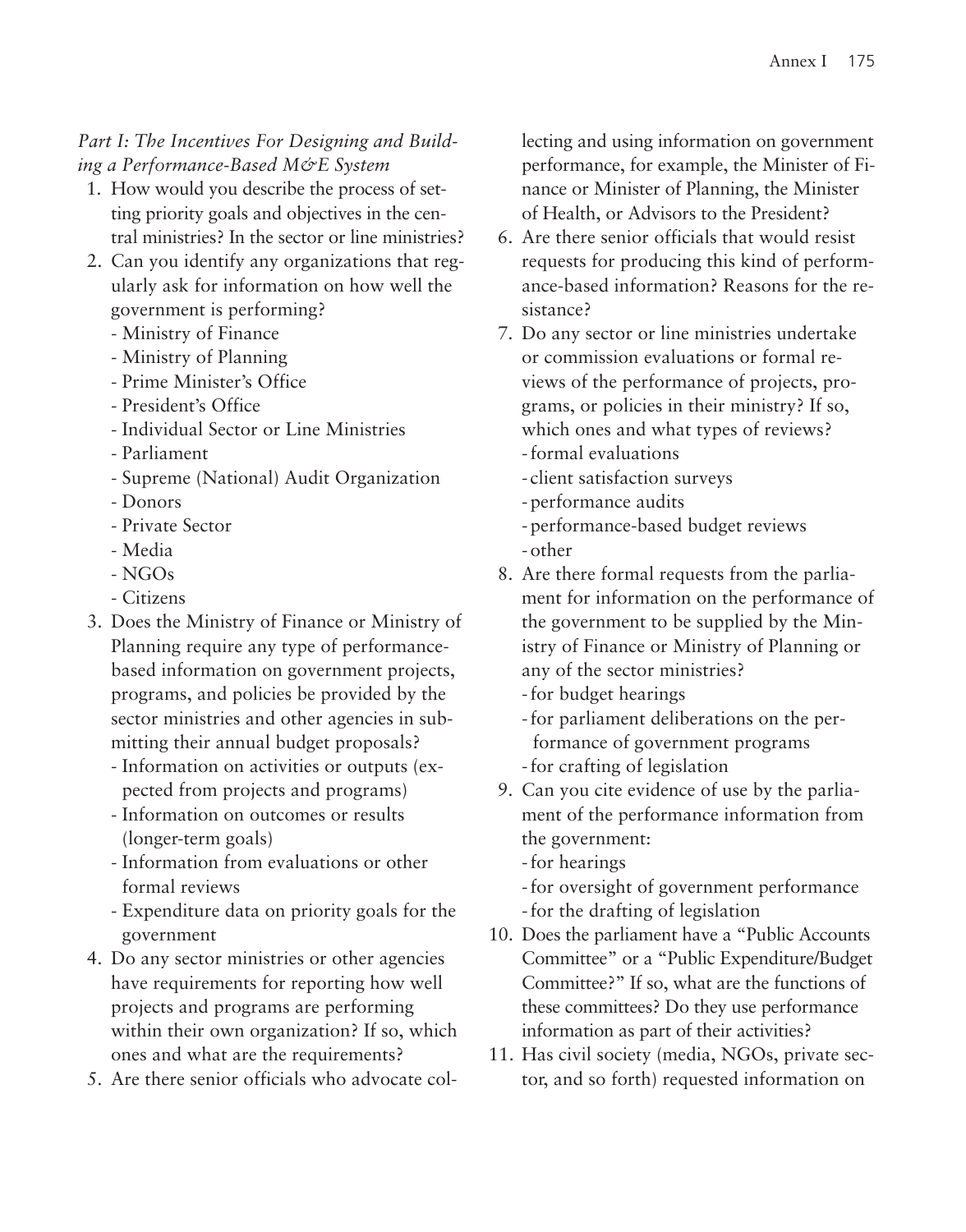# *Part I: The Incentives For Designing and Building a Performance-Based M&E System*

- 1. How would you describe the process of setting priority goals and objectives in the central ministries? In the sector or line ministries?
- 2. Can you identify any organizations that regularly ask for information on how well the government is performing?
	- Ministry of Finance
	- Ministry of Planning
	- Prime Minister's Office
	- President's Office
	- Individual Sector or Line Ministries
	- Parliament
	- Supreme (National) Audit Organization
	- Donors
	- Private Sector
	- Media
	- NGOs
	- Citizens
- 3. Does the Ministry of Finance or Ministry of Planning require any type of performancebased information on government projects, programs, and policies be provided by the sector ministries and other agencies in submitting their annual budget proposals?
	- Information on activities or outputs (expected from projects and programs)
	- Information on outcomes or results (longer-term goals)
	- Information from evaluations or other formal reviews
	- Expenditure data on priority goals for the government
- 4. Do any sector ministries or other agencies have requirements for reporting how well projects and programs are performing within their own organization? If so, which ones and what are the requirements?
- 5. Are there senior officials who advocate col-

lecting and using information on government performance, for example, the Minister of Finance or Minister of Planning, the Minister of Health, or Advisors to the President?

- 6. Are there senior officials that would resist requests for producing this kind of performance-based information? Reasons for the resistance?
- 7. Do any sector or line ministries undertake or commission evaluations or formal reviews of the performance of projects, programs, or policies in their ministry? If so, which ones and what types of reviews?
	- -formal evaluations
	- -client satisfaction surveys
	- -performance audits
	- -performance-based budget reviews -other
- 8. Are there formal requests from the parliament for information on the performance of the government to be supplied by the Ministry of Finance or Ministry of Planning or any of the sector ministries?
	- -for budget hearings
	- -for parliament deliberations on the performance of government programs -for crafting of legislation
- 9. Can you cite evidence of use by the parliament of the performance information from the government:
	- -for hearings
	- -for oversight of government performance -for the drafting of legislation
- 10. Does the parliament have a "Public Accounts Committee" or a "Public Expenditure/Budget Committee?" If so, what are the functions of these committees? Do they use performance information as part of their activities?
- 11. Has civil society (media, NGOs, private sector, and so forth) requested information on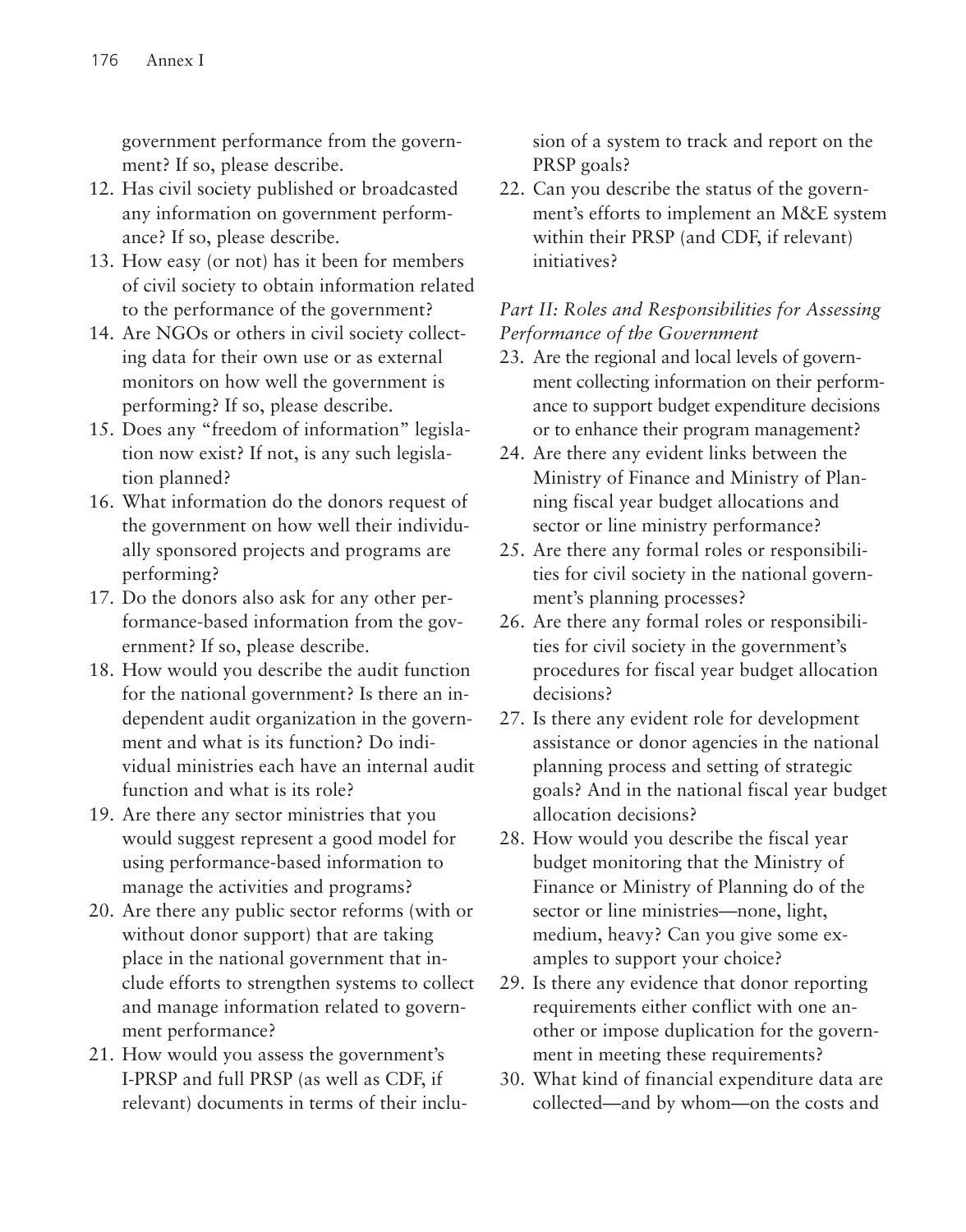government performance from the government? If so, please describe.

- 12. Has civil society published or broadcasted any information on government performance? If so, please describe.
- 13. How easy (or not) has it been for members of civil society to obtain information related to the performance of the government?
- 14. Are NGOs or others in civil society collecting data for their own use or as external monitors on how well the government is performing? If so, please describe.
- 15. Does any "freedom of information" legislation now exist? If not, is any such legislation planned?
- 16. What information do the donors request of the government on how well their individually sponsored projects and programs are performing?
- 17. Do the donors also ask for any other performance-based information from the government? If so, please describe.
- 18. How would you describe the audit function for the national government? Is there an independent audit organization in the government and what is its function? Do individual ministries each have an internal audit function and what is its role?
- 19. Are there any sector ministries that you would suggest represent a good model for using performance-based information to manage the activities and programs?
- 20. Are there any public sector reforms (with or without donor support) that are taking place in the national government that include efforts to strengthen systems to collect and manage information related to government performance?
- 21. How would you assess the government's I-PRSP and full PRSP (as well as CDF, if relevant) documents in terms of their inclu-

sion of a system to track and report on the PRSP goals?

22. Can you describe the status of the government's efforts to implement an M&E system within their PRSP (and CDF, if relevant) initiatives?

# *Part II: Roles and Responsibilities for Assessing Performance of the Government*

- 23. Are the regional and local levels of government collecting information on their performance to support budget expenditure decisions or to enhance their program management?
- 24. Are there any evident links between the Ministry of Finance and Ministry of Planning fiscal year budget allocations and sector or line ministry performance?
- 25. Are there any formal roles or responsibilities for civil society in the national government's planning processes?
- 26. Are there any formal roles or responsibilities for civil society in the government's procedures for fiscal year budget allocation decisions?
- 27. Is there any evident role for development assistance or donor agencies in the national planning process and setting of strategic goals? And in the national fiscal year budget allocation decisions?
- 28. How would you describe the fiscal year budget monitoring that the Ministry of Finance or Ministry of Planning do of the sector or line ministries—none, light, medium, heavy? Can you give some examples to support your choice?
- 29. Is there any evidence that donor reporting requirements either conflict with one another or impose duplication for the government in meeting these requirements?
- 30. What kind of financial expenditure data are collected—and by whom—on the costs and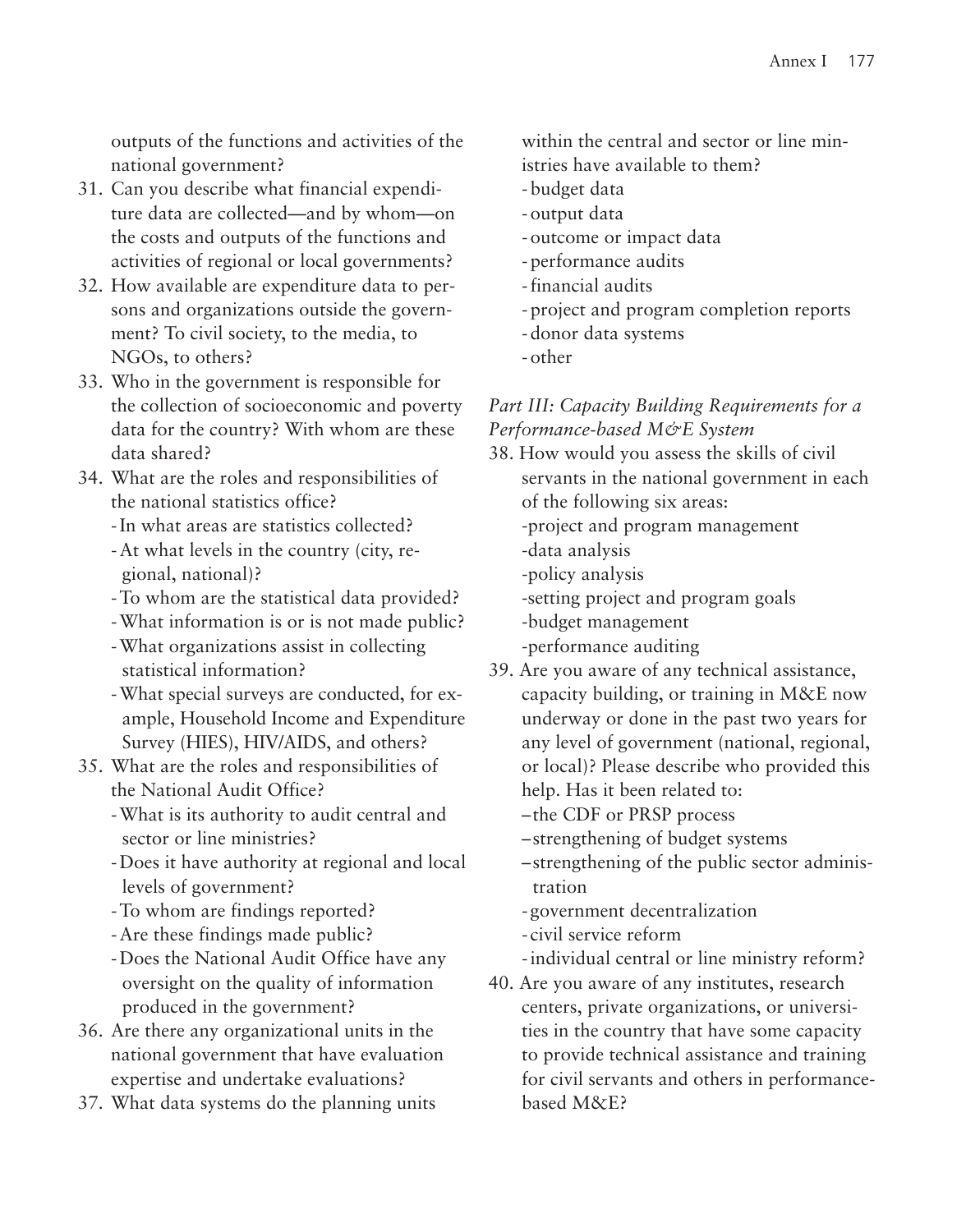outputs of the functions and activities of the national government?

- 31. Can you describe what financial expenditure data are collected—and by whom—on the costs and outputs of the functions and activities of regional or local governments?
- 32. How available are expenditure data to persons and organizations outside the government? To civil society, to the media, to NGOs, to others?
- 33. Who in the government is responsible for the collection of socioeconomic and poverty data for the country? With whom are these data shared?
- 34. What are the roles and responsibilities of the national statistics office?
	- -In what areas are statistics collected?
	- -At what levels in the country (city, regional, national)?
	- -To whom are the statistical data provided?
	- -What information is or is not made public?
	- -What organizations assist in collecting statistical information?
	- -What special surveys are conducted, for example, Household Income and Expenditure Survey (HIES), HIV/AIDS, and others?
- 35. What are the roles and responsibilities of the National Audit Office?
	- -What is its authority to audit central and sector or line ministries?
	- -Does it have authority at regional and local levels of government?
	- -To whom are findings reported?
	- -Are these findings made public?
	- -Does the National Audit Office have any oversight on the quality of information produced in the government?
- 36. Are there any organizational units in the national government that have evaluation expertise and undertake evaluations?
- 37. What data systems do the planning units

within the central and sector or line ministries have available to them?

- -budget data
- -output data
- -outcome or impact data
- -performance audits
- -financial audits
- -project and program completion reports
- -donor data systems
- -other

*Part III: Capacity Building Requirements for a Performance-based M&E System*

- 38. How would you assess the skills of civil servants in the national government in each of the following six areas: -project and program management -data analysis -policy analysis -setting project and program goals -budget management
	- -performance auditing
- 39. Are you aware of any technical assistance, capacity building, or training in M&E now underway or done in the past two years for any level of government (national, regional, or local)? Please describe who provided this help. Has it been related to:
	- –the CDF or PRSP process

–strengthening of budget systems

- –strengthening of the public sector administration
- -government decentralization
- -civil service reform
- -individual central or line ministry reform?
- 40. Are you aware of any institutes, research centers, private organizations, or universities in the country that have some capacity to provide technical assistance and training for civil servants and others in performancebased M&E?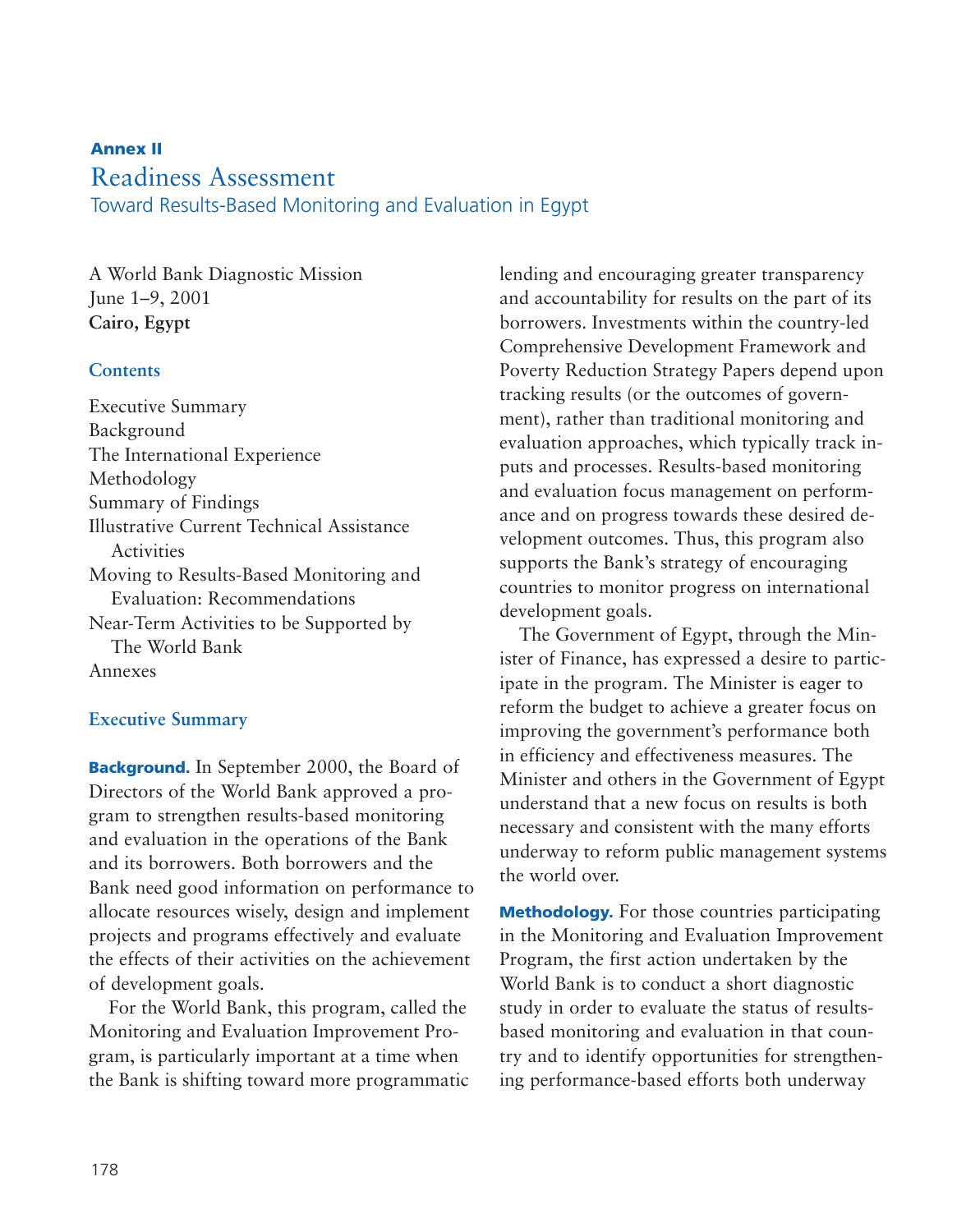# **Annex II** Readiness Assessment Toward Results-Based Monitoring and Evaluation in Egypt

A World Bank Diagnostic Mission June 1–9, 2001 **Cairo, Egypt**

# **Contents**

Executive Summary Background The International Experience Methodology Summary of Findings Illustrative Current Technical Assistance **Activities** Moving to Results-Based Monitoring and Evaluation: Recommendations Near-Term Activities to be Supported by The World Bank Annexes

# **Executive Summary**

**Background.** In September 2000, the Board of Directors of the World Bank approved a program to strengthen results-based monitoring and evaluation in the operations of the Bank and its borrowers. Both borrowers and the Bank need good information on performance to allocate resources wisely, design and implement projects and programs effectively and evaluate the effects of their activities on the achievement of development goals.

For the World Bank, this program, called the Monitoring and Evaluation Improvement Program, is particularly important at a time when the Bank is shifting toward more programmatic lending and encouraging greater transparency and accountability for results on the part of its borrowers. Investments within the country-led Comprehensive Development Framework and Poverty Reduction Strategy Papers depend upon tracking results (or the outcomes of government), rather than traditional monitoring and evaluation approaches, which typically track inputs and processes. Results-based monitoring and evaluation focus management on performance and on progress towards these desired development outcomes. Thus, this program also supports the Bank's strategy of encouraging countries to monitor progress on international development goals.

The Government of Egypt, through the Minister of Finance, has expressed a desire to participate in the program. The Minister is eager to reform the budget to achieve a greater focus on improving the government's performance both in efficiency and effectiveness measures. The Minister and others in the Government of Egypt understand that a new focus on results is both necessary and consistent with the many efforts underway to reform public management systems the world over.

**Methodology.** For those countries participating in the Monitoring and Evaluation Improvement Program, the first action undertaken by the World Bank is to conduct a short diagnostic study in order to evaluate the status of resultsbased monitoring and evaluation in that country and to identify opportunities for strengthening performance-based efforts both underway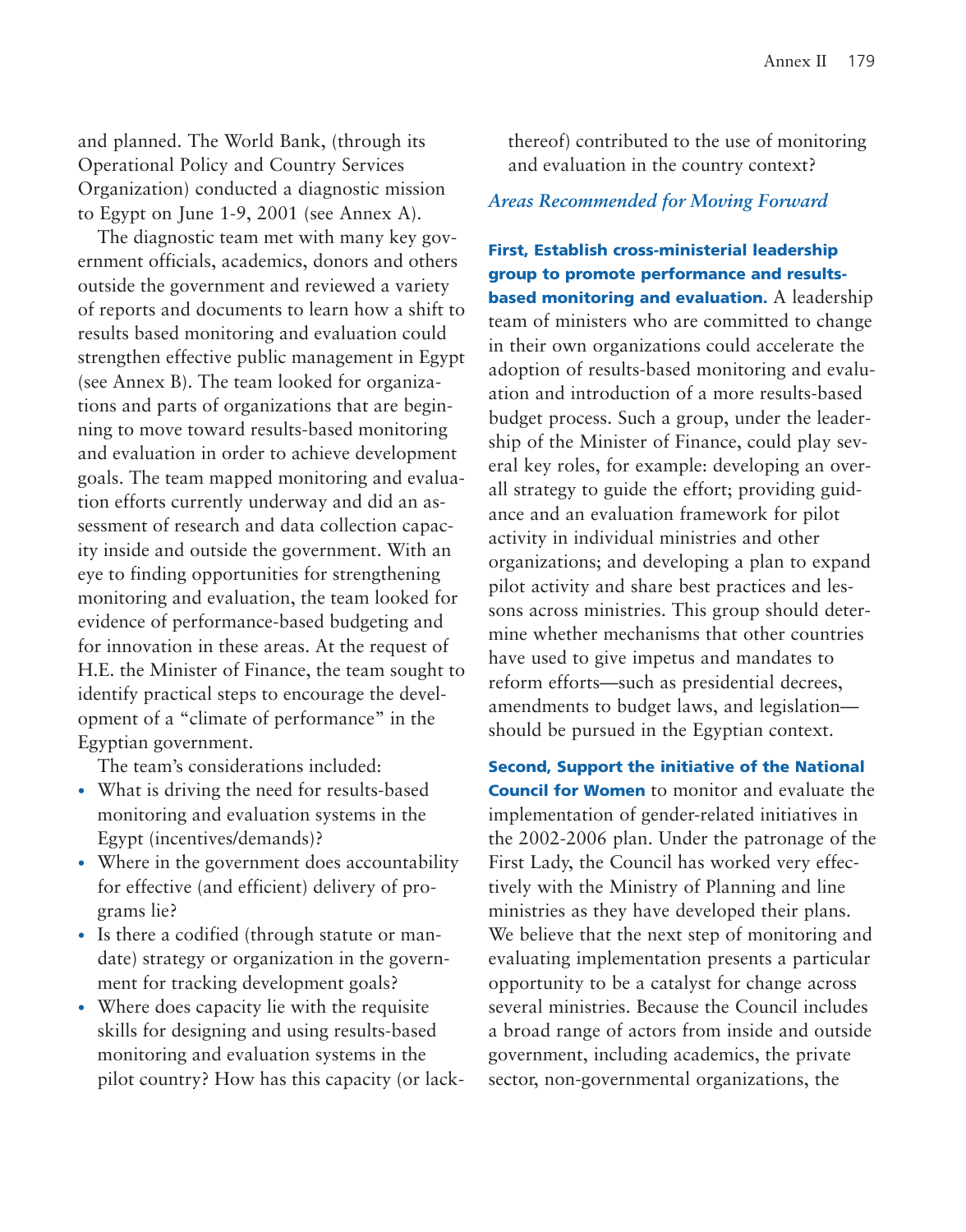and planned. The World Bank, (through its Operational Policy and Country Services Organization) conducted a diagnostic mission to Egypt on June 1-9, 2001 (see Annex A).

The diagnostic team met with many key government officials, academics, donors and others outside the government and reviewed a variety of reports and documents to learn how a shift to results based monitoring and evaluation could strengthen effective public management in Egypt (see Annex B). The team looked for organizations and parts of organizations that are beginning to move toward results-based monitoring and evaluation in order to achieve development goals. The team mapped monitoring and evaluation efforts currently underway and did an assessment of research and data collection capacity inside and outside the government. With an eye to finding opportunities for strengthening monitoring and evaluation, the team looked for evidence of performance-based budgeting and for innovation in these areas. At the request of H.E. the Minister of Finance, the team sought to identify practical steps to encourage the development of a "climate of performance" in the Egyptian government.

The team's considerations included:

- What is driving the need for results-based monitoring and evaluation systems in the Egypt (incentives/demands)?
- Where in the government does accountability for effective (and efficient) delivery of programs lie?
- Is there a codified (through statute or mandate) strategy or organization in the government for tracking development goals?
- Where does capacity lie with the requisite skills for designing and using results-based monitoring and evaluation systems in the pilot country? How has this capacity (or lack-

thereof) contributed to the use of monitoring and evaluation in the country context?

# *Areas Recommended for Moving Forward*

**First, Establish cross-ministerial leadership group to promote performance and resultsbased monitoring and evaluation.** A leadership team of ministers who are committed to change in their own organizations could accelerate the adoption of results-based monitoring and evaluation and introduction of a more results-based budget process. Such a group, under the leadership of the Minister of Finance, could play several key roles, for example: developing an overall strategy to guide the effort; providing guidance and an evaluation framework for pilot activity in individual ministries and other organizations; and developing a plan to expand pilot activity and share best practices and lessons across ministries. This group should determine whether mechanisms that other countries have used to give impetus and mandates to reform efforts—such as presidential decrees, amendments to budget laws, and legislation should be pursued in the Egyptian context.

**Second, Support the initiative of the National Council for Women** to monitor and evaluate the implementation of gender-related initiatives in the 2002-2006 plan. Under the patronage of the First Lady, the Council has worked very effectively with the Ministry of Planning and line ministries as they have developed their plans. We believe that the next step of monitoring and evaluating implementation presents a particular opportunity to be a catalyst for change across several ministries. Because the Council includes a broad range of actors from inside and outside government, including academics, the private sector, non-governmental organizations, the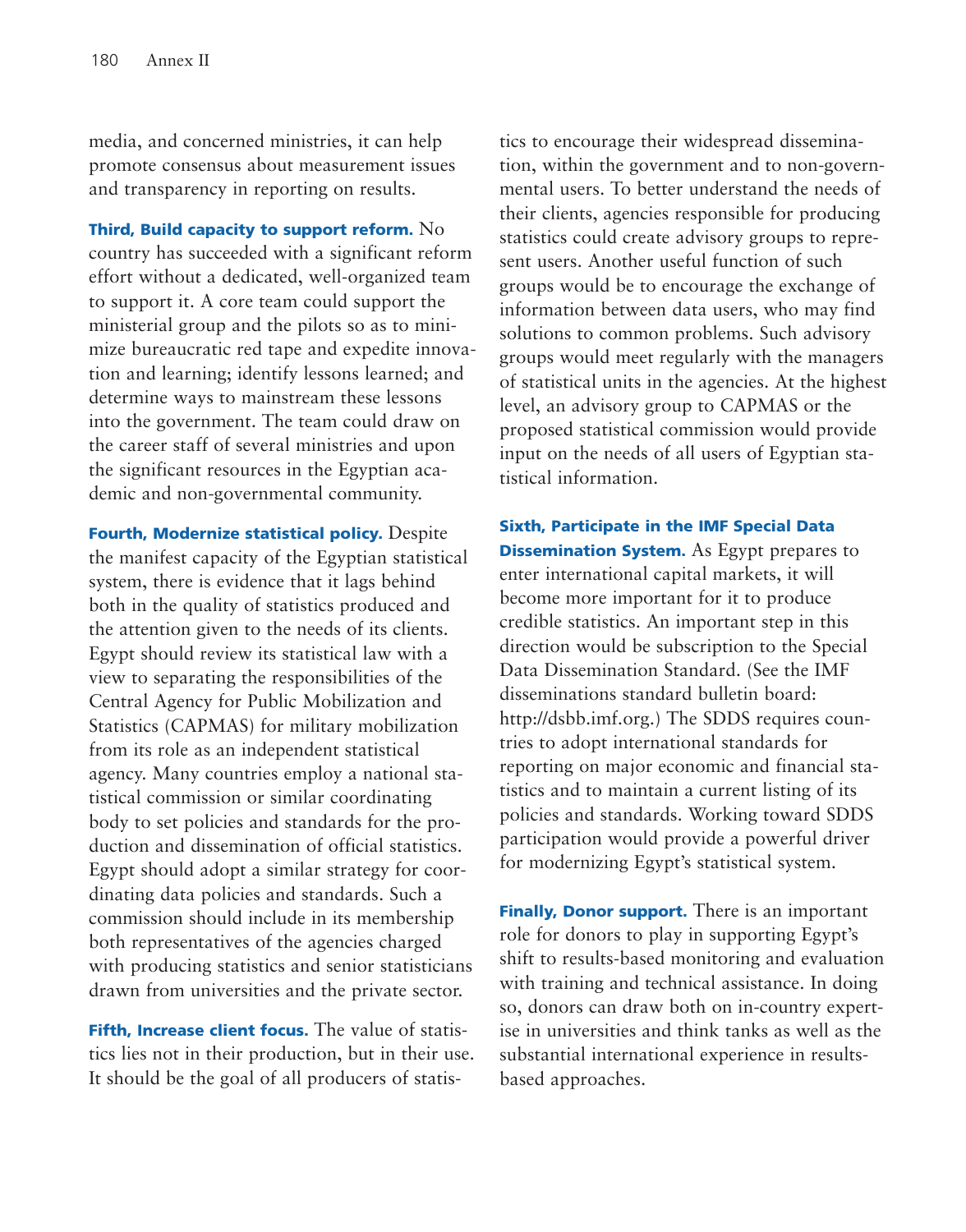media, and concerned ministries, it can help promote consensus about measurement issues and transparency in reporting on results.

**Third, Build capacity to support reform.** No country has succeeded with a significant reform effort without a dedicated, well-organized team to support it. A core team could support the ministerial group and the pilots so as to minimize bureaucratic red tape and expedite innovation and learning; identify lessons learned; and determine ways to mainstream these lessons into the government. The team could draw on the career staff of several ministries and upon the significant resources in the Egyptian academic and non-governmental community.

**Fourth, Modernize statistical policy.** Despite the manifest capacity of the Egyptian statistical system, there is evidence that it lags behind both in the quality of statistics produced and the attention given to the needs of its clients. Egypt should review its statistical law with a view to separating the responsibilities of the Central Agency for Public Mobilization and Statistics (CAPMAS) for military mobilization from its role as an independent statistical agency. Many countries employ a national statistical commission or similar coordinating body to set policies and standards for the production and dissemination of official statistics. Egypt should adopt a similar strategy for coordinating data policies and standards. Such a commission should include in its membership both representatives of the agencies charged with producing statistics and senior statisticians drawn from universities and the private sector.

**Fifth, Increase client focus.** The value of statistics lies not in their production, but in their use. It should be the goal of all producers of statis-

tics to encourage their widespread dissemination, within the government and to non-governmental users. To better understand the needs of their clients, agencies responsible for producing statistics could create advisory groups to represent users. Another useful function of such groups would be to encourage the exchange of information between data users, who may find solutions to common problems. Such advisory groups would meet regularly with the managers of statistical units in the agencies. At the highest level, an advisory group to CAPMAS or the proposed statistical commission would provide input on the needs of all users of Egyptian statistical information.

**Sixth, Participate in the IMF Special Data Dissemination System.** As Egypt prepares to enter international capital markets, it will become more important for it to produce credible statistics. An important step in this direction would be subscription to the Special Data Dissemination Standard. (See the IMF disseminations standard bulletin board: http://dsbb.imf.org.) The SDDS requires countries to adopt international standards for reporting on major economic and financial statistics and to maintain a current listing of its policies and standards. Working toward SDDS participation would provide a powerful driver for modernizing Egypt's statistical system.

**Finally, Donor support.** There is an important role for donors to play in supporting Egypt's shift to results-based monitoring and evaluation with training and technical assistance. In doing so, donors can draw both on in-country expertise in universities and think tanks as well as the substantial international experience in resultsbased approaches.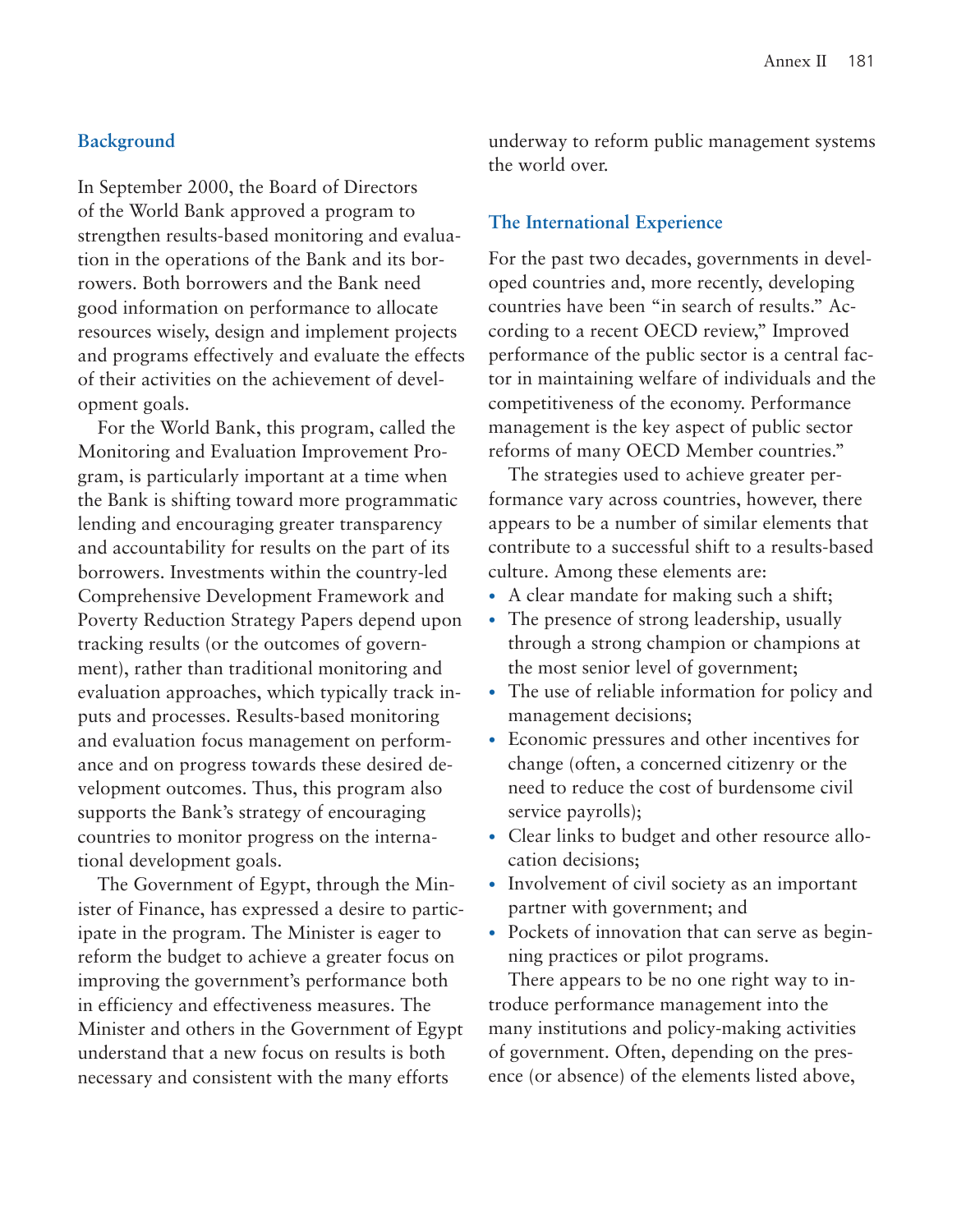#### **Background**

In September 2000, the Board of Directors of the World Bank approved a program to strengthen results-based monitoring and evaluation in the operations of the Bank and its borrowers. Both borrowers and the Bank need good information on performance to allocate resources wisely, design and implement projects and programs effectively and evaluate the effects of their activities on the achievement of development goals.

For the World Bank, this program, called the Monitoring and Evaluation Improvement Program, is particularly important at a time when the Bank is shifting toward more programmatic lending and encouraging greater transparency and accountability for results on the part of its borrowers. Investments within the country-led Comprehensive Development Framework and Poverty Reduction Strategy Papers depend upon tracking results (or the outcomes of government), rather than traditional monitoring and evaluation approaches, which typically track inputs and processes. Results-based monitoring and evaluation focus management on performance and on progress towards these desired development outcomes. Thus, this program also supports the Bank's strategy of encouraging countries to monitor progress on the international development goals.

The Government of Egypt, through the Minister of Finance, has expressed a desire to participate in the program. The Minister is eager to reform the budget to achieve a greater focus on improving the government's performance both in efficiency and effectiveness measures. The Minister and others in the Government of Egypt understand that a new focus on results is both necessary and consistent with the many efforts

underway to reform public management systems the world over.

#### **The International Experience**

For the past two decades, governments in developed countries and, more recently, developing countries have been "in search of results." According to a recent OECD review," Improved performance of the public sector is a central factor in maintaining welfare of individuals and the competitiveness of the economy. Performance management is the key aspect of public sector reforms of many OECD Member countries."

The strategies used to achieve greater performance vary across countries, however, there appears to be a number of similar elements that contribute to a successful shift to a results-based culture. Among these elements are:

- A clear mandate for making such a shift;
- The presence of strong leadership, usually through a strong champion or champions at the most senior level of government;
- The use of reliable information for policy and management decisions;
- Economic pressures and other incentives for change (often, a concerned citizenry or the need to reduce the cost of burdensome civil service payrolls);
- Clear links to budget and other resource allocation decisions;
- Involvement of civil society as an important partner with government; and
- Pockets of innovation that can serve as beginning practices or pilot programs.

There appears to be no one right way to introduce performance management into the many institutions and policy-making activities of government. Often, depending on the presence (or absence) of the elements listed above,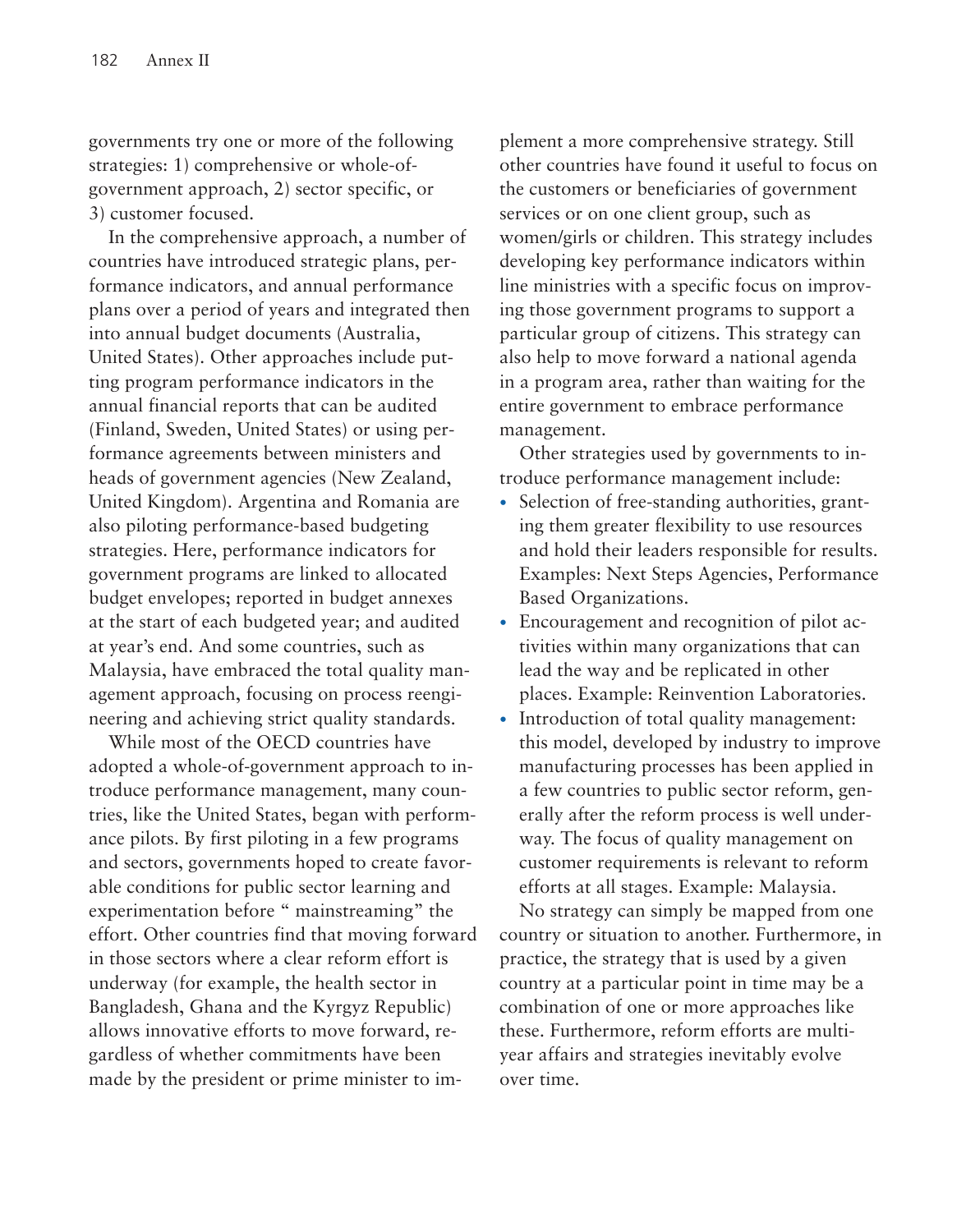governments try one or more of the following strategies: 1) comprehensive or whole-ofgovernment approach, 2) sector specific, or 3) customer focused.

In the comprehensive approach, a number of countries have introduced strategic plans, performance indicators, and annual performance plans over a period of years and integrated then into annual budget documents (Australia, United States). Other approaches include putting program performance indicators in the annual financial reports that can be audited (Finland, Sweden, United States) or using performance agreements between ministers and heads of government agencies (New Zealand, United Kingdom). Argentina and Romania are also piloting performance-based budgeting strategies. Here, performance indicators for government programs are linked to allocated budget envelopes; reported in budget annexes at the start of each budgeted year; and audited at year's end. And some countries, such as Malaysia, have embraced the total quality management approach, focusing on process reengineering and achieving strict quality standards.

While most of the OECD countries have adopted a whole-of-government approach to introduce performance management, many countries, like the United States, began with performance pilots. By first piloting in a few programs and sectors, governments hoped to create favorable conditions for public sector learning and experimentation before " mainstreaming" the effort. Other countries find that moving forward in those sectors where a clear reform effort is underway (for example, the health sector in Bangladesh, Ghana and the Kyrgyz Republic) allows innovative efforts to move forward, regardless of whether commitments have been made by the president or prime minister to im-

plement a more comprehensive strategy. Still other countries have found it useful to focus on the customers or beneficiaries of government services or on one client group, such as women/girls or children. This strategy includes developing key performance indicators within line ministries with a specific focus on improving those government programs to support a particular group of citizens. This strategy can also help to move forward a national agenda in a program area, rather than waiting for the entire government to embrace performance management.

Other strategies used by governments to introduce performance management include:

- Selection of free-standing authorities, granting them greater flexibility to use resources and hold their leaders responsible for results. Examples: Next Steps Agencies, Performance Based Organizations.
- Encouragement and recognition of pilot activities within many organizations that can lead the way and be replicated in other places. Example: Reinvention Laboratories.
- Introduction of total quality management: this model, developed by industry to improve manufacturing processes has been applied in a few countries to public sector reform, generally after the reform process is well underway. The focus of quality management on customer requirements is relevant to reform efforts at all stages. Example: Malaysia.

No strategy can simply be mapped from one country or situation to another. Furthermore, in practice, the strategy that is used by a given country at a particular point in time may be a combination of one or more approaches like these. Furthermore, reform efforts are multiyear affairs and strategies inevitably evolve over time.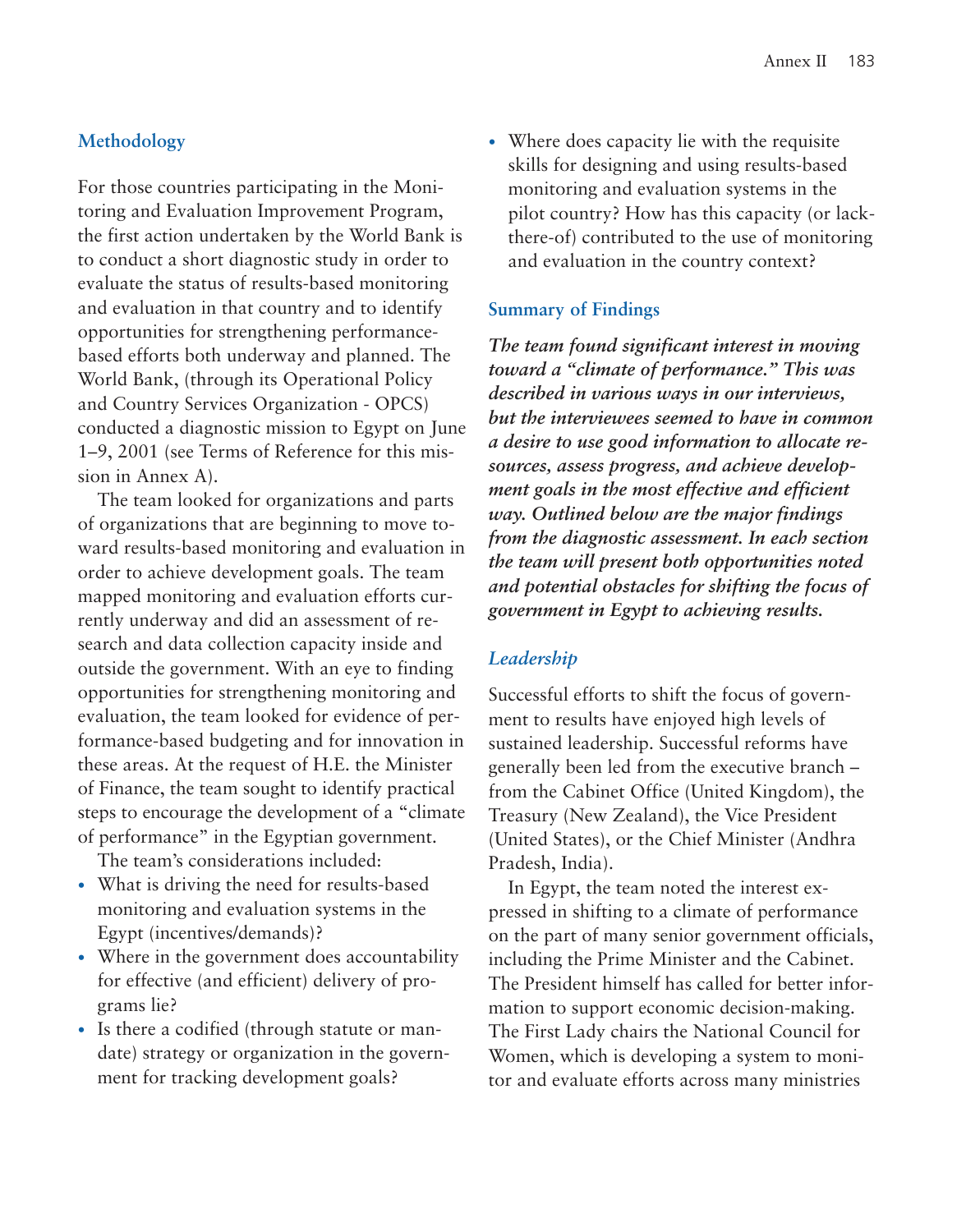# **Methodology**

For those countries participating in the Monitoring and Evaluation Improvement Program, the first action undertaken by the World Bank is to conduct a short diagnostic study in order to evaluate the status of results-based monitoring and evaluation in that country and to identify opportunities for strengthening performancebased efforts both underway and planned. The World Bank, (through its Operational Policy and Country Services Organization - OPCS) conducted a diagnostic mission to Egypt on June 1–9, 2001 (see Terms of Reference for this mission in Annex A).

The team looked for organizations and parts of organizations that are beginning to move toward results-based monitoring and evaluation in order to achieve development goals. The team mapped monitoring and evaluation efforts currently underway and did an assessment of research and data collection capacity inside and outside the government. With an eye to finding opportunities for strengthening monitoring and evaluation, the team looked for evidence of performance-based budgeting and for innovation in these areas. At the request of H.E. the Minister of Finance, the team sought to identify practical steps to encourage the development of a "climate of performance" in the Egyptian government.

The team's considerations included:

- What is driving the need for results-based monitoring and evaluation systems in the Egypt (incentives/demands)?
- Where in the government does accountability for effective (and efficient) delivery of programs lie?
- Is there a codified (through statute or mandate) strategy or organization in the government for tracking development goals?

• Where does capacity lie with the requisite skills for designing and using results-based monitoring and evaluation systems in the pilot country? How has this capacity (or lackthere-of) contributed to the use of monitoring and evaluation in the country context?

### **Summary of Findings**

*The team found significant interest in moving toward a "climate of performance." This was described in various ways in our interviews, but the interviewees seemed to have in common a desire to use good information to allocate resources, assess progress, and achieve development goals in the most effective and efficient way. Outlined below are the major findings from the diagnostic assessment. In each section the team will present both opportunities noted and potential obstacles for shifting the focus of government in Egypt to achieving results.*

# *Leadership*

Successful efforts to shift the focus of government to results have enjoyed high levels of sustained leadership. Successful reforms have generally been led from the executive branch – from the Cabinet Office (United Kingdom), the Treasury (New Zealand), the Vice President (United States), or the Chief Minister (Andhra Pradesh, India).

In Egypt, the team noted the interest expressed in shifting to a climate of performance on the part of many senior government officials, including the Prime Minister and the Cabinet. The President himself has called for better information to support economic decision-making. The First Lady chairs the National Council for Women, which is developing a system to monitor and evaluate efforts across many ministries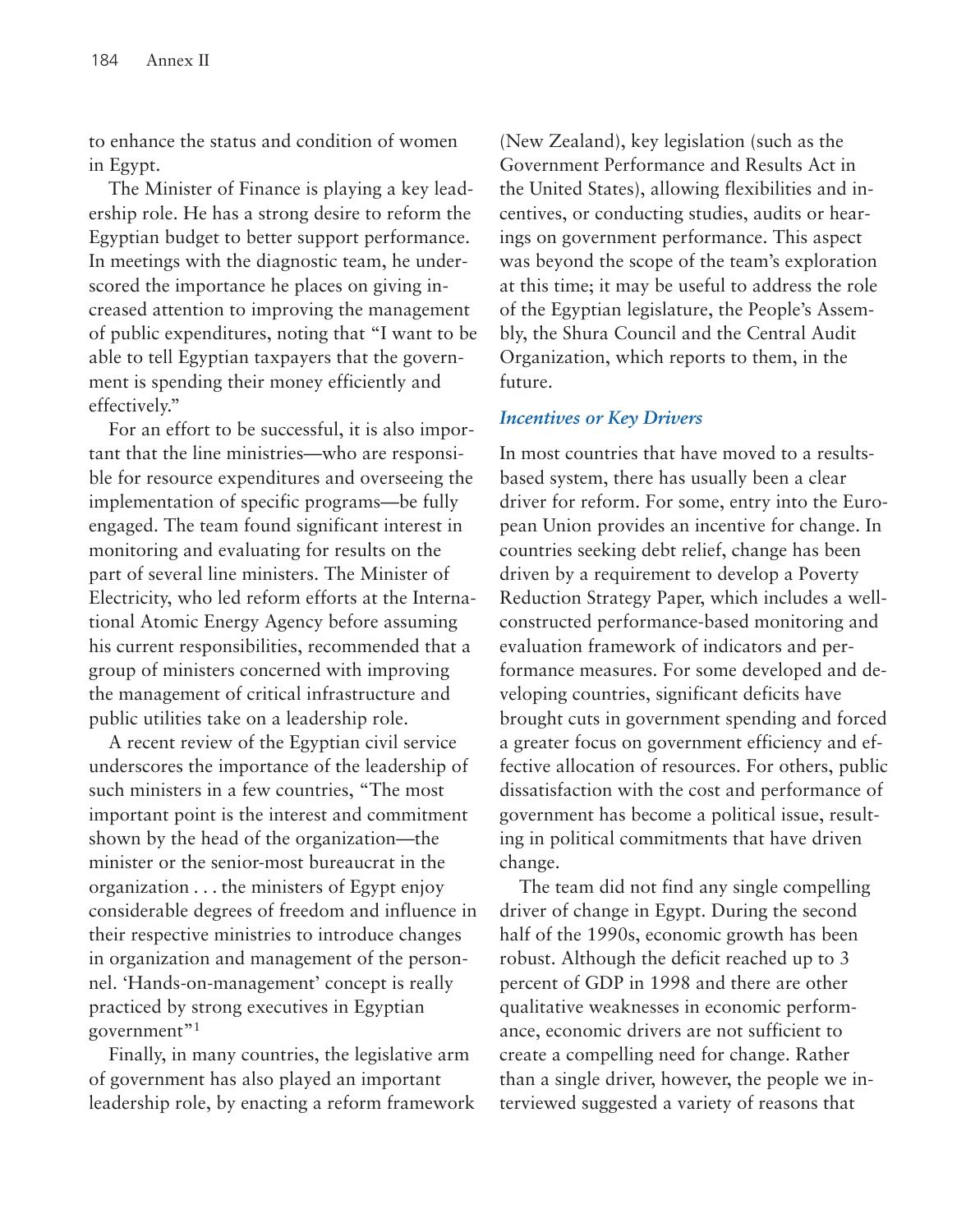to enhance the status and condition of women in Egypt.

The Minister of Finance is playing a key leadership role. He has a strong desire to reform the Egyptian budget to better support performance. In meetings with the diagnostic team, he underscored the importance he places on giving increased attention to improving the management of public expenditures, noting that "I want to be able to tell Egyptian taxpayers that the government is spending their money efficiently and effectively."

For an effort to be successful, it is also important that the line ministries—who are responsible for resource expenditures and overseeing the implementation of specific programs—be fully engaged. The team found significant interest in monitoring and evaluating for results on the part of several line ministers. The Minister of Electricity, who led reform efforts at the International Atomic Energy Agency before assuming his current responsibilities, recommended that a group of ministers concerned with improving the management of critical infrastructure and public utilities take on a leadership role.

A recent review of the Egyptian civil service underscores the importance of the leadership of such ministers in a few countries, "The most important point is the interest and commitment shown by the head of the organization—the minister or the senior-most bureaucrat in the organization . . . the ministers of Egypt enjoy considerable degrees of freedom and influence in their respective ministries to introduce changes in organization and management of the personnel. 'Hands-on-management' concept is really practiced by strong executives in Egyptian government"1

Finally, in many countries, the legislative arm of government has also played an important leadership role, by enacting a reform framework (New Zealand), key legislation (such as the Government Performance and Results Act in the United States), allowing flexibilities and incentives, or conducting studies, audits or hearings on government performance. This aspect was beyond the scope of the team's exploration at this time; it may be useful to address the role of the Egyptian legislature, the People's Assembly, the Shura Council and the Central Audit Organization, which reports to them, in the future.

#### *Incentives or Key Drivers*

In most countries that have moved to a resultsbased system, there has usually been a clear driver for reform. For some, entry into the European Union provides an incentive for change. In countries seeking debt relief, change has been driven by a requirement to develop a Poverty Reduction Strategy Paper, which includes a wellconstructed performance-based monitoring and evaluation framework of indicators and performance measures. For some developed and developing countries, significant deficits have brought cuts in government spending and forced a greater focus on government efficiency and effective allocation of resources. For others, public dissatisfaction with the cost and performance of government has become a political issue, resulting in political commitments that have driven change.

The team did not find any single compelling driver of change in Egypt. During the second half of the 1990s, economic growth has been robust. Although the deficit reached up to 3 percent of GDP in 1998 and there are other qualitative weaknesses in economic performance, economic drivers are not sufficient to create a compelling need for change. Rather than a single driver, however, the people we interviewed suggested a variety of reasons that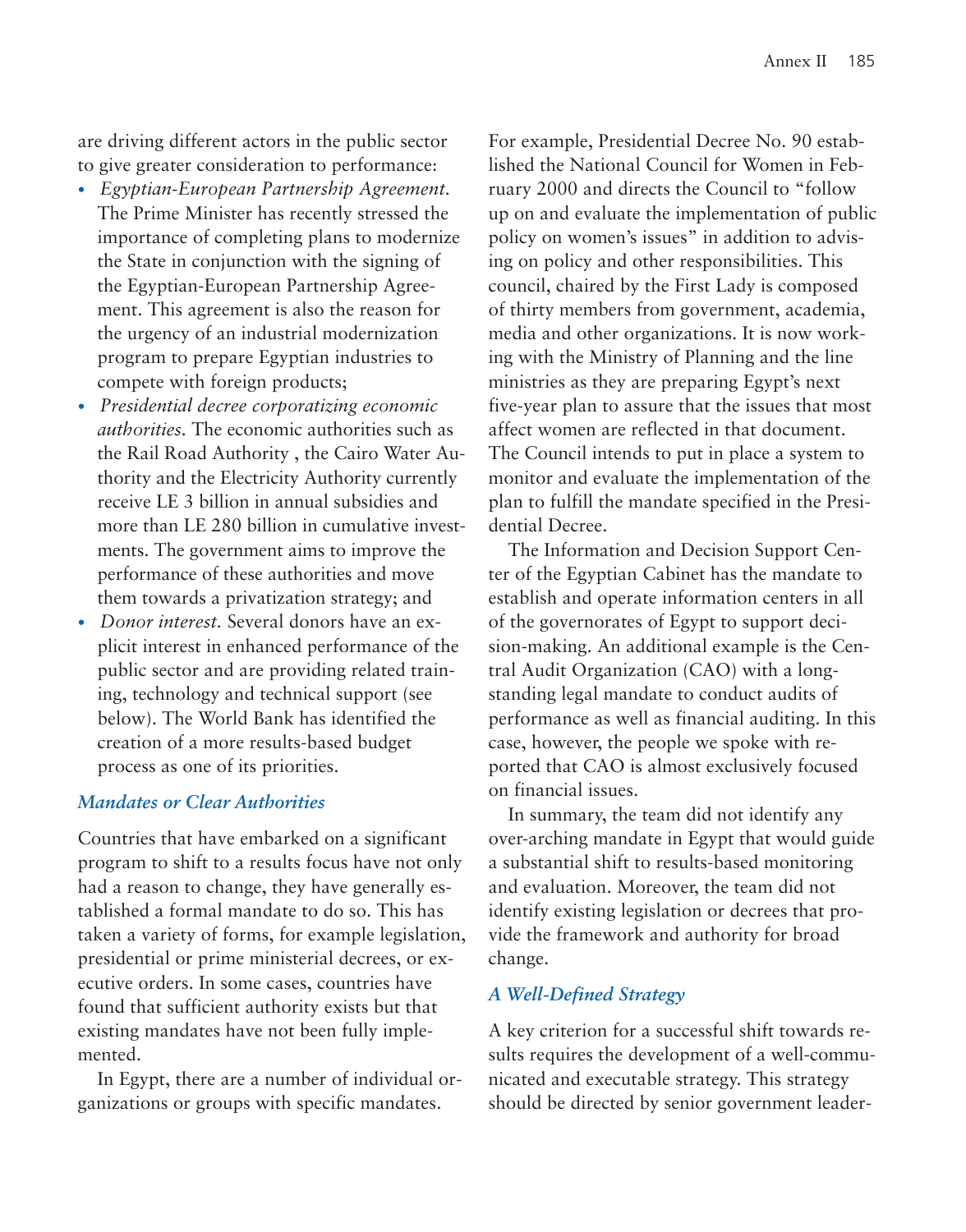are driving different actors in the public sector to give greater consideration to performance:

- *Egyptian-European Partnership Agreement.* The Prime Minister has recently stressed the importance of completing plans to modernize the State in conjunction with the signing of the Egyptian-European Partnership Agreement. This agreement is also the reason for the urgency of an industrial modernization program to prepare Egyptian industries to compete with foreign products;
- *Presidential decree corporatizing economic authorities.* The economic authorities such as the Rail Road Authority , the Cairo Water Authority and the Electricity Authority currently receive LE 3 billion in annual subsidies and more than LE 280 billion in cumulative investments. The government aims to improve the performance of these authorities and move them towards a privatization strategy; and
- *Donor interest.* Several donors have an explicit interest in enhanced performance of the public sector and are providing related training, technology and technical support (see below). The World Bank has identified the creation of a more results-based budget process as one of its priorities.

# *Mandates or Clear Authorities*

Countries that have embarked on a significant program to shift to a results focus have not only had a reason to change, they have generally established a formal mandate to do so. This has taken a variety of forms, for example legislation, presidential or prime ministerial decrees, or executive orders. In some cases, countries have found that sufficient authority exists but that existing mandates have not been fully implemented.

In Egypt, there are a number of individual organizations or groups with specific mandates.

For example, Presidential Decree No. 90 established the National Council for Women in February 2000 and directs the Council to "follow up on and evaluate the implementation of public policy on women's issues" in addition to advising on policy and other responsibilities. This council, chaired by the First Lady is composed of thirty members from government, academia, media and other organizations. It is now working with the Ministry of Planning and the line ministries as they are preparing Egypt's next five-year plan to assure that the issues that most affect women are reflected in that document. The Council intends to put in place a system to monitor and evaluate the implementation of the plan to fulfill the mandate specified in the Presidential Decree.

The Information and Decision Support Center of the Egyptian Cabinet has the mandate to establish and operate information centers in all of the governorates of Egypt to support decision-making. An additional example is the Central Audit Organization (CAO) with a longstanding legal mandate to conduct audits of performance as well as financial auditing. In this case, however, the people we spoke with reported that CAO is almost exclusively focused on financial issues.

In summary, the team did not identify any over-arching mandate in Egypt that would guide a substantial shift to results-based monitoring and evaluation. Moreover, the team did not identify existing legislation or decrees that provide the framework and authority for broad change.

# *A Well-Defined Strategy*

A key criterion for a successful shift towards results requires the development of a well-communicated and executable strategy. This strategy should be directed by senior government leader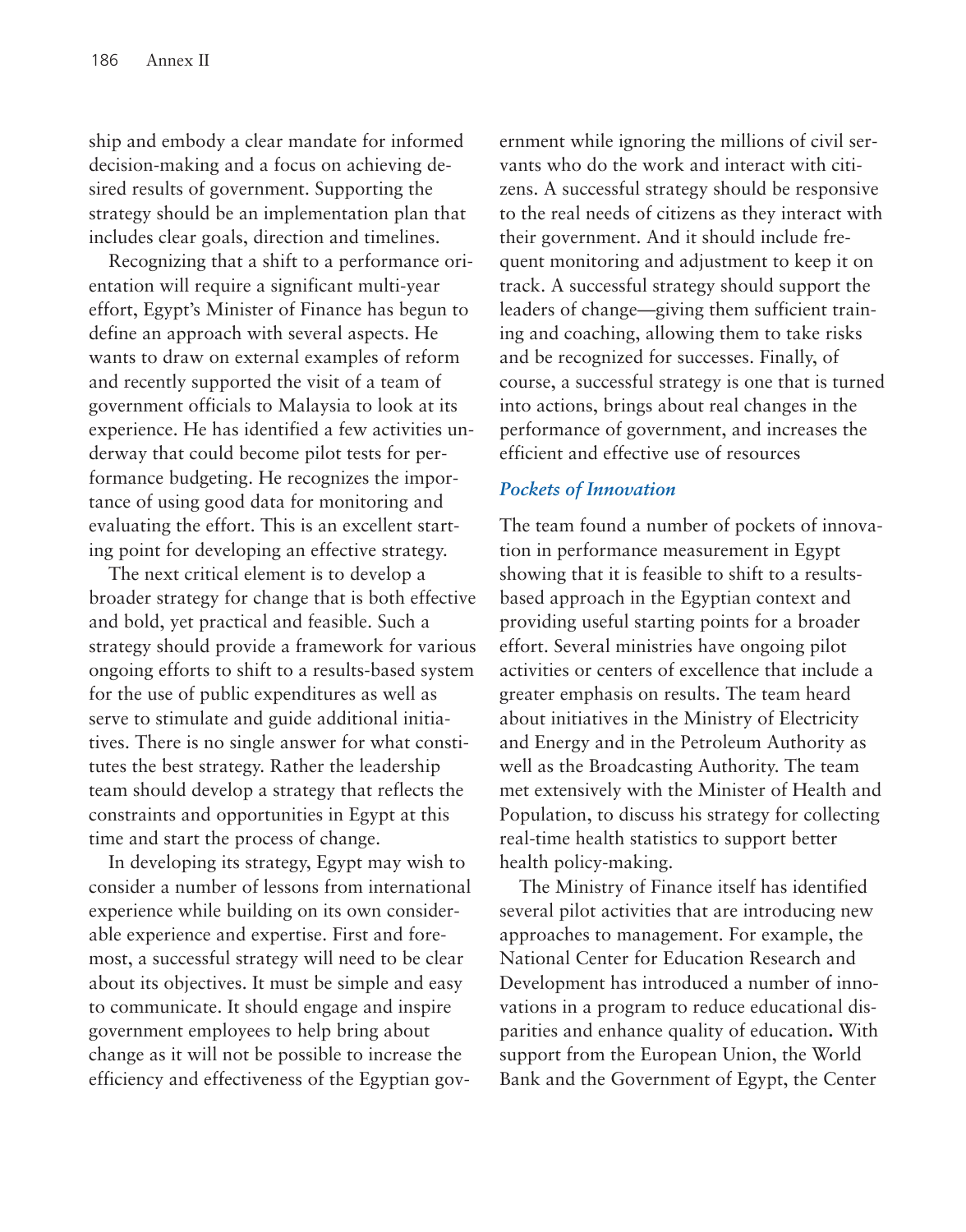ship and embody a clear mandate for informed decision-making and a focus on achieving desired results of government. Supporting the strategy should be an implementation plan that includes clear goals, direction and timelines.

Recognizing that a shift to a performance orientation will require a significant multi-year effort, Egypt's Minister of Finance has begun to define an approach with several aspects. He wants to draw on external examples of reform and recently supported the visit of a team of government officials to Malaysia to look at its experience. He has identified a few activities underway that could become pilot tests for performance budgeting. He recognizes the importance of using good data for monitoring and evaluating the effort. This is an excellent starting point for developing an effective strategy.

The next critical element is to develop a broader strategy for change that is both effective and bold, yet practical and feasible. Such a strategy should provide a framework for various ongoing efforts to shift to a results-based system for the use of public expenditures as well as serve to stimulate and guide additional initiatives. There is no single answer for what constitutes the best strategy. Rather the leadership team should develop a strategy that reflects the constraints and opportunities in Egypt at this time and start the process of change.

In developing its strategy, Egypt may wish to consider a number of lessons from international experience while building on its own considerable experience and expertise. First and foremost, a successful strategy will need to be clear about its objectives. It must be simple and easy to communicate. It should engage and inspire government employees to help bring about change as it will not be possible to increase the efficiency and effectiveness of the Egyptian gov-

ernment while ignoring the millions of civil servants who do the work and interact with citizens. A successful strategy should be responsive to the real needs of citizens as they interact with their government. And it should include frequent monitoring and adjustment to keep it on track. A successful strategy should support the leaders of change—giving them sufficient training and coaching, allowing them to take risks and be recognized for successes. Finally, of course, a successful strategy is one that is turned into actions, brings about real changes in the performance of government, and increases the efficient and effective use of resources

# *Pockets of Innovation*

The team found a number of pockets of innovation in performance measurement in Egypt showing that it is feasible to shift to a resultsbased approach in the Egyptian context and providing useful starting points for a broader effort. Several ministries have ongoing pilot activities or centers of excellence that include a greater emphasis on results. The team heard about initiatives in the Ministry of Electricity and Energy and in the Petroleum Authority as well as the Broadcasting Authority. The team met extensively with the Minister of Health and Population, to discuss his strategy for collecting real-time health statistics to support better health policy-making.

The Ministry of Finance itself has identified several pilot activities that are introducing new approaches to management. For example, the National Center for Education Research and Development has introduced a number of innovations in a program to reduce educational disparities and enhance quality of education**.** With support from the European Union, the World Bank and the Government of Egypt, the Center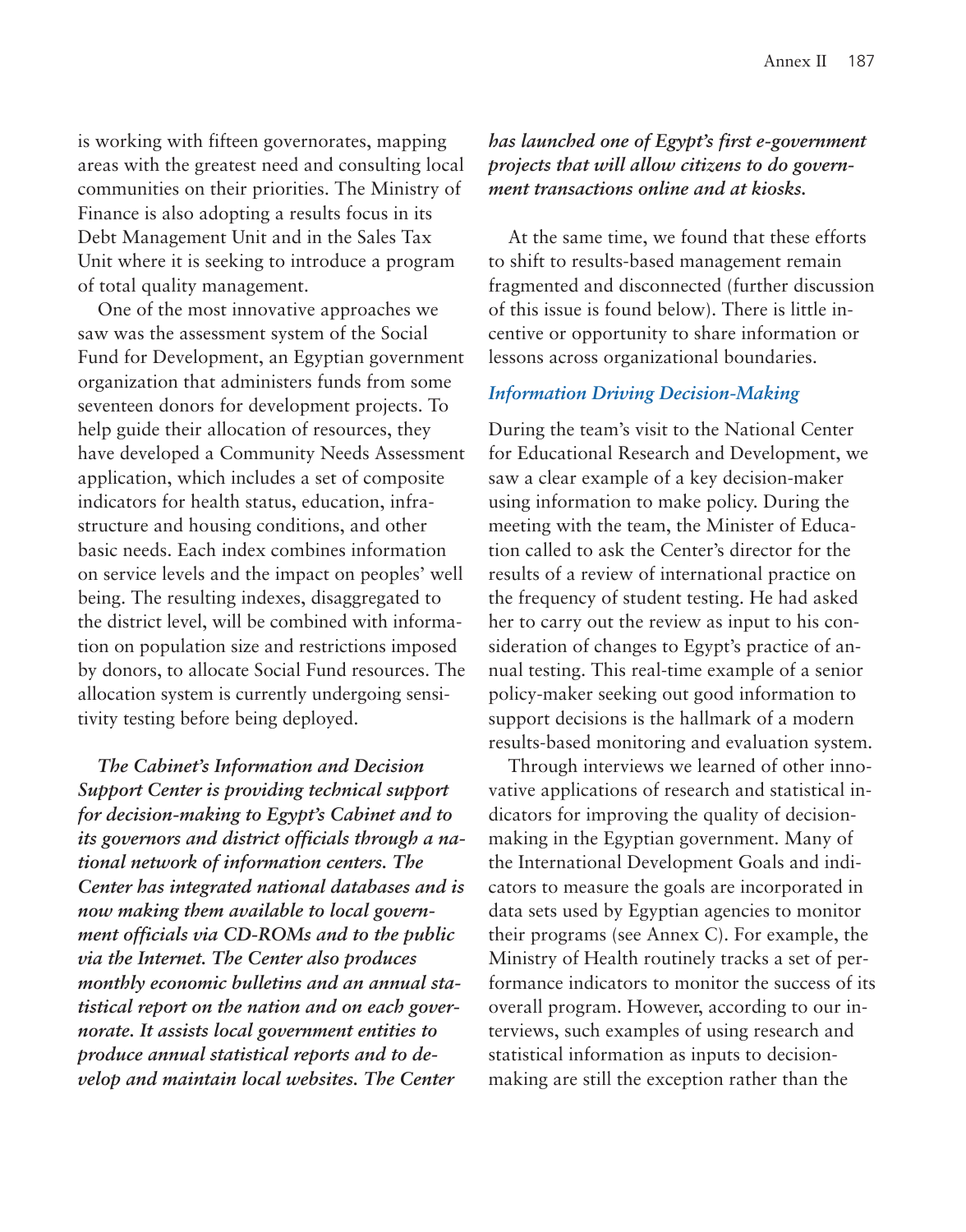is working with fifteen governorates, mapping areas with the greatest need and consulting local communities on their priorities. The Ministry of Finance is also adopting a results focus in its Debt Management Unit and in the Sales Tax Unit where it is seeking to introduce a program of total quality management.

One of the most innovative approaches we saw was the assessment system of the Social Fund for Development, an Egyptian government organization that administers funds from some seventeen donors for development projects. To help guide their allocation of resources, they have developed a Community Needs Assessment application, which includes a set of composite indicators for health status, education, infrastructure and housing conditions, and other basic needs. Each index combines information on service levels and the impact on peoples' well being. The resulting indexes, disaggregated to the district level, will be combined with information on population size and restrictions imposed by donors, to allocate Social Fund resources. The allocation system is currently undergoing sensitivity testing before being deployed.

*The Cabinet's Information and Decision Support Center is providing technical support for decision-making to Egypt's Cabinet and to its governors and district officials through a national network of information centers. The Center has integrated national databases and is now making them available to local government officials via CD-ROMs and to the public via the Internet. The Center also produces monthly economic bulletins and an annual statistical report on the nation and on each governorate. It assists local government entities to produce annual statistical reports and to develop and maintain local websites. The Center*

# *has launched one of Egypt's first e-government projects that will allow citizens to do government transactions online and at kiosks.*

At the same time, we found that these efforts to shift to results-based management remain fragmented and disconnected (further discussion of this issue is found below). There is little incentive or opportunity to share information or lessons across organizational boundaries.

### *Information Driving Decision-Making*

During the team's visit to the National Center for Educational Research and Development, we saw a clear example of a key decision-maker using information to make policy. During the meeting with the team, the Minister of Education called to ask the Center's director for the results of a review of international practice on the frequency of student testing. He had asked her to carry out the review as input to his consideration of changes to Egypt's practice of annual testing. This real-time example of a senior policy-maker seeking out good information to support decisions is the hallmark of a modern results-based monitoring and evaluation system.

Through interviews we learned of other innovative applications of research and statistical indicators for improving the quality of decisionmaking in the Egyptian government. Many of the International Development Goals and indicators to measure the goals are incorporated in data sets used by Egyptian agencies to monitor their programs (see Annex C). For example, the Ministry of Health routinely tracks a set of performance indicators to monitor the success of its overall program. However, according to our interviews, such examples of using research and statistical information as inputs to decisionmaking are still the exception rather than the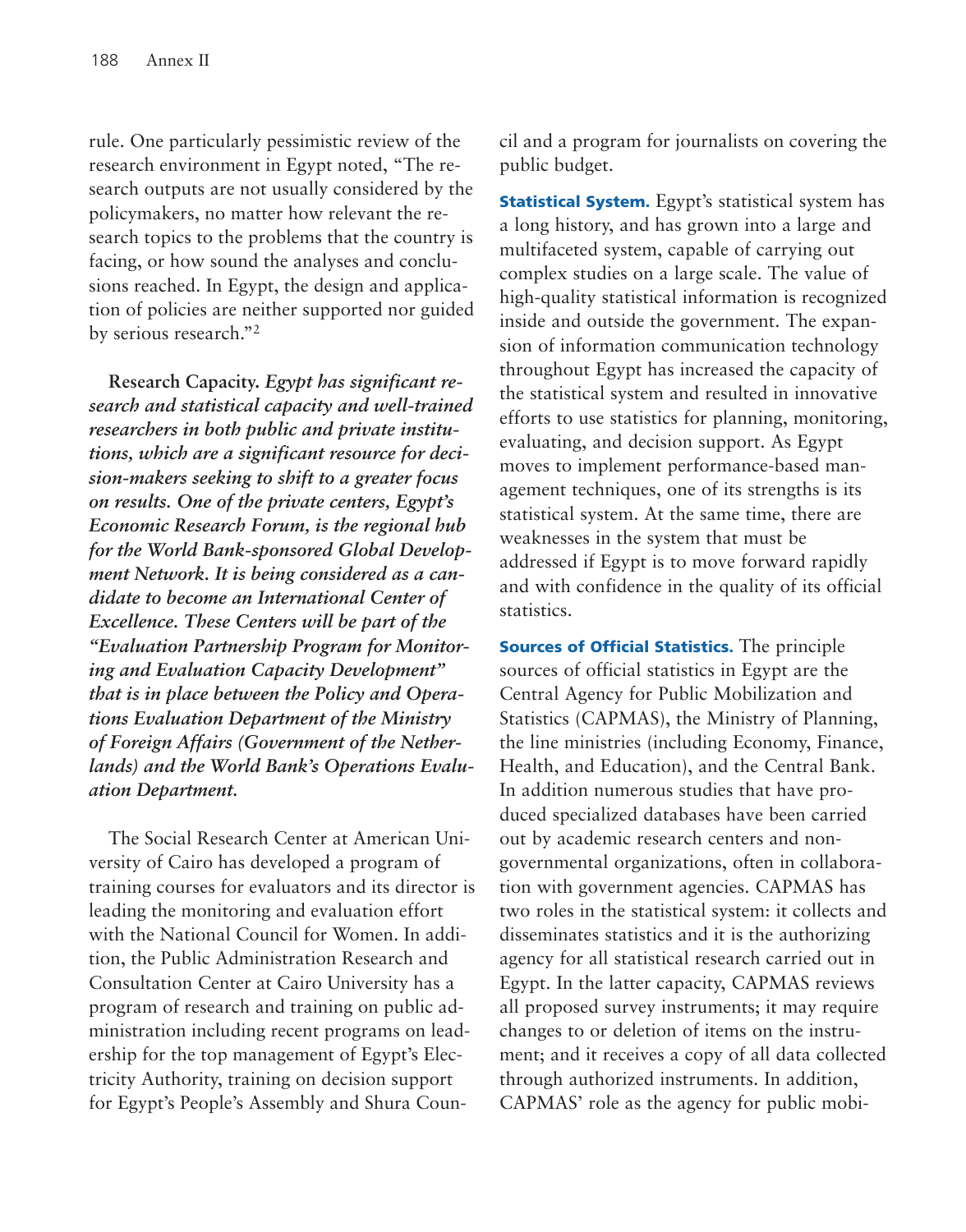rule. One particularly pessimistic review of the research environment in Egypt noted, "The research outputs are not usually considered by the policymakers, no matter how relevant the research topics to the problems that the country is facing, or how sound the analyses and conclusions reached. In Egypt, the design and application of policies are neither supported nor guided by serious research."2

**Research Capacity.** *Egypt has significant research and statistical capacity and well-trained researchers in both public and private institutions, which are a significant resource for decision-makers seeking to shift to a greater focus on results. One of the private centers, Egypt's Economic Research Forum, is the regional hub for the World Bank-sponsored Global Development Network. It is being considered as a candidate to become an International Center of Excellence. These Centers will be part of the "Evaluation Partnership Program for Monitoring and Evaluation Capacity Development" that is in place between the Policy and Operations Evaluation Department of the Ministry of Foreign Affairs (Government of the Netherlands) and the World Bank's Operations Evaluation Department.*

The Social Research Center at American University of Cairo has developed a program of training courses for evaluators and its director is leading the monitoring and evaluation effort with the National Council for Women. In addition, the Public Administration Research and Consultation Center at Cairo University has a program of research and training on public administration including recent programs on leadership for the top management of Egypt's Electricity Authority, training on decision support for Egypt's People's Assembly and Shura Council and a program for journalists on covering the public budget.

**Statistical System.** Egypt's statistical system has a long history, and has grown into a large and multifaceted system, capable of carrying out complex studies on a large scale. The value of high-quality statistical information is recognized inside and outside the government. The expansion of information communication technology throughout Egypt has increased the capacity of the statistical system and resulted in innovative efforts to use statistics for planning, monitoring, evaluating, and decision support. As Egypt moves to implement performance-based management techniques, one of its strengths is its statistical system. At the same time, there are weaknesses in the system that must be addressed if Egypt is to move forward rapidly and with confidence in the quality of its official statistics.

**Sources of Official Statistics.** The principle sources of official statistics in Egypt are the Central Agency for Public Mobilization and Statistics (CAPMAS), the Ministry of Planning, the line ministries (including Economy, Finance, Health, and Education), and the Central Bank. In addition numerous studies that have produced specialized databases have been carried out by academic research centers and nongovernmental organizations, often in collaboration with government agencies. CAPMAS has two roles in the statistical system: it collects and disseminates statistics and it is the authorizing agency for all statistical research carried out in Egypt. In the latter capacity, CAPMAS reviews all proposed survey instruments; it may require changes to or deletion of items on the instrument; and it receives a copy of all data collected through authorized instruments. In addition, CAPMAS' role as the agency for public mobi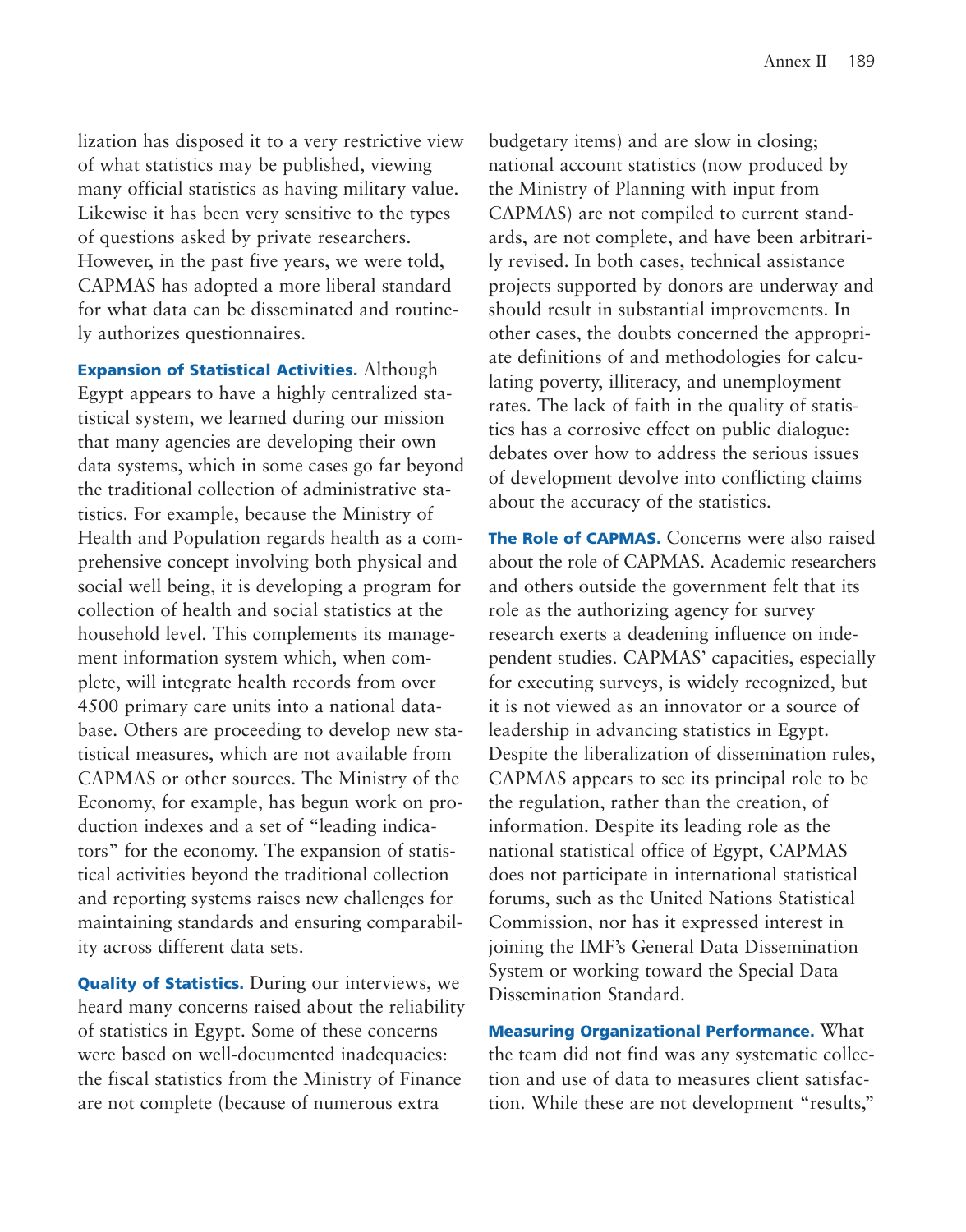lization has disposed it to a very restrictive view of what statistics may be published, viewing many official statistics as having military value. Likewise it has been very sensitive to the types of questions asked by private researchers. However, in the past five years, we were told, CAPMAS has adopted a more liberal standard for what data can be disseminated and routinely authorizes questionnaires.

**Expansion of Statistical Activities.** Although Egypt appears to have a highly centralized statistical system, we learned during our mission that many agencies are developing their own data systems, which in some cases go far beyond the traditional collection of administrative statistics. For example, because the Ministry of Health and Population regards health as a comprehensive concept involving both physical and social well being, it is developing a program for collection of health and social statistics at the household level. This complements its management information system which, when complete, will integrate health records from over 4500 primary care units into a national database. Others are proceeding to develop new statistical measures, which are not available from CAPMAS or other sources. The Ministry of the Economy, for example, has begun work on production indexes and a set of "leading indicators" for the economy. The expansion of statistical activities beyond the traditional collection and reporting systems raises new challenges for maintaining standards and ensuring comparability across different data sets.

**Quality of Statistics.** During our interviews, we heard many concerns raised about the reliability of statistics in Egypt. Some of these concerns were based on well-documented inadequacies: the fiscal statistics from the Ministry of Finance are not complete (because of numerous extra

budgetary items) and are slow in closing; national account statistics (now produced by the Ministry of Planning with input from CAPMAS) are not compiled to current standards, are not complete, and have been arbitrarily revised. In both cases, technical assistance projects supported by donors are underway and should result in substantial improvements. In other cases, the doubts concerned the appropriate definitions of and methodologies for calculating poverty, illiteracy, and unemployment rates. The lack of faith in the quality of statistics has a corrosive effect on public dialogue: debates over how to address the serious issues of development devolve into conflicting claims about the accuracy of the statistics.

**The Role of CAPMAS.** Concerns were also raised about the role of CAPMAS. Academic researchers and others outside the government felt that its role as the authorizing agency for survey research exerts a deadening influence on independent studies. CAPMAS' capacities, especially for executing surveys, is widely recognized, but it is not viewed as an innovator or a source of leadership in advancing statistics in Egypt. Despite the liberalization of dissemination rules, CAPMAS appears to see its principal role to be the regulation, rather than the creation, of information. Despite its leading role as the national statistical office of Egypt, CAPMAS does not participate in international statistical forums, such as the United Nations Statistical Commission, nor has it expressed interest in joining the IMF's General Data Dissemination System or working toward the Special Data Dissemination Standard.

**Measuring Organizational Performance.** What the team did not find was any systematic collection and use of data to measures client satisfaction. While these are not development "results,"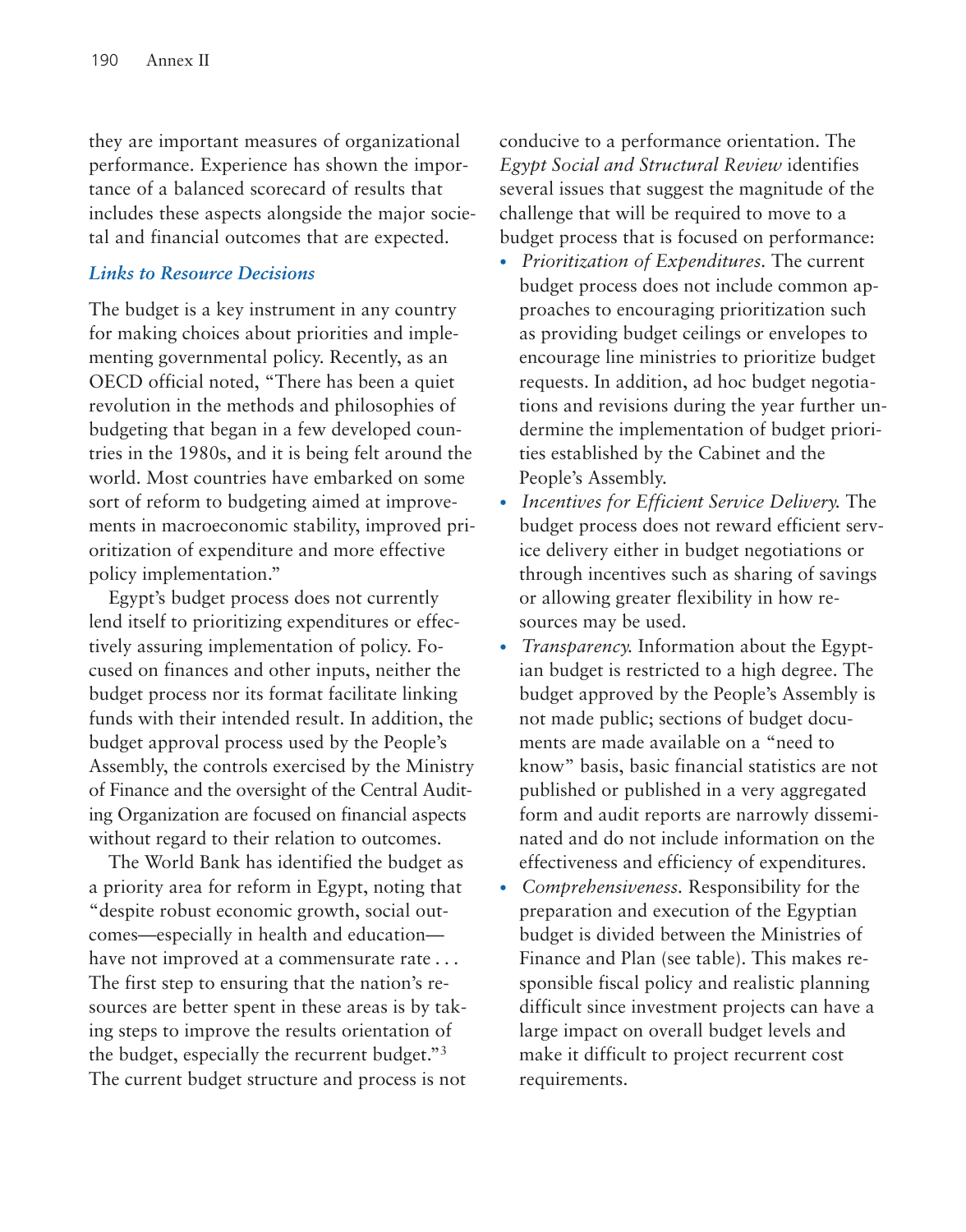they are important measures of organizational performance. Experience has shown the importance of a balanced scorecard of results that includes these aspects alongside the major societal and financial outcomes that are expected.

# *Links to Resource Decisions*

The budget is a key instrument in any country for making choices about priorities and implementing governmental policy. Recently, as an OECD official noted, "There has been a quiet revolution in the methods and philosophies of budgeting that began in a few developed countries in the 1980s, and it is being felt around the world. Most countries have embarked on some sort of reform to budgeting aimed at improvements in macroeconomic stability, improved prioritization of expenditure and more effective policy implementation."

Egypt's budget process does not currently lend itself to prioritizing expenditures or effectively assuring implementation of policy. Focused on finances and other inputs, neither the budget process nor its format facilitate linking funds with their intended result. In addition, the budget approval process used by the People's Assembly, the controls exercised by the Ministry of Finance and the oversight of the Central Auditing Organization are focused on financial aspects without regard to their relation to outcomes.

The World Bank has identified the budget as a priority area for reform in Egypt, noting that "despite robust economic growth, social outcomes—especially in health and education have not improved at a commensurate rate . . . The first step to ensuring that the nation's resources are better spent in these areas is by taking steps to improve the results orientation of the budget, especially the recurrent budget."3 The current budget structure and process is not conducive to a performance orientation. The *Egypt Social and Structural Review* identifies several issues that suggest the magnitude of the challenge that will be required to move to a budget process that is focused on performance:

- *Prioritization of Expenditures.* The current budget process does not include common approaches to encouraging prioritization such as providing budget ceilings or envelopes to encourage line ministries to prioritize budget requests. In addition, ad hoc budget negotiations and revisions during the year further undermine the implementation of budget priorities established by the Cabinet and the People's Assembly.
- *Incentives for Efficient Service Delivery.* The budget process does not reward efficient service delivery either in budget negotiations or through incentives such as sharing of savings or allowing greater flexibility in how resources may be used.
- *Transparency.* Information about the Egyptian budget is restricted to a high degree. The budget approved by the People's Assembly is not made public; sections of budget documents are made available on a "need to know" basis, basic financial statistics are not published or published in a very aggregated form and audit reports are narrowly disseminated and do not include information on the effectiveness and efficiency of expenditures.
- *Comprehensiveness.* Responsibility for the preparation and execution of the Egyptian budget is divided between the Ministries of Finance and Plan (see table). This makes responsible fiscal policy and realistic planning difficult since investment projects can have a large impact on overall budget levels and make it difficult to project recurrent cost requirements.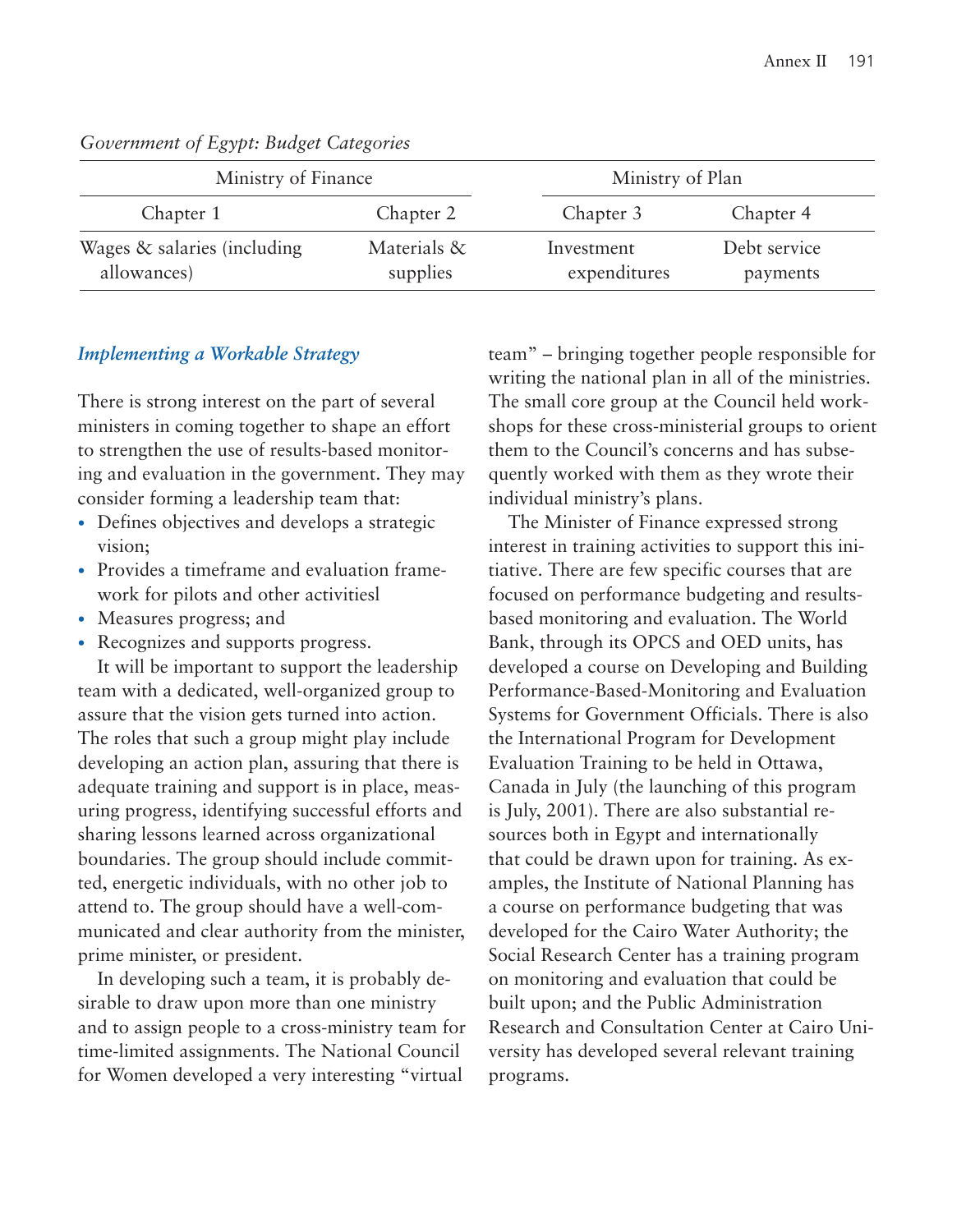| Ministry of Finance                          |                         | Ministry of Plan           |                          |  |
|----------------------------------------------|-------------------------|----------------------------|--------------------------|--|
| Chapter 1                                    | Chapter 2               | Chapter 3                  | Chapter 4                |  |
| Wages $&$ salaries (including<br>allowances) | Materials &<br>supplies | Investment<br>expenditures | Debt service<br>payments |  |

#### *Government of Egypt: Budget Categories*

# *Implementing a Workable Strategy*

There is strong interest on the part of several ministers in coming together to shape an effort to strengthen the use of results-based monitoring and evaluation in the government. They may consider forming a leadership team that:

- Defines objectives and develops a strategic vision;
- Provides a timeframe and evaluation framework for pilots and other activitiesl
- Measures progress; and
- Recognizes and supports progress.

It will be important to support the leadership team with a dedicated, well-organized group to assure that the vision gets turned into action. The roles that such a group might play include developing an action plan, assuring that there is adequate training and support is in place, measuring progress, identifying successful efforts and sharing lessons learned across organizational boundaries. The group should include committed, energetic individuals, with no other job to attend to. The group should have a well-communicated and clear authority from the minister, prime minister, or president.

In developing such a team, it is probably desirable to draw upon more than one ministry and to assign people to a cross-ministry team for time-limited assignments. The National Council for Women developed a very interesting "virtual

team" – bringing together people responsible for writing the national plan in all of the ministries. The small core group at the Council held workshops for these cross-ministerial groups to orient them to the Council's concerns and has subsequently worked with them as they wrote their individual ministry's plans.

The Minister of Finance expressed strong interest in training activities to support this initiative. There are few specific courses that are focused on performance budgeting and resultsbased monitoring and evaluation. The World Bank, through its OPCS and OED units, has developed a course on Developing and Building Performance-Based-Monitoring and Evaluation Systems for Government Officials. There is also the International Program for Development Evaluation Training to be held in Ottawa, Canada in July (the launching of this program is July, 2001). There are also substantial resources both in Egypt and internationally that could be drawn upon for training. As examples, the Institute of National Planning has a course on performance budgeting that was developed for the Cairo Water Authority; the Social Research Center has a training program on monitoring and evaluation that could be built upon; and the Public Administration Research and Consultation Center at Cairo University has developed several relevant training programs.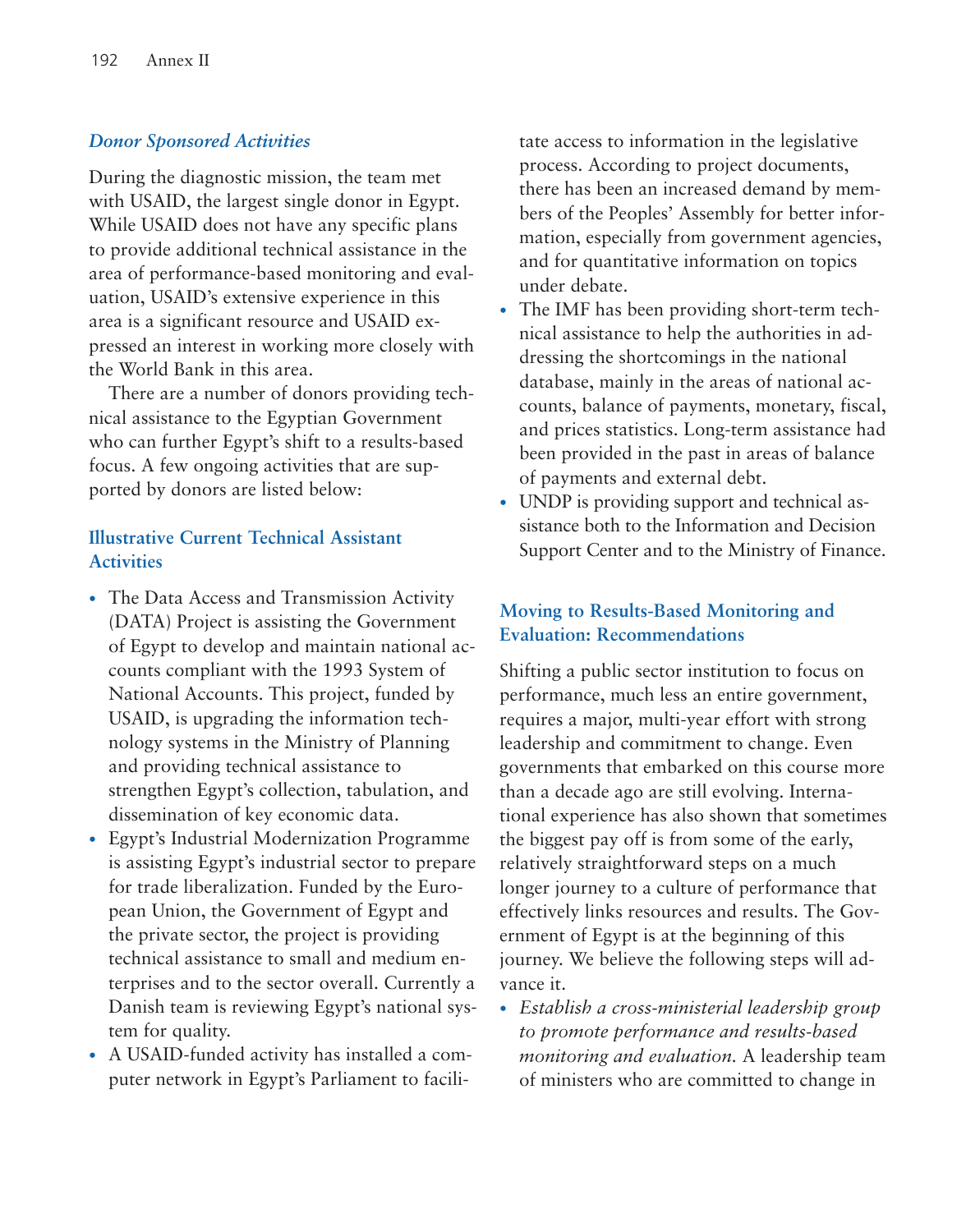# *Donor Sponsored Activities*

During the diagnostic mission, the team met with USAID, the largest single donor in Egypt. While USAID does not have any specific plans to provide additional technical assistance in the area of performance-based monitoring and evaluation, USAID's extensive experience in this area is a significant resource and USAID expressed an interest in working more closely with the World Bank in this area.

There are a number of donors providing technical assistance to the Egyptian Government who can further Egypt's shift to a results-based focus. A few ongoing activities that are supported by donors are listed below:

# **Illustrative Current Technical Assistant Activities**

- The Data Access and Transmission Activity (DATA) Project is assisting the Government of Egypt to develop and maintain national accounts compliant with the 1993 System of National Accounts. This project, funded by USAID, is upgrading the information technology systems in the Ministry of Planning and providing technical assistance to strengthen Egypt's collection, tabulation, and dissemination of key economic data.
- Egypt's Industrial Modernization Programme is assisting Egypt's industrial sector to prepare for trade liberalization. Funded by the European Union, the Government of Egypt and the private sector, the project is providing technical assistance to small and medium enterprises and to the sector overall. Currently a Danish team is reviewing Egypt's national system for quality.
- A USAID-funded activity has installed a computer network in Egypt's Parliament to facili-

tate access to information in the legislative process. According to project documents, there has been an increased demand by members of the Peoples' Assembly for better information, especially from government agencies, and for quantitative information on topics under debate.

- The IMF has been providing short-term technical assistance to help the authorities in addressing the shortcomings in the national database, mainly in the areas of national accounts, balance of payments, monetary, fiscal, and prices statistics. Long-term assistance had been provided in the past in areas of balance of payments and external debt.
- UNDP is providing support and technical assistance both to the Information and Decision Support Center and to the Ministry of Finance.

# **Moving to Results-Based Monitoring and Evaluation: Recommendations**

Shifting a public sector institution to focus on performance, much less an entire government, requires a major, multi-year effort with strong leadership and commitment to change. Even governments that embarked on this course more than a decade ago are still evolving. International experience has also shown that sometimes the biggest pay off is from some of the early, relatively straightforward steps on a much longer journey to a culture of performance that effectively links resources and results. The Government of Egypt is at the beginning of this journey. We believe the following steps will advance it.

• *Establish a cross-ministerial leadership group to promote performance and results-based monitoring and evaluation.* A leadership team of ministers who are committed to change in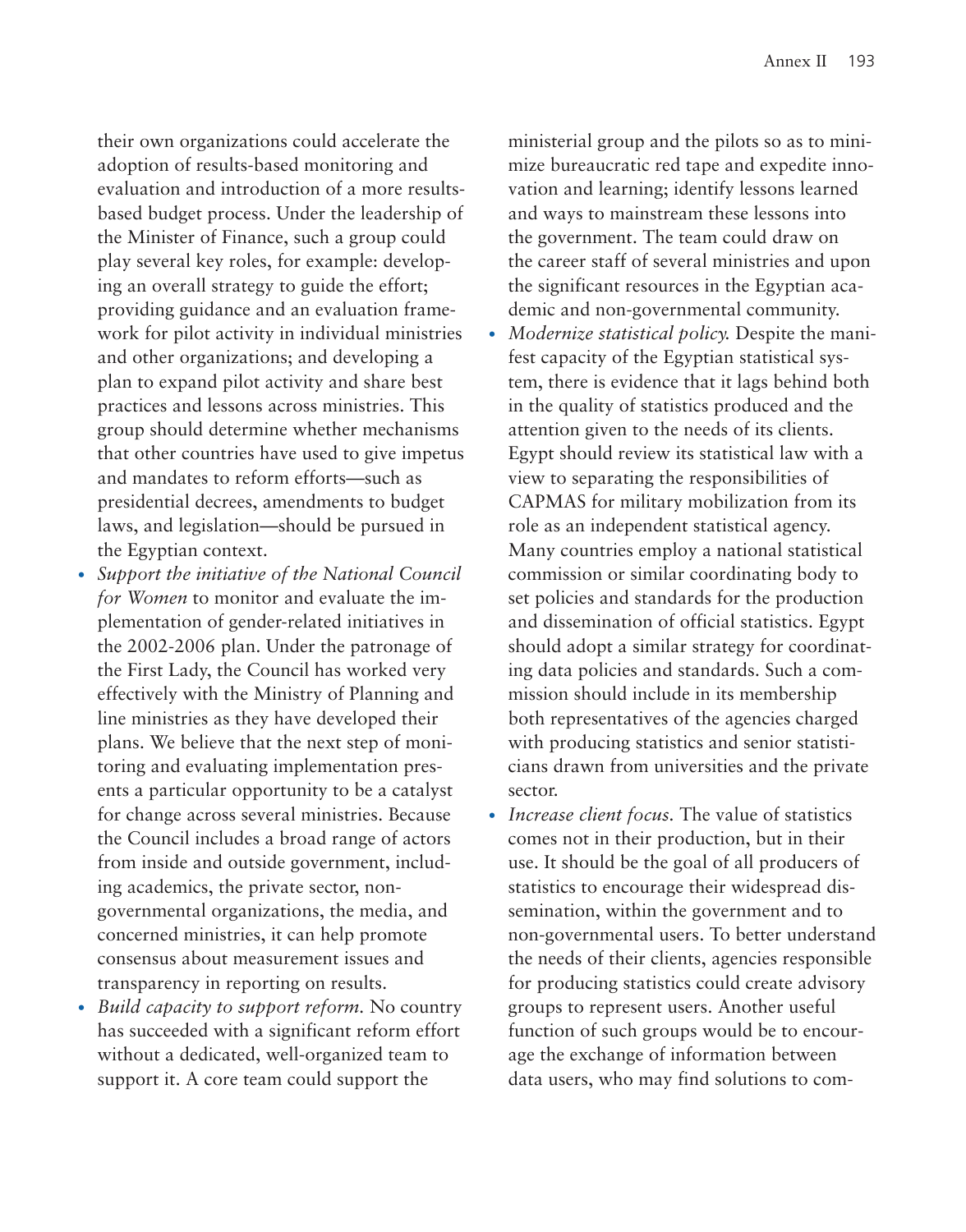their own organizations could accelerate the adoption of results-based monitoring and evaluation and introduction of a more resultsbased budget process. Under the leadership of the Minister of Finance, such a group could play several key roles, for example: developing an overall strategy to guide the effort; providing guidance and an evaluation framework for pilot activity in individual ministries and other organizations; and developing a plan to expand pilot activity and share best practices and lessons across ministries. This group should determine whether mechanisms that other countries have used to give impetus and mandates to reform efforts—such as presidential decrees, amendments to budget laws, and legislation—should be pursued in the Egyptian context.

- *Support the initiative of the National Council for Women* to monitor and evaluate the implementation of gender-related initiatives in the 2002-2006 plan. Under the patronage of the First Lady, the Council has worked very effectively with the Ministry of Planning and line ministries as they have developed their plans. We believe that the next step of monitoring and evaluating implementation presents a particular opportunity to be a catalyst for change across several ministries. Because the Council includes a broad range of actors from inside and outside government, including academics, the private sector, nongovernmental organizations, the media, and concerned ministries, it can help promote consensus about measurement issues and transparency in reporting on results.
- *Build capacity to support reform.* No country has succeeded with a significant reform effort without a dedicated, well-organized team to support it. A core team could support the

ministerial group and the pilots so as to minimize bureaucratic red tape and expedite innovation and learning; identify lessons learned and ways to mainstream these lessons into the government. The team could draw on the career staff of several ministries and upon the significant resources in the Egyptian academic and non-governmental community.

- *Modernize statistical policy.* Despite the manifest capacity of the Egyptian statistical system, there is evidence that it lags behind both in the quality of statistics produced and the attention given to the needs of its clients. Egypt should review its statistical law with a view to separating the responsibilities of CAPMAS for military mobilization from its role as an independent statistical agency. Many countries employ a national statistical commission or similar coordinating body to set policies and standards for the production and dissemination of official statistics. Egypt should adopt a similar strategy for coordinating data policies and standards. Such a commission should include in its membership both representatives of the agencies charged with producing statistics and senior statisticians drawn from universities and the private sector.
- *Increase client focus.* The value of statistics comes not in their production, but in their use. It should be the goal of all producers of statistics to encourage their widespread dissemination, within the government and to non-governmental users. To better understand the needs of their clients, agencies responsible for producing statistics could create advisory groups to represent users. Another useful function of such groups would be to encourage the exchange of information between data users, who may find solutions to com-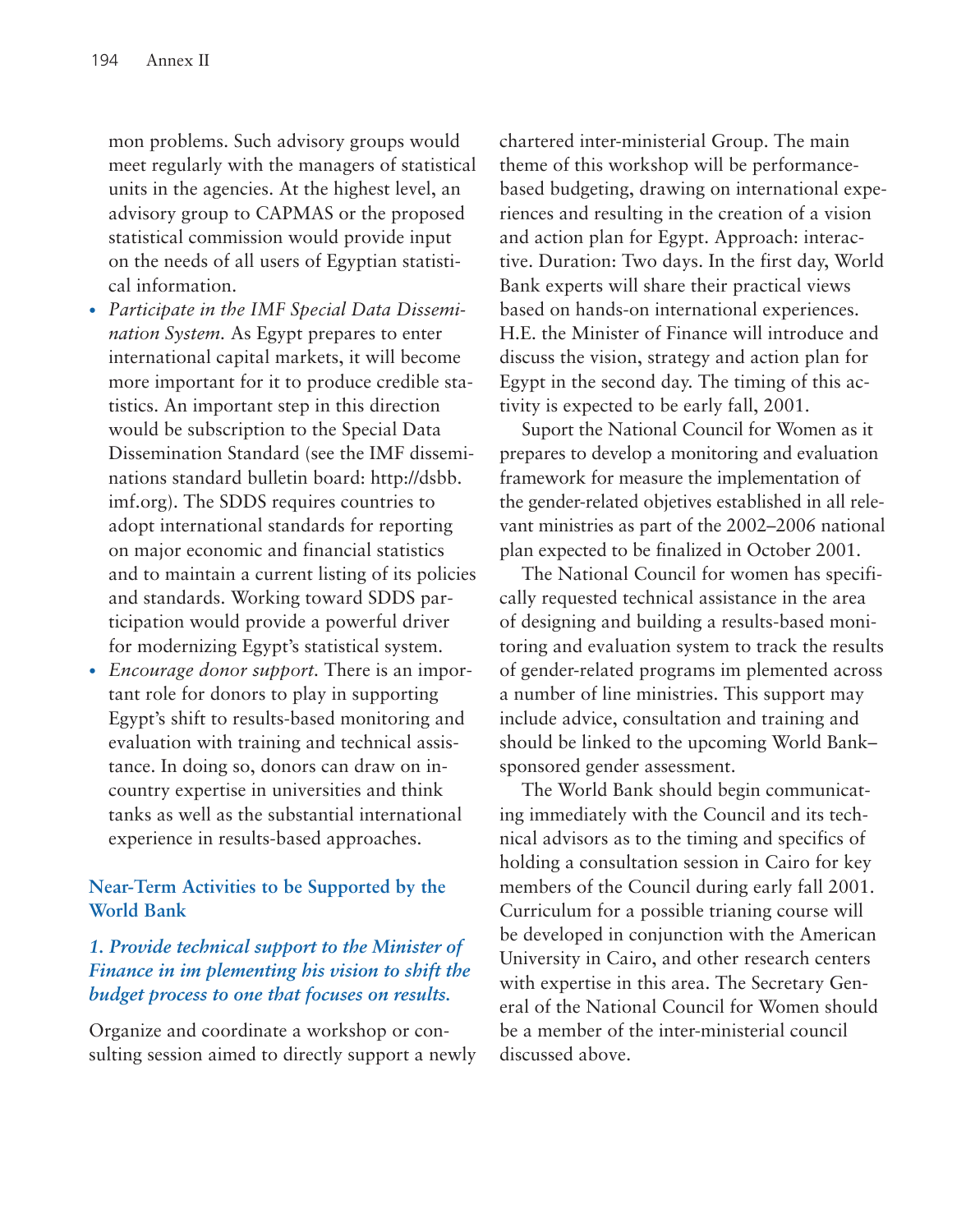mon problems. Such advisory groups would meet regularly with the managers of statistical units in the agencies. At the highest level, an advisory group to CAPMAS or the proposed statistical commission would provide input on the needs of all users of Egyptian statistical information.

- *Participate in the IMF Special Data Dissemination System.* As Egypt prepares to enter international capital markets, it will become more important for it to produce credible statistics. An important step in this direction would be subscription to the Special Data Dissemination Standard (see the IMF disseminations standard bulletin board: http://dsbb. imf.org). The SDDS requires countries to adopt international standards for reporting on major economic and financial statistics and to maintain a current listing of its policies and standards. Working toward SDDS participation would provide a powerful driver for modernizing Egypt's statistical system.
- *Encourage donor support.* There is an important role for donors to play in supporting Egypt's shift to results-based monitoring and evaluation with training and technical assistance. In doing so, donors can draw on incountry expertise in universities and think tanks as well as the substantial international experience in results-based approaches.

# **Near-Term Activities to be Supported by the World Bank**

# *1. Provide technical support to the Minister of Finance in im plementing his vision to shift the budget process to one that focuses on results.*

Organize and coordinate a workshop or consulting session aimed to directly support a newly

chartered inter-ministerial Group. The main theme of this workshop will be performancebased budgeting, drawing on international experiences and resulting in the creation of a vision and action plan for Egypt. Approach: interactive. Duration: Two days. In the first day, World Bank experts will share their practical views based on hands-on international experiences. H.E. the Minister of Finance will introduce and discuss the vision, strategy and action plan for Egypt in the second day. The timing of this activity is expected to be early fall, 2001.

Suport the National Council for Women as it prepares to develop a monitoring and evaluation framework for measure the implementation of the gender-related objetives established in all relevant ministries as part of the 2002–2006 national plan expected to be finalized in October 2001.

The National Council for women has specifically requested technical assistance in the area of designing and building a results-based monitoring and evaluation system to track the results of gender-related programs im plemented across a number of line ministries. This support may include advice, consultation and training and should be linked to the upcoming World Bank– sponsored gender assessment.

The World Bank should begin communicating immediately with the Council and its technical advisors as to the timing and specifics of holding a consultation session in Cairo for key members of the Council during early fall 2001. Curriculum for a possible trianing course will be developed in conjunction with the American University in Cairo, and other research centers with expertise in this area. The Secretary General of the National Council for Women should be a member of the inter-ministerial council discussed above.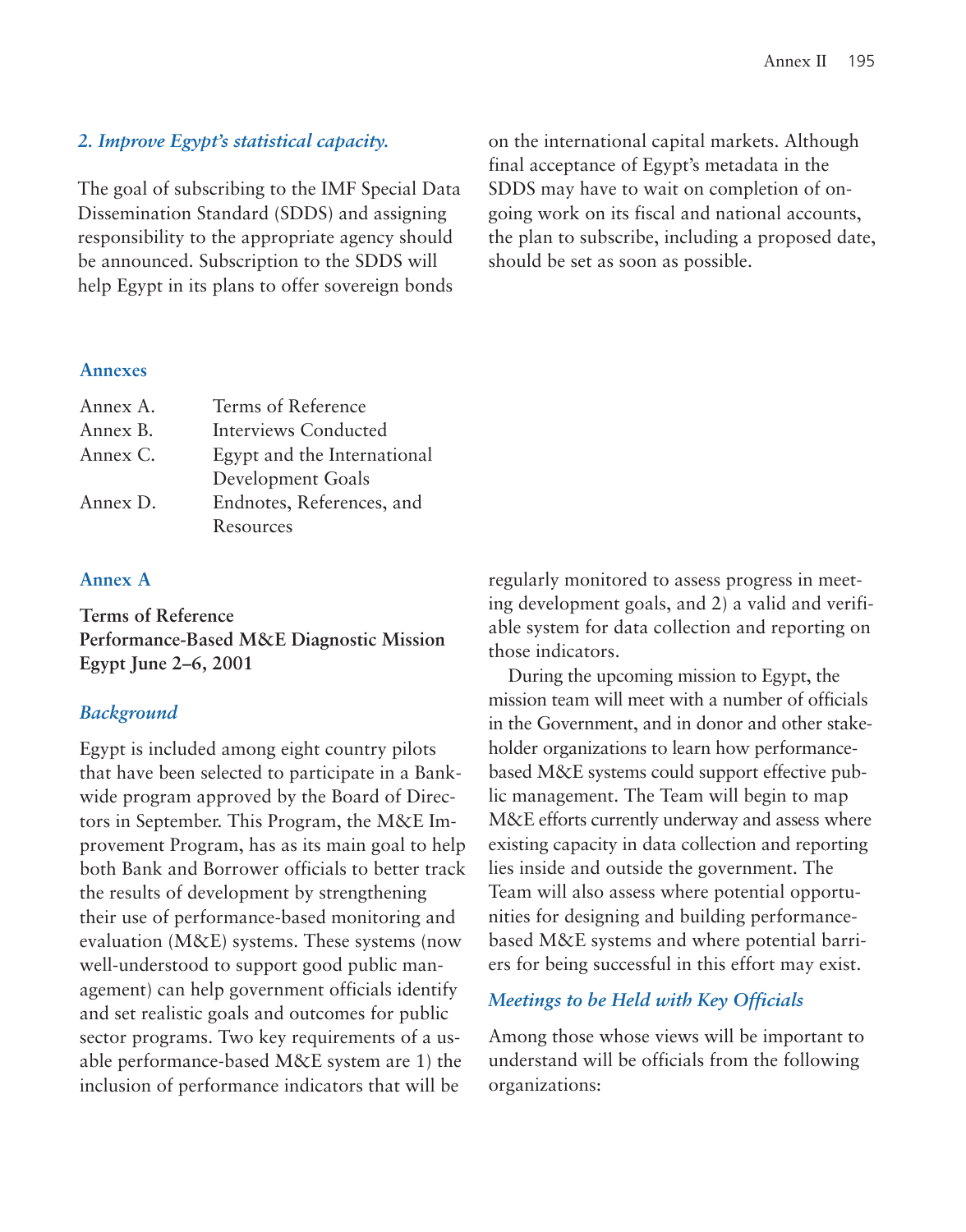# *2. Improve Egypt's statistical capacity.*

The goal of subscribing to the IMF Special Data Dissemination Standard (SDDS) and assigning responsibility to the appropriate agency should be announced. Subscription to the SDDS will help Egypt in its plans to offer sovereign bonds

on the international capital markets. Although final acceptance of Egypt's metadata in the SDDS may have to wait on completion of ongoing work on its fiscal and national accounts, the plan to subscribe, including a proposed date, should be set as soon as possible.

# **Annexes**

| Annex A. | Terms of Reference          |
|----------|-----------------------------|
| Annex B. | <b>Interviews Conducted</b> |
| Annex C. | Egypt and the International |
|          | Development Goals           |
| Annex D. | Endnotes, References, and   |
|          | Resources                   |

# **Annex A**

**Terms of Reference Performance-Based M&E Diagnostic Mission Egypt June 2–6, 2001**

# *Background*

Egypt is included among eight country pilots that have been selected to participate in a Bankwide program approved by the Board of Directors in September. This Program, the M&E Improvement Program, has as its main goal to help both Bank and Borrower officials to better track the results of development by strengthening their use of performance-based monitoring and evaluation (M&E) systems. These systems (now well-understood to support good public management) can help government officials identify and set realistic goals and outcomes for public sector programs. Two key requirements of a usable performance-based M&E system are 1) the inclusion of performance indicators that will be

regularly monitored to assess progress in meeting development goals, and 2) a valid and verifiable system for data collection and reporting on those indicators.

During the upcoming mission to Egypt, the mission team will meet with a number of officials in the Government, and in donor and other stakeholder organizations to learn how performancebased M&E systems could support effective public management. The Team will begin to map M&E efforts currently underway and assess where existing capacity in data collection and reporting lies inside and outside the government. The Team will also assess where potential opportunities for designing and building performancebased M&E systems and where potential barriers for being successful in this effort may exist.

# *Meetings to be Held with Key Officials*

Among those whose views will be important to understand will be officials from the following organizations: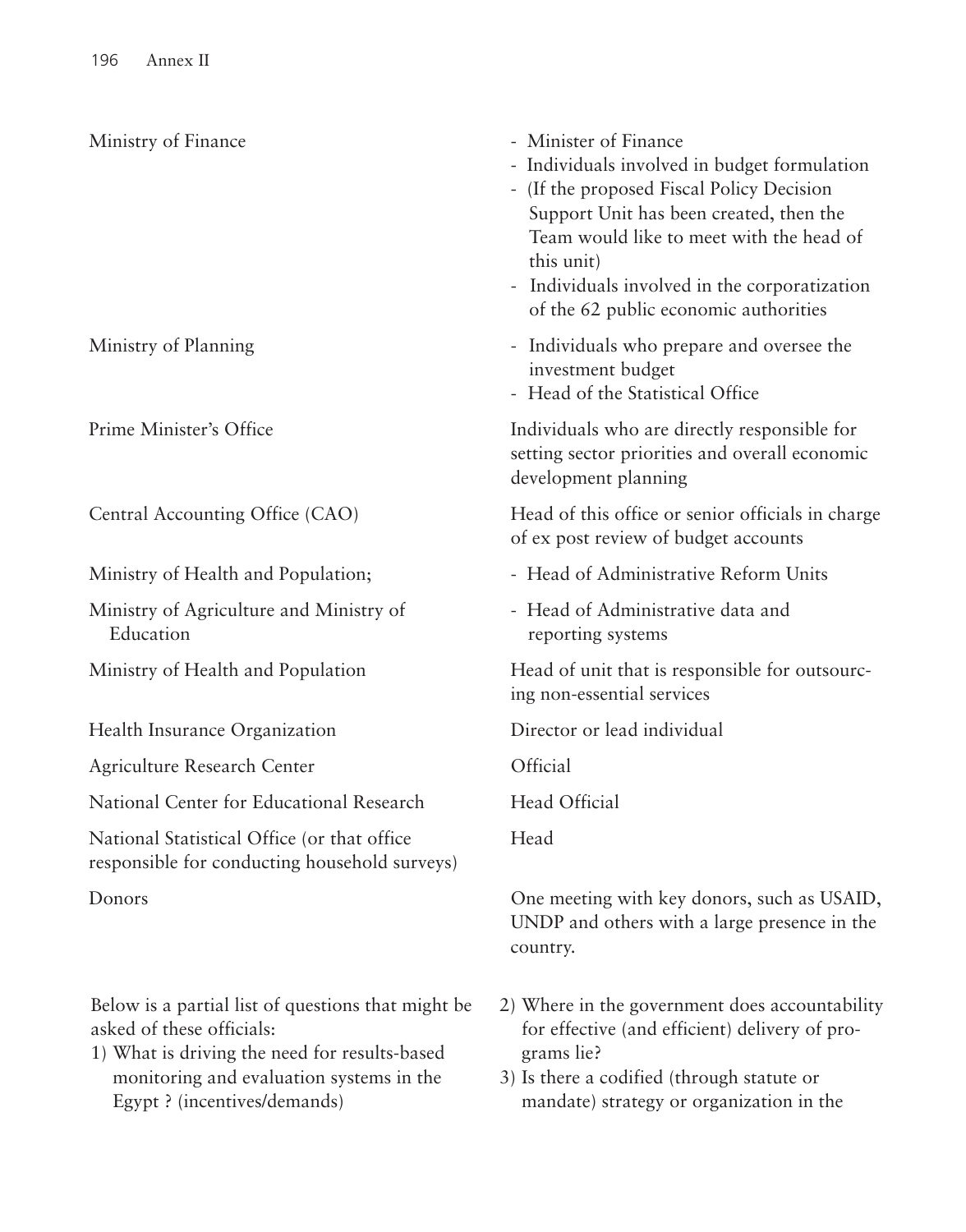Ministry of Finance **- Minister of Finance** - Individuals involved in budget formulation - (If the proposed Fiscal Policy Decision Support Unit has been created, then the Team would like to meet with the head of this unit) - Individuals involved in the corporatization of the 62 public economic authorities Ministry of Planning  $\blacksquare$  - Individuals who prepare and oversee the investment budget - Head of the Statistical Office Prime Minister's Office The Individuals who are directly responsible for setting sector priorities and overall economic development planning Central Accounting Office (CAO) Head of this office or senior officials in charge of ex post review of budget accounts Ministry of Health and Population; The Head of Administrative Reform Units Ministry of Agriculture and Ministry of - Head of Administrative data and Education reporting systems Ministry of Health and Population **Head of unit that is responsible for outsourc**ing non-essential services Health Insurance Organization Director or lead individual Agriculture Research Center **Calculture** Official National Center for Educational Research Head Official National Statistical Office (or that office Head responsible for conducting household surveys) Donors One meeting with key donors, such as USAID, UNDP and others with a large presence in the country. Below is a partial list of questions that might be asked of these officials: 2) Where in the government does accountability for effective (and efficient) delivery of programs lie?

- 1) What is driving the need for results-based monitoring and evaluation systems in the Egypt ? (incentives/demands)
- 3) Is there a codified (through statute or mandate) strategy or organization in the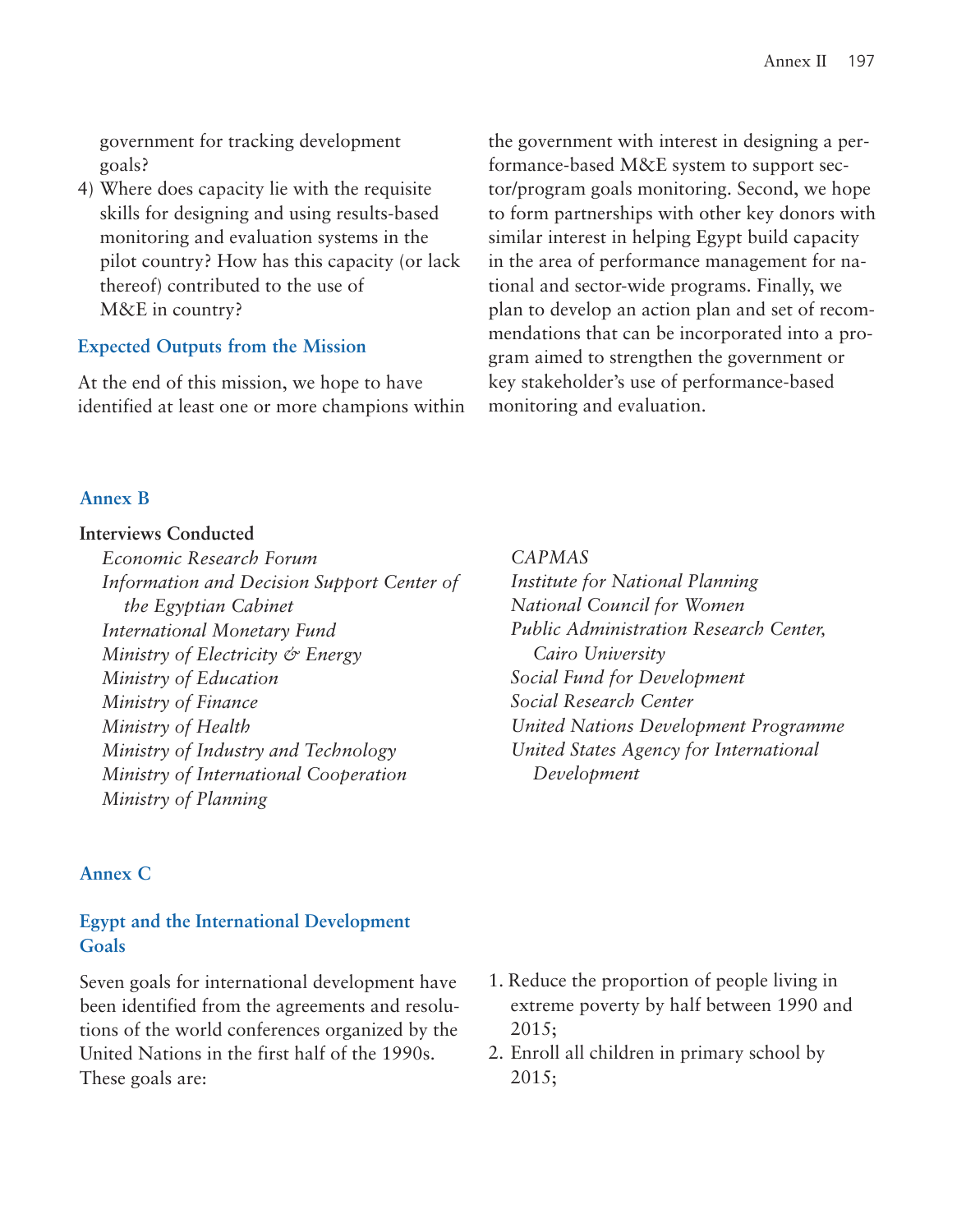government for tracking development goals?

4) Where does capacity lie with the requisite skills for designing and using results-based monitoring and evaluation systems in the pilot country? How has this capacity (or lack thereof) contributed to the use of M&E in country?

# **Expected Outputs from the Mission**

At the end of this mission, we hope to have identified at least one or more champions within the government with interest in designing a performance-based M&E system to support sector/program goals monitoring. Second, we hope to form partnerships with other key donors with similar interest in helping Egypt build capacity in the area of performance management for national and sector-wide programs. Finally, we plan to develop an action plan and set of recommendations that can be incorporated into a program aimed to strengthen the government or key stakeholder's use of performance-based monitoring and evaluation.

# **Annex B**

### **Interviews Conducted**

*Economic Research Forum Information and Decision Support Center of the Egyptian Cabinet International Monetary Fund Ministry of Electricity & Energy Ministry of Education Ministry of Finance Ministry of Health Ministry of Industry and Technology Ministry of International Cooperation Ministry of Planning*

### *CAPMAS*

*Institute for National Planning National Council for Women Public Administration Research Center, Cairo University Social Fund for Development Social Research Center United Nations Development Programme United States Agency for International Development*

# **Annex C**

# **Egypt and the International Development Goals**

Seven goals for international development have been identified from the agreements and resolutions of the world conferences organized by the United Nations in the first half of the 1990s. These goals are:

- 1. Reduce the proportion of people living in extreme poverty by half between 1990 and 2015;
- 2. Enroll all children in primary school by 2015;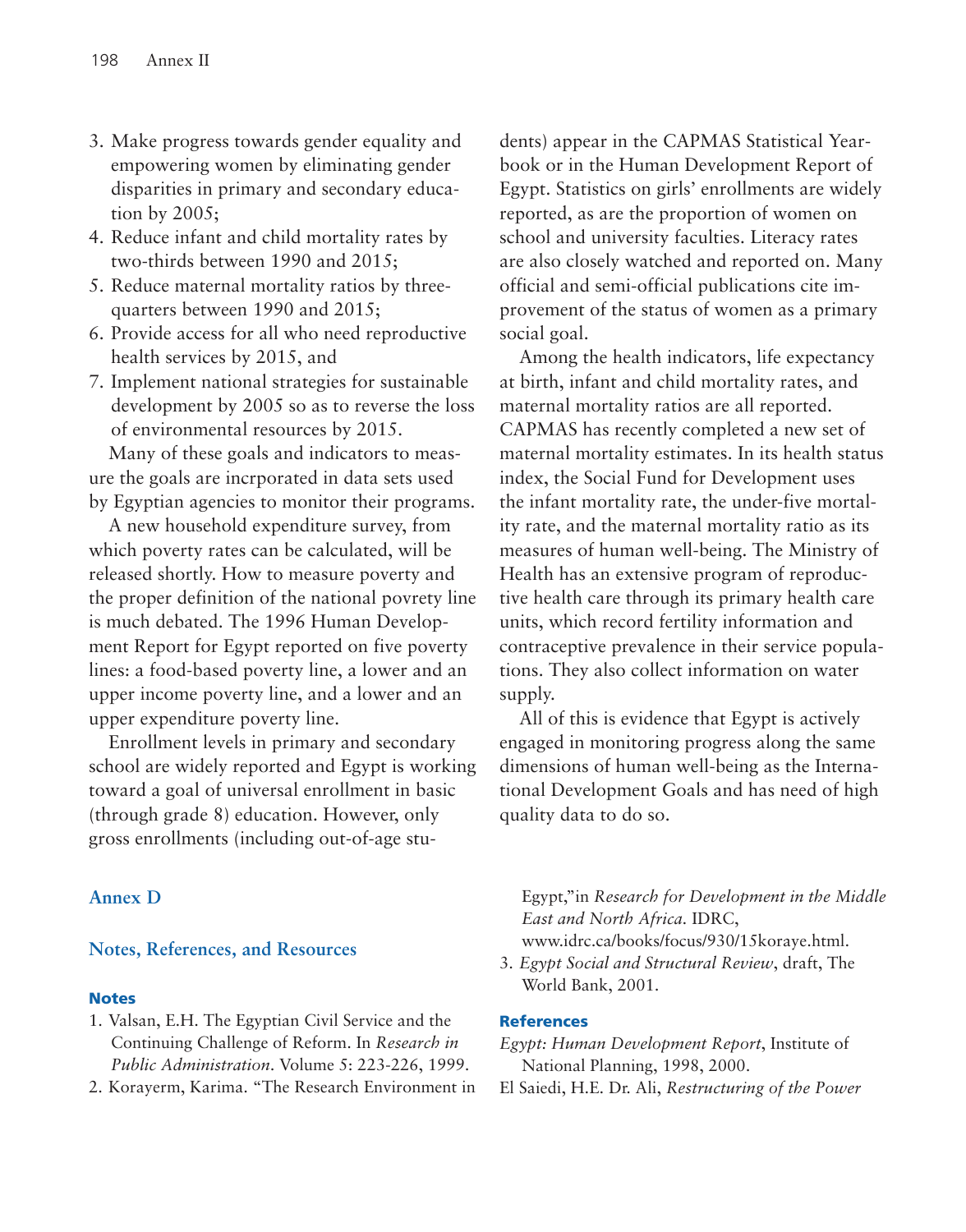- 3. Make progress towards gender equality and empowering women by eliminating gender disparities in primary and secondary education by 2005;
- 4. Reduce infant and child mortality rates by two-thirds between 1990 and 2015;
- 5. Reduce maternal mortality ratios by threequarters between 1990 and 2015;
- 6. Provide access for all who need reproductive health services by 2015, and
- 7. Implement national strategies for sustainable development by 2005 so as to reverse the loss of environmental resources by 2015.

Many of these goals and indicators to measure the goals are incrporated in data sets used by Egyptian agencies to monitor their programs.

A new household expenditure survey, from which poverty rates can be calculated, will be released shortly. How to measure poverty and the proper definition of the national povrety line is much debated. The 1996 Human Development Report for Egypt reported on five poverty lines: a food-based poverty line, a lower and an upper income poverty line, and a lower and an upper expenditure poverty line.

Enrollment levels in primary and secondary school are widely reported and Egypt is working toward a goal of universal enrollment in basic (through grade 8) education. However, only gross enrollments (including out-of-age students) appear in the CAPMAS Statistical Yearbook or in the Human Development Report of Egypt. Statistics on girls' enrollments are widely reported, as are the proportion of women on school and university faculties. Literacy rates are also closely watched and reported on. Many official and semi-official publications cite improvement of the status of women as a primary social goal.

Among the health indicators, life expectancy at birth, infant and child mortality rates, and maternal mortality ratios are all reported. CAPMAS has recently completed a new set of maternal mortality estimates. In its health status index, the Social Fund for Development uses the infant mortality rate, the under-five mortality rate, and the maternal mortality ratio as its measures of human well-being. The Ministry of Health has an extensive program of reproductive health care through its primary health care units, which record fertility information and contraceptive prevalence in their service populations. They also collect information on water supply.

All of this is evidence that Egypt is actively engaged in monitoring progress along the same dimensions of human well-being as the International Development Goals and has need of high quality data to do so.

### **Annex D**

#### **Notes, References, and Resources**

#### **Notes**

- 1. Valsan, E.H. The Egyptian Civil Service and the Continuing Challenge of Reform. In *Research in Public Administration*. Volume 5: 223-226, 1999.
- 2. Korayerm, Karima. "The Research Environment in

Egypt,"in *Research for Development in the Middle East and North Africa.* IDRC,

www.idrc.ca/books/focus/930/15koraye.html.

3. *Egypt Social and Structural Review*, draft, The World Bank, 2001.

#### **References**

- *Egypt: Human Development Report*, Institute of National Planning, 1998, 2000.
- El Saiedi, H.E. Dr. Ali, *Restructuring of the Power*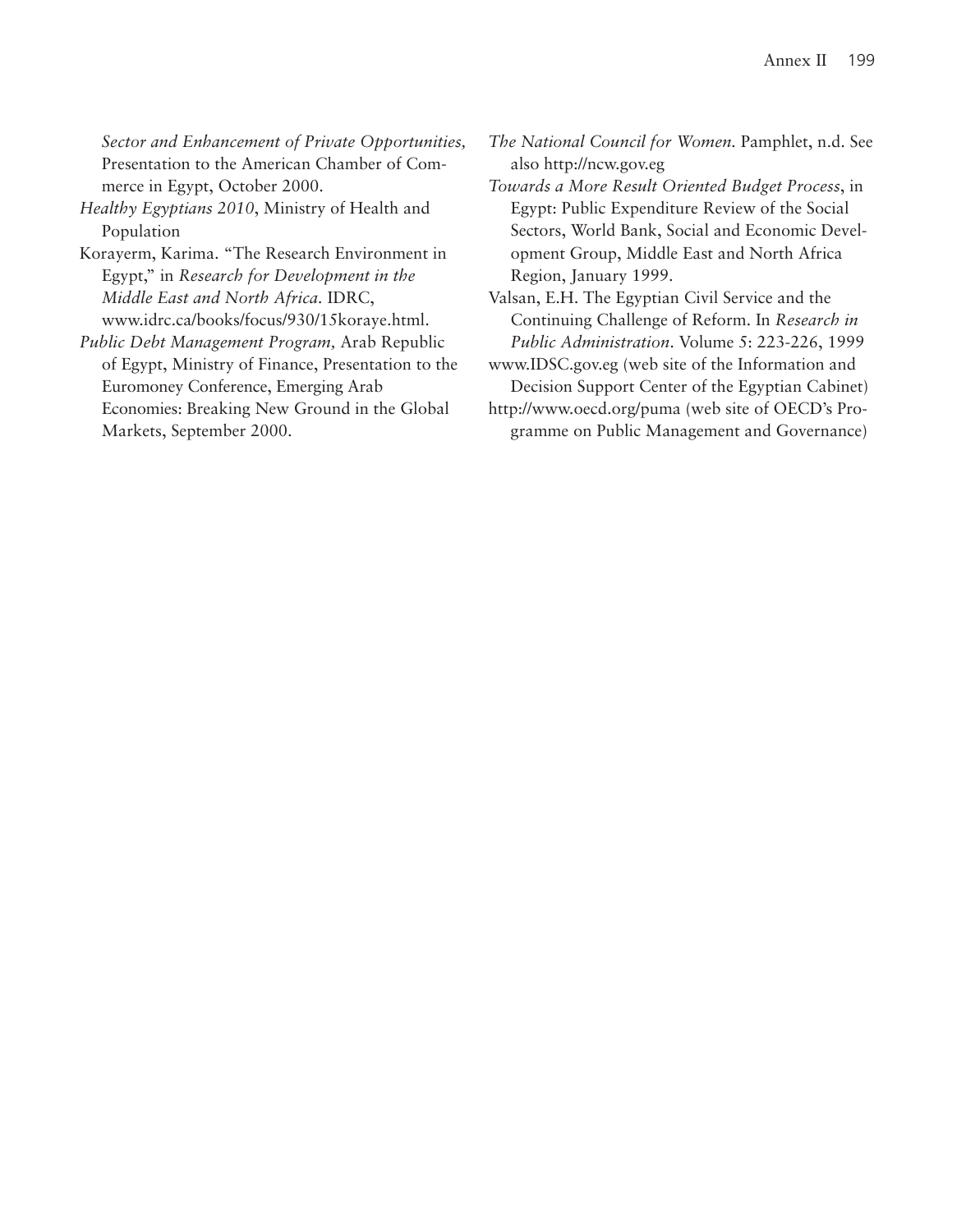*Sector and Enhancement of Private Opportunities,* Presentation to the American Chamber of Commerce in Egypt, October 2000.

*Healthy Egyptians 2010*, Ministry of Health and Population

- Korayerm, Karima. "The Research Environment in Egypt," in *Research for Development in the Middle East and North Africa.* IDRC, www.idrc.ca/books/focus/930/15koraye.html.
- *Public Debt Management Program,* Arab Republic of Egypt, Ministry of Finance, Presentation to the Euromoney Conference, Emerging Arab Economies: Breaking New Ground in the Global Markets, September 2000.

*The National Council for Women.* Pamphlet, n.d. See also http://ncw.gov.eg

*Towards a More Result Oriented Budget Process*, in Egypt: Public Expenditure Review of the Social Sectors, World Bank, Social and Economic Development Group, Middle East and North Africa Region, January 1999.

Valsan, E.H. The Egyptian Civil Service and the Continuing Challenge of Reform. In *Research in Public Administration*. Volume 5: 223-226, 1999

www.IDSC.gov.eg (web site of the Information and Decision Support Center of the Egyptian Cabinet)

http://www.oecd.org/puma (web site of OECD's Programme on Public Management and Governance)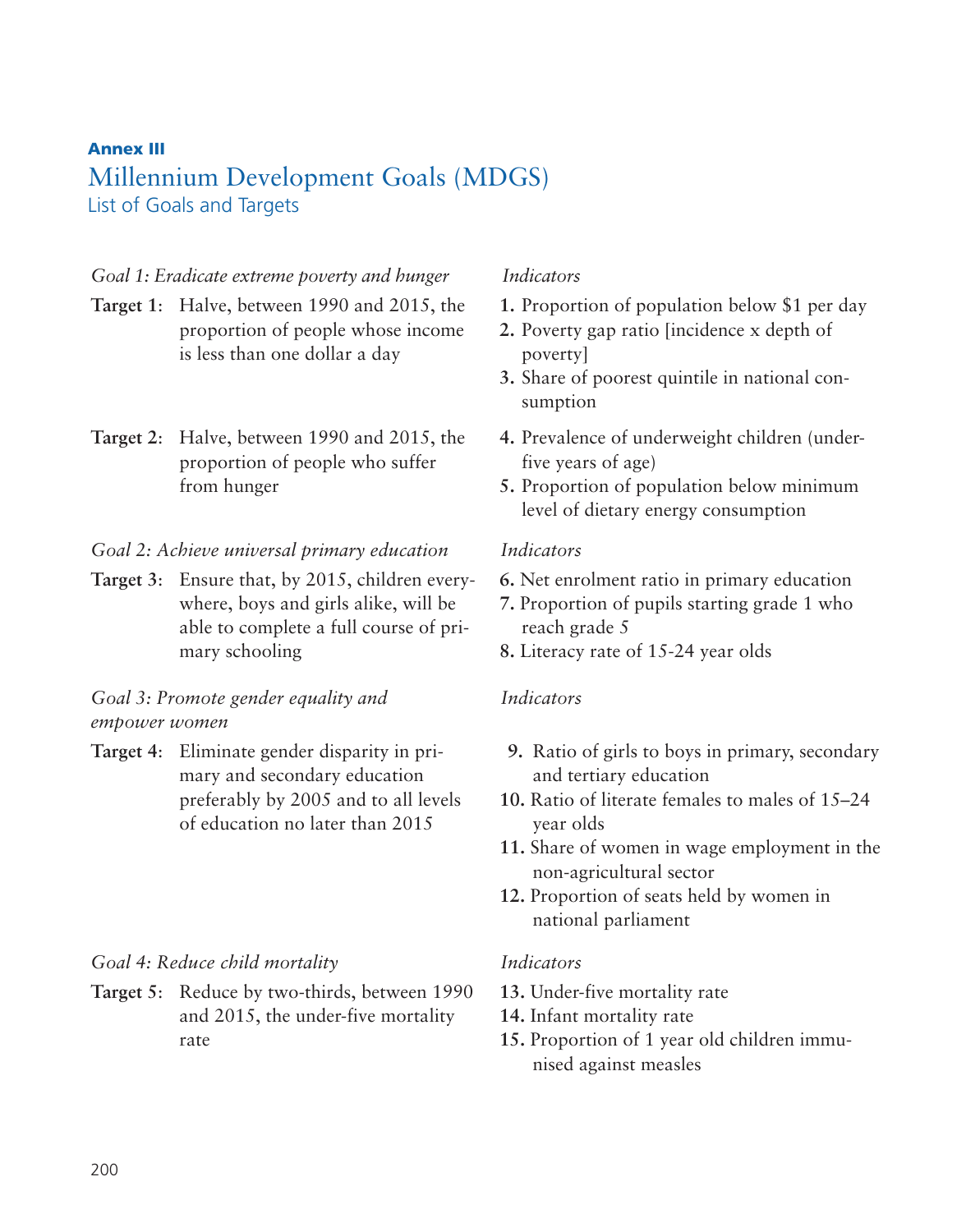# **Annex III** Millennium Development Goals (MDGS) List of Goals and Targets

# *Goal 1: Eradicate extreme poverty and hunger Indicators*

- **Target 1**: Halve, between 1990 and 2015, the proportion of people whose income is less than one dollar a day
- **Target 2**: Halve, between 1990 and 2015, the proportion of people who suffer from hunger

# *Goal 2: Achieve universal primary education Indicators*

**Target 3**: Ensure that, by 2015, children everywhere, boys and girls alike, will be able to complete a full course of primary schooling

# *Goal 3: Promote gender equality and Indicators empower women*

**Target 4**: Eliminate gender disparity in primary and secondary education preferably by 2005 and to all levels of education no later than 2015

### *Goal 4: Reduce child mortality Indicators*

**Target 5**: Reduce by two-thirds, between 1990 and 2015, the under-five mortality rate

- **1.** Proportion of population below \$1 per day
- **2.** Poverty gap ratio [incidence x depth of poverty]
- **3.** Share of poorest quintile in national consumption
- **4.** Prevalence of underweight children (underfive years of age)
- **5.** Proportion of population below minimum level of dietary energy consumption

- **6.** Net enrolment ratio in primary education
- **7.** Proportion of pupils starting grade 1 who reach grade 5
- **8.** Literacy rate of 15-24 year olds

- **9.** Ratio of girls to boys in primary, secondary and tertiary education
- **10.** Ratio of literate females to males of 15–24 year olds
- **11.** Share of women in wage employment in the non-agricultural sector
- **12.** Proportion of seats held by women in national parliament

- **13.** Under-five mortality rate
- **14.** Infant mortality rate
- **15.** Proportion of 1 year old children immunised against measles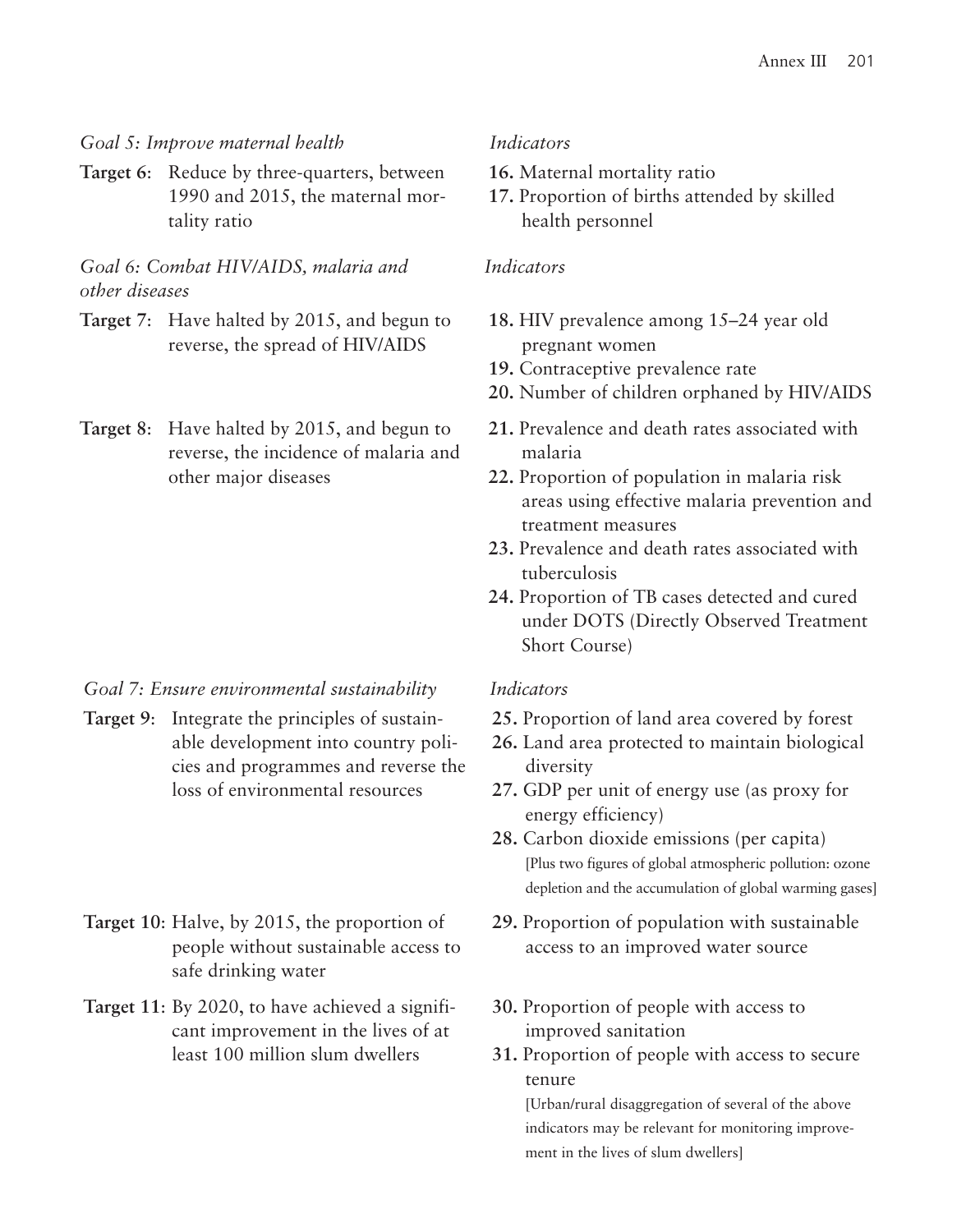#### *Goal 5: Improve maternal health Indicators*

**Target 6**: Reduce by three-quarters, between 1990 and 2015, the maternal mortality ratio

# *Goal 6: Combat HIV/AIDS, malaria and Indicators other diseases*

- **Target 7**: Have halted by 2015, and begun to reverse, the spread of HIV/AIDS
- **Target 8**: Have halted by 2015, and begun to reverse, the incidence of malaria and other major diseases

#### *Goal 7: Ensure environmental sustainability Indicators*

- **Target 9**: Integrate the principles of sustainable development into country policies and programmes and reverse the loss of environmental resources
- **Target 10**: Halve, by 2015, the proportion of people without sustainable access to safe drinking water
- **Target 11**: By 2020, to have achieved a significant improvement in the lives of at least 100 million slum dwellers

- **16.** Maternal mortality ratio
- **17.** Proportion of births attended by skilled health personnel

- **18.** HIV prevalence among 15–24 year old pregnant women
- **19.** Contraceptive prevalence rate
- **20.** Number of children orphaned by HIV/AIDS
- **21.** Prevalence and death rates associated with malaria
- **22.** Proportion of population in malaria risk areas using effective malaria prevention and treatment measures
- **23.** Prevalence and death rates associated with tuberculosis
- **24.** Proportion of TB cases detected and cured under DOTS (Directly Observed Treatment Short Course)

- **25.** Proportion of land area covered by forest
- **26.** Land area protected to maintain biological diversity
- **27.** GDP per unit of energy use (as proxy for energy efficiency)
- **28.** Carbon dioxide emissions (per capita) [Plus two figures of global atmospheric pollution: ozone depletion and the accumulation of global warming gases]
- **29.** Proportion of population with sustainable access to an improved water source
- **30.** Proportion of people with access to improved sanitation
- **31.** Proportion of people with access to secure tenure

[Urban/rural disaggregation of several of the above indicators may be relevant for monitoring improvement in the lives of slum dwellers]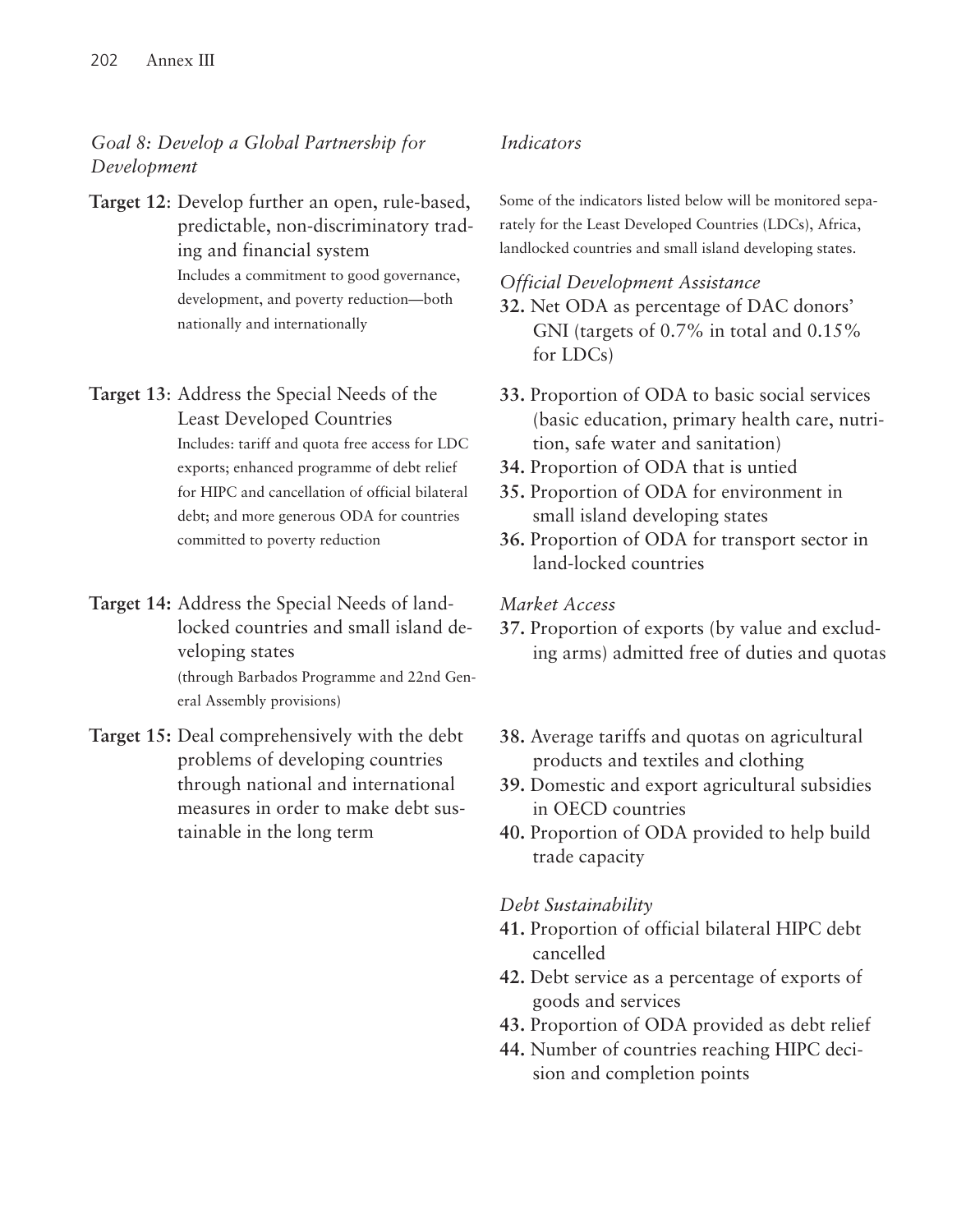# *Goal 8: Develop a Global Partnership for Indicators Development*

- **Target 12**: Develop further an open, rule-based, predictable, non-discriminatory trading and financial system Includes a commitment to good governance, development, and poverty reduction—both nationally and internationally
- **Target 13**: Address the Special Needs of the Least Developed Countries Includes: tariff and quota free access for LDC exports; enhanced programme of debt relief for HIPC and cancellation of official bilateral
	- debt; and more generous ODA for countries committed to poverty reduction
- **Target 14:** Address the Special Needs of landlocked countries and small island developing states

(through Barbados Programme and 22nd General Assembly provisions)

**Target 15:** Deal comprehensively with the debt problems of developing countries through national and international measures in order to make debt sustainable in the long term

Some of the indicators listed below will be monitored separately for the Least Developed Countries (LDCs), Africa, landlocked countries and small island developing states.

#### *Official Development Assistance*

- **32.** Net ODA as percentage of DAC donors' GNI (targets of 0.7% in total and 0.15% for LDCs)
- **33.** Proportion of ODA to basic social services (basic education, primary health care, nutrition, safe water and sanitation)
- **34.** Proportion of ODA that is untied
- **35.** Proportion of ODA for environment in small island developing states
- **36.** Proportion of ODA for transport sector in land-locked countries

### *Market Access*

- **37.** Proportion of exports (by value and excluding arms) admitted free of duties and quotas
- **38.** Average tariffs and quotas on agricultural products and textiles and clothing
- **39.** Domestic and export agricultural subsidies in OECD countries
- **40.** Proportion of ODA provided to help build trade capacity

# *Debt Sustainability*

- **41.** Proportion of official bilateral HIPC debt cancelled
- **42.** Debt service as a percentage of exports of goods and services
- **43.** Proportion of ODA provided as debt relief
- **44.** Number of countries reaching HIPC decision and completion points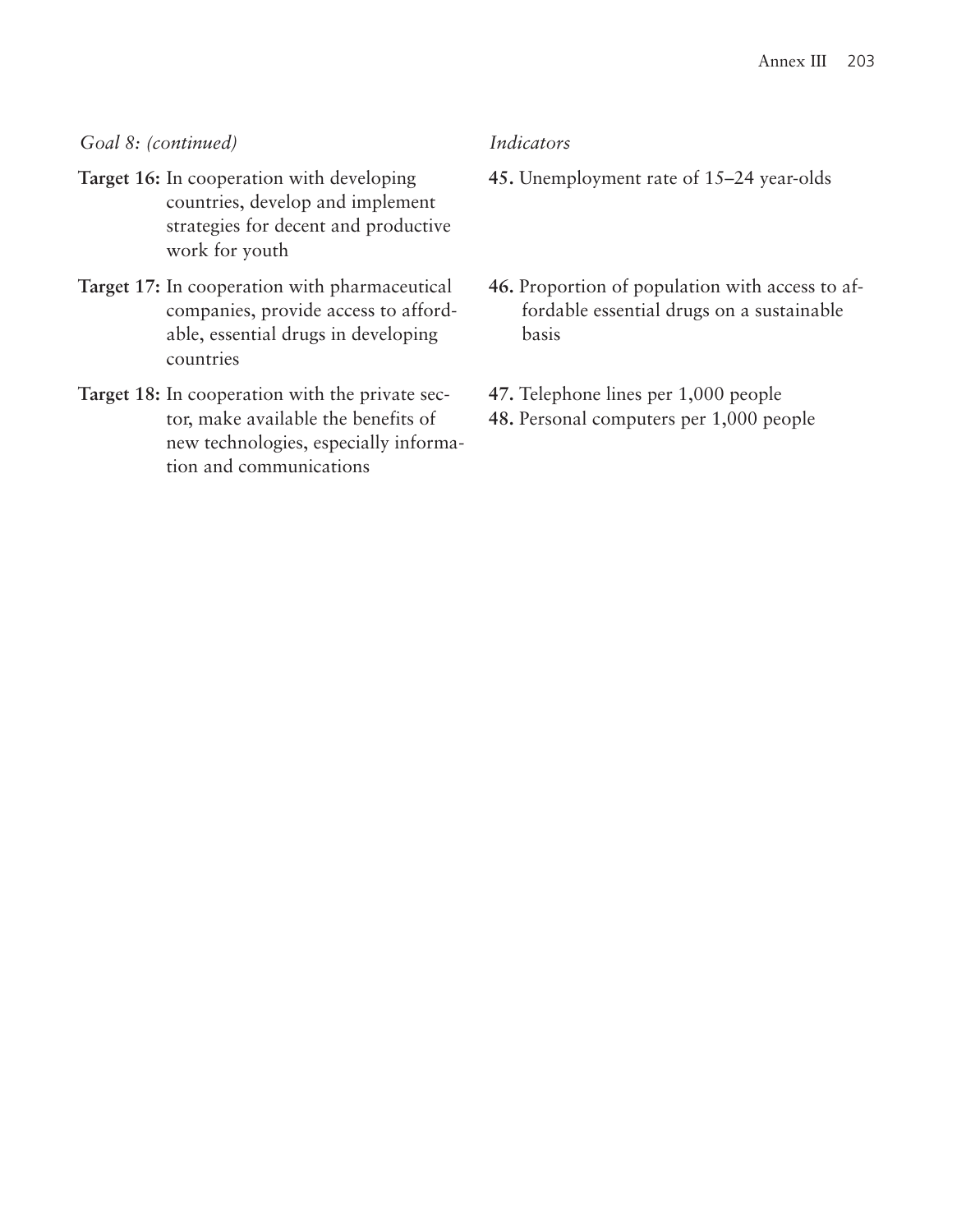*Goal 8: (continued) Indicators*

- **Target 16:** In cooperation with developing countries, develop and implement strategies for decent and productive work for youth
- **Target 17:** In cooperation with pharmaceutical companies, provide access to affordable, essential drugs in developing countries
- **Target 18:** In cooperation with the private sector, make available the benefits of new technologies, especially information and communications

- **45.** Unemployment rate of 15–24 year-olds
- **46.** Proportion of population with access to affordable essential drugs on a sustainable basis
- **47.** Telephone lines per 1,000 people
- **48.** Personal computers per 1,000 people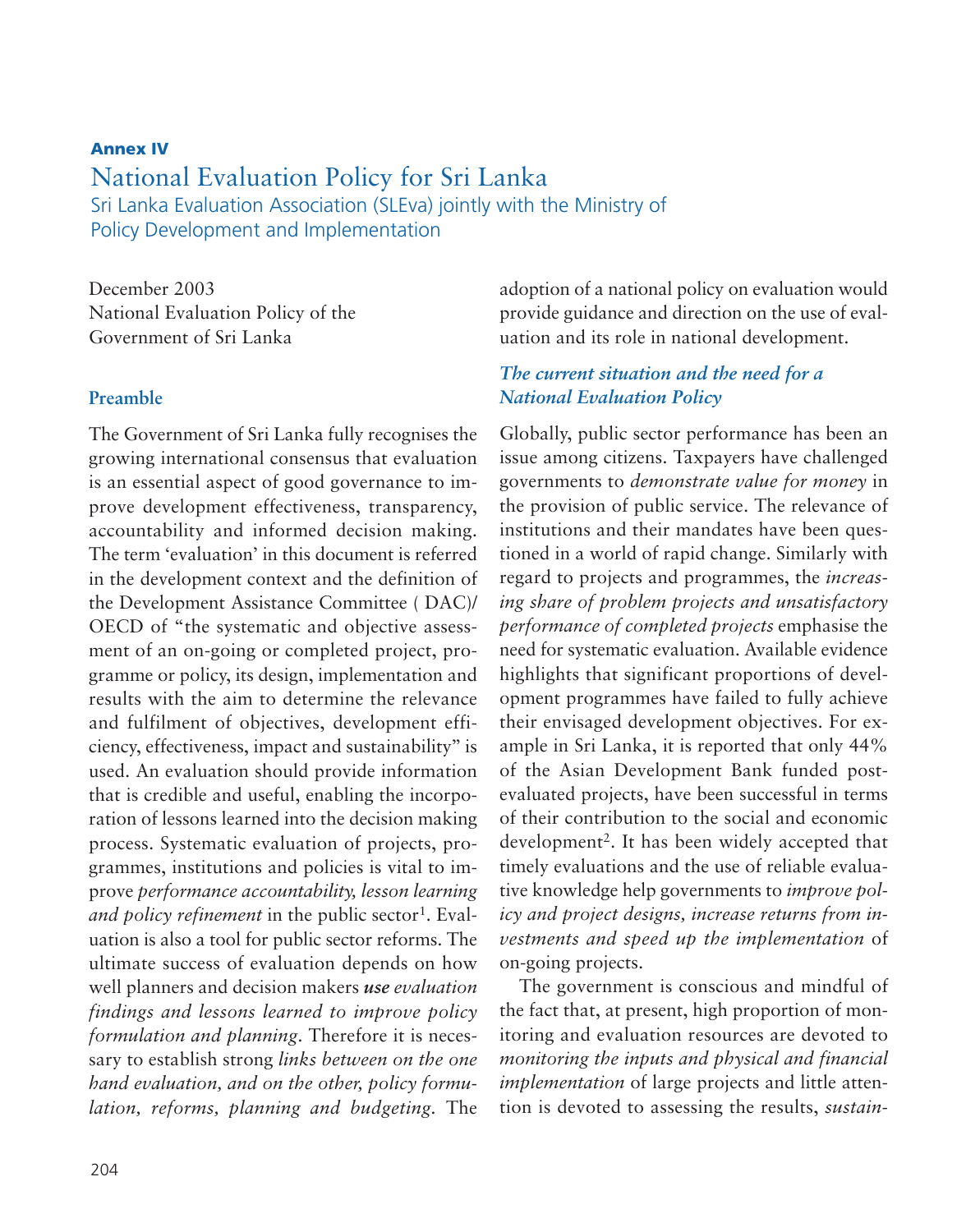#### **Annex IV**

# National Evaluation Policy for Sri Lanka Sri Lanka Evaluation Association (SLEva) jointly with the Ministry of Policy Development and Implementation

December 2003 National Evaluation Policy of the Government of Sri Lanka

#### **Preamble**

The Government of Sri Lanka fully recognises the growing international consensus that evaluation is an essential aspect of good governance to improve development effectiveness, transparency, accountability and informed decision making. The term 'evaluation' in this document is referred in the development context and the definition of the Development Assistance Committee ( DAC)/ OECD of "the systematic and objective assessment of an on-going or completed project, programme or policy, its design, implementation and results with the aim to determine the relevance and fulfilment of objectives, development efficiency, effectiveness, impact and sustainability'' is used. An evaluation should provide information that is credible and useful, enabling the incorporation of lessons learned into the decision making process. Systematic evaluation of projects, programmes, institutions and policies is vital to improve *performance accountability, lesson learning and policy refinement* in the public sector<sup>1</sup>. Evaluation is also a tool for public sector reforms. The ultimate success of evaluation depends on how well planners and decision makers *use evaluation findings and lessons learned to improve policy formulation and planning*. Therefore it is necessary to establish strong *links between on the one hand evaluation, and on the other, policy formulation, reforms, planning and budgeting.* The

adoption of a national policy on evaluation would provide guidance and direction on the use of evaluation and its role in national development.

### *The current situation and the need for a National Evaluation Policy*

Globally, public sector performance has been an issue among citizens. Taxpayers have challenged governments to *demonstrate value for money* in the provision of public service. The relevance of institutions and their mandates have been questioned in a world of rapid change. Similarly with regard to projects and programmes, the *increasing share of problem projects and unsatisfactory performance of completed projects* emphasise the need for systematic evaluation. Available evidence highlights that significant proportions of development programmes have failed to fully achieve their envisaged development objectives. For example in Sri Lanka, it is reported that only 44% of the Asian Development Bank funded postevaluated projects, have been successful in terms of their contribution to the social and economic development<sup>2</sup>. It has been widely accepted that timely evaluations and the use of reliable evaluative knowledge help governments to *improve policy and project designs, increase returns from investments and speed up the implementation* of on-going projects.

The government is conscious and mindful of the fact that, at present, high proportion of monitoring and evaluation resources are devoted to *monitoring the inputs and physical and financial implementation* of large projects and little attention is devoted to assessing the results, *sustain-*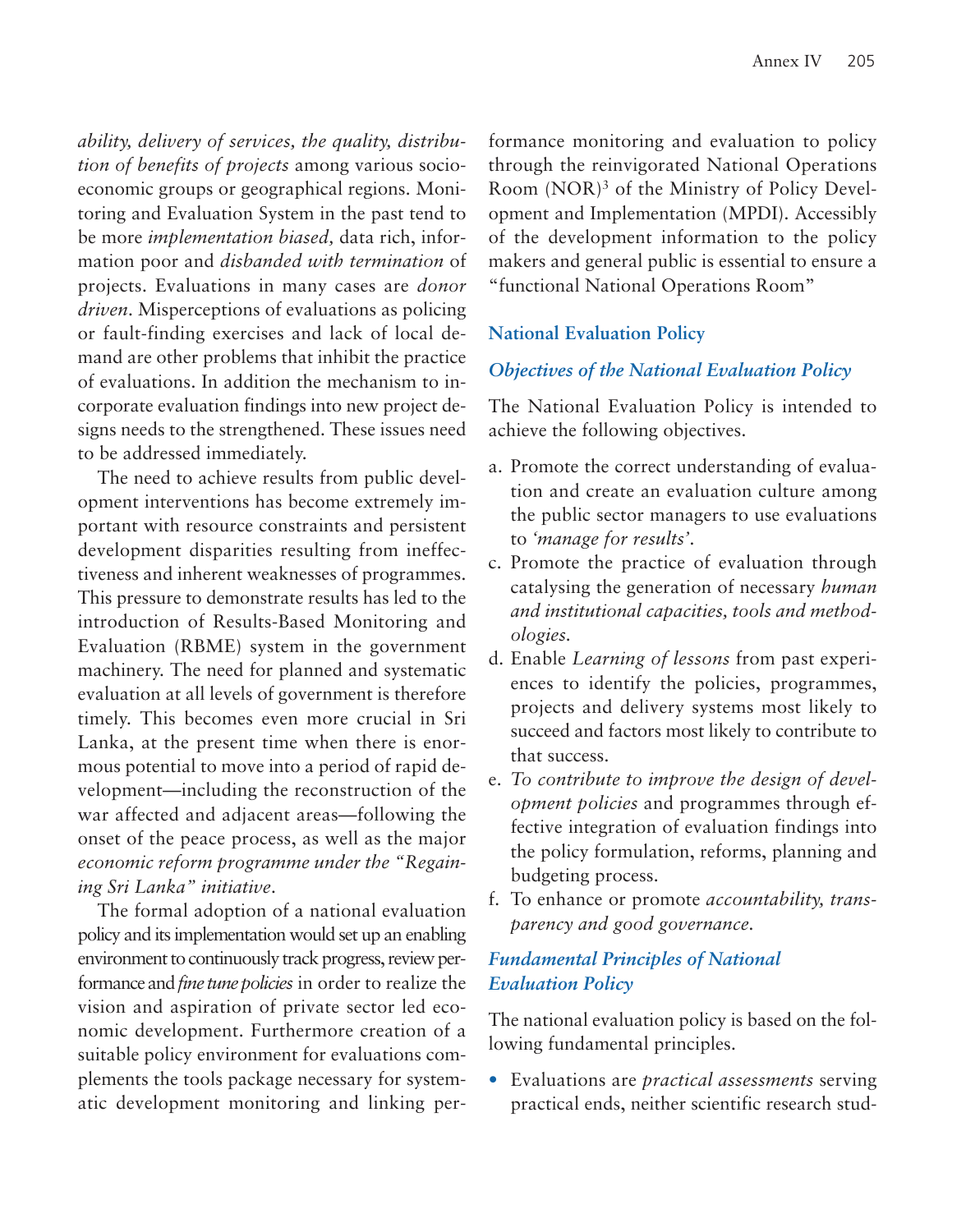*ability, delivery of services, the quality, distribution of benefits of projects* among various socioeconomic groups or geographical regions. Monitoring and Evaluation System in the past tend to be more *implementation biased,* data rich, information poor and *disbanded with termination* of projects. Evaluations in many cases are *donor driven*. Misperceptions of evaluations as policing or fault-finding exercises and lack of local demand are other problems that inhibit the practice of evaluations. In addition the mechanism to incorporate evaluation findings into new project designs needs to the strengthened. These issues need to be addressed immediately.

The need to achieve results from public development interventions has become extremely important with resource constraints and persistent development disparities resulting from ineffectiveness and inherent weaknesses of programmes. This pressure to demonstrate results has led to the introduction of Results-Based Monitoring and Evaluation (RBME) system in the government machinery. The need for planned and systematic evaluation at all levels of government is therefore timely. This becomes even more crucial in Sri Lanka, at the present time when there is enormous potential to move into a period of rapid development—including the reconstruction of the war affected and adjacent areas—following the onset of the peace process, as well as the major *economic reform programme under the "Regaining Sri Lanka" initiative*.

The formal adoption of a national evaluation policy and its implementation would set up an enabling environment to continuously track progress, review performance and *fine tune policies* in order to realize the vision and aspiration of private sector led economic development. Furthermore creation of a suitable policy environment for evaluations complements the tools package necessary for systematic development monitoring and linking per-

formance monitoring and evaluation to policy through the reinvigorated National Operations Room (NOR)3 of the Ministry of Policy Development and Implementation (MPDI). Accessibly of the development information to the policy makers and general public is essential to ensure a "functional National Operations Room"

#### **National Evaluation Policy**

#### *Objectives of the National Evaluation Policy*

The National Evaluation Policy is intended to achieve the following objectives.

- a. Promote the correct understanding of evaluation and create an evaluation culture among the public sector managers to use evaluations to *'manage for results'*.
- c. Promote the practice of evaluation through catalysing the generation of necessary *human and institutional capacities, tools and methodologies.*
- d. Enable *Learning of lessons* from past experiences to identify the policies, programmes, projects and delivery systems most likely to succeed and factors most likely to contribute to that success.
- e. *To contribute to improve the design of development policies* and programmes through effective integration of evaluation findings into the policy formulation, reforms, planning and budgeting process.
- f. To enhance or promote *accountability, transparency and good governance.*

# *Fundamental Principles of National Evaluation Policy*

The national evaluation policy is based on the following fundamental principles.

• Evaluations are *practical assessments* serving practical ends, neither scientific research stud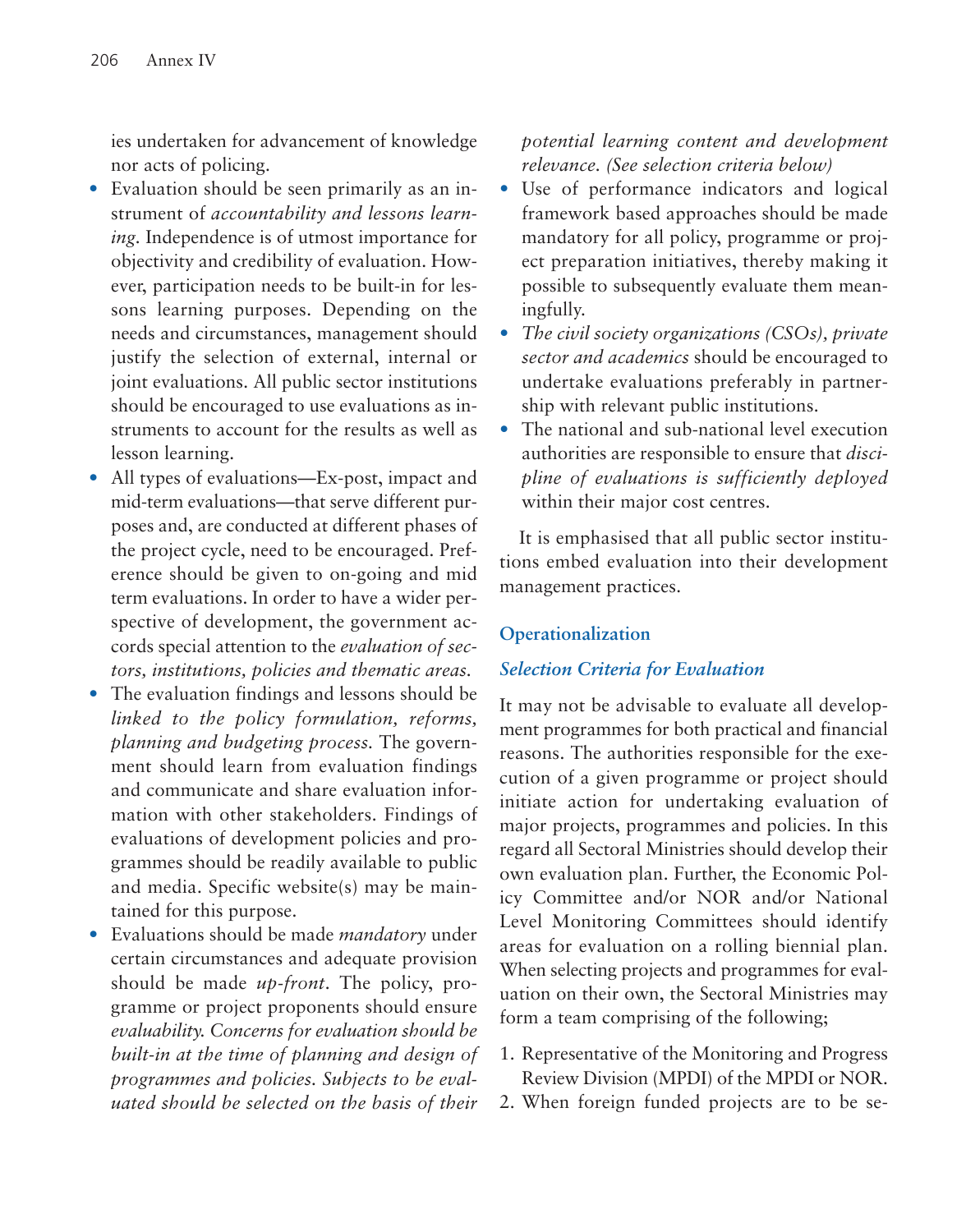ies undertaken for advancement of knowledge nor acts of policing.

- Evaluation should be seen primarily as an instrument of *accountability and lessons learning.* Independence is of utmost importance for objectivity and credibility of evaluation. However, participation needs to be built-in for lessons learning purposes. Depending on the needs and circumstances, management should justify the selection of external, internal or joint evaluations. All public sector institutions should be encouraged to use evaluations as instruments to account for the results as well as lesson learning.
- All types of evaluations—Ex-post, impact and mid-term evaluations—that serve different purposes and, are conducted at different phases of the project cycle, need to be encouraged. Preference should be given to on-going and mid term evaluations. In order to have a wider perspective of development, the government accords special attention to the *evaluation of sectors, institutions, policies and thematic areas.*
- The evaluation findings and lessons should be *linked to the policy formulation, reforms, planning and budgeting process.* The government should learn from evaluation findings and communicate and share evaluation information with other stakeholders. Findings of evaluations of development policies and programmes should be readily available to public and media. Specific website(s) may be maintained for this purpose.
- Evaluations should be made *mandatory* under certain circumstances and adequate provision should be made *up-front*. The policy, programme or project proponents should ensure *evaluability. Concerns for evaluation should be built-in at the time of planning and design of programmes and policies. Subjects to be evaluated should be selected on the basis of their*

# *potential learning content and development relevance. (See selection criteria below)*

- Use of performance indicators and logical framework based approaches should be made mandatory for all policy, programme or project preparation initiatives, thereby making it possible to subsequently evaluate them meaningfully.
- *The civil society organizations (CSOs), private sector and academics* should be encouraged to undertake evaluations preferably in partnership with relevant public institutions.
- The national and sub-national level execution authorities are responsible to ensure that *discipline of evaluations is sufficiently deployed* within their major cost centres.

It is emphasised that all public sector institutions embed evaluation into their development management practices.

#### **Operationalization**

# *Selection Criteria for Evaluation*

It may not be advisable to evaluate all development programmes for both practical and financial reasons. The authorities responsible for the execution of a given programme or project should initiate action for undertaking evaluation of major projects, programmes and policies. In this regard all Sectoral Ministries should develop their own evaluation plan. Further, the Economic Policy Committee and/or NOR and/or National Level Monitoring Committees should identify areas for evaluation on a rolling biennial plan. When selecting projects and programmes for evaluation on their own, the Sectoral Ministries may form a team comprising of the following;

- 1. Representative of the Monitoring and Progress Review Division (MPDI) of the MPDI or NOR.
- 2. When foreign funded projects are to be se-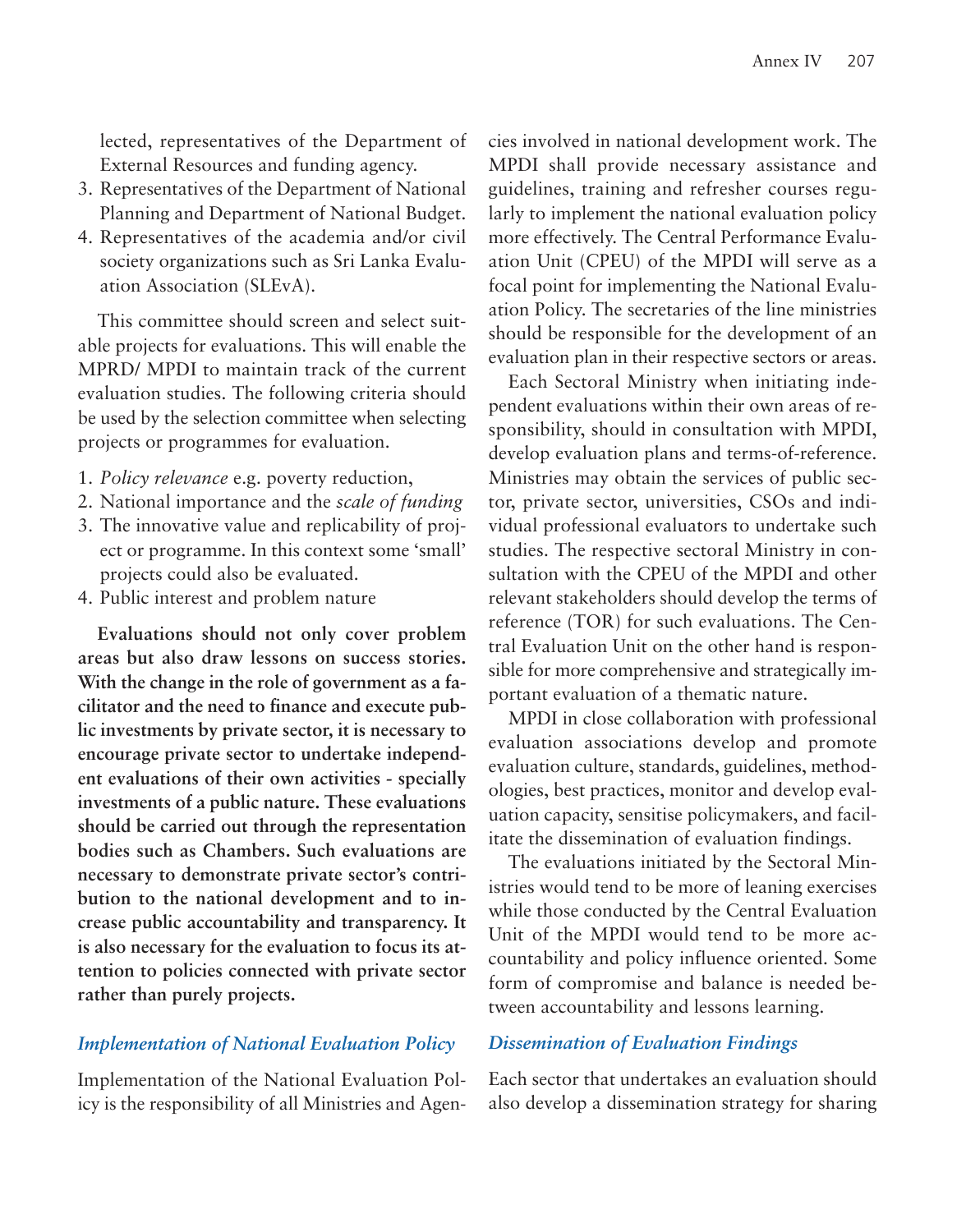lected, representatives of the Department of External Resources and funding agency.

- 3. Representatives of the Department of National Planning and Department of National Budget.
- 4. Representatives of the academia and/or civil society organizations such as Sri Lanka Evaluation Association (SLEvA).

This committee should screen and select suitable projects for evaluations. This will enable the MPRD/ MPDI to maintain track of the current evaluation studies. The following criteria should be used by the selection committee when selecting projects or programmes for evaluation.

- 1. *Policy relevance* e.g. poverty reduction,
- 2. National importance and the *scale of funding*
- 3. The innovative value and replicability of project or programme. In this context some 'small' projects could also be evaluated.
- 4. Public interest and problem nature

**Evaluations should not only cover problem areas but also draw lessons on success stories. With the change in the role of government as a facilitator and the need to finance and execute public investments by private sector, it is necessary to encourage private sector to undertake independent evaluations of their own activities - specially investments of a public nature. These evaluations should be carried out through the representation bodies such as Chambers. Such evaluations are necessary to demonstrate private sector's contribution to the national development and to increase public accountability and transparency. It is also necessary for the evaluation to focus its attention to policies connected with private sector rather than purely projects.**

#### *Implementation of National Evaluation Policy*

Implementation of the National Evaluation Policy is the responsibility of all Ministries and Agen-

cies involved in national development work. The MPDI shall provide necessary assistance and guidelines, training and refresher courses regularly to implement the national evaluation policy more effectively. The Central Performance Evaluation Unit (CPEU) of the MPDI will serve as a focal point for implementing the National Evaluation Policy. The secretaries of the line ministries should be responsible for the development of an evaluation plan in their respective sectors or areas.

Each Sectoral Ministry when initiating independent evaluations within their own areas of responsibility, should in consultation with MPDI, develop evaluation plans and terms-of-reference. Ministries may obtain the services of public sector, private sector, universities, CSOs and individual professional evaluators to undertake such studies. The respective sectoral Ministry in consultation with the CPEU of the MPDI and other relevant stakeholders should develop the terms of reference (TOR) for such evaluations. The Central Evaluation Unit on the other hand is responsible for more comprehensive and strategically important evaluation of a thematic nature.

MPDI in close collaboration with professional evaluation associations develop and promote evaluation culture, standards, guidelines, methodologies, best practices, monitor and develop evaluation capacity, sensitise policymakers, and facilitate the dissemination of evaluation findings.

The evaluations initiated by the Sectoral Ministries would tend to be more of leaning exercises while those conducted by the Central Evaluation Unit of the MPDI would tend to be more accountability and policy influence oriented. Some form of compromise and balance is needed between accountability and lessons learning.

#### *Dissemination of Evaluation Findings*

Each sector that undertakes an evaluation should also develop a dissemination strategy for sharing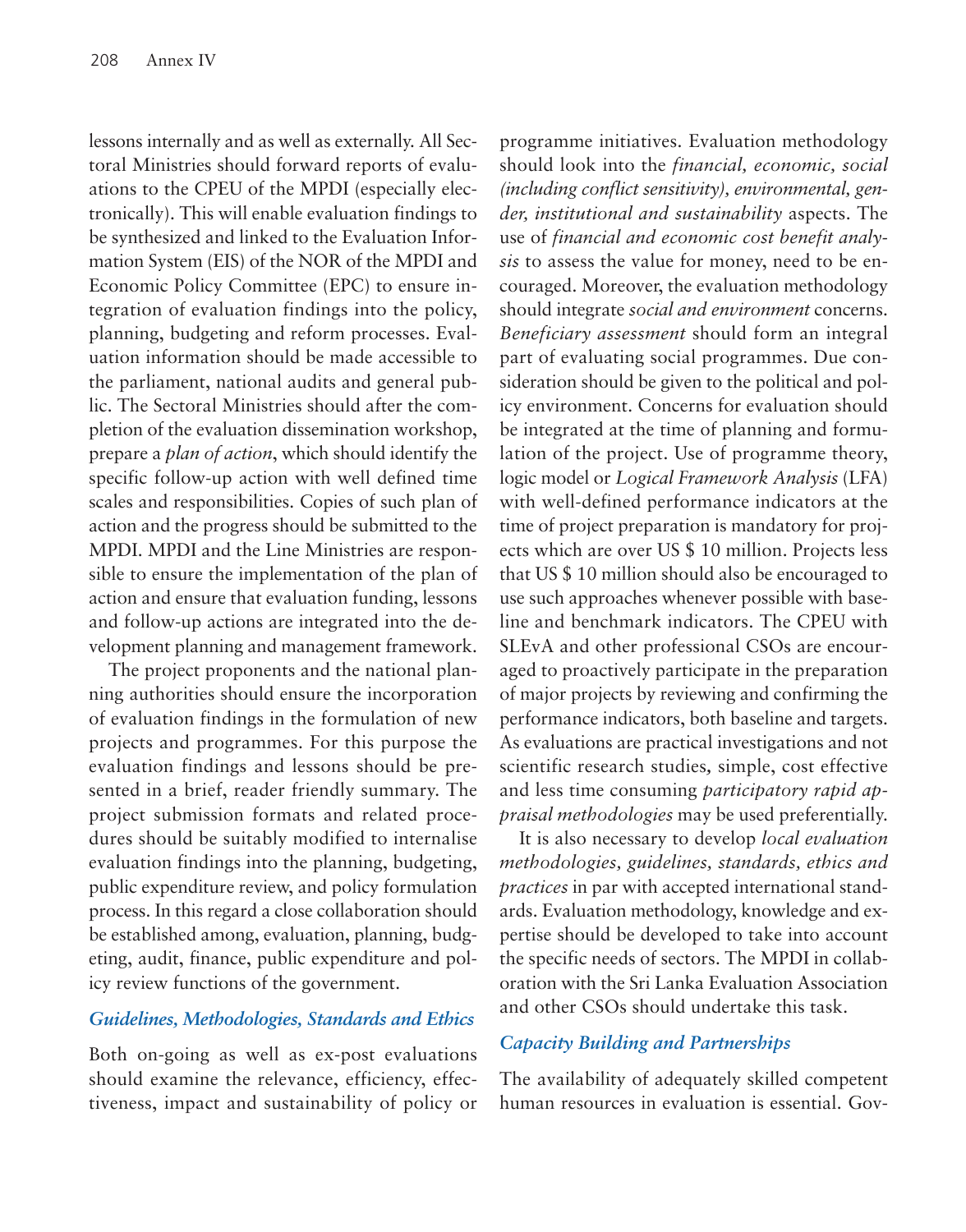lessons internally and as well as externally. All Sectoral Ministries should forward reports of evaluations to the CPEU of the MPDI (especially electronically). This will enable evaluation findings to be synthesized and linked to the Evaluation Information System (EIS) of the NOR of the MPDI and Economic Policy Committee (EPC) to ensure integration of evaluation findings into the policy, planning, budgeting and reform processes. Evaluation information should be made accessible to the parliament, national audits and general public. The Sectoral Ministries should after the completion of the evaluation dissemination workshop, prepare a *plan of action*, which should identify the specific follow-up action with well defined time scales and responsibilities. Copies of such plan of action and the progress should be submitted to the MPDI. MPDI and the Line Ministries are responsible to ensure the implementation of the plan of action and ensure that evaluation funding, lessons and follow-up actions are integrated into the development planning and management framework.

The project proponents and the national planning authorities should ensure the incorporation of evaluation findings in the formulation of new projects and programmes. For this purpose the evaluation findings and lessons should be presented in a brief, reader friendly summary. The project submission formats and related procedures should be suitably modified to internalise evaluation findings into the planning, budgeting, public expenditure review, and policy formulation process. In this regard a close collaboration should be established among, evaluation, planning, budgeting, audit, finance, public expenditure and policy review functions of the government.

### *Guidelines, Methodologies, Standards and Ethics*

Both on-going as well as ex-post evaluations should examine the relevance, efficiency, effectiveness, impact and sustainability of policy or programme initiatives. Evaluation methodology should look into the *financial, economic, social (including conflict sensitivity), environmental, gender, institutional and sustainability* aspects. The use of *financial and economic cost benefit analysis* to assess the value for money, need to be encouraged. Moreover, the evaluation methodology should integrate *social and environment* concerns. *Beneficiary assessment* should form an integral part of evaluating social programmes. Due consideration should be given to the political and policy environment. Concerns for evaluation should be integrated at the time of planning and formulation of the project. Use of programme theory, logic model or *Logical Framework Analysis* (LFA) with well-defined performance indicators at the time of project preparation is mandatory for projects which are over US \$ 10 million. Projects less that US \$ 10 million should also be encouraged to use such approaches whenever possible with baseline and benchmark indicators. The CPEU with SLEvA and other professional CSOs are encouraged to proactively participate in the preparation of major projects by reviewing and confirming the performance indicators, both baseline and targets. As evaluations are practical investigations and not scientific research studies*,* simple, cost effective and less time consuming *participatory rapid appraisal methodologies* may be used preferentially.

It is also necessary to develop *local evaluation methodologies, guidelines, standards, ethics and practices* in par with accepted international standards. Evaluation methodology, knowledge and expertise should be developed to take into account the specific needs of sectors. The MPDI in collaboration with the Sri Lanka Evaluation Association and other CSOs should undertake this task.

### *Capacity Building and Partnerships*

The availability of adequately skilled competent human resources in evaluation is essential. Gov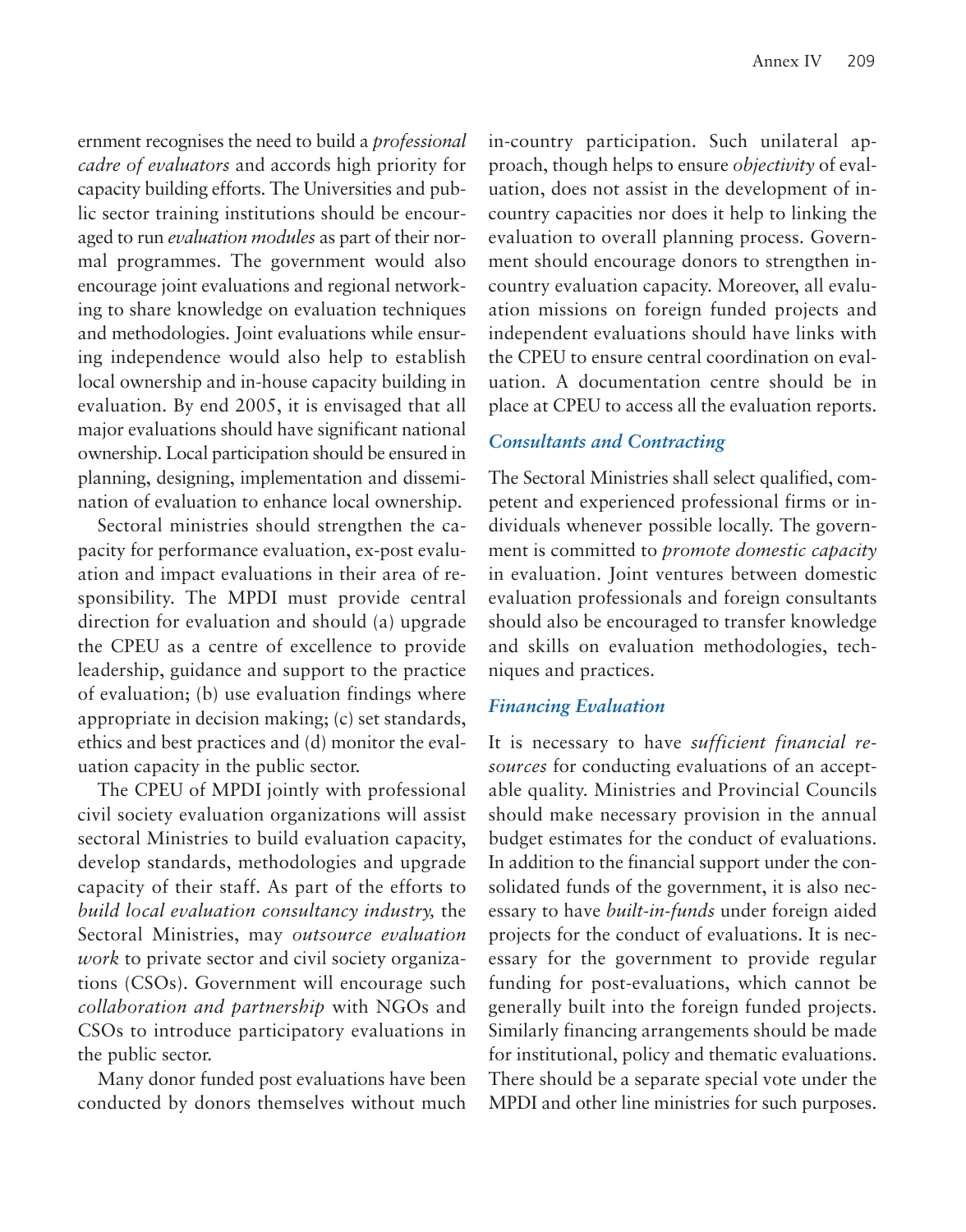ernment recognises the need to build a *professional cadre of evaluators* and accords high priority for capacity building efforts. The Universities and public sector training institutions should be encouraged to run *evaluation modules* as part of their normal programmes. The government would also encourage joint evaluations and regional networking to share knowledge on evaluation techniques and methodologies. Joint evaluations while ensuring independence would also help to establish local ownership and in-house capacity building in evaluation. By end 2005, it is envisaged that all major evaluations should have significant national ownership. Local participation should be ensured in planning, designing, implementation and dissemination of evaluation to enhance local ownership.

Sectoral ministries should strengthen the capacity for performance evaluation, ex-post evaluation and impact evaluations in their area of responsibility. The MPDI must provide central direction for evaluation and should (a) upgrade the CPEU as a centre of excellence to provide leadership, guidance and support to the practice of evaluation; (b) use evaluation findings where appropriate in decision making; (c) set standards, ethics and best practices and (d) monitor the evaluation capacity in the public sector.

The CPEU of MPDI jointly with professional civil society evaluation organizations will assist sectoral Ministries to build evaluation capacity, develop standards, methodologies and upgrade capacity of their staff. As part of the efforts to *build local evaluation consultancy industry,* the Sectoral Ministries, may *outsource evaluation work* to private sector and civil society organizations (CSOs). Government will encourage such *collaboration and partnership* with NGOs and CSOs to introduce participatory evaluations in the public sector.

Many donor funded post evaluations have been conducted by donors themselves without much

in-country participation. Such unilateral approach, though helps to ensure *objectivity* of evaluation, does not assist in the development of incountry capacities nor does it help to linking the evaluation to overall planning process. Government should encourage donors to strengthen incountry evaluation capacity. Moreover, all evaluation missions on foreign funded projects and independent evaluations should have links with the CPEU to ensure central coordination on evaluation. A documentation centre should be in place at CPEU to access all the evaluation reports.

#### *Consultants and Contracting*

The Sectoral Ministries shall select qualified, competent and experienced professional firms or individuals whenever possible locally. The government is committed to *promote domestic capacity* in evaluation. Joint ventures between domestic evaluation professionals and foreign consultants should also be encouraged to transfer knowledge and skills on evaluation methodologies, techniques and practices.

#### *Financing Evaluation*

It is necessary to have *sufficient financial resources* for conducting evaluations of an acceptable quality. Ministries and Provincial Councils should make necessary provision in the annual budget estimates for the conduct of evaluations. In addition to the financial support under the consolidated funds of the government, it is also necessary to have *built-in-funds* under foreign aided projects for the conduct of evaluations. It is necessary for the government to provide regular funding for post-evaluations, which cannot be generally built into the foreign funded projects. Similarly financing arrangements should be made for institutional, policy and thematic evaluations. There should be a separate special vote under the MPDI and other line ministries for such purposes.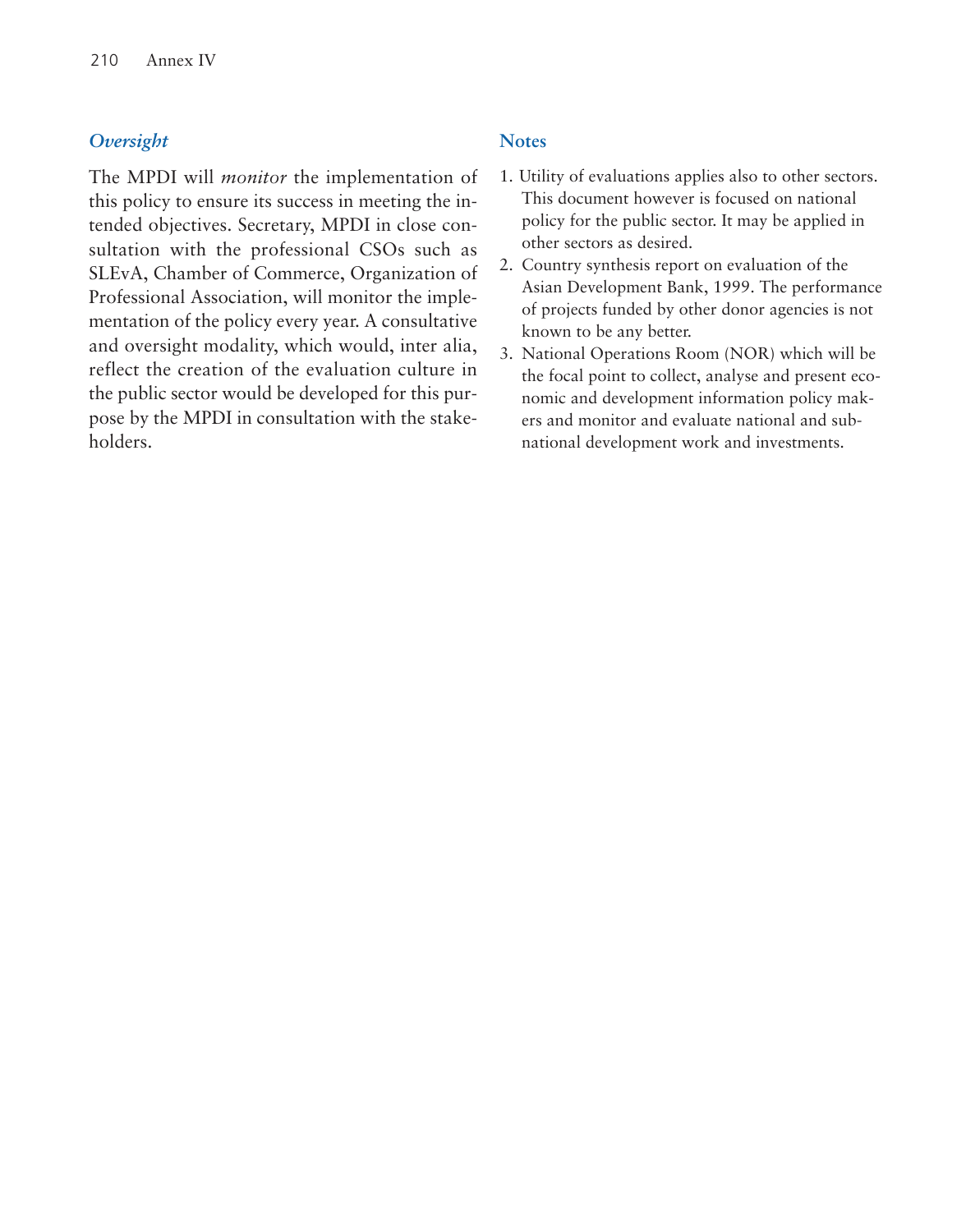#### *Oversight*

The MPDI will *monitor* the implementation of this policy to ensure its success in meeting the intended objectives. Secretary, MPDI in close consultation with the professional CSOs such as SLEvA, Chamber of Commerce, Organization of Professional Association, will monitor the implementation of the policy every year. A consultative and oversight modality, which would, inter alia, reflect the creation of the evaluation culture in the public sector would be developed for this purpose by the MPDI in consultation with the stakeholders.

#### **Notes**

- 1. Utility of evaluations applies also to other sectors. This document however is focused on national policy for the public sector. It may be applied in other sectors as desired.
- 2. Country synthesis report on evaluation of the Asian Development Bank, 1999. The performance of projects funded by other donor agencies is not known to be any better.
- 3. National Operations Room (NOR) which will be the focal point to collect, analyse and present economic and development information policy makers and monitor and evaluate national and subnational development work and investments.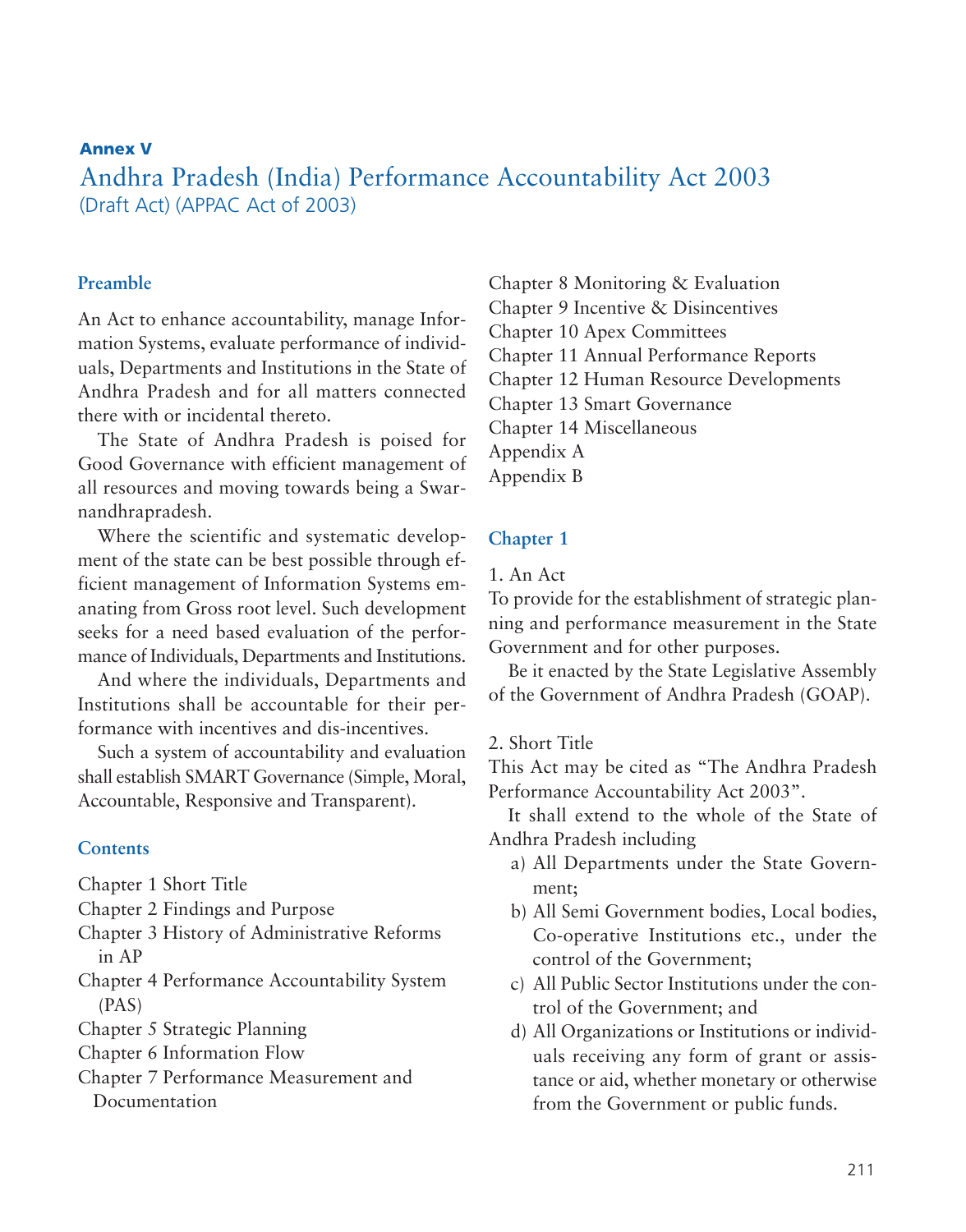#### **Annex V**

# Andhra Pradesh (India) Performance Accountability Act 2003 (Draft Act) (APPAC Act of 2003)

#### **Preamble**

An Act to enhance accountability, manage Information Systems, evaluate performance of individuals, Departments and Institutions in the State of Andhra Pradesh and for all matters connected there with or incidental thereto.

The State of Andhra Pradesh is poised for Good Governance with efficient management of all resources and moving towards being a Swarnandhrapradesh.

Where the scientific and systematic development of the state can be best possible through efficient management of Information Systems emanating from Gross root level. Such development seeks for a need based evaluation of the performance of Individuals, Departments and Institutions.

And where the individuals, Departments and Institutions shall be accountable for their performance with incentives and dis-incentives.

Such a system of accountability and evaluation shall establish SMART Governance (Simple, Moral, Accountable, Responsive and Transparent).

#### **Contents**

Chapter 1 Short Title

- Chapter 2 Findings and Purpose
- Chapter 3 History of Administrative Reforms in AP

Chapter 4 Performance Accountability System (PAS)

- Chapter 5 Strategic Planning
- Chapter 6 Information Flow
- Chapter 7 Performance Measurement and Documentation

Chapter 8 Monitoring & Evaluation Chapter 9 Incentive & Disincentives Chapter 10 Apex Committees Chapter 11 Annual Performance Reports Chapter 12 Human Resource Developments Chapter 13 Smart Governance Chapter 14 Miscellaneous Appendix A Appendix B

#### **Chapter 1**

#### 1. An Act

To provide for the establishment of strategic planning and performance measurement in the State Government and for other purposes.

Be it enacted by the State Legislative Assembly of the Government of Andhra Pradesh (GOAP).

#### 2. Short Title

This Act may be cited as "The Andhra Pradesh Performance Accountability Act 2003".

It shall extend to the whole of the State of Andhra Pradesh including

- a) All Departments under the State Government;
- b) All Semi Government bodies, Local bodies, Co-operative Institutions etc., under the control of the Government;
- c) All Public Sector Institutions under the control of the Government; and
- d) All Organizations or Institutions or individuals receiving any form of grant or assistance or aid, whether monetary or otherwise from the Government or public funds.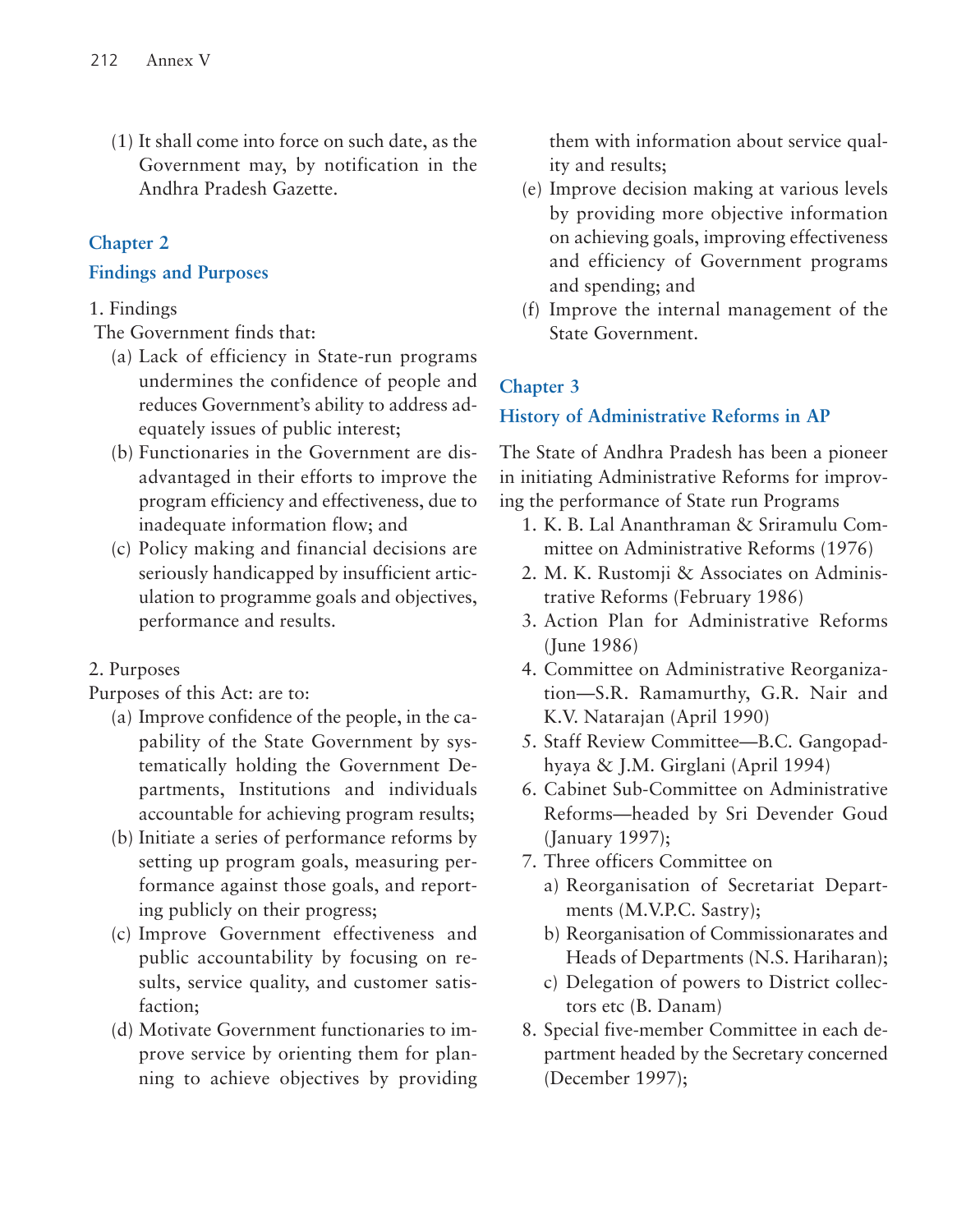(1) It shall come into force on such date, as the Government may, by notification in the Andhra Pradesh Gazette.

# **Chapter 2**

#### **Findings and Purposes**

### 1. Findings

The Government finds that:

- (a) Lack of efficiency in State-run programs undermines the confidence of people and reduces Government's ability to address adequately issues of public interest;
- (b) Functionaries in the Government are disadvantaged in their efforts to improve the program efficiency and effectiveness, due to inadequate information flow; and
- (c) Policy making and financial decisions are seriously handicapped by insufficient articulation to programme goals and objectives, performance and results.

#### 2. Purposes

Purposes of this Act: are to:

- (a) Improve confidence of the people, in the capability of the State Government by systematically holding the Government Departments, Institutions and individuals accountable for achieving program results;
- (b) Initiate a series of performance reforms by setting up program goals, measuring performance against those goals, and reporting publicly on their progress;
- (c) Improve Government effectiveness and public accountability by focusing on results, service quality, and customer satisfaction;
- (d) Motivate Government functionaries to improve service by orienting them for planning to achieve objectives by providing

them with information about service quality and results;

- (e) Improve decision making at various levels by providing more objective information on achieving goals, improving effectiveness and efficiency of Government programs and spending; and
- (f) Improve the internal management of the State Government.

# **Chapter 3**

# **History of Administrative Reforms in AP**

The State of Andhra Pradesh has been a pioneer in initiating Administrative Reforms for improving the performance of State run Programs

- 1. K. B. Lal Ananthraman & Sriramulu Committee on Administrative Reforms (1976)
- 2. M. K. Rustomji & Associates on Administrative Reforms (February 1986)
- 3. Action Plan for Administrative Reforms (June 1986)
- 4. Committee on Administrative Reorganization—S.R. Ramamurthy, G.R. Nair and K.V. Natarajan (April 1990)
- 5. Staff Review Committee—B.C. Gangopadhyaya & J.M. Girglani (April 1994)
- 6. Cabinet Sub-Committee on Administrative Reforms—headed by Sri Devender Goud (January 1997);
- 7. Three officers Committee on
	- a) Reorganisation of Secretariat Departments (M.V.P.C. Sastry);
	- b) Reorganisation of Commissionarates and Heads of Departments (N.S. Hariharan);
	- c) Delegation of powers to District collectors etc (B. Danam)
- 8. Special five-member Committee in each department headed by the Secretary concerned (December 1997);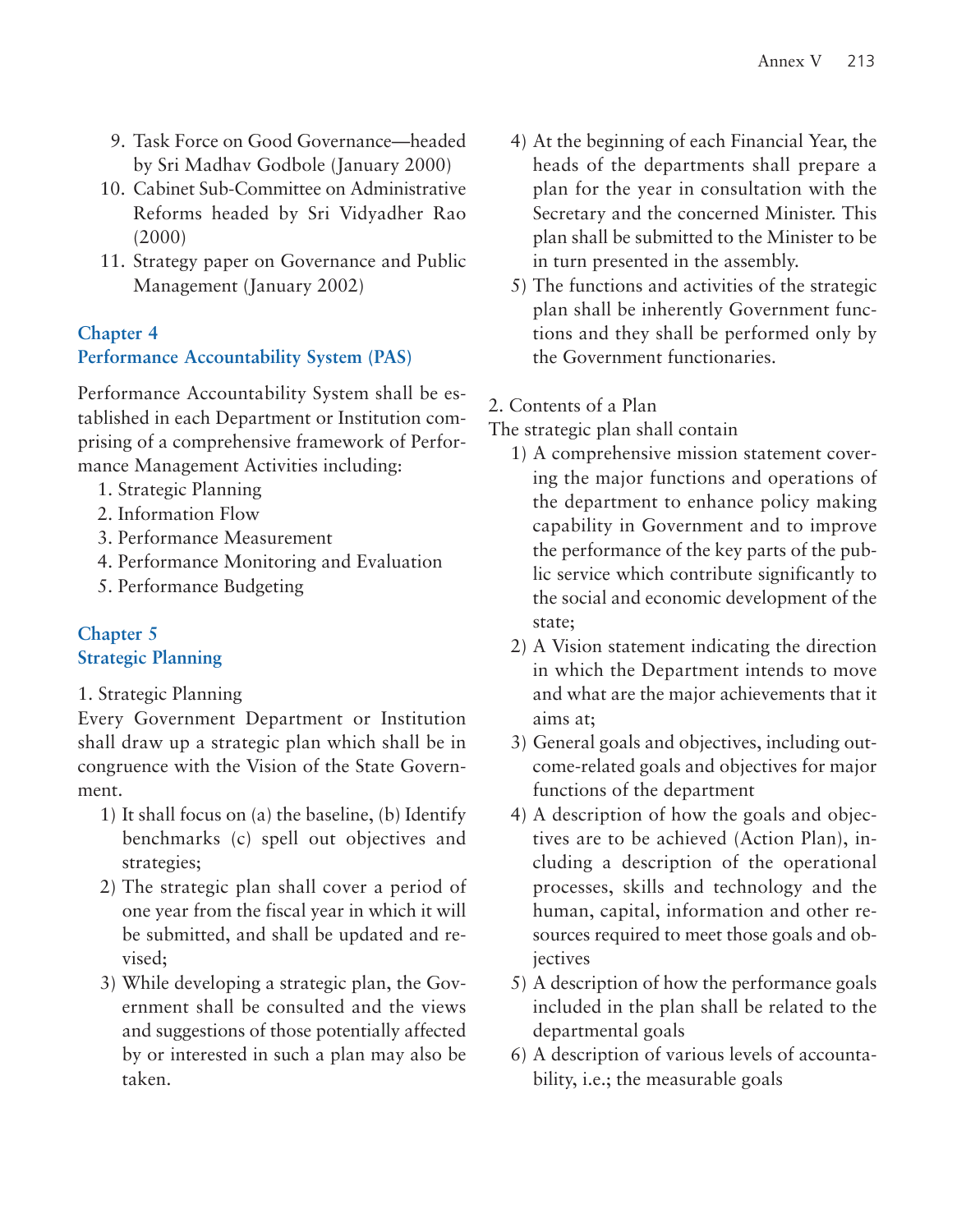- 9. Task Force on Good Governance—headed by Sri Madhav Godbole (January 2000)
- 10. Cabinet Sub-Committee on Administrative Reforms headed by Sri Vidyadher Rao (2000)
- 11. Strategy paper on Governance and Public Management (January 2002)

### **Chapter 4 Performance Accountability System (PAS)**

Performance Accountability System shall be established in each Department or Institution comprising of a comprehensive framework of Performance Management Activities including:

- 1. Strategic Planning
- 2. Information Flow
- 3. Performance Measurement
- 4. Performance Monitoring and Evaluation
- 5. Performance Budgeting

# **Chapter 5 Strategic Planning**

1. Strategic Planning

Every Government Department or Institution shall draw up a strategic plan which shall be in congruence with the Vision of the State Government.

- 1) It shall focus on (a) the baseline, (b) Identify benchmarks (c) spell out objectives and strategies;
- 2) The strategic plan shall cover a period of one year from the fiscal year in which it will be submitted, and shall be updated and revised;
- 3) While developing a strategic plan, the Government shall be consulted and the views and suggestions of those potentially affected by or interested in such a plan may also be taken.
- 4) At the beginning of each Financial Year, the heads of the departments shall prepare a plan for the year in consultation with the Secretary and the concerned Minister. This plan shall be submitted to the Minister to be in turn presented in the assembly.
- 5) The functions and activities of the strategic plan shall be inherently Government functions and they shall be performed only by the Government functionaries.

# 2. Contents of a Plan

The strategic plan shall contain

- 1) A comprehensive mission statement covering the major functions and operations of the department to enhance policy making capability in Government and to improve the performance of the key parts of the public service which contribute significantly to the social and economic development of the state;
- 2) A Vision statement indicating the direction in which the Department intends to move and what are the major achievements that it aims at;
- 3) General goals and objectives, including outcome-related goals and objectives for major functions of the department
- 4) A description of how the goals and objectives are to be achieved (Action Plan), including a description of the operational processes, skills and technology and the human, capital, information and other resources required to meet those goals and objectives
- 5) A description of how the performance goals included in the plan shall be related to the departmental goals
- 6) A description of various levels of accountability, i.e.; the measurable goals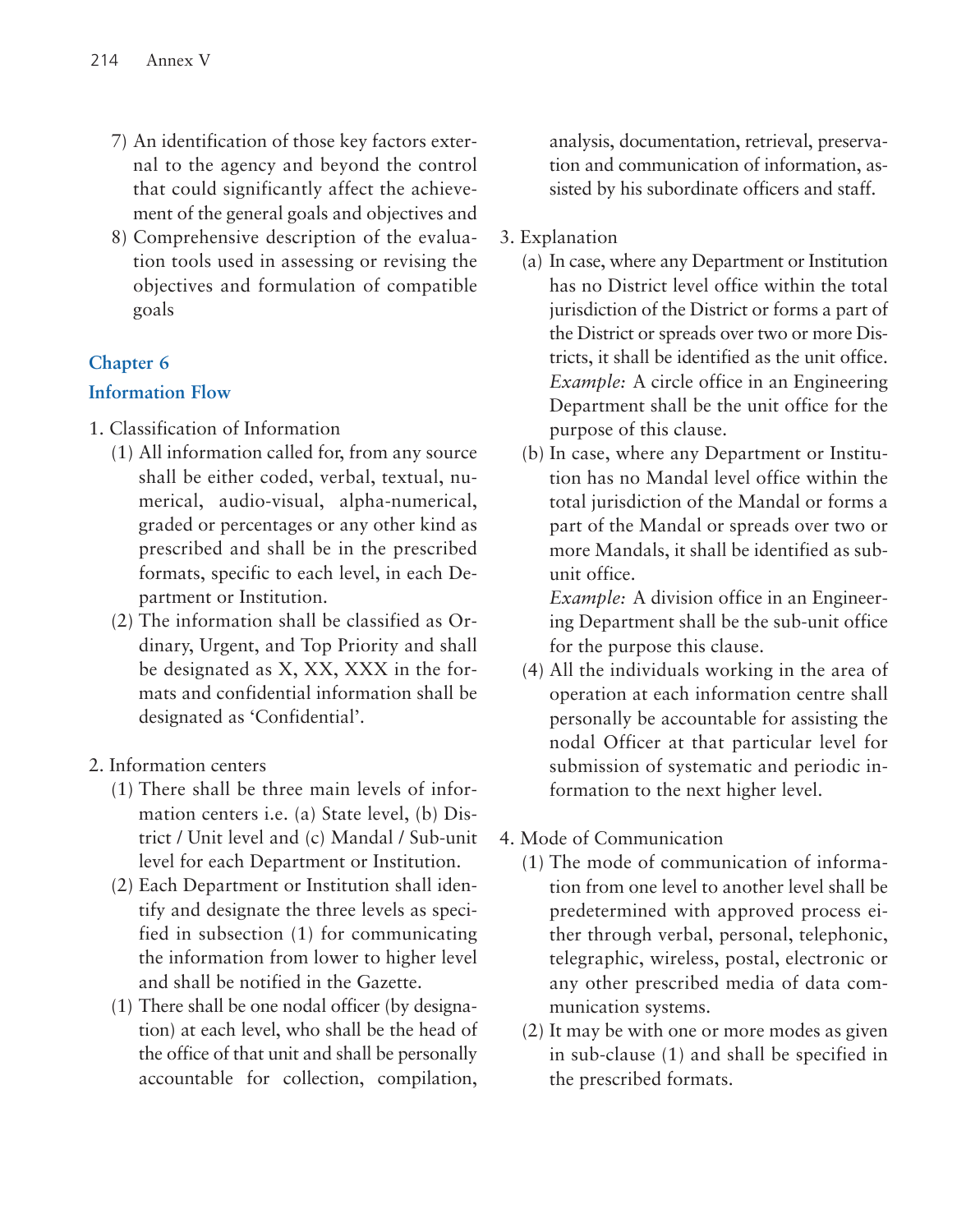- 7) An identification of those key factors external to the agency and beyond the control that could significantly affect the achievement of the general goals and objectives and
- 8) Comprehensive description of the evaluation tools used in assessing or revising the objectives and formulation of compatible goals

# **Chapter 6**

# **Information Flow**

- 1. Classification of Information
	- (1) All information called for, from any source shall be either coded, verbal, textual, numerical, audio-visual, alpha-numerical, graded or percentages or any other kind as prescribed and shall be in the prescribed formats, specific to each level, in each Department or Institution.
	- (2) The information shall be classified as Ordinary, Urgent, and Top Priority and shall be designated as X, XX, XXX in the formats and confidential information shall be designated as 'Confidential'.
- 2. Information centers
	- (1) There shall be three main levels of information centers i.e. (a) State level, (b) District / Unit level and (c) Mandal / Sub-unit level for each Department or Institution.
	- (2) Each Department or Institution shall identify and designate the three levels as specified in subsection (1) for communicating the information from lower to higher level and shall be notified in the Gazette.
	- (1) There shall be one nodal officer (by designation) at each level, who shall be the head of the office of that unit and shall be personally accountable for collection, compilation,

analysis, documentation, retrieval, preservation and communication of information, assisted by his subordinate officers and staff.

- 3. Explanation
	- (a) In case, where any Department or Institution has no District level office within the total jurisdiction of the District or forms a part of the District or spreads over two or more Districts, it shall be identified as the unit office. *Example:* A circle office in an Engineering Department shall be the unit office for the purpose of this clause.
	- (b) In case, where any Department or Institution has no Mandal level office within the total jurisdiction of the Mandal or forms a part of the Mandal or spreads over two or more Mandals, it shall be identified as subunit office.

*Example:* A division office in an Engineering Department shall be the sub-unit office for the purpose this clause.

- (4) All the individuals working in the area of operation at each information centre shall personally be accountable for assisting the nodal Officer at that particular level for submission of systematic and periodic information to the next higher level.
- 4. Mode of Communication
	- (1) The mode of communication of information from one level to another level shall be predetermined with approved process either through verbal, personal, telephonic, telegraphic, wireless, postal, electronic or any other prescribed media of data communication systems.
	- (2) It may be with one or more modes as given in sub-clause (1) and shall be specified in the prescribed formats.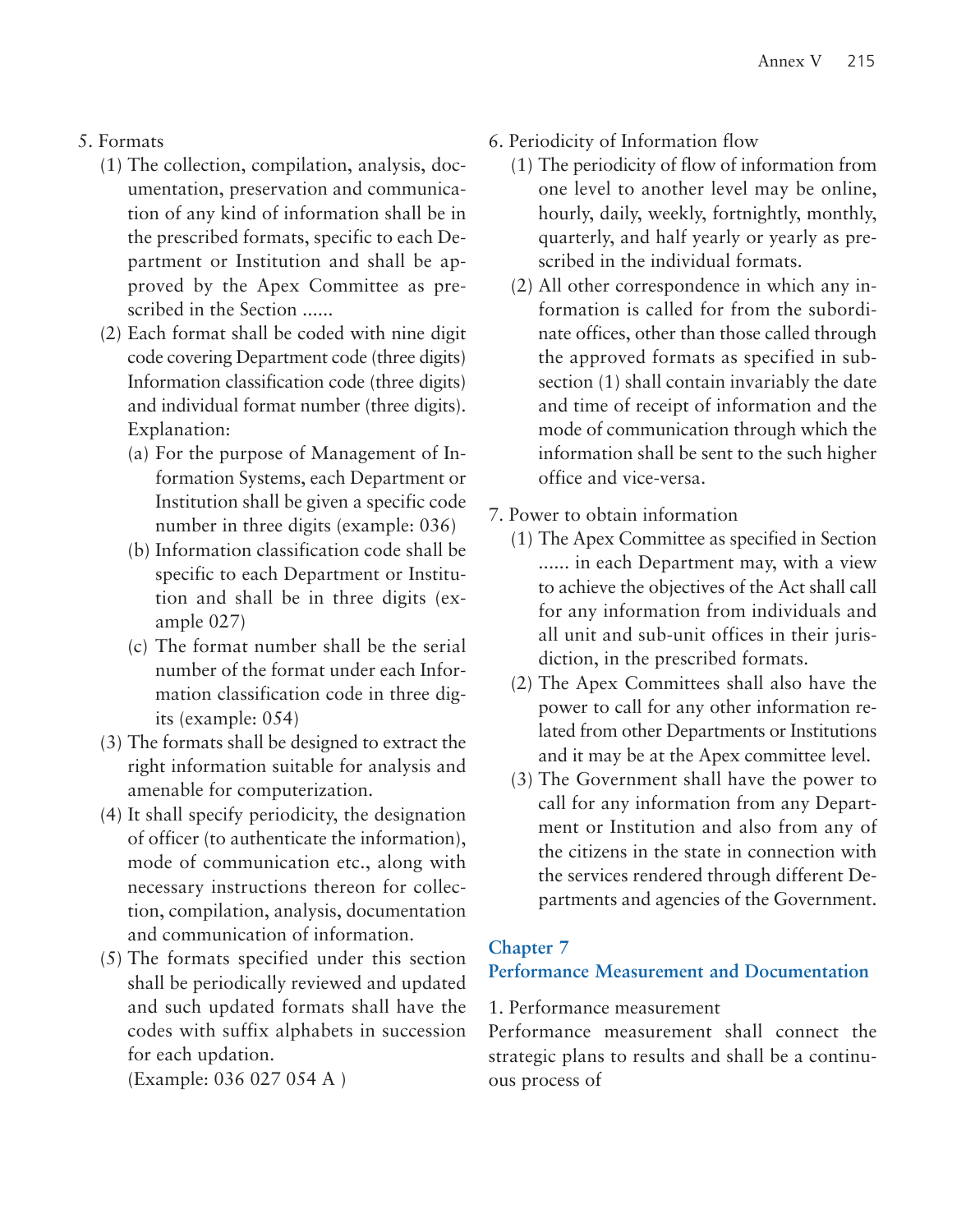#### 5. Formats

- (1) The collection, compilation, analysis, documentation, preservation and communication of any kind of information shall be in the prescribed formats, specific to each Department or Institution and shall be approved by the Apex Committee as prescribed in the Section ......
- (2) Each format shall be coded with nine digit code covering Department code (three digits) Information classification code (three digits) and individual format number (three digits). Explanation:
	- (a) For the purpose of Management of Information Systems, each Department or Institution shall be given a specific code number in three digits (example: 036)
	- (b) Information classification code shall be specific to each Department or Institution and shall be in three digits (example 027)
	- (c) The format number shall be the serial number of the format under each Information classification code in three digits (example: 054)
- (3) The formats shall be designed to extract the right information suitable for analysis and amenable for computerization.
- (4) It shall specify periodicity, the designation of officer (to authenticate the information), mode of communication etc., along with necessary instructions thereon for collection, compilation, analysis, documentation and communication of information.
- (5) The formats specified under this section shall be periodically reviewed and updated and such updated formats shall have the codes with suffix alphabets in succession for each updation.

(Example: 036 027 054 A )

- 6. Periodicity of Information flow
	- (1) The periodicity of flow of information from one level to another level may be online, hourly, daily, weekly, fortnightly, monthly, quarterly, and half yearly or yearly as prescribed in the individual formats.
	- (2) All other correspondence in which any information is called for from the subordinate offices, other than those called through the approved formats as specified in subsection (1) shall contain invariably the date and time of receipt of information and the mode of communication through which the information shall be sent to the such higher office and vice-versa.
- 7. Power to obtain information
	- (1) The Apex Committee as specified in Section ...... in each Department may, with a view to achieve the objectives of the Act shall call for any information from individuals and all unit and sub-unit offices in their jurisdiction, in the prescribed formats.
	- (2) The Apex Committees shall also have the power to call for any other information related from other Departments or Institutions and it may be at the Apex committee level.
	- (3) The Government shall have the power to call for any information from any Department or Institution and also from any of the citizens in the state in connection with the services rendered through different Departments and agencies of the Government.

#### **Chapter 7**

# **Performance Measurement and Documentation**

#### 1. Performance measurement

Performance measurement shall connect the strategic plans to results and shall be a continuous process of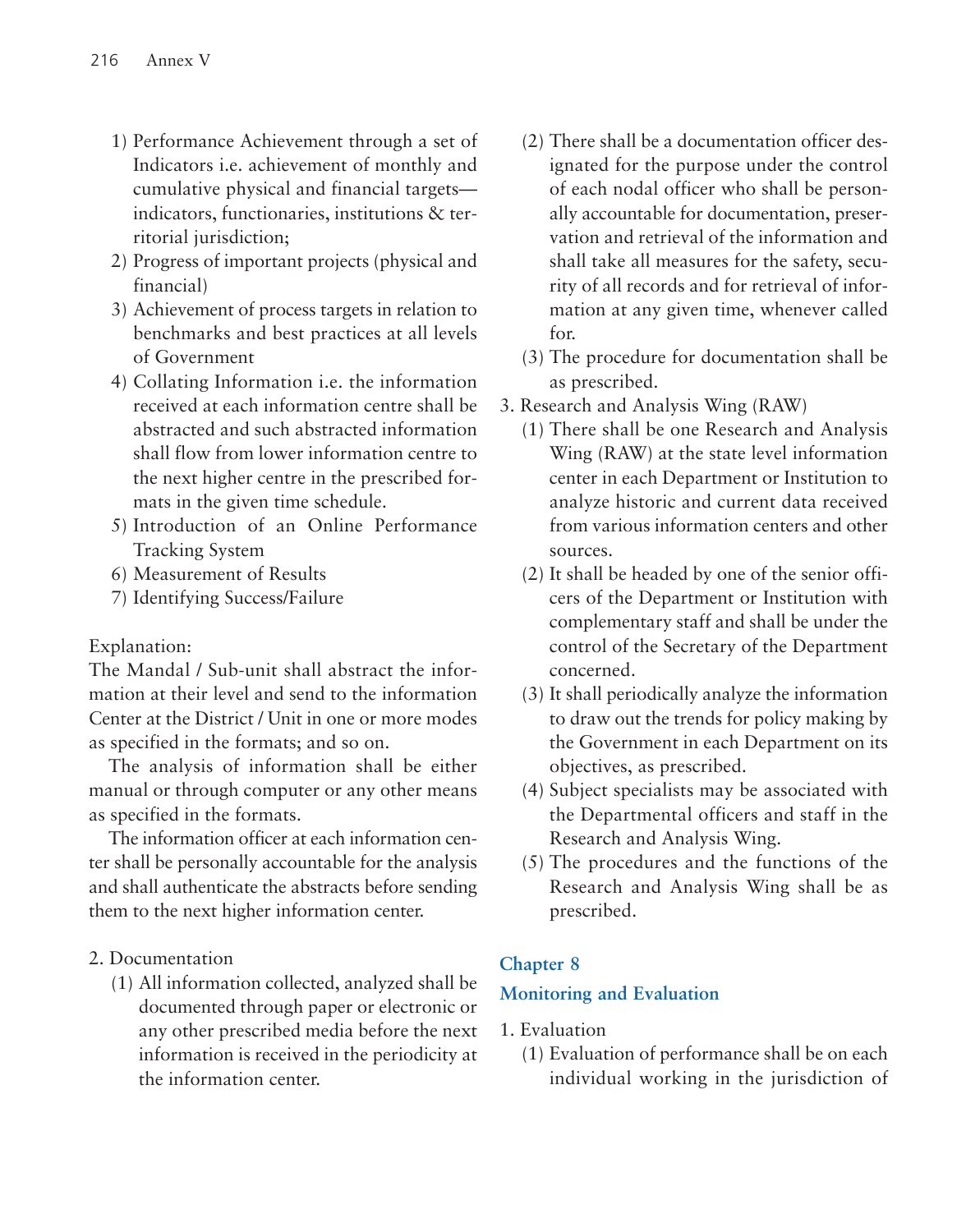- 1) Performance Achievement through a set of Indicators i.e. achievement of monthly and cumulative physical and financial targets indicators, functionaries, institutions & territorial jurisdiction;
- 2) Progress of important projects (physical and financial)
- 3) Achievement of process targets in relation to benchmarks and best practices at all levels of Government
- 4) Collating Information i.e. the information received at each information centre shall be abstracted and such abstracted information shall flow from lower information centre to the next higher centre in the prescribed formats in the given time schedule.
- 5) Introduction of an Online Performance Tracking System
- 6) Measurement of Results
- 7) Identifying Success/Failure

#### Explanation:

The Mandal / Sub-unit shall abstract the information at their level and send to the information Center at the District / Unit in one or more modes as specified in the formats; and so on.

The analysis of information shall be either manual or through computer or any other means as specified in the formats.

The information officer at each information center shall be personally accountable for the analysis and shall authenticate the abstracts before sending them to the next higher information center.

#### 2. Documentation

(1) All information collected, analyzed shall be documented through paper or electronic or any other prescribed media before the next information is received in the periodicity at the information center.

- (2) There shall be a documentation officer designated for the purpose under the control of each nodal officer who shall be personally accountable for documentation, preservation and retrieval of the information and shall take all measures for the safety, security of all records and for retrieval of information at any given time, whenever called for.
- (3) The procedure for documentation shall be as prescribed.
- 3. Research and Analysis Wing (RAW)
	- (1) There shall be one Research and Analysis Wing (RAW) at the state level information center in each Department or Institution to analyze historic and current data received from various information centers and other sources.
	- (2) It shall be headed by one of the senior officers of the Department or Institution with complementary staff and shall be under the control of the Secretary of the Department concerned.
	- (3) It shall periodically analyze the information to draw out the trends for policy making by the Government in each Department on its objectives, as prescribed.
	- (4) Subject specialists may be associated with the Departmental officers and staff in the Research and Analysis Wing.
	- (5) The procedures and the functions of the Research and Analysis Wing shall be as prescribed.

# **Chapter 8**

# **Monitoring and Evaluation**

- 1. Evaluation
	- (1) Evaluation of performance shall be on each individual working in the jurisdiction of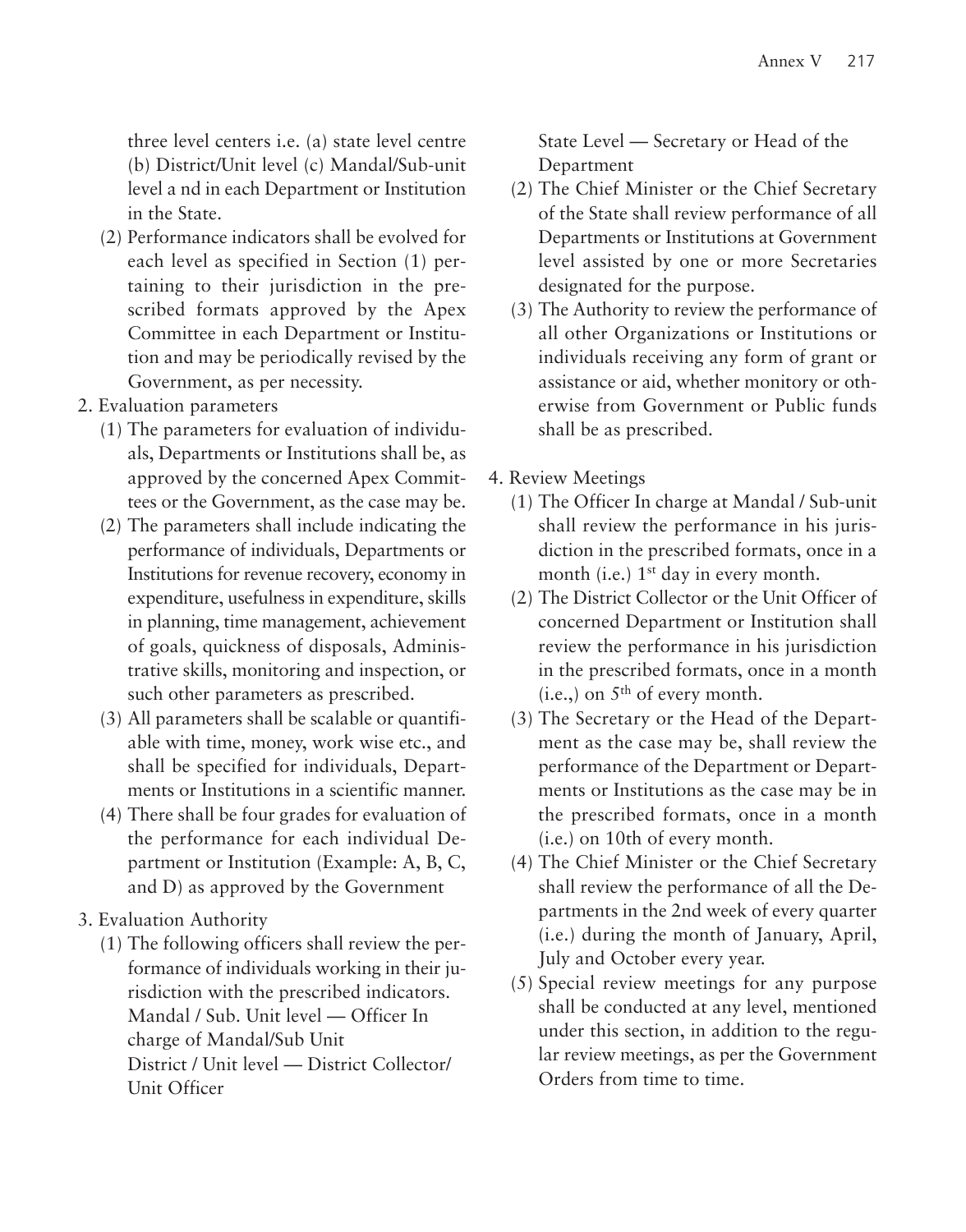three level centers i.e. (a) state level centre (b) District/Unit level (c) Mandal/Sub-unit level a nd in each Department or Institution in the State.

- (2) Performance indicators shall be evolved for each level as specified in Section (1) pertaining to their jurisdiction in the prescribed formats approved by the Apex Committee in each Department or Institution and may be periodically revised by the Government, as per necessity.
- 2. Evaluation parameters
	- (1) The parameters for evaluation of individuals, Departments or Institutions shall be, as approved by the concerned Apex Committees or the Government, as the case may be.
	- (2) The parameters shall include indicating the performance of individuals, Departments or Institutions for revenue recovery, economy in expenditure, usefulness in expenditure, skills in planning, time management, achievement of goals, quickness of disposals, Administrative skills, monitoring and inspection, or such other parameters as prescribed.
	- (3) All parameters shall be scalable or quantifiable with time, money, work wise etc., and shall be specified for individuals, Departments or Institutions in a scientific manner.
	- (4) There shall be four grades for evaluation of the performance for each individual Department or Institution (Example: A, B, C, and D) as approved by the Government
- 3. Evaluation Authority
	- (1) The following officers shall review the performance of individuals working in their jurisdiction with the prescribed indicators. Mandal / Sub. Unit level — Officer In charge of Mandal/Sub Unit District / Unit level — District Collector/ Unit Officer

State Level — Secretary or Head of the Department

- (2) The Chief Minister or the Chief Secretary of the State shall review performance of all Departments or Institutions at Government level assisted by one or more Secretaries designated for the purpose.
- (3) The Authority to review the performance of all other Organizations or Institutions or individuals receiving any form of grant or assistance or aid, whether monitory or otherwise from Government or Public funds shall be as prescribed.
- 4. Review Meetings
	- (1) The Officer In charge at Mandal / Sub-unit shall review the performance in his jurisdiction in the prescribed formats, once in a month (i.e.) 1<sup>st</sup> day in every month.
	- (2) The District Collector or the Unit Officer of concerned Department or Institution shall review the performance in his jurisdiction in the prescribed formats, once in a month  $(i.e.,)$  on  $5<sup>th</sup>$  of every month.
	- (3) The Secretary or the Head of the Department as the case may be, shall review the performance of the Department or Departments or Institutions as the case may be in the prescribed formats, once in a month (i.e.) on 10th of every month.
	- (4) The Chief Minister or the Chief Secretary shall review the performance of all the Departments in the 2nd week of every quarter (i.e.) during the month of January, April, July and October every year.
	- (5) Special review meetings for any purpose shall be conducted at any level, mentioned under this section, in addition to the regular review meetings, as per the Government Orders from time to time.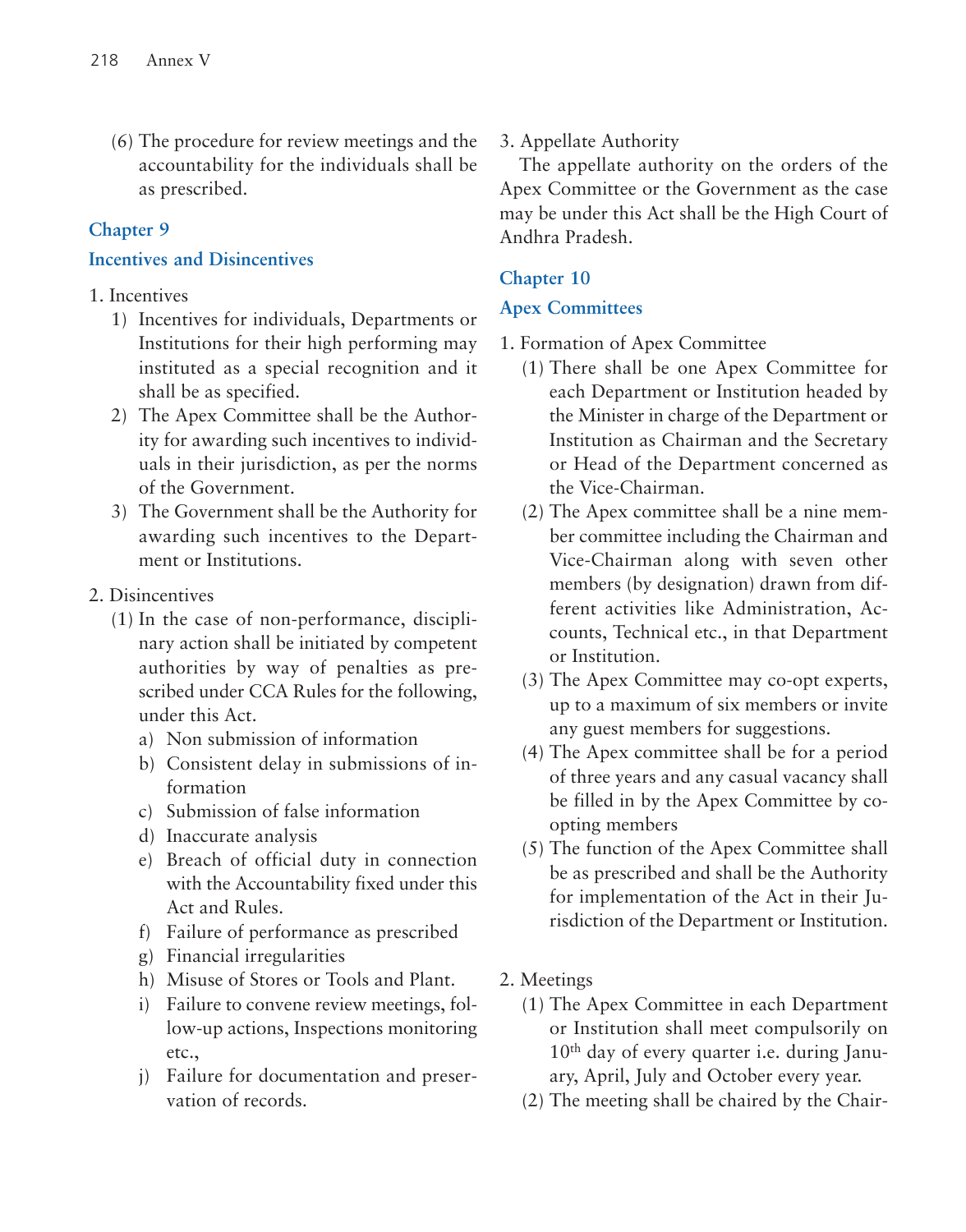(6) The procedure for review meetings and the accountability for the individuals shall be as prescribed.

# **Chapter 9**

#### **Incentives and Disincentives**

- 1. Incentives
	- 1) Incentives for individuals, Departments or Institutions for their high performing may instituted as a special recognition and it shall be as specified.
	- 2) The Apex Committee shall be the Authority for awarding such incentives to individuals in their jurisdiction, as per the norms of the Government.
	- 3) The Government shall be the Authority for awarding such incentives to the Department or Institutions.
- 2. Disincentives
	- (1) In the case of non-performance, disciplinary action shall be initiated by competent authorities by way of penalties as prescribed under CCA Rules for the following, under this Act.
		- a) Non submission of information
		- b) Consistent delay in submissions of information
		- c) Submission of false information
		- d) Inaccurate analysis
		- e) Breach of official duty in connection with the Accountability fixed under this Act and Rules.
		- f) Failure of performance as prescribed
		- g) Financial irregularities
		- h) Misuse of Stores or Tools and Plant.
		- i) Failure to convene review meetings, follow-up actions, Inspections monitoring etc.,
		- j) Failure for documentation and preservation of records.

3. Appellate Authority

The appellate authority on the orders of the Apex Committee or the Government as the case may be under this Act shall be the High Court of Andhra Pradesh.

# **Chapter 10**

# **Apex Committees**

- 1. Formation of Apex Committee
	- (1) There shall be one Apex Committee for each Department or Institution headed by the Minister in charge of the Department or Institution as Chairman and the Secretary or Head of the Department concerned as the Vice-Chairman.
	- (2) The Apex committee shall be a nine member committee including the Chairman and Vice-Chairman along with seven other members (by designation) drawn from different activities like Administration, Accounts, Technical etc., in that Department or Institution.
	- (3) The Apex Committee may co-opt experts, up to a maximum of six members or invite any guest members for suggestions.
	- (4) The Apex committee shall be for a period of three years and any casual vacancy shall be filled in by the Apex Committee by coopting members
	- (5) The function of the Apex Committee shall be as prescribed and shall be the Authority for implementation of the Act in their Jurisdiction of the Department or Institution.
- 2. Meetings
	- (1) The Apex Committee in each Department or Institution shall meet compulsorily on 10<sup>th</sup> day of every quarter i.e. during January, April, July and October every year.
	- (2) The meeting shall be chaired by the Chair-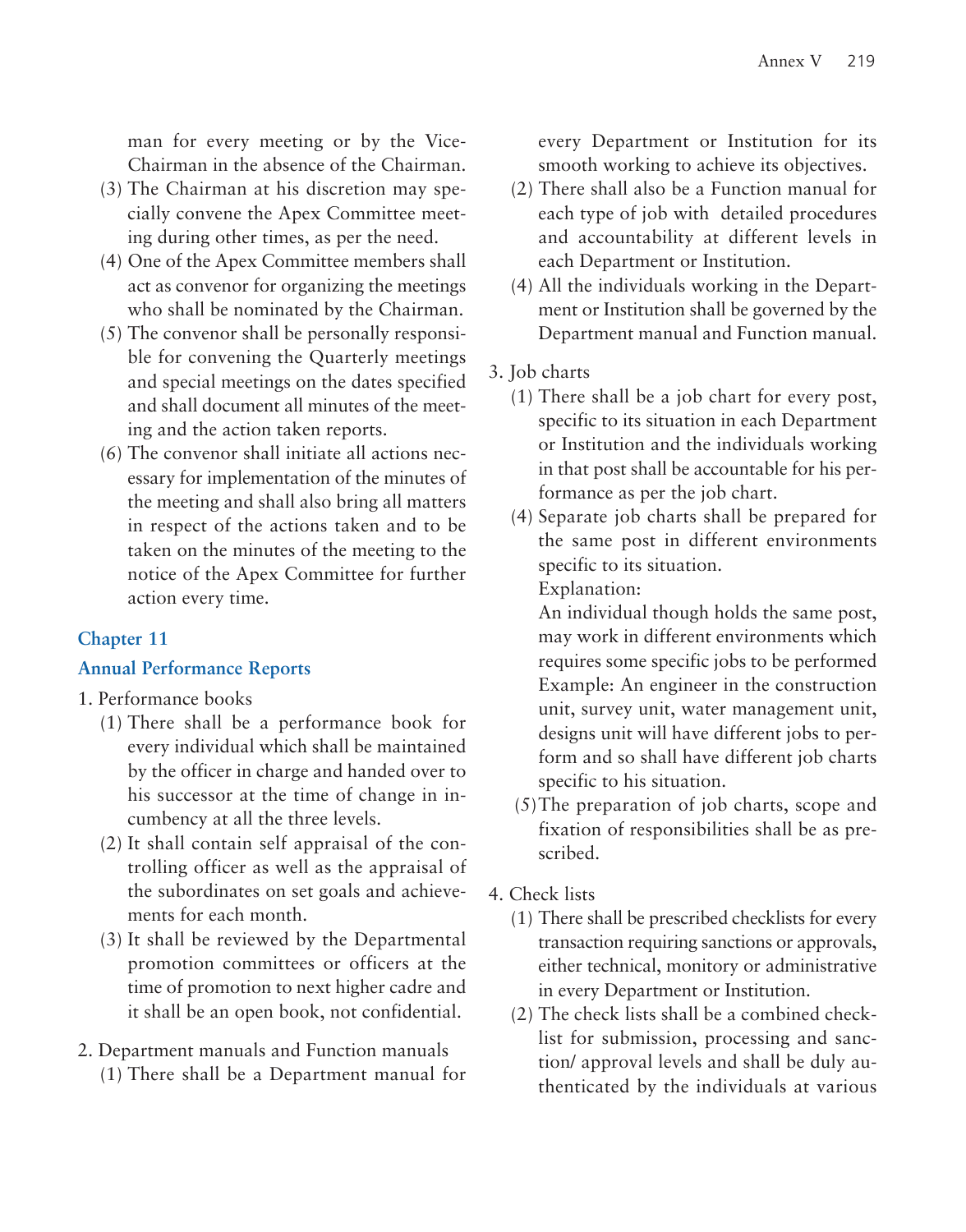man for every meeting or by the Vice-Chairman in the absence of the Chairman.

- (3) The Chairman at his discretion may specially convene the Apex Committee meeting during other times, as per the need.
- (4) One of the Apex Committee members shall act as convenor for organizing the meetings who shall be nominated by the Chairman.
- (5) The convenor shall be personally responsible for convening the Quarterly meetings and special meetings on the dates specified and shall document all minutes of the meeting and the action taken reports.
- (6) The convenor shall initiate all actions necessary for implementation of the minutes of the meeting and shall also bring all matters in respect of the actions taken and to be taken on the minutes of the meeting to the notice of the Apex Committee for further action every time.

# **Chapter 11**

# **Annual Performance Reports**

- 1. Performance books
	- (1) There shall be a performance book for every individual which shall be maintained by the officer in charge and handed over to his successor at the time of change in incumbency at all the three levels.
	- (2) It shall contain self appraisal of the controlling officer as well as the appraisal of the subordinates on set goals and achievements for each month.
	- (3) It shall be reviewed by the Departmental promotion committees or officers at the time of promotion to next higher cadre and it shall be an open book, not confidential.
- 2. Department manuals and Function manuals (1) There shall be a Department manual for

every Department or Institution for its smooth working to achieve its objectives.

- (2) There shall also be a Function manual for each type of job with detailed procedures and accountability at different levels in each Department or Institution.
- (4) All the individuals working in the Department or Institution shall be governed by the Department manual and Function manual.
- 3. Job charts
	- (1) There shall be a job chart for every post, specific to its situation in each Department or Institution and the individuals working in that post shall be accountable for his performance as per the job chart.
	- (4) Separate job charts shall be prepared for the same post in different environments specific to its situation.

Explanation:

An individual though holds the same post, may work in different environments which requires some specific jobs to be performed Example: An engineer in the construction unit, survey unit, water management unit, designs unit will have different jobs to perform and so shall have different job charts specific to his situation.

- (5)The preparation of job charts, scope and fixation of responsibilities shall be as prescribed.
- 4. Check lists
	- (1) There shall be prescribed checklists for every transaction requiring sanctions or approvals, either technical, monitory or administrative in every Department or Institution.
	- (2) The check lists shall be a combined checklist for submission, processing and sanction/ approval levels and shall be duly authenticated by the individuals at various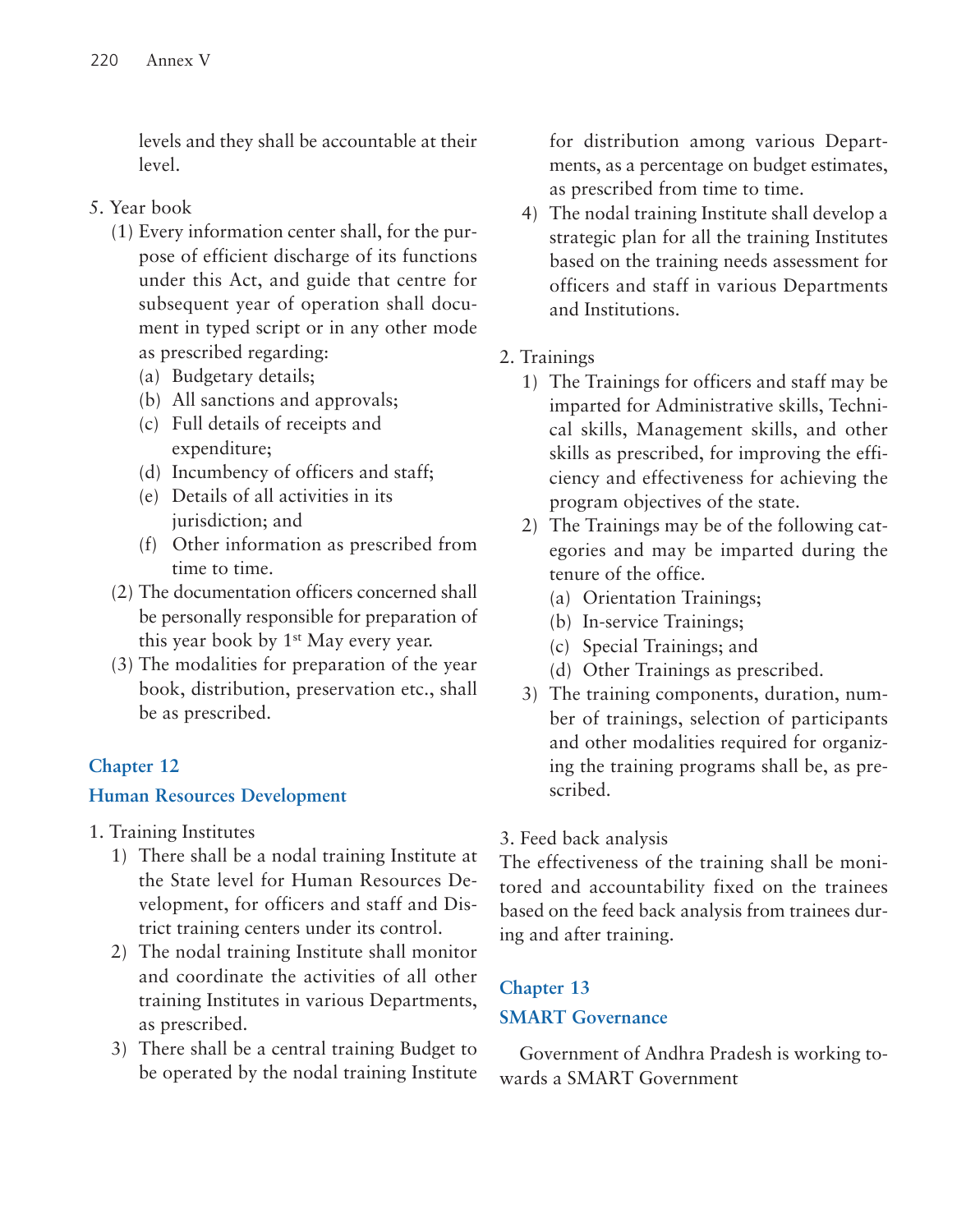levels and they shall be accountable at their level.

- 5. Year book
	- (1) Every information center shall, for the purpose of efficient discharge of its functions under this Act, and guide that centre for subsequent year of operation shall document in typed script or in any other mode as prescribed regarding:
		- (a) Budgetary details;
		- (b) All sanctions and approvals;
		- (c) Full details of receipts and expenditure;
		- (d) Incumbency of officers and staff;
		- (e) Details of all activities in its jurisdiction; and
		- (f) Other information as prescribed from time to time.
	- (2) The documentation officers concerned shall be personally responsible for preparation of this year book by 1st May every year.
	- (3) The modalities for preparation of the year book, distribution, preservation etc., shall be as prescribed.

# **Chapter 12**

# **Human Resources Development**

- 1. Training Institutes
	- 1) There shall be a nodal training Institute at the State level for Human Resources Development, for officers and staff and District training centers under its control.
	- 2) The nodal training Institute shall monitor and coordinate the activities of all other training Institutes in various Departments, as prescribed.
	- 3) There shall be a central training Budget to be operated by the nodal training Institute

for distribution among various Departments, as a percentage on budget estimates, as prescribed from time to time.

- 4) The nodal training Institute shall develop a strategic plan for all the training Institutes based on the training needs assessment for officers and staff in various Departments and Institutions.
- 2. Trainings
	- 1) The Trainings for officers and staff may be imparted for Administrative skills, Technical skills, Management skills, and other skills as prescribed, for improving the efficiency and effectiveness for achieving the program objectives of the state.
	- 2) The Trainings may be of the following categories and may be imparted during the tenure of the office.
		- (a) Orientation Trainings;
		- (b) In-service Trainings;
		- (c) Special Trainings; and
		- (d) Other Trainings as prescribed.
	- 3) The training components, duration, number of trainings, selection of participants and other modalities required for organizing the training programs shall be, as prescribed.

# 3. Feed back analysis

The effectiveness of the training shall be monitored and accountability fixed on the trainees based on the feed back analysis from trainees during and after training.

# **Chapter 13 SMART Governance**

Government of Andhra Pradesh is working towards a SMART Government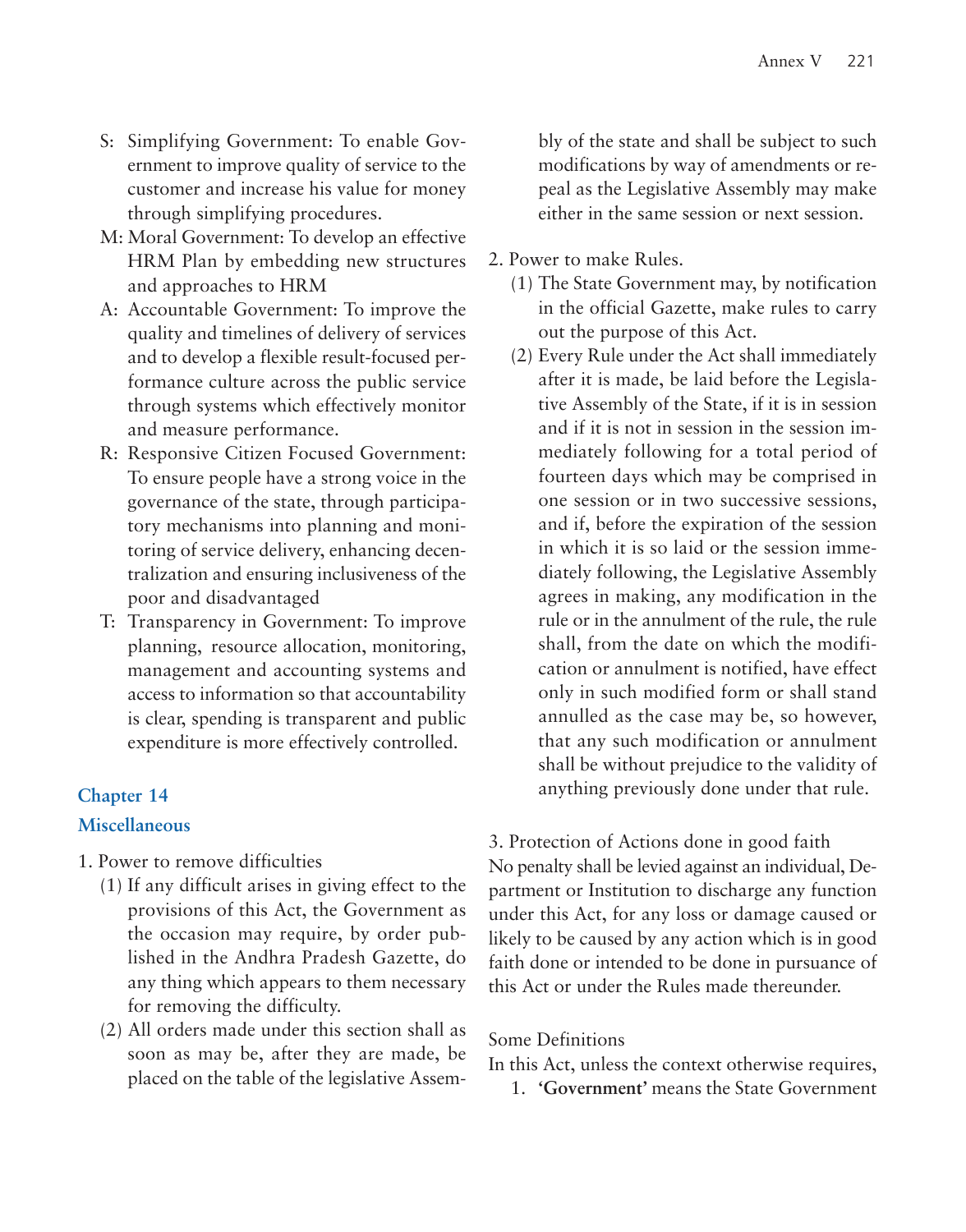- S: Simplifying Government: To enable Government to improve quality of service to the customer and increase his value for money through simplifying procedures.
- M: Moral Government: To develop an effective HRM Plan by embedding new structures and approaches to HRM
- A: Accountable Government: To improve the quality and timelines of delivery of services and to develop a flexible result-focused performance culture across the public service through systems which effectively monitor and measure performance.
- R: Responsive Citizen Focused Government: To ensure people have a strong voice in the governance of the state, through participatory mechanisms into planning and monitoring of service delivery, enhancing decentralization and ensuring inclusiveness of the poor and disadvantaged
- T: Transparency in Government: To improve planning, resource allocation, monitoring, management and accounting systems and access to information so that accountability is clear, spending is transparent and public expenditure is more effectively controlled.

#### **Chapter 14**

#### **Miscellaneous**

- 1. Power to remove difficulties
	- (1) If any difficult arises in giving effect to the provisions of this Act, the Government as the occasion may require, by order published in the Andhra Pradesh Gazette, do any thing which appears to them necessary for removing the difficulty.
	- (2) All orders made under this section shall as soon as may be, after they are made, be placed on the table of the legislative Assem-

bly of the state and shall be subject to such modifications by way of amendments or repeal as the Legislative Assembly may make either in the same session or next session.

- 2. Power to make Rules.
	- (1) The State Government may, by notification in the official Gazette, make rules to carry out the purpose of this Act.
	- (2) Every Rule under the Act shall immediately after it is made, be laid before the Legislative Assembly of the State, if it is in session and if it is not in session in the session immediately following for a total period of fourteen days which may be comprised in one session or in two successive sessions, and if, before the expiration of the session in which it is so laid or the session immediately following, the Legislative Assembly agrees in making, any modification in the rule or in the annulment of the rule, the rule shall, from the date on which the modification or annulment is notified, have effect only in such modified form or shall stand annulled as the case may be, so however, that any such modification or annulment shall be without prejudice to the validity of anything previously done under that rule.

#### 3. Protection of Actions done in good faith

No penalty shall be levied against an individual, Department or Institution to discharge any function under this Act, for any loss or damage caused or likely to be caused by any action which is in good faith done or intended to be done in pursuance of this Act or under the Rules made thereunder.

#### Some Definitions

In this Act, unless the context otherwise requires,

1. **'Government'** means the State Government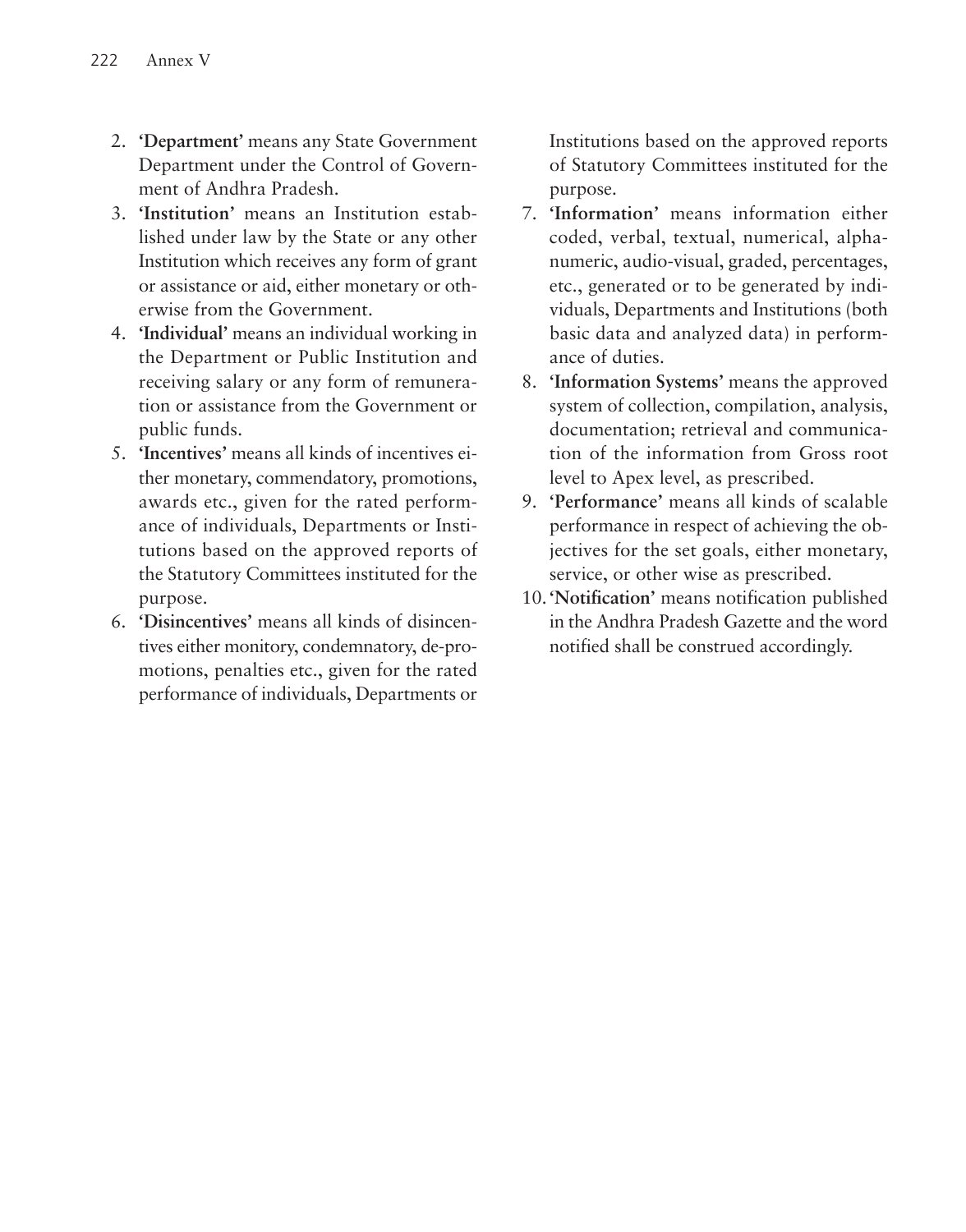- 2. **'Department'** means any State Government Department under the Control of Government of Andhra Pradesh.
- 3. **'Institution'** means an Institution established under law by the State or any other Institution which receives any form of grant or assistance or aid, either monetary or otherwise from the Government.
- 4. **'Individual'** means an individual working in the Department or Public Institution and receiving salary or any form of remuneration or assistance from the Government or public funds.
- 5. **'Incentives'** means all kinds of incentives either monetary, commendatory, promotions, awards etc., given for the rated performance of individuals, Departments or Institutions based on the approved reports of the Statutory Committees instituted for the purpose.
- 6. **'Disincentives'** means all kinds of disincentives either monitory, condemnatory, de-promotions, penalties etc., given for the rated performance of individuals, Departments or

Institutions based on the approved reports of Statutory Committees instituted for the purpose.

- 7. **'Information'** means information either coded, verbal, textual, numerical, alphanumeric, audio-visual, graded, percentages, etc., generated or to be generated by individuals, Departments and Institutions (both basic data and analyzed data) in performance of duties.
- 8. **'Information Systems'** means the approved system of collection, compilation, analysis, documentation; retrieval and communication of the information from Gross root level to Apex level, as prescribed.
- 9. **'Performance'** means all kinds of scalable performance in respect of achieving the objectives for the set goals, either monetary, service, or other wise as prescribed.
- 10.**'Notification'** means notification published in the Andhra Pradesh Gazette and the word notified shall be construed accordingly.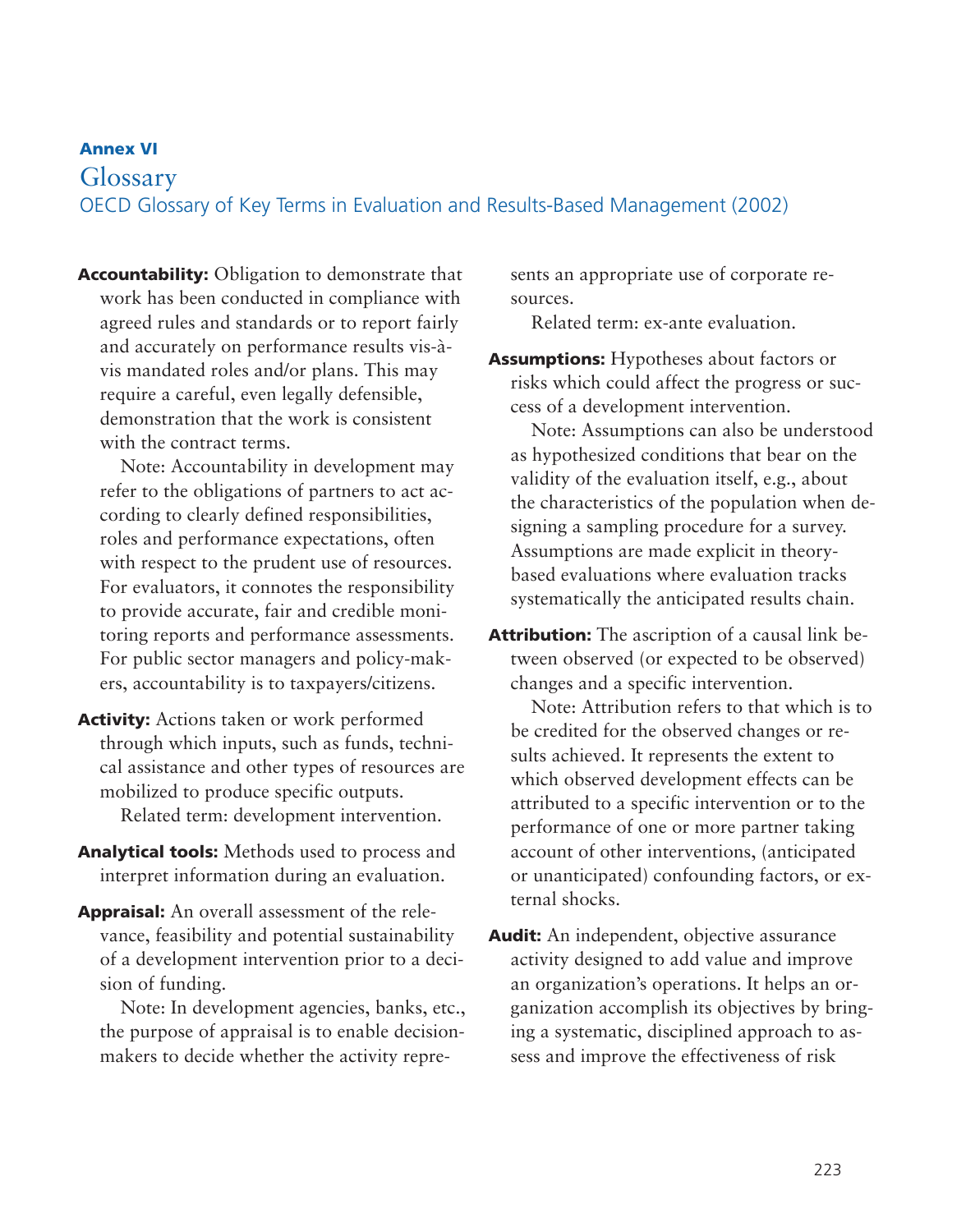#### **Annex VI**

# Glossary OECD Glossary of Key Terms in Evaluation and Results-Based Management (2002)

**Accountability:** Obligation to demonstrate that work has been conducted in compliance with agreed rules and standards or to report fairly and accurately on performance results vis-àvis mandated roles and/or plans. This may require a careful, even legally defensible, demonstration that the work is consistent with the contract terms.

Note: Accountability in development may refer to the obligations of partners to act according to clearly defined responsibilities, roles and performance expectations, often with respect to the prudent use of resources. For evaluators, it connotes the responsibility to provide accurate, fair and credible monitoring reports and performance assessments. For public sector managers and policy-makers, accountability is to taxpayers/citizens.

**Activity:** Actions taken or work performed through which inputs, such as funds, technical assistance and other types of resources are mobilized to produce specific outputs. Related term: development intervention.

- **Analytical tools:** Methods used to process and interpret information during an evaluation.
- **Appraisal:** An overall assessment of the relevance, feasibility and potential sustainability of a development intervention prior to a decision of funding.

Note: In development agencies, banks, etc., the purpose of appraisal is to enable decisionmakers to decide whether the activity represents an appropriate use of corporate resources.

Related term: ex-ante evaluation.

**Assumptions:** Hypotheses about factors or risks which could affect the progress or success of a development intervention.

Note: Assumptions can also be understood as hypothesized conditions that bear on the validity of the evaluation itself, e.g., about the characteristics of the population when designing a sampling procedure for a survey. Assumptions are made explicit in theorybased evaluations where evaluation tracks systematically the anticipated results chain.

**Attribution:** The ascription of a causal link between observed (or expected to be observed) changes and a specific intervention.

Note: Attribution refers to that which is to be credited for the observed changes or results achieved. It represents the extent to which observed development effects can be attributed to a specific intervention or to the performance of one or more partner taking account of other interventions, (anticipated or unanticipated) confounding factors, or external shocks.

**Audit:** An independent, objective assurance activity designed to add value and improve an organization's operations. It helps an organization accomplish its objectives by bringing a systematic, disciplined approach to assess and improve the effectiveness of risk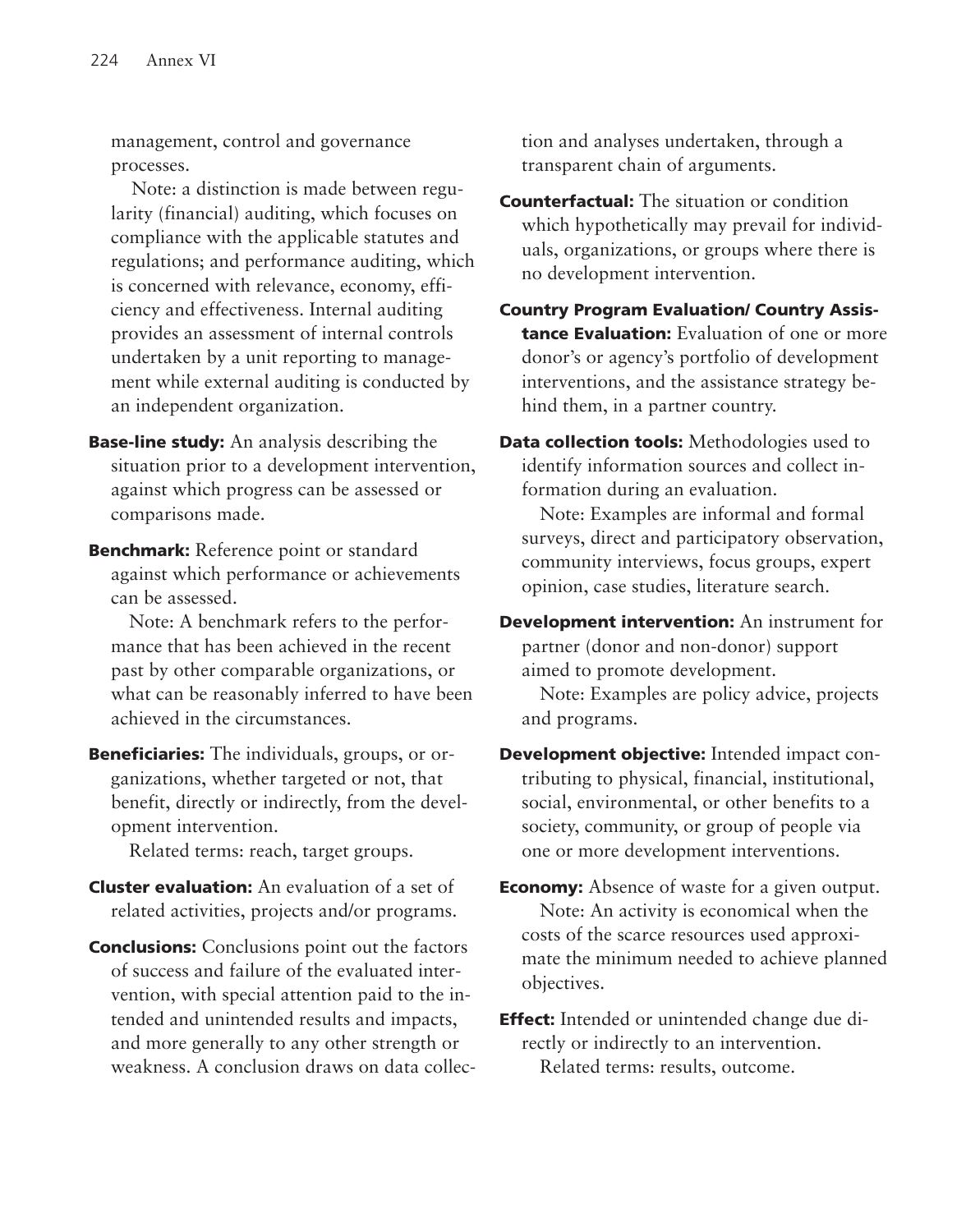management, control and governance processes.

Note: a distinction is made between regularity (financial) auditing, which focuses on compliance with the applicable statutes and regulations; and performance auditing, which is concerned with relevance, economy, efficiency and effectiveness. Internal auditing provides an assessment of internal controls undertaken by a unit reporting to management while external auditing is conducted by an independent organization.

**Base-line study:** An analysis describing the situation prior to a development intervention, against which progress can be assessed or comparisons made.

**Benchmark:** Reference point or standard against which performance or achievements can be assessed.

Note: A benchmark refers to the performance that has been achieved in the recent past by other comparable organizations, or what can be reasonably inferred to have been achieved in the circumstances.

**Beneficiaries:** The individuals, groups, or organizations, whether targeted or not, that benefit, directly or indirectly, from the development intervention.

Related terms: reach, target groups.

**Cluster evaluation:** An evaluation of a set of related activities, projects and/or programs.

**Conclusions:** Conclusions point out the factors of success and failure of the evaluated intervention, with special attention paid to the intended and unintended results and impacts, and more generally to any other strength or weakness. A conclusion draws on data collection and analyses undertaken, through a transparent chain of arguments.

- **Counterfactual:** The situation or condition which hypothetically may prevail for individuals, organizations, or groups where there is no development intervention.
- **Country Program Evaluation/ Country Assistance Evaluation:** Evaluation of one or more donor's or agency's portfolio of development interventions, and the assistance strategy behind them, in a partner country.
- **Data collection tools:** Methodologies used to identify information sources and collect information during an evaluation.

Note: Examples are informal and formal surveys, direct and participatory observation, community interviews, focus groups, expert opinion, case studies, literature search.

**Development intervention:** An instrument for partner (donor and non-donor) support aimed to promote development.

Note: Examples are policy advice, projects and programs.

- **Development objective:** Intended impact contributing to physical, financial, institutional, social, environmental, or other benefits to a society, community, or group of people via one or more development interventions.
- **Economy:** Absence of waste for a given output. Note: An activity is economical when the costs of the scarce resources used approximate the minimum needed to achieve planned objectives.

**Effect:** Intended or unintended change due directly or indirectly to an intervention. Related terms: results, outcome.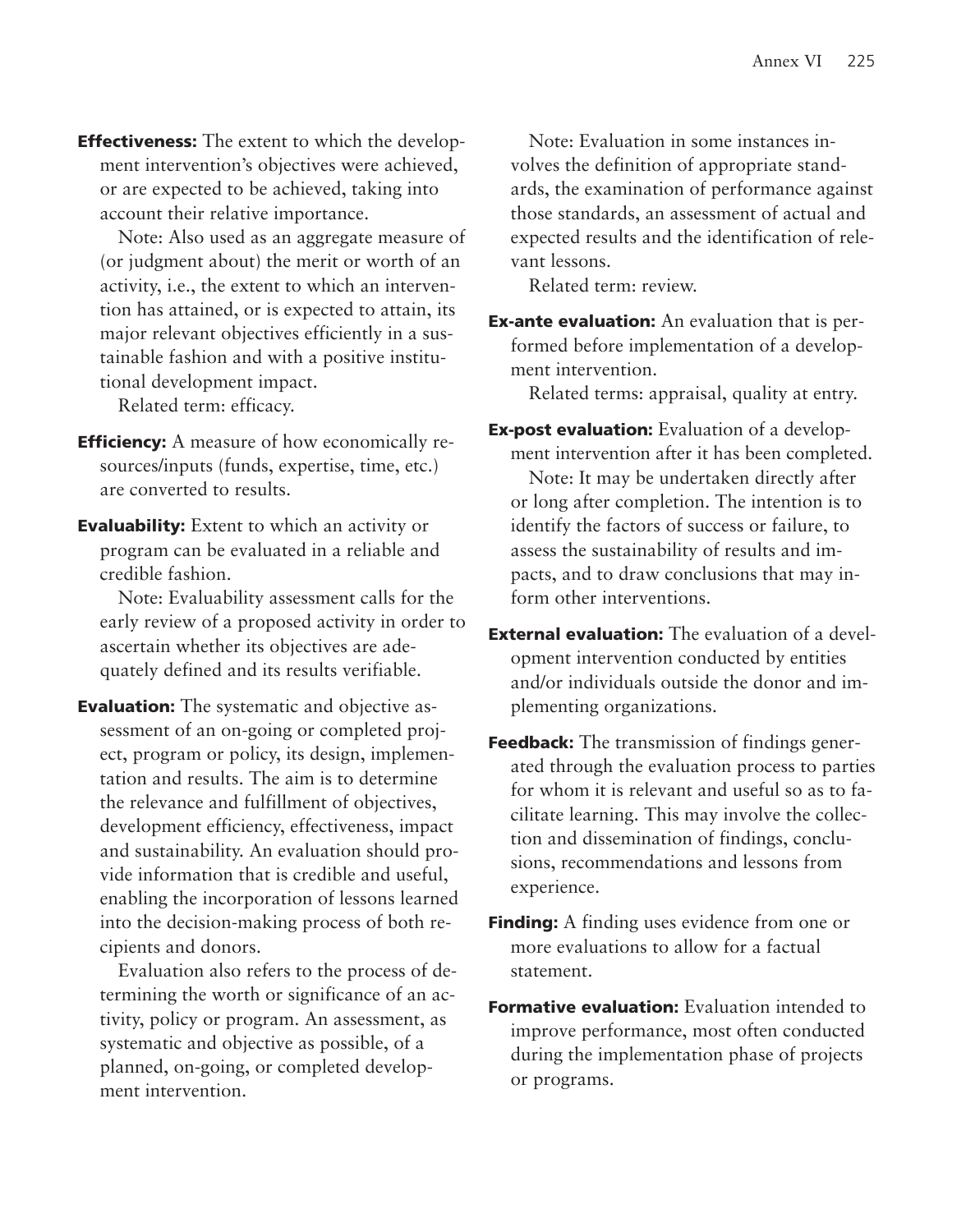**Effectiveness:** The extent to which the development intervention's objectives were achieved, or are expected to be achieved, taking into account their relative importance.

Note: Also used as an aggregate measure of (or judgment about) the merit or worth of an activity, i.e., the extent to which an intervention has attained, or is expected to attain, its major relevant objectives efficiently in a sustainable fashion and with a positive institutional development impact.

Related term: efficacy.

- **Efficiency:** A measure of how economically resources/inputs (funds, expertise, time, etc.) are converted to results.
- **Evaluability:** Extent to which an activity or program can be evaluated in a reliable and credible fashion.

Note: Evaluability assessment calls for the early review of a proposed activity in order to ascertain whether its objectives are adequately defined and its results verifiable.

**Evaluation:** The systematic and objective assessment of an on-going or completed project, program or policy, its design, implementation and results. The aim is to determine the relevance and fulfillment of objectives, development efficiency, effectiveness, impact and sustainability. An evaluation should provide information that is credible and useful, enabling the incorporation of lessons learned into the decision-making process of both recipients and donors.

Evaluation also refers to the process of determining the worth or significance of an activity, policy or program. An assessment, as systematic and objective as possible, of a planned, on-going, or completed development intervention.

Note: Evaluation in some instances involves the definition of appropriate standards, the examination of performance against those standards, an assessment of actual and expected results and the identification of relevant lessons.

Related term: review.

**Ex-ante evaluation:** An evaluation that is performed before implementation of a development intervention.

Related terms: appraisal, quality at entry.

**Ex-post evaluation:** Evaluation of a development intervention after it has been completed.

Note: It may be undertaken directly after or long after completion. The intention is to identify the factors of success or failure, to assess the sustainability of results and impacts, and to draw conclusions that may inform other interventions.

- **External evaluation:** The evaluation of a development intervention conducted by entities and/or individuals outside the donor and implementing organizations.
- **Feedback:** The transmission of findings generated through the evaluation process to parties for whom it is relevant and useful so as to facilitate learning. This may involve the collection and dissemination of findings, conclusions, recommendations and lessons from experience.
- **Finding:** A finding uses evidence from one or more evaluations to allow for a factual statement.
- **Formative evaluation:** Evaluation intended to improve performance, most often conducted during the implementation phase of projects or programs.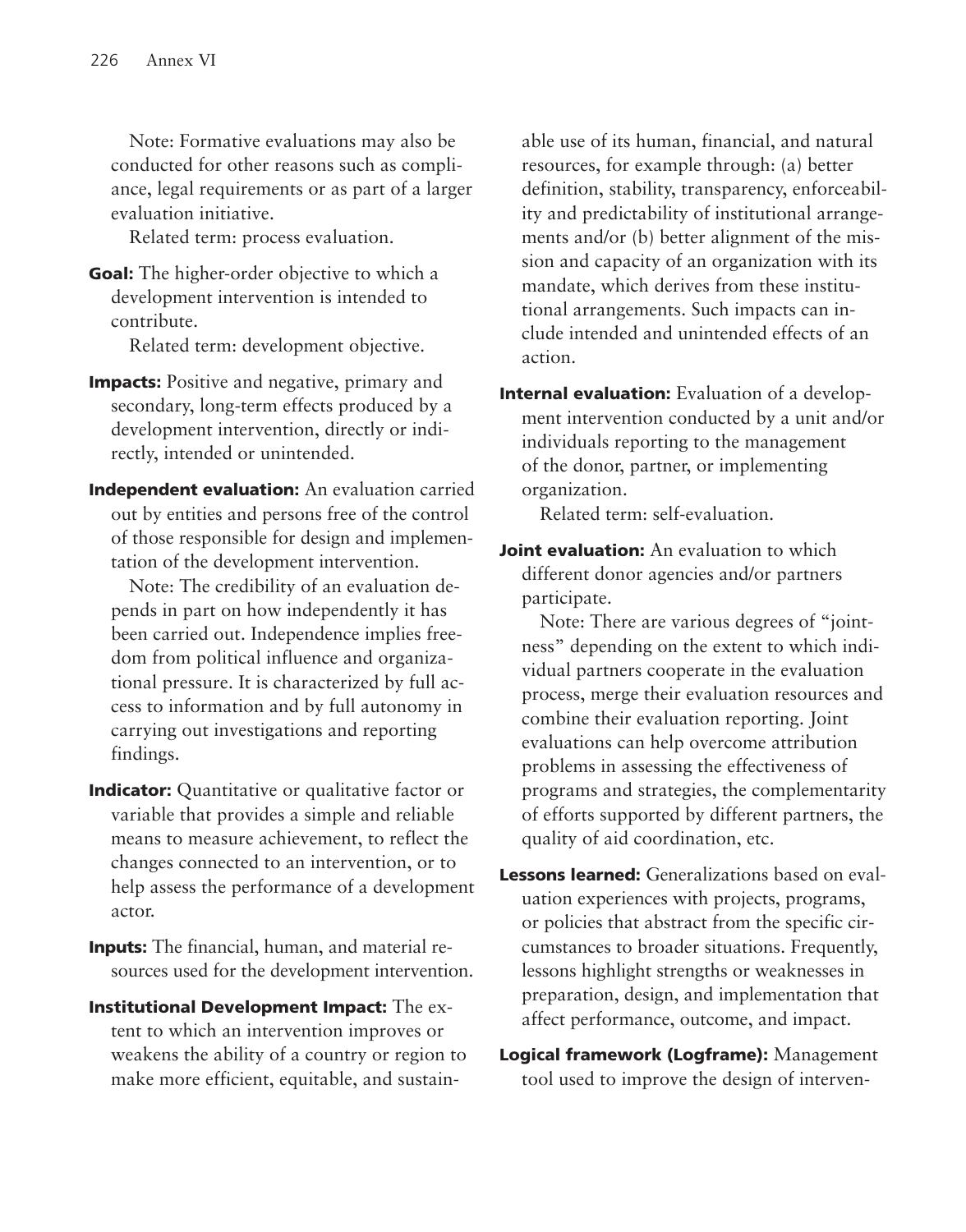Note: Formative evaluations may also be conducted for other reasons such as compliance, legal requirements or as part of a larger evaluation initiative.

Related term: process evaluation.

**Goal:** The higher-order objective to which a development intervention is intended to contribute.

Related term: development objective.

- **Impacts:** Positive and negative, primary and secondary, long-term effects produced by a development intervention, directly or indirectly, intended or unintended.
- **Independent evaluation:** An evaluation carried out by entities and persons free of the control of those responsible for design and implementation of the development intervention.

Note: The credibility of an evaluation depends in part on how independently it has been carried out. Independence implies freedom from political influence and organizational pressure. It is characterized by full access to information and by full autonomy in carrying out investigations and reporting findings.

- **Indicator:** Quantitative or qualitative factor or variable that provides a simple and reliable means to measure achievement, to reflect the changes connected to an intervention, or to help assess the performance of a development actor.
- **Inputs:** The financial, human, and material resources used for the development intervention.
- **Institutional Development Impact:** The extent to which an intervention improves or weakens the ability of a country or region to make more efficient, equitable, and sustain-

able use of its human, financial, and natural resources, for example through: (a) better definition, stability, transparency, enforceability and predictability of institutional arrangements and/or (b) better alignment of the mission and capacity of an organization with its mandate, which derives from these institutional arrangements. Such impacts can include intended and unintended effects of an action.

**Internal evaluation:** Evaluation of a development intervention conducted by a unit and/or individuals reporting to the management of the donor, partner, or implementing organization.

Related term: self-evaluation.

**Joint evaluation:** An evaluation to which different donor agencies and/or partners participate.

Note: There are various degrees of "jointness" depending on the extent to which individual partners cooperate in the evaluation process, merge their evaluation resources and combine their evaluation reporting. Joint evaluations can help overcome attribution problems in assessing the effectiveness of programs and strategies, the complementarity of efforts supported by different partners, the quality of aid coordination, etc.

- **Lessons learned:** Generalizations based on evaluation experiences with projects, programs, or policies that abstract from the specific circumstances to broader situations. Frequently, lessons highlight strengths or weaknesses in preparation, design, and implementation that affect performance, outcome, and impact.
- **Logical framework (Logframe):** Management tool used to improve the design of interven-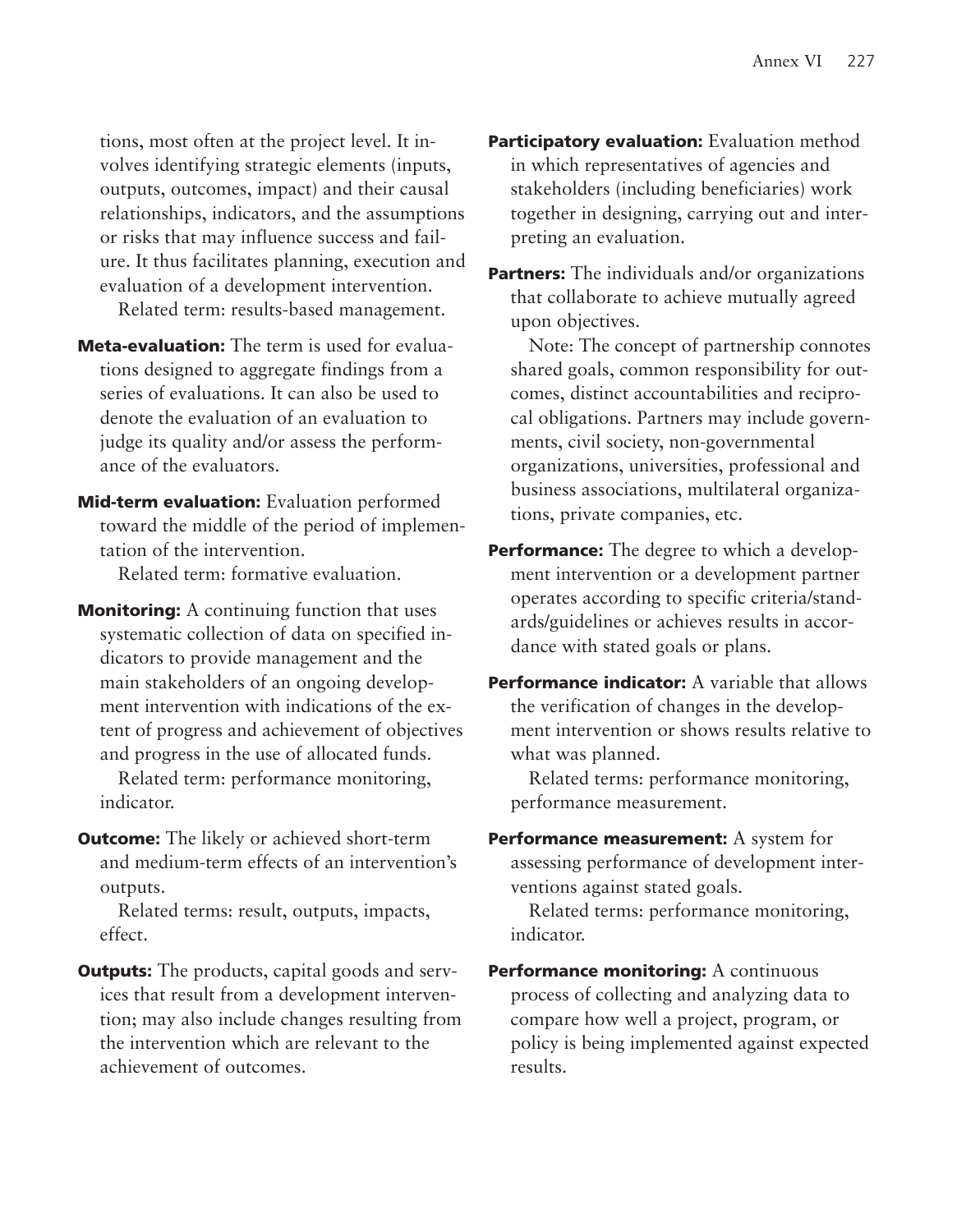tions, most often at the project level. It involves identifying strategic elements (inputs, outputs, outcomes, impact) and their causal relationships, indicators, and the assumptions or risks that may influence success and failure. It thus facilitates planning, execution and evaluation of a development intervention.

Related term: results-based management.

**Meta-evaluation:** The term is used for evaluations designed to aggregate findings from a series of evaluations. It can also be used to denote the evaluation of an evaluation to judge its quality and/or assess the performance of the evaluators.

**Mid-term evaluation:** Evaluation performed toward the middle of the period of implementation of the intervention.

Related term: formative evaluation.

**Monitoring:** A continuing function that uses systematic collection of data on specified indicators to provide management and the main stakeholders of an ongoing development intervention with indications of the extent of progress and achievement of objectives and progress in the use of allocated funds.

Related term: performance monitoring, indicator.

**Outcome:** The likely or achieved short-term and medium-term effects of an intervention's outputs.

Related terms: result, outputs, impacts, effect.

**Outputs:** The products, capital goods and services that result from a development intervention; may also include changes resulting from the intervention which are relevant to the achievement of outcomes.

- **Participatory evaluation:** Evaluation method in which representatives of agencies and stakeholders (including beneficiaries) work together in designing, carrying out and interpreting an evaluation.
- **Partners:** The individuals and/or organizations that collaborate to achieve mutually agreed upon objectives.

Note: The concept of partnership connotes shared goals, common responsibility for outcomes, distinct accountabilities and reciprocal obligations. Partners may include governments, civil society, non-governmental organizations, universities, professional and business associations, multilateral organizations, private companies, etc.

- **Performance:** The degree to which a development intervention or a development partner operates according to specific criteria/standards/guidelines or achieves results in accordance with stated goals or plans.
- **Performance indicator:** A variable that allows the verification of changes in the development intervention or shows results relative to what was planned.

Related terms: performance monitoring, performance measurement.

**Performance measurement:** A system for assessing performance of development interventions against stated goals.

Related terms: performance monitoring, indicator.

**Performance monitoring: A continuous** process of collecting and analyzing data to compare how well a project, program, or policy is being implemented against expected results.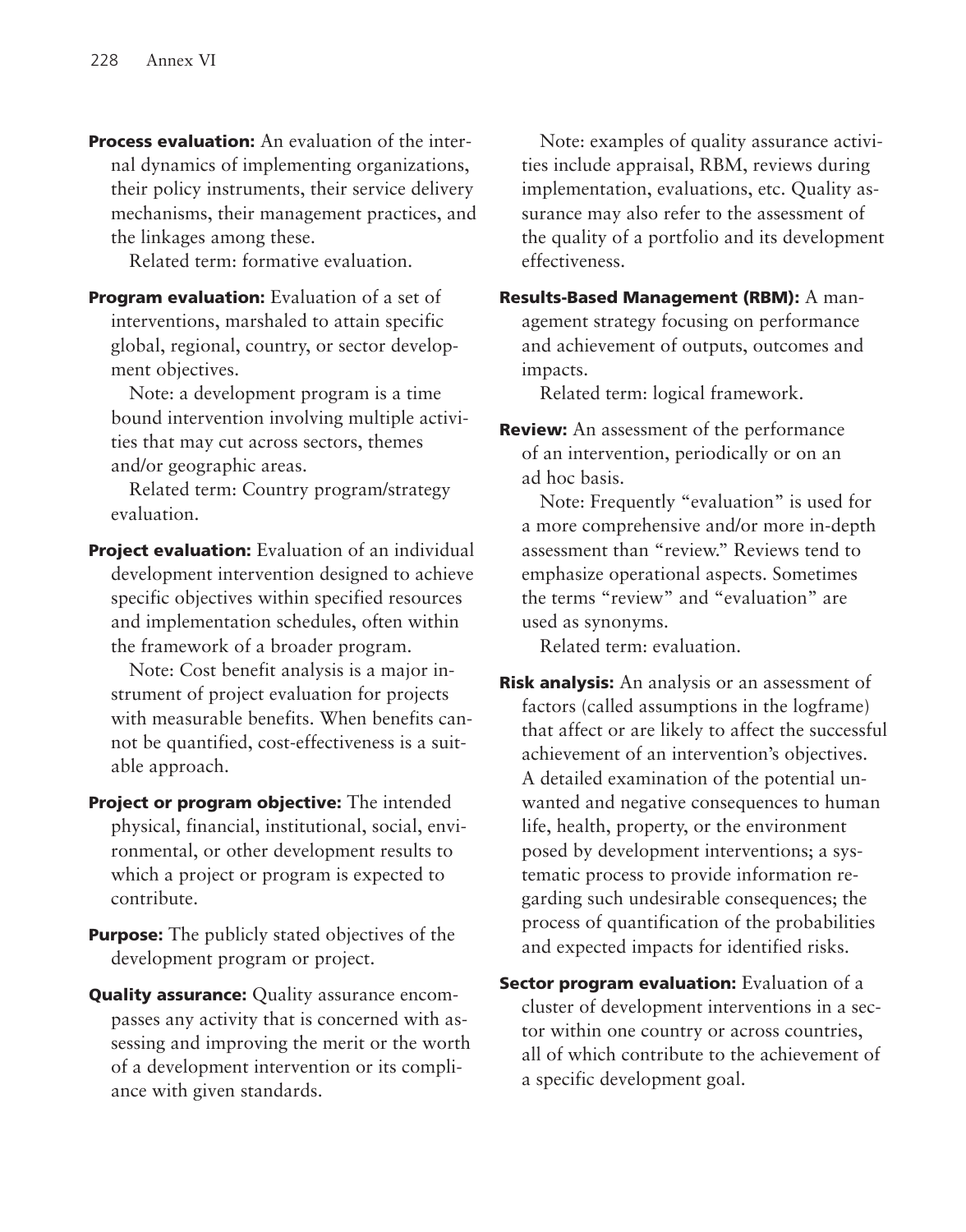**Process evaluation:** An evaluation of the internal dynamics of implementing organizations, their policy instruments, their service delivery mechanisms, their management practices, and the linkages among these.

Related term: formative evaluation.

**Program evaluation:** Evaluation of a set of interventions, marshaled to attain specific global, regional, country, or sector development objectives.

Note: a development program is a time bound intervention involving multiple activities that may cut across sectors, themes and/or geographic areas.

Related term: Country program/strategy evaluation.

**Project evaluation:** Evaluation of an individual development intervention designed to achieve specific objectives within specified resources and implementation schedules, often within the framework of a broader program.

Note: Cost benefit analysis is a major instrument of project evaluation for projects with measurable benefits. When benefits cannot be quantified, cost-effectiveness is a suitable approach.

- **Project or program objective:** The intended physical, financial, institutional, social, environmental, or other development results to which a project or program is expected to contribute.
- **Purpose:** The publicly stated objectives of the development program or project.
- **Quality assurance:** Quality assurance encompasses any activity that is concerned with assessing and improving the merit or the worth of a development intervention or its compliance with given standards.

Note: examples of quality assurance activities include appraisal, RBM, reviews during implementation, evaluations, etc. Quality assurance may also refer to the assessment of the quality of a portfolio and its development effectiveness.

**Results-Based Management (RBM):** A management strategy focusing on performance and achievement of outputs, outcomes and impacts.

Related term: logical framework.

**Review:** An assessment of the performance of an intervention, periodically or on an ad hoc basis.

Note: Frequently "evaluation" is used for a more comprehensive and/or more in-depth assessment than "review." Reviews tend to emphasize operational aspects. Sometimes the terms "review" and "evaluation" are used as synonyms.

Related term: evaluation.

- **Risk analysis:** An analysis or an assessment of factors (called assumptions in the logframe) that affect or are likely to affect the successful achievement of an intervention's objectives. A detailed examination of the potential unwanted and negative consequences to human life, health, property, or the environment posed by development interventions; a systematic process to provide information regarding such undesirable consequences; the process of quantification of the probabilities and expected impacts for identified risks.
- **Sector program evaluation:** Evaluation of a cluster of development interventions in a sector within one country or across countries, all of which contribute to the achievement of a specific development goal.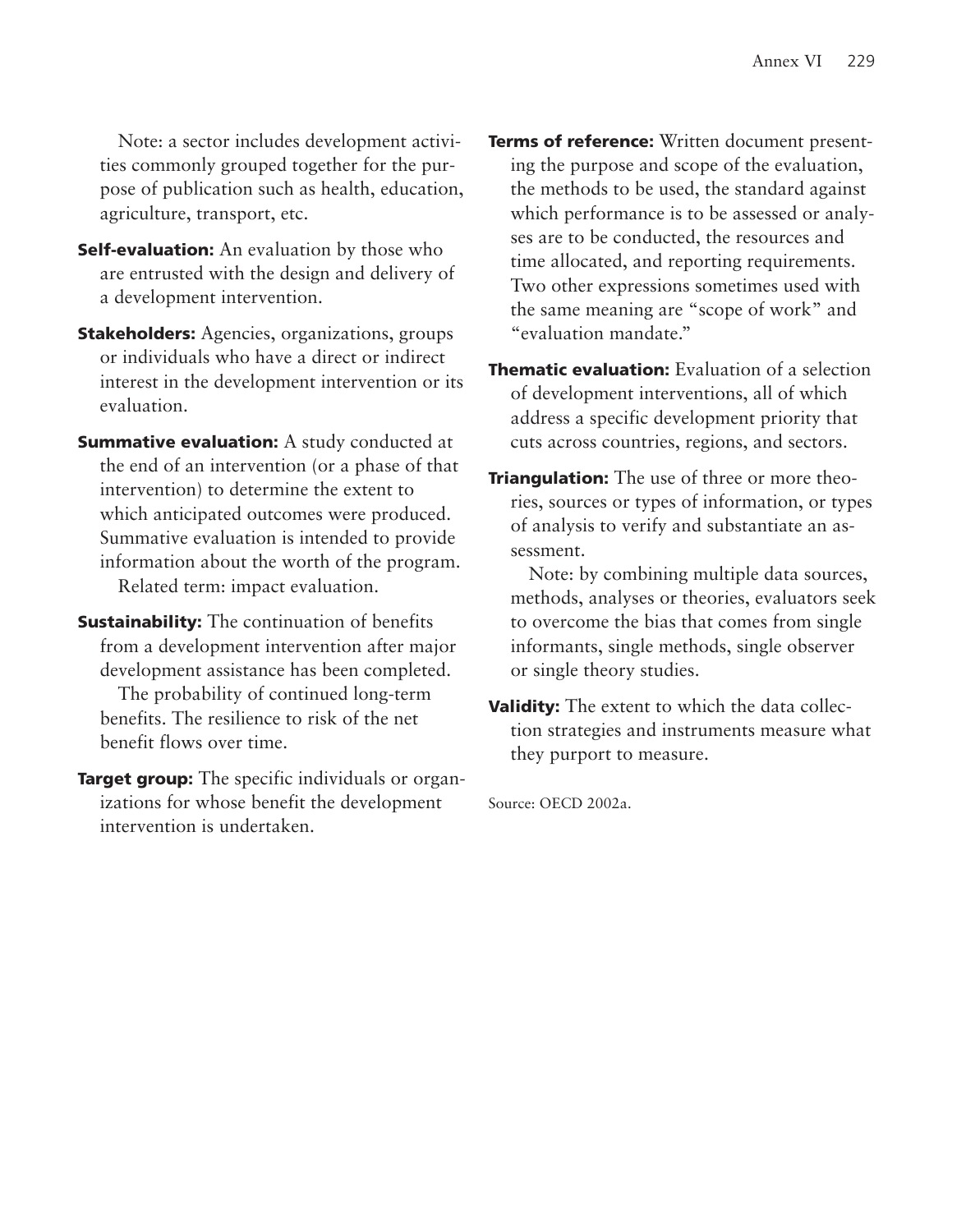Note: a sector includes development activities commonly grouped together for the purpose of publication such as health, education, agriculture, transport, etc.

- **Self-evaluation:** An evaluation by those who are entrusted with the design and delivery of a development intervention.
- **Stakeholders:** Agencies, organizations, groups or individuals who have a direct or indirect interest in the development intervention or its evaluation.
- **Summative evaluation:** A study conducted at the end of an intervention (or a phase of that intervention) to determine the extent to which anticipated outcomes were produced. Summative evaluation is intended to provide information about the worth of the program. Related term: impact evaluation.

**Sustainability:** The continuation of benefits from a development intervention after major development assistance has been completed. The probability of continued long-term benefits. The resilience to risk of the net benefit flows over time.

**Target group:** The specific individuals or organizations for whose benefit the development intervention is undertaken.

- **Terms of reference:** Written document presenting the purpose and scope of the evaluation, the methods to be used, the standard against which performance is to be assessed or analyses are to be conducted, the resources and time allocated, and reporting requirements. Two other expressions sometimes used with the same meaning are "scope of work" and "evaluation mandate."
- **Thematic evaluation:** Evaluation of a selection of development interventions, all of which address a specific development priority that cuts across countries, regions, and sectors.
- **Triangulation:** The use of three or more theories, sources or types of information, or types of analysis to verify and substantiate an assessment.

Note: by combining multiple data sources, methods, analyses or theories, evaluators seek to overcome the bias that comes from single informants, single methods, single observer or single theory studies.

**Validity:** The extent to which the data collection strategies and instruments measure what they purport to measure.

Source: OECD 2002a.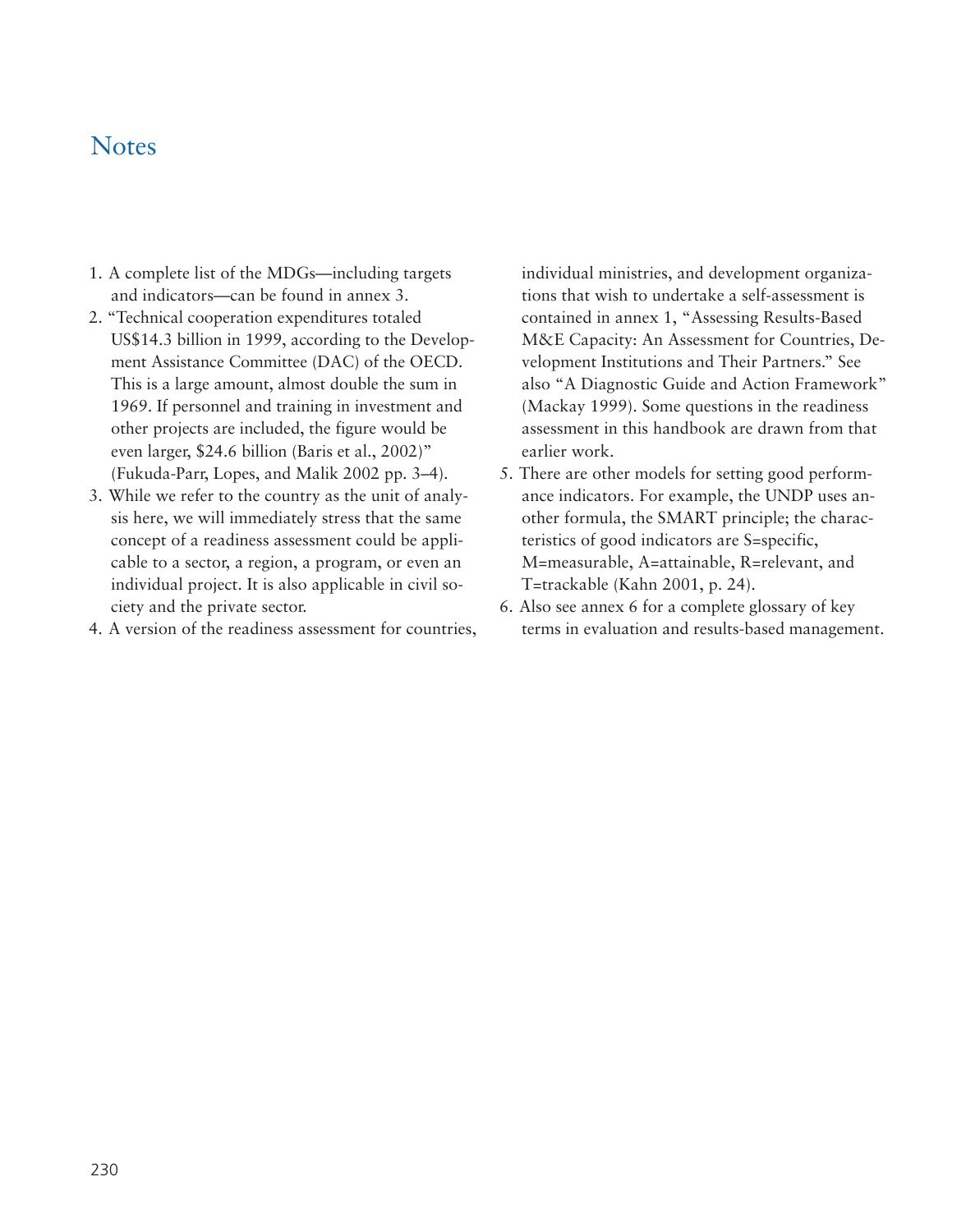# **Notes**

- 1. A complete list of the MDGs—including targets and indicators—can be found in annex 3.
- 2. "Technical cooperation expenditures totaled US\$14.3 billion in 1999, according to the Development Assistance Committee (DAC) of the OECD. This is a large amount, almost double the sum in 1969. If personnel and training in investment and other projects are included, the figure would be even larger, \$24.6 billion (Baris et al., 2002)" (Fukuda-Parr, Lopes, and Malik 2002 pp. 3–4).
- 3. While we refer to the country as the unit of analysis here, we will immediately stress that the same concept of a readiness assessment could be applicable to a sector, a region, a program, or even an individual project. It is also applicable in civil society and the private sector.
- 4. A version of the readiness assessment for countries,

individual ministries, and development organizations that wish to undertake a self-assessment is contained in annex 1, "Assessing Results-Based M&E Capacity: An Assessment for Countries, Development Institutions and Their Partners." See also "A Diagnostic Guide and Action Framework" (Mackay 1999). Some questions in the readiness assessment in this handbook are drawn from that earlier work.

- 5. There are other models for setting good performance indicators. For example, the UNDP uses another formula, the SMART principle; the characteristics of good indicators are S=specific, M=measurable, A=attainable, R=relevant, and T=trackable (Kahn 2001, p. 24).
- 6. Also see annex 6 for a complete glossary of key terms in evaluation and results-based management.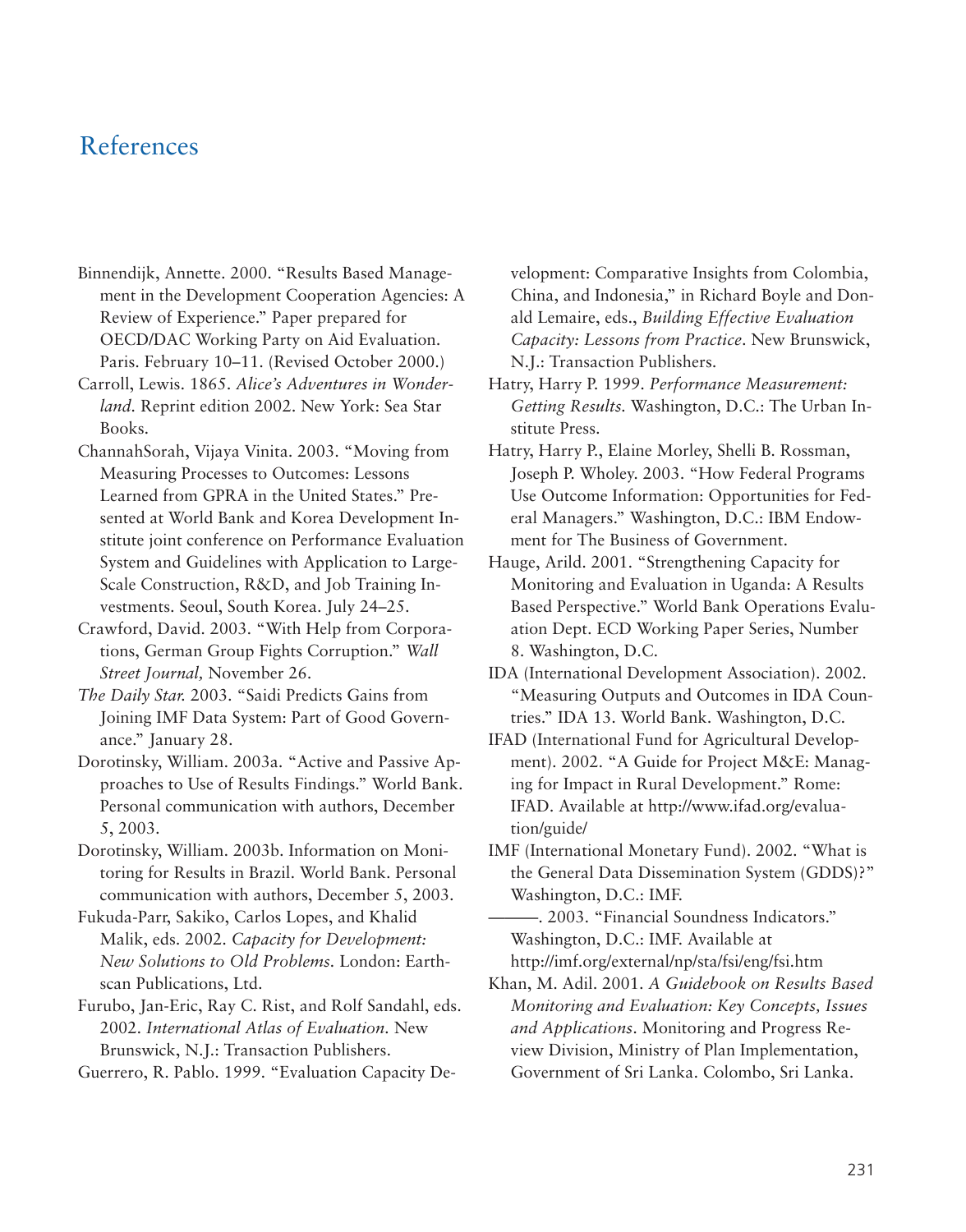# References

- Binnendijk, Annette. 2000. "Results Based Management in the Development Cooperation Agencies: A Review of Experience." Paper prepared for OECD/DAC Working Party on Aid Evaluation. Paris. February 10–11. (Revised October 2000.)
- Carroll, Lewis. 1865. *Alice's Adventures in Wonderland.* Reprint edition 2002. New York: Sea Star Books.
- ChannahSorah, Vijaya Vinita. 2003. "Moving from Measuring Processes to Outcomes: Lessons Learned from GPRA in the United States." Presented at World Bank and Korea Development Institute joint conference on Performance Evaluation System and Guidelines with Application to Large-Scale Construction, R&D, and Job Training Investments. Seoul, South Korea. July 24–25.
- Crawford, David. 2003. "With Help from Corporations, German Group Fights Corruption." *Wall Street Journal,* November 26.
- *The Daily Star.* 2003. "Saidi Predicts Gains from Joining IMF Data System: Part of Good Governance." January 28.
- Dorotinsky, William. 2003a. "Active and Passive Approaches to Use of Results Findings." World Bank. Personal communication with authors, December 5, 2003.
- Dorotinsky, William. 2003b. Information on Monitoring for Results in Brazil. World Bank. Personal communication with authors, December 5, 2003.
- Fukuda-Parr, Sakiko, Carlos Lopes, and Khalid Malik, eds. 2002. *Capacity for Development: New Solutions to Old Problems.* London: Earthscan Publications, Ltd.
- Furubo, Jan-Eric, Ray C. Rist, and Rolf Sandahl, eds. 2002. *International Atlas of Evaluation.* New Brunswick, N.J.: Transaction Publishers.
- Guerrero, R. Pablo. 1999. "Evaluation Capacity De-

velopment: Comparative Insights from Colombia, China, and Indonesia," in Richard Boyle and Donald Lemaire, eds., *Building Effective Evaluation Capacity: Lessons from Practice*. New Brunswick, N.J.: Transaction Publishers.

- Hatry, Harry P. 1999. *Performance Measurement: Getting Results.* Washington, D.C.: The Urban Institute Press.
- Hatry, Harry P., Elaine Morley, Shelli B. Rossman, Joseph P. Wholey. 2003. "How Federal Programs Use Outcome Information: Opportunities for Federal Managers." Washington, D.C.: IBM Endowment for The Business of Government.
- Hauge, Arild. 2001. "Strengthening Capacity for Monitoring and Evaluation in Uganda: A Results Based Perspective." World Bank Operations Evaluation Dept. ECD Working Paper Series, Number 8. Washington, D.C.
- IDA (International Development Association). 2002. "Measuring Outputs and Outcomes in IDA Countries." IDA 13. World Bank. Washington, D.C.
- IFAD (International Fund for Agricultural Development). 2002. "A Guide for Project M&E: Managing for Impact in Rural Development." Rome: IFAD. Available at http://www.ifad.org/evaluation/guide/
- IMF (International Monetary Fund). 2002. "What is the General Data Dissemination System (GDDS)?" Washington, D.C.: IMF.

———. 2003. "Financial Soundness Indicators." Washington, D.C.: IMF. Available at http://imf.org/external/np/sta/fsi/eng/fsi.htm

Khan, M. Adil. 2001. *A Guidebook on Results Based Monitoring and Evaluation: Key Concepts, Issues and Applications*. Monitoring and Progress Review Division, Ministry of Plan Implementation, Government of Sri Lanka. Colombo, Sri Lanka.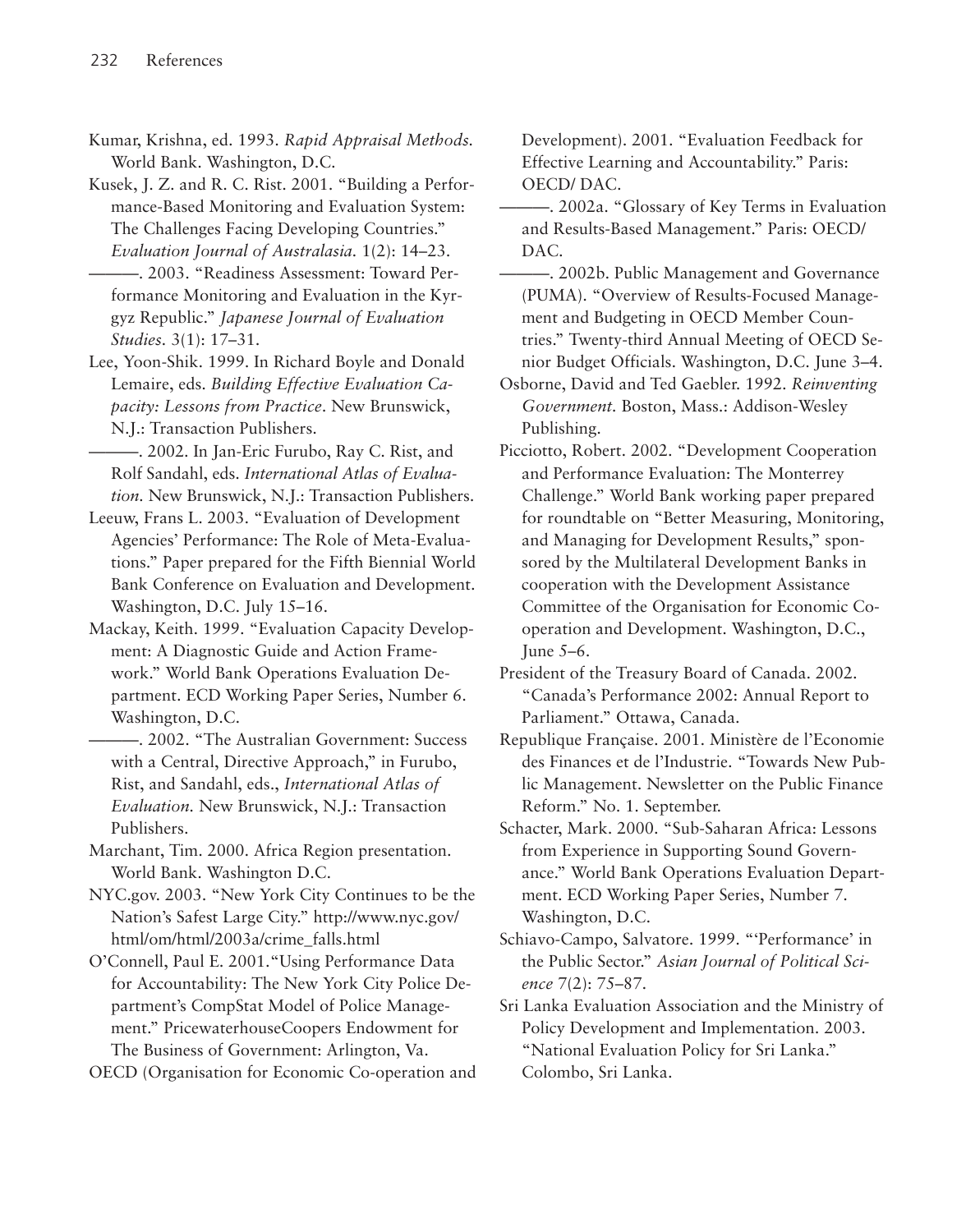- Kumar, Krishna, ed. 1993. *Rapid Appraisal Methods.* World Bank. Washington, D.C.
- Kusek, J. Z. and R. C. Rist. 2001. "Building a Performance-Based Monitoring and Evaluation System: The Challenges Facing Developing Countries." *Evaluation Journal of Australasia.* 1(2): 14–23.
- ———. 2003. "Readiness Assessment: Toward Performance Monitoring and Evaluation in the Kyrgyz Republic." *Japanese Journal of Evaluation Studies.* 3(1): 17–31.
- Lee, Yoon-Shik. 1999. In Richard Boyle and Donald Lemaire, eds. *Building Effective Evaluation Capacity: Lessons from Practice*. New Brunswick, N.J.: Transaction Publishers.
- ———. 2002. In Jan-Eric Furubo, Ray C. Rist, and Rolf Sandahl, eds. *International Atlas of Evaluation.* New Brunswick, N.J.: Transaction Publishers.
- Leeuw, Frans L. 2003. "Evaluation of Development Agencies' Performance: The Role of Meta-Evaluations." Paper prepared for the Fifth Biennial World Bank Conference on Evaluation and Development. Washington, D.C. July 15–16.
- Mackay, Keith. 1999. "Evaluation Capacity Development: A Diagnostic Guide and Action Framework." World Bank Operations Evaluation Department. ECD Working Paper Series, Number 6. Washington, D.C.
	- ———. 2002. "The Australian Government: Success with a Central, Directive Approach," in Furubo, Rist, and Sandahl, eds., *International Atlas of Evaluation.* New Brunswick, N.J.: Transaction Publishers.
- Marchant, Tim. 2000. Africa Region presentation. World Bank. Washington D.C.
- NYC.gov. 2003. "New York City Continues to be the Nation's Safest Large City." http://www.nyc.gov/ html/om/html/2003a/crime\_falls.html
- O'Connell, Paul E. 2001."Using Performance Data for Accountability: The New York City Police Department's CompStat Model of Police Management." PricewaterhouseCoopers Endowment for The Business of Government: Arlington, Va.

OECD (Organisation for Economic Co-operation and

Development). 2001. "Evaluation Feedback for Effective Learning and Accountability." Paris: OECD/ DAC.

- ———. 2002a. "Glossary of Key Terms in Evaluation and Results-Based Management." Paris: OECD/ DAC.
- ———. 2002b. Public Management and Governance (PUMA). "Overview of Results-Focused Management and Budgeting in OECD Member Countries." Twenty-third Annual Meeting of OECD Senior Budget Officials. Washington, D.C. June 3–4.
- Osborne, David and Ted Gaebler. 1992. *Reinventing Government.* Boston, Mass.: Addison-Wesley Publishing.
- Picciotto, Robert. 2002. "Development Cooperation and Performance Evaluation: The Monterrey Challenge." World Bank working paper prepared for roundtable on "Better Measuring, Monitoring, and Managing for Development Results," sponsored by the Multilateral Development Banks in cooperation with the Development Assistance Committee of the Organisation for Economic Cooperation and Development. Washington, D.C., June 5–6.
- President of the Treasury Board of Canada. 2002. "Canada's Performance 2002: Annual Report to Parliament." Ottawa, Canada.
- Republique Française. 2001. Ministère de l'Economie des Finances et de l'Industrie. "Towards New Public Management. Newsletter on the Public Finance Reform." No. 1. September.
- Schacter, Mark. 2000. "Sub-Saharan Africa: Lessons from Experience in Supporting Sound Governance." World Bank Operations Evaluation Department. ECD Working Paper Series, Number 7. Washington, D.C.
- Schiavo-Campo, Salvatore. 1999. "'Performance' in the Public Sector." *Asian Journal of Political Science* 7(2): 75–87.
- Sri Lanka Evaluation Association and the Ministry of Policy Development and Implementation. 2003. "National Evaluation Policy for Sri Lanka." Colombo, Sri Lanka.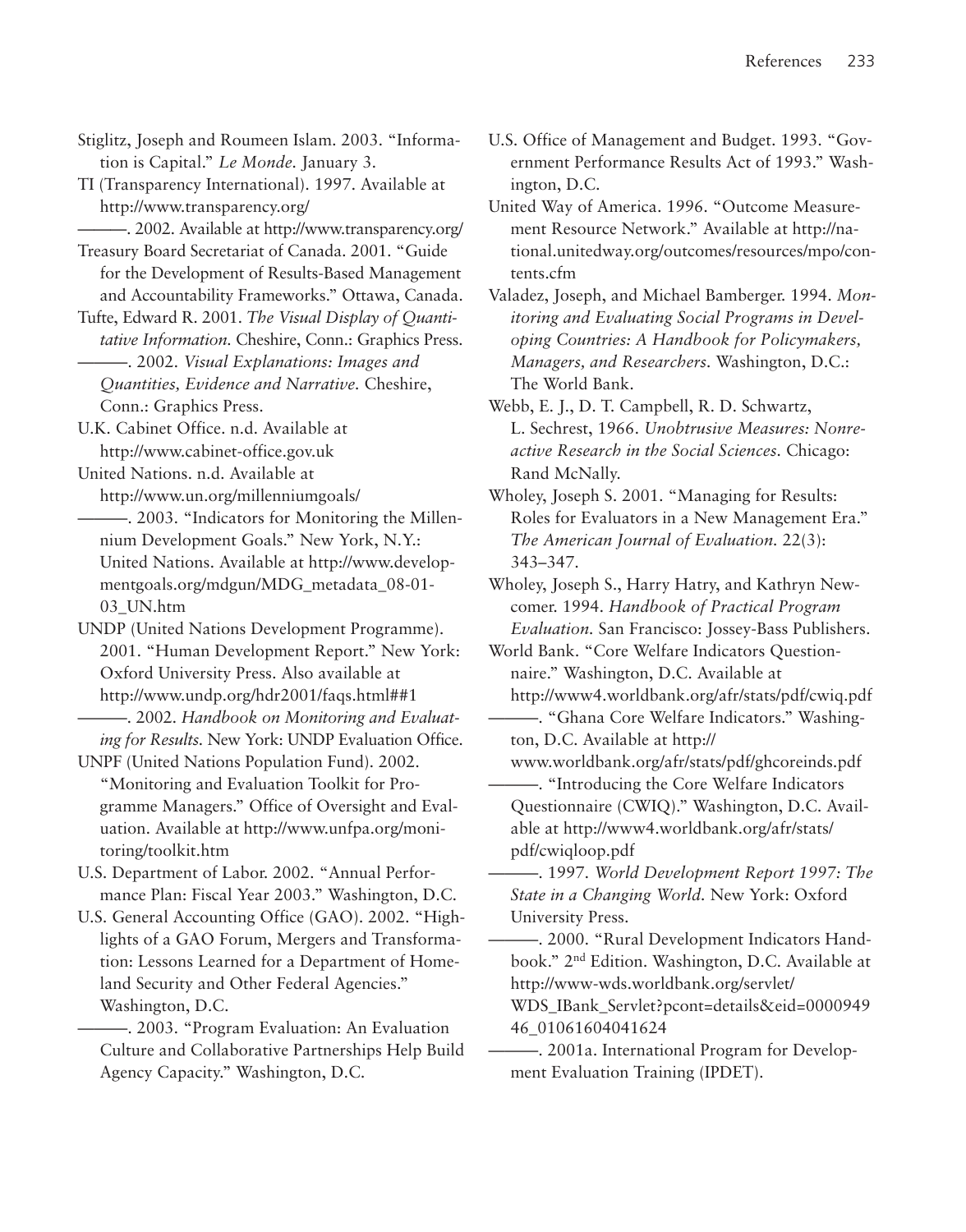- Stiglitz, Joseph and Roumeen Islam. 2003. "Information is Capital." *Le Monde.* January 3.
- TI (Transparency International). 1997. Available at http://www.transparency.org/
- ———. 2002. Available at http://www.transparency.org/ Treasury Board Secretariat of Canada. 2001. "Guide
- for the Development of Results-Based Management and Accountability Frameworks." Ottawa, Canada.
- Tufte, Edward R. 2001. *The Visual Display of Quantitative Information.* Cheshire, Conn.: Graphics Press.
	- ———. 2002. *Visual Explanations: Images and Quantities, Evidence and Narrative.* Cheshire, Conn.: Graphics Press.
- U.K. Cabinet Office. n.d. Available at http://www.cabinet-office.gov.uk
- United Nations. n.d. Available at http://www.un.org/millenniumgoals/
- $-$ . 2003. "Indicators for Monitoring the Millennium Development Goals." New York, N.Y.: United Nations. Available at http://www.developmentgoals.org/mdgun/MDG\_metadata\_08-01- 03\_UN.htm
- UNDP (United Nations Development Programme). 2001. "Human Development Report." New York: Oxford University Press. Also available at http://www.undp.org/hdr2001/faqs.html##1
- $-$ , 2002. Handbook on Monitoring and Evaluat*ing for Results.* New York: UNDP Evaluation Office.
- UNPF (United Nations Population Fund). 2002. "Monitoring and Evaluation Toolkit for Programme Managers." Office of Oversight and Evaluation. Available at http://www.unfpa.org/monitoring/toolkit.htm
- U.S. Department of Labor. 2002. "Annual Performance Plan: Fiscal Year 2003." Washington, D.C.
- U.S. General Accounting Office (GAO). 2002. "Highlights of a GAO Forum, Mergers and Transformation: Lessons Learned for a Department of Homeland Security and Other Federal Agencies." Washington, D.C.
	- ———. 2003. "Program Evaluation: An Evaluation Culture and Collaborative Partnerships Help Build Agency Capacity." Washington, D.C.
- U.S. Office of Management and Budget. 1993. "Government Performance Results Act of 1993." Washington, D.C.
- United Way of America. 1996. "Outcome Measurement Resource Network." Available at http://national.unitedway.org/outcomes/resources/mpo/contents.cfm
- Valadez, Joseph, and Michael Bamberger. 1994. *Monitoring and Evaluating Social Programs in Developing Countries: A Handbook for Policymakers, Managers, and Researchers.* Washington, D.C.: The World Bank.
- Webb, E. J., D. T. Campbell, R. D. Schwartz, L. Sechrest, 1966. *Unobtrusive Measures: Nonreactive Research in the Social Sciences.* Chicago: Rand McNally.
- Wholey, Joseph S. 2001. "Managing for Results: Roles for Evaluators in a New Management Era." *The American Journal of Evaluation.* 22(3): 343–347.
- Wholey, Joseph S., Harry Hatry, and Kathryn Newcomer. 1994. *Handbook of Practical Program Evaluation.* San Francisco: Jossey-Bass Publishers.
- World Bank. "Core Welfare Indicators Questionnaire." Washington, D.C. Available at http://www4.worldbank.org/afr/stats/pdf/cwiq.pdf
- ———. "Ghana Core Welfare Indicators." Washington, D.C. Available at http://
- www.worldbank.org/afr/stats/pdf/ghcoreinds.pdf ———. "Introducing the Core Welfare Indicators
- Questionnaire (CWIQ)." Washington, D.C. Available at http://www4.worldbank.org/afr/stats/ pdf/cwiqloop.pdf
- ———. 1997. *World Development Report 1997: The State in a Changing World.* New York: Oxford University Press.
- ———. 2000. "Rural Development Indicators Handbook." 2nd Edition. Washington, D.C. Available at http://www-wds.worldbank.org/servlet/ WDS\_IBank\_Servlet?pcont=details&eid=0000949 46\_01061604041624
- $-$ . 2001a. International Program for Development Evaluation Training (IPDET).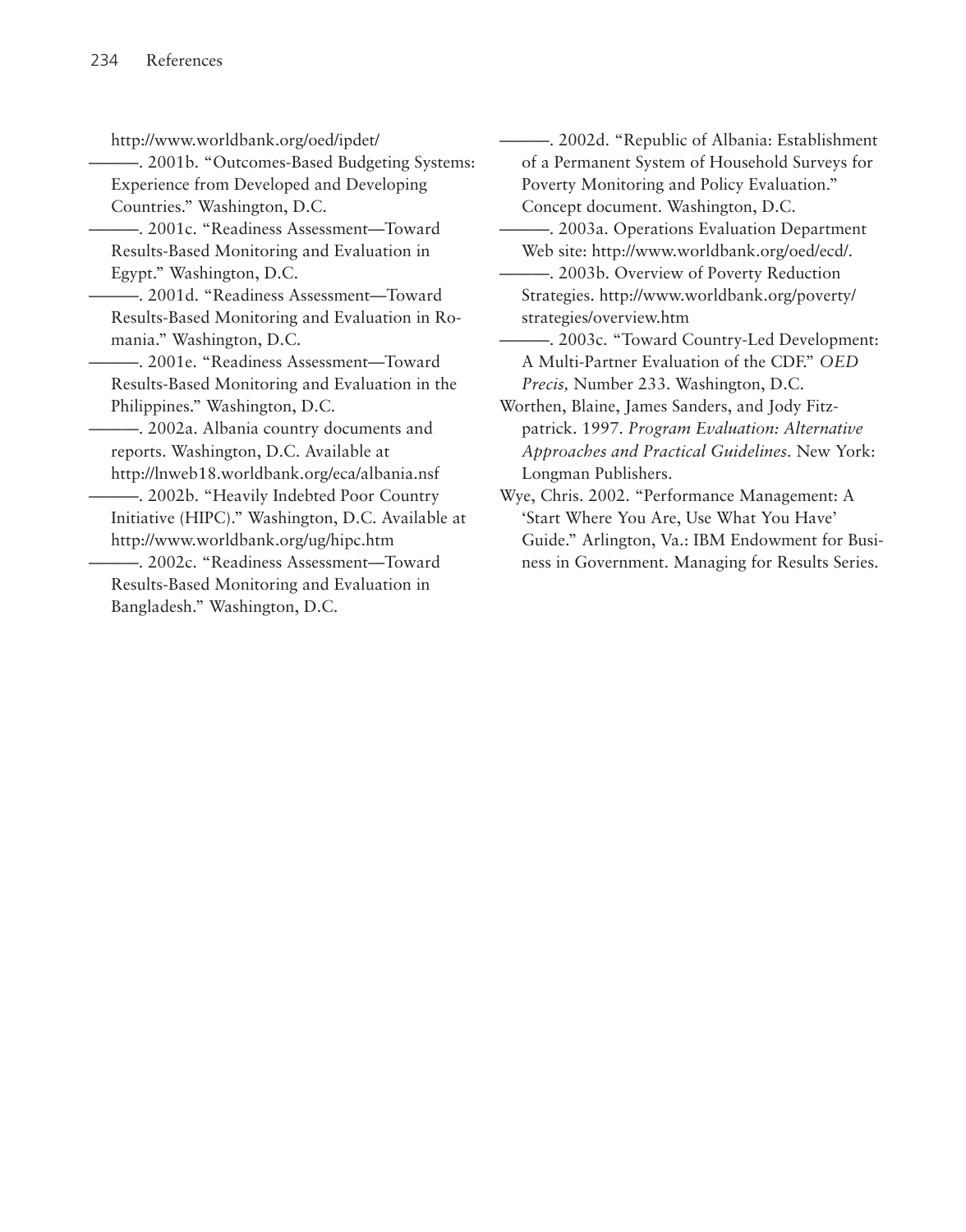http://www.worldbank.org/oed/ipdet/

———. 2001b. "Outcomes-Based Budgeting Systems: Experience from Developed and Developing Countries." Washington, D.C.

- ———. 2001c. "Readiness Assessment—Toward Results-Based Monitoring and Evaluation in Egypt." Washington, D.C.
- ———. 2001d. "Readiness Assessment—Toward Results-Based Monitoring and Evaluation in Romania." Washington, D.C.

———. 2001e. "Readiness Assessment—Toward Results-Based Monitoring and Evaluation in the Philippines." Washington, D.C.

- ———. 2002a. Albania country documents and reports. Washington, D.C. Available at http://lnweb18.worldbank.org/eca/albania.nsf
- ———. 2002b. "Heavily Indebted Poor Country Initiative (HIPC)." Washington, D.C. Available at http://www.worldbank.org/ug/hipc.htm

———. 2002c. "Readiness Assessment—Toward Results-Based Monitoring and Evaluation in Bangladesh." Washington, D.C.

———. 2002d. "Republic of Albania: Establishment of a Permanent System of Household Surveys for Poverty Monitoring and Policy Evaluation." Concept document. Washington, D.C.

———. 2003a. Operations Evaluation Department Web site: http://www.worldbank.org/oed/ecd/.

———. 2003b. Overview of Poverty Reduction Strategies. http://www.worldbank.org/poverty/ strategies/overview.htm

———. 2003c. "Toward Country-Led Development: A Multi-Partner Evaluation of the CDF." *OED Precis,* Number 233. Washington, D.C.

Worthen, Blaine, James Sanders, and Jody Fitzpatrick. 1997. *Program Evaluation: Alternative Approaches and Practical Guidelines.* New York: Longman Publishers.

Wye, Chris. 2002. "Performance Management: A 'Start Where You Are, Use What You Have' Guide." Arlington, Va.: IBM Endowment for Business in Government. Managing for Results Series.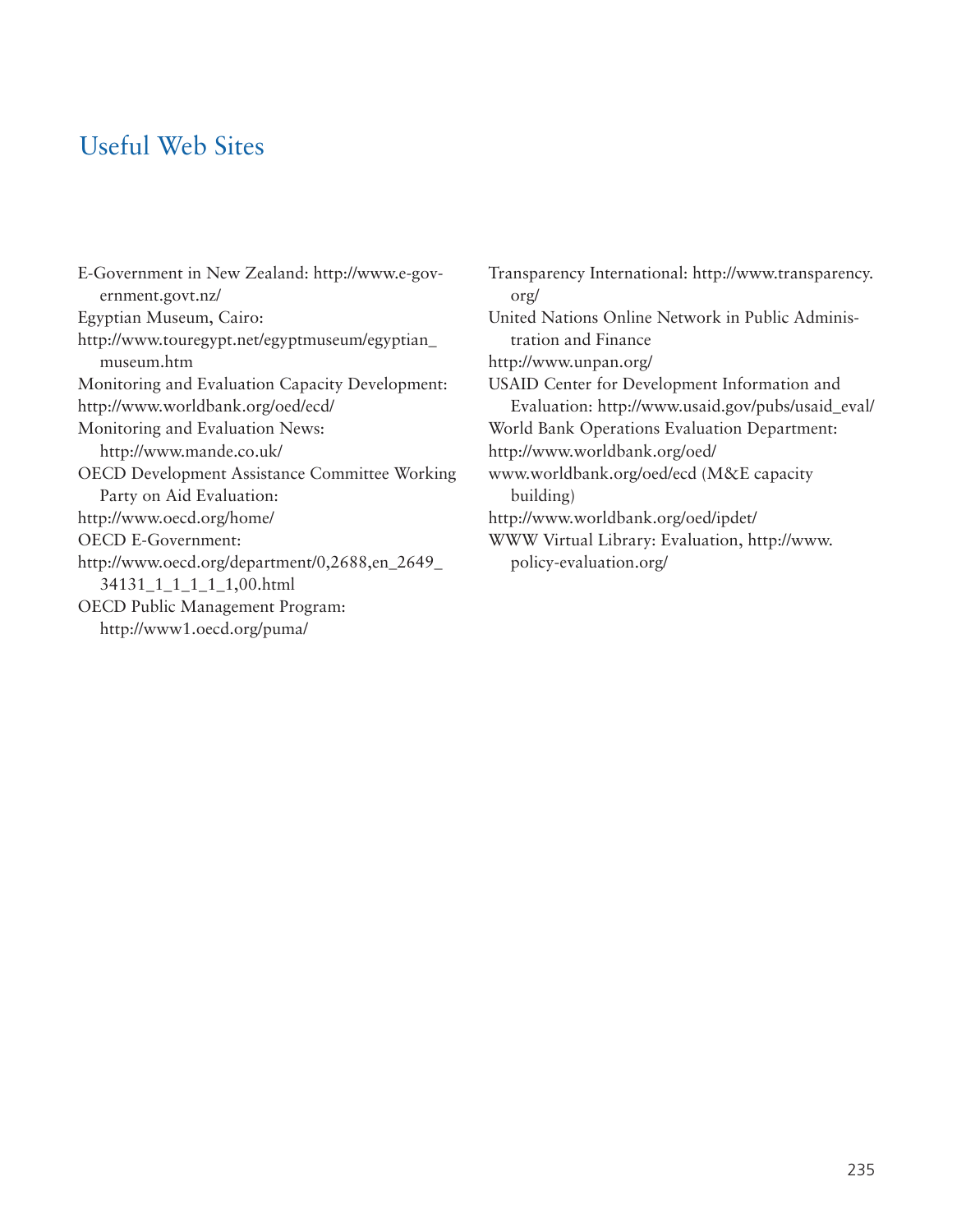# Useful Web Sites

- E-Government in New Zealand: http://www.e-government.govt.nz/ Egyptian Museum, Cairo: http://www.touregypt.net/egyptmuseum/egyptian\_ museum.htm Monitoring and Evaluation Capacity Development: http://www.worldbank.org/oed/ecd/ Monitoring and Evaluation News: http://www.mande.co.uk/ OECD Development Assistance Committee Working Party on Aid Evaluation: http://www.oecd.org/home/ OECD E-Government: http://www.oecd.org/department/0,2688,en\_2649\_ 34131\_1\_1\_1\_1\_1,00.html OECD Public Management Program: http://www1.oecd.org/puma/
- Transparency International: http://www.transparency. org/ United Nations Online Network in Public Administration and Finance http://www.unpan.org/ USAID Center for Development Information and Evaluation: http://www.usaid.gov/pubs/usaid\_eval/ World Bank Operations Evaluation Department: http://www.worldbank.org/oed/ www.worldbank.org/oed/ecd (M&E capacity building) http://www.worldbank.org/oed/ipdet/ WWW Virtual Library: Evaluation, http://www. policy-evaluation.org/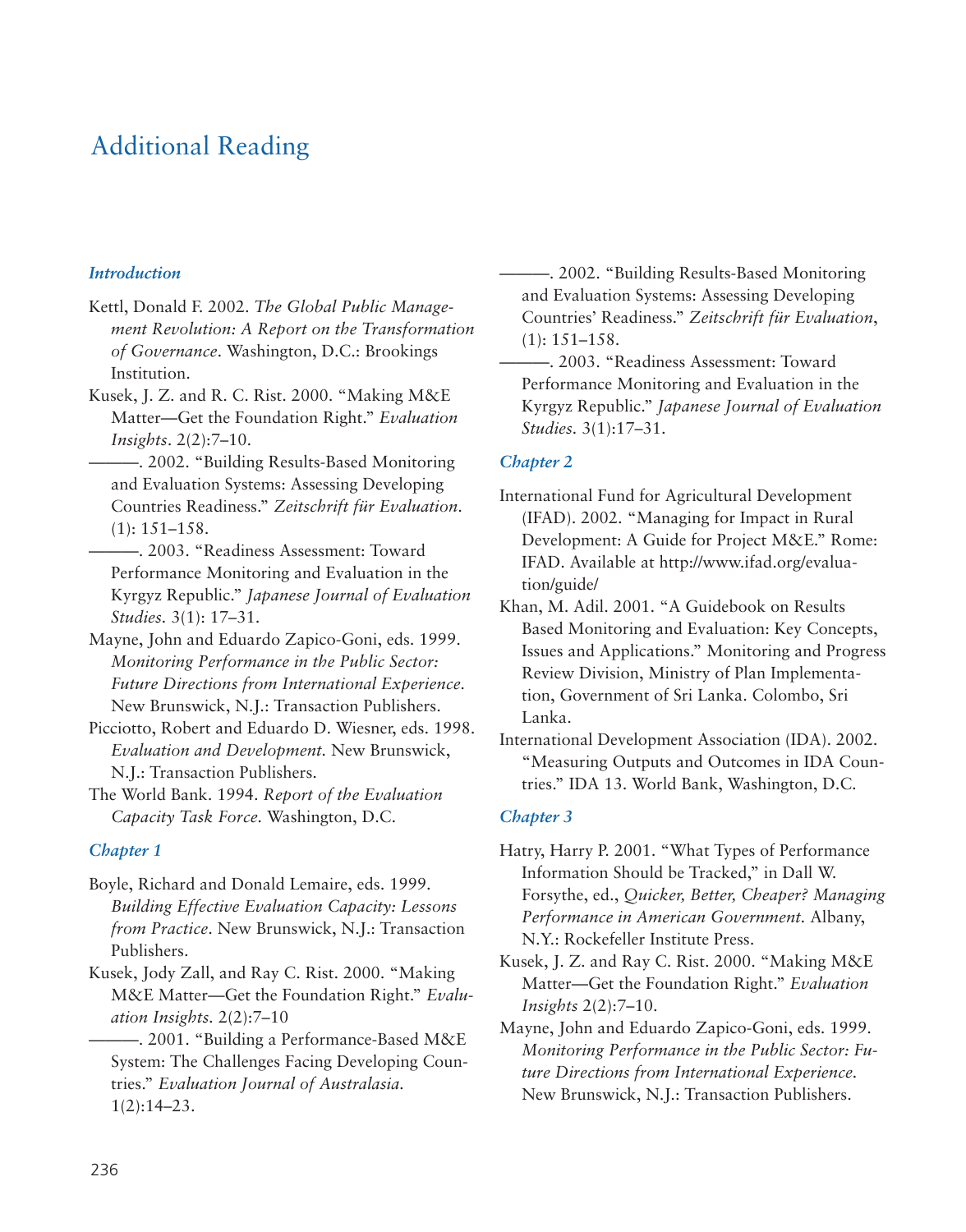# Additional Reading

#### *Introduction*

- Kettl, Donald F. 2002. *The Global Public Management Revolution: A Report on the Transformation of Governance*. Washington, D.C.: Brookings Institution.
- Kusek, J. Z. and R. C. Rist. 2000. "Making M&E Matter—Get the Foundation Right." *Evaluation Insights*. 2(2):7–10.
- ———. 2002. "Building Results-Based Monitoring and Evaluation Systems: Assessing Developing Countries Readiness." *Zeitschrift für Evaluation*. (1): 151–158.
- ———. 2003. "Readiness Assessment: Toward Performance Monitoring and Evaluation in the Kyrgyz Republic." *Japanese Journal of Evaluation Studies.* 3(1): 17–31.
- Mayne, John and Eduardo Zapico-Goni, eds. 1999. *Monitoring Performance in the Public Sector: Future Directions from International Experience.* New Brunswick, N.J.: Transaction Publishers.
- Picciotto, Robert and Eduardo D. Wiesner, eds. 1998. *Evaluation and Development.* New Brunswick, N.J.: Transaction Publishers.
- The World Bank. 1994. *Report of the Evaluation Capacity Task Force.* Washington, D.C.

#### *Chapter 1*

- Boyle, Richard and Donald Lemaire, eds. 1999. *Building Effective Evaluation Capacity: Lessons from Practice*. New Brunswick, N.J.: Transaction Publishers.
- Kusek, Jody Zall, and Ray C. Rist. 2000. "Making M&E Matter—Get the Foundation Right." *Evaluation Insights.* 2(2):7–10

———. 2001. "Building a Performance-Based M&E System: The Challenges Facing Developing Countries." *Evaluation Journal of Australasia.*  $1(2):14-23.$ 

- ———. 2002. "Building Results-Based Monitoring and Evaluation Systems: Assessing Developing Countries' Readiness." *Zeitschrift für Evaluation*, (1): 151–158.
- ———. 2003. "Readiness Assessment: Toward Performance Monitoring and Evaluation in the Kyrgyz Republic." *Japanese Journal of Evaluation Studies.* 3(1):17–31.

#### *Chapter 2*

- International Fund for Agricultural Development (IFAD). 2002. "Managing for Impact in Rural Development: A Guide for Project M&E." Rome: IFAD. Available at http://www.ifad.org/evaluation/guide/
- Khan, M. Adil. 2001. "A Guidebook on Results Based Monitoring and Evaluation: Key Concepts, Issues and Applications." Monitoring and Progress Review Division, Ministry of Plan Implementation, Government of Sri Lanka. Colombo, Sri Lanka.

International Development Association (IDA). 2002. "Measuring Outputs and Outcomes in IDA Countries." IDA 13. World Bank, Washington, D.C.

#### *Chapter 3*

Hatry, Harry P. 2001. "What Types of Performance Information Should be Tracked," in Dall W. Forsythe, ed., *Quicker, Better, Cheaper? Managing Performance in American Government.* Albany, N.Y.: Rockefeller Institute Press.

Kusek, J. Z. and Ray C. Rist. 2000. "Making M&E Matter—Get the Foundation Right." *Evaluation Insights* 2(2):7–10.

Mayne, John and Eduardo Zapico-Goni, eds. 1999. *Monitoring Performance in the Public Sector: Future Directions from International Experience.* New Brunswick, N.J.: Transaction Publishers.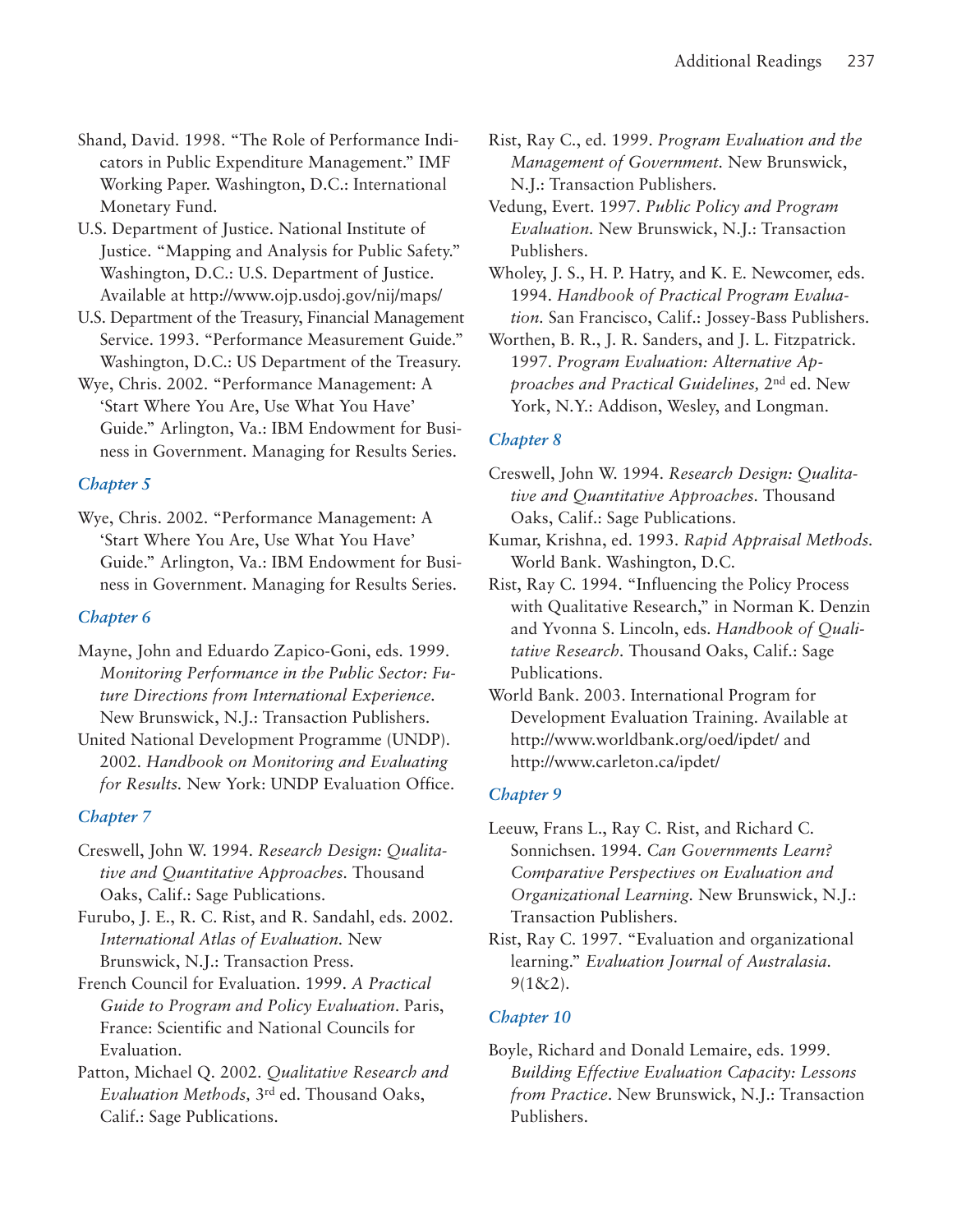- Shand, David. 1998. "The Role of Performance Indicators in Public Expenditure Management." IMF Working Paper. Washington, D.C.: International Monetary Fund.
- U.S. Department of Justice. National Institute of Justice. "Mapping and Analysis for Public Safety." Washington, D.C.: U.S. Department of Justice. Available at http://www.ojp.usdoj.gov/nij/maps/
- U.S. Department of the Treasury, Financial Management Service. 1993. "Performance Measurement Guide." Washington, D.C.: US Department of the Treasury.
- Wye, Chris. 2002. "Performance Management: A 'Start Where You Are, Use What You Have' Guide." Arlington, Va.: IBM Endowment for Business in Government. Managing for Results Series.

## *Chapter 5*

Wye, Chris. 2002. "Performance Management: A 'Start Where You Are, Use What You Have' Guide." Arlington, Va.: IBM Endowment for Business in Government. Managing for Results Series.

#### *Chapter 6*

- Mayne, John and Eduardo Zapico-Goni, eds. 1999. *Monitoring Performance in the Public Sector: Future Directions from International Experience.* New Brunswick, N.J.: Transaction Publishers.
- United National Development Programme (UNDP). 2002. *Handbook on Monitoring and Evaluating for Results.* New York: UNDP Evaluation Office.

## *Chapter 7*

- Creswell, John W. 1994. *Research Design: Qualitative and Quantitative Approaches.* Thousand Oaks, Calif.: Sage Publications.
- Furubo, J. E., R. C. Rist, and R. Sandahl, eds. 2002. *International Atlas of Evaluation.* New Brunswick, N.J.: Transaction Press.
- French Council for Evaluation. 1999. *A Practical Guide to Program and Policy Evaluation*. Paris, France: Scientific and National Councils for Evaluation.
- Patton, Michael Q. 2002. *Qualitative Research and Evaluation Methods,* 3rd ed. Thousand Oaks, Calif.: Sage Publications.
- Rist, Ray C., ed. 1999. *Program Evaluation and the Management of Government.* New Brunswick, N.J.: Transaction Publishers.
- Vedung, Evert. 1997. *Public Policy and Program Evaluation.* New Brunswick, N.J.: Transaction Publishers.
- Wholey, J. S., H. P. Hatry, and K. E. Newcomer, eds. 1994. *Handbook of Practical Program Evaluation.* San Francisco, Calif.: Jossey-Bass Publishers.
- Worthen, B. R., J. R. Sanders, and J. L. Fitzpatrick. 1997. *Program Evaluation: Alternative Approaches and Practical Guidelines,* 2nd ed. New York, N.Y.: Addison, Wesley, and Longman.

#### *Chapter 8*

Creswell, John W. 1994. *Research Design: Qualitative and Quantitative Approaches.* Thousand Oaks, Calif.: Sage Publications.

Kumar, Krishna, ed. 1993. *Rapid Appraisal Methods.* World Bank. Washington, D.C.

- Rist, Ray C. 1994. "Influencing the Policy Process with Qualitative Research," in Norman K. Denzin and Yvonna S. Lincoln, eds. *Handbook of Qualitative Research.* Thousand Oaks, Calif.: Sage Publications.
- World Bank. 2003. International Program for Development Evaluation Training. Available at http://www.worldbank.org/oed/ipdet/ and http://www.carleton.ca/ipdet/

## *Chapter 9*

- Leeuw, Frans L., Ray C. Rist, and Richard C. Sonnichsen. 1994. *Can Governments Learn? Comparative Perspectives on Evaluation and Organizational Learning.* New Brunswick, N.J.: Transaction Publishers.
- Rist, Ray C. 1997. "Evaluation and organizational learning." *Evaluation Journal of Australasia.* 9(1&2).

## *Chapter 10*

Boyle, Richard and Donald Lemaire, eds. 1999. *Building Effective Evaluation Capacity: Lessons from Practice*. New Brunswick, N.J.: Transaction Publishers.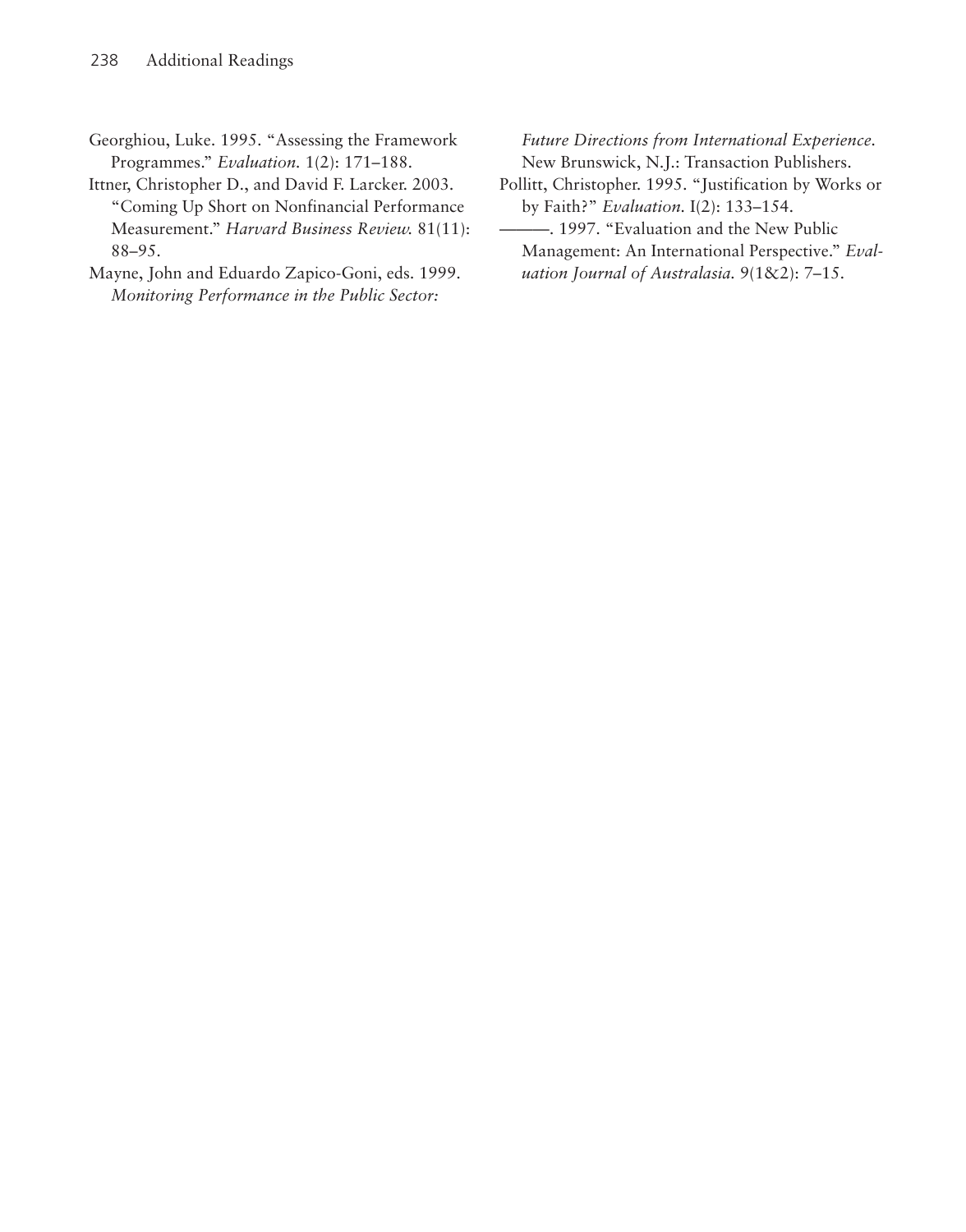- Georghiou, Luke. 1995. "Assessing the Framework Programmes." *Evaluation.* 1(2): 171–188.
- Ittner, Christopher D., and David F. Larcker. 2003. "Coming Up Short on Nonfinancial Performance Measurement." *Harvard Business Review.* 81(11): 88–95.
- Mayne, John and Eduardo Zapico-Goni, eds. 1999. *Monitoring Performance in the Public Sector:*

*Future Directions from International Experience.* New Brunswick, N.J.: Transaction Publishers.

- Pollitt, Christopher. 1995. "Justification by Works or by Faith?" *Evaluation.* I(2): 133–154.
- ———. 1997. "Evaluation and the New Public Management: An International Perspective." *Evaluation Journal of Australasia.* 9(1&2): 7–15.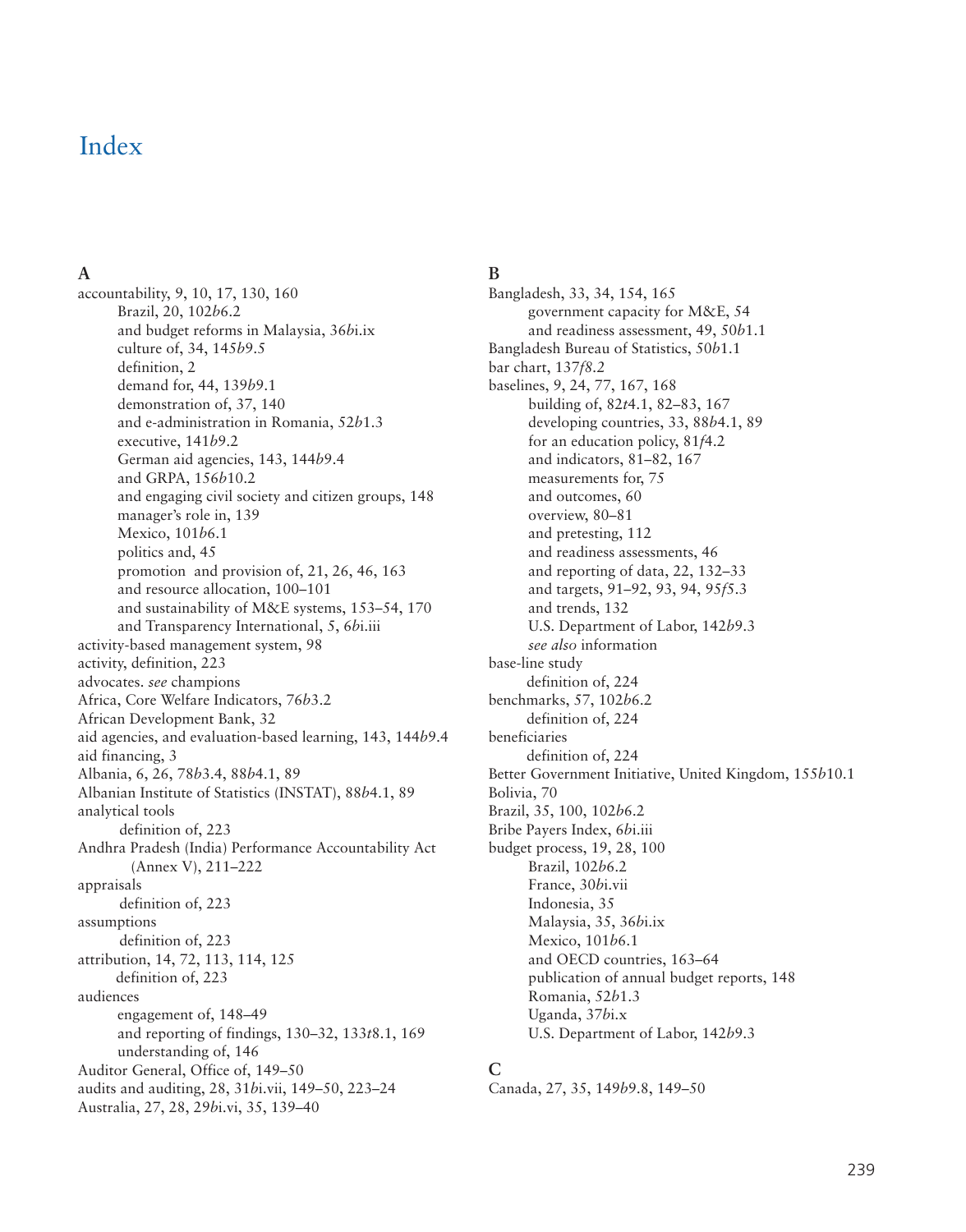# Index

#### **A**

accountability, 9, 10, 17, 130, 160 Brazil, 20, 102*b*6.2 and budget reforms in Malaysia, 36*b*i.ix culture of, 34, 145*b*9.5 definition, 2 demand for, 44, 139*b*9.1 demonstration of, 37, 140 and e-administration in Romania, 52*b*1.3 executive, 141*b*9.2 German aid agencies, 143, 144*b*9.4 and GRPA, 156*b*10.2 and engaging civil society and citizen groups, 148 manager's role in, 139 Mexico, 101*b*6.1 politics and, 45 promotion and provision of, 21, 26, 46, 163 and resource allocation, 100–101 and sustainability of M&E systems, 153–54, 170 and Transparency International, 5, 6*b*i.iii activity-based management system, 98 activity, definition, 223 advocates. *see* champions Africa, Core Welfare Indicators, 76*b*3.2 African Development Bank, 32 aid agencies, and evaluation-based learning, 143, 144*b*9.4 aid financing, 3 Albania, 6, 26, 78*b*3.4, 88*b*4.1, 89 Albanian Institute of Statistics (INSTAT), 88*b*4.1, 89 analytical tools definition of, 223 Andhra Pradesh (India) Performance Accountability Act (Annex V), 211–222 appraisals definition of, 223 assumptions definition of, 223 attribution, 14, 72, 113, 114, 125 definition of, 223 audiences engagement of, 148–49 and reporting of findings, 130–32, 133*t*8.1, 169 understanding of, 146 Auditor General, Office of, 149–50 audits and auditing, 28, 31*b*i.vii, 149–50, 223–24 Australia, 27, 28, 29*b*i.vi, 35, 139–40

#### **B**

Bangladesh, 33, 34, 154, 165 government capacity for M&E, 54 and readiness assessment, 49, 50*b*1.1 Bangladesh Bureau of Statistics, 50*b*1.1 bar chart, 137*f8.2* baselines, 9, 24, 77, 167, 168 building of, 82*t*4.1, 82–83, 167 developing countries, 33, 88*b*4.1, 89 for an education policy, 81*f*4.2 and indicators, 81–82, 167 measurements for, 75 and outcomes, 60 overview, 80–81 and pretesting, 112 and readiness assessments, 46 and reporting of data, 22, 132–33 and targets, 91–92, 93, 94, 95*f*5.3 and trends, 132 U.S. Department of Labor, 142*b*9.3 *see also* information base-line study definition of, 224 benchmarks, 57, 102*b*6.2 definition of, 224 beneficiaries definition of, 224 Better Government Initiative, United Kingdom, 155*b*10.1 Bolivia, 70 Brazil, 35, 100, 102*b*6.2 Bribe Payers Index, 6*b*i.iii budget process, 19, 28, 100 Brazil, 102*b*6.2 France, 30*b*i.vii Indonesia, 35 Malaysia, 35, 36*b*i.ix Mexico, 101*b*6.1 and OECD countries, 163–64 publication of annual budget reports, 148 Romania, 52*b*1.3 Uganda, 37*b*i.x U.S. Department of Labor, 142*b*9.3

#### **C**

Canada, 27, 35, 149*b*9.8, 149–50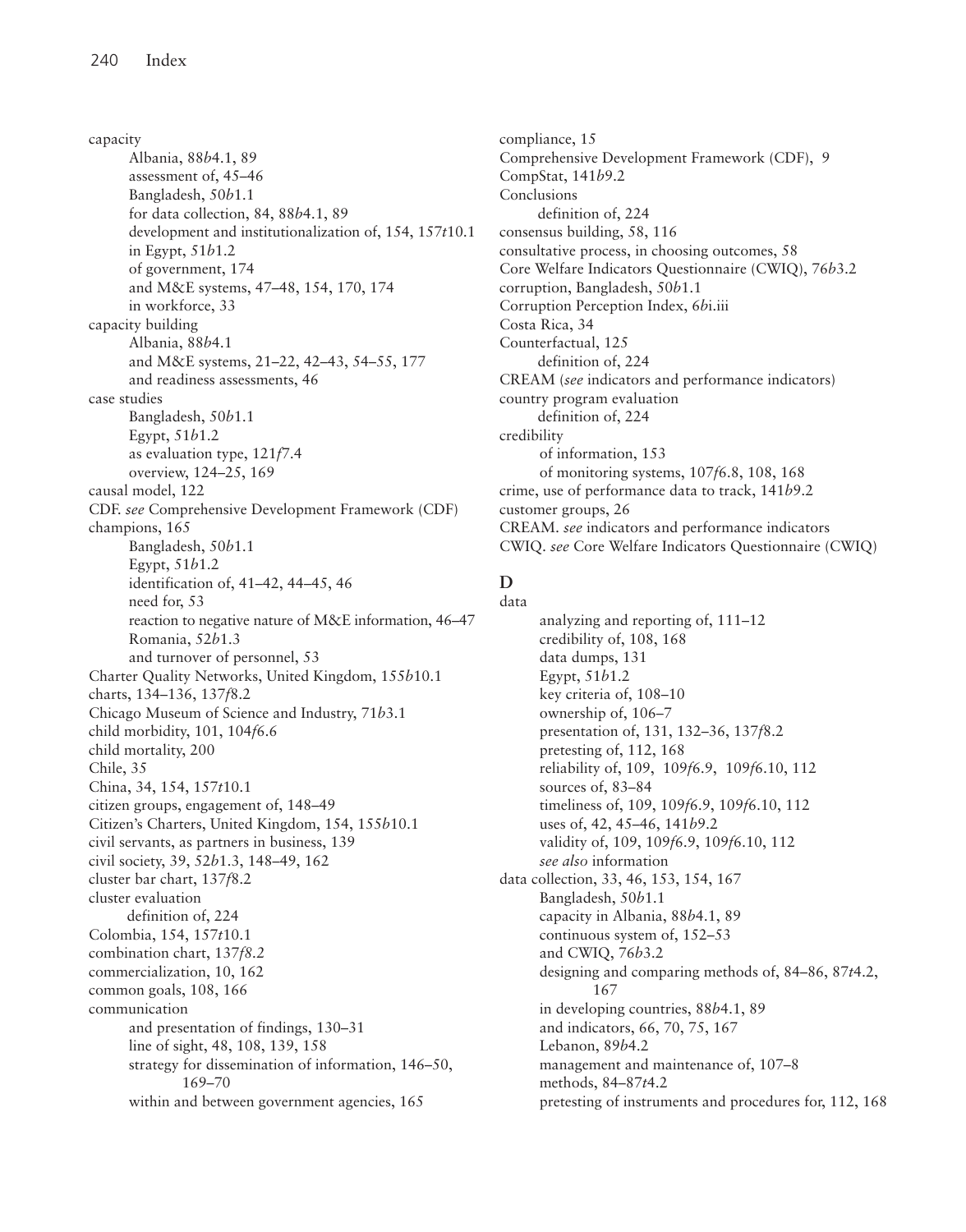capacity Albania, 88*b*4.1, 89 assessment of, 45–46 Bangladesh, 50*b*1.1 for data collection, 84, 88*b*4.1, 89 development and institutionalization of, 154, 157*t*10.1 in Egypt, 51*b*1.2 of government, 174 and M&E systems, 47–48, 154, 170, 174 in workforce, 33 capacity building Albania, 88*b*4.1 and M&E systems, 21–22, 42–43, 54–55, 177 and readiness assessments, 46 case studies Bangladesh, 50*b*1.1 Egypt, 51*b*1.2 as evaluation type, 121*f*7.4 overview, 124–25, 169 causal model, 122 CDF. *see* Comprehensive Development Framework (CDF) champions, 165 Bangladesh, 50*b*1.1 Egypt, 51*b*1.2 identification of, 41–42, 44–45, 46 need for, 53 reaction to negative nature of M&E information, 46–47 Romania, 52*b*1.3 and turnover of personnel, 53 Charter Quality Networks, United Kingdom, 155*b*10.1 charts, 134–136, 137*f*8.2 Chicago Museum of Science and Industry, 71*b*3.1 child morbidity, 101, 104*f*6.6 child mortality, 200 Chile, 35 China, 34, 154, 157*t*10.1 citizen groups, engagement of, 148–49 Citizen's Charters, United Kingdom, 154, 155*b*10.1 civil servants, as partners in business, 139 civil society, 39, 52*b*1.3, 148–49, 162 cluster bar chart, 137*f*8.2 cluster evaluation definition of, 224 Colombia, 154, 157*t*10.1 combination chart, 137*f8.2* commercialization, 10, 162 common goals, 108, 166 communication and presentation of findings, 130–31 line of sight, 48, 108, 139, 158 strategy for dissemination of information, 146–50, 169–70 within and between government agencies, 165

compliance, 15 Comprehensive Development Framework (CDF), 9 CompStat, 141*b*9.2 Conclusions definition of, 224 consensus building, 58, 116 consultative process, in choosing outcomes, 58 Core Welfare Indicators Questionnaire (CWIQ), 76*b*3.2 corruption, Bangladesh, 50*b*1.1 Corruption Perception Index, 6*b*i.iii Costa Rica, 34 Counterfactual, 125 definition of, 224 CREAM (*see* indicators and performance indicators) country program evaluation definition of, 224 credibility of information, 153 of monitoring systems, 107*f*6.8, 108, 168 crime, use of performance data to track, 141*b*9.2 customer groups, 26 CREAM. *see* indicators and performance indicators CWIQ. *see* Core Welfare Indicators Questionnaire (CWIQ)

#### **D** data

analyzing and reporting of, 111–12 credibility of, 108, 168 data dumps, 131 Egypt, 51*b*1.2 key criteria of, 108–10 ownership of, 106–7 presentation of, 131, 132–36, 137*f*8.2 pretesting of, 112, 168 reliability of, 109, 109*f*6.9, 109*f*6.10, 112 sources of, 83–84 timeliness of, 109, 109*f*6.9, 109*f*6.10, 112 uses of, 42, 45–46, 141*b*9.2 validity of, 109, 109*f*6.9, 109*f*6.10, 112 *see also* information data collection, 33, 46, 153, 154, 167 Bangladesh, 50*b*1.1 capacity in Albania, 88*b*4.1, 89 continuous system of, 152–53 and CWIQ, 76*b*3.2 designing and comparing methods of, 84–86, 87*t*4.2, 167 in developing countries, 88*b*4.1, 89 and indicators, 66, 70, 75, 167 Lebanon, 89*b*4.2 management and maintenance of, 107–8 methods, 84–87*t*4.2 pretesting of instruments and procedures for, 112, 168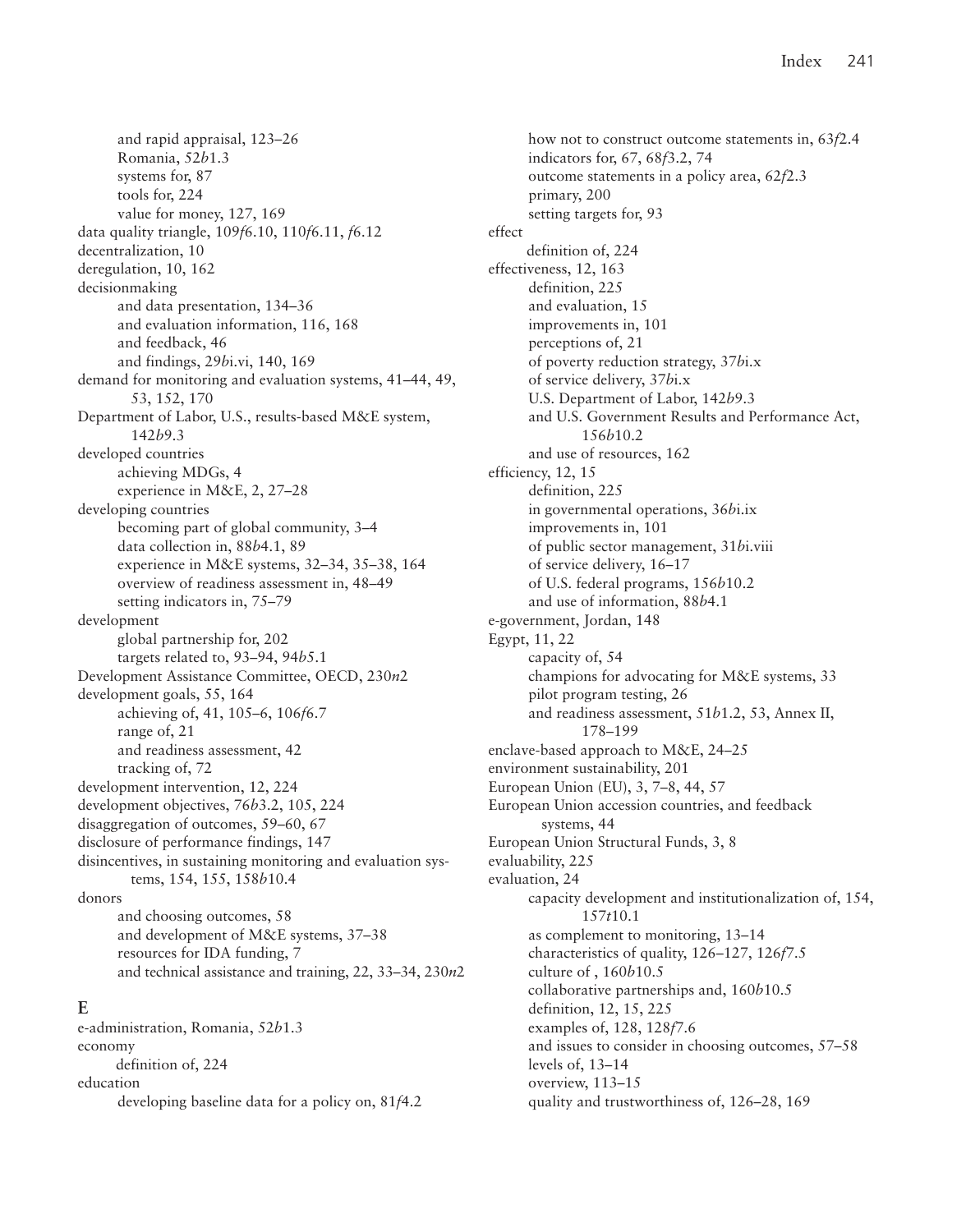and rapid appraisal, 123–26 Romania, 52*b*1.3 systems for, 87 tools for, 224 value for money, 127, 169 data quality triangle, 109*f*6.10, 110*f*6.11, *f*6.12 decentralization, 10 deregulation, 10, 162 decisionmaking and data presentation, 134–36 and evaluation information, 116, 168 and feedback, 46 and findings, 29*b*i.vi, 140, 169 demand for monitoring and evaluation systems, 41–44, 49, 53, 152, 170 Department of Labor, U.S., results-based M&E system, 142*b*9.3 developed countries achieving MDGs, 4 experience in M&E, 2, 27–28 developing countries becoming part of global community, 3–4 data collection in, 88*b*4.1, 89 experience in M&E systems, 32–34, 35–38, 164 overview of readiness assessment in, 48–49 setting indicators in, 75–79 development global partnership for, 202 targets related to, 93–94, 94*b*5.1 Development Assistance Committee, OECD, 230*n*2 development goals, 55, 164 achieving of, 41, 105–6, 106*f*6.7 range of, 21 and readiness assessment, 42 tracking of, 72 development intervention, 12, 224 development objectives, 76*b*3.2, 105, 224 disaggregation of outcomes, 59–60, 67 disclosure of performance findings, 147 disincentives, in sustaining monitoring and evaluation systems, 154, 155, 158*b*10.4 donors and choosing outcomes, 58 and development of M&E systems, 37–38 resources for IDA funding, 7 and technical assistance and training, 22, 33–34, 230*n*2

#### **E**

e-administration, Romania, 52*b*1.3 economy definition of, 224 education developing baseline data for a policy on, 81*f*4.2

how not to construct outcome statements in, 63*f*2.4 indicators for, 67, 68*f*3.2, 74 outcome statements in a policy area, 62*f*2.3 primary, 200 setting targets for, 93 effect definition of, 224 effectiveness, 12, 163 definition, 225 and evaluation, 15 improvements in, 101 perceptions of, 21 of poverty reduction strategy, 37*b*i.x of service delivery, 37*b*i.x U.S. Department of Labor, 142*b*9.3 and U.S. Government Results and Performance Act, 156*b*10.2 and use of resources, 162 efficiency, 12, 15 definition, 225 in governmental operations, 36*b*i.ix improvements in, 101 of public sector management, 31*b*i.viii of service delivery, 16–17 of U.S. federal programs, 156*b*10.2 and use of information, 88*b*4.1 e-government, Jordan, 148 Egypt, 11, 22 capacity of, 54 champions for advocating for M&E systems, 33 pilot program testing, 26 and readiness assessment, 51*b*1.2, 53, Annex II, 178–199 enclave-based approach to M&E, 24–25 environment sustainability, 201 European Union (EU), 3, 7–8, 44, 57 European Union accession countries, and feedback systems, 44 European Union Structural Funds, 3, 8 evaluability, 225 evaluation, 24 capacity development and institutionalization of, 154, 157*t*10.1 as complement to monitoring, 13–14 characteristics of quality, 126–127, 126*f*7.5 culture of , 160*b*10.5 collaborative partnerships and, 160*b*10.5 definition, 12, 15, 225 examples of, 128, 128*f*7.6 and issues to consider in choosing outcomes, 57–58 levels of, 13–14 overview, 113–15 quality and trustworthiness of, 126–28, 169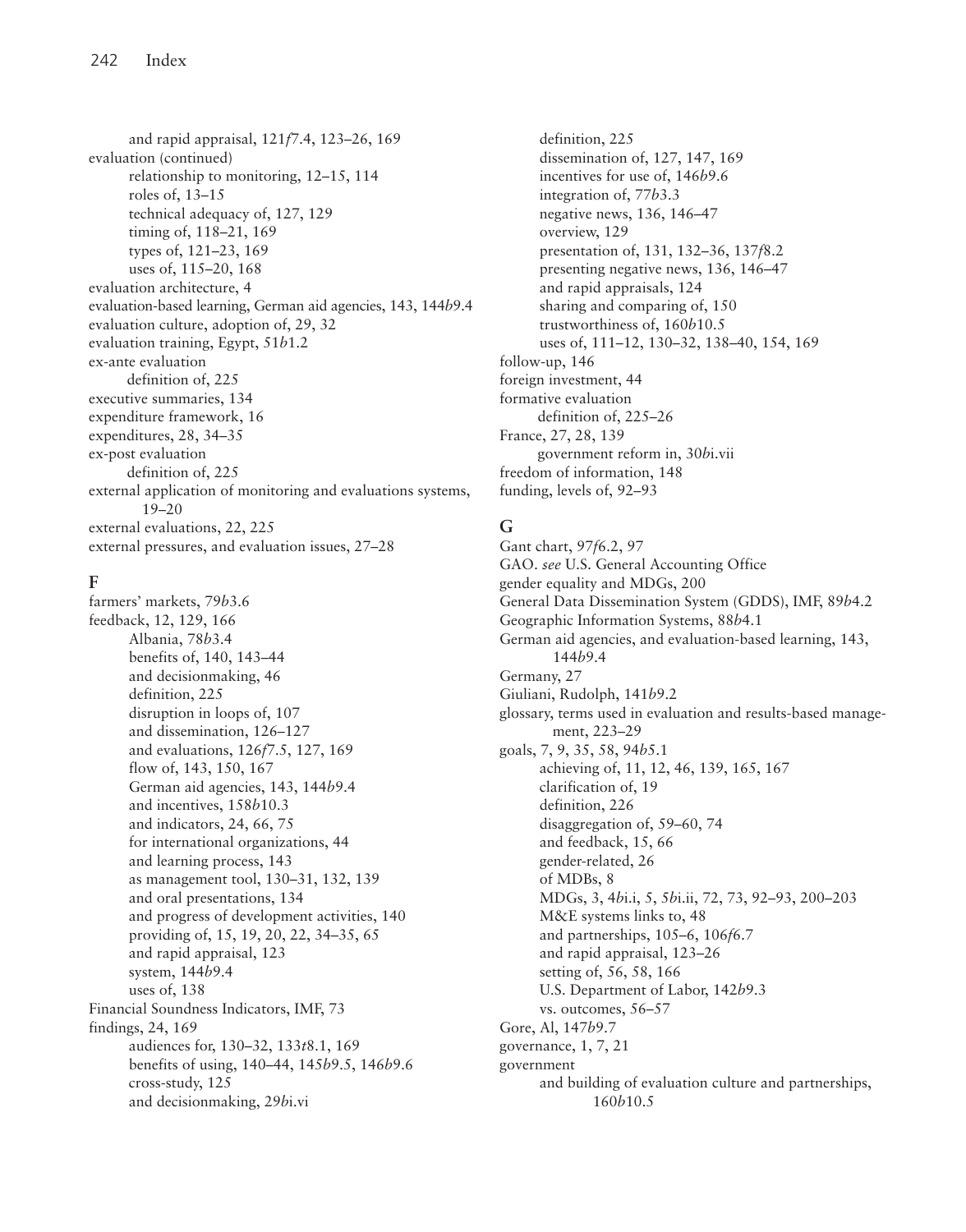and rapid appraisal, 121*f*7.4, 123–26, 169 evaluation (continued) relationship to monitoring, 12–15, 114 roles of, 13–15 technical adequacy of, 127, 129 timing of, 118–21, 169 types of, 121–23, 169 uses of, 115–20, 168 evaluation architecture, 4 evaluation-based learning, German aid agencies, 143, 144*b*9.4 evaluation culture, adoption of, 29, 32 evaluation training, Egypt, 51*b*1.2 ex-ante evaluation definition of, 225 executive summaries, 134 expenditure framework, 16 expenditures, 28, 34–35 ex-post evaluation definition of, 225 external application of monitoring and evaluations systems, 19–20 external evaluations, 22, 225 external pressures, and evaluation issues, 27–28

## **F**

farmers' markets, 79*b*3.6 feedback, 12, 129, 166 Albania, 78*b*3.4 benefits of, 140, 143–44 and decisionmaking, 46 definition, 225 disruption in loops of, 107 and dissemination, 126–127 and evaluations, 126*f*7.5, 127, 169 flow of, 143, 150, 167 German aid agencies, 143, 144*b*9.4 and incentives, 158*b*10.3 and indicators, 24, 66, 75 for international organizations, 44 and learning process, 143 as management tool, 130–31, 132, 139 and oral presentations, 134 and progress of development activities, 140 providing of, 15, 19, 20, 22, 34–35, 65 and rapid appraisal, 123 system, 144*b*9.4 uses of, 138 Financial Soundness Indicators, IMF, 73 findings, 24, 169 audiences for, 130–32, 133*t*8.1, 169 benefits of using, 140–44, 145*b*9.5, 146*b*9.6 cross-study, 125 and decisionmaking, 29*b*i.vi

definition, 225 dissemination of, 127, 147, 169 incentives for use of, 146*b*9.6 integration of, 77*b*3.3 negative news, 136, 146–47 overview, 129 presentation of, 131, 132–36, 137*f*8.2 presenting negative news, 136, 146–47 and rapid appraisals, 124 sharing and comparing of, 150 trustworthiness of, 160*b*10.5 uses of, 111–12, 130–32, 138–40, 154, 169 follow-up, 146 foreign investment, 44 formative evaluation definition of, 225–26 France, 27, 28, 139 government reform in, 30*b*i.vii freedom of information, 148 funding, levels of, 92–93

## **G**

Gant chart, 97*f*6.2, 97 GAO. *see* U.S. General Accounting Office gender equality and MDGs, 200 General Data Dissemination System (GDDS), IMF, 89*b*4.2 Geographic Information Systems, 88*b*4.1 German aid agencies, and evaluation-based learning, 143, 144*b*9.4 Germany, 27 Giuliani, Rudolph, 141*b*9.2 glossary, terms used in evaluation and results-based management, 223–29 goals, 7, 9, 35, 58, 94*b*5.1 achieving of, 11, 12, 46, 139, 165, 167 clarification of, 19 definition, 226 disaggregation of, 59–60, 74 and feedback, 15, 66 gender-related, 26 of MDBs, 8 MDGs, 3, 4*b*i.i, 5, 5*b*i.ii, 72, 73, 92–93, 200–203 M&E systems links to, 48 and partnerships, 105–6, 106*f*6.7 and rapid appraisal, 123–26 setting of, 56, 58, 166 U.S. Department of Labor, 142*b*9.3 vs. outcomes, 56–57 Gore, Al, 147*b*9.7 governance, 1, 7, 21 government and building of evaluation culture and partnerships, 160*b*10.5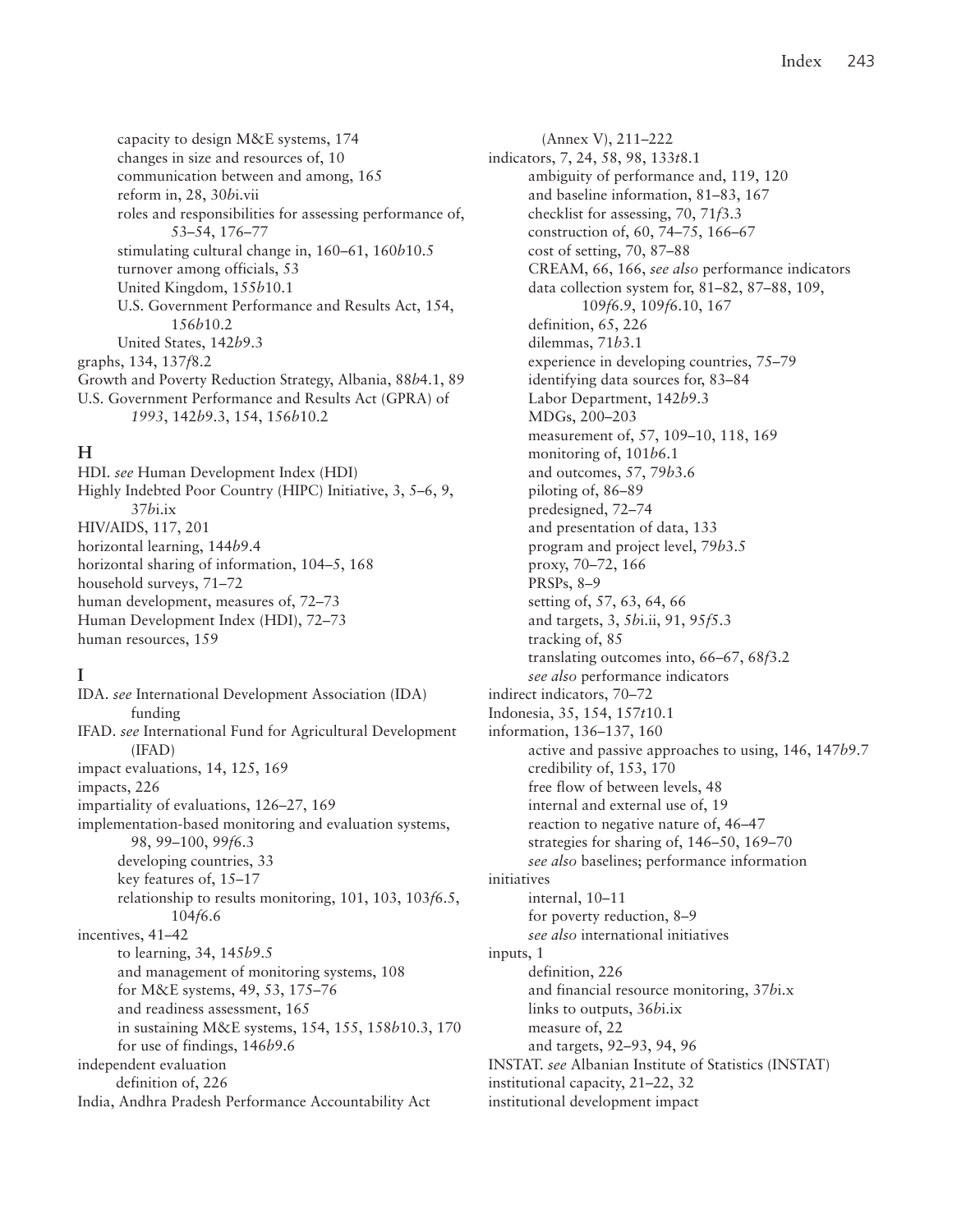capacity to design M&E systems, 174 changes in size and resources of, 10 communication between and among, 165 reform in, 28, 30*b*i.vii roles and responsibilities for assessing performance of, 53–54, 176–77 stimulating cultural change in, 160–61, 160*b*10.5 turnover among officials, 53 United Kingdom, 155*b*10.1 U.S. Government Performance and Results Act, 154, 156*b*10.2 United States, 142*b*9.3 graphs, 134, 137*f*8.2 Growth and Poverty Reduction Strategy, Albania, 88*b*4.1, 89 U.S. Government Performance and Results Act (GPRA) of *1993*, 142*b*9.3, 154, 156*b*10.2

#### **H**

HDI. *see* Human Development Index (HDI) Highly Indebted Poor Country (HIPC) Initiative, 3, 5–6, 9, 37*b*i.ix HIV/AIDS, 117, 201 horizontal learning, 144*b*9.4 horizontal sharing of information, 104–5, 168 household surveys, 71–72 human development, measures of, 72–73 Human Development Index (HDI), 72–73 human resources, 159

# **I**

IDA. *see* International Development Association (IDA) funding IFAD. *see* International Fund for Agricultural Development (IFAD) impact evaluations, 14, 125, 169 impacts, 226 impartiality of evaluations, 126–27, 169 implementation-based monitoring and evaluation systems, 98, 99–100, 99*f*6.3 developing countries, 33 key features of, 15–17 relationship to results monitoring, 101, 103, 103*f*6.5, 104*f*6.6 incentives, 41–42 to learning, 34, 145*b*9.5 and management of monitoring systems, 108 for M&E systems, 49, 53, 175–76 and readiness assessment, 165 in sustaining M&E systems, 154, 155, 158*b*10.3, 170 for use of findings, 146*b*9.6 independent evaluation definition of, 226 India, Andhra Pradesh Performance Accountability Act

(Annex V), 211–222 indicators, 7, 24, 58, 98, 133*t*8.1 ambiguity of performance and, 119, 120 and baseline information, 81–83, 167 checklist for assessing, 70, 71*f*3.3 construction of, 60, 74–75, 166–67 cost of setting, 70, 87–88 CREAM, 66, 166, *see also* performance indicators data collection system for, 81–82, 87–88, 109, 109*f*6.9, 109*f*6.10, 167 definition, 65, 226 dilemmas, 71*b*3.1 experience in developing countries, 75–79 identifying data sources for, 83–84 Labor Department, 142*b*9.3 MDGs, 200–203 measurement of, 57, 109–10, 118, 169 monitoring of, 101*b*6.1 and outcomes, 57, 79*b*3.6 piloting of, 86–89 predesigned, 72–74 and presentation of data, 133 program and project level, 79*b*3.5 proxy, 70–72, 166 PRSPs, 8–9 setting of, 57, 63, 64, 66 and targets, 3, 5*b*i.ii, 91, 95*f*5.3 tracking of, 85 translating outcomes into, 66–67, 68*f*3.2 *see also* performance indicators indirect indicators, 70–72 Indonesia, 35, 154, 157*t*10.1 information, 136–137, 160 active and passive approaches to using, 146, 147*b*9.7 credibility of, 153, 170 free flow of between levels, 48 internal and external use of, 19 reaction to negative nature of, 46–47 strategies for sharing of, 146–50, 169–70 *see also* baselines; performance information initiatives internal, 10–11 for poverty reduction, 8–9 *see also* international initiatives inputs, 1 definition, 226 and financial resource monitoring, 37*b*i.x links to outputs, 36*b*i.ix measure of, 22 and targets, 92–93, 94, 96 INSTAT. *see* Albanian Institute of Statistics (INSTAT) institutional capacity, 21–22, 32 institutional development impact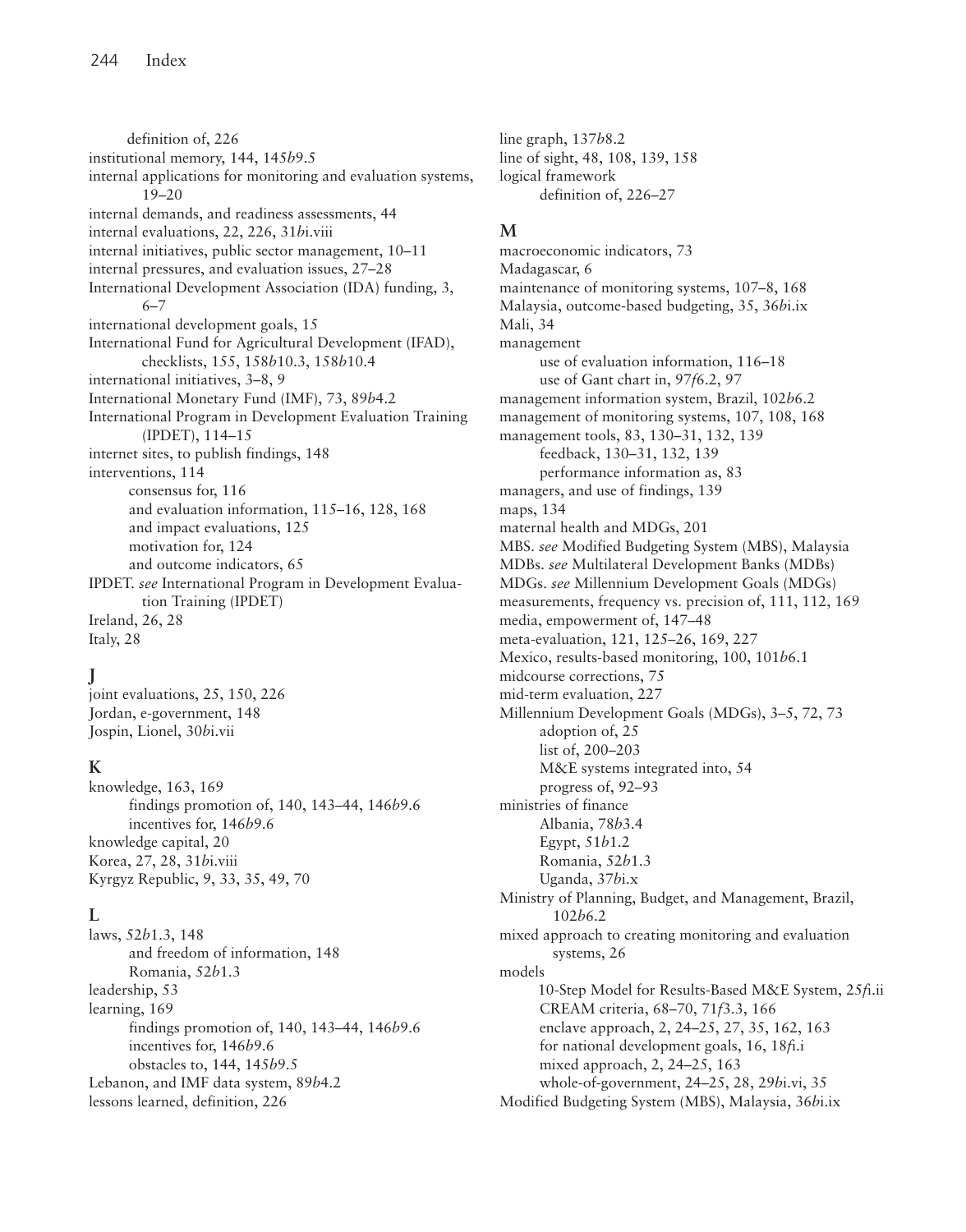definition of, 226 institutional memory, 144, 145*b*9.5 internal applications for monitoring and evaluation systems,  $19 - 20$ internal demands, and readiness assessments, 44 internal evaluations, 22, 226, 31*b*i.viii internal initiatives, public sector management, 10–11 internal pressures, and evaluation issues, 27–28 International Development Association (IDA) funding, 3, 6–7 international development goals, 15 International Fund for Agricultural Development (IFAD), checklists, 155, 158*b*10.3, 158*b*10.4 international initiatives, 3–8, 9 International Monetary Fund (IMF), 73, 89*b*4.2 International Program in Development Evaluation Training (IPDET), 114–15 internet sites, to publish findings, 148 interventions, 114 consensus for, 116 and evaluation information, 115–16, 128, 168 and impact evaluations, 125 motivation for, 124 and outcome indicators, 65 IPDET. *see* International Program in Development Evaluation Training (IPDET) Ireland, 26, 28 Italy, 28

# **J**

joint evaluations, 25, 150, 226 Jordan, e-government, 148 Jospin, Lionel, 30*b*i.vii

## **K**

knowledge, 163, 169 findings promotion of, 140, 143–44, 146*b*9.6 incentives for, 146*b*9.6 knowledge capital, 20 Korea, 27, 28, 31*b*i.viii Kyrgyz Republic, 9, 33, 35, 49, 70

## **L**

laws, 52*b*1.3, 148 and freedom of information, 148 Romania, 52*b*1.3 leadership, 53 learning, 169 findings promotion of, 140, 143–44, 146*b*9.6 incentives for, 146*b*9.6 obstacles to, 144, 145*b*9.5 Lebanon, and IMF data system, 89*b*4.2 lessons learned, definition, 226

line graph, 137*b*8.2 line of sight, 48, 108, 139, 158 logical framework definition of, 226–27

#### **M**

macroeconomic indicators, 73 Madagascar, 6 maintenance of monitoring systems, 107–8, 168 Malaysia, outcome-based budgeting, 35, 36*b*i.ix Mali, 34 management use of evaluation information, 116–18 use of Gant chart in, 97*f*6.2, 97 management information system, Brazil, 102*b*6.2 management of monitoring systems, 107, 108, 168 management tools, 83, 130–31, 132, 139 feedback, 130–31, 132, 139 performance information as, 83 managers, and use of findings, 139 maps, 134 maternal health and MDGs, 201 MBS. *see* Modified Budgeting System (MBS), Malaysia MDBs. *see* Multilateral Development Banks (MDBs) MDGs. *see* Millennium Development Goals (MDGs) measurements, frequency vs. precision of, 111, 112, 169 media, empowerment of, 147–48 meta-evaluation, 121, 125–26, 169, 227 Mexico, results-based monitoring, 100, 101*b*6.1 midcourse corrections, 75 mid-term evaluation, 227 Millennium Development Goals (MDGs), 3–5, 72, 73 adoption of, 25 list of, 200–203 M&E systems integrated into, 54 progress of, 92–93 ministries of finance Albania, 78*b*3.4 Egypt, 51*b*1.2 Romania, 52*b*1.3 Uganda, 37*b*i.x Ministry of Planning, Budget, and Management, Brazil, 102*b*6.2 mixed approach to creating monitoring and evaluation systems, 26 models 10-Step Model for Results-Based M&E System, 25*f*i.ii CREAM criteria, 68–70, 71*f*3.3, 166 enclave approach, 2, 24–25, 27, 35, 162, 163 for national development goals, 16, 18*f*i.i mixed approach, 2, 24–25, 163 whole-of-government, 24–25, 28, 29*b*i.vi, 35 Modified Budgeting System (MBS), Malaysia, 36*b*i.ix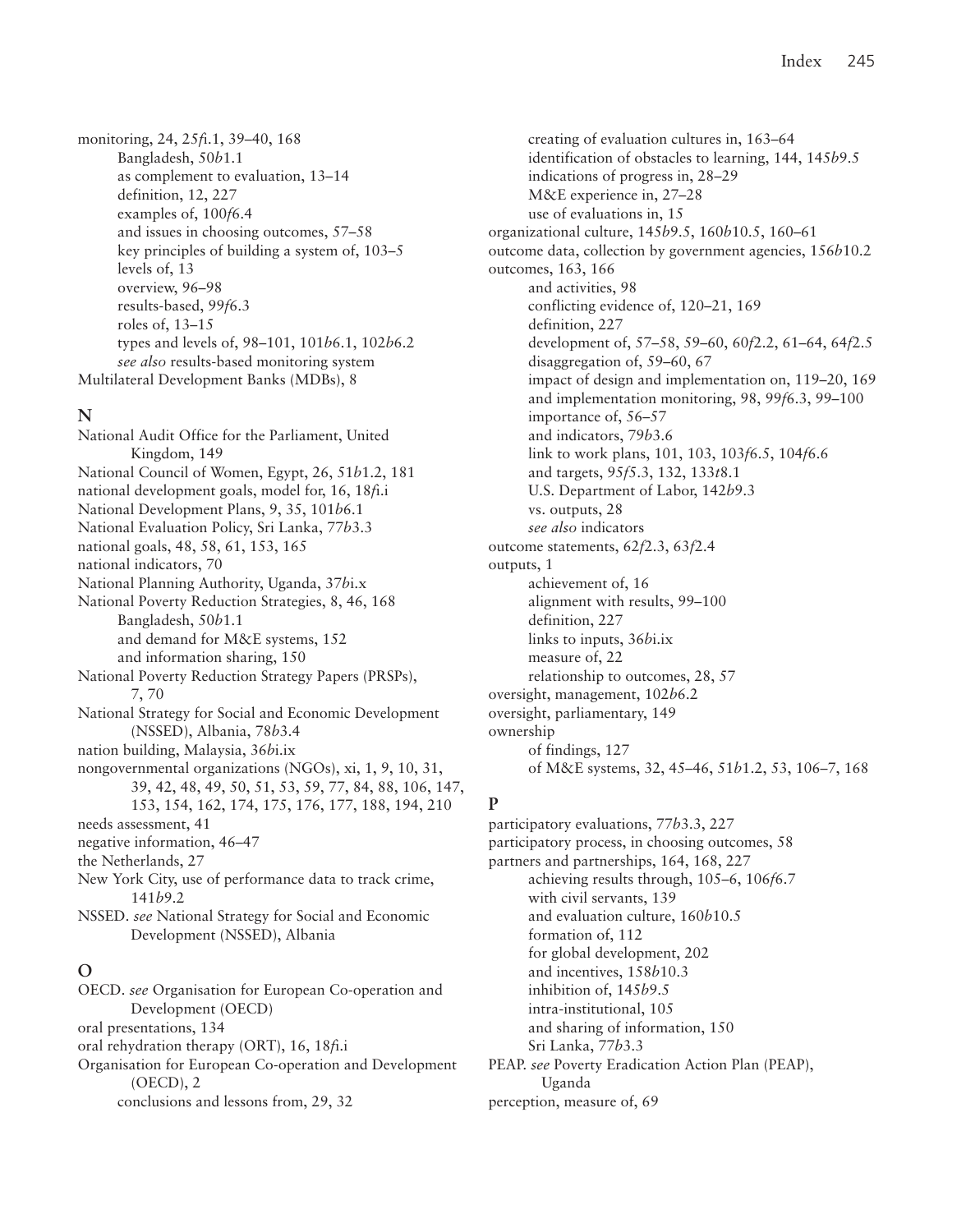monitoring, 24, 25*f*i.1, 39–40, 168 Bangladesh, 50*b*1.1 as complement to evaluation, 13–14 definition, 12, 227 examples of, 100*f*6.4 and issues in choosing outcomes, 57–58 key principles of building a system of, 103–5 levels of, 13 overview, 96–98 results-based, 99*f*6.3 roles of, 13–15 types and levels of, 98–101, 101*b*6.1, 102*b*6.2 *see also* results-based monitoring system Multilateral Development Banks (MDBs), 8

#### **N**

National Audit Office for the Parliament, United Kingdom, 149 National Council of Women, Egypt, 26, 51*b*1.2, 181 national development goals, model for, 16, 18*f*i.i National Development Plans, 9, 35, 101*b*6.1 National Evaluation Policy, Sri Lanka, 77*b*3.3 national goals, 48, 58, 61, 153, 165 national indicators, 70 National Planning Authority, Uganda, 37*b*i.x National Poverty Reduction Strategies, 8, 46, 168 Bangladesh, 50*b*1.1 and demand for M&E systems, 152 and information sharing, 150 National Poverty Reduction Strategy Papers (PRSPs), 7, 70 National Strategy for Social and Economic Development (NSSED), Albania, 78*b*3.4 nation building, Malaysia, 36*b*i.ix nongovernmental organizations (NGOs), xi, 1, 9, 10, 31, 39, 42, 48, 49, 50, 51, 53, 59, 77, 84, 88, 106, 147, 153, 154, 162, 174, 175, 176, 177, 188, 194, 210 needs assessment, 41 negative information, 46–47 the Netherlands, 27 New York City, use of performance data to track crime, 141*b*9.2 NSSED. *see* National Strategy for Social and Economic Development (NSSED), Albania **O** OECD. *see* Organisation for European Co-operation and Development (OECD)

oral presentations, 134

oral rehydration therapy (ORT), 16, 18*f*i.i

Organisation for European Co-operation and Development (OECD), 2 conclusions and lessons from, 29, 32

creating of evaluation cultures in, 163–64 identification of obstacles to learning, 144, 145*b*9.5 indications of progress in, 28–29 M&E experience in, 27–28 use of evaluations in, 15 organizational culture, 145*b*9.5, 160*b*10.5, 160–61 outcome data, collection by government agencies, 156*b*10.2 outcomes, 163, 166 and activities, 98 conflicting evidence of, 120–21, 169 definition, 227 development of, 57–58, 59–60, 60*f*2.2, 61–64, 64*f*2.5 disaggregation of, 59–60, 67 impact of design and implementation on, 119–20, 169 and implementation monitoring, 98, 99*f*6.3, 99–100 importance of, 56–57 and indicators, 79*b*3.6 link to work plans, 101, 103, 103*f*6.5, 104*f*6.6 and targets, 95*f*5.3, 132, 133*t*8.1 U.S. Department of Labor, 142*b*9.3 vs. outputs, 28 *see also* indicators outcome statements, 62*f*2.3, 63*f*2.4 outputs, 1 achievement of, 16 alignment with results, 99–100 definition, 227 links to inputs, 36*b*i.ix measure of, 22 relationship to outcomes, 28, 57 oversight, management, 102*b*6.2 oversight, parliamentary, 149 ownership of findings, 127 of M&E systems, 32, 45–46, 51*b*1.2, 53, 106–7, 168

#### **P**

participatory evaluations, 77*b*3.3, 227 participatory process, in choosing outcomes, 58 partners and partnerships, 164, 168, 227 achieving results through, 105–6, 106*f*6.7 with civil servants, 139 and evaluation culture, 160*b*10.5 formation of, 112 for global development, 202 and incentives, 158*b*10.3 inhibition of, 145*b*9.5 intra-institutional, 105 and sharing of information, 150 Sri Lanka, 77*b*3.3 PEAP. *see* Poverty Eradication Action Plan (PEAP), Uganda perception, measure of, 69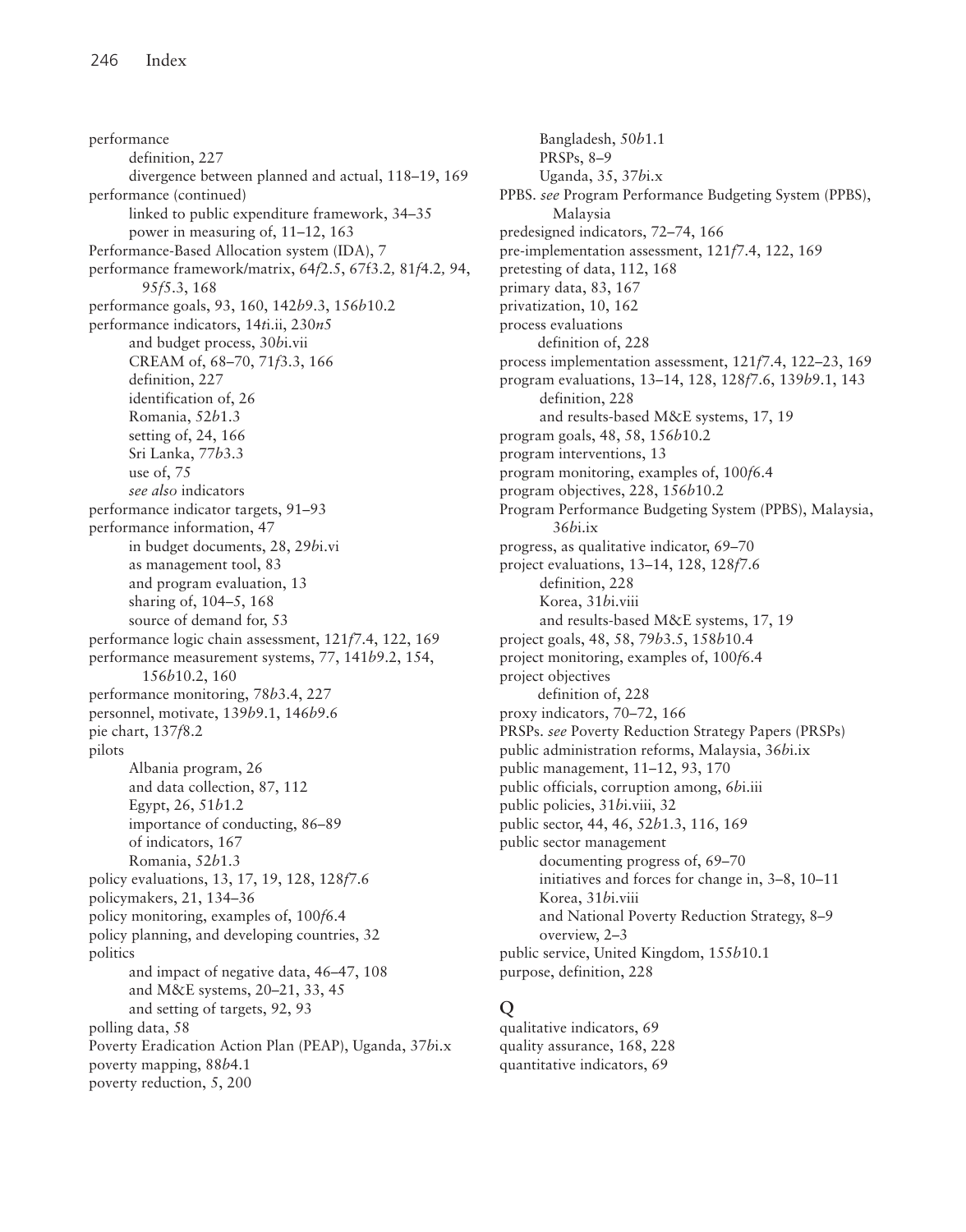performance definition, 227 divergence between planned and actual, 118–19, 169 performance (continued) linked to public expenditure framework, 34–35 power in measuring of, 11–12, 163 Performance-Based Allocation system (IDA), 7 performance framework/matrix, 64*f*2.5, 67f3.2*,* 81*f*4.2*,* 94, 95*f*5.3, 168 performance goals, 93, 160, 142*b*9.3, 156*b*10.2 performance indicators, 14*t*i.ii, 230*n*5 and budget process, 30*b*i.vii CREAM of, 68–70, 71*f*3.3, 166 definition, 227 identification of, 26 Romania, 52*b*1.3 setting of, 24, 166 Sri Lanka, 77*b*3.3 use of, 75 *see also* indicators performance indicator targets, 91–93 performance information, 47 in budget documents, 28, 29*b*i.vi as management tool, 83 and program evaluation, 13 sharing of, 104–5, 168 source of demand for, 53 performance logic chain assessment, 121*f*7.4, 122, 169 performance measurement systems, 77, 141*b*9.2, 154, 156*b*10.2, 160 performance monitoring, 78*b*3.4, 227 personnel, motivate, 139*b*9.1, 146*b*9.6 pie chart, 137*f*8.2 pilots Albania program, 26 and data collection, 87, 112 Egypt, 26, 51*b*1.2 importance of conducting, 86–89 of indicators, 167 Romania, 52*b*1.3 policy evaluations, 13, 17, 19, 128, 128*f*7.6 policymakers, 21, 134–36 policy monitoring, examples of, 100*f*6.4 policy planning, and developing countries, 32 politics and impact of negative data, 46–47, 108 and M&E systems, 20–21, 33, 45 and setting of targets, 92, 93 polling data, 58 Poverty Eradication Action Plan (PEAP), Uganda, 37*b*i.x poverty mapping, 88*b*4.1 poverty reduction, 5, 200

Bangladesh, 50*b*1.1 PRSPs, 8–9 Uganda, 35, 37*b*i.x PPBS. *see* Program Performance Budgeting System (PPBS), Malaysia predesigned indicators, 72–74, 166 pre-implementation assessment, 121*f*7.4, 122, 169 pretesting of data, 112, 168 primary data, 83, 167 privatization, 10, 162 process evaluations definition of, 228 process implementation assessment, 121*f*7.4, 122–23, 169 program evaluations, 13–14, 128, 128*f*7.6, 139*b*9.1, 143 definition, 228 and results-based M&E systems, 17, 19 program goals, 48, 58, 156*b*10.2 program interventions, 13 program monitoring, examples of, 100*f*6.4 program objectives, 228, 156*b*10.2 Program Performance Budgeting System (PPBS), Malaysia, 36*b*i.ix progress, as qualitative indicator, 69–70 project evaluations, 13–14, 128, 128*f*7.6 definition, 228 Korea, 31*b*i.viii and results-based M&E systems, 17, 19 project goals, 48, 58, 79*b*3.5, 158*b*10.4 project monitoring, examples of, 100*f*6.4 project objectives definition of, 228 proxy indicators, 70–72, 166 PRSPs. *see* Poverty Reduction Strategy Papers (PRSPs) public administration reforms, Malaysia, 36*b*i.ix public management, 11–12, 93, 170 public officials, corruption among, 6*b*i.iii public policies, 31*b*i.viii, 32 public sector, 44, 46, 52*b*1.3, 116, 169 public sector management documenting progress of, 69–70 initiatives and forces for change in, 3–8, 10–11 Korea, 31*b*i.viii and National Poverty Reduction Strategy, 8–9 overview, 2–3 public service, United Kingdom, 155*b*10.1 purpose, definition, 228

## **Q**

qualitative indicators, 69 quality assurance, 168, 228 quantitative indicators, 69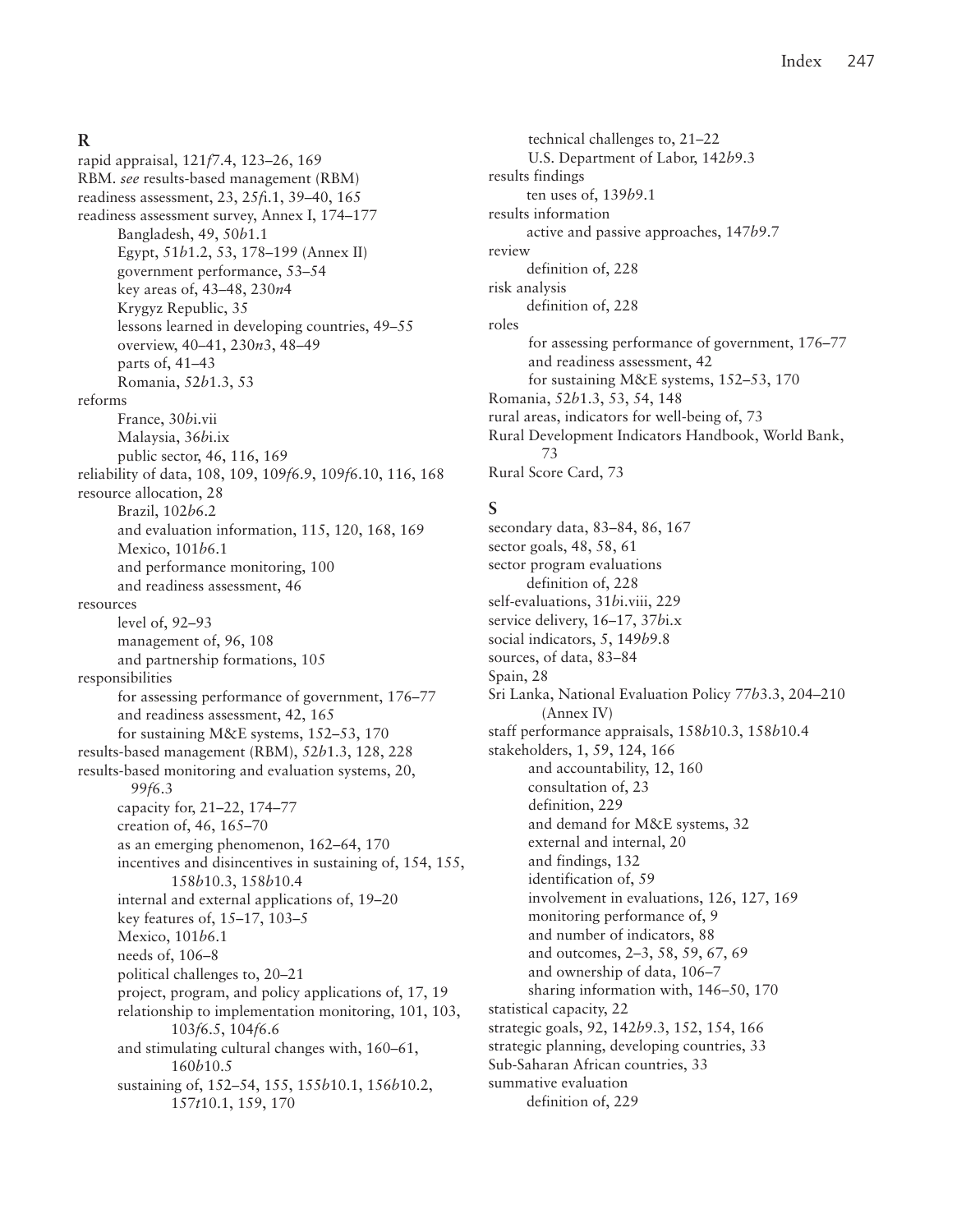#### **R**

rapid appraisal, 121*f*7.4, 123–26, 169 RBM. *see* results-based management (RBM) readiness assessment, 23, 25*f*i.1, 39–40, 165 readiness assessment survey, Annex I, 174–177 Bangladesh, 49, 50*b*1.1 Egypt, 51*b*1.2, 53, 178–199 (Annex II) government performance, 53–54 key areas of, 43–48, 230*n*4 Krygyz Republic, 35 lessons learned in developing countries, 49–55 overview, 40–41, 230*n*3, 48–49 parts of, 41–43 Romania, 52*b*1.3, 53 reforms France, 30*b*i.vii Malaysia, 36*b*i.ix public sector, 46, 116, 169 reliability of data, 108, 109, 109*f*6.9, 109*f*6.10, 116, 168 resource allocation, 28 Brazil, 102*b*6.2 and evaluation information, 115, 120, 168, 169 Mexico, 101*b*6.1 and performance monitoring, 100 and readiness assessment, 46 resources level of, 92–93 management of, 96, 108 and partnership formations, 105 responsibilities for assessing performance of government, 176–77 and readiness assessment, 42, 165 for sustaining M&E systems, 152–53, 170 results-based management (RBM), 52*b*1.3, 128, 228 results-based monitoring and evaluation systems, 20, 99*f*6.3 capacity for, 21–22, 174–77 creation of, 46, 165–70 as an emerging phenomenon, 162–64, 170 incentives and disincentives in sustaining of, 154, 155, 158*b*10.3, 158*b*10.4 internal and external applications of, 19–20 key features of, 15–17, 103–5 Mexico, 101*b*6.1 needs of, 106–8 political challenges to, 20–21 project, program, and policy applications of, 17, 19 relationship to implementation monitoring, 101, 103, 103*f*6.5, 104*f*6.6 and stimulating cultural changes with, 160–61, 160*b*10.5 sustaining of, 152–54, 155, 155*b*10.1, 156*b*10.2, 157*t*10.1, 159, 170

technical challenges to, 21–22 U.S. Department of Labor, 142*b*9.3 results findings ten uses of, 139*b*9.1 results information active and passive approaches, 147*b*9.7 review definition of, 228 risk analysis definition of, 228 roles for assessing performance of government, 176–77 and readiness assessment, 42 for sustaining M&E systems, 152–53, 170 Romania, 52*b*1.3, 53, 54, 148 rural areas, indicators for well-being of, 73 Rural Development Indicators Handbook, World Bank, 73 Rural Score Card, 73

#### **S**

secondary data, 83–84, 86, 167 sector goals, 48, 58, 61 sector program evaluations definition of, 228 self-evaluations, 31*b*i.viii, 229 service delivery, 16–17, 37*b*i.x social indicators, 5, 149*b*9.8 sources, of data, 83–84 Spain, 28 Sri Lanka, National Evaluation Policy 77*b*3.3, 204–210 (Annex IV) staff performance appraisals, 158*b*10.3, 158*b*10.4 stakeholders, 1, 59, 124, 166 and accountability, 12, 160 consultation of, 23 definition, 229 and demand for M&E systems, 32 external and internal, 20 and findings, 132 identification of, 59 involvement in evaluations, 126, 127, 169 monitoring performance of, 9 and number of indicators, 88 and outcomes, 2–3, 58, 59, 67, 69 and ownership of data, 106–7 sharing information with, 146–50, 170 statistical capacity, 22 strategic goals, 92, 142*b*9.3, 152, 154, 166 strategic planning, developing countries, 33 Sub-Saharan African countries, 33 summative evaluation definition of, 229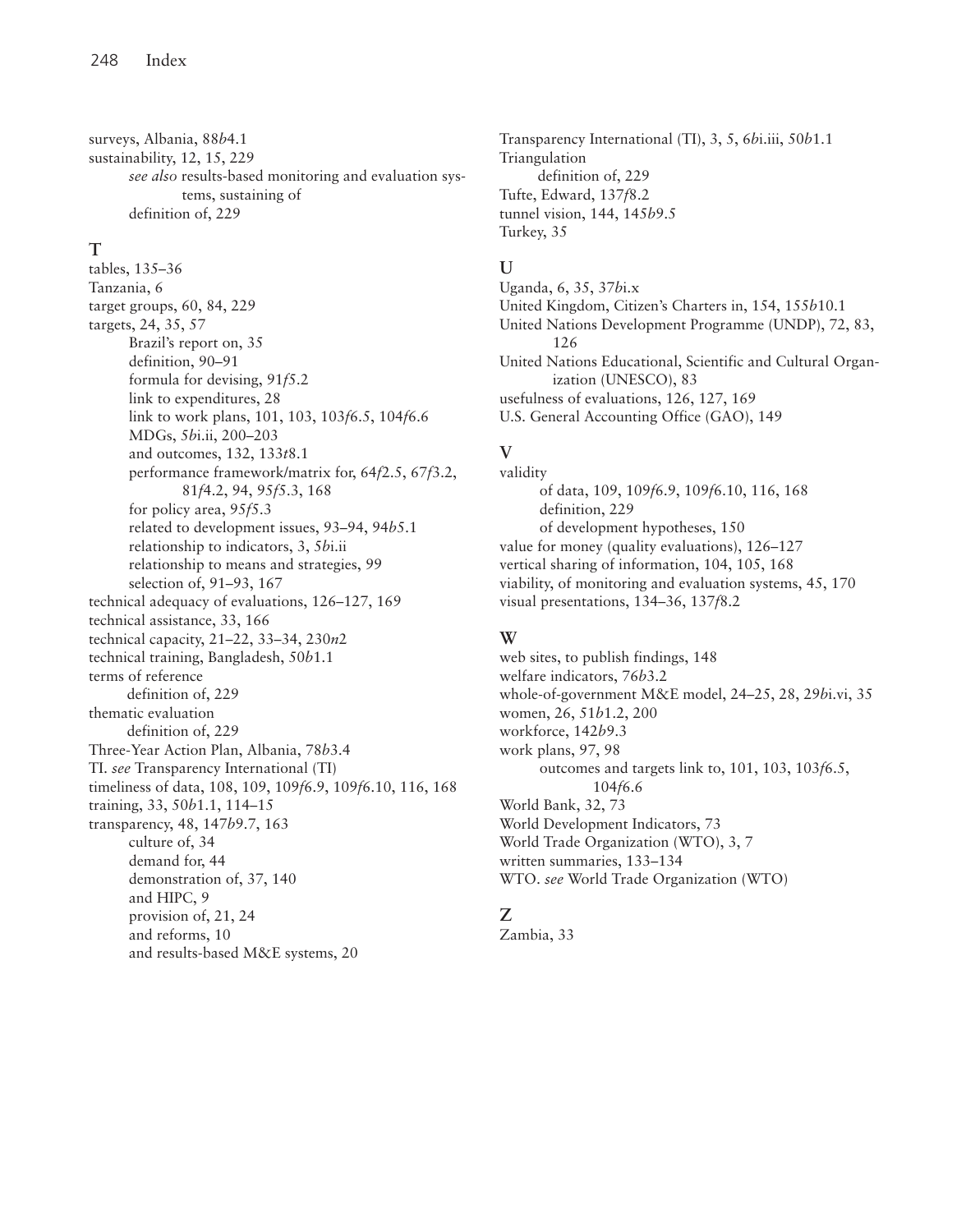surveys, Albania, 88*b*4.1 sustainability, 12, 15, 229 *see also* results-based monitoring and evaluation systems, sustaining of definition of, 229

#### **T**

tables, 135–36 Tanzania, 6 target groups, 60, 84, 229 targets, 24, 35, 57 Brazil's report on, 35 definition, 90–91 formula for devising, 91*f*5.2 link to expenditures, 28 link to work plans, 101, 103, 103*f*6.5, 104*f*6.6 MDGs, 5*b*i.ii, 200–203 and outcomes, 132, 133*t*8.1 performance framework/matrix for, 64*f*2.5, 67*f*3.2, 81*f*4.2, 94, 95*f*5.3, 168 for policy area, 95*f*5.3 related to development issues, 93–94, 94*b*5.1 relationship to indicators, 3, 5*b*i.ii relationship to means and strategies, 99 selection of, 91–93, 167 technical adequacy of evaluations, 126–127, 169 technical assistance, 33, 166 technical capacity, 21–22, 33–34, 230*n*2 technical training, Bangladesh, 50*b*1.1 terms of reference definition of, 229 thematic evaluation definition of, 229 Three-Year Action Plan, Albania, 78*b*3.4 TI. *see* Transparency International (TI) timeliness of data, 108, 109, 109*f*6.9, 109*f*6.10, 116, 168 training, 33, 50*b*1.1, 114–15 transparency, 48, 147*b*9.7, 163 culture of, 34 demand for, 44 demonstration of, 37, 140 and HIPC, 9 provision of, 21, 24 and reforms, 10 and results-based M&E systems, 20

Transparency International (TI), 3, 5, 6*b*i.iii, 50*b*1.1 Triangulation definition of, 229 Tufte, Edward, 137*f*8.2 tunnel vision, 144, 145*b*9.5 Turkey, 35

#### **U**

Uganda, 6, 35, 37*b*i.x United Kingdom, Citizen's Charters in, 154, 155*b*10.1 United Nations Development Programme (UNDP), 72, 83, 126 United Nations Educational, Scientific and Cultural Organization (UNESCO), 83 usefulness of evaluations, 126, 127, 169 U.S. General Accounting Office (GAO), 149

## **V**

validity of data, 109, 109*f*6.9, 109*f*6.10, 116, 168 definition, 229 of development hypotheses, 150 value for money (quality evaluations), 126–127 vertical sharing of information, 104, 105, 168 viability, of monitoring and evaluation systems, 45, 170 visual presentations, 134–36, 137*f*8.2

#### **W**

web sites, to publish findings, 148 welfare indicators, 76*b*3.2 whole-of-government M&E model, 24–25, 28, 29*b*i.vi, 35 women, 26, 51*b*1.2, 200 workforce, 142*b*9.3 work plans, 97, 98 outcomes and targets link to, 101, 103, 103*f*6.5, 104*f*6.6 World Bank, 32, 73 World Development Indicators, 73 World Trade Organization (WTO), 3, 7 written summaries, 133–134 WTO. *see* World Trade Organization (WTO)

## **Z**

Zambia, 33